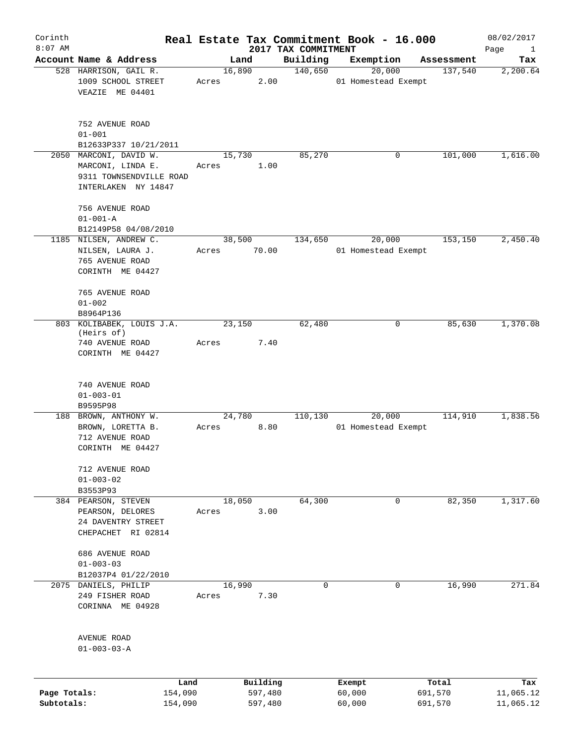| Corinth<br>$8:07$ AM       |                                                                                          |                 |                    | 2017 TAX COMMITMENT | Real Estate Tax Commitment Book - 16.000 |                    | 08/02/2017                  |
|----------------------------|------------------------------------------------------------------------------------------|-----------------|--------------------|---------------------|------------------------------------------|--------------------|-----------------------------|
|                            | Account Name & Address                                                                   |                 | Land               | Building            | Exemption                                | Assessment         | Page<br>$\mathbf{1}$<br>Tax |
|                            | 528 HARRISON, GAIL R.<br>1009 SCHOOL STREET<br>VEAZIE ME 04401                           | 16,890<br>Acres | 2.00               | 140,650             | 20,000<br>01 Homestead Exempt            | 137,540            | 2,200.64                    |
|                            | 752 AVENUE ROAD<br>$01 - 001$<br>B12633P337 10/21/2011                                   |                 |                    |                     |                                          |                    |                             |
| 2050                       | MARCONI, DAVID W.<br>MARCONI, LINDA E.<br>9311 TOWNSENDVILLE ROAD<br>INTERLAKEN NY 14847 | 15,730<br>Acres | 1.00               | 85,270              | 0                                        | 101,000            | 1,616.00                    |
|                            | 756 AVENUE ROAD<br>$01 - 001 - A$<br>B12149P58 04/08/2010                                |                 |                    |                     |                                          |                    |                             |
|                            | 1185 NILSEN, ANDREW C.<br>NILSEN, LAURA J.<br>765 AVENUE ROAD<br>CORINTH ME 04427        | 38,500<br>Acres | 70.00              | 134,650             | 20,000<br>01 Homestead Exempt            | 153,150            | 2,450.40                    |
|                            | 765 AVENUE ROAD<br>$01 - 002$<br>B8964P136                                               |                 |                    |                     |                                          |                    |                             |
|                            | 803 KOLIBABEK, LOUIS J.A.<br>(Heirs of)<br>740 AVENUE ROAD<br>CORINTH ME 04427           | 23,150<br>Acres | 7.40               | 62,480              | 0                                        | 85,630             | 1,370.08                    |
|                            | 740 AVENUE ROAD<br>$01 - 003 - 01$<br>B9595P98                                           |                 |                    |                     |                                          |                    |                             |
|                            | 188 BROWN, ANTHONY W.<br>BROWN, LORETTA B.<br>712 AVENUE ROAD<br>CORINTH ME 04427        | 24,780<br>Acres | 8.80               | 110,130             | 20,000<br>01 Homestead Exempt            | 114,910            | 1,838.56                    |
|                            | 712 AVENUE ROAD<br>$01 - 003 - 02$<br>B3553P93                                           |                 |                    |                     |                                          |                    |                             |
|                            | 384 PEARSON, STEVEN<br>PEARSON, DELORES<br>24 DAVENTRY STREET<br>CHEPACHET RI 02814      | 18,050<br>Acres | 3.00               | 64,300              | $\mathbf 0$                              | 82,350             | 1,317.60                    |
|                            | 686 AVENUE ROAD<br>$01 - 003 - 03$<br>B12037P4 01/22/2010                                |                 |                    |                     |                                          |                    |                             |
|                            | 2075 DANIELS, PHILIP<br>249 FISHER ROAD<br>CORINNA ME 04928                              | 16,990<br>Acres | 7.30               | $\mathbf 0$         | $\mathbf 0$                              | 16,990             | 271.84                      |
|                            | AVENUE ROAD<br>$01 - 003 - 03 - A$                                                       |                 |                    |                     |                                          |                    |                             |
|                            | Land                                                                                     |                 | Building           |                     | Exempt                                   | Total              | Tax                         |
| Page Totals:<br>Subtotals: | 154,090<br>154,090                                                                       |                 | 597,480<br>597,480 |                     | 60,000<br>60,000                         | 691,570<br>691,570 | 11,065.12<br>11,065.12      |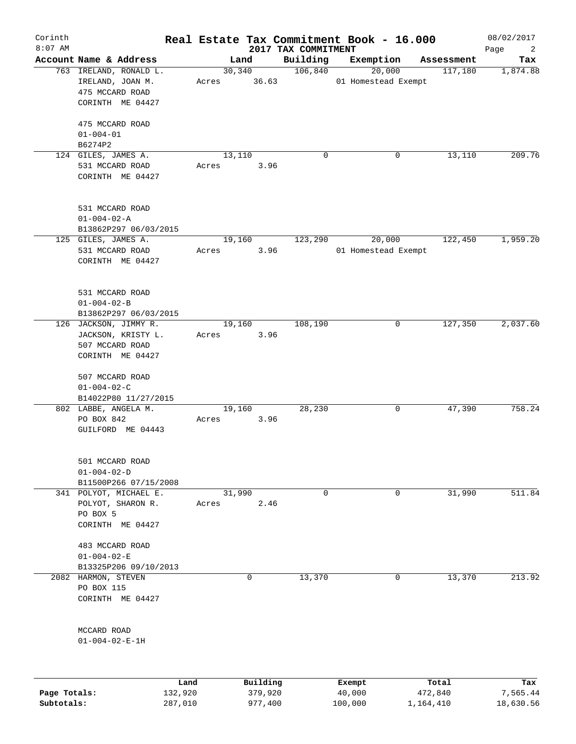| Corinth<br>$8:07$ AM |                                                                                                      |                 |          | 2017 TAX COMMITMENT | Real Estate Tax Commitment Book - 16.000 |            | 08/02/2017<br>Page<br>$\overline{2}$ |
|----------------------|------------------------------------------------------------------------------------------------------|-----------------|----------|---------------------|------------------------------------------|------------|--------------------------------------|
|                      | Account Name & Address                                                                               | Land            |          | Building            | Exemption                                | Assessment | Tax                                  |
|                      | 763 IRELAND, RONALD L.<br>IRELAND, JOAN M.<br>475 MCCARD ROAD<br>CORINTH ME 04427<br>475 MCCARD ROAD | Acres 36.63     | 30,340   | 106,840             | 20,000<br>01 Homestead Exempt            | 117,180    | 1,874.88                             |
|                      | $01 - 004 - 01$<br>B6274P2                                                                           |                 |          |                     |                                          |            |                                      |
|                      | 124 GILES, JAMES A.<br>531 MCCARD ROAD<br>CORINTH ME 04427                                           | 13,110<br>Acres | 3.96     | $\Omega$            | 0                                        | 13,110     | 209.76                               |
|                      | 531 MCCARD ROAD<br>$01 - 004 - 02 - A$<br>B13862P297 06/03/2015                                      |                 |          |                     |                                          |            |                                      |
|                      | 125 GILES, JAMES A.<br>531 MCCARD ROAD<br>CORINTH ME 04427                                           | 19,160<br>Acres | 3.96     | 123,290             | 20,000<br>01 Homestead Exempt            | 122,450    | 1,959.20                             |
|                      | 531 MCCARD ROAD<br>$01 - 004 - 02 - B$<br>B13862P297 06/03/2015                                      |                 |          |                     |                                          |            |                                      |
|                      | 126 JACKSON, JIMMY R.<br>JACKSON, KRISTY L.<br>507 MCCARD ROAD<br>CORINTH ME 04427                   | 19,160<br>Acres | 3.96     | 108,190             | 0                                        | 127,350    | 2,037.60                             |
|                      | 507 MCCARD ROAD<br>$01 - 004 - 02 - C$<br>B14022P80 11/27/2015                                       |                 |          |                     |                                          |            |                                      |
|                      | 802 LABBE, ANGELA M.<br>PO BOX 842<br>GUILFORD ME 04443                                              | 19,160<br>Acres | 3.96     | 28,230              | 0                                        | 47,390     | 758.24                               |
|                      | 501 MCCARD ROAD<br>$01 - 004 - 02 - D$<br>B11500P266 07/15/2008                                      |                 |          |                     |                                          |            |                                      |
|                      | 341 POLYOT, MICHAEL E.<br>POLYOT, SHARON R.<br>PO BOX 5<br>CORINTH ME 04427                          | 31,990<br>Acres | 2.46     | 0                   | 0                                        | 31,990     | 511.84                               |
|                      | 483 MCCARD ROAD<br>$01 - 004 - 02 - E$<br>B13325P206 09/10/2013                                      |                 |          |                     |                                          |            |                                      |
|                      | 2082 HARMON, STEVEN<br>PO BOX 115<br>CORINTH ME 04427                                                |                 | 0        | 13,370              | 0                                        | 13,370     | 213.92                               |
|                      | MCCARD ROAD<br>$01 - 004 - 02 - E - 1H$                                                              |                 |          |                     |                                          |            |                                      |
|                      | Land                                                                                                 |                 | Building |                     | Exempt                                   | Total      | Tax                                  |

|              | ------- | $-$     | ______  | ------    | -------   |
|--------------|---------|---------|---------|-----------|-----------|
| Page Totals: | 132,920 | 379,920 | 40,000  | 472,840   | 7,565.44  |
| Subtotals:   | 287,010 | 977,400 | 100,000 | 1,164,410 | 18,630.56 |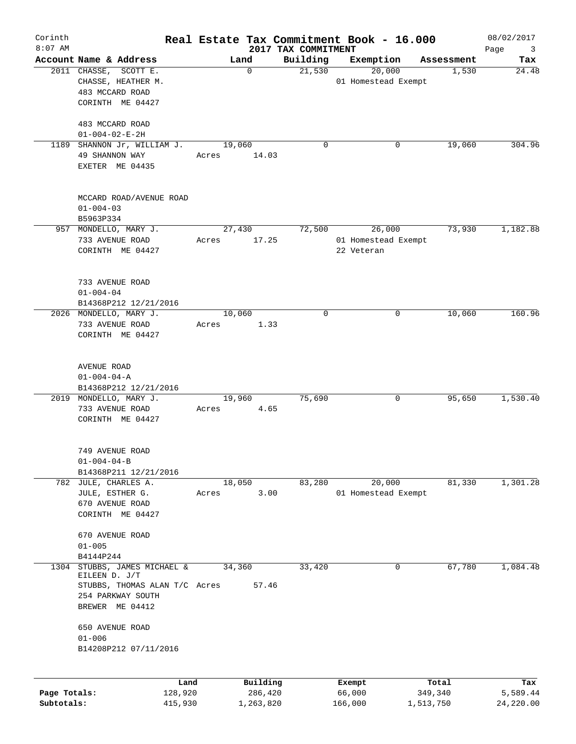| Corinth<br>$8:07$ AM       |                                                                                                                   |       |                                  | 2017 TAX COMMITMENT | Real Estate Tax Commitment Book - 16.000    |                               | 08/02/2017<br>Page<br>3      |
|----------------------------|-------------------------------------------------------------------------------------------------------------------|-------|----------------------------------|---------------------|---------------------------------------------|-------------------------------|------------------------------|
|                            | Account Name & Address                                                                                            |       | Land                             | Building            | Exemption                                   | Assessment                    | Tax                          |
|                            | 2011 CHASSE, SCOTT E.<br>CHASSE, HEATHER M.<br>483 MCCARD ROAD<br>CORINTH ME 04427                                |       | 0                                | 21,530              | 20,000<br>01 Homestead Exempt               | 1,530                         | 24.48                        |
|                            | 483 MCCARD ROAD<br>$01 - 004 - 02 - E - 2H$                                                                       |       |                                  |                     |                                             |                               |                              |
|                            | 1189 SHANNON Jr, WILLIAM J.<br>49 SHANNON WAY<br>EXETER ME 04435                                                  | Acres | 19,060<br>14.03                  | $\mathbf 0$         | 0                                           | 19,060                        | 304.96                       |
|                            | MCCARD ROAD/AVENUE ROAD<br>$01 - 004 - 03$<br>B5963P334                                                           |       |                                  |                     |                                             |                               |                              |
|                            | 957 MONDELLO, MARY J.<br>733 AVENUE ROAD<br>CORINTH ME 04427                                                      | Acres | 27,430<br>17.25                  | 72,500              | 26,000<br>01 Homestead Exempt<br>22 Veteran | 73,930                        | 1,182.88                     |
|                            | 733 AVENUE ROAD<br>$01 - 004 - 04$<br>B14368P212 12/21/2016                                                       |       |                                  |                     |                                             |                               |                              |
|                            | 2026 MONDELLO, MARY J.<br>733 AVENUE ROAD<br>CORINTH ME 04427                                                     | Acres | 10,060<br>1.33                   | $\mathbf 0$         | 0                                           | 10,060                        | 160.96                       |
|                            | AVENUE ROAD<br>$01 - 004 - 04 - A$<br>B14368P212 12/21/2016                                                       |       |                                  |                     |                                             |                               |                              |
|                            | 2019 MONDELLO, MARY J.<br>733 AVENUE ROAD<br>CORINTH ME 04427                                                     | Acres | 19,960<br>4.65                   | 75,690              | 0                                           | 95,650                        | 1,530.40                     |
|                            | 749 AVENUE ROAD<br>$01 - 004 - 04 - B$<br>B14368P211 12/21/2016                                                   |       |                                  |                     |                                             |                               |                              |
|                            | 782 JULE, CHARLES A.<br>JULE, ESTHER G.<br>670 AVENUE ROAD<br>CORINTH ME 04427                                    | Acres | 18,050<br>3.00                   | 83,280              | 20,000<br>01 Homestead Exempt               | 81,330                        | 1,301.28                     |
|                            | 670 AVENUE ROAD<br>$01 - 005$<br>B4144P244                                                                        |       |                                  |                     |                                             |                               |                              |
| 1304                       | STUBBS, JAMES MICHAEL &<br>EILEEN D. J/T<br>STUBBS, THOMAS ALAN T/C Acres<br>254 PARKWAY SOUTH<br>BREWER ME 04412 |       | 34,360<br>57.46                  | 33,420              | 0                                           | 67,780                        | 1,084.48                     |
|                            | 650 AVENUE ROAD<br>$01 - 006$<br>B14208P212 07/11/2016                                                            |       |                                  |                     |                                             |                               |                              |
| Page Totals:<br>Subtotals: | 128,920<br>415,930                                                                                                | Land  | Building<br>286,420<br>1,263,820 |                     | Exempt<br>66,000<br>166,000                 | Total<br>349,340<br>1,513,750 | Tax<br>5,589.44<br>24,220.00 |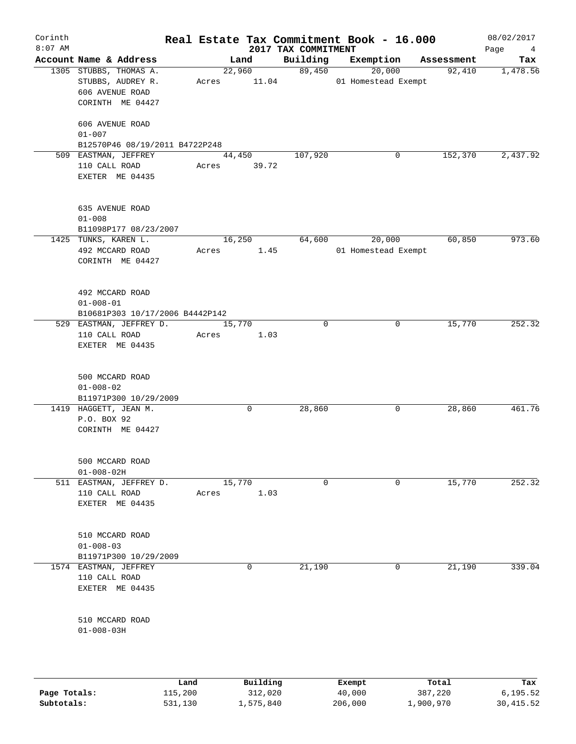| Corinth<br>$8:07$ AM |                                                                                                       |      |                         | 2017 TAX COMMITMENT | Real Estate Tax Commitment Book - 16.000 |            | 08/02/2017<br>Page<br>$\overline{4}$ |
|----------------------|-------------------------------------------------------------------------------------------------------|------|-------------------------|---------------------|------------------------------------------|------------|--------------------------------------|
|                      | Account Name & Address                                                                                |      | Land                    | Building            | Exemption                                | Assessment | Tax                                  |
|                      | 1305 STUBBS, THOMAS A.<br>STUBBS, AUDREY R.<br>606 AVENUE ROAD<br>CORINTH ME 04427<br>606 AVENUE ROAD |      | 22,960<br>Acres 11.04   | 89,450              | 20,000<br>01 Homestead Exempt            | 92,410     | 1,478.56                             |
|                      | $01 - 007$<br>B12570P46 08/19/2011 B4722P248                                                          |      |                         |                     |                                          |            |                                      |
|                      | 509 EASTMAN, JEFFREY<br>110 CALL ROAD<br>EXETER ME 04435                                              |      | 44,450<br>Acres 39.72   | 107,920             | 0                                        | 152,370    | 2,437.92                             |
|                      | 635 AVENUE ROAD<br>$01 - 008$<br>B11098P177 08/23/2007                                                |      |                         |                     |                                          |            |                                      |
|                      | 1425 TUNKS, KAREN L.<br>492 MCCARD ROAD<br>CORINTH ME 04427                                           |      | 16,250<br>1.45<br>Acres | 64,600              | 20,000<br>01 Homestead Exempt            | 60,850     | 973.60                               |
|                      | 492 MCCARD ROAD<br>$01 - 008 - 01$<br>B10681P303 10/17/2006 B4442P142                                 |      |                         |                     |                                          |            |                                      |
|                      | 529 EASTMAN, JEFFREY D.<br>110 CALL ROAD<br>EXETER ME 04435                                           |      | 15,770<br>1.03<br>Acres | $\mathbf 0$         | 0                                        | 15,770     | 252.32                               |
|                      | 500 MCCARD ROAD<br>$01 - 008 - 02$<br>B11971P300 10/29/2009                                           |      |                         |                     |                                          |            |                                      |
|                      | 1419 HAGGETT, JEAN M.<br>P.O. BOX 92<br>CORINTH ME 04427                                              |      | 0                       | 28,860              | 0                                        | 28,860     | 461.76                               |
|                      | 500 MCCARD ROAD<br>$01 - 008 - 02H$                                                                   |      |                         |                     |                                          |            |                                      |
| 511                  | EASTMAN, JEFFREY D.<br>110 CALL ROAD<br>EXETER ME 04435                                               |      | 15,770<br>1.03<br>Acres | $\mathbf 0$         | $\mathbf 0$                              | 15,770     | 252.32                               |
|                      | 510 MCCARD ROAD<br>$01 - 008 - 03$<br>B11971P300 10/29/2009                                           |      |                         |                     |                                          |            |                                      |
|                      | 1574 EASTMAN, JEFFREY<br>110 CALL ROAD<br>EXETER ME 04435                                             |      | 0                       | 21,190              | 0                                        | 21,190     | 339.04                               |
|                      | 510 MCCARD ROAD<br>$01 - 008 - 03H$                                                                   |      |                         |                     |                                          |            |                                      |
|                      |                                                                                                       | Land | Building                |                     |                                          | Total      | Tax                                  |
|                      |                                                                                                       |      |                         |                     | Exempt                                   |            |                                      |

| Page Totals: | 115,200 | 312,020   | 40,000  | 387,220   | 6,195.52  |
|--------------|---------|-----------|---------|-----------|-----------|
| Subtotals:   | 531,130 | 1,575,840 | 206,000 | 1,900,970 | 30,415.52 |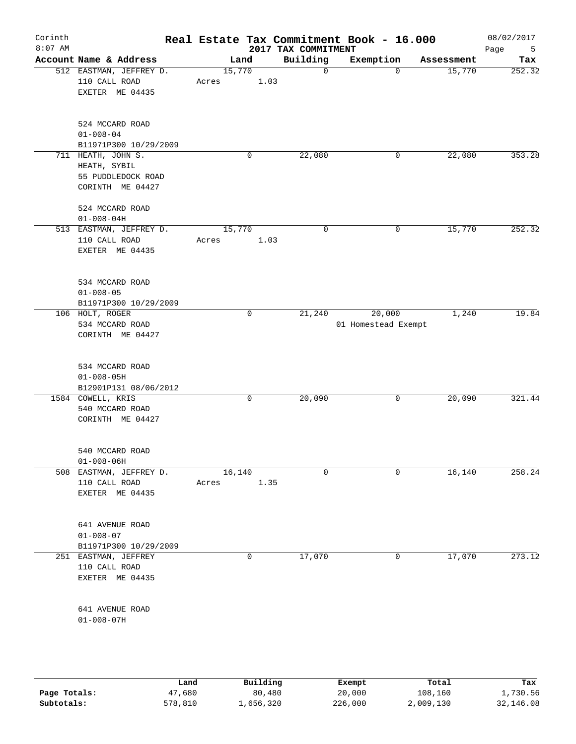| Corinth<br>$8:07$ AM |                                                              |                 | Real Estate Tax Commitment Book - 16.000<br>2017 TAX COMMITMENT |                               |            | 08/02/2017<br>Page<br>5 |
|----------------------|--------------------------------------------------------------|-----------------|-----------------------------------------------------------------|-------------------------------|------------|-------------------------|
|                      | Account Name & Address                                       | Land            | Building                                                        | Exemption                     | Assessment | Tax                     |
|                      | 512 EASTMAN, JEFFREY D.<br>110 CALL ROAD<br>EXETER ME 04435  | 15,770<br>Acres | $\mathbf 0$<br>1.03                                             | $\Omega$                      | 15,770     | 252.32                  |
|                      | 524 MCCARD ROAD<br>$01 - 008 - 04$<br>B11971P300 10/29/2009  |                 |                                                                 |                               |            |                         |
|                      | 711 HEATH, JOHN S.<br>HEATH, SYBIL                           | 0               | 22,080                                                          | 0                             | 22,080     | 353.28                  |
|                      | 55 PUDDLEDOCK ROAD<br>CORINTH ME 04427                       |                 |                                                                 |                               |            |                         |
|                      | 524 MCCARD ROAD<br>$01 - 008 - 04H$                          |                 |                                                                 |                               |            |                         |
|                      | 513 EASTMAN, JEFFREY D.<br>110 CALL ROAD<br>EXETER ME 04435  | 15,770<br>Acres | $\mathbf 0$<br>1.03                                             | 0                             | 15,770     | 252.32                  |
|                      | 534 MCCARD ROAD<br>$01 - 008 - 05$<br>B11971P300 10/29/2009  |                 |                                                                 |                               |            |                         |
|                      | 106 HOLT, ROGER<br>534 MCCARD ROAD<br>CORINTH ME 04427       | 0               | 21,240                                                          | 20,000<br>01 Homestead Exempt | 1,240      | 19.84                   |
|                      | 534 MCCARD ROAD<br>$01 - 008 - 05H$<br>B12901P131 08/06/2012 |                 |                                                                 |                               |            |                         |
|                      | 1584 COWELL, KRIS<br>540 MCCARD ROAD<br>CORINTH ME 04427     | 0               | 20,090                                                          | 0                             | 20,090     | 321.44                  |
|                      | 540 MCCARD ROAD<br>$01 - 008 - 06H$                          |                 |                                                                 |                               |            |                         |
|                      | 508 EASTMAN, JEFFREY D.<br>110 CALL ROAD<br>EXETER ME 04435  | 16,140<br>Acres | $\mathbf 0$<br>1.35                                             | $\Omega$                      | 16,140     | 258.24                  |
|                      | 641 AVENUE ROAD<br>$01 - 008 - 07$<br>B11971P300 10/29/2009  |                 |                                                                 |                               |            |                         |
|                      | 251 EASTMAN, JEFFREY<br>110 CALL ROAD<br>EXETER ME 04435     | 0               | 17,070                                                          | 0                             | 17,070     | 273.12                  |
|                      | 641 AVENUE ROAD<br>$01 - 008 - 07H$                          |                 |                                                                 |                               |            |                         |
|                      |                                                              |                 |                                                                 |                               |            |                         |

|              | Land    | Building  | Exempt  | Total     | Tax       |
|--------------|---------|-----------|---------|-----------|-----------|
| Page Totals: | 47,680  | 80,480    | 20,000  | 108,160   | 1,730.56  |
| Subtotals:   | 578,810 | .,656,320 | 226,000 | 2,009,130 | 32,146.08 |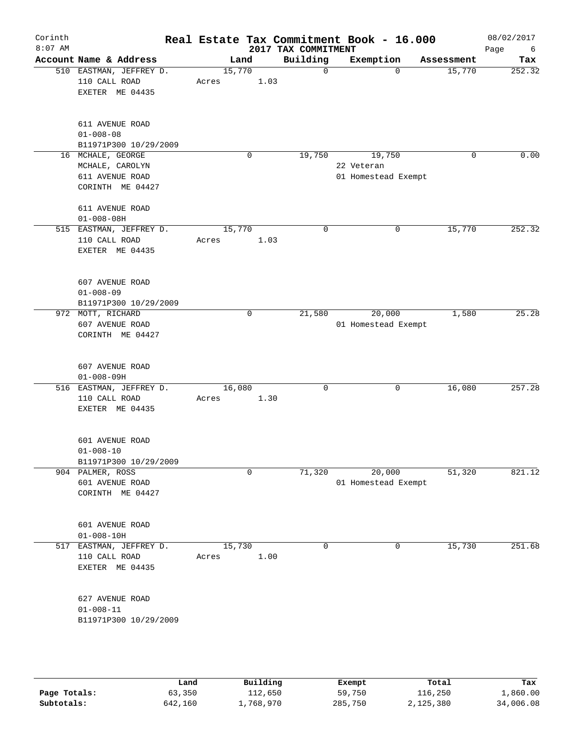| Account Name & Address<br>510 EASTMAN, JEFFREY D.<br>110 CALL ROAD<br>EXETER ME 04435<br>611 AVENUE ROAD<br>$01 - 008 - 08$<br>B11971P300 10/29/2009<br>16 MCHALE, GEORGE<br>MCHALE, CAROLYN<br>611 AVENUE ROAD<br>CORINTH ME 04427<br>611 AVENUE ROAD<br>$01 - 008 - 08H$<br>515 EASTMAN, JEFFREY D.<br>110 CALL ROAD<br>EXETER ME 04435 | Land<br>15,770<br>Acres<br>15,770 | 1.03<br>0   | 2017 TAX COMMITMENT<br>Building<br>$\mathbf 0$<br>19,750 | Exemption<br>19,750<br>22 Veteran<br>01 Homestead Exempt | Assessment<br>15,770<br>$\mathbf 0$<br>0 | Tax                                                                                                   |
|-------------------------------------------------------------------------------------------------------------------------------------------------------------------------------------------------------------------------------------------------------------------------------------------------------------------------------------------|-----------------------------------|-------------|----------------------------------------------------------|----------------------------------------------------------|------------------------------------------|-------------------------------------------------------------------------------------------------------|
|                                                                                                                                                                                                                                                                                                                                           |                                   |             |                                                          |                                                          |                                          | 252.32                                                                                                |
|                                                                                                                                                                                                                                                                                                                                           |                                   |             |                                                          |                                                          |                                          | 0.00                                                                                                  |
|                                                                                                                                                                                                                                                                                                                                           |                                   |             |                                                          |                                                          |                                          |                                                                                                       |
|                                                                                                                                                                                                                                                                                                                                           |                                   |             |                                                          |                                                          |                                          |                                                                                                       |
|                                                                                                                                                                                                                                                                                                                                           |                                   |             |                                                          |                                                          |                                          |                                                                                                       |
|                                                                                                                                                                                                                                                                                                                                           | Acres                             | 1.03        | $\mathbf 0$                                              |                                                          | 15,770<br>0                              | 252.32                                                                                                |
| 607 AVENUE ROAD<br>$01 - 008 - 09$<br>B11971P300 10/29/2009                                                                                                                                                                                                                                                                               |                                   |             |                                                          |                                                          |                                          |                                                                                                       |
| 972 MOTT, RICHARD<br>607 AVENUE ROAD<br>CORINTH ME 04427                                                                                                                                                                                                                                                                                  |                                   | $\mathbf 0$ | 21,580                                                   |                                                          |                                          | 25.28                                                                                                 |
| 607 AVENUE ROAD<br>$01 - 008 - 09H$                                                                                                                                                                                                                                                                                                       |                                   |             |                                                          |                                                          |                                          |                                                                                                       |
| 516 EASTMAN, JEFFREY D.<br>110 CALL ROAD<br>EXETER ME 04435                                                                                                                                                                                                                                                                               | Acres                             |             | $\mathbf 0$                                              |                                                          | $\mathbf 0$                              | 257.28                                                                                                |
| 601 AVENUE ROAD<br>$01 - 008 - 10$                                                                                                                                                                                                                                                                                                        |                                   |             |                                                          |                                                          |                                          |                                                                                                       |
| 904 PALMER, ROSS<br>601 AVENUE ROAD<br>CORINTH ME 04427                                                                                                                                                                                                                                                                                   |                                   | 0           | 71,320                                                   |                                                          |                                          | 821.12                                                                                                |
| 601 AVENUE ROAD<br>$01 - 008 - 10H$                                                                                                                                                                                                                                                                                                       |                                   |             |                                                          |                                                          |                                          |                                                                                                       |
| 517 EASTMAN, JEFFREY D.<br>110 CALL ROAD<br>EXETER ME 04435                                                                                                                                                                                                                                                                               | Acres                             |             | $\mathbf 0$                                              |                                                          | 0                                        | 251.68                                                                                                |
| 627 AVENUE ROAD<br>$01 - 008 - 11$<br>B11971P300 10/29/2009                                                                                                                                                                                                                                                                               |                                   |             |                                                          |                                                          |                                          |                                                                                                       |
|                                                                                                                                                                                                                                                                                                                                           | B11971P300 10/29/2009             |             | 16,080<br>15,730                                         | 1.30<br>1.00                                             |                                          | 20,000<br>1,580<br>01 Homestead Exempt<br>16,080<br>20,000<br>51,320<br>01 Homestead Exempt<br>15,730 |

|              | Land    | Building  | Exempt  | Total     | Tax       |
|--------------|---------|-----------|---------|-----------|-----------|
| Page Totals: | 63,350  | 112,650   | 59,750  | 116,250   | 1,860.00  |
| Subtotals:   | 642,160 | .,768,970 | 285,750 | 2,125,380 | 34,006.08 |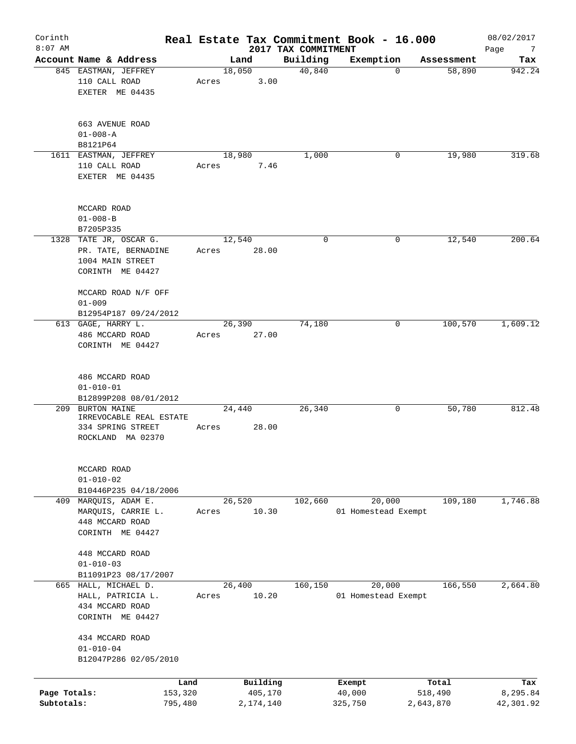| Corinth<br>$8:07$ AM       |                                                                                       |                    |                      | 2017 TAX COMMITMENT | Real Estate Tax Commitment Book - 16.000 |                      | 08/02/2017<br>Page<br>$\overline{7}$ |
|----------------------------|---------------------------------------------------------------------------------------|--------------------|----------------------|---------------------|------------------------------------------|----------------------|--------------------------------------|
|                            | Account Name & Address                                                                |                    | Land                 | Building            | Exemption                                | Assessment           | Tax                                  |
|                            | 845 EASTMAN, JEFFREY<br>110 CALL ROAD<br>EXETER ME 04435                              | Acres              | 18,050<br>3.00       | 40,840              | 0                                        | 58,890               | 942.24                               |
|                            | 663 AVENUE ROAD<br>$01 - 008 - A$<br>B8121P64                                         |                    |                      |                     |                                          |                      |                                      |
|                            | 1611 EASTMAN, JEFFREY                                                                 |                    | 18,980               | 1,000               | 0                                        | 19,980               | 319.68                               |
|                            | 110 CALL ROAD<br>EXETER ME 04435                                                      | Acres              | 7.46                 |                     |                                          |                      |                                      |
|                            | MCCARD ROAD<br>$01 - 008 - B$<br>B7205P335                                            |                    |                      |                     |                                          |                      |                                      |
|                            | 1328 TATE JR, OSCAR G.                                                                |                    | 12,540               | $\mathbf 0$         | 0                                        | 12,540               | 200.64                               |
|                            | PR. TATE, BERNADINE<br>1004 MAIN STREET<br>CORINTH ME 04427                           | Acres              | 28.00                |                     |                                          |                      |                                      |
|                            | MCCARD ROAD N/F OFF<br>$01 - 009$                                                     |                    |                      |                     |                                          |                      |                                      |
|                            | B12954P187 09/24/2012<br>613 GAGE, HARRY L.                                           |                    | 26,390               | 74,180              | 0                                        | 100,570              | 1,609.12                             |
|                            | 486 MCCARD ROAD<br>CORINTH ME 04427                                                   | Acres              | 27.00                |                     |                                          |                      |                                      |
|                            | 486 MCCARD ROAD<br>$01 - 010 - 01$                                                    |                    |                      |                     |                                          |                      |                                      |
|                            | B12899P208 08/01/2012                                                                 |                    |                      |                     |                                          |                      |                                      |
|                            | 209 BURTON MAINE<br>IRREVOCABLE REAL ESTATE<br>334 SPRING STREET<br>ROCKLAND MA 02370 | Acres              | 24,440<br>28.00      | 26,340              | 0                                        | 50,780               | 812.48                               |
|                            | MCCARD ROAD<br>$01 - 010 - 02$<br>B10446P235 04/18/2006                               |                    |                      |                     |                                          |                      |                                      |
|                            | 409 MARQUIS, ADAM E.                                                                  |                    | 26,520               | 102,660             | 20,000                                   | 109,180              | 1,746.88                             |
|                            | MARQUIS, CARRIE L.<br>448 MCCARD ROAD<br>CORINTH ME 04427                             | Acres              | 10.30                |                     | 01 Homestead Exempt                      |                      |                                      |
|                            | 448 MCCARD ROAD<br>$01 - 010 - 03$<br>B11091P23 08/17/2007                            |                    |                      |                     |                                          |                      |                                      |
|                            | 665 HALL, MICHAEL D.<br>HALL, PATRICIA L.<br>434 MCCARD ROAD<br>CORINTH ME 04427      | Acres              | 26,400<br>10.20      | 160,150             | 20,000<br>01 Homestead Exempt            | 166,550              | 2,664.80                             |
|                            | 434 MCCARD ROAD<br>$01 - 010 - 04$<br>B12047P286 02/05/2010                           |                    |                      |                     |                                          |                      |                                      |
|                            |                                                                                       | Land               | Building             |                     | Exempt                                   | Total                | Tax                                  |
| Page Totals:<br>Subtotals: |                                                                                       | 153,320<br>795,480 | 405,170<br>2,174,140 |                     | 40,000<br>325,750                        | 518,490<br>2,643,870 | 8,295.84<br>42,301.92                |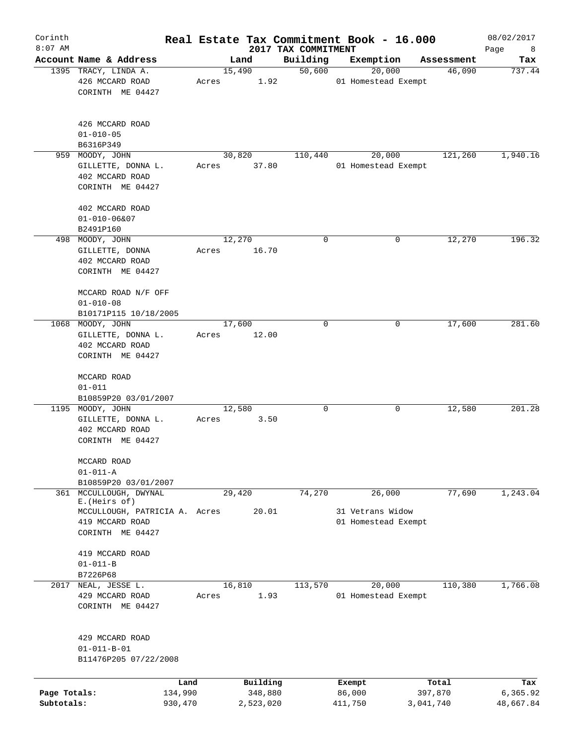| Corinth<br>$8:07$ AM |                                                           |         |        |           |                                 | Real Estate Tax Commitment Book - 16.000 |   |            | 08/02/2017       |
|----------------------|-----------------------------------------------------------|---------|--------|-----------|---------------------------------|------------------------------------------|---|------------|------------------|
|                      | Account Name & Address                                    |         | Land   |           | 2017 TAX COMMITMENT<br>Building | Exemption                                |   | Assessment | Page<br>8<br>Tax |
|                      | 1395 TRACY, LINDA A.                                      |         | 15,490 |           | 50,600                          | 20,000                                   |   | 46,090     | 737.44           |
|                      | 426 MCCARD ROAD                                           | Acres   |        | 1.92      |                                 | 01 Homestead Exempt                      |   |            |                  |
|                      | CORINTH ME 04427                                          |         |        |           |                                 |                                          |   |            |                  |
|                      | 426 MCCARD ROAD                                           |         |        |           |                                 |                                          |   |            |                  |
|                      | $01 - 010 - 05$                                           |         |        |           |                                 |                                          |   |            |                  |
|                      | B6316P349                                                 |         |        |           |                                 |                                          |   |            |                  |
| 959                  | MOODY, JOHN                                               |         | 30,820 |           | 110,440                         | 20,000                                   |   | 121,260    | 1,940.16         |
|                      | GILLETTE, DONNA L.<br>402 MCCARD ROAD<br>CORINTH ME 04427 | Acres   |        | 37.80     |                                 | 01 Homestead Exempt                      |   |            |                  |
|                      |                                                           |         |        |           |                                 |                                          |   |            |                  |
|                      | 402 MCCARD ROAD                                           |         |        |           |                                 |                                          |   |            |                  |
|                      | $01 - 010 - 06807$                                        |         |        |           |                                 |                                          |   |            |                  |
|                      | B2491P160                                                 |         |        |           |                                 |                                          |   |            |                  |
|                      | 498 MOODY, JOHN                                           |         | 12,270 |           | 0                               |                                          | 0 | 12,270     | 196.32           |
|                      | GILLETTE, DONNA                                           | Acres   |        | 16.70     |                                 |                                          |   |            |                  |
|                      | 402 MCCARD ROAD                                           |         |        |           |                                 |                                          |   |            |                  |
|                      | CORINTH ME 04427                                          |         |        |           |                                 |                                          |   |            |                  |
|                      | MCCARD ROAD N/F OFF                                       |         |        |           |                                 |                                          |   |            |                  |
|                      | $01 - 010 - 08$                                           |         |        |           |                                 |                                          |   |            |                  |
|                      | B10171P115 10/18/2005                                     |         |        |           |                                 |                                          |   |            |                  |
|                      | 1068 MOODY, JOHN                                          |         | 17,600 |           | 0                               |                                          | 0 | 17,600     | 281.60           |
|                      | GILLETTE, DONNA L.                                        | Acres   |        | 12.00     |                                 |                                          |   |            |                  |
|                      | 402 MCCARD ROAD                                           |         |        |           |                                 |                                          |   |            |                  |
|                      | CORINTH ME 04427                                          |         |        |           |                                 |                                          |   |            |                  |
|                      | MCCARD ROAD                                               |         |        |           |                                 |                                          |   |            |                  |
|                      | $01 - 011$                                                |         |        |           |                                 |                                          |   |            |                  |
|                      | B10859P20 03/01/2007                                      |         |        |           |                                 |                                          |   |            |                  |
|                      | 1195 MOODY, JOHN                                          |         | 12,580 |           | 0                               |                                          | 0 | 12,580     | 201.28           |
|                      | GILLETTE, DONNA L.                                        | Acres   |        | 3.50      |                                 |                                          |   |            |                  |
|                      | 402 MCCARD ROAD                                           |         |        |           |                                 |                                          |   |            |                  |
|                      | CORINTH ME 04427                                          |         |        |           |                                 |                                          |   |            |                  |
|                      | MCCARD ROAD                                               |         |        |           |                                 |                                          |   |            |                  |
|                      | $01 - 011 - A$                                            |         |        |           |                                 |                                          |   |            |                  |
|                      | B10859P20 03/01/2007                                      |         |        |           |                                 |                                          |   |            |                  |
| 361                  | MCCULLOUGH, DWYNAL<br>E. (Heirs of)                       |         | 29,420 |           | 74,270                          | 26,000                                   |   | 77,690     | 1,243.04         |
|                      | MCCULLOUGH, PATRICIA A. Acres                             |         |        | 20.01     |                                 | 31 Vetrans Widow                         |   |            |                  |
|                      | 419 MCCARD ROAD                                           |         |        |           |                                 | 01 Homestead Exempt                      |   |            |                  |
|                      | CORINTH ME 04427                                          |         |        |           |                                 |                                          |   |            |                  |
|                      | 419 MCCARD ROAD                                           |         |        |           |                                 |                                          |   |            |                  |
|                      | $01 - 011 - B$                                            |         |        |           |                                 |                                          |   |            |                  |
|                      | B7226P68                                                  |         |        |           |                                 |                                          |   |            |                  |
| 2017                 | NEAL, JESSE L.                                            |         | 16,810 |           | 113,570                         | 20,000                                   |   | 110,380    | 1,766.08         |
|                      | 429 MCCARD ROAD                                           | Acres   |        | 1.93      |                                 | 01 Homestead Exempt                      |   |            |                  |
|                      | CORINTH ME 04427                                          |         |        |           |                                 |                                          |   |            |                  |
|                      |                                                           |         |        |           |                                 |                                          |   |            |                  |
|                      | 429 MCCARD ROAD                                           |         |        |           |                                 |                                          |   |            |                  |
|                      | $01 - 011 - B - 01$<br>B11476P205 07/22/2008              |         |        |           |                                 |                                          |   |            |                  |
|                      |                                                           |         |        |           |                                 |                                          |   |            |                  |
|                      |                                                           | Land    |        | Building  |                                 | Exempt                                   |   | Total      | Tax              |
| Page Totals:         |                                                           | 134,990 |        | 348,880   |                                 | 86,000                                   |   | 397,870    | 6,365.92         |
| Subtotals:           |                                                           | 930,470 |        | 2,523,020 |                                 | 411,750                                  |   | 3,041,740  | 48,667.84        |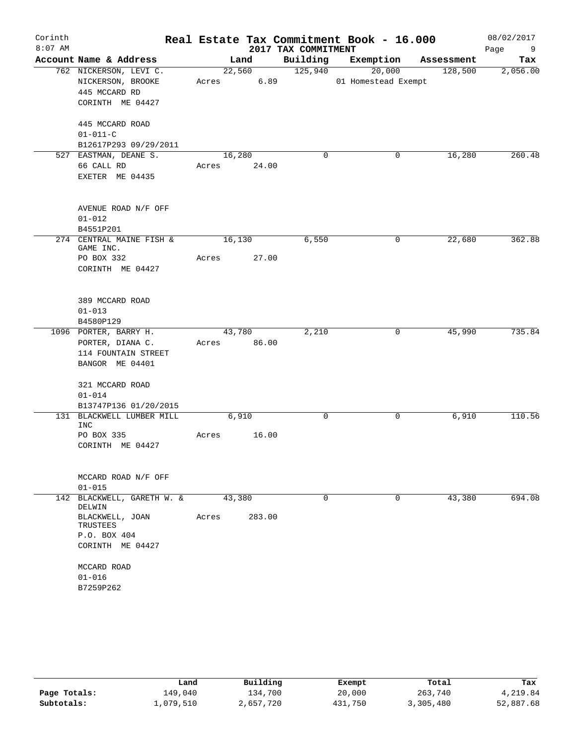| Corinth   |                                                    |             |                |                     | Real Estate Tax Commitment Book - 16.000 |            | 08/02/2017      |
|-----------|----------------------------------------------------|-------------|----------------|---------------------|------------------------------------------|------------|-----------------|
| $8:07$ AM |                                                    |             |                | 2017 TAX COMMITMENT |                                          |            | Page<br>9       |
|           | Account Name & Address                             |             | Land<br>22,560 | Building<br>125,940 | Exemption<br>20,000                      | Assessment | Tax<br>2,056.00 |
|           | 762 NICKERSON, LEVI C.<br>NICKERSON, BROOKE        | Acres 6.89  |                |                     | 01 Homestead Exempt                      | 128,500    |                 |
|           | 445 MCCARD RD                                      |             |                |                     |                                          |            |                 |
|           | CORINTH ME 04427                                   |             |                |                     |                                          |            |                 |
|           |                                                    |             |                |                     |                                          |            |                 |
|           | 445 MCCARD ROAD                                    |             |                |                     |                                          |            |                 |
|           | $01 - 011 - C$                                     |             |                |                     |                                          |            |                 |
|           | B12617P293 09/29/2011                              |             |                |                     |                                          |            |                 |
|           | 527 EASTMAN, DEANE S.                              | 16,280      |                | $\mathbf 0$         | 0                                        | 16,280     | 260.48          |
|           | 66 CALL RD                                         | Acres 24.00 |                |                     |                                          |            |                 |
|           | EXETER ME 04435                                    |             |                |                     |                                          |            |                 |
|           |                                                    |             |                |                     |                                          |            |                 |
|           |                                                    |             |                |                     |                                          |            |                 |
|           | AVENUE ROAD N/F OFF<br>$01 - 012$                  |             |                |                     |                                          |            |                 |
|           | B4551P201                                          |             |                |                     |                                          |            |                 |
|           | 274 CENTRAL MAINE FISH &                           | 16,130      |                | 6,550               | 0                                        | 22,680     | 362.88          |
|           | GAME INC.                                          |             |                |                     |                                          |            |                 |
|           | PO BOX 332                                         | Acres       | 27.00          |                     |                                          |            |                 |
|           | CORINTH ME 04427                                   |             |                |                     |                                          |            |                 |
|           |                                                    |             |                |                     |                                          |            |                 |
|           | 389 MCCARD ROAD                                    |             |                |                     |                                          |            |                 |
|           | $01 - 013$                                         |             |                |                     |                                          |            |                 |
|           | B4580P129                                          |             |                |                     |                                          |            |                 |
|           | 1096 PORTER, BARRY H.                              |             | 43,780         | 2,210               | 0                                        | 45,990     | 735.84          |
|           | PORTER, DIANA C.                                   | Acres 86.00 |                |                     |                                          |            |                 |
|           | 114 FOUNTAIN STREET                                |             |                |                     |                                          |            |                 |
|           | BANGOR ME 04401                                    |             |                |                     |                                          |            |                 |
|           |                                                    |             |                |                     |                                          |            |                 |
|           | 321 MCCARD ROAD                                    |             |                |                     |                                          |            |                 |
|           | $01 - 014$                                         |             |                |                     |                                          |            |                 |
|           | B13747P136 01/20/2015<br>131 BLACKWELL LUMBER MILL |             | 6,910          | 0                   | $\mathsf{O}$                             | 6,910      | 110.56          |
|           | INC                                                |             |                |                     |                                          |            |                 |
|           | PO BOX 335                                         | Acres       | 16.00          |                     |                                          |            |                 |
|           | CORINTH ME 04427                                   |             |                |                     |                                          |            |                 |
|           |                                                    |             |                |                     |                                          |            |                 |
|           |                                                    |             |                |                     |                                          |            |                 |
|           | MCCARD ROAD N/F OFF<br>$01 - 015$                  |             |                |                     |                                          |            |                 |
|           | 142 BLACKWELL, GARETH W. &                         | 43,380      |                | $\Omega$            | 0                                        | 43,380     | 694.08          |
|           | DELWIN                                             |             |                |                     |                                          |            |                 |
|           | BLACKWELL, JOAN                                    | Acres       | 283.00         |                     |                                          |            |                 |
|           | TRUSTEES                                           |             |                |                     |                                          |            |                 |
|           | P.O. BOX 404                                       |             |                |                     |                                          |            |                 |
|           | CORINTH ME 04427                                   |             |                |                     |                                          |            |                 |
|           | MCCARD ROAD                                        |             |                |                     |                                          |            |                 |
|           | $01 - 016$                                         |             |                |                     |                                          |            |                 |
|           | B7259P262                                          |             |                |                     |                                          |            |                 |
|           |                                                    |             |                |                     |                                          |            |                 |

|              | Land      | Building  | Exempt  | Total     | Tax       |
|--------------|-----------|-----------|---------|-----------|-----------|
| Page Totals: | 149.040   | 134,700   | 20,000  | 263,740   | 4,219.84  |
| Subtotals:   | l,079,510 | 2,657,720 | 431,750 | 3,305,480 | 52,887.68 |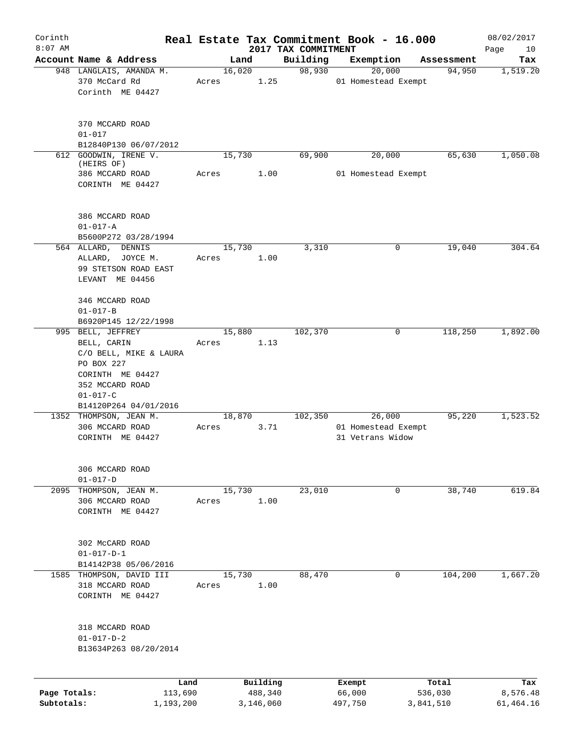| Corinth                    |                                                                                                                                       |         |        |                      |                     | Real Estate Tax Commitment Book - 16.000          |   |                      | 08/02/2017            |
|----------------------------|---------------------------------------------------------------------------------------------------------------------------------------|---------|--------|----------------------|---------------------|---------------------------------------------------|---|----------------------|-----------------------|
| $8:07$ AM                  |                                                                                                                                       |         |        |                      | 2017 TAX COMMITMENT |                                                   |   |                      | Page<br>10            |
|                            | Account Name & Address                                                                                                                |         | Land   |                      | Building            | Exemption                                         |   | Assessment           | Tax                   |
|                            | 948 LANGLAIS, AMANDA M.<br>370 McCard Rd<br>Corinth ME 04427                                                                          | Acres   | 16,020 | 1.25                 | 98,930              | 20,000<br>01 Homestead Exempt                     |   | 94,950               | 1,519.20              |
|                            | 370 MCCARD ROAD<br>$01 - 017$<br>B12840P130 06/07/2012                                                                                |         |        |                      |                     |                                                   |   |                      |                       |
| 612                        | GOODWIN, IRENE V.                                                                                                                     |         | 15,730 |                      | 69,900              | 20,000                                            |   | 65,630               | 1,050.08              |
|                            | (HEIRS OF)<br>386 MCCARD ROAD<br>CORINTH ME 04427                                                                                     | Acres   |        | 1.00                 |                     | 01 Homestead Exempt                               |   |                      |                       |
|                            | 386 MCCARD ROAD<br>$01 - 017 - A$<br>B5600P272 03/28/1994                                                                             |         |        |                      |                     |                                                   |   |                      |                       |
|                            | 564 ALLARD, DENNIS<br>ALLARD, JOYCE M.<br>99 STETSON ROAD EAST<br>LEVANT ME 04456                                                     | Acres   | 15,730 | 1.00                 | 3,310               |                                                   | 0 | 19,040               | 304.64                |
|                            | 346 MCCARD ROAD<br>$01 - 017 - B$<br>B6920P145 12/22/1998<br>995 BELL, JEFFREY                                                        |         | 15,880 |                      | 102,370             |                                                   | 0 | 118,250              | 1,892.00              |
|                            | BELL, CARIN<br>C/O BELL, MIKE & LAURA<br>PO BOX 227<br>CORINTH ME 04427<br>352 MCCARD ROAD<br>$01 - 017 - C$<br>B14120P264 04/01/2016 | Acres   |        | 1.13                 |                     |                                                   |   |                      |                       |
|                            | 1352 THOMPSON, JEAN M.<br>306 MCCARD ROAD<br>CORINTH ME 04427                                                                         | Acres   | 18,870 | 3.71                 | 102,350             | 26,000<br>01 Homestead Exempt<br>31 Vetrans Widow |   | 95,220               | 1,523.52              |
|                            | 306 MCCARD ROAD<br>$01 - 017 - D$                                                                                                     |         |        |                      |                     |                                                   |   |                      |                       |
|                            | 2095 THOMPSON, JEAN M.<br>306 MCCARD ROAD<br>CORINTH ME 04427                                                                         | Acres   | 15,730 | 1.00                 | 23,010              |                                                   | 0 | 38,740               | 619.84                |
|                            | 302 McCARD ROAD<br>$01 - 017 - D - 1$<br>B14142P38 05/06/2016<br>1585 THOMPSON, DAVID III<br>318 MCCARD ROAD<br>CORINTH ME 04427      | Acres   | 15,730 | 1.00                 | 88,470              |                                                   | 0 | 104,200              | 1,667.20              |
|                            | 318 MCCARD ROAD<br>$01 - 017 - D - 2$<br>B13634P263 08/20/2014                                                                        |         |        |                      |                     |                                                   |   |                      |                       |
|                            |                                                                                                                                       | Land    |        | Building             |                     | Exempt                                            |   | Total                | Tax                   |
| Page Totals:<br>Subtotals: | 1,193,200                                                                                                                             | 113,690 |        | 488,340<br>3,146,060 |                     | 66,000<br>497,750                                 |   | 536,030<br>3,841,510 | 8,576.48<br>61,464.16 |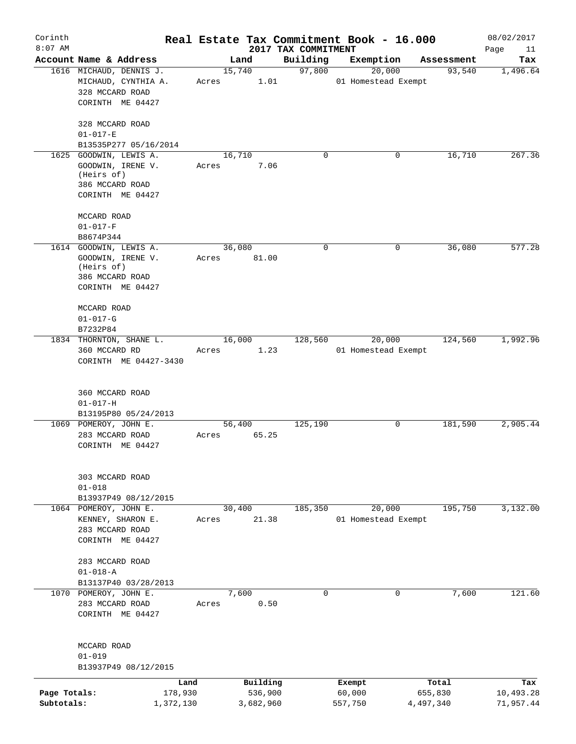| Corinth<br>$8:07$ AM |                                    |       |           | 2017 TAX COMMITMENT | Real Estate Tax Commitment Book - 16.000 |            | 08/02/2017<br>Page<br>11 |
|----------------------|------------------------------------|-------|-----------|---------------------|------------------------------------------|------------|--------------------------|
|                      | Account Name & Address             |       | Land      | Building            | Exemption                                | Assessment | Tax                      |
|                      | 1616 MICHAUD, DENNIS J.            |       | 15,740    | 97,800              | 20,000                                   | 93,540     | 1, 496.64                |
|                      | MICHAUD, CYNTHIA A.                | Acres | 1.01      |                     | 01 Homestead Exempt                      |            |                          |
|                      | 328 MCCARD ROAD                    |       |           |                     |                                          |            |                          |
|                      | CORINTH ME 04427                   |       |           |                     |                                          |            |                          |
|                      | 328 MCCARD ROAD                    |       |           |                     |                                          |            |                          |
|                      | $01 - 017 - E$                     |       |           |                     |                                          |            |                          |
|                      | B13535P277 05/16/2014              |       |           |                     |                                          |            |                          |
|                      | 1625 GOODWIN, LEWIS A.             |       | 16,710    | $\mathbf 0$         | 0                                        | 16,710     | 267.36                   |
|                      | GOODWIN, IRENE V.                  | Acres | 7.06      |                     |                                          |            |                          |
|                      | (Heirs of)<br>386 MCCARD ROAD      |       |           |                     |                                          |            |                          |
|                      | CORINTH ME 04427                   |       |           |                     |                                          |            |                          |
|                      |                                    |       |           |                     |                                          |            |                          |
|                      | MCCARD ROAD<br>$01 - 017 - F$      |       |           |                     |                                          |            |                          |
|                      | B8674P344                          |       |           |                     |                                          |            |                          |
|                      | 1614 GOODWIN, LEWIS A.             |       | 36,080    | $\mathbf 0$         | 0                                        | 36,080     | 577.28                   |
|                      | GOODWIN, IRENE V.                  | Acres | 81.00     |                     |                                          |            |                          |
|                      | (Heirs of)                         |       |           |                     |                                          |            |                          |
|                      | 386 MCCARD ROAD                    |       |           |                     |                                          |            |                          |
|                      | CORINTH ME 04427                   |       |           |                     |                                          |            |                          |
|                      | MCCARD ROAD                        |       |           |                     |                                          |            |                          |
|                      | $01 - 017 - G$                     |       |           |                     |                                          |            |                          |
|                      | B7232P84                           |       |           |                     |                                          |            |                          |
|                      | 1834 THORNTON, SHANE L.            |       | 16,000    | 128,560             | 20,000                                   | 124,560    | 1,992.96                 |
|                      | 360 MCCARD RD                      | Acres | 1.23      |                     | 01 Homestead Exempt                      |            |                          |
|                      | CORINTH ME 04427-3430              |       |           |                     |                                          |            |                          |
|                      | 360 MCCARD ROAD                    |       |           |                     |                                          |            |                          |
|                      | $01 - 017 - H$                     |       |           |                     |                                          |            |                          |
|                      | B13195P80 05/24/2013               |       |           |                     |                                          |            |                          |
|                      | 1069 POMEROY, JOHN E.              |       | 56,400    | 125,190             | 0                                        | 181,590    | 2,905.44                 |
|                      | 283 MCCARD ROAD                    | Acres | 65.25     |                     |                                          |            |                          |
|                      | CORINTH ME 04427                   |       |           |                     |                                          |            |                          |
|                      |                                    |       |           |                     |                                          |            |                          |
|                      | 303 MCCARD ROAD                    |       |           |                     |                                          |            |                          |
|                      | $01 - 018$                         |       |           |                     |                                          |            |                          |
|                      | B13937P49 08/12/2015               |       |           |                     |                                          |            |                          |
|                      | 1064 POMEROY, JOHN E.              |       | 30,400    | 185,350             | 20,000                                   | 195,750    | 3,132.00                 |
|                      | KENNEY, SHARON E.                  | Acres | 21.38     |                     | 01 Homestead Exempt                      |            |                          |
|                      | 283 MCCARD ROAD                    |       |           |                     |                                          |            |                          |
|                      | CORINTH ME 04427                   |       |           |                     |                                          |            |                          |
|                      | 283 MCCARD ROAD                    |       |           |                     |                                          |            |                          |
|                      | $01 - 018 - A$                     |       |           |                     |                                          |            |                          |
|                      | B13137P40 03/28/2013               |       |           |                     |                                          |            |                          |
|                      | 1070 POMEROY, JOHN E.              |       | 7,600     | 0                   | 0                                        | 7,600      | 121.60                   |
|                      | 283 MCCARD ROAD                    | Acres | 0.50      |                     |                                          |            |                          |
|                      | CORINTH ME 04427                   |       |           |                     |                                          |            |                          |
|                      |                                    |       |           |                     |                                          |            |                          |
|                      | MCCARD ROAD                        |       |           |                     |                                          |            |                          |
|                      | $01 - 019$<br>B13937P49 08/12/2015 |       |           |                     |                                          |            |                          |
|                      |                                    | Land  | Building  |                     | Exempt                                   | Total      | Tax                      |
| Page Totals:         | 178,930                            |       | 536,900   |                     | 60,000                                   | 655,830    | 10,493.28                |
| Subtotals:           | 1,372,130                          |       | 3,682,960 |                     | 557,750                                  | 4,497,340  | 71,957.44                |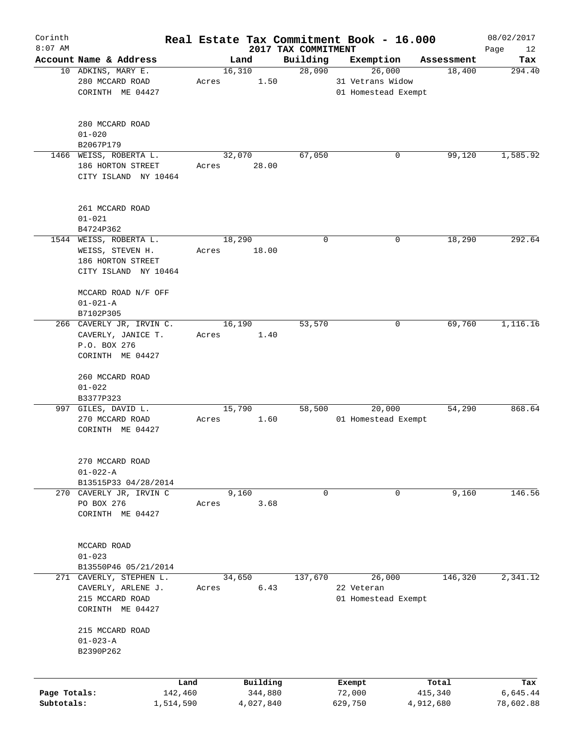| Corinth      |                                             |       |           |                                 | Real Estate Tax Commitment Book - 16.000 |                      | 08/02/2017    |
|--------------|---------------------------------------------|-------|-----------|---------------------------------|------------------------------------------|----------------------|---------------|
| $8:07$ AM    | Account Name & Address                      |       | Land      | 2017 TAX COMMITMENT<br>Building | Exemption                                |                      | Page<br>12    |
|              | 10 ADKINS, MARY E.                          |       | 16,310    | 28,090                          | 26,000                                   | Assessment<br>18,400 | Tax<br>294.40 |
|              | 280 MCCARD ROAD                             | Acres | 1.50      |                                 | 31 Vetrans Widow                         |                      |               |
|              | CORINTH ME 04427                            |       |           |                                 | 01 Homestead Exempt                      |                      |               |
|              | 280 MCCARD ROAD                             |       |           |                                 |                                          |                      |               |
|              | $01 - 020$                                  |       |           |                                 |                                          |                      |               |
|              | B2067P179<br>1466 WEISS, ROBERTA L.         |       | 32,070    | 67,050                          | 0                                        | 99,120               | 1,585.92      |
|              | 186 HORTON STREET<br>CITY ISLAND NY 10464   | Acres | 28.00     |                                 |                                          |                      |               |
|              | 261 MCCARD ROAD<br>$01 - 021$               |       |           |                                 |                                          |                      |               |
|              | B4724P362                                   |       |           |                                 |                                          |                      |               |
|              | 1544 WEISS, ROBERTA L.                      |       | 18,290    | 0                               | 0                                        | 18,290               | 292.64        |
|              | WEISS, STEVEN H.                            | Acres | 18.00     |                                 |                                          |                      |               |
|              | 186 HORTON STREET                           |       |           |                                 |                                          |                      |               |
|              | CITY ISLAND NY 10464                        |       |           |                                 |                                          |                      |               |
|              | MCCARD ROAD N/F OFF                         |       |           |                                 |                                          |                      |               |
|              | $01 - 021 - A$                              |       |           |                                 |                                          |                      |               |
|              | B7102P305                                   |       |           |                                 |                                          |                      |               |
|              | 266 CAVERLY JR, IRVIN C.                    |       | 16,190    | 53,570                          | 0                                        | 69,760               | 1,116.16      |
|              | CAVERLY, JANICE T.                          | Acres | 1.40      |                                 |                                          |                      |               |
|              | P.O. BOX 276                                |       |           |                                 |                                          |                      |               |
|              | CORINTH ME 04427                            |       |           |                                 |                                          |                      |               |
|              | 260 MCCARD ROAD                             |       |           |                                 |                                          |                      |               |
|              | $01 - 022$                                  |       |           |                                 |                                          |                      |               |
|              | B3377P323                                   |       |           |                                 |                                          |                      |               |
|              | 997 GILES, DAVID L.                         |       | 15,790    | 58,500                          | 20,000                                   | 54,290               | 868.64        |
|              | 270 MCCARD ROAD                             | Acres | 1.60      |                                 | 01 Homestead Exempt                      |                      |               |
|              | CORINTH ME 04427                            |       |           |                                 |                                          |                      |               |
|              | 270 MCCARD ROAD                             |       |           |                                 |                                          |                      |               |
|              | $01 - 022 - A$                              |       |           |                                 |                                          |                      |               |
|              | B13515P33 04/28/2014                        |       |           |                                 |                                          |                      |               |
|              | 270 CAVERLY JR, IRVIN C                     |       | 9,160     | 0                               | 0                                        | 9,160                | 146.56        |
|              | PO BOX 276                                  | Acres | 3.68      |                                 |                                          |                      |               |
|              | CORINTH ME 04427                            |       |           |                                 |                                          |                      |               |
|              |                                             |       |           |                                 |                                          |                      |               |
|              | MCCARD ROAD                                 |       |           |                                 |                                          |                      |               |
|              | $01 - 023$                                  |       |           |                                 |                                          |                      |               |
| 271          | B13550P46 05/21/2014<br>CAVERLY, STEPHEN L. |       | 34,650    | 137,670                         | 26,000                                   | 146,320              | 2,341.12      |
|              | CAVERLY, ARLENE J.                          | Acres | 6.43      |                                 | 22 Veteran                               |                      |               |
|              | 215 MCCARD ROAD                             |       |           |                                 | 01 Homestead Exempt                      |                      |               |
|              | CORINTH ME 04427                            |       |           |                                 |                                          |                      |               |
|              | 215 MCCARD ROAD                             |       |           |                                 |                                          |                      |               |
|              | $01 - 023 - A$                              |       |           |                                 |                                          |                      |               |
|              | B2390P262                                   |       |           |                                 |                                          |                      |               |
|              |                                             |       |           |                                 |                                          |                      |               |
|              |                                             | Land  | Building  |                                 | Exempt                                   | Total                | Tax           |
| Page Totals: | 142,460                                     |       | 344,880   |                                 | 72,000                                   | 415,340              | 6,645.44      |
| Subtotals:   | 1,514,590                                   |       | 4,027,840 |                                 | 629,750                                  | 4,912,680            | 78,602.88     |
|              |                                             |       |           |                                 |                                          |                      |               |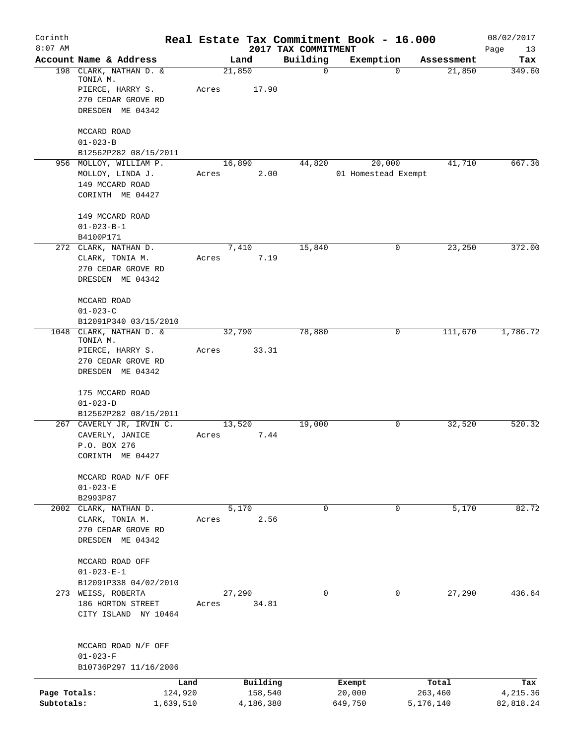| Corinth<br>$8:07$ AM |                                             |       |                     |                                 | Real Estate Tax Commitment Book - 16.000 |                       | 08/02/2017        |
|----------------------|---------------------------------------------|-------|---------------------|---------------------------------|------------------------------------------|-----------------------|-------------------|
|                      | Account Name & Address                      |       | Land                | 2017 TAX COMMITMENT<br>Building | Exemption                                | Assessment            | Page<br>13<br>Tax |
|                      | 198 CLARK, NATHAN D. &<br>TONIA M.          |       | 21,850              | $\mathbf 0$                     |                                          | 21,850<br>$\mathbf 0$ | 349.60            |
|                      | PIERCE, HARRY S.                            | Acres | 17.90               |                                 |                                          |                       |                   |
|                      | 270 CEDAR GROVE RD                          |       |                     |                                 |                                          |                       |                   |
|                      | DRESDEN ME 04342                            |       |                     |                                 |                                          |                       |                   |
|                      | MCCARD ROAD                                 |       |                     |                                 |                                          |                       |                   |
|                      | $01 - 023 - B$                              |       |                     |                                 |                                          |                       |                   |
|                      | B12562P282 08/15/2011                       |       |                     |                                 |                                          |                       |                   |
|                      | 956 MOLLOY, WILLIAM P.<br>MOLLOY, LINDA J.  | Acres | 16,890<br>2.00      | 44,820                          | 20,000<br>01 Homestead Exempt            | 41,710                | 667.36            |
|                      | 149 MCCARD ROAD                             |       |                     |                                 |                                          |                       |                   |
|                      | CORINTH ME 04427                            |       |                     |                                 |                                          |                       |                   |
|                      | 149 MCCARD ROAD                             |       |                     |                                 |                                          |                       |                   |
|                      | $01 - 023 - B - 1$                          |       |                     |                                 |                                          |                       |                   |
|                      | B4100P171<br>272 CLARK, NATHAN D.           |       | 7,410               | 15,840                          |                                          | 23,250<br>0           | 372.00            |
|                      | CLARK, TONIA M.                             | Acres | 7.19                |                                 |                                          |                       |                   |
|                      | 270 CEDAR GROVE RD                          |       |                     |                                 |                                          |                       |                   |
|                      | DRESDEN ME 04342                            |       |                     |                                 |                                          |                       |                   |
|                      | MCCARD ROAD                                 |       |                     |                                 |                                          |                       |                   |
|                      | $01 - 023 - C$                              |       |                     |                                 |                                          |                       |                   |
| 1048                 | B12091P340 03/15/2010<br>CLARK, NATHAN D. & |       | 32,790              | 78,880                          |                                          | 0<br>111,670          | 1,786.72          |
|                      | TONIA M.                                    |       |                     |                                 |                                          |                       |                   |
|                      | PIERCE, HARRY S.<br>270 CEDAR GROVE RD      | Acres | 33.31               |                                 |                                          |                       |                   |
|                      | DRESDEN ME 04342                            |       |                     |                                 |                                          |                       |                   |
|                      | 175 MCCARD ROAD                             |       |                     |                                 |                                          |                       |                   |
|                      | $01 - 023 - D$                              |       |                     |                                 |                                          |                       |                   |
|                      | B12562P282 08/15/2011                       |       |                     |                                 |                                          |                       |                   |
|                      | 267 CAVERLY JR, IRVIN C.                    |       | 13,520              | 19,000                          |                                          | 32,520<br>0           | 520.32            |
|                      | CAVERLY, JANICE<br>P.O. BOX 276             | Acres | 7.44                |                                 |                                          |                       |                   |
|                      | CORINTH ME 04427                            |       |                     |                                 |                                          |                       |                   |
|                      |                                             |       |                     |                                 |                                          |                       |                   |
|                      | MCCARD ROAD N/F OFF<br>$01 - 023 - E$       |       |                     |                                 |                                          |                       |                   |
|                      | B2993P87                                    |       |                     |                                 |                                          |                       |                   |
|                      | 2002 CLARK, NATHAN D.                       |       | 5,170               | $\Omega$                        |                                          | 5,170<br>$\mathbf 0$  | 82.72             |
|                      | CLARK, TONIA M.                             | Acres | 2.56                |                                 |                                          |                       |                   |
|                      | 270 CEDAR GROVE RD<br>DRESDEN ME 04342      |       |                     |                                 |                                          |                       |                   |
|                      |                                             |       |                     |                                 |                                          |                       |                   |
|                      | MCCARD ROAD OFF                             |       |                     |                                 |                                          |                       |                   |
|                      | $01 - 023 - E - 1$                          |       |                     |                                 |                                          |                       |                   |
|                      | B12091P338 04/02/2010                       |       |                     | 0                               |                                          | 0                     |                   |
|                      | 273 WEISS, ROBERTA<br>186 HORTON STREET     | Acres | 27,290<br>34.81     |                                 |                                          | 27,290                | 436.64            |
|                      | CITY ISLAND NY 10464                        |       |                     |                                 |                                          |                       |                   |
|                      | MCCARD ROAD N/F OFF                         |       |                     |                                 |                                          |                       |                   |
|                      | $01 - 023 - F$                              |       |                     |                                 |                                          |                       |                   |
|                      | B10736P297 11/16/2006                       |       |                     |                                 |                                          |                       |                   |
| Page Totals:         | Land<br>124,920                             |       | Building<br>158,540 |                                 | Exempt<br>20,000                         | Total<br>263,460      | Tax<br>4,215.36   |
| Subtotals:           | 1,639,510                                   |       | 4,186,380           |                                 | 649,750                                  | 5,176,140             | 82,818.24         |
|                      |                                             |       |                     |                                 |                                          |                       |                   |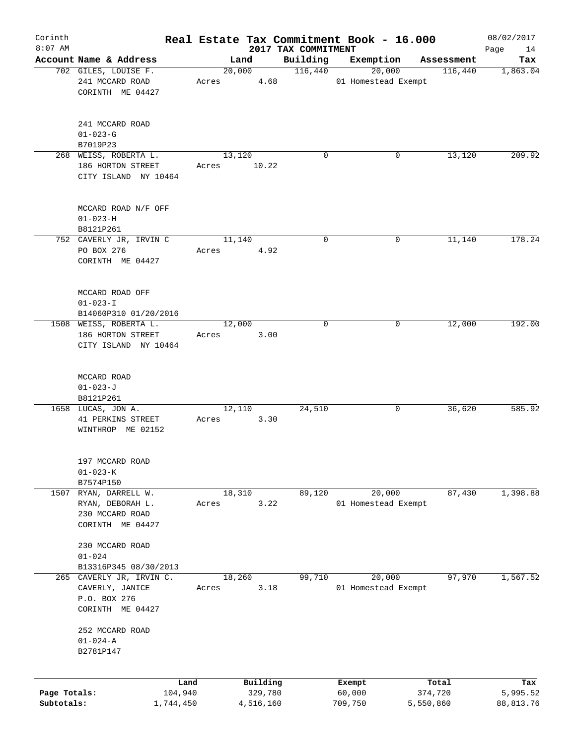| Corinth      |                                                |       |                |                     | Real Estate Tax Commitment Book - 16.000 |                       | 08/02/2017      |
|--------------|------------------------------------------------|-------|----------------|---------------------|------------------------------------------|-----------------------|-----------------|
| $8:07$ AM    |                                                |       |                | 2017 TAX COMMITMENT |                                          |                       | 14<br>Page      |
|              | Account Name & Address<br>702 GILES, LOUISE F. |       | Land<br>20,000 | Building<br>116,440 | Exemption<br>20,000                      | Assessment<br>116,440 | Tax<br>1,863.04 |
|              | 241 MCCARD ROAD                                | Acres | 4.68           |                     | 01 Homestead Exempt                      |                       |                 |
|              | CORINTH ME 04427                               |       |                |                     |                                          |                       |                 |
|              |                                                |       |                |                     |                                          |                       |                 |
|              |                                                |       |                |                     |                                          |                       |                 |
|              | 241 MCCARD ROAD                                |       |                |                     |                                          |                       |                 |
|              | $01 - 023 - G$                                 |       |                |                     |                                          |                       |                 |
|              | B7019P23                                       |       |                |                     |                                          |                       |                 |
|              | 268 WEISS, ROBERTA L.                          |       | 13,120         | $\Omega$            | 0                                        | 13,120                | 209.92          |
|              | 186 HORTON STREET                              | Acres | 10.22          |                     |                                          |                       |                 |
|              | CITY ISLAND NY 10464                           |       |                |                     |                                          |                       |                 |
|              |                                                |       |                |                     |                                          |                       |                 |
|              | MCCARD ROAD N/F OFF                            |       |                |                     |                                          |                       |                 |
|              | $01 - 023 - H$                                 |       |                |                     |                                          |                       |                 |
|              | B8121P261                                      |       |                |                     |                                          |                       |                 |
|              | 752 CAVERLY JR, IRVIN C                        |       | 11,140         | 0                   | 0                                        | 11,140                | 178.24          |
|              | PO BOX 276                                     | Acres | 4.92           |                     |                                          |                       |                 |
|              | CORINTH ME 04427                               |       |                |                     |                                          |                       |                 |
|              |                                                |       |                |                     |                                          |                       |                 |
|              | MCCARD ROAD OFF                                |       |                |                     |                                          |                       |                 |
|              | $01 - 023 - I$                                 |       |                |                     |                                          |                       |                 |
|              | B14060P310 01/20/2016                          |       |                |                     |                                          |                       |                 |
|              | 1508 WEISS, ROBERTA L.                         |       | 12,000         | $\Omega$            | 0                                        | 12,000                | 192.00          |
|              | 186 HORTON STREET                              | Acres | 3.00           |                     |                                          |                       |                 |
|              | CITY ISLAND NY 10464                           |       |                |                     |                                          |                       |                 |
|              |                                                |       |                |                     |                                          |                       |                 |
|              | MCCARD ROAD                                    |       |                |                     |                                          |                       |                 |
|              | $01 - 023 - J$                                 |       |                |                     |                                          |                       |                 |
|              | B8121P261                                      |       |                |                     |                                          |                       |                 |
|              | 1658 LUCAS, JON A.                             |       | 12,110         | 24,510              | 0                                        | 36,620                | 585.92          |
|              | 41 PERKINS STREET                              | Acres | 3.30           |                     |                                          |                       |                 |
|              | WINTHROP ME 02152                              |       |                |                     |                                          |                       |                 |
|              |                                                |       |                |                     |                                          |                       |                 |
|              | 197 MCCARD ROAD                                |       |                |                     |                                          |                       |                 |
|              | $01 - 023 - K$                                 |       |                |                     |                                          |                       |                 |
|              | B7574P150                                      |       |                |                     |                                          |                       |                 |
| 1507         | RYAN, DARRELL W.                               |       | 18,310         | 89,120              | 20,000                                   | 87,430                | 1,398.88        |
|              | RYAN, DEBORAH L.                               | Acres | 3.22           |                     | 01 Homestead Exempt                      |                       |                 |
|              | 230 MCCARD ROAD<br>CORINTH ME 04427            |       |                |                     |                                          |                       |                 |
|              |                                                |       |                |                     |                                          |                       |                 |
|              | 230 MCCARD ROAD                                |       |                |                     |                                          |                       |                 |
|              | $01 - 024$                                     |       |                |                     |                                          |                       |                 |
|              | B13316P345 08/30/2013                          |       |                |                     |                                          |                       |                 |
| 265          | CAVERLY JR, IRVIN C.                           |       | 18,260         | 99,710              | 20,000                                   | 97,970                | 1,567.52        |
|              | CAVERLY, JANICE                                | Acres | 3.18           |                     | 01 Homestead Exempt                      |                       |                 |
|              | P.O. BOX 276                                   |       |                |                     |                                          |                       |                 |
|              | CORINTH ME 04427                               |       |                |                     |                                          |                       |                 |
|              | 252 MCCARD ROAD                                |       |                |                     |                                          |                       |                 |
|              | $01 - 024 - A$                                 |       |                |                     |                                          |                       |                 |
|              | B2781P147                                      |       |                |                     |                                          |                       |                 |
|              |                                                |       |                |                     |                                          |                       |                 |
|              | Land                                           |       | Building       |                     | Exempt                                   | Total                 | Tax             |
| Page Totals: | 104,940                                        |       | 329,780        |                     | 60,000                                   | 374,720               | 5,995.52        |
| Subtotals:   | 1,744,450                                      |       | 4,516,160      |                     | 709,750                                  | 5,550,860             | 88, 813.76      |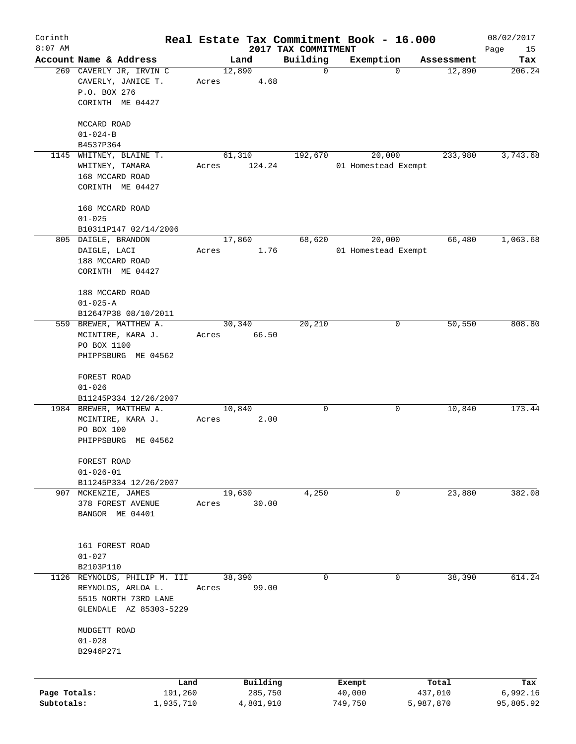| Corinth<br>$8:07$ AM |                                                                                   |       |                     |                                 | Real Estate Tax Commitment Book - 16.000 |                  | 08/02/2017        |
|----------------------|-----------------------------------------------------------------------------------|-------|---------------------|---------------------------------|------------------------------------------|------------------|-------------------|
|                      | Account Name & Address                                                            |       | Land                | 2017 TAX COMMITMENT<br>Building | Exemption                                | Assessment       | Page<br>15<br>Tax |
|                      | 269 CAVERLY JR, IRVIN C<br>CAVERLY, JANICE T.<br>P.O. BOX 276<br>CORINTH ME 04427 | Acres | 12,890<br>4.68      | $\mathbf 0$                     | $\mathbf 0$                              | 12,890           | 206.24            |
|                      | MCCARD ROAD                                                                       |       |                     |                                 |                                          |                  |                   |
|                      | $01 - 024 - B$                                                                    |       |                     |                                 |                                          |                  |                   |
|                      | B4537P364                                                                         |       |                     |                                 |                                          |                  |                   |
|                      | 1145 WHITNEY, BLAINE T.                                                           |       | 61,310              | 192,670                         | 20,000                                   | 233,980          | 3,743.68          |
|                      | WHITNEY, TAMARA<br>168 MCCARD ROAD<br>CORINTH ME 04427                            | Acres | 124.24              |                                 | 01 Homestead Exempt                      |                  |                   |
|                      |                                                                                   |       |                     |                                 |                                          |                  |                   |
|                      | 168 MCCARD ROAD<br>$01 - 025$                                                     |       |                     |                                 |                                          |                  |                   |
|                      | B10311P147 02/14/2006                                                             |       |                     |                                 |                                          |                  |                   |
|                      | 805 DAIGLE, BRANDON                                                               |       | 17,860              | 68,620                          | 20,000                                   | 66,480           | 1,063.68          |
|                      | DAIGLE, LACI                                                                      | Acres | 1.76                |                                 | 01 Homestead Exempt                      |                  |                   |
|                      | 188 MCCARD ROAD<br>CORINTH ME 04427                                               |       |                     |                                 |                                          |                  |                   |
|                      |                                                                                   |       |                     |                                 |                                          |                  |                   |
|                      | 188 MCCARD ROAD                                                                   |       |                     |                                 |                                          |                  |                   |
|                      | $01 - 025 - A$                                                                    |       |                     |                                 |                                          |                  |                   |
|                      | B12647P38 08/10/2011                                                              |       |                     |                                 |                                          |                  |                   |
|                      | 559 BREWER, MATTHEW A.                                                            |       | 30,340              | 20,210                          | 0                                        | 50,550           | 808.80            |
|                      | MCINTIRE, KARA J.<br>PO BOX 1100                                                  | Acres | 66.50               |                                 |                                          |                  |                   |
|                      | PHIPPSBURG ME 04562                                                               |       |                     |                                 |                                          |                  |                   |
|                      |                                                                                   |       |                     |                                 |                                          |                  |                   |
|                      | FOREST ROAD                                                                       |       |                     |                                 |                                          |                  |                   |
|                      | $01 - 026$                                                                        |       |                     |                                 |                                          |                  |                   |
|                      | B11245P334 12/26/2007                                                             |       |                     | 0                               |                                          |                  | 173.44            |
|                      | 1984 BREWER, MATTHEW A.<br>MCINTIRE, KARA J.                                      | Acres | 10,840<br>2.00      |                                 | 0                                        | 10,840           |                   |
|                      | PO BOX 100                                                                        |       |                     |                                 |                                          |                  |                   |
|                      | PHIPPSBURG ME 04562                                                               |       |                     |                                 |                                          |                  |                   |
|                      | FOREST ROAD                                                                       |       |                     |                                 |                                          |                  |                   |
|                      | $01 - 026 - 01$                                                                   |       |                     |                                 |                                          |                  |                   |
|                      | B11245P334 12/26/2007                                                             |       |                     |                                 |                                          |                  |                   |
|                      | 907 MCKENZIE, JAMES                                                               |       | 19,630              | 4,250                           | 0                                        | 23,880           | 382.08            |
|                      | 378 FOREST AVENUE                                                                 | Acres | 30.00               |                                 |                                          |                  |                   |
|                      | BANGOR ME 04401                                                                   |       |                     |                                 |                                          |                  |                   |
|                      | 161 FOREST ROAD                                                                   |       |                     |                                 |                                          |                  |                   |
|                      | $01 - 027$                                                                        |       |                     |                                 |                                          |                  |                   |
|                      | B2103P110                                                                         |       |                     |                                 |                                          |                  |                   |
| 1126                 | REYNOLDS, PHILIP M. III                                                           |       | 38,390<br>99.00     | 0                               | 0                                        | 38,390           | 614.24            |
|                      | REYNOLDS, ARLOA L.<br>5515 NORTH 73RD LANE                                        | Acres |                     |                                 |                                          |                  |                   |
|                      | GLENDALE AZ 85303-5229                                                            |       |                     |                                 |                                          |                  |                   |
|                      |                                                                                   |       |                     |                                 |                                          |                  |                   |
|                      | MUDGETT ROAD                                                                      |       |                     |                                 |                                          |                  |                   |
|                      | $01 - 028$<br>B2946P271                                                           |       |                     |                                 |                                          |                  |                   |
|                      |                                                                                   |       |                     |                                 |                                          |                  |                   |
|                      |                                                                                   |       |                     |                                 |                                          |                  |                   |
| Page Totals:         | Land<br>191,260                                                                   |       | Building<br>285,750 |                                 | Exempt<br>40,000                         | Total<br>437,010 | Tax<br>6,992.16   |
| Subtotals:           | 1,935,710                                                                         |       | 4,801,910           |                                 | 749,750                                  | 5,987,870        | 95,805.92         |
|                      |                                                                                   |       |                     |                                 |                                          |                  |                   |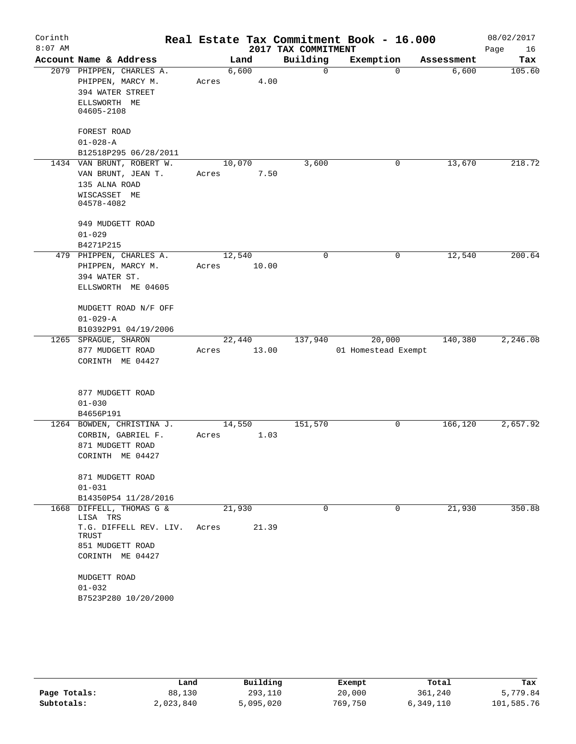| Corinth<br>$8:07$ AM |                                                                                                                                                                       |                 |               | 2017 TAX COMMITMENT | Real Estate Tax Commitment Book - 16.000 |            | 08/02/2017<br>Page<br>16 |
|----------------------|-----------------------------------------------------------------------------------------------------------------------------------------------------------------------|-----------------|---------------|---------------------|------------------------------------------|------------|--------------------------|
|                      | Account Name & Address                                                                                                                                                |                 | Land          | Building            | Exemption                                | Assessment | Tax                      |
|                      | 2079 PHIPPEN, CHARLES A.<br>PHIPPEN, MARCY M.<br>394 WATER STREET<br>ELLSWORTH ME<br>04605-2108                                                                       | Acres           | 6,600<br>4.00 | $\Omega$            | $\Omega$                                 | 6,600      | 105.60                   |
|                      | FOREST ROAD<br>$01 - 028 - A$<br>B12518P295 06/28/2011                                                                                                                |                 |               |                     |                                          |            |                          |
|                      | 1434 VAN BRUNT, ROBERT W.<br>VAN BRUNT, JEAN T.<br>135 ALNA ROAD<br>WISCASSET ME<br>04578-4082                                                                        | 10,070<br>Acres | 7.50          | 3,600               | 0                                        | 13,670     | 218.72                   |
|                      | 949 MUDGETT ROAD<br>$01 - 029$<br>B4271P215                                                                                                                           |                 |               |                     |                                          |            |                          |
|                      | 479 PHIPPEN, CHARLES A.<br>PHIPPEN, MARCY M.<br>394 WATER ST.<br>ELLSWORTH ME 04605                                                                                   | 12,540<br>Acres | 10.00         | 0                   | 0                                        | 12,540     | 200.64                   |
|                      | MUDGETT ROAD N/F OFF<br>$01 - 029 - A$<br>B10392P91 04/19/2006                                                                                                        |                 |               |                     |                                          |            |                          |
|                      | 1265 SPRAGUE, SHARON<br>877 MUDGETT ROAD<br>CORINTH ME 04427                                                                                                          | 22,440<br>Acres | 13.00         | 137,940             | 20,000<br>01 Homestead Exempt            | 140,380    | 2,246.08                 |
|                      | 877 MUDGETT ROAD<br>$01 - 030$<br>B4656P191                                                                                                                           |                 |               |                     |                                          |            |                          |
|                      | 1264 BOWDEN, CHRISTINA J.<br>CORBIN, GABRIEL F.<br>871 MUDGETT ROAD<br>CORINTH ME 04427                                                                               | 14,550<br>Acres | 1.03          | 151,570             | 0                                        | 166,120    | 2,657.92                 |
|                      | 871 MUDGETT ROAD<br>$01 - 031$<br>B14350P54 11/28/2016                                                                                                                |                 |               |                     |                                          |            |                          |
|                      | 1668 DIFFELL, THOMAS G &<br>LISA TRS<br>T.G. DIFFELL REV. LIV.<br>TRUST<br>851 MUDGETT ROAD<br>CORINTH ME 04427<br>MUDGETT ROAD<br>$01 - 032$<br>B7523P280 10/20/2000 | 21,930<br>Acres | 21.39         | $\Omega$            | $\Omega$                                 | 21,930     | 350.88                   |

|              | Land      | Building  | Exempt  | Total     | Tax        |
|--------------|-----------|-----------|---------|-----------|------------|
| Page Totals: | 88,130    | 293,110   | 20,000  | 361,240   | 5,779.84   |
| Subtotals:   | 2,023,840 | 5,095,020 | 769,750 | 6,349,110 | 101,585.76 |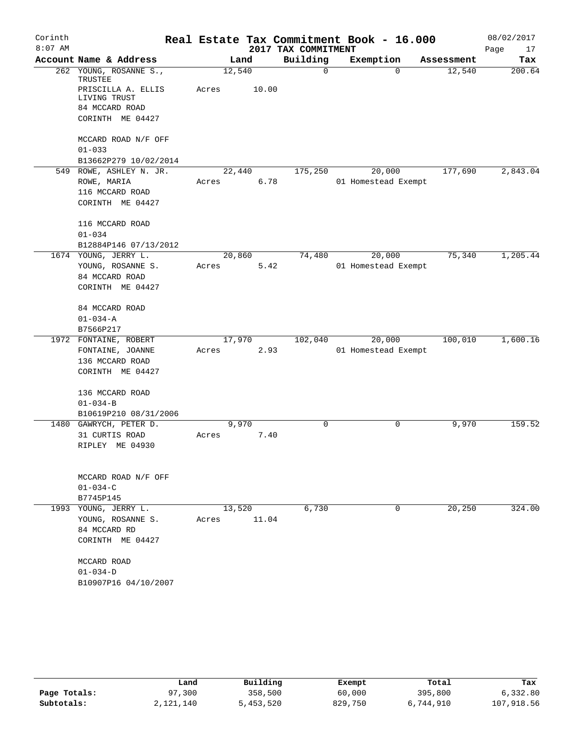| Corinth   |                                                                          |        |       |                     | Real Estate Tax Commitment Book - 16.000 |            | 08/02/2017 |
|-----------|--------------------------------------------------------------------------|--------|-------|---------------------|------------------------------------------|------------|------------|
| $8:07$ AM |                                                                          |        |       | 2017 TAX COMMITMENT |                                          |            | Page<br>17 |
|           | Account Name & Address                                                   |        | Land  | Building            | Exemption                                | Assessment | Tax        |
|           | 262 YOUNG, ROSANNE S.,<br>TRUSTEE                                        | 12,540 |       | 0                   | $\mathbf 0$                              | 12,540     | 200.64     |
|           | PRISCILLA A. ELLIS<br>LIVING TRUST<br>84 MCCARD ROAD<br>CORINTH ME 04427 | Acres  | 10.00 |                     |                                          |            |            |
|           |                                                                          |        |       |                     |                                          |            |            |
|           | MCCARD ROAD N/F OFF<br>$01 - 033$                                        |        |       |                     |                                          |            |            |
|           | B13662P279 10/02/2014                                                    |        |       |                     |                                          |            |            |
|           | 549 ROWE, ASHLEY N. JR.                                                  | 22,440 |       | 175,250             | 20,000                                   | 177,690    | 2,843.04   |
|           | ROWE, MARIA<br>116 MCCARD ROAD                                           | Acres  | 6.78  |                     | 01 Homestead Exempt                      |            |            |
|           | CORINTH ME 04427                                                         |        |       |                     |                                          |            |            |
|           | 116 MCCARD ROAD                                                          |        |       |                     |                                          |            |            |
|           | $01 - 034$                                                               |        |       |                     |                                          |            |            |
|           | B12884P146 07/13/2012                                                    |        |       |                     |                                          |            |            |
|           | 1674 YOUNG, JERRY L.                                                     | 20,860 |       | 74,480              | 20,000                                   | 75,340     | 1,205.44   |
|           | YOUNG, ROSANNE S.                                                        | Acres  | 5.42  |                     | 01 Homestead Exempt                      |            |            |
|           | 84 MCCARD ROAD                                                           |        |       |                     |                                          |            |            |
|           | CORINTH ME 04427                                                         |        |       |                     |                                          |            |            |
|           | 84 MCCARD ROAD                                                           |        |       |                     |                                          |            |            |
|           | $01 - 034 - A$                                                           |        |       |                     |                                          |            |            |
|           | B7566P217                                                                |        |       |                     |                                          |            |            |
|           | 1972 FONTAINE, ROBERT                                                    | 17,970 |       | 102,040             | 20,000                                   | 100,010    | 1,600.16   |
|           | FONTAINE, JOANNE                                                         | Acres  | 2.93  |                     | 01 Homestead Exempt                      |            |            |
|           | 136 MCCARD ROAD<br>CORINTH ME 04427                                      |        |       |                     |                                          |            |            |
|           | 136 MCCARD ROAD                                                          |        |       |                     |                                          |            |            |
|           | $01 - 034 - B$                                                           |        |       |                     |                                          |            |            |
|           | B10619P210 08/31/2006                                                    |        |       |                     |                                          |            |            |
|           | 1480 GAWRYCH, PETER D.                                                   |        | 9,970 | 0                   | 0                                        | 9,970      | 159.52     |
|           | 31 CURTIS ROAD                                                           | Acres  | 7.40  |                     |                                          |            |            |
|           | RIPLEY ME 04930                                                          |        |       |                     |                                          |            |            |
|           | MCCARD ROAD N/F OFF                                                      |        |       |                     |                                          |            |            |
|           | $01 - 034 - C$                                                           |        |       |                     |                                          |            |            |
|           | B7745P145                                                                |        |       |                     |                                          |            |            |
|           | 1993 YOUNG, JERRY L.                                                     | 13,520 |       | 6,730               | 0                                        | 20,250     | 324.00     |
|           | YOUNG, ROSANNE S.                                                        | Acres  | 11.04 |                     |                                          |            |            |
|           | 84 MCCARD RD                                                             |        |       |                     |                                          |            |            |
|           | CORINTH ME 04427                                                         |        |       |                     |                                          |            |            |
|           | MCCARD ROAD                                                              |        |       |                     |                                          |            |            |
|           | $01 - 034 - D$                                                           |        |       |                     |                                          |            |            |
|           | B10907P16 04/10/2007                                                     |        |       |                     |                                          |            |            |

|              | Land      | Building  | Exempt  | Total     | Tax        |
|--------------|-----------|-----------|---------|-----------|------------|
| Page Totals: | 97,300    | 358,500   | 60,000  | 395,800   | 6,332.80   |
| Subtotals:   | 2,121,140 | 5,453,520 | 829,750 | 6,744,910 | 107,918.56 |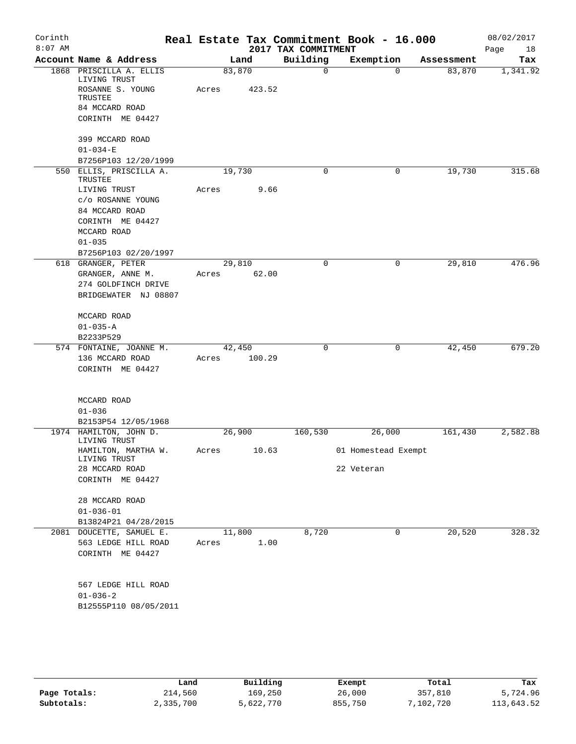| Corinth<br>$8:07$ AM |                                             |        |        | 2017 TAX COMMITMENT | Real Estate Tax Commitment Book - 16.000 |            | 08/02/2017<br>18 |
|----------------------|---------------------------------------------|--------|--------|---------------------|------------------------------------------|------------|------------------|
|                      | Account Name & Address                      |        | Land   | Building            | Exemption                                | Assessment | Page<br>Tax      |
|                      | 1868 PRISCILLA A. ELLIS                     | 83,870 |        | $\Omega$            | $\Omega$                                 | 83,870     | 1,341.92         |
|                      | LIVING TRUST<br>ROSANNE S. YOUNG<br>TRUSTEE | Acres  | 423.52 |                     |                                          |            |                  |
|                      | 84 MCCARD ROAD                              |        |        |                     |                                          |            |                  |
|                      | CORINTH ME 04427                            |        |        |                     |                                          |            |                  |
|                      | 399 MCCARD ROAD                             |        |        |                     |                                          |            |                  |
|                      | $01 - 034 - E$                              |        |        |                     |                                          |            |                  |
|                      | B7256P103 12/20/1999                        |        |        |                     |                                          |            |                  |
|                      | 550 ELLIS, PRISCILLA A.<br>TRUSTEE          | 19,730 |        | 0                   | 0                                        | 19,730     | 315.68           |
|                      | LIVING TRUST                                | Acres  | 9.66   |                     |                                          |            |                  |
|                      | c/o ROSANNE YOUNG                           |        |        |                     |                                          |            |                  |
|                      | 84 MCCARD ROAD                              |        |        |                     |                                          |            |                  |
|                      | CORINTH ME 04427<br>MCCARD ROAD             |        |        |                     |                                          |            |                  |
|                      | $01 - 035$                                  |        |        |                     |                                          |            |                  |
|                      | B7256P103 02/20/1997                        |        |        |                     |                                          |            |                  |
|                      | 618 GRANGER, PETER                          | 29,810 |        | $\Omega$            | 0                                        | 29,810     | 476.96           |
|                      | GRANGER, ANNE M.                            | Acres  | 62.00  |                     |                                          |            |                  |
|                      | 274 GOLDFINCH DRIVE                         |        |        |                     |                                          |            |                  |
|                      | BRIDGEWATER NJ 08807                        |        |        |                     |                                          |            |                  |
|                      | MCCARD ROAD                                 |        |        |                     |                                          |            |                  |
|                      | $01 - 035 - A$                              |        |        |                     |                                          |            |                  |
|                      | B2233P529                                   |        |        |                     |                                          |            |                  |
|                      | 574 FONTAINE, JOANNE M.                     | 42,450 |        | $\mathbf 0$         | 0                                        | 42,450     | 679.20           |
|                      | 136 MCCARD ROAD<br>CORINTH ME 04427         | Acres  | 100.29 |                     |                                          |            |                  |
|                      |                                             |        |        |                     |                                          |            |                  |
|                      | MCCARD ROAD                                 |        |        |                     |                                          |            |                  |
|                      | $01 - 036$                                  |        |        |                     |                                          |            |                  |
|                      | B2153P54 12/05/1968                         |        |        |                     |                                          |            |                  |
|                      | 1974 HAMILTON, JOHN D.<br>LIVING TRUST      | 26,900 |        | 160,530             | 26,000                                   | 161,430    | 2,582.88         |
|                      | HAMILTON, MARTHA W.<br>LIVING TRUST         | Acres  | 10.63  |                     | 01 Homestead Exempt                      |            |                  |
|                      | 28 MCCARD ROAD                              |        |        |                     | 22 Veteran                               |            |                  |
|                      | CORINTH ME 04427                            |        |        |                     |                                          |            |                  |
|                      | 28 MCCARD ROAD                              |        |        |                     |                                          |            |                  |
|                      | $01 - 036 - 01$                             |        |        |                     |                                          |            |                  |
|                      | B13824P21 04/28/2015                        |        |        |                     |                                          |            |                  |
|                      | 2081 DOUCETTE, SAMUEL E.                    | 11,800 |        | 8,720               | 0                                        | 20,520     | 328.32           |
|                      | 563 LEDGE HILL ROAD                         | Acres  | 1.00   |                     |                                          |            |                  |
|                      | CORINTH ME 04427                            |        |        |                     |                                          |            |                  |
|                      | 567 LEDGE HILL ROAD                         |        |        |                     |                                          |            |                  |
|                      | $01 - 036 - 2$                              |        |        |                     |                                          |            |                  |
|                      | B12555P110 08/05/2011                       |        |        |                     |                                          |            |                  |
|                      |                                             |        |        |                     |                                          |            |                  |
|                      |                                             |        |        |                     |                                          |            |                  |
|                      |                                             |        |        |                     |                                          |            |                  |
|                      |                                             |        |        |                     |                                          |            |                  |

|              | Land      | Building  | Exempt  | Total     | Tax        |
|--------------|-----------|-----------|---------|-----------|------------|
| Page Totals: | 214,560   | 169,250   | 26,000  | 357,810   | 5,724.96   |
| Subtotals:   | 2,335,700 | 5,622,770 | 855,750 | 7,102,720 | 113,643.52 |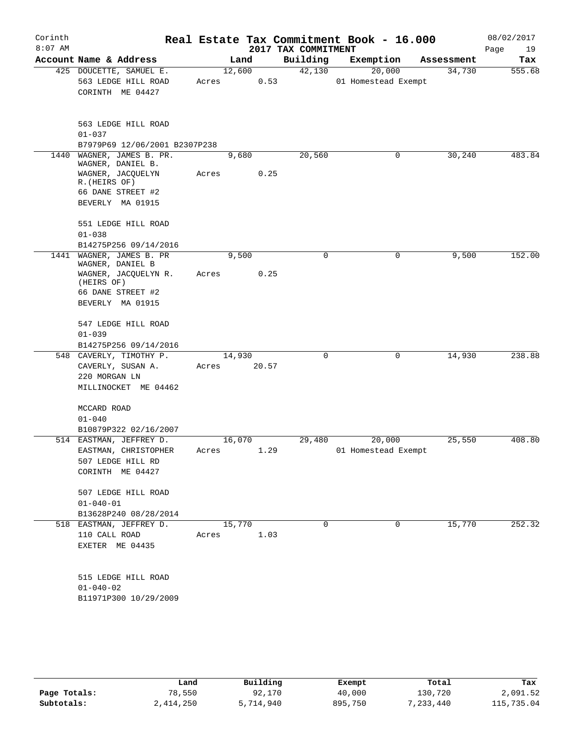| Corinth<br>$8:07$ AM |                                                                    |                 |       | 2017 TAX COMMITMENT | Real Estate Tax Commitment Book - 16.000 |            | 08/02/2017<br>Page<br>19 |
|----------------------|--------------------------------------------------------------------|-----------------|-------|---------------------|------------------------------------------|------------|--------------------------|
|                      | Account Name & Address                                             |                 | Land  | Building            | Exemption                                | Assessment | Tax                      |
|                      | 425 DOUCETTE, SAMUEL E.<br>563 LEDGE HILL ROAD<br>CORINTH ME 04427 | 12,600<br>Acres | 0.53  | 42,130              | 20,000<br>01 Homestead Exempt            | 34,730     | 555.68                   |
|                      | 563 LEDGE HILL ROAD<br>$01 - 037$                                  |                 |       |                     |                                          |            |                          |
|                      | B7979P69 12/06/2001 B2307P238                                      |                 |       |                     |                                          |            |                          |
|                      | 1440 WAGNER, JAMES B. PR.<br>WAGNER, DANIEL B.                     | 9,680           |       | 20,560              | 0                                        | 30, 240    | 483.84                   |
|                      | WAGNER, JACQUELYN<br>R. (HEIRS OF)                                 | Acres           | 0.25  |                     |                                          |            |                          |
|                      | 66 DANE STREET #2<br>BEVERLY MA 01915                              |                 |       |                     |                                          |            |                          |
|                      | 551 LEDGE HILL ROAD<br>$01 - 038$                                  |                 |       |                     |                                          |            |                          |
|                      | B14275P256 09/14/2016                                              |                 |       |                     |                                          |            |                          |
|                      | 1441 WAGNER, JAMES B. PR<br>WAGNER, DANIEL B                       | 9,500           |       | $\mathbf 0$         | 0                                        | 9,500      | 152.00                   |
|                      | WAGNER, JACQUELYN R.<br>(HEIRS OF)                                 | Acres           | 0.25  |                     |                                          |            |                          |
|                      | 66 DANE STREET #2<br>BEVERLY MA 01915                              |                 |       |                     |                                          |            |                          |
|                      | 547 LEDGE HILL ROAD                                                |                 |       |                     |                                          |            |                          |
|                      | $01 - 039$<br>B14275P256 09/14/2016                                |                 |       |                     |                                          |            |                          |
|                      | 548 CAVERLY, TIMOTHY P.                                            | 14,930          |       | $\mathbf 0$         | 0                                        | 14,930     | 238.88                   |
|                      | CAVERLY, SUSAN A.<br>220 MORGAN LN<br>MILLINOCKET ME 04462         | Acres           | 20.57 |                     |                                          |            |                          |
|                      | MCCARD ROAD<br>$01 - 040$                                          |                 |       |                     |                                          |            |                          |
|                      | B10879P322 02/16/2007<br>514 EASTMAN, JEFFREY D.                   | 16,070          |       | 29,480              | 20,000                                   | 25,550     | 408.80                   |
|                      | EASTMAN, CHRISTOPHER<br>507 LEDGE HILL RD<br>CORINTH ME 04427      | Acres           | 1.29  |                     | 01 Homestead Exempt                      |            |                          |
|                      | 507 LEDGE HILL ROAD<br>$01 - 040 - 01$<br>B13628P240 08/28/2014    |                 |       |                     |                                          |            |                          |
|                      | 518 EASTMAN, JEFFREY D.                                            | 15,770          |       | 0                   | 0                                        | 15,770     | 252.32                   |
|                      | 110 CALL ROAD<br>EXETER ME 04435                                   | Acres           | 1.03  |                     |                                          |            |                          |
|                      | 515 LEDGE HILL ROAD<br>$01 - 040 - 02$<br>B11971P300 10/29/2009    |                 |       |                     |                                          |            |                          |
|                      |                                                                    |                 |       |                     |                                          |            |                          |

|              | Land      | Building  | Exempt  | Total     | Tax        |
|--------------|-----------|-----------|---------|-----------|------------|
| Page Totals: | 78,550    | 92,170    | 40,000  | 130,720   | 2,091.52   |
| Subtotals:   | 2,414,250 | 5,714,940 | 895,750 | 7,233,440 | 115,735.04 |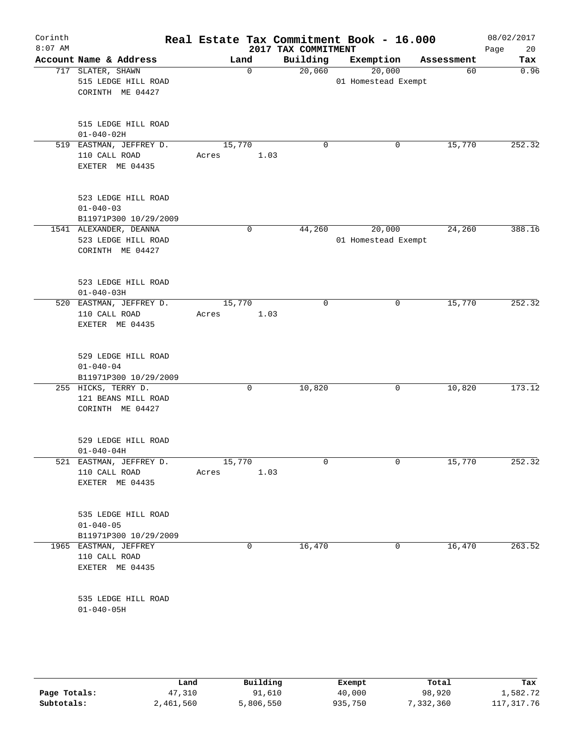| Corinth<br>$8:07$ AM |                                                                   |                 |             | 2017 TAX COMMITMENT | Real Estate Tax Commitment Book - 16.000 |            | 08/02/2017<br>Page<br>20 |
|----------------------|-------------------------------------------------------------------|-----------------|-------------|---------------------|------------------------------------------|------------|--------------------------|
|                      | Account Name & Address                                            |                 | Land        | Building            | Exemption                                | Assessment | Tax                      |
|                      | 717 SLATER, SHAWN<br>515 LEDGE HILL ROAD<br>CORINTH ME 04427      |                 | $\mathbf 0$ | 20,060              | 20,000<br>01 Homestead Exempt            | 60         | 0.96                     |
|                      | 515 LEDGE HILL ROAD<br>$01 - 040 - 02H$                           |                 |             |                     |                                          |            |                          |
|                      | 519 EASTMAN, JEFFREY D.<br>110 CALL ROAD<br>EXETER ME 04435       | 15,770<br>Acres | 1.03        | 0                   | 0                                        | 15,770     | 252.32                   |
|                      | 523 LEDGE HILL ROAD<br>$01 - 040 - 03$<br>B11971P300 10/29/2009   |                 |             |                     |                                          |            |                          |
|                      | 1541 ALEXANDER, DEANNA<br>523 LEDGE HILL ROAD<br>CORINTH ME 04427 |                 | 0           | 44,260              | 20,000<br>01 Homestead Exempt            | 24,260     | 388.16                   |
|                      | 523 LEDGE HILL ROAD<br>$01 - 040 - 03H$                           |                 |             |                     |                                          |            |                          |
|                      | 520 EASTMAN, JEFFREY D.<br>110 CALL ROAD<br>EXETER ME 04435       | 15,770<br>Acres | 1.03        | 0                   | 0                                        | 15,770     | 252.32                   |
|                      | 529 LEDGE HILL ROAD<br>$01 - 040 - 04$<br>B11971P300 10/29/2009   |                 |             |                     |                                          |            |                          |
|                      | 255 HICKS, TERRY D.<br>121 BEANS MILL ROAD<br>CORINTH ME 04427    |                 | 0           | 10,820              | 0                                        | 10,820     | 173.12                   |
|                      | 529 LEDGE HILL ROAD<br>$01 - 040 - 04H$                           |                 |             |                     |                                          |            |                          |
|                      | 521 EASTMAN, JEFFREY D.<br>110 CALL ROAD<br>EXETER ME 04435       | 15,770<br>Acres | 1.03        | $\mathbf 0$         | 0                                        | 15,770     | 252.32                   |
|                      | 535 LEDGE HILL ROAD<br>$01 - 040 - 05$<br>B11971P300 10/29/2009   |                 |             |                     |                                          |            |                          |
|                      | 1965 EASTMAN, JEFFREY<br>110 CALL ROAD<br>EXETER ME 04435         |                 | 0           | 16,470              | 0                                        | 16,470     | 263.52                   |
|                      | 535 LEDGE HILL ROAD<br>$01 - 040 - 05H$                           |                 |             |                     |                                          |            |                          |
|                      |                                                                   |                 |             |                     |                                          |            |                          |

|              | Land      | Building  | Exempt  | Total     | Tax          |
|--------------|-----------|-----------|---------|-----------|--------------|
| Page Totals: | 47,310    | 91,610    | 40,000  | 98,920    | 1,582.72     |
| Subtotals:   | 2,461,560 | 5,806,550 | 935,750 | 7,332,360 | 117, 317. 76 |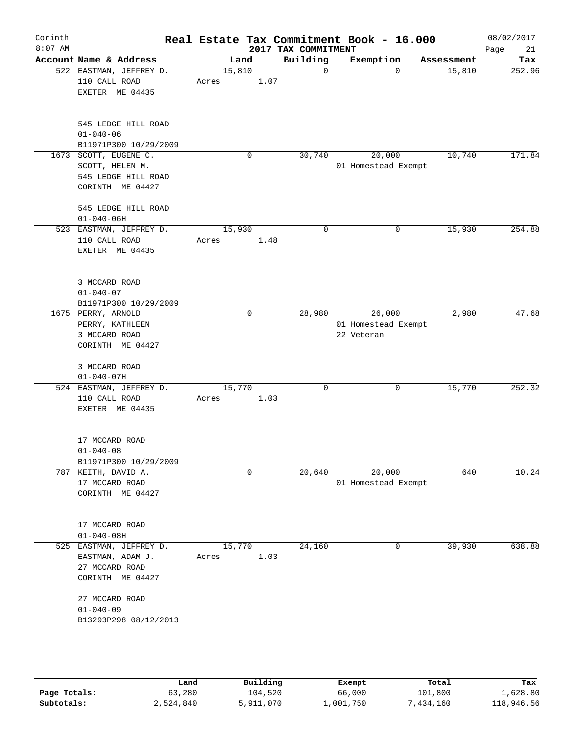| Corinth<br>$8:07$ AM |                                                                                   |                 |             | 2017 TAX COMMITMENT | Real Estate Tax Commitment Book - 16.000    |            | 08/02/2017<br>Page<br>21 |
|----------------------|-----------------------------------------------------------------------------------|-----------------|-------------|---------------------|---------------------------------------------|------------|--------------------------|
|                      | Account Name & Address                                                            | Land            |             | Building            | Exemption                                   | Assessment | Tax                      |
|                      | 522 EASTMAN, JEFFREY D.<br>110 CALL ROAD<br>EXETER ME 04435                       | 15,810<br>Acres | 1.07        | $\mathbf 0$         | $\Omega$                                    | 15,810     | 252.96                   |
|                      | 545 LEDGE HILL ROAD<br>$01 - 040 - 06$<br>B11971P300 10/29/2009                   |                 |             |                     |                                             |            |                          |
| 1673                 | SCOTT, EUGENE C.                                                                  |                 | 0           | 30,740              | 20,000                                      | 10,740     | 171.84                   |
|                      | SCOTT, HELEN M.<br>545 LEDGE HILL ROAD<br>CORINTH ME 04427                        |                 |             |                     | 01 Homestead Exempt                         |            |                          |
|                      | 545 LEDGE HILL ROAD<br>$01 - 040 - 06H$                                           |                 |             |                     |                                             |            |                          |
|                      | 523 EASTMAN, JEFFREY D.<br>110 CALL ROAD<br>EXETER ME 04435                       | 15,930<br>Acres | 1.48        | $\mathbf 0$         | 0                                           | 15,930     | 254.88                   |
|                      | 3 MCCARD ROAD<br>$01 - 040 - 07$<br>B11971P300 10/29/2009                         |                 |             |                     |                                             |            |                          |
|                      | 1675 PERRY, ARNOLD<br>PERRY, KATHLEEN<br>3 MCCARD ROAD<br>CORINTH ME 04427        |                 | $\mathbf 0$ | 28,980              | 26,000<br>01 Homestead Exempt<br>22 Veteran | 2,980      | 47.68                    |
|                      | 3 MCCARD ROAD<br>$01 - 040 - 07H$                                                 |                 |             |                     |                                             |            |                          |
|                      | 524 EASTMAN, JEFFREY D.<br>110 CALL ROAD<br>EXETER ME 04435                       | 15,770<br>Acres | 1.03        | $\mathbf 0$         | 0                                           | 15,770     | 252.32                   |
|                      | 17 MCCARD ROAD<br>$01 - 040 - 08$<br>B11971P300 10/29/2009                        |                 |             |                     |                                             |            |                          |
|                      | 787 KEITH, DAVID A.<br>17 MCCARD ROAD<br>CORINTH ME 04427                         |                 | 0           | 20,640              | 20,000<br>01 Homestead Exempt               | 640        | 10.24                    |
|                      | 17 MCCARD ROAD<br>$01 - 040 - 08H$                                                |                 |             |                     |                                             |            |                          |
|                      | 525 EASTMAN, JEFFREY D.<br>EASTMAN, ADAM J.<br>27 MCCARD ROAD<br>CORINTH ME 04427 | 15,770<br>Acres | 1.03        | 24,160              | 0                                           | 39,930     | 638.88                   |
|                      | 27 MCCARD ROAD<br>$01 - 040 - 09$<br>B13293P298 08/12/2013                        |                 |             |                     |                                             |            |                          |
|                      |                                                                                   |                 |             |                     |                                             |            |                          |

|              | Land      | Building  | Exempt    | Total       | Tax        |
|--------------|-----------|-----------|-----------|-------------|------------|
| Page Totals: | 63,280    | 104,520   | 66,000    | 101,800     | 1,628.80   |
| Subtotals:   | 2,524,840 | 5,911,070 | ⊥,001,750 | 1,434,160 ' | 118,946.56 |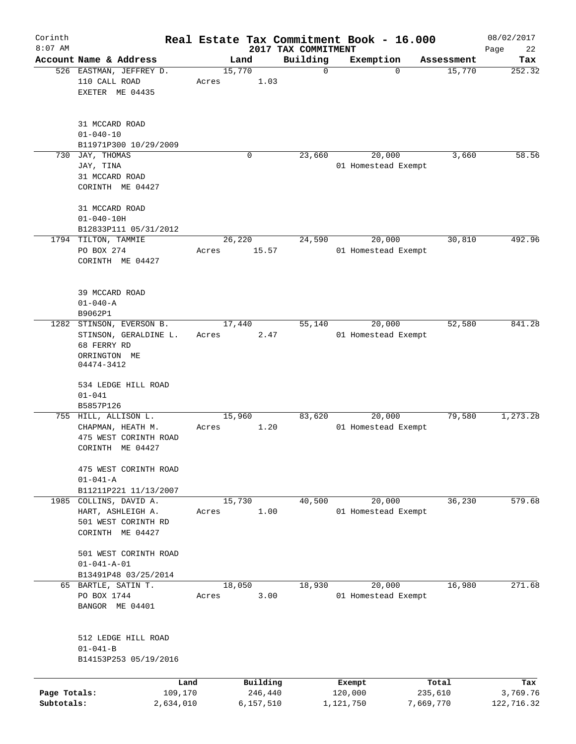| Corinth                    |                                                   |                      |                 |                      |                                 | Real Estate Tax Commitment Book - 16.000 |                      | 08/02/2017             |
|----------------------------|---------------------------------------------------|----------------------|-----------------|----------------------|---------------------------------|------------------------------------------|----------------------|------------------------|
| $8:07$ AM                  | Account Name & Address                            |                      |                 | Land                 | 2017 TAX COMMITMENT<br>Building |                                          |                      | Page<br>22             |
|                            | 526 EASTMAN, JEFFREY D.<br>110 CALL ROAD          |                      | 15,770<br>Acres | 1.03                 | $\mathbf 0$                     | Exemption<br>$\mathbf 0$                 | Assessment<br>15,770 | Tax<br>252.32          |
|                            | EXETER ME 04435                                   |                      |                 |                      |                                 |                                          |                      |                        |
|                            | 31 MCCARD ROAD<br>$01 - 040 - 10$                 |                      |                 |                      |                                 |                                          |                      |                        |
|                            | B11971P300 10/29/2009                             |                      |                 |                      |                                 |                                          |                      |                        |
| 730                        | JAY, THOMAS                                       |                      |                 | $\mathbf 0$          | 23,660                          | 20,000                                   | 3,660                | 58.56                  |
|                            | JAY, TINA                                         |                      |                 |                      |                                 | 01 Homestead Exempt                      |                      |                        |
|                            | 31 MCCARD ROAD<br>CORINTH ME 04427                |                      |                 |                      |                                 |                                          |                      |                        |
|                            |                                                   |                      |                 |                      |                                 |                                          |                      |                        |
|                            | 31 MCCARD ROAD                                    |                      |                 |                      |                                 |                                          |                      |                        |
|                            | $01 - 040 - 10H$                                  |                      |                 |                      |                                 |                                          |                      |                        |
|                            | B12833P111 05/31/2012<br>1794 TILTON, TAMMIE      |                      | 26,220          |                      | 24,590                          | 20,000                                   | 30,810               | 492.96                 |
|                            | PO BOX 274                                        |                      | Acres           | 15.57                |                                 | 01 Homestead Exempt                      |                      |                        |
|                            | CORINTH ME 04427                                  |                      |                 |                      |                                 |                                          |                      |                        |
|                            |                                                   |                      |                 |                      |                                 |                                          |                      |                        |
|                            | 39 MCCARD ROAD                                    |                      |                 |                      |                                 |                                          |                      |                        |
|                            | $01 - 040 - A$                                    |                      |                 |                      |                                 |                                          |                      |                        |
|                            | B9062P1                                           |                      |                 |                      |                                 |                                          |                      |                        |
|                            | 1282 STINSON, EVERSON B.<br>STINSON, GERALDINE L. |                      | 17,440<br>Acres | 2.47                 | 55,140                          | 20,000<br>01 Homestead Exempt            | 52,580               | 841.28                 |
|                            | 68 FERRY RD                                       |                      |                 |                      |                                 |                                          |                      |                        |
|                            | ORRINGTON ME<br>04474-3412                        |                      |                 |                      |                                 |                                          |                      |                        |
|                            |                                                   |                      |                 |                      |                                 |                                          |                      |                        |
|                            | 534 LEDGE HILL ROAD                               |                      |                 |                      |                                 |                                          |                      |                        |
|                            | $01 - 041$<br>B5857P126                           |                      |                 |                      |                                 |                                          |                      |                        |
|                            | 755 HILL, ALLISON L.                              |                      | 15,960          |                      | 83,620                          | 20,000                                   | 79,580               | 1,273.28               |
|                            | CHAPMAN, HEATH M.                                 |                      | Acres           | 1.20                 |                                 | 01 Homestead Exempt                      |                      |                        |
|                            | 475 WEST CORINTH ROAD                             |                      |                 |                      |                                 |                                          |                      |                        |
|                            | CORINTH ME 04427                                  |                      |                 |                      |                                 |                                          |                      |                        |
|                            | 475 WEST CORINTH ROAD                             |                      |                 |                      |                                 |                                          |                      |                        |
|                            | $01 - 041 - A$                                    |                      |                 |                      |                                 |                                          |                      |                        |
|                            | B11211P221 11/13/2007                             |                      |                 |                      |                                 |                                          |                      |                        |
| 1985                       | COLLINS, DAVID A.                                 |                      | 15,730          |                      | 40,500                          | 20,000                                   | 36,230               | 579.68                 |
|                            | HART, ASHLEIGH A.<br>501 WEST CORINTH RD          |                      | Acres           | 1.00                 |                                 | 01 Homestead Exempt                      |                      |                        |
|                            | CORINTH ME 04427                                  |                      |                 |                      |                                 |                                          |                      |                        |
|                            |                                                   |                      |                 |                      |                                 |                                          |                      |                        |
|                            | 501 WEST CORINTH ROAD                             |                      |                 |                      |                                 |                                          |                      |                        |
|                            | $01 - 041 - A - 01$                               |                      |                 |                      |                                 |                                          |                      |                        |
|                            | B13491P48 03/25/2014                              |                      |                 |                      |                                 |                                          |                      |                        |
|                            | 65 BARTLE, SATIN T.<br>PO BOX 1744                |                      | 18,050<br>Acres | 3.00                 | 18,930                          | 20,000<br>01 Homestead Exempt            | 16,980               | 271.68                 |
|                            | BANGOR ME 04401                                   |                      |                 |                      |                                 |                                          |                      |                        |
|                            |                                                   |                      |                 |                      |                                 |                                          |                      |                        |
|                            | 512 LEDGE HILL ROAD                               |                      |                 |                      |                                 |                                          |                      |                        |
|                            | $01 - 041 - B$                                    |                      |                 |                      |                                 |                                          |                      |                        |
|                            | B14153P253 05/19/2016                             |                      |                 |                      |                                 |                                          |                      |                        |
|                            |                                                   |                      |                 |                      |                                 |                                          |                      |                        |
|                            |                                                   | Land                 |                 | Building             |                                 | Exempt                                   | Total                | Tax                    |
| Page Totals:<br>Subtotals: |                                                   | 109,170<br>2,634,010 |                 | 246,440<br>6,157,510 |                                 | 120,000<br>1,121,750                     | 235,610<br>7,669,770 | 3,769.76<br>122,716.32 |
|                            |                                                   |                      |                 |                      |                                 |                                          |                      |                        |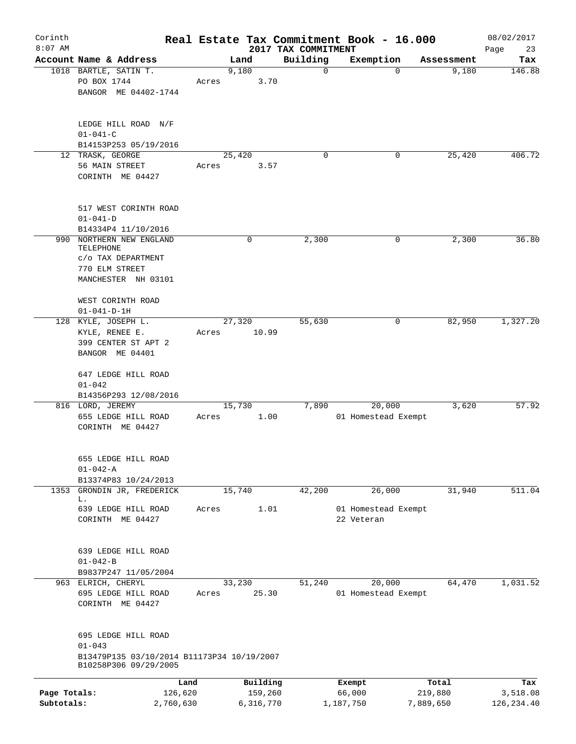| Corinth<br>$8:07$ AM |                                                                                   |       |                     | 2017 TAX COMMITMENT | Real Estate Tax Commitment Book - 16.000 |                  | 08/02/2017<br>Page<br>23 |
|----------------------|-----------------------------------------------------------------------------------|-------|---------------------|---------------------|------------------------------------------|------------------|--------------------------|
|                      | Account Name & Address                                                            |       | Land                | Building            | Exemption                                | Assessment       | Tax                      |
|                      | 1018 BARTLE, SATIN T.                                                             |       | 9,180               | 0                   | $\Omega$                                 | 9,180            | 146.88                   |
|                      | PO BOX 1744                                                                       | Acres | 3.70                |                     |                                          |                  |                          |
|                      | BANGOR ME 04402-1744                                                              |       |                     |                     |                                          |                  |                          |
|                      | LEDGE HILL ROAD N/F                                                               |       |                     |                     |                                          |                  |                          |
|                      | $01 - 041 - C$                                                                    |       |                     |                     |                                          |                  |                          |
|                      | B14153P253 05/19/2016                                                             |       |                     |                     |                                          |                  |                          |
|                      | 12 TRASK, GEORGE                                                                  |       | 25,420              | $\Omega$            | 0                                        | 25,420           | 406.72                   |
|                      | 56 MAIN STREET<br>CORINTH ME 04427                                                | Acres | 3.57                |                     |                                          |                  |                          |
|                      | 517 WEST CORINTH ROAD                                                             |       |                     |                     |                                          |                  |                          |
|                      | $01 - 041 - D$                                                                    |       |                     |                     |                                          |                  |                          |
|                      | B14334P4 11/10/2016                                                               |       |                     |                     |                                          |                  |                          |
| 990                  | NORTHERN NEW ENGLAND<br>TELEPHONE<br>C/O TAX DEPARTMENT                           |       | 0                   | 2,300               | 0                                        | 2,300            | 36.80                    |
|                      | 770 ELM STREET                                                                    |       |                     |                     |                                          |                  |                          |
|                      | MANCHESTER NH 03101                                                               |       |                     |                     |                                          |                  |                          |
|                      | WEST CORINTH ROAD                                                                 |       |                     |                     |                                          |                  |                          |
|                      | $01 - 041 - D - 1H$                                                               |       |                     |                     |                                          |                  |                          |
|                      | 128 KYLE, JOSEPH L.<br>KYLE, RENEE E.                                             | Acres | 27,320<br>10.99     | 55,630              | 0                                        | 82,950           | 1,327.20                 |
|                      | 399 CENTER ST APT 2                                                               |       |                     |                     |                                          |                  |                          |
|                      | BANGOR ME 04401                                                                   |       |                     |                     |                                          |                  |                          |
|                      | 647 LEDGE HILL ROAD<br>$01 - 042$                                                 |       |                     |                     |                                          |                  |                          |
|                      | B14356P293 12/08/2016                                                             |       |                     |                     |                                          |                  |                          |
|                      | 816 LORD, JEREMY                                                                  |       | 15,730              | 7,890               | 20,000                                   | 3,620            | 57.92                    |
|                      | 655 LEDGE HILL ROAD<br>CORINTH ME 04427                                           | Acres | 1.00                |                     | 01 Homestead Exempt                      |                  |                          |
|                      | 655 LEDGE HILL ROAD                                                               |       |                     |                     |                                          |                  |                          |
|                      | $01 - 042 - A$                                                                    |       |                     |                     |                                          |                  |                          |
|                      | B13374P83 10/24/2013                                                              |       |                     |                     |                                          |                  |                          |
|                      | 1353 GRONDIN JR, FREDERICK<br>L.                                                  |       | 15,740              | 42,200              | 26,000                                   | 31,940           | 511.04                   |
|                      | 639 LEDGE HILL ROAD<br>CORINTH ME 04427                                           | Acres | 1.01                |                     | 01 Homestead Exempt<br>22 Veteran        |                  |                          |
|                      |                                                                                   |       |                     |                     |                                          |                  |                          |
|                      | 639 LEDGE HILL ROAD                                                               |       |                     |                     |                                          |                  |                          |
|                      | $01 - 042 - B$                                                                    |       |                     |                     |                                          |                  |                          |
|                      | B9837P247 11/05/2004                                                              |       |                     |                     |                                          |                  |                          |
|                      | 963 ELRICH, CHERYL                                                                |       | 33,230              | 51,240              | 20,000                                   | 64,470           | 1,031.52                 |
|                      | 695 LEDGE HILL ROAD<br>CORINTH ME 04427                                           | Acres | 25.30               |                     | 01 Homestead Exempt                      |                  |                          |
|                      | 695 LEDGE HILL ROAD                                                               |       |                     |                     |                                          |                  |                          |
|                      | $01 - 043$<br>B13479P135 03/10/2014 B11173P34 10/19/2007<br>B10258P306 09/29/2005 |       |                     |                     |                                          |                  |                          |
|                      |                                                                                   |       |                     |                     |                                          |                  |                          |
| Page Totals:         | 126,620                                                                           | Land  | Building<br>159,260 |                     | Exempt<br>66,000                         | Total<br>219,880 | Tax<br>3,518.08          |
| Subtotals:           | 2,760,630                                                                         |       | 6,316,770           |                     | 1,187,750                                | 7,889,650        | 126, 234.40              |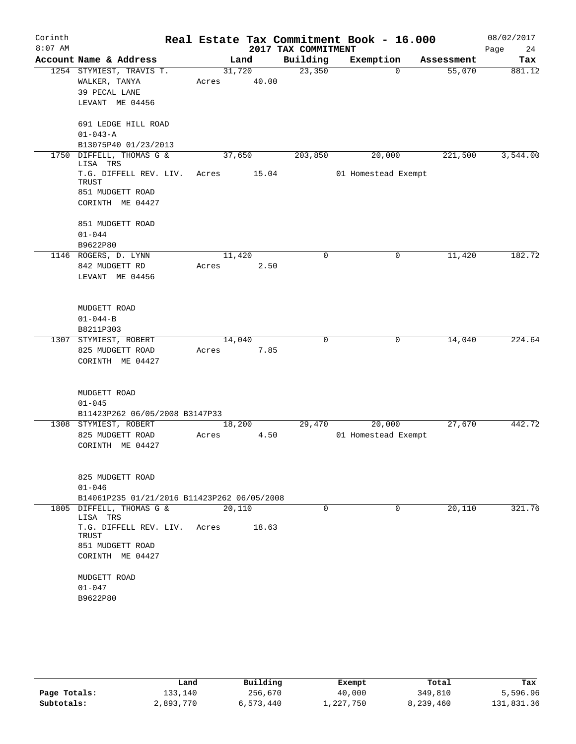| Corinth<br>$8:07$ AM |                                                                                     |       |        |       | 2017 TAX COMMITMENT | Real Estate Tax Commitment Book - 16.000 |            | 08/02/2017<br>Page<br>24 |
|----------------------|-------------------------------------------------------------------------------------|-------|--------|-------|---------------------|------------------------------------------|------------|--------------------------|
|                      | Account Name & Address                                                              |       | Land   |       | Building            | Exemption                                | Assessment | Tax                      |
|                      | 1254 STYMIEST, TRAVIS T.<br>WALKER, TANYA<br>39 PECAL LANE<br>LEVANT ME 04456       | Acres | 31,720 | 40.00 | 23,350              | 0                                        | 55,070     | 881.12                   |
|                      | 691 LEDGE HILL ROAD<br>$01 - 043 - A$<br>B13075P40 01/23/2013                       |       |        |       |                     |                                          |            |                          |
| 1750                 | DIFFELL, THOMAS G &                                                                 |       | 37,650 |       | 203,850             | 20,000                                   | 221,500    | 3,544.00                 |
|                      | LISA TRS<br>T.G. DIFFELL REV. LIV.<br>TRUST<br>851 MUDGETT ROAD<br>CORINTH ME 04427 | Acres |        | 15.04 |                     | 01 Homestead Exempt                      |            |                          |
|                      | 851 MUDGETT ROAD                                                                    |       |        |       |                     |                                          |            |                          |
|                      | $01 - 044$                                                                          |       |        |       |                     |                                          |            |                          |
|                      | B9622P80                                                                            |       |        |       |                     |                                          |            |                          |
|                      | 1146 ROGERS, D. LYNN<br>842 MUDGETT RD<br>LEVANT ME 04456                           | Acres | 11,420 | 2.50  | 0                   | 0                                        | 11,420     | 182.72                   |
|                      | MUDGETT ROAD                                                                        |       |        |       |                     |                                          |            |                          |
|                      | $01 - 044 - B$                                                                      |       |        |       |                     |                                          |            |                          |
|                      | B8211P303                                                                           |       |        |       |                     |                                          |            |                          |
|                      | 1307 STYMIEST, ROBERT<br>825 MUDGETT ROAD<br>CORINTH ME 04427                       | Acres | 14,040 | 7.85  | 0                   | 0                                        | 14,040     | 224.64                   |
|                      | MUDGETT ROAD<br>$01 - 045$<br>B11423P262 06/05/2008 B3147P33                        |       |        |       |                     |                                          |            |                          |
|                      | 1308 STYMIEST, ROBERT                                                               |       | 18,200 |       | 29,470              | 20,000                                   | 27,670     | 442.72                   |
|                      | 825 MUDGETT ROAD<br>CORINTH ME 04427                                                | Acres |        | 4.50  |                     | 01 Homestead Exempt                      |            |                          |
|                      | 825 MUDGETT ROAD<br>$01 - 046$                                                      |       |        |       |                     |                                          |            |                          |
|                      | B14061P235 01/21/2016 B11423P262 06/05/2008                                         |       |        |       |                     |                                          |            |                          |
|                      | 1805 DIFFELL, THOMAS G &<br>LISA TRS                                                |       | 20,110 |       | $\Omega$            | $\Omega$                                 | 20,110     | 321.76                   |
|                      | T.G. DIFFELL REV. LIV. Acres<br>TRUST<br>851 MUDGETT ROAD<br>CORINTH ME 04427       |       |        | 18.63 |                     |                                          |            |                          |
|                      | MUDGETT ROAD<br>$01 - 047$                                                          |       |        |       |                     |                                          |            |                          |
|                      | B9622P80                                                                            |       |        |       |                     |                                          |            |                          |

|              | Land      | Building  | Exempt    | Total     | Tax        |
|--------------|-----------|-----------|-----------|-----------|------------|
| Page Totals: | 133,140   | 256,670   | 40,000    | 349,810   | 5,596.96   |
| Subtotals:   | 2,893,770 | 6,573,440 | 1,227,750 | 8,239,460 | 131,831.36 |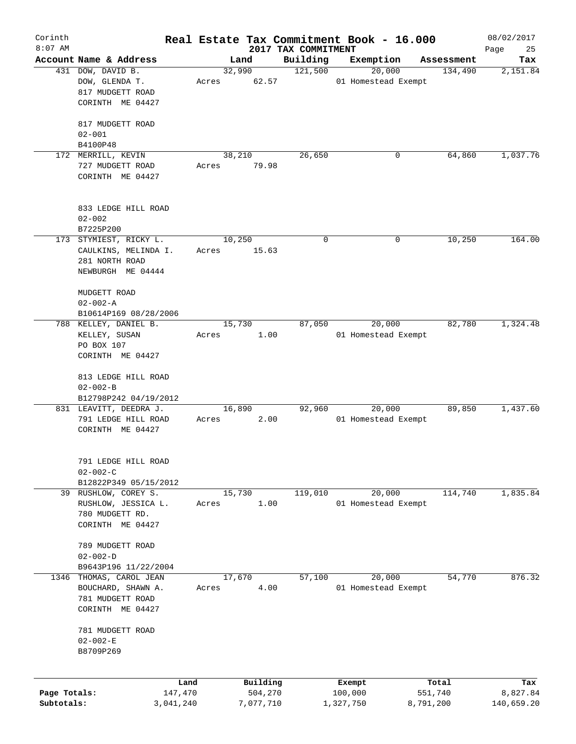| Corinth      |                                     |       |           |                                 | Real Estate Tax Commitment Book - 16.000 |            | 08/02/2017        |
|--------------|-------------------------------------|-------|-----------|---------------------------------|------------------------------------------|------------|-------------------|
| $8:07$ AM    | Account Name & Address              |       | Land      | 2017 TAX COMMITMENT<br>Building | Exemption                                | Assessment | Page<br>25<br>Tax |
|              | 431 DOW, DAVID B.                   |       | 32,990    | 121,500                         | 20,000                                   | 134,490    | 2,151.84          |
|              | DOW, GLENDA T.                      | Acres | 62.57     |                                 | 01 Homestead Exempt                      |            |                   |
|              | 817 MUDGETT ROAD                    |       |           |                                 |                                          |            |                   |
|              | CORINTH ME 04427                    |       |           |                                 |                                          |            |                   |
|              |                                     |       |           |                                 |                                          |            |                   |
|              | 817 MUDGETT ROAD                    |       |           |                                 |                                          |            |                   |
|              | $02 - 001$<br>B4100P48              |       |           |                                 |                                          |            |                   |
|              | 172 MERRILL, KEVIN                  |       | 38,210    | 26,650                          | 0                                        | 64,860     | 1,037.76          |
|              | 727 MUDGETT ROAD                    | Acres | 79.98     |                                 |                                          |            |                   |
|              | CORINTH ME 04427                    |       |           |                                 |                                          |            |                   |
|              |                                     |       |           |                                 |                                          |            |                   |
|              |                                     |       |           |                                 |                                          |            |                   |
|              | 833 LEDGE HILL ROAD                 |       |           |                                 |                                          |            |                   |
|              | $02 - 002$                          |       |           |                                 |                                          |            |                   |
|              | B7225P200<br>173 STYMIEST, RICKY L. |       | 10,250    | $\mathbf 0$                     | 0                                        | 10,250     | 164.00            |
|              | CAULKINS, MELINDA I.                | Acres | 15.63     |                                 |                                          |            |                   |
|              | 281 NORTH ROAD                      |       |           |                                 |                                          |            |                   |
|              | NEWBURGH ME 04444                   |       |           |                                 |                                          |            |                   |
|              |                                     |       |           |                                 |                                          |            |                   |
|              | MUDGETT ROAD                        |       |           |                                 |                                          |            |                   |
|              | $02 - 002 - A$                      |       |           |                                 |                                          |            |                   |
|              | B10614P169 08/28/2006               |       |           |                                 |                                          |            |                   |
|              | 788 KELLEY, DANIEL B.               |       | 15,730    | 87,050                          | 20,000                                   | 82,780     | 1,324.48          |
|              | KELLEY, SUSAN<br>PO BOX 107         | Acres | 1.00      |                                 | 01 Homestead Exempt                      |            |                   |
|              | CORINTH ME 04427                    |       |           |                                 |                                          |            |                   |
|              |                                     |       |           |                                 |                                          |            |                   |
|              | 813 LEDGE HILL ROAD                 |       |           |                                 |                                          |            |                   |
|              | $02 - 002 - B$                      |       |           |                                 |                                          |            |                   |
|              | B12798P242 04/19/2012               |       |           |                                 |                                          |            |                   |
|              | 831 LEAVITT, DEEDRA J.              |       | 16,890    | 92,960                          | 20,000                                   | 89,850     | 1,437.60          |
|              | 791 LEDGE HILL ROAD                 | Acres | 2.00      |                                 | 01 Homestead Exempt                      |            |                   |
|              | CORINTH ME 04427                    |       |           |                                 |                                          |            |                   |
|              |                                     |       |           |                                 |                                          |            |                   |
|              | 791 LEDGE HILL ROAD                 |       |           |                                 |                                          |            |                   |
|              | $02 - 002 - C$                      |       |           |                                 |                                          |            |                   |
|              | B12822P349 05/15/2012               |       |           |                                 |                                          |            |                   |
|              | 39 RUSHLOW, COREY S.                |       | 15,730    | 119,010                         | 20,000                                   | 114,740    | 1,835.84          |
|              | RUSHLOW, JESSICA L.                 | Acres | 1.00      |                                 | 01 Homestead Exempt                      |            |                   |
|              | 780 MUDGETT RD.                     |       |           |                                 |                                          |            |                   |
|              | CORINTH ME 04427                    |       |           |                                 |                                          |            |                   |
|              | 789 MUDGETT ROAD                    |       |           |                                 |                                          |            |                   |
|              | $02 - 002 - D$                      |       |           |                                 |                                          |            |                   |
|              | B9643P196 11/22/2004                |       |           |                                 |                                          |            |                   |
| 1346         | THOMAS, CAROL JEAN                  |       | 17,670    | 57,100                          | 20,000                                   | 54,770     | 876.32            |
|              | BOUCHARD, SHAWN A.                  | Acres | 4.00      |                                 | 01 Homestead Exempt                      |            |                   |
|              | 781 MUDGETT ROAD                    |       |           |                                 |                                          |            |                   |
|              | CORINTH ME 04427                    |       |           |                                 |                                          |            |                   |
|              | 781 MUDGETT ROAD                    |       |           |                                 |                                          |            |                   |
|              | $02 - 002 - E$                      |       |           |                                 |                                          |            |                   |
|              | B8709P269                           |       |           |                                 |                                          |            |                   |
|              |                                     |       |           |                                 |                                          |            |                   |
|              | Land                                |       | Building  |                                 | Exempt                                   | Total      | Tax               |
| Page Totals: | 147,470                             |       | 504,270   |                                 | 100,000                                  | 551,740    | 8,827.84          |
| Subtotals:   | 3,041,240                           |       | 7,077,710 |                                 | 1,327,750                                | 8,791,200  | 140,659.20        |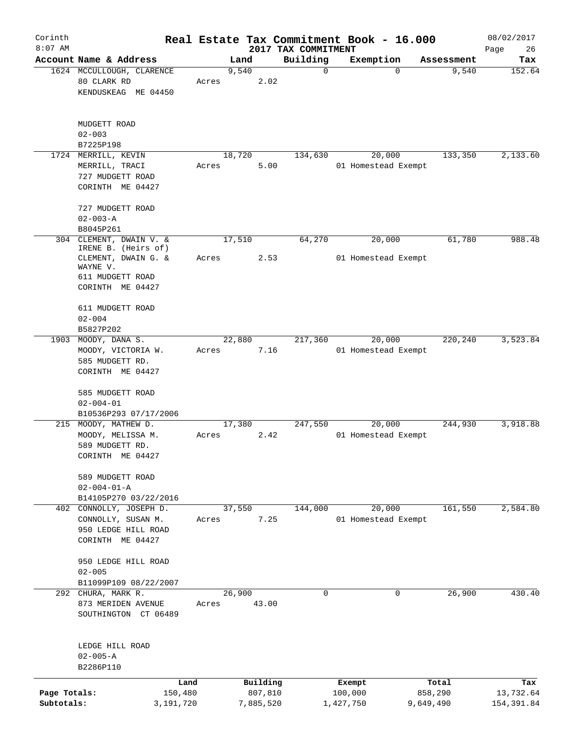| Corinth                    |                                                                                  |       |                      |                                 | Real Estate Tax Commitment Book - 16.000 |                      | 08/02/2017               |
|----------------------------|----------------------------------------------------------------------------------|-------|----------------------|---------------------------------|------------------------------------------|----------------------|--------------------------|
| $8:07$ AM                  | Account Name & Address                                                           |       | Land                 | 2017 TAX COMMITMENT<br>Building | Exemption                                | Assessment           | Page<br>26<br>Tax        |
|                            | 1624 MCCULLOUGH, CLARENCE<br>80 CLARK RD<br>KENDUSKEAG ME 04450                  | Acres | 9,540<br>2.02        | $\mathbf 0$                     | 0                                        | 9,540                | 152.64                   |
|                            | MUDGETT ROAD<br>$02 - 003$<br>B7225P198                                          |       |                      |                                 |                                          |                      |                          |
|                            | 1724 MERRILL, KEVIN<br>MERRILL, TRACI<br>727 MUDGETT ROAD<br>CORINTH ME 04427    | Acres | 18,720<br>5.00       | 134,630                         | 20,000<br>01 Homestead Exempt            | 133,350              | 2,133.60                 |
|                            | 727 MUDGETT ROAD<br>$02 - 003 - A$<br>B8045P261                                  |       |                      |                                 |                                          |                      |                          |
|                            | 304 CLEMENT, DWAIN V. &<br>IRENE B. (Heirs of)                                   |       | 17,510<br>2.53       | 64,270                          | 20,000                                   | 61,780               | 988.48                   |
|                            | CLEMENT, DWAIN G. &<br>WAYNE V.<br>611 MUDGETT ROAD<br>CORINTH ME 04427          | Acres |                      |                                 | 01 Homestead Exempt                      |                      |                          |
|                            | 611 MUDGETT ROAD<br>$02 - 004$                                                   |       |                      |                                 |                                          |                      |                          |
|                            | B5827P202<br>1903 MOODY, DANA S.                                                 |       | 22,880               | 217,360                         | 20,000                                   | 220,240              | 3,523.84                 |
|                            | MOODY, VICTORIA W.<br>585 MUDGETT RD.<br>CORINTH ME 04427                        | Acres | 7.16                 |                                 | 01 Homestead Exempt                      |                      |                          |
|                            | 585 MUDGETT ROAD<br>$02 - 004 - 01$                                              |       |                      |                                 |                                          |                      |                          |
|                            | B10536P293 07/17/2006                                                            |       |                      |                                 |                                          |                      |                          |
|                            | 215 MOODY, MATHEW D.<br>MOODY, MELISSA M.<br>589 MUDGETT RD.<br>CORINTH ME 04427 | Acres | 17,380<br>2.42       | 247,550                         | 20,000<br>01 Homestead Exempt            | 244,930              | 3,918.88                 |
|                            | 589 MUDGETT ROAD<br>$02 - 004 - 01 - A$                                          |       |                      |                                 |                                          |                      |                          |
|                            | B14105P270 03/22/2016<br>402 CONNOLLY, JOSEPH D.                                 |       | 37,550               | 144,000                         | 20,000                                   | 161,550              | 2,584.80                 |
|                            | CONNOLLY, SUSAN M.<br>950 LEDGE HILL ROAD<br>CORINTH ME 04427                    | Acres | 7.25                 |                                 | 01 Homestead Exempt                      |                      |                          |
|                            | 950 LEDGE HILL ROAD<br>$02 - 005$                                                |       |                      |                                 |                                          |                      |                          |
|                            | B11099P109 08/22/2007                                                            |       |                      |                                 |                                          |                      |                          |
|                            | 292 CHURA, MARK R.<br>873 MERIDEN AVENUE<br>SOUTHINGTON CT 06489                 | Acres | 26,900<br>43.00      | 0                               | 0                                        | 26,900               | 430.40                   |
|                            | LEDGE HILL ROAD<br>$02 - 005 - A$<br>B2286P110                                   |       |                      |                                 |                                          |                      |                          |
|                            |                                                                                  | Land  | Building             |                                 | Exempt                                   | Total                | Tax                      |
| Page Totals:<br>Subtotals: | 150,480<br>3,191,720                                                             |       | 807,810<br>7,885,520 |                                 | 100,000<br>1,427,750                     | 858,290<br>9,649,490 | 13,732.64<br>154, 391.84 |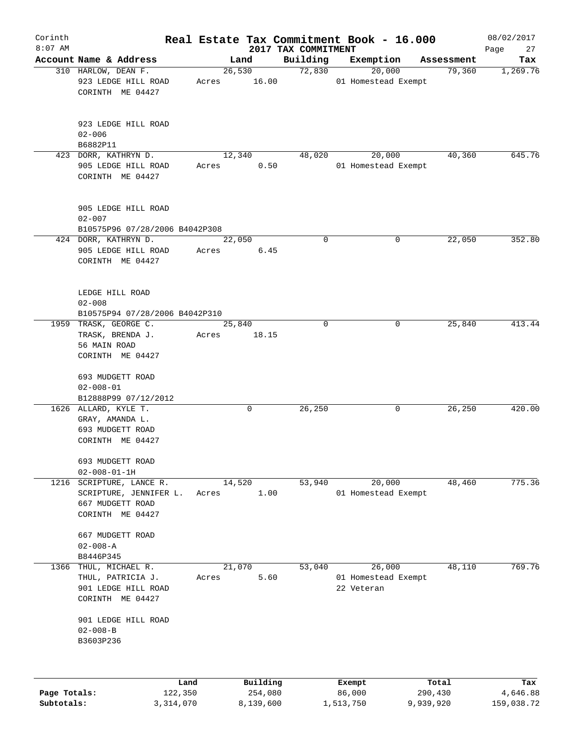| Corinth                    |                                                                                 |                 |                      |                                 | Real Estate Tax Commitment Book - 16.000 |                      | 08/02/2017             |
|----------------------------|---------------------------------------------------------------------------------|-----------------|----------------------|---------------------------------|------------------------------------------|----------------------|------------------------|
| $8:07$ AM                  | Account Name & Address                                                          |                 | Land                 | 2017 TAX COMMITMENT<br>Building | Exemption                                | Assessment           | Page<br>27<br>Tax      |
|                            | 310 HARLOW, DEAN F.                                                             |                 | 26,530               | 72,830                          | 20,000                                   | 79,360               | 1,269.76               |
|                            | 923 LEDGE HILL ROAD<br>CORINTH ME 04427                                         | Acres           | 16.00                |                                 | 01 Homestead Exempt                      |                      |                        |
|                            | 923 LEDGE HILL ROAD<br>$02 - 006$                                               |                 |                      |                                 |                                          |                      |                        |
|                            | B6882P11                                                                        |                 |                      |                                 |                                          |                      |                        |
|                            | 423 DORR, KATHRYN D.<br>905 LEDGE HILL ROAD<br>CORINTH ME 04427                 | Acres           | 12,340<br>0.50       | 48,020                          | 20,000<br>01 Homestead Exempt            | 40,360               | 645.76                 |
|                            | 905 LEDGE HILL ROAD<br>$02 - 007$                                               |                 |                      |                                 |                                          |                      |                        |
|                            | B10575P96 07/28/2006 B4042P308                                                  |                 |                      |                                 |                                          |                      |                        |
|                            | 424 DORR, KATHRYN D.<br>905 LEDGE HILL ROAD<br>CORINTH ME 04427                 | 22,050<br>Acres | 6.45                 | $\mathbf 0$                     | 0                                        | 22,050               | 352.80                 |
|                            | LEDGE HILL ROAD<br>$02 - 008$<br>B10575P94 07/28/2006 B4042P310                 |                 |                      |                                 |                                          |                      |                        |
|                            | 1959 TRASK, GEORGE C.                                                           | 25,840          |                      | $\Omega$                        | 0                                        | 25,840               | 413.44                 |
|                            | TRASK, BRENDA J.<br>56 MAIN ROAD<br>CORINTH ME 04427                            | Acres           | 18.15                |                                 |                                          |                      |                        |
|                            |                                                                                 |                 |                      |                                 |                                          |                      |                        |
|                            | 693 MUDGETT ROAD<br>$02 - 008 - 01$                                             |                 |                      |                                 |                                          |                      |                        |
|                            | B12888P99 07/12/2012                                                            |                 |                      |                                 |                                          |                      |                        |
|                            | 1626 ALLARD, KYLE T.<br>GRAY, AMANDA L.<br>693 MUDGETT ROAD<br>CORINTH ME 04427 |                 | 0                    | 26,250                          | 0                                        | 26,250               | 420.00                 |
|                            | 693 MUDGETT ROAD<br>$02 - 008 - 01 - 1H$                                        |                 |                      |                                 |                                          |                      |                        |
| 1216                       | SCRIPTURE, LANCE R.                                                             | 14,520          |                      | 53,940                          | 20,000                                   | 48,460               | 775.36                 |
|                            | SCRIPTURE, JENNIFER L.<br>667 MUDGETT ROAD<br>CORINTH ME 04427                  | Acres           | 1.00                 |                                 | 01 Homestead Exempt                      |                      |                        |
|                            | 667 MUDGETT ROAD<br>$02 - 008 - A$                                              |                 |                      |                                 |                                          |                      |                        |
|                            | B8446P345                                                                       | 21,070          |                      | 53,040                          | 26,000                                   | 48,110               | 769.76                 |
| 1366                       | THUL, MICHAEL R.<br>THUL, PATRICIA J.                                           | Acres           | 5.60                 |                                 | 01 Homestead Exempt                      |                      |                        |
|                            | 901 LEDGE HILL ROAD<br>CORINTH ME 04427                                         |                 |                      |                                 | 22 Veteran                               |                      |                        |
|                            | 901 LEDGE HILL ROAD<br>$02 - 008 - B$<br>B3603P236                              |                 |                      |                                 |                                          |                      |                        |
|                            | Land                                                                            |                 | Building             |                                 | Exempt                                   | Total                | Tax                    |
| Page Totals:<br>Subtotals: | 122,350<br>3,314,070                                                            |                 | 254,080<br>8,139,600 |                                 | 86,000<br>1,513,750                      | 290,430<br>9,939,920 | 4,646.88<br>159,038.72 |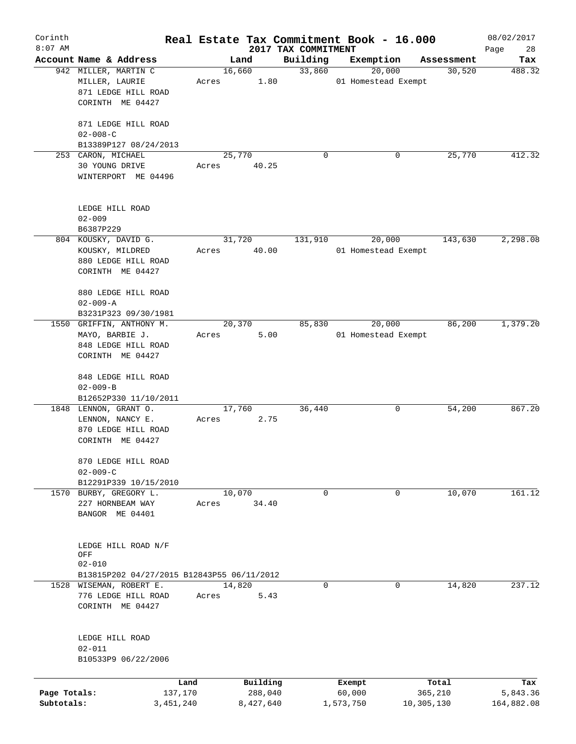| Corinth<br>$8:07$ AM |                                            |       |           |                                 | Real Estate Tax Commitment Book - 16.000 |            | 08/02/2017        |
|----------------------|--------------------------------------------|-------|-----------|---------------------------------|------------------------------------------|------------|-------------------|
|                      | Account Name & Address                     |       | Land      | 2017 TAX COMMITMENT<br>Building | Exemption                                | Assessment | Page<br>28<br>Tax |
|                      | 942 MILLER, MARTIN C                       |       | 16,660    | 33,860                          | 20,000                                   | 30,520     | 488.32            |
|                      | MILLER, LAURIE                             | Acres | 1.80      |                                 | 01 Homestead Exempt                      |            |                   |
|                      | 871 LEDGE HILL ROAD                        |       |           |                                 |                                          |            |                   |
|                      | CORINTH ME 04427                           |       |           |                                 |                                          |            |                   |
|                      |                                            |       |           |                                 |                                          |            |                   |
|                      | 871 LEDGE HILL ROAD                        |       |           |                                 |                                          |            |                   |
|                      | $02 - 008 - C$                             |       |           |                                 |                                          |            |                   |
|                      | B13389P127 08/24/2013                      |       |           |                                 |                                          |            |                   |
|                      | 253 CARON, MICHAEL                         |       | 25,770    | $\Omega$                        | 0                                        | 25,770     | 412.32            |
|                      | 30 YOUNG DRIVE                             | Acres | 40.25     |                                 |                                          |            |                   |
|                      | WINTERPORT ME 04496                        |       |           |                                 |                                          |            |                   |
|                      |                                            |       |           |                                 |                                          |            |                   |
|                      | LEDGE HILL ROAD                            |       |           |                                 |                                          |            |                   |
|                      | $02 - 009$                                 |       |           |                                 |                                          |            |                   |
|                      | B6387P229                                  |       |           |                                 |                                          |            |                   |
|                      | 804 KOUSKY, DAVID G.                       |       | 31,720    | 131,910                         | 20,000                                   | 143,630    | 2,298.08          |
|                      | KOUSKY, MILDRED                            | Acres | 40.00     |                                 | 01 Homestead Exempt                      |            |                   |
|                      | 880 LEDGE HILL ROAD                        |       |           |                                 |                                          |            |                   |
|                      | CORINTH ME 04427                           |       |           |                                 |                                          |            |                   |
|                      | 880 LEDGE HILL ROAD                        |       |           |                                 |                                          |            |                   |
|                      | $02 - 009 - A$                             |       |           |                                 |                                          |            |                   |
|                      | B3231P323 09/30/1981                       |       |           |                                 |                                          |            |                   |
|                      | 1550 GRIFFIN, ANTHONY M.                   |       | 20,370    | 85,830                          | 20,000                                   | 86,200     | 1,379.20          |
|                      | MAYO, BARBIE J.                            | Acres | 5.00      |                                 | 01 Homestead Exempt                      |            |                   |
|                      | 848 LEDGE HILL ROAD                        |       |           |                                 |                                          |            |                   |
|                      | CORINTH ME 04427                           |       |           |                                 |                                          |            |                   |
|                      | 848 LEDGE HILL ROAD                        |       |           |                                 |                                          |            |                   |
|                      | $02 - 009 - B$                             |       |           |                                 |                                          |            |                   |
|                      | B12652P330 11/10/2011                      |       |           |                                 |                                          |            |                   |
|                      | 1848 LENNON, GRANT O.                      |       | 17,760    | 36,440                          | 0                                        | 54,200     | 867.20            |
|                      | LENNON, NANCY E.                           | Acres | 2.75      |                                 |                                          |            |                   |
|                      | 870 LEDGE HILL ROAD                        |       |           |                                 |                                          |            |                   |
|                      | CORINTH ME 04427                           |       |           |                                 |                                          |            |                   |
|                      | 870 LEDGE HILL ROAD                        |       |           |                                 |                                          |            |                   |
|                      | $02 - 009 - C$                             |       |           |                                 |                                          |            |                   |
|                      | B12291P339 10/15/2010                      |       |           |                                 |                                          |            |                   |
|                      | 1570 BURBY, GREGORY L.                     |       | 10,070    | 0                               | 0                                        | 10,070     | 161.12            |
|                      | 227 HORNBEAM WAY                           | Acres | 34.40     |                                 |                                          |            |                   |
|                      | BANGOR ME 04401                            |       |           |                                 |                                          |            |                   |
|                      |                                            |       |           |                                 |                                          |            |                   |
|                      | LEDGE HILL ROAD N/F                        |       |           |                                 |                                          |            |                   |
|                      | OFF                                        |       |           |                                 |                                          |            |                   |
|                      | $02 - 010$                                 |       |           |                                 |                                          |            |                   |
|                      | B13815P202 04/27/2015 B12843P55 06/11/2012 |       |           |                                 |                                          |            |                   |
|                      | 1528 WISEMAN, ROBERT E.                    |       | 14,820    | $\mathbf 0$                     | $\mathbf 0$                              | 14,820     | 237.12            |
|                      | 776 LEDGE HILL ROAD                        | Acres | 5.43      |                                 |                                          |            |                   |
|                      | CORINTH ME 04427                           |       |           |                                 |                                          |            |                   |
|                      |                                            |       |           |                                 |                                          |            |                   |
|                      | LEDGE HILL ROAD                            |       |           |                                 |                                          |            |                   |
|                      | $02 - 011$                                 |       |           |                                 |                                          |            |                   |
|                      | B10533P9 06/22/2006                        |       |           |                                 |                                          |            |                   |
|                      | Land                                       |       | Building  |                                 | Exempt                                   | Total      | Tax               |
| Page Totals:         | 137,170                                    |       | 288,040   |                                 | 60,000                                   | 365,210    | 5,843.36          |
| Subtotals:           | 3,451,240                                  |       | 8,427,640 |                                 | 1,573,750                                | 10,305,130 | 164,882.08        |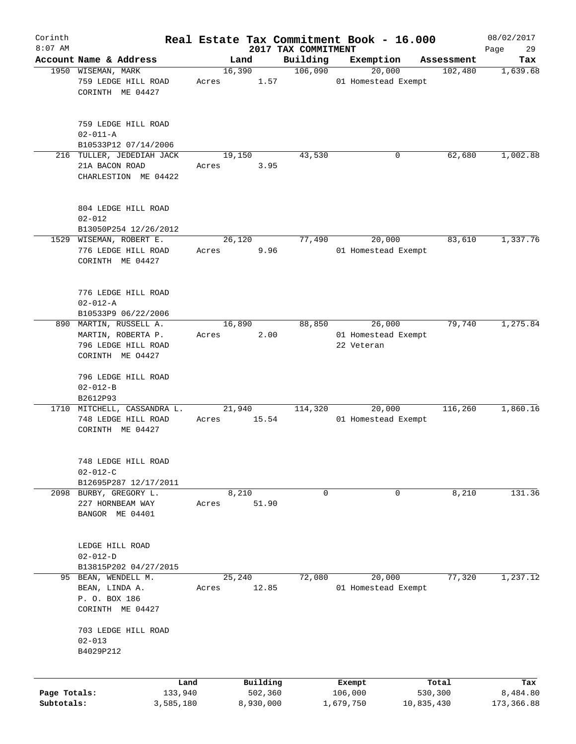| Corinth      |                                                                     |       |                     |                     | Real Estate Tax Commitment Book - 16.000 |                       | 08/02/2017      |
|--------------|---------------------------------------------------------------------|-------|---------------------|---------------------|------------------------------------------|-----------------------|-----------------|
| $8:07$ AM    |                                                                     |       |                     | 2017 TAX COMMITMENT |                                          |                       | 29<br>Page      |
|              | Account Name & Address<br>1950 WISEMAN, MARK                        |       | Land<br>16,390      | Building<br>106,090 | Exemption<br>20,000                      | Assessment<br>102,480 | Tax<br>1,639.68 |
|              | 759 LEDGE HILL ROAD<br>CORINTH ME 04427                             | Acres | 1.57                |                     | 01 Homestead Exempt                      |                       |                 |
|              | 759 LEDGE HILL ROAD<br>$02 - 011 - A$                               |       |                     |                     |                                          |                       |                 |
|              | B10533P12 07/14/2006                                                |       |                     | 43,530              |                                          |                       |                 |
|              | 216 TULLER, JEDEDIAH JACK<br>21A BACON ROAD<br>CHARLESTION ME 04422 | Acres | 19,150<br>3.95      |                     | 0                                        | 62,680                | 1,002.88        |
|              | 804 LEDGE HILL ROAD<br>$02 - 012$<br>B13050P254 12/26/2012          |       |                     |                     |                                          |                       |                 |
|              | 1529 WISEMAN, ROBERT E.                                             |       | 26,120              | 77,490              | 20,000                                   | 83,610                | 1,337.76        |
|              | 776 LEDGE HILL ROAD<br>CORINTH ME 04427                             | Acres | 9.96                |                     | 01 Homestead Exempt                      |                       |                 |
|              | 776 LEDGE HILL ROAD<br>$02 - 012 - A$<br>B10533P9 06/22/2006        |       |                     |                     |                                          |                       |                 |
|              | 890 MARTIN, RUSSELL A.                                              |       | 16,890              | 88,850              | 26,000                                   | 79,740                | 1,275.84        |
|              | MARTIN, ROBERTA P.                                                  | Acres | 2.00                |                     | 01 Homestead Exempt                      |                       |                 |
|              | 796 LEDGE HILL ROAD                                                 |       |                     |                     | 22 Veteran                               |                       |                 |
|              | CORINTH ME 04427                                                    |       |                     |                     |                                          |                       |                 |
|              | 796 LEDGE HILL ROAD<br>$02 - 012 - B$                               |       |                     |                     |                                          |                       |                 |
|              | B2612P93<br>1710 MITCHELL, CASSANDRA L.                             |       | 21,940              | 114,320             | 20,000                                   | 116,260               | 1,860.16        |
|              | 748 LEDGE HILL ROAD<br>CORINTH ME 04427                             | Acres | 15.54               |                     | 01 Homestead Exempt                      |                       |                 |
|              | 748 LEDGE HILL ROAD<br>$02 - 012 - C$                               |       |                     |                     |                                          |                       |                 |
|              | B12695P287 12/17/2011                                               |       |                     |                     |                                          |                       |                 |
|              | 2098 BURBY, GREGORY L.<br>227 HORNBEAM WAY<br>BANGOR ME 04401       | Acres | 8,210<br>51.90      | 0                   | 0                                        | 8,210                 | 131.36          |
|              | LEDGE HILL ROAD<br>$02 - 012 - D$                                   |       |                     |                     |                                          |                       |                 |
|              | B13815P202 04/27/2015                                               |       |                     |                     |                                          |                       |                 |
|              | 95 BEAN, WENDELL M.<br>BEAN, LINDA A.<br>P. O. BOX 186              | Acres | 25,240<br>12.85     | 72,080              | 20,000<br>01 Homestead Exempt            | 77,320                | 1,237.12        |
|              | CORINTH ME 04427<br>703 LEDGE HILL ROAD                             |       |                     |                     |                                          |                       |                 |
|              | $02 - 013$<br>B4029P212                                             |       |                     |                     |                                          |                       |                 |
| Page Totals: | Land<br>133,940                                                     |       | Building<br>502,360 |                     | Exempt<br>106,000                        | Total<br>530,300      | Tax<br>8,484.80 |
| Subtotals:   | 3,585,180                                                           |       | 8,930,000           |                     | 1,679,750                                | 10,835,430            | 173,366.88      |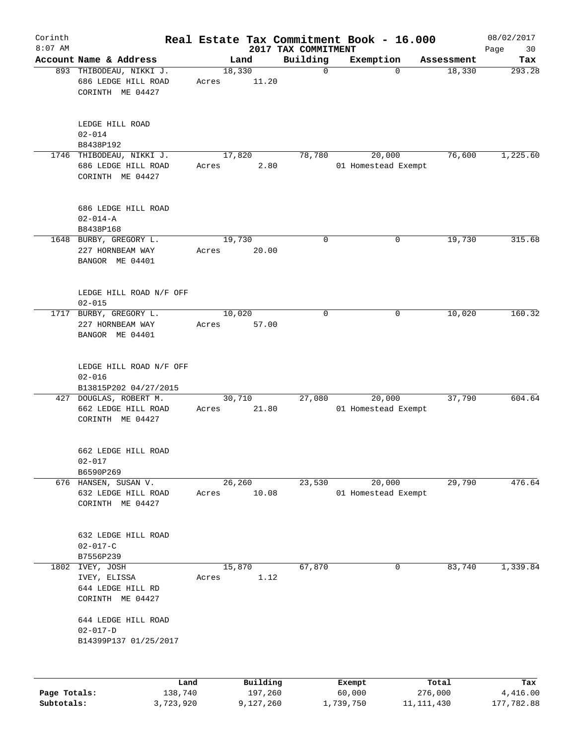| Corinth      |                                                                     |                 |                     |                                 | Real Estate Tax Commitment Book - 16.000 |                  | 08/02/2017        |
|--------------|---------------------------------------------------------------------|-----------------|---------------------|---------------------------------|------------------------------------------|------------------|-------------------|
| $8:07$ AM    | Account Name & Address                                              |                 | Land                | 2017 TAX COMMITMENT<br>Building | Exemption                                | Assessment       | Page<br>30<br>Tax |
|              | 893 THIBODEAU, NIKKI J.<br>686 LEDGE HILL ROAD<br>CORINTH ME 04427  | 18,330<br>Acres | 11.20               | $\mathbf 0$                     | $\Omega$                                 | 18,330           | 293.28            |
|              | LEDGE HILL ROAD<br>$02 - 014$<br>B8438P192                          |                 |                     |                                 |                                          |                  |                   |
|              | 1746 THIBODEAU, NIKKI J.<br>686 LEDGE HILL ROAD<br>CORINTH ME 04427 | Acres           | 17,820<br>2.80      | 78,780                          | 20,000<br>01 Homestead Exempt            | 76,600           | 1,225.60          |
|              | 686 LEDGE HILL ROAD<br>$02 - 014 - A$<br>B8438P168                  |                 |                     |                                 |                                          |                  |                   |
|              | 1648 BURBY, GREGORY L.<br>227 HORNBEAM WAY<br>BANGOR ME 04401       | 19,730<br>Acres | 20.00               | $\mathbf 0$                     | 0                                        | 19,730           | 315.68            |
|              | LEDGE HILL ROAD N/F OFF<br>$02 - 015$                               |                 |                     |                                 |                                          |                  |                   |
|              | 1717 BURBY, GREGORY L.<br>227 HORNBEAM WAY<br>BANGOR ME 04401       | Acres           | 10,020<br>57.00     | $\mathbf 0$                     | 0                                        | 10,020           | 160.32            |
|              | LEDGE HILL ROAD N/F OFF<br>$02 - 016$<br>B13815P202 04/27/2015      |                 |                     |                                 |                                          |                  |                   |
|              | 427 DOUGLAS, ROBERT M.<br>662 LEDGE HILL ROAD<br>CORINTH ME 04427   | Acres           | 30,710<br>21.80     | 27,080                          | 20,000<br>01 Homestead Exempt            | 37,790           | 604.64            |
|              | 662 LEDGE HILL ROAD<br>$02 - 017$<br>B6590P269                      |                 |                     |                                 |                                          |                  |                   |
|              | 676 HANSEN, SUSAN V.<br>632 LEDGE HILL ROAD<br>CORINTH ME 04427     | Acres           | 26,260<br>10.08     | 23,530                          | 20,000<br>01 Homestead Exempt            | 29,790           | 476.64            |
|              | 632 LEDGE HILL ROAD<br>$02 - 017 - C$<br>B7556P239                  |                 |                     |                                 |                                          |                  |                   |
| 1802         | IVEY, JOSH<br>IVEY, ELISSA<br>644 LEDGE HILL RD<br>CORINTH ME 04427 | Acres           | 15,870<br>1.12      | 67,870                          | 0                                        | 83,740           | 1,339.84          |
|              | 644 LEDGE HILL ROAD<br>$02 - 017 - D$<br>B14399P137 01/25/2017      |                 |                     |                                 |                                          |                  |                   |
| Page Totals: |                                                                     | Land<br>138,740 | Building<br>197,260 |                                 | Exempt<br>60,000                         | Total<br>276,000 | Tax<br>4,416.00   |
| Subtotals:   | 3,723,920                                                           |                 | 9,127,260           |                                 | 1,739,750                                | 11, 111, 430     | 177,782.88        |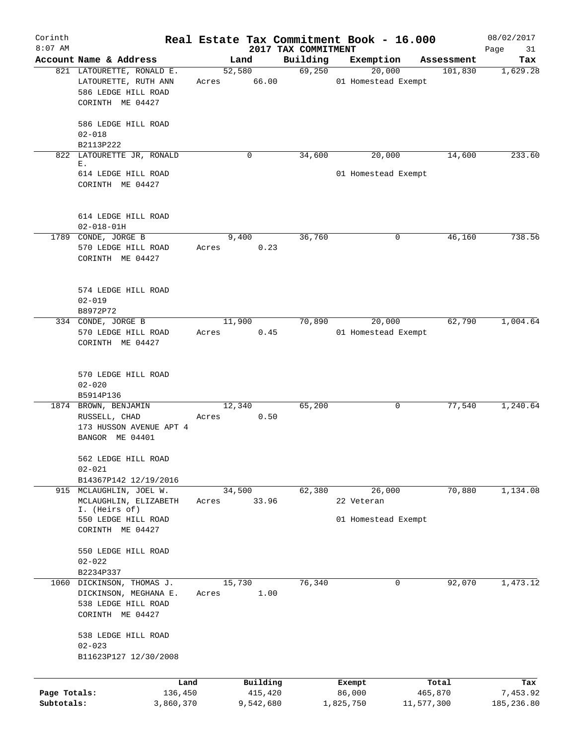| Corinth<br>$8:07$ AM       |                                                                                              |                 |                      | 2017 TAX COMMITMENT | Real Estate Tax Commitment Book - 16.000 |                       | 08/02/2017<br>Page<br>31 |
|----------------------------|----------------------------------------------------------------------------------------------|-----------------|----------------------|---------------------|------------------------------------------|-----------------------|--------------------------|
|                            | Account Name & Address                                                                       | Land            |                      | Building            | Exemption                                | Assessment            | Tax                      |
|                            | 821 LATOURETTE, RONALD E.<br>LATOURETTE, RUTH ANN<br>586 LEDGE HILL ROAD<br>CORINTH ME 04427 | 52,580<br>Acres | 66.00                | 69,250              | 20,000<br>01 Homestead Exempt            | 101,830               | 1,629.28                 |
|                            | 586 LEDGE HILL ROAD<br>$02 - 018$                                                            |                 |                      |                     |                                          |                       |                          |
| 822                        | B2113P222<br>LATOURETTE JR, RONALD                                                           |                 | 0                    | 34,600              | 20,000                                   | 14,600                | 233.60                   |
|                            | Ε.<br>614 LEDGE HILL ROAD<br>CORINTH ME 04427                                                |                 |                      |                     | 01 Homestead Exempt                      |                       |                          |
|                            | 614 LEDGE HILL ROAD                                                                          |                 |                      |                     |                                          |                       |                          |
|                            | $02 - 018 - 01H$                                                                             |                 |                      |                     |                                          |                       |                          |
|                            | 1789 CONDE, JORGE B<br>570 LEDGE HILL ROAD<br>CORINTH ME 04427                               | 9,400<br>Acres  | 0.23                 | 36,760              | 0                                        | 46,160                | 738.56                   |
|                            | 574 LEDGE HILL ROAD<br>$02 - 019$                                                            |                 |                      |                     |                                          |                       |                          |
|                            | B8972P72                                                                                     |                 |                      |                     |                                          |                       |                          |
|                            | 334 CONDE, JORGE B<br>570 LEDGE HILL ROAD<br>CORINTH ME 04427                                | 11,900<br>Acres | 0.45                 | 70,890              | 20,000<br>01 Homestead Exempt            | 62,790                | 1,004.64                 |
|                            | 570 LEDGE HILL ROAD<br>$02 - 020$<br>B5914P136                                               |                 |                      |                     |                                          |                       |                          |
|                            | 1874 BROWN, BENJAMIN<br>RUSSELL, CHAD<br>173 HUSSON AVENUE APT 4<br>BANGOR ME 04401          | 12,340<br>Acres | 0.50                 | 65,200              | 0                                        | 77,540                | 1,240.64                 |
|                            | 562 LEDGE HILL ROAD<br>$02 - 021$<br>B14367P142 12/19/2016                                   |                 |                      |                     |                                          |                       |                          |
|                            | 915 MCLAUGHLIN, JOEL W.<br>MCLAUGHLIN, ELIZABETH<br>I. (Heirs of)                            | 34,500<br>Acres | 33.96                | 62,380              | 26,000<br>22 Veteran                     | 70,880                | 1,134.08                 |
|                            | 550 LEDGE HILL ROAD<br>CORINTH ME 04427                                                      |                 |                      |                     | 01 Homestead Exempt                      |                       |                          |
|                            | 550 LEDGE HILL ROAD<br>$02 - 022$<br>B2234P337                                               |                 |                      |                     |                                          |                       |                          |
| 1060                       | DICKINSON, THOMAS J.<br>DICKINSON, MEGHANA E.<br>538 LEDGE HILL ROAD<br>CORINTH ME 04427     | 15,730<br>Acres | 1.00                 | 76,340              | 0                                        | 92,070                | 1,473.12                 |
|                            | 538 LEDGE HILL ROAD<br>$02 - 023$<br>B11623P127 12/30/2008                                   |                 |                      |                     |                                          |                       |                          |
|                            | Land                                                                                         |                 | Building             |                     | Exempt                                   | Total                 | Tax                      |
| Page Totals:<br>Subtotals: | 136,450<br>3,860,370                                                                         |                 | 415,420<br>9,542,680 |                     | 86,000<br>1,825,750                      | 465,870<br>11,577,300 | 7,453.92<br>185,236.80   |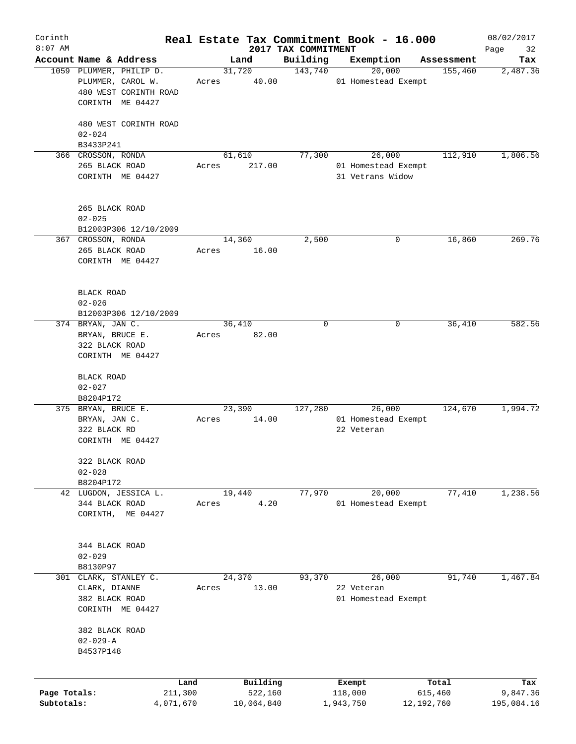| Corinth<br>$8:07$ AM |                                  |                         |       |        |            | 2017 TAX COMMITMENT | Real Estate Tax Commitment Book - 16.000 |            |            | 08/02/2017        |
|----------------------|----------------------------------|-------------------------|-------|--------|------------|---------------------|------------------------------------------|------------|------------|-------------------|
|                      | Account Name & Address           |                         |       | Land   |            | Building            | Exemption                                |            | Assessment | Page<br>32<br>Tax |
|                      |                                  | 1059 PLUMMER, PHILIP D. |       | 31,720 |            | 143,740             | 20,000                                   |            | 155,460    | 2,487.36          |
|                      |                                  | PLUMMER, CAROL W.       | Acres |        | 40.00      |                     | 01 Homestead Exempt                      |            |            |                   |
|                      |                                  | 480 WEST CORINTH ROAD   |       |        |            |                     |                                          |            |            |                   |
|                      |                                  | CORINTH ME 04427        |       |        |            |                     |                                          |            |            |                   |
|                      |                                  |                         |       |        |            |                     |                                          |            |            |                   |
|                      |                                  | 480 WEST CORINTH ROAD   |       |        |            |                     |                                          |            |            |                   |
|                      | $02 - 024$                       |                         |       |        |            |                     |                                          |            |            |                   |
|                      | B3433P241                        |                         |       |        |            |                     |                                          |            |            |                   |
|                      | 366 CROSSON, RONDA               |                         |       | 61,610 |            | 77,300              | 26,000                                   |            | 112,910    | 1,806.56          |
|                      | 265 BLACK ROAD                   |                         | Acres |        | 217.00     |                     | 01 Homestead Exempt                      |            |            |                   |
|                      |                                  | CORINTH ME 04427        |       |        |            |                     | 31 Vetrans Widow                         |            |            |                   |
|                      |                                  |                         |       |        |            |                     |                                          |            |            |                   |
|                      |                                  |                         |       |        |            |                     |                                          |            |            |                   |
|                      | 265 BLACK ROAD                   |                         |       |        |            |                     |                                          |            |            |                   |
|                      | $02 - 025$                       |                         |       |        |            |                     |                                          |            |            |                   |
|                      |                                  | B12003P306 12/10/2009   |       |        |            |                     |                                          |            |            |                   |
|                      | 367 CROSSON, RONDA               |                         |       | 14,360 |            | 2,500               |                                          | 0          | 16,860     | 269.76            |
|                      | 265 BLACK ROAD                   |                         | Acres |        | 16.00      |                     |                                          |            |            |                   |
|                      |                                  | CORINTH ME 04427        |       |        |            |                     |                                          |            |            |                   |
|                      |                                  |                         |       |        |            |                     |                                          |            |            |                   |
|                      | <b>BLACK ROAD</b>                |                         |       |        |            |                     |                                          |            |            |                   |
|                      | $02 - 026$                       |                         |       |        |            |                     |                                          |            |            |                   |
|                      |                                  | B12003P306 12/10/2009   |       |        |            |                     |                                          |            |            |                   |
|                      | 374 BRYAN, JAN C.                |                         |       | 36,410 |            | $\mathbf 0$         |                                          | 0          | 36,410     | 582.56            |
|                      | BRYAN, BRUCE E.                  |                         | Acres |        | 82.00      |                     |                                          |            |            |                   |
|                      | 322 BLACK ROAD                   |                         |       |        |            |                     |                                          |            |            |                   |
|                      |                                  | CORINTH ME 04427        |       |        |            |                     |                                          |            |            |                   |
|                      |                                  |                         |       |        |            |                     |                                          |            |            |                   |
|                      | BLACK ROAD                       |                         |       |        |            |                     |                                          |            |            |                   |
|                      | $02 - 027$                       |                         |       |        |            |                     |                                          |            |            |                   |
|                      | B8204P172                        |                         |       |        |            |                     |                                          |            |            |                   |
|                      | 375 BRYAN, BRUCE E.              |                         |       | 23,390 |            | 127,280             | 26,000                                   |            | 124,670    | 1,994.72          |
|                      | BRYAN, JAN C.                    |                         | Acres |        | 14.00      |                     | 01 Homestead Exempt                      |            |            |                   |
|                      | 322 BLACK RD                     |                         |       |        |            |                     | 22 Veteran                               |            |            |                   |
|                      |                                  | CORINTH ME 04427        |       |        |            |                     |                                          |            |            |                   |
|                      | 322 BLACK ROAD                   |                         |       |        |            |                     |                                          |            |            |                   |
|                      | $02 - 028$                       |                         |       |        |            |                     |                                          |            |            |                   |
|                      | B8204P172                        |                         |       |        |            |                     |                                          |            |            |                   |
|                      |                                  | 42 LUGDON, JESSICA L.   |       | 19,440 |            | 77,970              | 20,000                                   |            | 77,410     | 1,238.56          |
|                      | 344 BLACK ROAD                   |                         | Acres |        | 4.20       |                     | 01 Homestead Exempt                      |            |            |                   |
|                      | CORINTH,                         | ME 04427                |       |        |            |                     |                                          |            |            |                   |
|                      |                                  |                         |       |        |            |                     |                                          |            |            |                   |
|                      |                                  |                         |       |        |            |                     |                                          |            |            |                   |
|                      | 344 BLACK ROAD                   |                         |       |        |            |                     |                                          |            |            |                   |
|                      | $02 - 029$                       |                         |       |        |            |                     |                                          |            |            |                   |
|                      | B8130P97                         |                         |       |        |            |                     |                                          |            |            |                   |
| 301                  |                                  | CLARK, STANLEY C.       |       | 24,370 |            | 93,370              | 26,000                                   |            | 91,740     | 1,467.84          |
|                      | CLARK, DIANNE                    |                         | Acres |        | 13.00      |                     | 22 Veteran                               |            |            |                   |
|                      | 382 BLACK ROAD                   |                         |       |        |            |                     | 01 Homestead Exempt                      |            |            |                   |
|                      |                                  | CORINTH ME 04427        |       |        |            |                     |                                          |            |            |                   |
|                      |                                  |                         |       |        |            |                     |                                          |            |            |                   |
|                      | 382 BLACK ROAD<br>$02 - 029 - A$ |                         |       |        |            |                     |                                          |            |            |                   |
|                      | B4537P148                        |                         |       |        |            |                     |                                          |            |            |                   |
|                      |                                  |                         |       |        |            |                     |                                          |            |            |                   |
|                      |                                  |                         |       |        |            |                     |                                          |            |            |                   |
|                      |                                  | Land                    |       |        | Building   |                     | Exempt                                   |            | Total      | Tax               |
| Page Totals:         |                                  | 211,300                 |       |        | 522,160    |                     | 118,000                                  |            | 615,460    | 9,847.36          |
| Subtotals:           |                                  | 4,071,670               |       |        | 10,064,840 |                     | 1,943,750                                | 12,192,760 |            | 195,084.16        |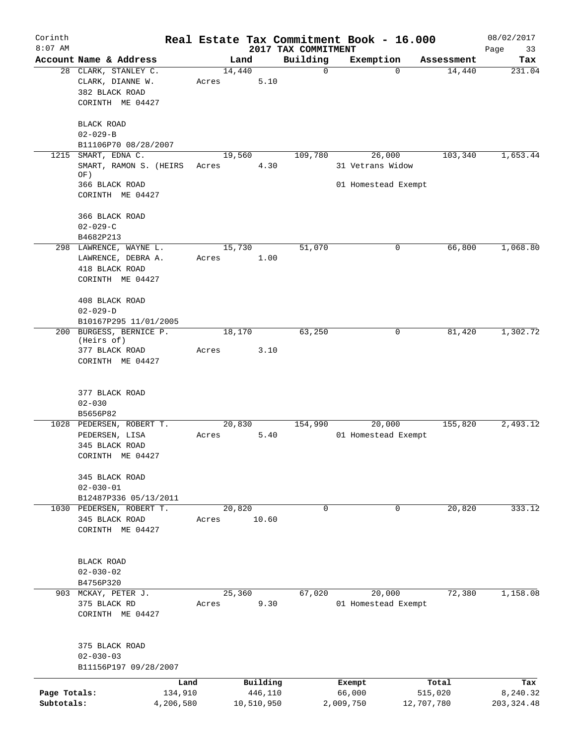| Corinth<br>$8:07$ AM |                                                 |       |                |                                 | Real Estate Tax Commitment Book - 16.000 |            | 08/02/2017        |
|----------------------|-------------------------------------------------|-------|----------------|---------------------------------|------------------------------------------|------------|-------------------|
|                      | Account Name & Address                          |       | Land           | 2017 TAX COMMITMENT<br>Building | Exemption                                | Assessment | Page<br>33<br>Tax |
|                      | 28 CLARK, STANLEY C.<br>CLARK, DIANNE W.        | Acres | 14,440<br>5.10 | $\mathbf 0$                     | $\mathbf 0$                              | 14,440     | 231.04            |
|                      | 382 BLACK ROAD<br>CORINTH ME 04427              |       |                |                                 |                                          |            |                   |
|                      | <b>BLACK ROAD</b><br>$02 - 029 - B$             |       |                |                                 |                                          |            |                   |
|                      | B11106P70 08/28/2007                            |       |                |                                 |                                          |            |                   |
| 1215                 | SMART, EDNA C.                                  |       | 19,560         | 109,780                         | 26,000                                   | 103,340    | 1,653.44          |
|                      | SMART, RAMON S. (HEIRS<br>OF)<br>366 BLACK ROAD | Acres | 4.30           |                                 | 31 Vetrans Widow<br>01 Homestead Exempt  |            |                   |
|                      | CORINTH ME 04427                                |       |                |                                 |                                          |            |                   |
|                      | 366 BLACK ROAD<br>$02 - 029 - C$                |       |                |                                 |                                          |            |                   |
|                      | B4682P213                                       |       |                |                                 |                                          |            |                   |
|                      | 298 LAWRENCE, WAYNE L.                          |       | 15,730         | 51,070                          | 0                                        | 66,800     | 1,068.80          |
|                      | LAWRENCE, DEBRA A.                              | Acres | 1.00           |                                 |                                          |            |                   |
|                      | 418 BLACK ROAD                                  |       |                |                                 |                                          |            |                   |
|                      | CORINTH ME 04427                                |       |                |                                 |                                          |            |                   |
|                      | 408 BLACK ROAD                                  |       |                |                                 |                                          |            |                   |
|                      | $02 - 029 - D$                                  |       |                |                                 |                                          |            |                   |
|                      | B10167P295 11/01/2005                           |       |                |                                 |                                          |            |                   |
|                      | 200 BURGESS, BERNICE P.<br>(Heirs of)           |       | 18,170         | 63,250                          | 0                                        | 81,420     | 1,302.72          |
|                      | 377 BLACK ROAD                                  | Acres | 3.10           |                                 |                                          |            |                   |
|                      | CORINTH ME 04427                                |       |                |                                 |                                          |            |                   |
|                      | 377 BLACK ROAD                                  |       |                |                                 |                                          |            |                   |
|                      | $02 - 030$                                      |       |                |                                 |                                          |            |                   |
|                      | B5656P82                                        |       |                |                                 |                                          |            |                   |
|                      | 1028 PEDERSEN, ROBERT T.                        |       | 20,830         | 154,990                         | 20,000                                   | 155,820    | 2,493.12          |
|                      | PEDERSEN, LISA                                  | Acres | 5.40           |                                 | 01 Homestead Exempt                      |            |                   |
|                      | 345 BLACK ROAD                                  |       |                |                                 |                                          |            |                   |
|                      | CORINTH ME 04427                                |       |                |                                 |                                          |            |                   |
|                      | 345 BLACK ROAD                                  |       |                |                                 |                                          |            |                   |
|                      | $02 - 030 - 01$                                 |       |                |                                 |                                          |            |                   |
|                      | B12487P336 05/13/2011                           |       |                |                                 |                                          |            |                   |
|                      | 1030 PEDERSEN, ROBERT T.                        |       | 20,820         | $\mathbf 0$                     | $\overline{0}$                           | 20,820     | 333.12            |
|                      | 345 BLACK ROAD                                  | Acres | 10.60          |                                 |                                          |            |                   |
|                      | CORINTH ME 04427                                |       |                |                                 |                                          |            |                   |
|                      | <b>BLACK ROAD</b>                               |       |                |                                 |                                          |            |                   |
|                      | $02 - 030 - 02$                                 |       |                |                                 |                                          |            |                   |
|                      | B4756P320                                       |       |                |                                 |                                          |            |                   |
|                      | 903 MCKAY, PETER J.                             |       | 25,360         | 67,020                          | 20,000                                   | 72,380     | 1,158.08          |
|                      | 375 BLACK RD<br>CORINTH ME 04427                | Acres | 9.30           |                                 | 01 Homestead Exempt                      |            |                   |
|                      |                                                 |       |                |                                 |                                          |            |                   |
|                      | 375 BLACK ROAD<br>$02 - 030 - 03$               |       |                |                                 |                                          |            |                   |
|                      | B11156P197 09/28/2007                           |       |                |                                 |                                          |            |                   |
|                      |                                                 | Land  | Building       |                                 | Exempt                                   | Total      | Tax               |
| Page Totals:         | 134,910                                         |       | 446,110        |                                 | 66,000                                   | 515,020    | 8,240.32          |
| Subtotals:           | 4,206,580                                       |       | 10,510,950     |                                 | 2,009,750                                | 12,707,780 | 203, 324.48       |
|                      |                                                 |       |                |                                 |                                          |            |                   |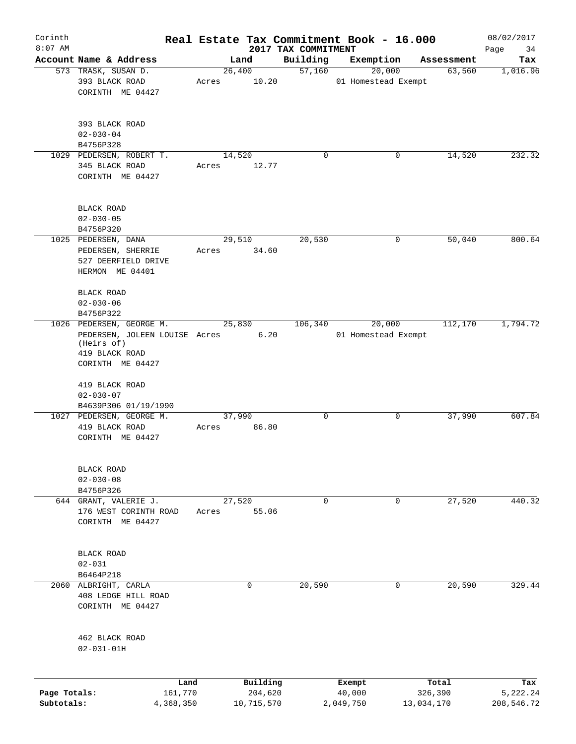| Corinth                    |                                                                                                                  |       |                       |                                 | Real Estate Tax Commitment Book - 16.000 |                      | 08/02/2017             |
|----------------------------|------------------------------------------------------------------------------------------------------------------|-------|-----------------------|---------------------------------|------------------------------------------|----------------------|------------------------|
| $8:07$ AM                  | Account Name & Address                                                                                           |       | Land                  | 2017 TAX COMMITMENT<br>Building | Exemption                                |                      | Page<br>34             |
|                            | 573 TRASK, SUSAN D.                                                                                              |       | 26,400                | 57,160                          | 20,000                                   | Assessment<br>63,560 | Tax<br>1,016.96        |
|                            | 393 BLACK ROAD<br>CORINTH ME 04427                                                                               | Acres | 10.20                 |                                 | 01 Homestead Exempt                      |                      |                        |
|                            | 393 BLACK ROAD<br>$02 - 030 - 04$                                                                                |       |                       |                                 |                                          |                      |                        |
|                            | B4756P328                                                                                                        |       |                       |                                 |                                          |                      |                        |
|                            | 1029 PEDERSEN, ROBERT T.<br>345 BLACK ROAD<br>CORINTH ME 04427                                                   | Acres | 14,520<br>12.77       | $\mathbf 0$                     | 0                                        | 14,520               | 232.32                 |
|                            | <b>BLACK ROAD</b><br>$02 - 030 - 05$                                                                             |       |                       |                                 |                                          |                      |                        |
|                            | B4756P320<br>1025 PEDERSEN, DANA                                                                                 |       | 29,510                | 20,530                          | 0                                        | 50,040               | 800.64                 |
|                            | PEDERSEN, SHERRIE<br>527 DEERFIELD DRIVE<br>HERMON ME 04401<br><b>BLACK ROAD</b><br>$02 - 030 - 06$              | Acres | 34.60                 |                                 |                                          |                      |                        |
|                            | B4756P322                                                                                                        |       |                       |                                 |                                          |                      |                        |
|                            | 1026 PEDERSEN, GEORGE M.<br>PEDERSEN, JOLEEN LOUISE Acres<br>(Heirs of)<br>419 BLACK ROAD<br>CORINTH ME 04427    |       | 25,830<br>6.20        | 106,340                         | 20,000<br>01 Homestead Exempt            | 112,170              | 1,794.72               |
|                            | 419 BLACK ROAD<br>$02 - 030 - 07$<br>B4639P306 01/19/1990<br>1027 PEDERSEN, GEORGE M.<br>419 BLACK ROAD          | Acres | 37,990<br>86.80       | 0                               | 0                                        | 37,990               | 607.84                 |
|                            | CORINTH ME 04427<br>BLACK ROAD<br>$02 - 030 - 08$<br>B4756P326<br>644 GRANT, VALERIE J.<br>176 WEST CORINTH ROAD | Acres | 27,520<br>55.06       | $\mathbf 0$                     | 0                                        | 27,520               | 440.32                 |
|                            | CORINTH ME 04427<br>BLACK ROAD<br>$02 - 031$<br>B6464P218                                                        |       |                       |                                 |                                          |                      |                        |
|                            | 2060 ALBRIGHT, CARLA<br>408 LEDGE HILL ROAD<br>CORINTH ME 04427<br>462 BLACK ROAD<br>$02 - 031 - 01H$            |       | 0                     | 20,590                          | 0                                        | 20,590               | 329.44                 |
|                            |                                                                                                                  |       |                       |                                 |                                          |                      |                        |
|                            |                                                                                                                  | Land  | Building              |                                 | Exempt                                   | Total<br>326,390     | Tax                    |
| Page Totals:<br>Subtotals: | 161,770<br>4,368,350                                                                                             |       | 204,620<br>10,715,570 |                                 | 40,000<br>2,049,750                      | 13,034,170           | 5,222.24<br>208,546.72 |
|                            |                                                                                                                  |       |                       |                                 |                                          |                      |                        |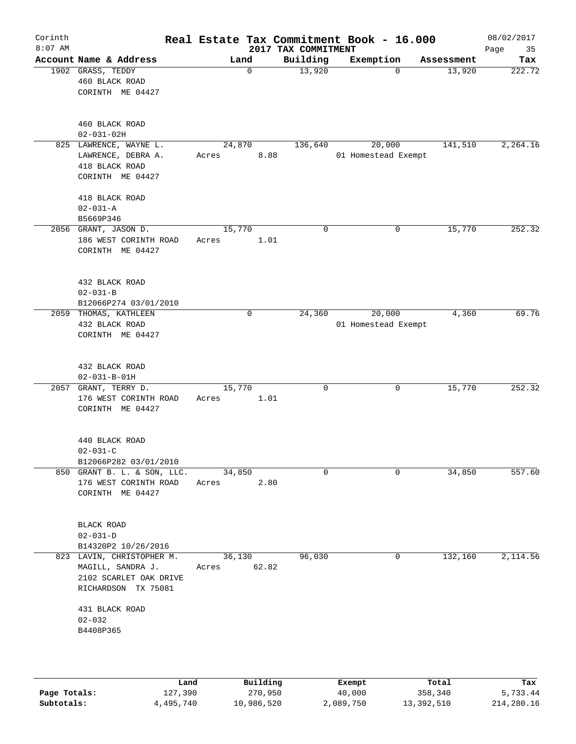| Corinth<br>$8:07$ AM |                                                                                                 |                 |                 | 2017 TAX COMMITMENT | Real Estate Tax Commitment Book - 16.000 |            | 08/02/2017<br>Page<br>35 |
|----------------------|-------------------------------------------------------------------------------------------------|-----------------|-----------------|---------------------|------------------------------------------|------------|--------------------------|
|                      | Account Name & Address                                                                          |                 | Land            | Building            | Exemption                                | Assessment | Tax                      |
|                      | 1902 GRASS, TEDDY<br>460 BLACK ROAD<br>CORINTH ME 04427                                         |                 | 0               | 13,920              | $\Omega$                                 | 13,920     | 222.72                   |
|                      | 460 BLACK ROAD<br>$02 - 031 - 02H$                                                              |                 |                 |                     |                                          |            |                          |
|                      | 825 LAWRENCE, WAYNE L.<br>LAWRENCE, DEBRA A.<br>418 BLACK ROAD<br>CORINTH ME 04427              | Acres           | 24,870<br>8.88  | 136,640             | 20,000<br>01 Homestead Exempt            | 141,510    | 2, 264.16                |
|                      | 418 BLACK ROAD<br>$02 - 031 - A$<br>B5669P346                                                   |                 |                 |                     |                                          |            |                          |
|                      | 2056 GRANT, JASON D.<br>186 WEST CORINTH ROAD<br>CORINTH ME 04427                               | 15,770<br>Acres | 1.01            | $\mathbf 0$         | $\mathbf 0$                              | 15,770     | 252.32                   |
|                      | 432 BLACK ROAD<br>$02 - 031 - B$<br>B12066P274 03/01/2010                                       |                 |                 |                     |                                          |            |                          |
| 2059                 | THOMAS, KATHLEEN<br>432 BLACK ROAD<br>CORINTH ME 04427                                          |                 | 0               | 24,360              | 20,000<br>01 Homestead Exempt            | 4,360      | 69.76                    |
|                      | 432 BLACK ROAD<br>$02 - 031 - B - 01H$                                                          |                 |                 |                     |                                          |            |                          |
| 2057                 | GRANT, TERRY D.<br>176 WEST CORINTH ROAD<br>CORINTH ME 04427                                    | 15,770<br>Acres | 1.01            | $\mathbf 0$         | 0                                        | 15,770     | 252.32                   |
|                      | 440 BLACK ROAD<br>$02 - 031 - C$<br>B12066P282 03/01/2010                                       |                 |                 |                     |                                          |            |                          |
|                      | 850 GRANT B. L. & SON, LLC.<br>176 WEST CORINTH ROAD<br>CORINTH ME 04427                        | Acres           | 34,850<br>2.80  | $\mathbf 0$         | 0                                        | 34,850     | 557.60                   |
|                      | BLACK ROAD<br>$02 - 031 - D$<br>B14320P2 10/26/2016                                             |                 |                 |                     |                                          |            |                          |
|                      | 823 LAVIN, CHRISTOPHER M.<br>MAGILL, SANDRA J.<br>2102 SCARLET OAK DRIVE<br>RICHARDSON TX 75081 | Acres           | 36,130<br>62.82 | 96,030              | 0                                        | 132,160    | 2,114.56                 |
|                      | 431 BLACK ROAD<br>$02 - 032$<br>B4408P365                                                       |                 |                 |                     |                                          |            |                          |
|                      | Land                                                                                            |                 | Building        |                     | Exempt                                   | Total      | Tax                      |

**Page Totals:** 127,390 270,950 40,000 358,340 5,733.44 **Subtotals:** 4,495,740 10,986,520 2,089,750 13,392,510 214,280.16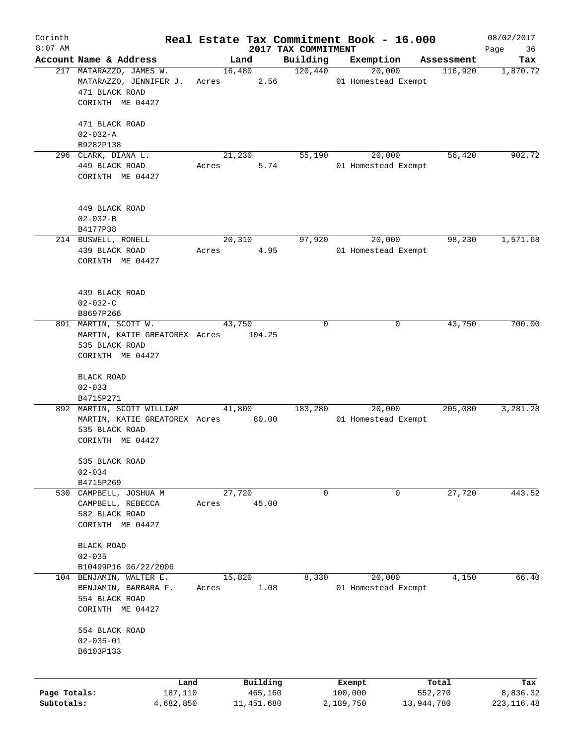| Corinth      |                                     |       |            |                                 | Real Estate Tax Commitment Book - 16.000 |                       | 08/02/2017        |
|--------------|-------------------------------------|-------|------------|---------------------------------|------------------------------------------|-----------------------|-------------------|
| $8:07$ AM    | Account Name & Address              |       | Land       | 2017 TAX COMMITMENT<br>Building | Exemption                                |                       | 36<br>Page<br>Tax |
|              | 217 MATARAZZO, JAMES W.             |       | 16,480     | 120,440                         | 20,000                                   | Assessment<br>116,920 | 1,870.72          |
|              | MATARAZZO, JENNIFER J.              | Acres | 2.56       |                                 | 01 Homestead Exempt                      |                       |                   |
|              | 471 BLACK ROAD                      |       |            |                                 |                                          |                       |                   |
|              | CORINTH ME 04427                    |       |            |                                 |                                          |                       |                   |
|              |                                     |       |            |                                 |                                          |                       |                   |
|              | 471 BLACK ROAD                      |       |            |                                 |                                          |                       |                   |
|              | $02 - 032 - A$                      |       |            |                                 |                                          |                       |                   |
|              | B9282P138                           |       |            |                                 |                                          |                       |                   |
|              | 296 CLARK, DIANA L.                 |       | 21,230     | 55,190                          | 20,000                                   | 56,420                | 902.72            |
|              | 449 BLACK ROAD                      | Acres | 5.74       |                                 | 01 Homestead Exempt                      |                       |                   |
|              | CORINTH ME 04427                    |       |            |                                 |                                          |                       |                   |
|              |                                     |       |            |                                 |                                          |                       |                   |
|              |                                     |       |            |                                 |                                          |                       |                   |
|              | 449 BLACK ROAD                      |       |            |                                 |                                          |                       |                   |
|              | $02 - 032 - B$                      |       |            |                                 |                                          |                       |                   |
|              | B4177P38                            |       |            |                                 |                                          |                       |                   |
|              | 214 BUSWELL, RONELL                 |       | 20,310     | 97,920                          | 20,000                                   | 98,230                | 1,571.68          |
|              | 439 BLACK ROAD                      | Acres | 4.95       |                                 | 01 Homestead Exempt                      |                       |                   |
|              | CORINTH ME 04427                    |       |            |                                 |                                          |                       |                   |
|              |                                     |       |            |                                 |                                          |                       |                   |
|              |                                     |       |            |                                 |                                          |                       |                   |
|              | 439 BLACK ROAD                      |       |            |                                 |                                          |                       |                   |
|              | $02 - 032 - C$                      |       |            |                                 |                                          |                       |                   |
|              | B8697P266                           |       |            |                                 |                                          |                       |                   |
|              | 891 MARTIN, SCOTT W.                |       | 43,750     | 0                               | 0                                        | 43,750                | 700.00            |
|              | MARTIN, KATIE GREATOREX Acres       |       | 104.25     |                                 |                                          |                       |                   |
|              | 535 BLACK ROAD                      |       |            |                                 |                                          |                       |                   |
|              | CORINTH ME 04427                    |       |            |                                 |                                          |                       |                   |
|              |                                     |       |            |                                 |                                          |                       |                   |
|              | BLACK ROAD                          |       |            |                                 |                                          |                       |                   |
|              | $02 - 033$                          |       |            |                                 |                                          |                       |                   |
|              | B4715P271                           |       |            |                                 |                                          |                       |                   |
|              | 892 MARTIN, SCOTT WILLIAM           |       | 41,800     | 183,280                         | 20,000                                   | 205,080               | 3,281.28          |
|              | MARTIN, KATIE GREATOREX Acres 80.00 |       |            |                                 | 01 Homestead Exempt                      |                       |                   |
|              | 535 BLACK ROAD                      |       |            |                                 |                                          |                       |                   |
|              | CORINTH ME 04427                    |       |            |                                 |                                          |                       |                   |
|              |                                     |       |            |                                 |                                          |                       |                   |
|              | 535 BLACK ROAD                      |       |            |                                 |                                          |                       |                   |
|              | $02 - 034$                          |       |            |                                 |                                          |                       |                   |
|              | B4715P269                           |       |            |                                 |                                          |                       |                   |
|              | 530 CAMPBELL, JOSHUA M              |       | 27,720     | 0                               | 0                                        | 27,720                | 443.52            |
|              | CAMPBELL, REBECCA                   | Acres | 45.00      |                                 |                                          |                       |                   |
|              | 582 BLACK ROAD                      |       |            |                                 |                                          |                       |                   |
|              | CORINTH ME 04427                    |       |            |                                 |                                          |                       |                   |
|              |                                     |       |            |                                 |                                          |                       |                   |
|              | BLACK ROAD<br>$02 - 035$            |       |            |                                 |                                          |                       |                   |
|              | B10499P16 06/22/2006                |       |            |                                 |                                          |                       |                   |
| 104          | BENJAMIN, WALTER E.                 |       | 15,820     | 8,330                           | 20,000                                   | 4,150                 | 66.40             |
|              | BENJAMIN, BARBARA F.                | Acres | 1.08       |                                 | 01 Homestead Exempt                      |                       |                   |
|              | 554 BLACK ROAD                      |       |            |                                 |                                          |                       |                   |
|              | CORINTH ME 04427                    |       |            |                                 |                                          |                       |                   |
|              |                                     |       |            |                                 |                                          |                       |                   |
|              | 554 BLACK ROAD                      |       |            |                                 |                                          |                       |                   |
|              | $02 - 035 - 01$                     |       |            |                                 |                                          |                       |                   |
|              | B6103P133                           |       |            |                                 |                                          |                       |                   |
|              |                                     |       |            |                                 |                                          |                       |                   |
|              |                                     |       |            |                                 |                                          |                       |                   |
|              | Land                                |       | Building   |                                 | Exempt                                   | Total                 | Tax               |
| Page Totals: | 187,110                             |       | 465,160    |                                 | 100,000                                  | 552,270               | 8,836.32          |
| Subtotals:   | 4,682,850                           |       | 11,451,680 |                                 | 2,189,750                                | 13,944,780            | 223, 116.48       |
|              |                                     |       |            |                                 |                                          |                       |                   |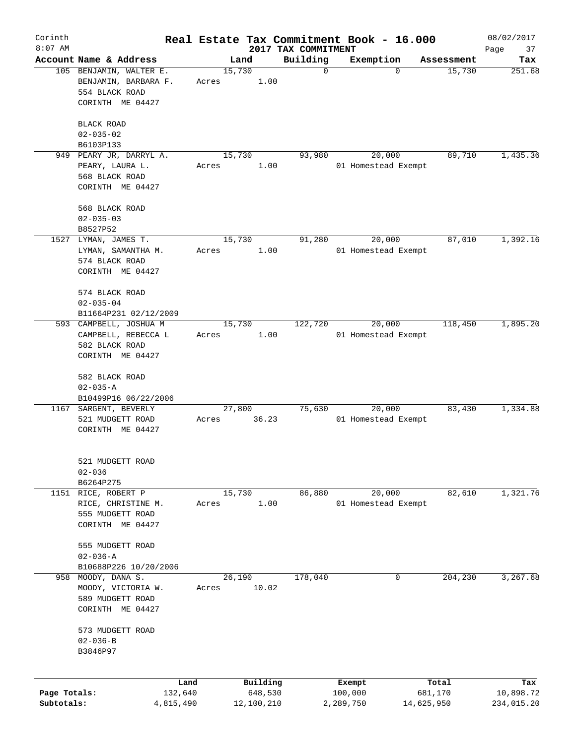| Corinth      |                                                 |       |                |                                 | Real Estate Tax Commitment Book - 16.000 |            | 08/02/2017        |
|--------------|-------------------------------------------------|-------|----------------|---------------------------------|------------------------------------------|------------|-------------------|
| $8:07$ AM    | Account Name & Address                          |       | Land           | 2017 TAX COMMITMENT<br>Building | Exemption                                | Assessment | Page<br>37<br>Tax |
|              | 105 BENJAMIN, WALTER E.<br>BENJAMIN, BARBARA F. |       | 15,730<br>1.00 | $\mathbf 0$                     | $\Omega$                                 | 15,730     | 251.68            |
|              | 554 BLACK ROAD                                  | Acres |                |                                 |                                          |            |                   |
|              | CORINTH ME 04427                                |       |                |                                 |                                          |            |                   |
|              | BLACK ROAD                                      |       |                |                                 |                                          |            |                   |
|              | $02 - 035 - 02$<br>B6103P133                    |       |                |                                 |                                          |            |                   |
|              | 949 PEARY JR, DARRYL A.                         |       | 15,730         | 93,980                          | 20,000                                   | 89,710     | 1,435.36          |
|              | PEARY, LAURA L.                                 | Acres | 1.00           |                                 | 01 Homestead Exempt                      |            |                   |
|              | 568 BLACK ROAD                                  |       |                |                                 |                                          |            |                   |
|              | CORINTH ME 04427                                |       |                |                                 |                                          |            |                   |
|              | 568 BLACK ROAD                                  |       |                |                                 |                                          |            |                   |
|              | $02 - 035 - 03$                                 |       |                |                                 |                                          |            |                   |
|              | B8527P52                                        |       |                |                                 |                                          |            |                   |
|              | 1527 LYMAN, JAMES T.                            | Acres | 15,730<br>1.00 | 91,280                          | 20,000<br>01 Homestead Exempt            | 87,010     | 1,392.16          |
|              | LYMAN, SAMANTHA M.<br>574 BLACK ROAD            |       |                |                                 |                                          |            |                   |
|              | CORINTH ME 04427                                |       |                |                                 |                                          |            |                   |
|              | 574 BLACK ROAD                                  |       |                |                                 |                                          |            |                   |
|              | $02 - 035 - 04$                                 |       |                |                                 |                                          |            |                   |
|              | B11664P231 02/12/2009                           |       |                |                                 |                                          |            |                   |
|              | 593 CAMPBELL, JOSHUA M                          |       | 15,730         | 122,720                         | 20,000                                   | 118,450    | 1,895.20          |
|              | CAMPBELL, REBECCA L                             | Acres | 1.00           |                                 | 01 Homestead Exempt                      |            |                   |
|              | 582 BLACK ROAD                                  |       |                |                                 |                                          |            |                   |
|              | CORINTH ME 04427                                |       |                |                                 |                                          |            |                   |
|              | 582 BLACK ROAD<br>$02 - 035 - A$                |       |                |                                 |                                          |            |                   |
|              | B10499P16 06/22/2006                            |       |                |                                 |                                          |            |                   |
|              | 1167 SARGENT, BEVERLY                           |       | 27,800         | 75,630                          | 20,000                                   | 83,430     | 1,334.88          |
|              | 521 MUDGETT ROAD                                | Acres | 36.23          |                                 | 01 Homestead Exempt                      |            |                   |
|              | CORINTH ME 04427                                |       |                |                                 |                                          |            |                   |
|              | 521 MUDGETT ROAD                                |       |                |                                 |                                          |            |                   |
|              | $02 - 036$                                      |       |                |                                 |                                          |            |                   |
|              | B6264P275                                       |       |                |                                 |                                          |            |                   |
|              | 1151 RICE, ROBERT P                             |       | 15,730         | 86,880                          | 20,000                                   | 82,610     | 1,321.76          |
|              | RICE, CHRISTINE M.                              | Acres | 1.00           |                                 | 01 Homestead Exempt                      |            |                   |
|              | 555 MUDGETT ROAD                                |       |                |                                 |                                          |            |                   |
|              | CORINTH ME 04427                                |       |                |                                 |                                          |            |                   |
|              | 555 MUDGETT ROAD                                |       |                |                                 |                                          |            |                   |
|              | $02 - 036 - A$                                  |       |                |                                 |                                          |            |                   |
| 958          | B10688P226 10/20/2006<br>MOODY, DANA S.         |       | 26,190         | 178,040                         | 0                                        | 204,230    | 3,267.68          |
|              | MOODY, VICTORIA W.                              | Acres | 10.02          |                                 |                                          |            |                   |
|              | 589 MUDGETT ROAD                                |       |                |                                 |                                          |            |                   |
|              | CORINTH ME 04427                                |       |                |                                 |                                          |            |                   |
|              | 573 MUDGETT ROAD                                |       |                |                                 |                                          |            |                   |
|              | $02 - 036 - B$                                  |       |                |                                 |                                          |            |                   |
|              | B3846P97                                        |       |                |                                 |                                          |            |                   |
|              |                                                 | Land  | Building       |                                 | Exempt                                   | Total      | Tax               |
| Page Totals: | 132,640                                         |       | 648,530        |                                 | 100,000                                  | 681,170    | 10,898.72         |
| Subtotals:   | 4,815,490                                       |       | 12,100,210     |                                 | 2,289,750                                | 14,625,950 | 234,015.20        |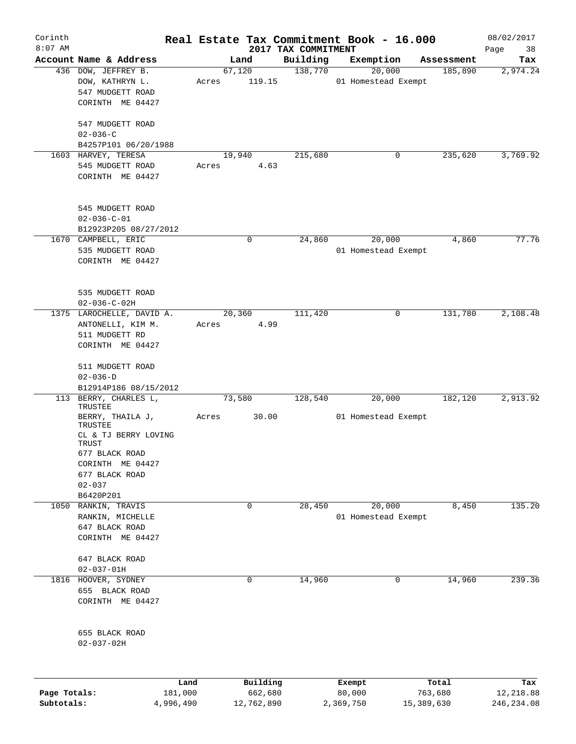| Corinth<br>$8:07$ AM |                           |           |        |            |                                 | Real Estate Tax Commitment Book - 16.000 |            | 08/02/2017        |
|----------------------|---------------------------|-----------|--------|------------|---------------------------------|------------------------------------------|------------|-------------------|
|                      | Account Name & Address    |           |        | Land       | 2017 TAX COMMITMENT<br>Building | Exemption                                | Assessment | Page<br>38<br>Tax |
|                      | 436 DOW, JEFFREY B.       |           | 67,120 |            | 138,770                         | 20,000                                   | 185,890    | 2,974.24          |
|                      | DOW, KATHRYN L.           |           | Acres  | 119.15     |                                 | 01 Homestead Exempt                      |            |                   |
|                      | 547 MUDGETT ROAD          |           |        |            |                                 |                                          |            |                   |
|                      | CORINTH ME 04427          |           |        |            |                                 |                                          |            |                   |
|                      |                           |           |        |            |                                 |                                          |            |                   |
|                      | 547 MUDGETT ROAD          |           |        |            |                                 |                                          |            |                   |
|                      | $02 - 036 - C$            |           |        |            |                                 |                                          |            |                   |
|                      | B4257P101 06/20/1988      |           |        |            |                                 |                                          |            |                   |
|                      | 1603 HARVEY, TERESA       |           | 19,940 |            | 215,680                         | 0                                        | 235,620    | 3,769.92          |
|                      | 545 MUDGETT ROAD          |           | Acres  | 4.63       |                                 |                                          |            |                   |
|                      | CORINTH ME 04427          |           |        |            |                                 |                                          |            |                   |
|                      |                           |           |        |            |                                 |                                          |            |                   |
|                      |                           |           |        |            |                                 |                                          |            |                   |
|                      | 545 MUDGETT ROAD          |           |        |            |                                 |                                          |            |                   |
|                      | $02 - 036 - C - 01$       |           |        |            |                                 |                                          |            |                   |
|                      | B12923P205 08/27/2012     |           |        |            |                                 |                                          |            |                   |
|                      | 1670 CAMPBELL, ERIC       |           |        | 0          | 24,860                          | 20,000                                   | 4,860      | 77.76             |
|                      | 535 MUDGETT ROAD          |           |        |            |                                 | 01 Homestead Exempt                      |            |                   |
|                      | CORINTH ME 04427          |           |        |            |                                 |                                          |            |                   |
|                      |                           |           |        |            |                                 |                                          |            |                   |
|                      |                           |           |        |            |                                 |                                          |            |                   |
|                      | 535 MUDGETT ROAD          |           |        |            |                                 |                                          |            |                   |
|                      | $02 - 036 - C - 02H$      |           |        |            |                                 |                                          |            |                   |
|                      | 1375 LAROCHELLE, DAVID A. |           | 20,360 |            | 111,420                         | 0                                        | 131,780    | 2,108.48          |
|                      | ANTONELLI, KIM M.         |           | Acres  | 4.99       |                                 |                                          |            |                   |
|                      | 511 MUDGETT RD            |           |        |            |                                 |                                          |            |                   |
|                      | CORINTH ME 04427          |           |        |            |                                 |                                          |            |                   |
|                      | 511 MUDGETT ROAD          |           |        |            |                                 |                                          |            |                   |
|                      | $02 - 036 - D$            |           |        |            |                                 |                                          |            |                   |
|                      | B12914P186 08/15/2012     |           |        |            |                                 |                                          |            |                   |
| 113                  | BERRY, CHARLES L,         |           | 73,580 |            | 128,540                         | 20,000                                   | 182,120    | 2,913.92          |
|                      | TRUSTEE                   |           |        |            |                                 |                                          |            |                   |
|                      | BERRY, THAILA J,          |           | Acres  | 30.00      |                                 | 01 Homestead Exempt                      |            |                   |
|                      | TRUSTEE                   |           |        |            |                                 |                                          |            |                   |
|                      | CL & TJ BERRY LOVING      |           |        |            |                                 |                                          |            |                   |
|                      | TRUST<br>677 BLACK ROAD   |           |        |            |                                 |                                          |            |                   |
|                      | CORINTH ME 04427          |           |        |            |                                 |                                          |            |                   |
|                      | 677 BLACK ROAD            |           |        |            |                                 |                                          |            |                   |
|                      | $02 - 037$                |           |        |            |                                 |                                          |            |                   |
|                      | B6420P201                 |           |        |            |                                 |                                          |            |                   |
|                      | 1050 RANKIN, TRAVIS       |           |        | $\Omega$   | 28,450                          | 20,000                                   | 8,450      | 135.20            |
|                      | RANKIN, MICHELLE          |           |        |            |                                 | 01 Homestead Exempt                      |            |                   |
|                      | 647 BLACK ROAD            |           |        |            |                                 |                                          |            |                   |
|                      | CORINTH ME 04427          |           |        |            |                                 |                                          |            |                   |
|                      |                           |           |        |            |                                 |                                          |            |                   |
|                      | 647 BLACK ROAD            |           |        |            |                                 |                                          |            |                   |
|                      | $02 - 037 - 01H$          |           |        |            |                                 |                                          |            |                   |
| 1816                 | HOOVER, SYDNEY            |           |        | 0          | 14,960                          | 0                                        | 14,960     | 239.36            |
|                      | 655 BLACK ROAD            |           |        |            |                                 |                                          |            |                   |
|                      | CORINTH ME 04427          |           |        |            |                                 |                                          |            |                   |
|                      |                           |           |        |            |                                 |                                          |            |                   |
|                      |                           |           |        |            |                                 |                                          |            |                   |
|                      | 655 BLACK ROAD            |           |        |            |                                 |                                          |            |                   |
|                      | $02 - 037 - 02H$          |           |        |            |                                 |                                          |            |                   |
|                      |                           |           |        |            |                                 |                                          |            |                   |
|                      |                           |           |        |            |                                 |                                          |            |                   |
|                      |                           | Land      |        | Building   |                                 | Exempt                                   | Total      | Tax               |
| Page Totals:         |                           | 181,000   |        | 662,680    |                                 | 80,000                                   | 763,680    | 12,218.88         |
| Subtotals:           |                           | 4,996,490 |        | 12,762,890 |                                 | 2,369,750                                | 15,389,630 | 246, 234.08       |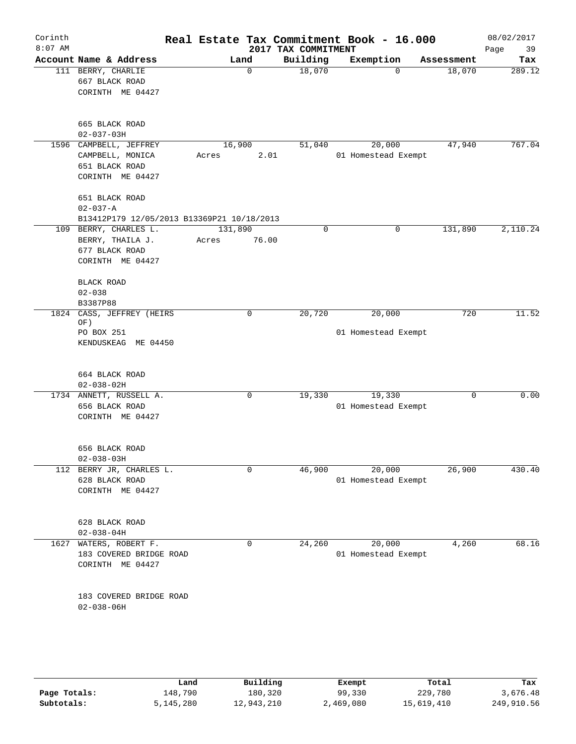| Corinth<br>$8:07$ AM |                                                                                 |                           | 2017 TAX COMMITMENT | Real Estate Tax Commitment Book - 16.000 |            | 08/02/2017<br>Page<br>39 |
|----------------------|---------------------------------------------------------------------------------|---------------------------|---------------------|------------------------------------------|------------|--------------------------|
|                      | Account Name & Address                                                          | Land                      | Building            | Exemption                                | Assessment | Tax                      |
|                      | 111 BERRY, CHARLIE<br>667 BLACK ROAD<br>CORINTH ME 04427                        | $\mathbf 0$               | 18,070              | $\Omega$                                 | 18,070     | 289.12                   |
|                      | 665 BLACK ROAD<br>$02 - 037 - 03H$                                              |                           |                     |                                          |            |                          |
| 1596                 | CAMPBELL, JEFFREY<br>CAMPBELL, MONICA<br>651 BLACK ROAD<br>CORINTH ME 04427     | 16,900<br>Acres<br>2.01   | 51,040              | 20,000<br>01 Homestead Exempt            | 47,940     | 767.04                   |
|                      | 651 BLACK ROAD<br>$02 - 037 - A$<br>B13412P179 12/05/2013 B13369P21 10/18/2013  |                           |                     |                                          |            |                          |
|                      | 109 BERRY, CHARLES L.<br>BERRY, THAILA J.<br>677 BLACK ROAD<br>CORINTH ME 04427 | 131,890<br>76.00<br>Acres | $\mathbf 0$         | $\mathbf 0$                              | 131,890    | 2,110.24                 |
|                      | BLACK ROAD<br>$02 - 038$<br>B3387P88                                            |                           |                     |                                          |            |                          |
| 1824                 | CASS, JEFFREY (HEIRS<br>OF)<br>PO BOX 251<br>KENDUSKEAG ME 04450                | 0                         | 20,720              | 20,000<br>01 Homestead Exempt            | 720        | 11.52                    |
|                      | 664 BLACK ROAD<br>$02 - 038 - 02H$                                              |                           |                     |                                          |            |                          |
|                      | 1734 ANNETT, RUSSELL A.<br>656 BLACK ROAD<br>CORINTH ME 04427                   | 0                         | 19,330              | 19,330<br>01 Homestead Exempt            | 0          | 0.00                     |
|                      | 656 BLACK ROAD<br>$02 - 038 - 03H$                                              |                           |                     |                                          |            |                          |
|                      | 112 BERRY JR, CHARLES L.<br>628 BLACK ROAD<br>CORINTH ME 04427                  | 0                         | 46,900              | 20,000<br>01 Homestead Exempt            | 26,900     | 430.40                   |
|                      | 628 BLACK ROAD<br>$02 - 038 - 04H$                                              |                           |                     |                                          |            |                          |
| 1627                 | WATERS, ROBERT F.<br>183 COVERED BRIDGE ROAD<br>CORINTH ME 04427                | 0                         | 24,260              | 20,000<br>01 Homestead Exempt            | 4,260      | 68.16                    |
|                      | 183 COVERED BRIDGE ROAD<br>$02 - 038 - 06H$                                     |                           |                     |                                          |            |                          |
|                      |                                                                                 |                           |                     |                                          |            |                          |

|              | Land      | Building   | Exempt    | Total      | Tax        |
|--------------|-----------|------------|-----------|------------|------------|
| Page Totals: | 148,790   | 180,320    | 99,330    | 229,780    | 3,676.48   |
| Subtotals:   | 5,145,280 | 12,943,210 | 2,469,080 | 15,619,410 | 249,910.56 |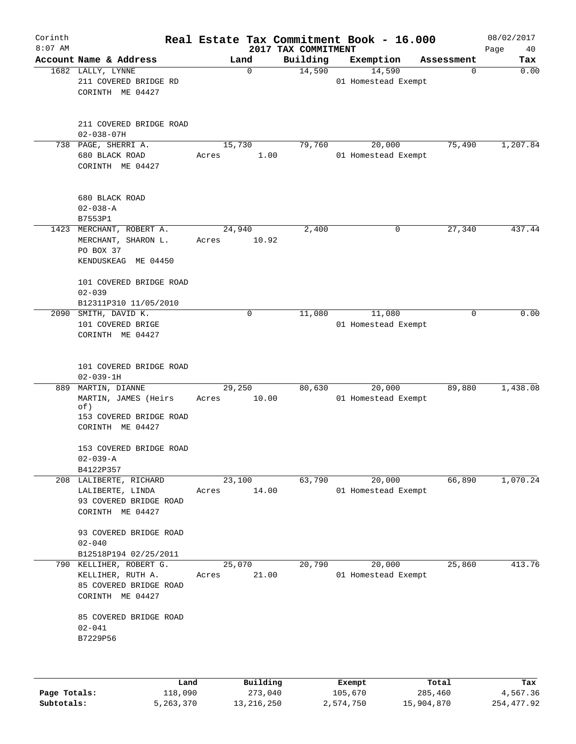| Corinth<br>$8:07$ AM |                                                                                              |                 | 2017 TAX COMMITMENT | Real Estate Tax Commitment Book - 16.000 |            | 08/02/2017<br>Page<br>40 |
|----------------------|----------------------------------------------------------------------------------------------|-----------------|---------------------|------------------------------------------|------------|--------------------------|
|                      | Account Name & Address                                                                       | Land            | Building            | Exemption                                | Assessment | Tax                      |
|                      | 1682 LALLY, LYNNE<br>211 COVERED BRIDGE RD<br>CORINTH ME 04427                               | 0               | 14,590              | 14,590<br>01 Homestead Exempt            | 0          | 0.00                     |
|                      | 211 COVERED BRIDGE ROAD<br>$02 - 038 - 07H$                                                  |                 |                     |                                          |            |                          |
|                      | 738 PAGE, SHERRI A.<br>680 BLACK ROAD<br>CORINTH ME 04427                                    | 15,730<br>Acres | 79,760<br>1.00      | 20,000<br>01 Homestead Exempt            | 75,490     | 1,207.84                 |
|                      | 680 BLACK ROAD<br>$02 - 038 - A$<br>B7553P1                                                  |                 |                     |                                          |            |                          |
|                      | 1423 MERCHANT, ROBERT A.<br>MERCHANT, SHARON L.<br>PO BOX 37<br>KENDUSKEAG ME 04450          | 24,940<br>Acres | 2,400<br>10.92      | 0                                        | 27,340     | 437.44                   |
|                      | 101 COVERED BRIDGE ROAD<br>$02 - 039$<br>B12311P310 11/05/2010                               |                 |                     |                                          |            |                          |
| 2090                 | SMITH, DAVID K.<br>101 COVERED BRIGE<br>CORINTH ME 04427                                     | 0               | 11,080              | 11,080<br>01 Homestead Exempt            | 0          | 0.00                     |
|                      | 101 COVERED BRIDGE ROAD<br>$02 - 039 - 1H$                                                   |                 |                     |                                          |            |                          |
| 889                  | MARTIN, DIANNE<br>MARTIN, JAMES (Heirs<br>of)<br>153 COVERED BRIDGE ROAD<br>CORINTH ME 04427 | 29,250<br>Acres | 80,630<br>10.00     | 20,000<br>01 Homestead Exempt            | 89,880     | 1,438.08                 |
|                      | 153 COVERED BRIDGE ROAD<br>$02 - 039 - A$<br>B4122P357                                       |                 |                     |                                          |            |                          |
|                      | 208 LALIBERTE, RICHARD<br>LALIBERTE, LINDA<br>93 COVERED BRIDGE ROAD<br>CORINTH ME 04427     | 23,100<br>Acres | 63,790<br>14.00     | 20,000<br>01 Homestead Exempt            | 66,890     | 1,070.24                 |
|                      | 93 COVERED BRIDGE ROAD<br>$02 - 040$<br>B12518P194 02/25/2011                                |                 |                     |                                          |            |                          |
|                      | 790 KELLIHER, ROBERT G.<br>KELLIHER, RUTH A.<br>85 COVERED BRIDGE ROAD<br>CORINTH ME 04427   | 25,070<br>Acres | 20,790<br>21.00     | 20,000<br>01 Homestead Exempt            | 25,860     | 413.76                   |
|                      | 85 COVERED BRIDGE ROAD<br>$02 - 041$<br>B7229P56                                             |                 |                     |                                          |            |                          |
|                      | Land                                                                                         |                 | Building            | Exempt                                   | Total      | Tax                      |

|              | Land      | Building   | Exempt    | Total      | Tax        |
|--------------|-----------|------------|-----------|------------|------------|
| Page Totals: | 118,090   | 273,040    | 105,670   | 285,460    | 4,567.36   |
| Subtotals:   | 5,263,370 | 13,216,250 | 2,574,750 | 15,904,870 | 254,477.92 |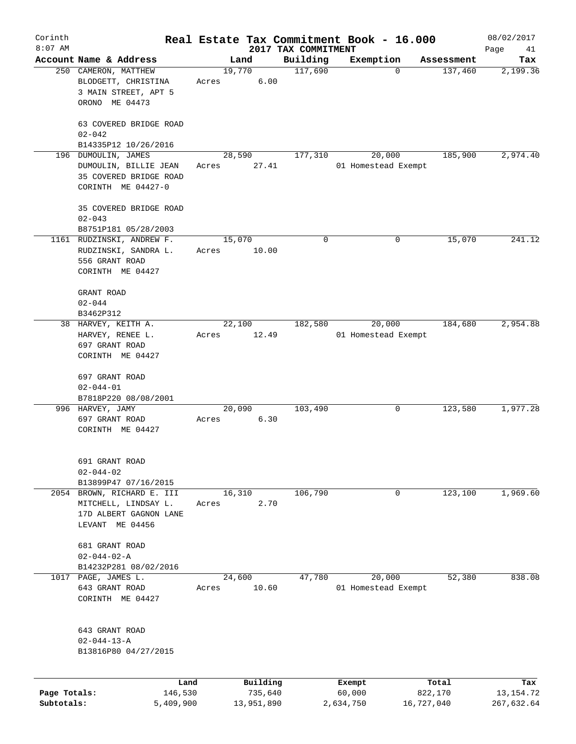| Corinth<br>$8:07$ AM       |                                                                                                 |                 |                                   | 2017 TAX COMMITMENT | Real Estate Tax Commitment Book - 16.000 |             |                  | 08/02/2017<br>Page<br>41         |
|----------------------------|-------------------------------------------------------------------------------------------------|-----------------|-----------------------------------|---------------------|------------------------------------------|-------------|------------------|----------------------------------|
|                            | Account Name & Address                                                                          |                 | Land                              | Building            | Exemption                                |             | Assessment       | Tax                              |
|                            | 250 CAMERON, MATTHEW<br>BLODGETT, CHRISTINA<br>3 MAIN STREET, APT 5<br>ORONO ME 04473           | 19,770<br>Acres | 6.00                              | 117,690             |                                          | $\mathbf 0$ | 137,460          | 2,199.36                         |
|                            | 63 COVERED BRIDGE ROAD<br>$02 - 042$<br>B14335P12 10/26/2016                                    |                 |                                   |                     |                                          |             |                  |                                  |
|                            | 196 DUMOULIN, JAMES<br>DUMOULIN, BILLIE JEAN<br>35 COVERED BRIDGE ROAD<br>CORINTH ME 04427-0    | Acres           | 28,590<br>27.41                   | 177,310             | 20,000<br>01 Homestead Exempt            |             | 185,900          | 2,974.40                         |
|                            | 35 COVERED BRIDGE ROAD<br>$02 - 043$<br>B8751P181 05/28/2003                                    |                 |                                   |                     |                                          |             |                  |                                  |
|                            | 1161 RUDZINSKI, ANDREW F.<br>RUDZINSKI, SANDRA L.<br>556 GRANT ROAD<br>CORINTH ME 04427         | 15,070<br>Acres | 10.00                             | $\mathbf 0$         |                                          | 0           | 15,070           | 241.12                           |
|                            | GRANT ROAD<br>$02 - 044$<br>B3462P312                                                           |                 |                                   |                     |                                          |             |                  |                                  |
|                            | 38 HARVEY, KEITH A.<br>HARVEY, RENEE L.<br>697 GRANT ROAD<br>CORINTH ME 04427                   | Acres           | 22,100<br>12.49                   | 182,580             | 20,000<br>01 Homestead Exempt            |             | 184,680          | 2,954.88                         |
|                            | 697 GRANT ROAD<br>$02 - 044 - 01$<br>B7818P220 08/08/2001                                       |                 |                                   |                     |                                          |             |                  |                                  |
|                            | 996 HARVEY, JAMY<br>697 GRANT ROAD<br>CORINTH ME 04427                                          | 20,090<br>Acres | 6.30                              | 103,490             |                                          | 0           | 123,580          | 1,977.28                         |
|                            | 691 GRANT ROAD<br>$02 - 044 - 02$<br>B13899P47 07/16/2015                                       |                 |                                   |                     |                                          |             |                  |                                  |
|                            | 2054 BROWN, RICHARD E. III<br>MITCHELL, LINDSAY L.<br>17D ALBERT GAGNON LANE<br>LEVANT ME 04456 | 16,310<br>Acres | 2.70                              | 106,790             |                                          | 0           | 123,100          | 1,969.60                         |
|                            | 681 GRANT ROAD<br>$02 - 044 - 02 - A$<br>B14232P281 08/02/2016                                  |                 |                                   |                     |                                          |             |                  |                                  |
|                            | 1017 PAGE, JAMES L.<br>643 GRANT ROAD<br>CORINTH ME 04427                                       | 24,600<br>Acres | 10.60                             | 47,780              | 20,000<br>01 Homestead Exempt            |             | 52,380           | 838.08                           |
|                            | 643 GRANT ROAD<br>$02 - 044 - 13 - A$<br>B13816P80 04/27/2015                                   |                 |                                   |                     |                                          |             |                  |                                  |
| Page Totals:<br>Subtotals: | 146,530<br>5,409,900                                                                            | Land            | Building<br>735,640<br>13,951,890 |                     | Exempt<br>60,000<br>2,634,750            | 16,727,040  | Total<br>822,170 | Tax<br>13, 154. 72<br>267,632.64 |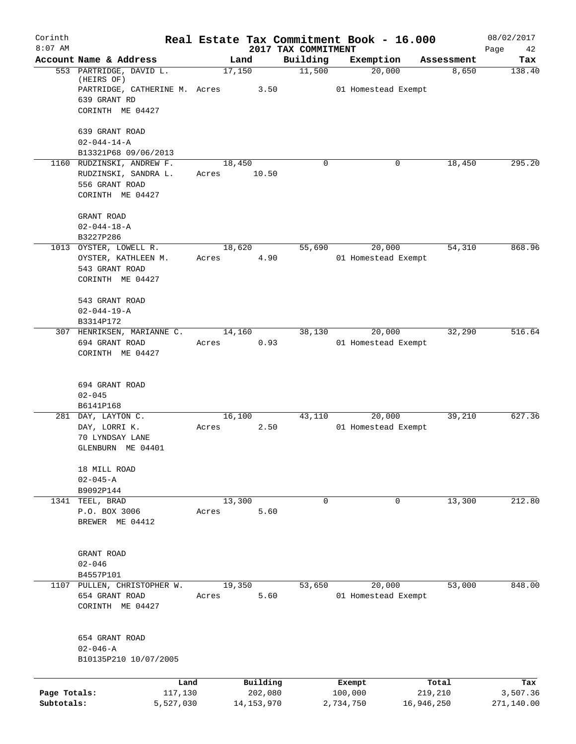| Corinth<br>$8:07$ AM |                                             | Real Estate Tax Commitment Book - 16.000 | 2017 TAX COMMITMENT |                                         |                  | 08/02/2017<br>42 |
|----------------------|---------------------------------------------|------------------------------------------|---------------------|-----------------------------------------|------------------|------------------|
|                      | Account Name & Address                      | Land                                     | Building            | Exemption                               | Assessment       | Page<br>Tax      |
|                      | 553 PARTRIDGE, DAVID L.<br>(HEIRS OF)       | 17,150                                   | 11,500              | 20,000                                  | 8,650            | 138.40           |
|                      | PARTRIDGE, CATHERINE M. Acres 3.50          |                                          |                     | 01 Homestead Exempt                     |                  |                  |
|                      | 639 GRANT RD                                |                                          |                     |                                         |                  |                  |
|                      | CORINTH ME 04427                            |                                          |                     |                                         |                  |                  |
|                      | 639 GRANT ROAD                              |                                          |                     |                                         |                  |                  |
|                      | $02 - 044 - 14 - A$<br>B13321P68 09/06/2013 |                                          |                     |                                         |                  |                  |
|                      | 1160 RUDZINSKI, ANDREW F.                   | 18,450                                   | $\Omega$            | 0                                       | 18,450           | 295.20           |
|                      | RUDZINSKI, SANDRA L.                        | Acres 10.50                              |                     |                                         |                  |                  |
|                      | 556 GRANT ROAD                              |                                          |                     |                                         |                  |                  |
|                      | CORINTH ME 04427                            |                                          |                     |                                         |                  |                  |
|                      | GRANT ROAD                                  |                                          |                     |                                         |                  |                  |
|                      | $02 - 044 - 18 - A$                         |                                          |                     |                                         |                  |                  |
|                      | B3227P286<br>1013 OYSTER, LOWELL R.         |                                          |                     |                                         |                  |                  |
|                      | OYSTER, KATHLEEN M.                         | 18,620<br>4.90<br>Acres                  |                     | 55,690<br>20,000<br>01 Homestead Exempt | 54,310           | 868.96           |
|                      | 543 GRANT ROAD                              |                                          |                     |                                         |                  |                  |
|                      | CORINTH ME 04427                            |                                          |                     |                                         |                  |                  |
|                      | 543 GRANT ROAD                              |                                          |                     |                                         |                  |                  |
|                      | $02 - 044 - 19 - A$                         |                                          |                     |                                         |                  |                  |
|                      | B3314P172                                   |                                          |                     |                                         |                  |                  |
|                      | 307 HENRIKSEN, MARIANNE C.                  | 14,160                                   | 38,130              | 20,000                                  | 32,290           | 516.64           |
|                      | 694 GRANT ROAD                              | 0.93<br>Acres                            |                     | 01 Homestead Exempt                     |                  |                  |
|                      | CORINTH ME 04427                            |                                          |                     |                                         |                  |                  |
|                      | 694 GRANT ROAD                              |                                          |                     |                                         |                  |                  |
|                      | $02 - 045$                                  |                                          |                     |                                         |                  |                  |
|                      | B6141P168                                   |                                          |                     |                                         |                  |                  |
|                      | 281 DAY, LAYTON C.                          | 16,100                                   | 43,110              | 20,000                                  | 39,210           | 627.36           |
|                      | DAY, LORRI K.<br>70 LYNDSAY LANE            | 2.50<br>Acres                            |                     | 01 Homestead Exempt                     |                  |                  |
|                      | GLENBURN ME 04401                           |                                          |                     |                                         |                  |                  |
|                      | 18 MILL ROAD                                |                                          |                     |                                         |                  |                  |
|                      | $02 - 045 - A$                              |                                          |                     |                                         |                  |                  |
|                      | B9092P144                                   |                                          |                     |                                         |                  |                  |
|                      | 1341 TEEL, BRAD                             | 13,300                                   | $\mathbf 0$         | 0                                       | 13,300           | 212.80           |
|                      | P.O. BOX 3006                               | 5.60<br>Acres                            |                     |                                         |                  |                  |
|                      | BREWER ME 04412                             |                                          |                     |                                         |                  |                  |
|                      | GRANT ROAD                                  |                                          |                     |                                         |                  |                  |
|                      | $02 - 046$                                  |                                          |                     |                                         |                  |                  |
|                      | B4557P101                                   |                                          |                     |                                         |                  |                  |
|                      | 1107 PULLEN, CHRISTOPHER W.                 | 19,350                                   | 53,650              | 20,000                                  | 53,000           | 848.00           |
|                      | 654 GRANT ROAD                              | 5.60<br>Acres                            |                     | 01 Homestead Exempt                     |                  |                  |
|                      | CORINTH ME 04427                            |                                          |                     |                                         |                  |                  |
|                      | 654 GRANT ROAD                              |                                          |                     |                                         |                  |                  |
|                      | 02-046-A                                    |                                          |                     |                                         |                  |                  |
|                      | B10135P210 10/07/2005                       |                                          |                     |                                         |                  |                  |
|                      |                                             |                                          |                     |                                         |                  |                  |
| Page Totals:         | Land<br>117,130                             | Building<br>202,080                      |                     | Exempt<br>100,000                       | Total<br>219,210 | Tax<br>3,507.36  |
| Subtotals:           | 5,527,030                                   | 14, 153, 970                             |                     | 2,734,750                               | 16,946,250       | 271,140.00       |
|                      |                                             |                                          |                     |                                         |                  |                  |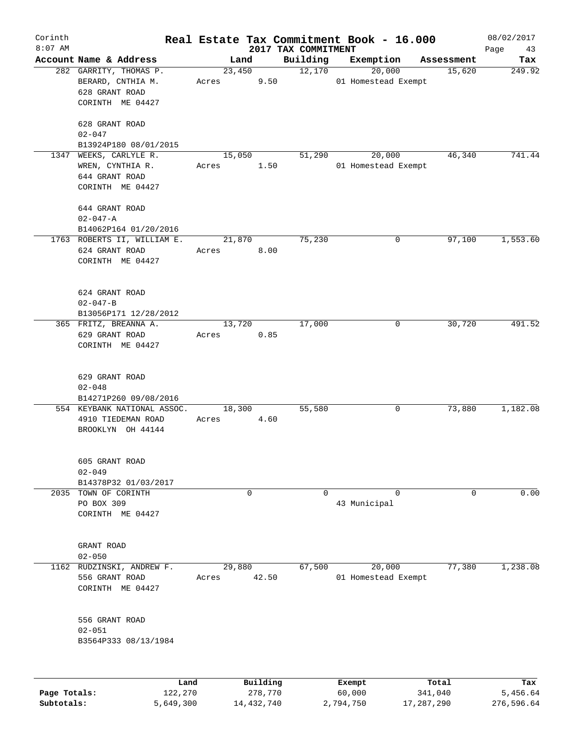| Corinth<br>$8:07$ AM |                                                 |       |              | 2017 TAX COMMITMENT | Real Estate Tax Commitment Book - 16.000 |            | 08/02/2017        |
|----------------------|-------------------------------------------------|-------|--------------|---------------------|------------------------------------------|------------|-------------------|
|                      | Account Name & Address                          |       | Land         | Building            | Exemption                                | Assessment | Page<br>43<br>Tax |
|                      | 282 GARRITY, THOMAS P.                          |       | 23,450       | 12,170              | 20,000                                   | 15,620     | 249.92            |
|                      | BERARD, CNTHIA M.                               | Acres | 9.50         |                     | 01 Homestead Exempt                      |            |                   |
|                      | 628 GRANT ROAD                                  |       |              |                     |                                          |            |                   |
|                      | CORINTH ME 04427                                |       |              |                     |                                          |            |                   |
|                      |                                                 |       |              |                     |                                          |            |                   |
|                      | 628 GRANT ROAD                                  |       |              |                     |                                          |            |                   |
|                      | $02 - 047$                                      |       |              |                     |                                          |            |                   |
|                      | B13924P180 08/01/2015<br>1347 WEEKS, CARLYLE R. |       |              | 51,290              | 20,000                                   | 46,340     | 741.44            |
|                      | WREN, CYNTHIA R.                                |       | 15,050       |                     | 01 Homestead Exempt                      |            |                   |
|                      |                                                 | Acres | 1.50         |                     |                                          |            |                   |
|                      | 644 GRANT ROAD<br>CORINTH ME 04427              |       |              |                     |                                          |            |                   |
|                      |                                                 |       |              |                     |                                          |            |                   |
|                      | 644 GRANT ROAD                                  |       |              |                     |                                          |            |                   |
|                      | $02 - 047 - A$                                  |       |              |                     |                                          |            |                   |
|                      | B14062P164 01/20/2016                           |       |              |                     |                                          |            |                   |
|                      | 1763 ROBERTS II, WILLIAM E.                     |       | 21,870       | 75,230              | 0                                        | 97,100     | 1,553.60          |
|                      | 624 GRANT ROAD                                  | Acres | 8.00         |                     |                                          |            |                   |
|                      | CORINTH ME 04427                                |       |              |                     |                                          |            |                   |
|                      |                                                 |       |              |                     |                                          |            |                   |
|                      | 624 GRANT ROAD                                  |       |              |                     |                                          |            |                   |
|                      | $02 - 047 - B$                                  |       |              |                     |                                          |            |                   |
|                      | B13056P171 12/28/2012                           |       |              |                     |                                          |            |                   |
|                      | 365 FRITZ, BREANNA A.                           |       | 13,720       | 17,000              | 0                                        | 30,720     | 491.52            |
|                      | 629 GRANT ROAD                                  | Acres | 0.85         |                     |                                          |            |                   |
|                      | CORINTH ME 04427                                |       |              |                     |                                          |            |                   |
|                      |                                                 |       |              |                     |                                          |            |                   |
|                      | 629 GRANT ROAD                                  |       |              |                     |                                          |            |                   |
|                      | $02 - 048$                                      |       |              |                     |                                          |            |                   |
|                      | B14271P260 09/08/2016                           |       |              |                     |                                          |            |                   |
|                      | 554 KEYBANK NATIONAL ASSOC.                     |       | 18,300       | 55,580              | 0                                        | 73,880     | 1,182.08          |
|                      | 4910 TIEDEMAN ROAD                              | Acres | 4.60         |                     |                                          |            |                   |
|                      | BROOKLYN OH 44144                               |       |              |                     |                                          |            |                   |
|                      |                                                 |       |              |                     |                                          |            |                   |
|                      | 605 GRANT ROAD                                  |       |              |                     |                                          |            |                   |
|                      | $02 - 049$                                      |       |              |                     |                                          |            |                   |
|                      | B14378P32 01/03/2017                            |       |              |                     |                                          |            |                   |
| 2035                 | TOWN OF CORINTH                                 |       | 0            | 0                   | $\mathbf 0$                              | 0          | 0.00              |
|                      | PO BOX 309                                      |       |              |                     | 43 Municipal                             |            |                   |
|                      | CORINTH ME 04427                                |       |              |                     |                                          |            |                   |
|                      |                                                 |       |              |                     |                                          |            |                   |
|                      |                                                 |       |              |                     |                                          |            |                   |
|                      | GRANT ROAD                                      |       |              |                     |                                          |            |                   |
|                      | $02 - 050$                                      |       |              |                     |                                          |            |                   |
|                      | 1162 RUDZINSKI, ANDREW F.                       |       | 29,880       | 67,500              | 20,000                                   | 77,380     | 1,238.08          |
|                      | 556 GRANT ROAD                                  | Acres | 42.50        |                     | 01 Homestead Exempt                      |            |                   |
|                      | CORINTH ME 04427                                |       |              |                     |                                          |            |                   |
|                      |                                                 |       |              |                     |                                          |            |                   |
|                      | 556 GRANT ROAD                                  |       |              |                     |                                          |            |                   |
|                      | $02 - 051$                                      |       |              |                     |                                          |            |                   |
|                      | B3564P333 08/13/1984                            |       |              |                     |                                          |            |                   |
|                      |                                                 |       |              |                     |                                          |            |                   |
|                      |                                                 | Land  | Building     |                     | Exempt                                   | Total      | Tax               |
| Page Totals:         | 122,270                                         |       | 278,770      |                     | 60,000                                   | 341,040    | 5,456.64          |
| Subtotals:           | 5,649,300                                       |       | 14, 432, 740 |                     | 2,794,750                                | 17,287,290 | 276,596.64        |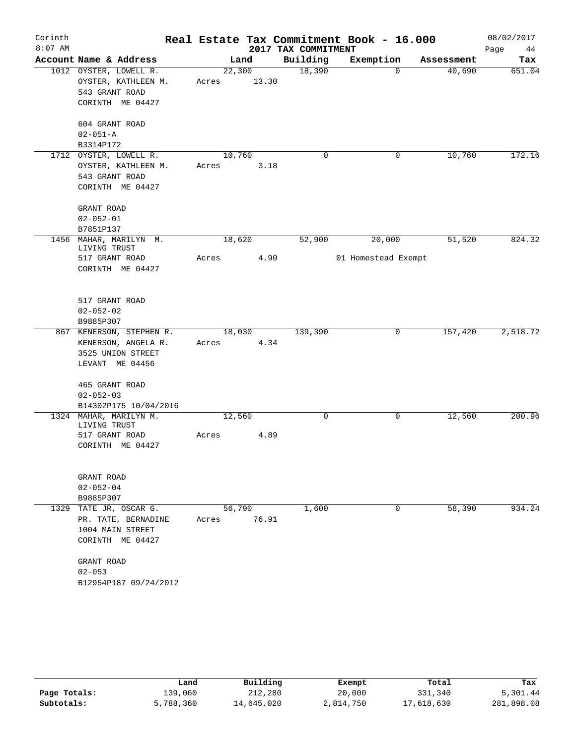| Corinth   |                                        |       |        |                     | Real Estate Tax Commitment Book - 16.000 |            | 08/02/2017 |
|-----------|----------------------------------------|-------|--------|---------------------|------------------------------------------|------------|------------|
| $8:07$ AM |                                        |       |        | 2017 TAX COMMITMENT |                                          |            | Page<br>44 |
|           | Account Name & Address                 |       | Land   | Building            | Exemption                                | Assessment | Tax        |
|           | 1012 OYSTER, LOWELL R.                 |       | 22,300 | 18,390              | $\Omega$                                 | 40,690     | 651.04     |
|           | OYSTER, KATHLEEN M.                    | Acres | 13.30  |                     |                                          |            |            |
|           | 543 GRANT ROAD                         |       |        |                     |                                          |            |            |
|           | CORINTH ME 04427                       |       |        |                     |                                          |            |            |
|           | 604 GRANT ROAD                         |       |        |                     |                                          |            |            |
|           | $02 - 051 - A$                         |       |        |                     |                                          |            |            |
|           | B3314P172                              |       |        |                     |                                          |            |            |
|           | 1712 OYSTER, LOWELL R.                 |       | 10,760 | $\mathbf 0$         | 0                                        | 10,760     | 172.16     |
|           | OYSTER, KATHLEEN M.                    | Acres | 3.18   |                     |                                          |            |            |
|           | 543 GRANT ROAD                         |       |        |                     |                                          |            |            |
|           | CORINTH ME 04427                       |       |        |                     |                                          |            |            |
|           | GRANT ROAD                             |       |        |                     |                                          |            |            |
|           | $02 - 052 - 01$                        |       |        |                     |                                          |            |            |
|           | B7851P137                              |       |        |                     |                                          |            |            |
|           | 1456 MAHAR, MARILYN M.<br>LIVING TRUST |       | 18,620 | 52,900              | 20,000                                   | 51,520     | 824.32     |
|           | 517 GRANT ROAD                         | Acres | 4.90   |                     | 01 Homestead Exempt                      |            |            |
|           | CORINTH ME 04427                       |       |        |                     |                                          |            |            |
|           |                                        |       |        |                     |                                          |            |            |
|           | 517 GRANT ROAD                         |       |        |                     |                                          |            |            |
|           | $02 - 052 - 02$                        |       |        |                     |                                          |            |            |
|           | B9885P307                              |       |        |                     |                                          |            |            |
|           | 867 KENERSON, STEPHEN R.               |       | 18,030 | 139,390             | 0                                        | 157,420    | 2,518.72   |
|           | KENERSON, ANGELA R.                    | Acres | 4.34   |                     |                                          |            |            |
|           | 3525 UNION STREET                      |       |        |                     |                                          |            |            |
|           | LEVANT ME 04456                        |       |        |                     |                                          |            |            |
|           | 465 GRANT ROAD                         |       |        |                     |                                          |            |            |
|           | $02 - 052 - 03$                        |       |        |                     |                                          |            |            |
|           | B14302P175 10/04/2016                  |       |        |                     |                                          |            |            |
|           | 1324 MAHAR, MARILYN M.                 |       | 12,560 | 0                   | 0                                        | 12,560     | 200.96     |
|           | LIVING TRUST                           |       |        |                     |                                          |            |            |
|           | 517 GRANT ROAD<br>CORINTH ME 04427     | Acres | 4.89   |                     |                                          |            |            |
|           |                                        |       |        |                     |                                          |            |            |
|           | GRANT ROAD                             |       |        |                     |                                          |            |            |
|           | $02 - 052 - 04$                        |       |        |                     |                                          |            |            |
|           | B9885P307                              |       |        |                     |                                          |            |            |
| 1329      | TATE JR, OSCAR G.                      |       | 56,790 | 1,600               | 0                                        | 58,390     | 934.24     |
|           | PR. TATE, BERNADINE                    | Acres | 76.91  |                     |                                          |            |            |
|           | 1004 MAIN STREET                       |       |        |                     |                                          |            |            |
|           | CORINTH ME 04427                       |       |        |                     |                                          |            |            |
|           | GRANT ROAD                             |       |        |                     |                                          |            |            |
|           | $02 - 053$                             |       |        |                     |                                          |            |            |
|           | B12954P187 09/24/2012                  |       |        |                     |                                          |            |            |
|           |                                        |       |        |                     |                                          |            |            |

|              | Land      | Building   | Exempt    | Total      | Tax        |
|--------------|-----------|------------|-----------|------------|------------|
| Page Totals: | 139,060   | 212,280    | 20,000    | 331,340    | 5,301.44   |
| Subtotals:   | 5,788,360 | 14,645,020 | 2,814,750 | 17,618,630 | 281,898.08 |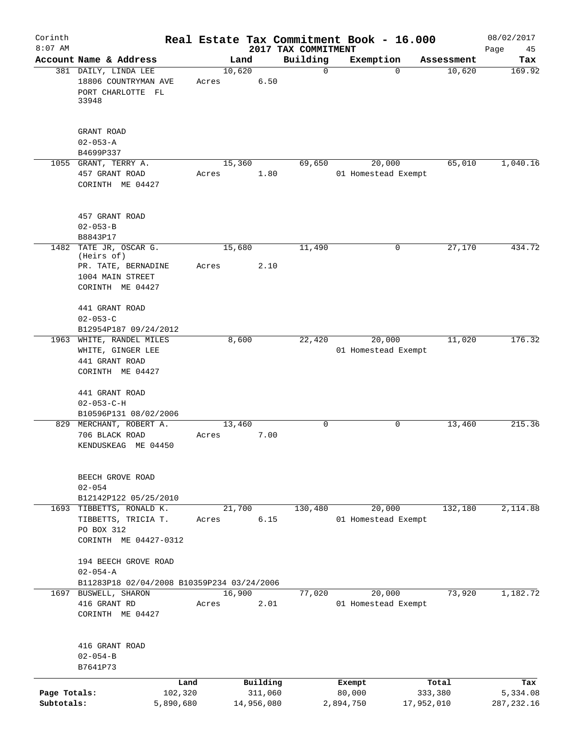| Corinth<br>$8:07$ AM       |                                                                                        |                      |       |        |                       | Real Estate Tax Commitment Book - 16.000<br>2017 TAX COMMITMENT |                     |                               |                       | 08/02/2017<br>Page<br>45 |
|----------------------------|----------------------------------------------------------------------------------------|----------------------|-------|--------|-----------------------|-----------------------------------------------------------------|---------------------|-------------------------------|-----------------------|--------------------------|
|                            | Account Name & Address                                                                 |                      |       | Land   |                       | Building                                                        |                     | Exemption                     | Assessment            | Tax                      |
|                            | 381 DAILY, LINDA LEE<br>18806 COUNTRYMAN AVE<br>PORT CHARLOTTE FL<br>33948             |                      | Acres | 10,620 | 6.50                  | $\mathbf 0$                                                     |                     | $\Omega$                      | 10,620                | 169.92                   |
|                            | GRANT ROAD<br>$02 - 053 - A$<br>B4699P337                                              |                      |       |        |                       |                                                                 |                     |                               |                       |                          |
|                            | 1055 GRANT, TERRY A.                                                                   |                      |       | 15,360 |                       | 69,650                                                          |                     | 20,000                        | 65,010                | 1,040.16                 |
|                            | 457 GRANT ROAD<br>CORINTH ME 04427                                                     |                      | Acres |        | 1.80                  |                                                                 |                     | 01 Homestead Exempt           |                       |                          |
|                            | 457 GRANT ROAD<br>$02 - 053 - B$<br>B8843P17                                           |                      |       |        |                       |                                                                 |                     |                               |                       |                          |
| 1482                       | TATE JR, OSCAR G.<br>(Heirs of)                                                        |                      |       | 15,680 |                       | 11,490                                                          |                     | 0                             | 27,170                | 434.72                   |
|                            | PR. TATE, BERNADINE<br>1004 MAIN STREET<br>CORINTH ME 04427                            |                      | Acres |        | 2.10                  |                                                                 |                     |                               |                       |                          |
|                            | 441 GRANT ROAD<br>$02 - 053 - C$                                                       |                      |       |        |                       |                                                                 |                     |                               |                       |                          |
|                            | B12954P187 09/24/2012<br>1963 WHITE, RANDEL MILES                                      |                      |       | 8,600  |                       | 22,420                                                          |                     | 20,000                        | 11,020                | 176.32                   |
|                            | WHITE, GINGER LEE<br>441 GRANT ROAD<br>CORINTH ME 04427                                |                      |       |        |                       |                                                                 |                     | 01 Homestead Exempt           |                       |                          |
|                            | 441 GRANT ROAD<br>$02 - 053 - C - H$                                                   |                      |       |        |                       |                                                                 |                     |                               |                       |                          |
|                            | B10596P131 08/02/2006                                                                  |                      |       | 13,460 |                       | $\mathbf 0$                                                     |                     | 0                             |                       | 215.36                   |
|                            | 829 MERCHANT, ROBERT A.<br>706 BLACK ROAD<br>KENDUSKEAG ME 04450                       |                      | Acres |        | 7.00                  |                                                                 |                     |                               | 13,460                |                          |
|                            | BEECH GROVE ROAD<br>$02 - 054$                                                         |                      |       |        |                       |                                                                 |                     |                               |                       |                          |
|                            | B12142P122 05/25/2010                                                                  |                      |       | 21,700 |                       | 130,480                                                         |                     | 20,000                        | 132,180               | 2,114.88                 |
|                            | 1693 TIBBETTS, RONALD K.<br>TIBBETTS, TRICIA T.<br>PO BOX 312<br>CORINTH ME 04427-0312 |                      | Acres |        | 6.15                  |                                                                 |                     | 01 Homestead Exempt           |                       |                          |
|                            | 194 BEECH GROVE ROAD<br>$02 - 054 - A$                                                 |                      |       |        |                       |                                                                 |                     |                               |                       |                          |
|                            | B11283P18 02/04/2008 B10359P234 03/24/2006                                             |                      |       |        |                       |                                                                 |                     |                               |                       |                          |
|                            | 1697 BUSWELL, SHARON<br>416 GRANT RD<br>CORINTH ME 04427                               |                      | Acres | 16,900 | 2.01                  | 77,020                                                          |                     | 20,000<br>01 Homestead Exempt | 73,920                | 1,182.72                 |
|                            | 416 GRANT ROAD<br>$02 - 054 - B$<br>B7641P73                                           |                      |       |        |                       |                                                                 |                     |                               |                       |                          |
|                            |                                                                                        | Land                 |       |        | Building              |                                                                 | Exempt              |                               | Total                 | Tax                      |
| Page Totals:<br>Subtotals: |                                                                                        | 102,320<br>5,890,680 |       |        | 311,060<br>14,956,080 |                                                                 | 80,000<br>2,894,750 |                               | 333,380<br>17,952,010 | 5,334.08<br>287, 232.16  |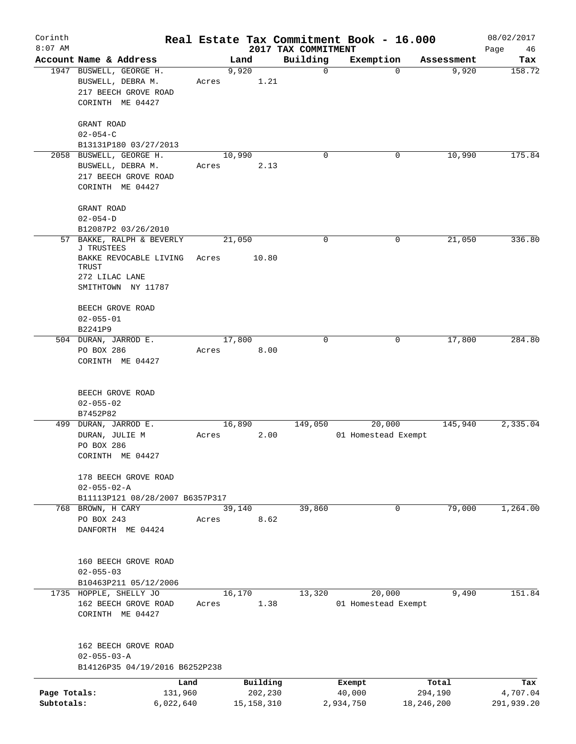| Corinth<br>$8:07$ AM |                                                                       |                 |               | 2017 TAX COMMITMENT | Real Estate Tax Commitment Book - 16.000 |            | 08/02/2017<br>Page<br>46 |
|----------------------|-----------------------------------------------------------------------|-----------------|---------------|---------------------|------------------------------------------|------------|--------------------------|
|                      | Account Name & Address                                                |                 | Land          | Building            | Exemption                                | Assessment | Tax                      |
|                      | 1947 BUSWELL, GEORGE H.<br>BUSWELL, DEBRA M.<br>217 BEECH GROVE ROAD  | Acres           | 9,920<br>1.21 | 0                   | $\Omega$                                 | 9,920      | 158.72                   |
|                      | CORINTH ME 04427                                                      |                 |               |                     |                                          |            |                          |
|                      | GRANT ROAD<br>$02 - 054 - C$                                          |                 |               |                     |                                          |            |                          |
|                      | B13131P180 03/27/2013                                                 |                 |               |                     |                                          |            |                          |
|                      | 2058 BUSWELL, GEORGE H.                                               | 10,990          |               | $\Omega$            | 0                                        | 10,990     | 175.84                   |
|                      | BUSWELL, DEBRA M.<br>217 BEECH GROVE ROAD<br>CORINTH ME 04427         | Acres           | 2.13          |                     |                                          |            |                          |
|                      |                                                                       |                 |               |                     |                                          |            |                          |
|                      | GRANT ROAD<br>$02 - 054 - D$                                          |                 |               |                     |                                          |            |                          |
|                      | B12087P2 03/26/2010                                                   |                 |               |                     |                                          |            |                          |
| 57                   | BAKKE, RALPH & BEVERLY<br><b>J TRUSTEES</b><br>BAKKE REVOCABLE LIVING | 21,050          | 10.80         | 0                   | 0                                        | 21,050     | 336.80                   |
|                      | TRUST<br>272 LILAC LANE                                               | Acres           |               |                     |                                          |            |                          |
|                      | SMITHTOWN NY 11787                                                    |                 |               |                     |                                          |            |                          |
|                      | BEECH GROVE ROAD<br>$02 - 055 - 01$                                   |                 |               |                     |                                          |            |                          |
|                      | B2241P9                                                               |                 |               |                     |                                          |            |                          |
|                      | 504 DURAN, JARROD E.                                                  | 17,800          |               | 0                   | 0                                        | 17,800     | 284.80                   |
|                      | PO BOX 286<br>CORINTH ME 04427                                        | Acres           | 8.00          |                     |                                          |            |                          |
|                      | BEECH GROVE ROAD<br>$02 - 055 - 02$                                   |                 |               |                     |                                          |            |                          |
|                      | B7452P82                                                              | 16,890          |               | 149,050             | 20,000                                   | 145,940    | 2,335.04                 |
|                      | 499 DURAN, JARROD E.<br>DURAN, JULIE M<br>PO BOX 286                  | Acres           | 2.00          |                     | 01 Homestead Exempt                      |            |                          |
|                      | CORINTH ME 04427                                                      |                 |               |                     |                                          |            |                          |
|                      | 178 BEECH GROVE ROAD<br>$02 - 055 - 02 - A$                           |                 |               |                     |                                          |            |                          |
|                      | B11113P121 08/28/2007 B6357P317                                       |                 |               |                     |                                          |            |                          |
|                      | 768 BROWN, H CARY<br>PO BOX 243                                       | 39,140<br>Acres | 8.62          | 39,860              | $\mathbf 0$                              | 79,000     | 1,264.00                 |
|                      | DANFORTH ME 04424                                                     |                 |               |                     |                                          |            |                          |
|                      | 160 BEECH GROVE ROAD<br>$02 - 055 - 03$                               |                 |               |                     |                                          |            |                          |
|                      | B10463P211 05/12/2006                                                 |                 |               |                     |                                          |            |                          |
|                      | 1735 HOPPLE, SHELLY JO                                                | 16,170          |               | 13,320              | 20,000                                   | 9,490      | 151.84                   |
|                      | 162 BEECH GROVE ROAD<br>CORINTH ME 04427                              | Acres           | 1.38          |                     | 01 Homestead Exempt                      |            |                          |
|                      | 162 BEECH GROVE ROAD<br>$02 - 055 - 03 - A$                           |                 |               |                     |                                          |            |                          |
|                      | B14126P35 04/19/2016 B6252P238                                        |                 |               |                     |                                          |            |                          |
|                      | Land                                                                  |                 | Building      |                     | Exempt                                   | Total      | Tax                      |
| Page Totals:         | 131,960                                                               |                 | 202,230       |                     | 40,000                                   | 294,190    | 4,707.04                 |
| Subtotals:           | 6,022,640                                                             |                 | 15, 158, 310  |                     | 2,934,750                                | 18,246,200 | 291,939.20               |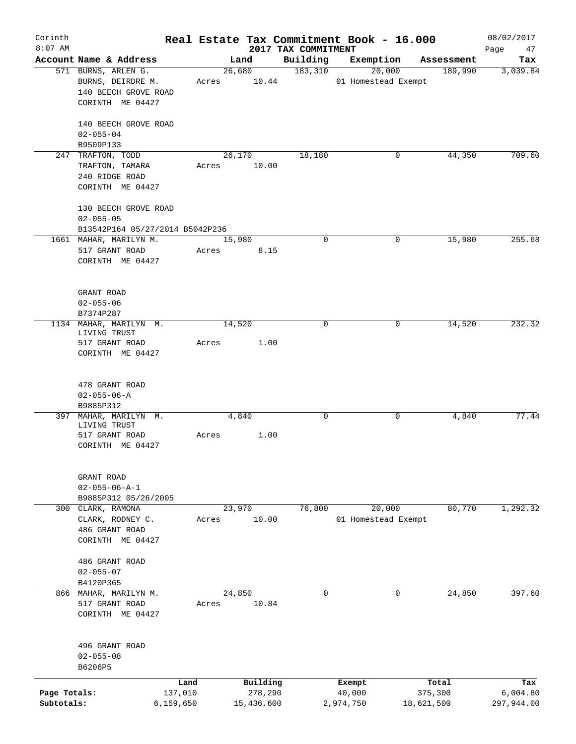| Corinth                    |                                                                             |       |                       |                                 | Real Estate Tax Commitment Book - 16.000 |                       | 08/02/2017             |
|----------------------------|-----------------------------------------------------------------------------|-------|-----------------------|---------------------------------|------------------------------------------|-----------------------|------------------------|
| $8:07$ AM                  | Account Name & Address                                                      |       | Land                  | 2017 TAX COMMITMENT<br>Building | Exemption                                | Assessment            | Page<br>47<br>Tax      |
|                            | 571 BURNS, ARLEN G.<br>BURNS, DEIRDRE M.                                    |       | 26,680<br>Acres 10.44 | 183,310                         | 20,000<br>01 Homestead Exempt            | 189,990               | 3,039.84               |
|                            | 140 BEECH GROVE ROAD<br>CORINTH ME 04427                                    |       |                       |                                 |                                          |                       |                        |
|                            | 140 BEECH GROVE ROAD<br>$02 - 055 - 04$                                     |       |                       |                                 |                                          |                       |                        |
|                            | B9509P133                                                                   |       |                       |                                 |                                          |                       |                        |
|                            | 247 TRAFTON, TODD<br>TRAFTON, TAMARA<br>240 RIDGE ROAD<br>CORINTH ME 04427  | Acres | 26,170<br>10.00       | 18,180                          | 0                                        | 44,350                | 709.60                 |
|                            | 130 BEECH GROVE ROAD<br>$02 - 055 - 05$                                     |       |                       |                                 |                                          |                       |                        |
|                            | B13542P164 05/27/2014 B5042P236                                             |       |                       |                                 |                                          |                       |                        |
|                            | 1661 MAHAR, MARILYN M.<br>517 GRANT ROAD<br>CORINTH ME 04427                | Acres | 15,980<br>8.15        | 0                               | 0                                        | 15,980                | 255.68                 |
|                            | GRANT ROAD<br>$02 - 055 - 06$                                               |       |                       |                                 |                                          |                       |                        |
|                            | B7374P287                                                                   |       |                       |                                 |                                          |                       |                        |
|                            | 1134 MAHAR, MARILYN M.<br>LIVING TRUST<br>517 GRANT ROAD                    | Acres | 14,520<br>1.00        | 0                               | $\mathbf 0$                              | 14,520                | 232.32                 |
|                            | CORINTH ME 04427                                                            |       |                       |                                 |                                          |                       |                        |
|                            | 478 GRANT ROAD<br>$02 - 055 - 06 - A$<br>B9885P312                          |       |                       |                                 |                                          |                       |                        |
|                            | 397 MAHAR, MARILYN M.<br>LIVING TRUST                                       |       | 4,840                 | 0                               | 0                                        | 4,840                 | 77.44                  |
|                            | 517 GRANT ROAD<br>CORINTH ME 04427                                          | Acres | 1.00                  |                                 |                                          |                       |                        |
|                            | GRANT ROAD                                                                  |       |                       |                                 |                                          |                       |                        |
|                            | $02 - 055 - 06 - A - 1$                                                     |       |                       |                                 |                                          |                       |                        |
|                            | B9885P312 05/26/2005                                                        |       |                       | 76,800                          | 20,000                                   | 80,770                | 1,292.32               |
|                            | 300 CLARK, RAMONA<br>CLARK, RODNEY C.<br>486 GRANT ROAD<br>CORINTH ME 04427 | Acres | 23,970<br>10.00       |                                 | 01 Homestead Exempt                      |                       |                        |
|                            | 486 GRANT ROAD<br>$02 - 055 - 07$                                           |       |                       |                                 |                                          |                       |                        |
|                            | B4120P365<br>866 MAHAR, MARILYN M.                                          |       | 24,850                | 0                               | 0                                        | 24,850                | 397.60                 |
|                            | 517 GRANT ROAD<br>CORINTH ME 04427                                          | Acres | 10.84                 |                                 |                                          |                       |                        |
|                            | 496 GRANT ROAD<br>$02 - 055 - 08$<br>B6206P5                                |       |                       |                                 |                                          |                       |                        |
|                            | Land                                                                        |       | Building              |                                 | Exempt                                   | Total                 | Tax                    |
| Page Totals:<br>Subtotals: | 137,010<br>6, 159, 650                                                      |       | 278,290<br>15,436,600 |                                 | 40,000<br>2,974,750                      | 375,300<br>18,621,500 | 6,004.80<br>297,944.00 |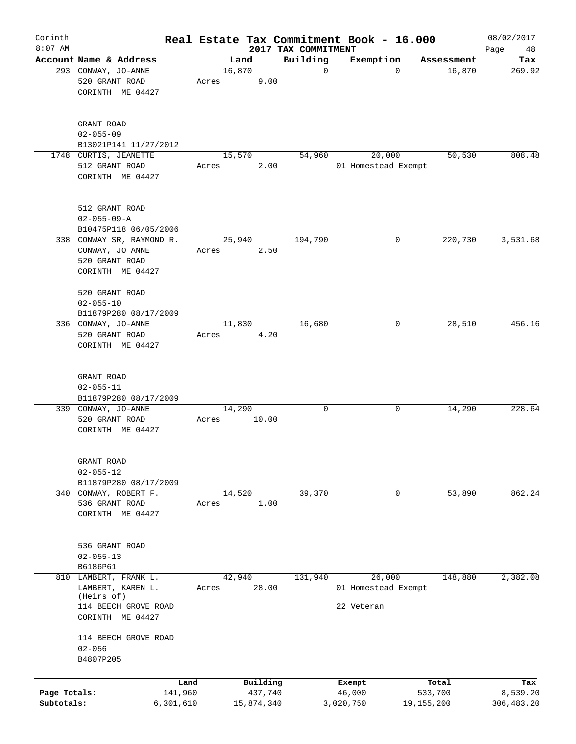| Corinth<br>$8:07$ AM       |                                                                                                      |                      |       |        |                       | 2017 TAX COMMITMENT | Real Estate Tax Commitment Book - 16.000    |              |            | 08/02/2017<br>48        |
|----------------------------|------------------------------------------------------------------------------------------------------|----------------------|-------|--------|-----------------------|---------------------|---------------------------------------------|--------------|------------|-------------------------|
|                            | Account Name & Address                                                                               |                      |       | Land   |                       | Building            | Exemption                                   |              | Assessment | Page<br>Tax             |
|                            | 293 CONWAY, JO-ANNE<br>520 GRANT ROAD<br>CORINTH ME 04427                                            |                      | Acres | 16,870 | 9.00                  | 0                   |                                             | $\Omega$     | 16,870     | 269.92                  |
|                            | GRANT ROAD<br>$02 - 055 - 09$<br>B13021P141 11/27/2012                                               |                      |       |        |                       |                     |                                             |              |            |                         |
|                            | 1748 CURTIS, JEANETTE<br>512 GRANT ROAD<br>CORINTH ME 04427                                          |                      | Acres | 15,570 | 2.00                  | 54,960              | 20,000<br>01 Homestead Exempt               |              | 50,530     | 808.48                  |
|                            | 512 GRANT ROAD<br>$02 - 055 - 09 - A$<br>B10475P118 06/05/2006                                       |                      |       |        |                       |                     |                                             |              |            |                         |
|                            | 338 CONWAY SR, RAYMOND R.<br>CONWAY, JO ANNE<br>520 GRANT ROAD<br>CORINTH ME 04427                   |                      | Acres | 25,940 | 2.50                  | 194,790             |                                             | 0            | 220,730    | 3,531.68                |
|                            | 520 GRANT ROAD<br>$02 - 055 - 10$<br>B11879P280 08/17/2009                                           |                      |       |        |                       |                     |                                             |              |            |                         |
|                            | 336 CONWAY, JO-ANNE<br>520 GRANT ROAD<br>CORINTH ME 04427                                            |                      | Acres | 11,830 | 4.20                  | 16,680              |                                             | 0            | 28,510     | 456.16                  |
|                            | GRANT ROAD<br>$02 - 055 - 11$                                                                        |                      |       |        |                       |                     |                                             |              |            |                         |
|                            | B11879P280 08/17/2009<br>339 CONWAY, JO-ANNE<br>520 GRANT ROAD<br>CORINTH ME 04427                   |                      | Acres | 14,290 | 10.00                 | 0                   |                                             | 0            | 14,290     | 228.64                  |
|                            | GRANT ROAD<br>$02 - 055 - 12$<br>B11879P280 08/17/2009                                               |                      |       |        |                       |                     |                                             |              |            |                         |
|                            | 340 CONWAY, ROBERT F.<br>536 GRANT ROAD<br>CORINTH ME 04427                                          |                      | Acres | 14,520 | 1.00                  | 39,370              |                                             | 0            | 53,890     | 862.24                  |
|                            | 536 GRANT ROAD<br>$02 - 055 - 13$<br>B6186P61                                                        |                      |       |        |                       |                     |                                             |              |            |                         |
|                            | 810 LAMBERT, FRANK L.<br>LAMBERT, KAREN L.<br>(Heirs of)<br>114 BEECH GROVE ROAD<br>CORINTH ME 04427 |                      | Acres | 42,940 | 28.00                 | 131,940             | 26,000<br>01 Homestead Exempt<br>22 Veteran |              | 148,880    | 2,382.08                |
|                            | 114 BEECH GROVE ROAD<br>$02 - 056$<br>B4807P205                                                      |                      |       |        |                       |                     |                                             |              |            |                         |
|                            |                                                                                                      | Land                 |       |        | Building              |                     | Exempt                                      |              | Total      | Tax                     |
| Page Totals:<br>Subtotals: |                                                                                                      | 141,960<br>6,301,610 |       |        | 437,740<br>15,874,340 |                     | 46,000<br>3,020,750                         | 19, 155, 200 | 533,700    | 8,539.20<br>306, 483.20 |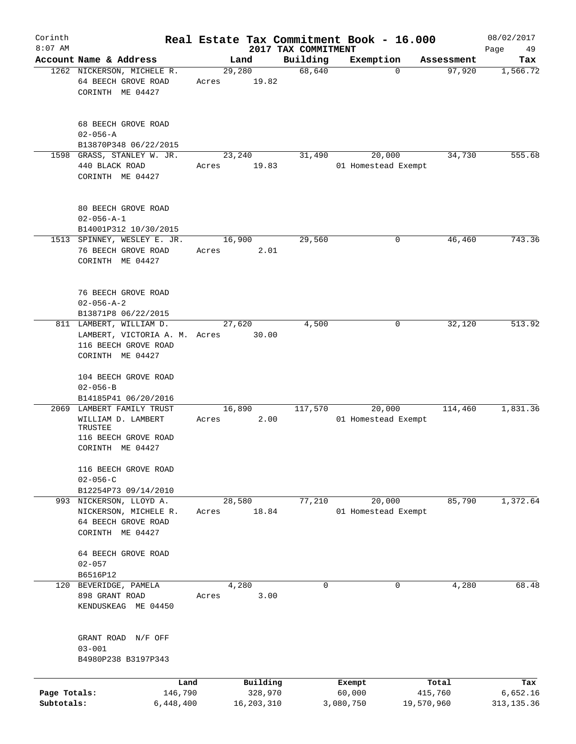| Corinth      |                                                                           |       |                         |                     | Real Estate Tax Commitment Book - 16.000 |                      | 08/02/2017      |
|--------------|---------------------------------------------------------------------------|-------|-------------------------|---------------------|------------------------------------------|----------------------|-----------------|
| $8:07$ AM    | Account Name & Address                                                    |       |                         | 2017 TAX COMMITMENT |                                          |                      | Page<br>49      |
|              | 1262 NICKERSON, MICHELE R.<br>64 BEECH GROVE ROAD                         | Acres | Land<br>29,280<br>19.82 | Building<br>68,640  | Exemption<br>$\mathbf 0$                 | Assessment<br>97,920 | Tax<br>1,566.72 |
|              | CORINTH ME 04427                                                          |       |                         |                     |                                          |                      |                 |
|              | 68 BEECH GROVE ROAD<br>$02 - 056 - A$                                     |       |                         |                     |                                          |                      |                 |
|              | B13870P348 06/22/2015                                                     |       |                         |                     |                                          |                      |                 |
|              | 1598 GRASS, STANLEY W. JR.<br>440 BLACK ROAD<br>CORINTH ME 04427          | Acres | 23,240<br>19.83         | 31,490              | 20,000<br>01 Homestead Exempt            | 34,730               | 555.68          |
|              | 80 BEECH GROVE ROAD<br>$02 - 056 - A - 1$<br>B14001P312 10/30/2015        |       |                         |                     |                                          |                      |                 |
|              | 1513 SPINNEY, WESLEY E. JR.                                               |       | 16,900                  | 29,560              | 0                                        | 46,460               | 743.36          |
|              | 76 BEECH GROVE ROAD<br>CORINTH ME 04427                                   | Acres | 2.01                    |                     |                                          |                      |                 |
|              | 76 BEECH GROVE ROAD<br>$02 - 056 - A - 2$<br>B13871P8 06/22/2015          |       |                         |                     |                                          |                      |                 |
|              | 811 LAMBERT, WILLIAM D.                                                   |       | 27,620                  | 4,500               | 0                                        | 32,120               | 513.92          |
|              | LAMBERT, VICTORIA A. M. Acres<br>116 BEECH GROVE ROAD<br>CORINTH ME 04427 |       | 30.00                   |                     |                                          |                      |                 |
|              | 104 BEECH GROVE ROAD<br>$02 - 056 - B$                                    |       |                         |                     |                                          |                      |                 |
|              | B14185P41 06/20/2016                                                      |       |                         |                     |                                          |                      |                 |
|              | 2069 LAMBERT FAMILY TRUST                                                 |       | 16,890                  | 117,570             | 20,000                                   | 114,460              | 1,831.36        |
|              | WILLIAM D. LAMBERT<br>TRUSTEE<br>116 BEECH GROVE ROAD<br>CORINTH ME 04427 | Acres | 2.00                    |                     | 01 Homestead Exempt                      |                      |                 |
|              | 116 BEECH GROVE ROAD<br>$02 - 056 - C$                                    |       |                         |                     |                                          |                      |                 |
|              | B12254P73 09/14/2010                                                      |       |                         |                     |                                          |                      |                 |
|              | 993 NICKERSON, LLOYD A.                                                   |       | 28,580                  | 77,210              | 20,000                                   | 85,790               | 1,372.64        |
|              | NICKERSON, MICHELE R.                                                     | Acres | 18.84                   |                     | 01 Homestead Exempt                      |                      |                 |
|              | 64 BEECH GROVE ROAD<br>CORINTH ME 04427                                   |       |                         |                     |                                          |                      |                 |
|              | 64 BEECH GROVE ROAD<br>$02 - 057$<br>B6516P12                             |       |                         |                     |                                          |                      |                 |
|              | 120 BEVERIDGE, PAMELA                                                     |       | 4,280                   | $\mathbf 0$         | 0                                        | 4,280                | 68.48           |
|              | 898 GRANT ROAD<br>KENDUSKEAG ME 04450                                     | Acres | 3.00                    |                     |                                          |                      |                 |
|              | GRANT ROAD N/F OFF<br>$03 - 001$<br>B4980P238 B3197P343                   |       |                         |                     |                                          |                      |                 |
|              |                                                                           |       |                         |                     |                                          |                      |                 |
|              | Land                                                                      |       | Building                |                     | Exempt                                   | Total                | Tax             |
| Page Totals: | 146,790                                                                   |       | 328,970                 |                     | 60,000                                   | 415,760              | 6,652.16        |
| Subtotals:   | 6,448,400                                                                 |       | 16, 203, 310            |                     | 3,080,750                                | 19,570,960           | 313, 135.36     |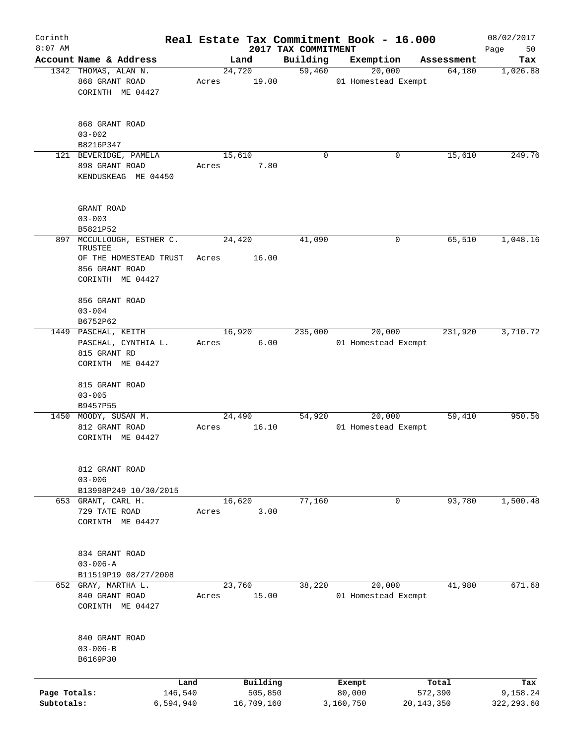| Corinth<br>$8:07$ AM       |                                                                                                            |                 |                       | 2017 TAX COMMITMENT | Real Estate Tax Commitment Book - 16.000 |                         | 08/02/2017<br>Page<br>50 |
|----------------------------|------------------------------------------------------------------------------------------------------------|-----------------|-----------------------|---------------------|------------------------------------------|-------------------------|--------------------------|
|                            | Account Name & Address                                                                                     |                 | Land                  | Building            | Exemption                                | Assessment              | Tax                      |
|                            | 1342 THOMAS, ALAN N.<br>868 GRANT ROAD<br>CORINTH ME 04427                                                 | 24,720<br>Acres | 19.00                 | 59,460              | 20,000<br>01 Homestead Exempt            | 64,180                  | 1,026.88                 |
|                            | 868 GRANT ROAD<br>$03 - 002$<br>B8216P347                                                                  |                 |                       |                     |                                          |                         |                          |
|                            | 121 BEVERIDGE, PAMELA<br>898 GRANT ROAD<br>KENDUSKEAG ME 04450                                             | 15,610<br>Acres | 7.80                  | $\mathbf 0$         | 0                                        | 15,610                  | 249.76                   |
|                            | GRANT ROAD<br>$03 - 003$<br>B5821P52                                                                       |                 |                       |                     |                                          |                         |                          |
|                            | 897 MCCULLOUGH, ESTHER C.<br>TRUSTEE<br>OF THE HOMESTEAD TRUST Acres<br>856 GRANT ROAD<br>CORINTH ME 04427 | 24,420          | 16.00                 | 41,090              | 0                                        | 65,510                  | 1,048.16                 |
|                            | 856 GRANT ROAD<br>$03 - 004$<br>B6752P62                                                                   |                 |                       |                     |                                          |                         |                          |
|                            | 1449 PASCHAL, KEITH<br>PASCHAL, CYNTHIA L.<br>815 GRANT RD<br>CORINTH ME 04427                             | 16,920<br>Acres | 6.00                  | 235,000             | 20,000<br>01 Homestead Exempt            | 231,920                 | 3,710.72                 |
|                            | 815 GRANT ROAD<br>$03 - 005$<br>B9457P55                                                                   |                 |                       |                     |                                          |                         |                          |
|                            | 1450 MOODY, SUSAN M.<br>812 GRANT ROAD<br>CORINTH ME 04427                                                 | 24,490<br>Acres | 16.10                 | 54,920              | 20,000<br>01 Homestead Exempt            | 59,410                  | 950.56                   |
|                            | 812 GRANT ROAD<br>$03 - 006$<br>B13998P249 10/30/2015                                                      |                 |                       |                     |                                          |                         |                          |
|                            | 653 GRANT, CARL H.<br>729 TATE ROAD<br>CORINTH ME 04427                                                    | 16,620<br>Acres | 3.00                  | 77,160              | 0                                        | 93,780                  | 1,500.48                 |
|                            | 834 GRANT ROAD<br>$03 - 006 - A$<br>B11519P19 08/27/2008                                                   |                 |                       |                     |                                          |                         |                          |
|                            | 652 GRAY, MARTHA L.<br>840 GRANT ROAD<br>CORINTH ME 04427                                                  | 23,760<br>Acres | 15.00                 | 38,220              | 20,000<br>01 Homestead Exempt            | 41,980                  | 671.68                   |
|                            | 840 GRANT ROAD<br>$03 - 006 - B$<br>B6169P30                                                               |                 |                       |                     |                                          |                         |                          |
|                            | Land                                                                                                       |                 | Building              |                     | Exempt                                   | Total                   | Tax                      |
| Page Totals:<br>Subtotals: | 146,540<br>6,594,940                                                                                       |                 | 505,850<br>16,709,160 |                     | 80,000<br>3,160,750                      | 572,390<br>20, 143, 350 | 9,158.24<br>322, 293.60  |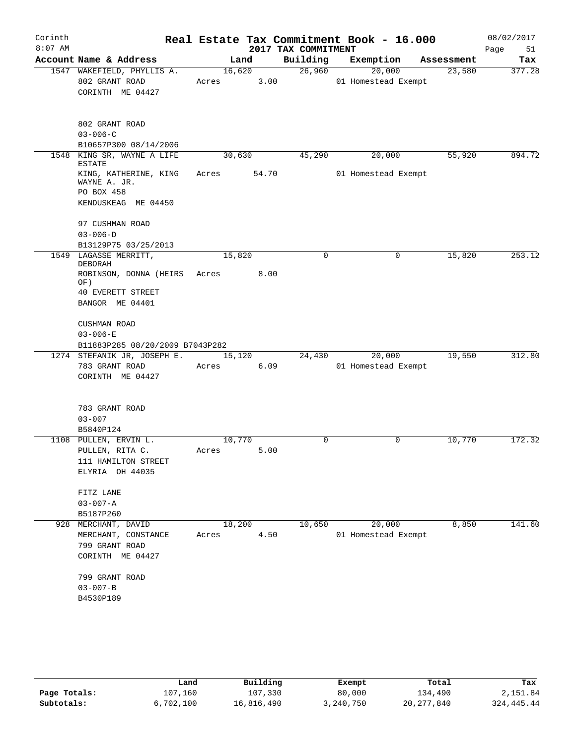| Corinth<br>$8:07$ AM |                                                                                               |                 |       | Real Estate Tax Commitment Book - 16.000<br>2017 TAX COMMITMENT |                     |             |            | 08/02/2017<br>Page<br>51 |
|----------------------|-----------------------------------------------------------------------------------------------|-----------------|-------|-----------------------------------------------------------------|---------------------|-------------|------------|--------------------------|
|                      | Account Name & Address                                                                        |                 | Land  | Building                                                        | Exemption           |             | Assessment | Tax                      |
|                      | 1547 WAKEFIELD, PHYLLIS A.<br>802 GRANT ROAD<br>CORINTH ME 04427                              | 16,620<br>Acres | 3.00  | 26,960                                                          | 01 Homestead Exempt | 20,000      | 23,580     | 377.28                   |
|                      | 802 GRANT ROAD<br>$03 - 006 - C$<br>B10657P300 08/14/2006                                     |                 |       |                                                                 |                     |             |            |                          |
|                      | 1548 KING SR, WAYNE A LIFE                                                                    | 30,630          |       | 45,290                                                          |                     | 20,000      | 55,920     | 894.72                   |
|                      | <b>ESTATE</b><br>KING, KATHERINE, KING<br>WAYNE A. JR.<br>PO BOX 458<br>KENDUSKEAG ME 04450   | Acres           | 54.70 |                                                                 | 01 Homestead Exempt |             |            |                          |
|                      | 97 CUSHMAN ROAD<br>$03 - 006 - D$<br>B13129P75 03/25/2013                                     |                 |       |                                                                 |                     |             |            |                          |
|                      | 1549 LAGASSE MERRITT,                                                                         | 15,820          |       | $\Omega$                                                        |                     | 0           | 15,820     | 253.12                   |
|                      | <b>DEBORAH</b><br>ROBINSON, DONNA (HEIRS Acres<br>OF)<br>40 EVERETT STREET<br>BANGOR ME 04401 |                 | 8.00  |                                                                 |                     |             |            |                          |
|                      | CUSHMAN ROAD<br>$03 - 006 - E$<br>B11883P285 08/20/2009 B7043P282                             |                 |       |                                                                 |                     |             |            |                          |
|                      | 1274 STEFANIK JR, JOSEPH E.<br>783 GRANT ROAD<br>CORINTH ME 04427                             | 15,120<br>Acres | 6.09  | 24,430                                                          | 01 Homestead Exempt | 20,000      | 19,550     | 312.80                   |
|                      | 783 GRANT ROAD<br>$03 - 007$<br>B5840P124                                                     |                 |       |                                                                 |                     |             |            |                          |
|                      | 1108 PULLEN, ERVIN L.<br>PULLEN, RITA C.<br>111 HAMILTON STREET<br>ELYRIA OH 44035            | 10,770<br>Acres | 5.00  | 0                                                               |                     | $\mathbf 0$ | 10,770     | 172.32                   |
|                      | FITZ LANE<br>$03 - 007 - A$<br>B5187P260                                                      |                 |       |                                                                 |                     |             |            |                          |
|                      | 928 MERCHANT, DAVID<br>MERCHANT, CONSTANCE<br>799 GRANT ROAD<br>CORINTH ME 04427              | 18,200<br>Acres | 4.50  | 10,650                                                          | 01 Homestead Exempt | 20,000      | 8,850      | 141.60                   |
|                      | 799 GRANT ROAD<br>$03 - 007 - B$<br>B4530P189                                                 |                 |       |                                                                 |                     |             |            |                          |

|              | Land      | Building   | Exempt    | Total        | Tax          |
|--------------|-----------|------------|-----------|--------------|--------------|
| Page Totals: | 107,160   | 107,330    | 80,000    | 134,490      | 2,151.84     |
| Subtotals:   | 6.702.100 | 16,816,490 | 3,240,750 | 20, 277, 840 | 324, 445. 44 |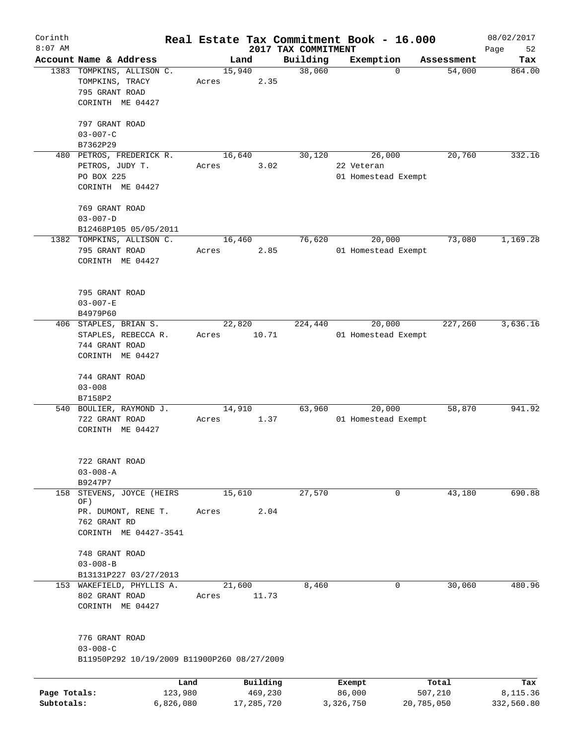| Corinth      |                                             |           |            |                     | Real Estate Tax Commitment Book - 16.000 |            | 08/02/2017 |
|--------------|---------------------------------------------|-----------|------------|---------------------|------------------------------------------|------------|------------|
| $8:07$ AM    |                                             |           |            | 2017 TAX COMMITMENT |                                          |            | Page<br>52 |
|              | Account Name & Address                      |           | Land       | Building            | Exemption                                | Assessment | Tax        |
|              | 1383 TOMPKINS, ALLISON C.                   |           | 15,940     | 38,060              | 0                                        | 54,000     | 864.00     |
|              | TOMPKINS, TRACY                             | Acres     | 2.35       |                     |                                          |            |            |
|              | 795 GRANT ROAD                              |           |            |                     |                                          |            |            |
|              | CORINTH ME 04427                            |           |            |                     |                                          |            |            |
|              | 797 GRANT ROAD                              |           |            |                     |                                          |            |            |
|              | $03 - 007 - C$                              |           |            |                     |                                          |            |            |
|              | B7362P29                                    |           |            |                     |                                          |            |            |
|              | 480 PETROS, FREDERICK R.                    |           | 16,640     | 30,120              | 26,000                                   | 20,760     | 332.16     |
|              |                                             |           |            |                     |                                          |            |            |
|              | PETROS, JUDY T.                             | Acres     | 3.02       |                     | 22 Veteran                               |            |            |
|              | PO BOX 225<br>CORINTH ME 04427              |           |            |                     | 01 Homestead Exempt                      |            |            |
|              |                                             |           |            |                     |                                          |            |            |
|              | 769 GRANT ROAD                              |           |            |                     |                                          |            |            |
|              | $03 - 007 - D$                              |           |            |                     |                                          |            |            |
|              | B12468P105 05/05/2011                       |           |            |                     |                                          |            |            |
|              | 1382 TOMPKINS, ALLISON C.                   |           | 16,460     | 76,620              | 20,000                                   | 73,080     | 1,169.28   |
|              | 795 GRANT ROAD                              | Acres     | 2.85       |                     | 01 Homestead Exempt                      |            |            |
|              | CORINTH ME 04427                            |           |            |                     |                                          |            |            |
|              |                                             |           |            |                     |                                          |            |            |
|              |                                             |           |            |                     |                                          |            |            |
|              | 795 GRANT ROAD                              |           |            |                     |                                          |            |            |
|              | $03 - 007 - E$                              |           |            |                     |                                          |            |            |
|              | B4979P60                                    |           |            |                     |                                          |            |            |
|              | 406 STAPLES, BRIAN S.                       |           | 22,820     | 224,440             | 20,000                                   | 227,260    | 3,636.16   |
|              | STAPLES, REBECCA R.                         | Acres     | 10.71      |                     | 01 Homestead Exempt                      |            |            |
|              | 744 GRANT ROAD                              |           |            |                     |                                          |            |            |
|              | CORINTH ME 04427                            |           |            |                     |                                          |            |            |
|              |                                             |           |            |                     |                                          |            |            |
|              | 744 GRANT ROAD                              |           |            |                     |                                          |            |            |
|              | $03 - 008$                                  |           |            |                     |                                          |            |            |
|              | B7158P2                                     |           |            |                     |                                          |            |            |
|              | 540 BOULIER, RAYMOND J.                     |           | 14,910     | 63,960              | 20,000                                   | 58,870     | 941.92     |
|              | 722 GRANT ROAD                              | Acres     | 1.37       |                     | 01 Homestead Exempt                      |            |            |
|              | CORINTH ME 04427                            |           |            |                     |                                          |            |            |
|              |                                             |           |            |                     |                                          |            |            |
|              |                                             |           |            |                     |                                          |            |            |
|              | 722 GRANT ROAD                              |           |            |                     |                                          |            |            |
|              | $03 - 008 - A$                              |           |            |                     |                                          |            |            |
|              | B9247P7                                     |           |            |                     |                                          |            |            |
| 158          | STEVENS, JOYCE (HEIRS                       |           | 15,610     | 27,570              | 0                                        | 43,180     | 690.88     |
|              | OF)<br>PR. DUMONT, RENE T.                  | Acres     | 2.04       |                     |                                          |            |            |
|              | 762 GRANT RD                                |           |            |                     |                                          |            |            |
|              | CORINTH ME 04427-3541                       |           |            |                     |                                          |            |            |
|              |                                             |           |            |                     |                                          |            |            |
|              | 748 GRANT ROAD                              |           |            |                     |                                          |            |            |
|              | $03 - 008 - B$                              |           |            |                     |                                          |            |            |
|              | B13131P227 03/27/2013                       |           |            |                     |                                          |            |            |
|              | 153 WAKEFIELD, PHYLLIS A.                   |           | 21,600     | 8,460               | 0                                        | 30,060     | 480.96     |
|              | 802 GRANT ROAD                              | Acres     | 11.73      |                     |                                          |            |            |
|              | CORINTH ME 04427                            |           |            |                     |                                          |            |            |
|              |                                             |           |            |                     |                                          |            |            |
|              |                                             |           |            |                     |                                          |            |            |
|              | 776 GRANT ROAD                              |           |            |                     |                                          |            |            |
|              | $03 - 008 - C$                              |           |            |                     |                                          |            |            |
|              | B11950P292 10/19/2009 B11900P260 08/27/2009 |           |            |                     |                                          |            |            |
|              |                                             | Land      | Building   |                     | Exempt                                   | Total      | Tax        |
| Page Totals: |                                             | 123,980   | 469,230    |                     | 86,000                                   | 507,210    | 8,115.36   |
| Subtotals:   |                                             | 6,826,080 | 17,285,720 |                     | 3,326,750                                | 20,785,050 | 332,560.80 |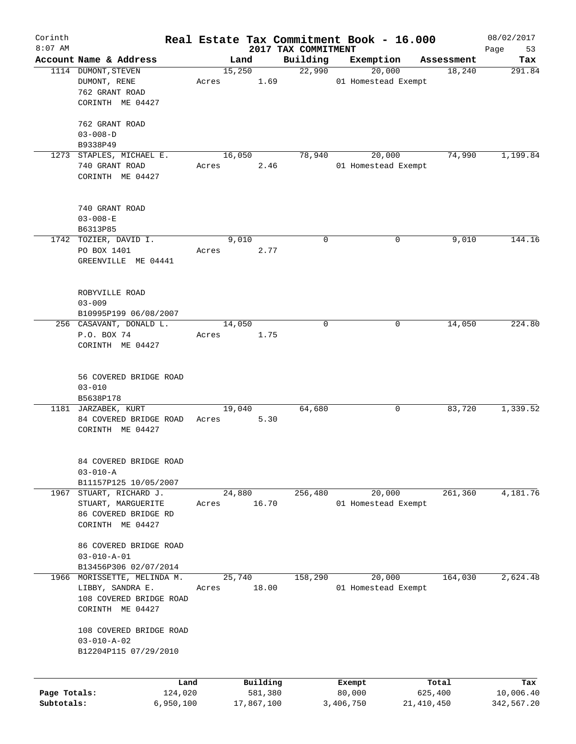| Corinth<br>$8:07$ AM |                                            |       |                 |                                 | Real Estate Tax Commitment Book - 16.000 |            | 08/02/2017        |
|----------------------|--------------------------------------------|-------|-----------------|---------------------------------|------------------------------------------|------------|-------------------|
|                      | Account Name & Address                     |       | Land            | 2017 TAX COMMITMENT<br>Building | Exemption                                | Assessment | Page<br>53<br>Tax |
|                      | 1114 DUMONT, STEVEN                        |       | 15,250          | 22,990                          | 20,000                                   | 18,240     | 291.84            |
|                      | DUMONT, RENE                               | Acres | 1.69            |                                 | 01 Homestead Exempt                      |            |                   |
|                      | 762 GRANT ROAD                             |       |                 |                                 |                                          |            |                   |
|                      | CORINTH ME 04427                           |       |                 |                                 |                                          |            |                   |
|                      |                                            |       |                 |                                 |                                          |            |                   |
|                      | 762 GRANT ROAD                             |       |                 |                                 |                                          |            |                   |
|                      | $03 - 008 - D$                             |       |                 |                                 |                                          |            |                   |
|                      | B9338P49                                   |       |                 |                                 |                                          |            |                   |
|                      | 1273 STAPLES, MICHAEL E.                   |       | 16,050          | 78,940                          | 20,000                                   | 74,990     | 1,199.84          |
|                      | 740 GRANT ROAD                             | Acres | 2.46            |                                 | 01 Homestead Exempt                      |            |                   |
|                      | CORINTH ME 04427                           |       |                 |                                 |                                          |            |                   |
|                      |                                            |       |                 |                                 |                                          |            |                   |
|                      | 740 GRANT ROAD                             |       |                 |                                 |                                          |            |                   |
|                      | $03 - 008 - E$                             |       |                 |                                 |                                          |            |                   |
|                      | B6313P85                                   |       |                 |                                 |                                          |            |                   |
|                      | 1742 TOZIER, DAVID I.                      |       | 9,010           | 0                               | 0                                        | 9,010      | 144.16            |
|                      | PO BOX 1401                                | Acres | 2.77            |                                 |                                          |            |                   |
|                      | GREENVILLE ME 04441                        |       |                 |                                 |                                          |            |                   |
|                      |                                            |       |                 |                                 |                                          |            |                   |
|                      | ROBYVILLE ROAD                             |       |                 |                                 |                                          |            |                   |
|                      | $03 - 009$                                 |       |                 |                                 |                                          |            |                   |
|                      | B10995P199 06/08/2007                      |       |                 |                                 |                                          |            |                   |
|                      | 256 CASAVANT, DONALD L.                    |       | 14,050          | 0                               | 0                                        | 14,050     | 224.80            |
|                      | P.O. BOX 74                                | Acres | 1.75            |                                 |                                          |            |                   |
|                      | CORINTH ME 04427                           |       |                 |                                 |                                          |            |                   |
|                      |                                            |       |                 |                                 |                                          |            |                   |
|                      |                                            |       |                 |                                 |                                          |            |                   |
|                      | 56 COVERED BRIDGE ROAD<br>$03 - 010$       |       |                 |                                 |                                          |            |                   |
|                      | B5638P178                                  |       |                 |                                 |                                          |            |                   |
|                      | 1181 JARZABEK, KURT                        |       | 19,040          | 64,680                          | 0                                        | 83,720     | 1,339.52          |
|                      | 84 COVERED BRIDGE ROAD                     | Acres | 5.30            |                                 |                                          |            |                   |
|                      | CORINTH ME 04427                           |       |                 |                                 |                                          |            |                   |
|                      |                                            |       |                 |                                 |                                          |            |                   |
|                      |                                            |       |                 |                                 |                                          |            |                   |
|                      | 84 COVERED BRIDGE ROAD                     |       |                 |                                 |                                          |            |                   |
|                      | $03 - 010 - A$<br>B11157P125 10/05/2007    |       |                 |                                 |                                          |            |                   |
| 1967                 | STUART, RICHARD J.                         |       | 24,880          | 256,480                         | 20,000                                   | 261, 360   | 4,181.76          |
|                      | STUART, MARGUERITE                         | Acres | 16.70           |                                 | 01 Homestead Exempt                      |            |                   |
|                      | 86 COVERED BRIDGE RD                       |       |                 |                                 |                                          |            |                   |
|                      | CORINTH ME 04427                           |       |                 |                                 |                                          |            |                   |
|                      |                                            |       |                 |                                 |                                          |            |                   |
|                      | 86 COVERED BRIDGE ROAD                     |       |                 |                                 |                                          |            |                   |
|                      | $03 - 010 - A - 01$                        |       |                 |                                 |                                          |            |                   |
|                      | B13456P306 02/07/2014                      |       |                 |                                 |                                          |            |                   |
| 1966                 | MORISSETTE, MELINDA M.<br>LIBBY, SANDRA E. | Acres | 25,740<br>18.00 | 158,290                         | 20,000<br>01 Homestead Exempt            | 164,030    | 2,624.48          |
|                      | 108 COVERED BRIDGE ROAD                    |       |                 |                                 |                                          |            |                   |
|                      | CORINTH ME 04427                           |       |                 |                                 |                                          |            |                   |
|                      |                                            |       |                 |                                 |                                          |            |                   |
|                      | 108 COVERED BRIDGE ROAD                    |       |                 |                                 |                                          |            |                   |
|                      | $03 - 010 - A - 02$                        |       |                 |                                 |                                          |            |                   |
|                      | B12204P115 07/29/2010                      |       |                 |                                 |                                          |            |                   |
|                      |                                            |       |                 |                                 |                                          |            |                   |
|                      | Land                                       |       | Building        |                                 | Exempt                                   | Total      | Tax               |
| Page Totals:         | 124,020                                    |       | 581,380         |                                 | 80,000                                   | 625,400    | 10,006.40         |
| Subtotals:           | 6,950,100                                  |       | 17,867,100      |                                 | 3,406,750                                | 21,410,450 | 342,567.20        |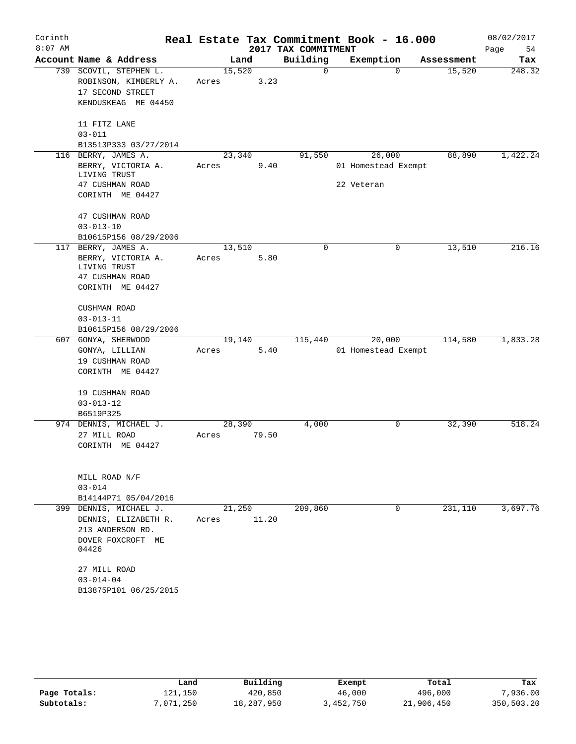| Corinth<br>$8:07$ AM |                            |        |       | 2017 TAX COMMITMENT | Real Estate Tax Commitment Book - 16.000 |                    | 08/02/2017<br>Page<br>54 |
|----------------------|----------------------------|--------|-------|---------------------|------------------------------------------|--------------------|--------------------------|
|                      | Account Name & Address     |        | Land  | Building            | Exemption                                | Assessment         | Tax                      |
|                      | 739 SCOVIL, STEPHEN L.     | 15,520 |       | 0                   |                                          | $\Omega$<br>15,520 | 248.32                   |
|                      | ROBINSON, KIMBERLY A.      | Acres  | 3.23  |                     |                                          |                    |                          |
|                      | 17 SECOND STREET           |        |       |                     |                                          |                    |                          |
|                      | KENDUSKEAG ME 04450        |        |       |                     |                                          |                    |                          |
|                      |                            |        |       |                     |                                          |                    |                          |
|                      | 11 FITZ LANE<br>$03 - 011$ |        |       |                     |                                          |                    |                          |
|                      | B13513P333 03/27/2014      |        |       |                     |                                          |                    |                          |
| 116                  | BERRY, JAMES A.            | 23,340 |       | 91,550              | 26,000                                   | 88,890             | 1,422.24                 |
|                      | BERRY, VICTORIA A.         | Acres  | 9.40  |                     | 01 Homestead Exempt                      |                    |                          |
|                      | LIVING TRUST               |        |       |                     |                                          |                    |                          |
|                      | 47 CUSHMAN ROAD            |        |       |                     | 22 Veteran                               |                    |                          |
|                      | CORINTH ME 04427           |        |       |                     |                                          |                    |                          |
|                      | 47 CUSHMAN ROAD            |        |       |                     |                                          |                    |                          |
|                      | $03 - 013 - 10$            |        |       |                     |                                          |                    |                          |
|                      | B10615P156 08/29/2006      |        |       |                     |                                          |                    |                          |
|                      | 117 BERRY, JAMES A.        | 13,510 |       | 0                   |                                          | 0<br>13,510        | 216.16                   |
|                      | BERRY, VICTORIA A.         | Acres  | 5.80  |                     |                                          |                    |                          |
|                      | LIVING TRUST               |        |       |                     |                                          |                    |                          |
|                      | 47 CUSHMAN ROAD            |        |       |                     |                                          |                    |                          |
|                      | CORINTH ME 04427           |        |       |                     |                                          |                    |                          |
|                      | CUSHMAN ROAD               |        |       |                     |                                          |                    |                          |
|                      | $03 - 013 - 11$            |        |       |                     |                                          |                    |                          |
|                      | B10615P156 08/29/2006      |        |       |                     |                                          |                    |                          |
|                      | 607 GONYA, SHERWOOD        | 19,140 |       | 115,440             | 20,000                                   | 114,580            | 1,833.28                 |
|                      | GONYA, LILLIAN             | Acres  | 5.40  |                     | 01 Homestead Exempt                      |                    |                          |
|                      | 19 CUSHMAN ROAD            |        |       |                     |                                          |                    |                          |
|                      | CORINTH ME 04427           |        |       |                     |                                          |                    |                          |
|                      | 19 CUSHMAN ROAD            |        |       |                     |                                          |                    |                          |
|                      | $03 - 013 - 12$            |        |       |                     |                                          |                    |                          |
|                      | B6519P325                  |        |       |                     |                                          |                    |                          |
|                      | 974 DENNIS, MICHAEL J.     | 28,390 |       | 4,000               |                                          | 32,390<br>0        | 518.24                   |
|                      | 27 MILL ROAD               | Acres  | 79.50 |                     |                                          |                    |                          |
|                      | CORINTH ME 04427           |        |       |                     |                                          |                    |                          |
|                      |                            |        |       |                     |                                          |                    |                          |
|                      | MILL ROAD N/F              |        |       |                     |                                          |                    |                          |
|                      | $03 - 014$                 |        |       |                     |                                          |                    |                          |
|                      | B14144P71 05/04/2016       |        |       |                     |                                          |                    |                          |
| 399                  | DENNIS, MICHAEL J.         | 21,250 |       | 209,860             |                                          | 231,110<br>0       | 3,697.76                 |
|                      | DENNIS, ELIZABETH R.       | Acres  | 11.20 |                     |                                          |                    |                          |
|                      | 213 ANDERSON RD.           |        |       |                     |                                          |                    |                          |
|                      | DOVER FOXCROFT ME          |        |       |                     |                                          |                    |                          |
|                      | 04426                      |        |       |                     |                                          |                    |                          |
|                      | 27 MILL ROAD               |        |       |                     |                                          |                    |                          |
|                      | $03 - 014 - 04$            |        |       |                     |                                          |                    |                          |
|                      | B13875P101 06/25/2015      |        |       |                     |                                          |                    |                          |
|                      |                            |        |       |                     |                                          |                    |                          |

|              | Land      | Building   | Exempt    | Total      | Tax        |
|--------------|-----------|------------|-----------|------------|------------|
| Page Totals: | l21,150   | 420,850    | 46,000    | 496,000    | 7,936.00   |
| Subtotals:   | 7,071,250 | 18,287,950 | 3,452,750 | 21,906,450 | 350,503.20 |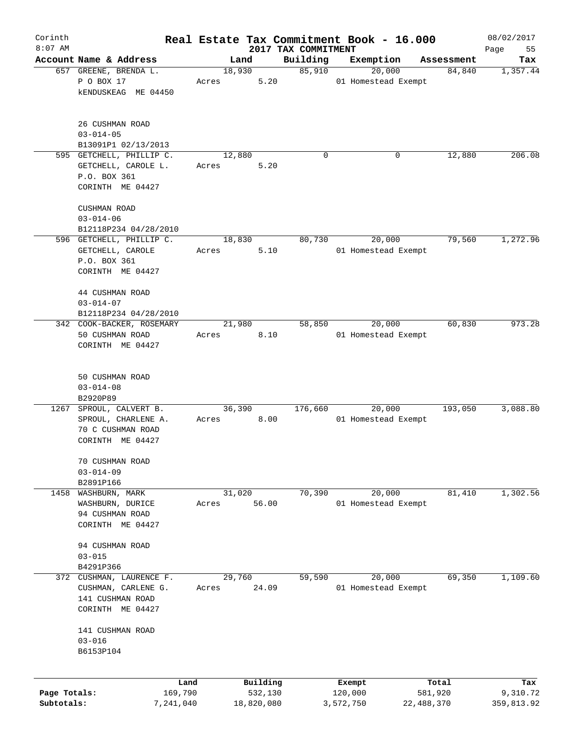| Corinth      |                                          |       |            |                                 | Real Estate Tax Commitment Book - 16.000 |            | 08/02/2017        |
|--------------|------------------------------------------|-------|------------|---------------------------------|------------------------------------------|------------|-------------------|
| $8:07$ AM    | Account Name & Address                   |       | Land       | 2017 TAX COMMITMENT<br>Building | Exemption                                | Assessment | 55<br>Page<br>Tax |
|              | 657 GREENE, BRENDA L.                    |       | 18,930     | 85,910                          | 20,000                                   | 84,840     | 1,357.44          |
|              | P O BOX 17                               | Acres | 5.20       |                                 | 01 Homestead Exempt                      |            |                   |
|              | <b>kENDUSKEAG ME 04450</b>               |       |            |                                 |                                          |            |                   |
|              | 26 CUSHMAN ROAD                          |       |            |                                 |                                          |            |                   |
|              | $03 - 014 - 05$                          |       |            |                                 |                                          |            |                   |
|              | B13091P1 02/13/2013                      |       |            |                                 |                                          |            |                   |
|              | 595 GETCHELL, PHILLIP C.                 |       | 12,880     | $\Omega$                        | 0                                        | 12,880     | 206.08            |
|              | GETCHELL, CAROLE L.<br>P.O. BOX 361      | Acres | 5.20       |                                 |                                          |            |                   |
|              | CORINTH ME 04427                         |       |            |                                 |                                          |            |                   |
|              |                                          |       |            |                                 |                                          |            |                   |
|              | CUSHMAN ROAD                             |       |            |                                 |                                          |            |                   |
|              | $03 - 014 - 06$<br>B12118P234 04/28/2010 |       |            |                                 |                                          |            |                   |
|              | 596 GETCHELL, PHILLIP C.                 |       | 18,830     | 80,730                          | 20,000                                   | 79,560     | 1,272.96          |
|              | GETCHELL, CAROLE                         | Acres | 5.10       |                                 | 01 Homestead Exempt                      |            |                   |
|              | P.O. BOX 361                             |       |            |                                 |                                          |            |                   |
|              | CORINTH ME 04427                         |       |            |                                 |                                          |            |                   |
|              |                                          |       |            |                                 |                                          |            |                   |
|              | 44 CUSHMAN ROAD                          |       |            |                                 |                                          |            |                   |
|              | $03 - 014 - 07$                          |       |            |                                 |                                          |            |                   |
|              | B12118P234 04/28/2010                    |       |            |                                 |                                          |            |                   |
|              | 342 COOK-BACKER, ROSEMARY                |       | 21,980     | 58,850                          | 20,000                                   | 60,830     | 973.28            |
|              | 50 CUSHMAN ROAD                          | Acres | 8.10       |                                 | 01 Homestead Exempt                      |            |                   |
|              | CORINTH ME 04427                         |       |            |                                 |                                          |            |                   |
|              |                                          |       |            |                                 |                                          |            |                   |
|              | 50 CUSHMAN ROAD                          |       |            |                                 |                                          |            |                   |
|              | $03 - 014 - 08$                          |       |            |                                 |                                          |            |                   |
|              | B2920P89                                 |       |            |                                 |                                          |            |                   |
| 1267         | SPROUL, CALVERT B.                       |       | 36,390     | 176,660                         | 20,000                                   | 193,050    | 3,088.80          |
|              | SPROUL, CHARLENE A.                      | Acres | 8.00       |                                 | 01 Homestead Exempt                      |            |                   |
|              | 70 C CUSHMAN ROAD                        |       |            |                                 |                                          |            |                   |
|              | CORINTH ME 04427                         |       |            |                                 |                                          |            |                   |
|              | 70 CUSHMAN ROAD                          |       |            |                                 |                                          |            |                   |
|              | $03 - 014 - 09$                          |       |            |                                 |                                          |            |                   |
|              | B2891P166                                |       |            |                                 |                                          |            |                   |
| 1458         | WASHBURN, MARK                           |       | 31,020     | 70,390                          | 20,000                                   | 81,410     | 1,302.56          |
|              | WASHBURN, DURICE                         | Acres | 56.00      |                                 | 01 Homestead Exempt                      |            |                   |
|              | 94 CUSHMAN ROAD                          |       |            |                                 |                                          |            |                   |
|              | CORINTH ME 04427                         |       |            |                                 |                                          |            |                   |
|              | 94 CUSHMAN ROAD                          |       |            |                                 |                                          |            |                   |
|              | $03 - 015$                               |       |            |                                 |                                          |            |                   |
|              | B4291P366                                |       |            |                                 |                                          |            |                   |
| 372          | CUSHMAN, LAURENCE F.                     |       | 29,760     | 59,590                          | 20,000                                   | 69,350     | 1,109.60          |
|              | CUSHMAN, CARLENE G.                      | Acres | 24.09      |                                 | 01 Homestead Exempt                      |            |                   |
|              | 141 CUSHMAN ROAD                         |       |            |                                 |                                          |            |                   |
|              | CORINTH ME 04427                         |       |            |                                 |                                          |            |                   |
|              |                                          |       |            |                                 |                                          |            |                   |
|              | 141 CUSHMAN ROAD<br>$03 - 016$           |       |            |                                 |                                          |            |                   |
|              | B6153P104                                |       |            |                                 |                                          |            |                   |
|              |                                          |       |            |                                 |                                          |            |                   |
|              | Land                                     |       | Building   |                                 | Exempt                                   | Total      | Tax               |
| Page Totals: | 169,790                                  |       | 532,130    |                                 | 120,000                                  | 581,920    | 9,310.72          |
| Subtotals:   | 7,241,040                                |       | 18,820,080 |                                 | 3,572,750                                | 22,488,370 | 359,813.92        |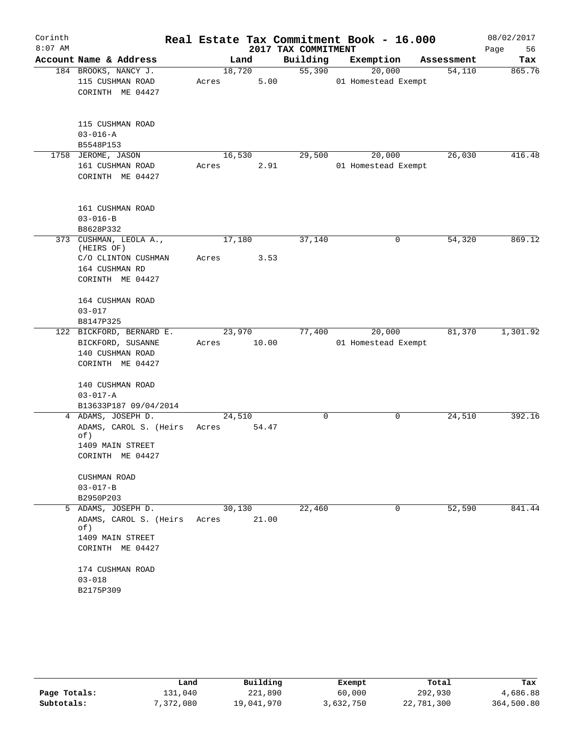| Corinth   |                                                     |       |                 | Real Estate Tax Commitment Book - 16.000 |                     |            | 08/02/2017 |
|-----------|-----------------------------------------------------|-------|-----------------|------------------------------------------|---------------------|------------|------------|
| $8:07$ AM |                                                     |       |                 | 2017 TAX COMMITMENT                      |                     |            | 56<br>Page |
|           | Account Name & Address                              |       | Land            | Building                                 | Exemption           | Assessment | Tax        |
|           | 184 BROOKS, NANCY J.                                |       | 18,720          | $\overline{55,390}$                      | $\overline{20,000}$ | 54,110     | 865.76     |
|           | 115 CUSHMAN ROAD                                    | Acres | 5.00            |                                          | 01 Homestead Exempt |            |            |
|           | CORINTH ME 04427                                    |       |                 |                                          |                     |            |            |
|           | 115 CUSHMAN ROAD                                    |       |                 |                                          |                     |            |            |
|           | $03 - 016 - A$                                      |       |                 |                                          |                     |            |            |
|           | B5548P153                                           |       |                 |                                          |                     |            |            |
|           | 1758 JEROME, JASON                                  |       | 16,530          | 29,500                                   | 20,000              | 26,030     | 416.48     |
|           | 161 CUSHMAN ROAD<br>CORINTH ME 04427                | Acres | 2.91            |                                          | 01 Homestead Exempt |            |            |
|           | 161 CUSHMAN ROAD                                    |       |                 |                                          |                     |            |            |
|           | $03 - 016 - B$                                      |       |                 |                                          |                     |            |            |
|           | B8628P332                                           |       |                 |                                          |                     |            |            |
|           | 373 CUSHMAN, LEOLA A.,<br>(HEIRS OF)                |       | 17,180          | 37,140                                   | 0                   | 54,320     | 869.12     |
|           | C/O CLINTON CUSHMAN                                 | Acres | 3.53            |                                          |                     |            |            |
|           | 164 CUSHMAN RD                                      |       |                 |                                          |                     |            |            |
|           | CORINTH ME 04427                                    |       |                 |                                          |                     |            |            |
|           | 164 CUSHMAN ROAD                                    |       |                 |                                          |                     |            |            |
|           | $03 - 017$                                          |       |                 |                                          |                     |            |            |
|           | B8147P325                                           |       |                 |                                          |                     |            |            |
|           | 122 BICKFORD, BERNARD E.                            |       | 23,970          | 77,400                                   | 20,000              | 81,370     | 1,301.92   |
|           | BICKFORD, SUSANNE                                   |       | Acres 10.00     |                                          | 01 Homestead Exempt |            |            |
|           | 140 CUSHMAN ROAD                                    |       |                 |                                          |                     |            |            |
|           | CORINTH ME 04427                                    |       |                 |                                          |                     |            |            |
|           | 140 CUSHMAN ROAD                                    |       |                 |                                          |                     |            |            |
|           | $03 - 017 - A$                                      |       |                 |                                          |                     |            |            |
|           | B13633P187 09/04/2014                               |       |                 |                                          |                     |            |            |
|           | 4 ADAMS, JOSEPH D.                                  |       | 24,510          | 0                                        | 0                   | 24,510     | 392.16     |
|           | ADAMS, CAROL S. (Heirs<br>of)                       | Acres | 54.47           |                                          |                     |            |            |
|           | 1409 MAIN STREET                                    |       |                 |                                          |                     |            |            |
|           | CORINTH ME 04427                                    |       |                 |                                          |                     |            |            |
|           | CUSHMAN ROAD                                        |       |                 |                                          |                     |            |            |
|           | $03 - 017 - B$                                      |       |                 |                                          |                     |            |            |
|           | B2950P203                                           |       |                 |                                          |                     |            |            |
|           | 5 ADAMS, JOSEPH D.<br>ADAMS, CAROL S. (Heirs<br>of) | Acres | 30,130<br>21.00 | 22,460                                   | 0                   | 52,590     | 841.44     |
|           | 1409 MAIN STREET                                    |       |                 |                                          |                     |            |            |
|           | CORINTH ME 04427                                    |       |                 |                                          |                     |            |            |
|           | 174 CUSHMAN ROAD                                    |       |                 |                                          |                     |            |            |
|           | $03 - 018$                                          |       |                 |                                          |                     |            |            |
|           | B2175P309                                           |       |                 |                                          |                     |            |            |

|              | Land      | Building   | Exempt    | Total      | Tax        |
|--------------|-----------|------------|-----------|------------|------------|
| Page Totals: | 131,040   | 221,890    | 60,000    | 292,930    | 4,686.88   |
| Subtotals:   | 7,372,080 | 19,041,970 | 3,632,750 | 22,781,300 | 364,500.80 |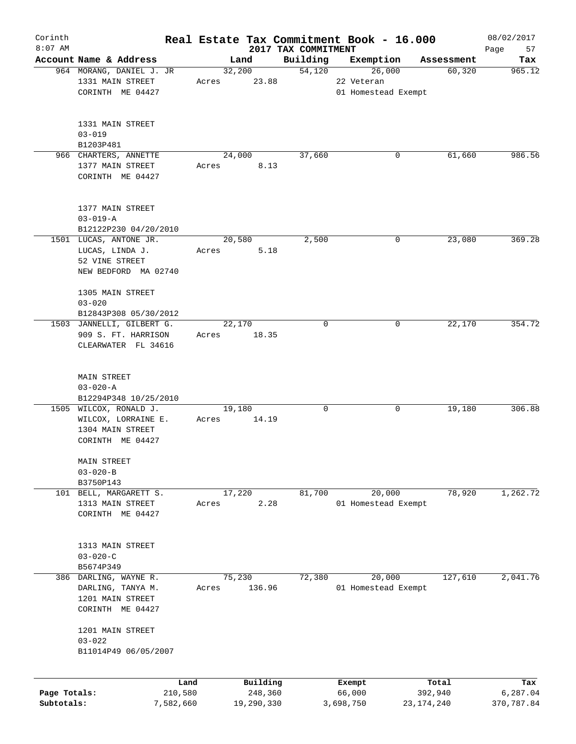| Corinth      |                                           |           |        |            |                                 | Real Estate Tax Commitment Book - 16.000 |              | 08/02/2017        |
|--------------|-------------------------------------------|-----------|--------|------------|---------------------------------|------------------------------------------|--------------|-------------------|
| $8:07$ AM    | Account Name & Address                    |           |        | Land       | 2017 TAX COMMITMENT<br>Building | Exemption                                | Assessment   | Page<br>57<br>Tax |
|              | 964 MORANG, DANIEL J. JR                  |           | 32,200 |            | 54,120                          | 26,000                                   | 60, 320      | 965.12            |
|              | 1331 MAIN STREET                          | Acres     |        | 23.88      |                                 | 22 Veteran                               |              |                   |
|              | CORINTH ME 04427                          |           |        |            |                                 | 01 Homestead Exempt                      |              |                   |
|              |                                           |           |        |            |                                 |                                          |              |                   |
|              | 1331 MAIN STREET                          |           |        |            |                                 |                                          |              |                   |
|              | $03 - 019$                                |           |        |            |                                 |                                          |              |                   |
|              | B1203P481                                 |           |        |            |                                 |                                          |              |                   |
|              | 966 CHARTERS, ANNETTE<br>1377 MAIN STREET |           | 24,000 | 8.13       | 37,660                          |                                          | 0<br>61,660  | 986.56            |
|              | CORINTH ME 04427                          | Acres     |        |            |                                 |                                          |              |                   |
|              |                                           |           |        |            |                                 |                                          |              |                   |
|              | 1377 MAIN STREET                          |           |        |            |                                 |                                          |              |                   |
|              | $03 - 019 - A$<br>B12122P230 04/20/2010   |           |        |            |                                 |                                          |              |                   |
|              | 1501 LUCAS, ANTONE JR.                    |           | 20,580 |            | 2,500                           |                                          | 0<br>23,080  | 369.28            |
|              | LUCAS, LINDA J.                           | Acres     |        | 5.18       |                                 |                                          |              |                   |
|              | 52 VINE STREET                            |           |        |            |                                 |                                          |              |                   |
|              | NEW BEDFORD MA 02740                      |           |        |            |                                 |                                          |              |                   |
|              | 1305 MAIN STREET                          |           |        |            |                                 |                                          |              |                   |
|              | $03 - 020$                                |           |        |            |                                 |                                          |              |                   |
|              | B12843P308 05/30/2012                     |           |        |            |                                 |                                          |              |                   |
|              | 1503 JANNELLI, GILBERT G.                 |           | 22,170 |            | 0                               |                                          | 22,170<br>0  | 354.72            |
|              | 909 S. FT. HARRISON                       | Acres     |        | 18.35      |                                 |                                          |              |                   |
|              | CLEARWATER FL 34616                       |           |        |            |                                 |                                          |              |                   |
|              | <b>MAIN STREET</b>                        |           |        |            |                                 |                                          |              |                   |
|              | $03 - 020 - A$                            |           |        |            |                                 |                                          |              |                   |
|              | B12294P348 10/25/2010                     |           |        |            |                                 |                                          |              |                   |
|              | 1505 WILCOX, RONALD J.                    |           | 19,180 |            | 0                               |                                          | 0<br>19,180  | 306.88            |
|              | WILCOX, LORRAINE E.                       | Acres     |        | 14.19      |                                 |                                          |              |                   |
|              | 1304 MAIN STREET                          |           |        |            |                                 |                                          |              |                   |
|              | CORINTH ME 04427                          |           |        |            |                                 |                                          |              |                   |
|              | MAIN STREET                               |           |        |            |                                 |                                          |              |                   |
|              | $03 - 020 - B$                            |           |        |            |                                 |                                          |              |                   |
|              | B3750P143                                 |           |        |            |                                 |                                          |              |                   |
|              | 101 BELL, MARGARETT S.                    |           | 17,220 |            | 81,700                          | 20,000                                   | 78,920       | 1,262.72          |
|              | 1313 MAIN STREET                          | Acres     |        | 2.28       |                                 | 01 Homestead Exempt                      |              |                   |
|              | CORINTH ME 04427                          |           |        |            |                                 |                                          |              |                   |
|              | 1313 MAIN STREET                          |           |        |            |                                 |                                          |              |                   |
|              | $03 - 020 - C$                            |           |        |            |                                 |                                          |              |                   |
|              | B5674P349                                 |           |        |            |                                 |                                          |              |                   |
|              | 386 DARLING, WAYNE R.                     |           | 75,230 |            | 72,380                          | 20,000                                   | 127,610      | 2,041.76          |
|              | DARLING, TANYA M.                         | Acres     |        | 136.96     |                                 | 01 Homestead Exempt                      |              |                   |
|              | 1201 MAIN STREET                          |           |        |            |                                 |                                          |              |                   |
|              | CORINTH ME 04427                          |           |        |            |                                 |                                          |              |                   |
|              | 1201 MAIN STREET                          |           |        |            |                                 |                                          |              |                   |
|              | $03 - 022$<br>B11014P49 06/05/2007        |           |        |            |                                 |                                          |              |                   |
|              |                                           |           |        |            |                                 |                                          |              |                   |
|              |                                           | Land      |        | Building   |                                 | Exempt                                   | Total        | Tax               |
| Page Totals: |                                           | 210,580   |        | 248,360    |                                 | 66,000                                   | 392,940      | 6,287.04          |
| Subtotals:   |                                           | 7,582,660 |        | 19,290,330 |                                 | 3,698,750                                | 23, 174, 240 | 370,787.84        |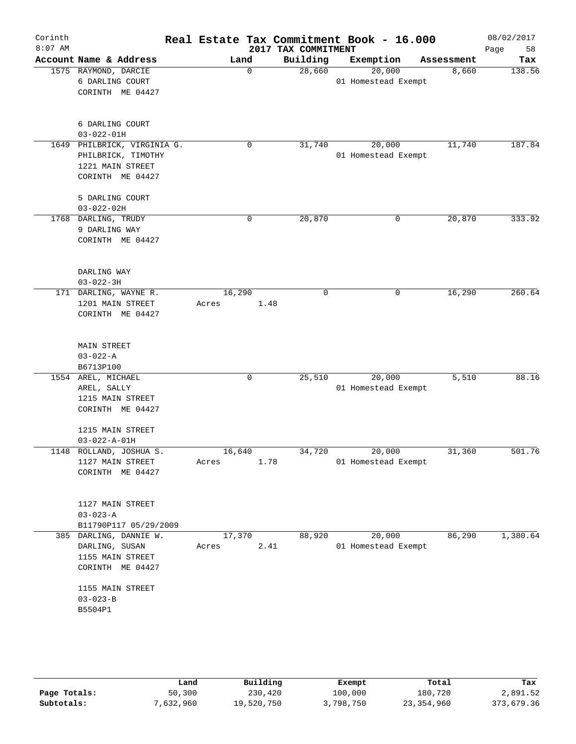| Corinth<br>$8:07$ AM |                                                                                           |                 |             | Real Estate Tax Commitment Book - 16.000<br>2017 TAX COMMITMENT |                     |           |            | 08/02/2017<br>Page<br>58 |
|----------------------|-------------------------------------------------------------------------------------------|-----------------|-------------|-----------------------------------------------------------------|---------------------|-----------|------------|--------------------------|
|                      | Account Name & Address                                                                    | Land            |             | Building                                                        |                     | Exemption | Assessment | Tax                      |
|                      | 1575 RAYMOND, DARCIE<br>6 DARLING COURT<br>CORINTH ME 04427                               |                 | $\mathbf 0$ | 28,660                                                          | 01 Homestead Exempt | 20,000    | 8,660      | 138.56                   |
|                      | 6 DARLING COURT<br>$03 - 022 - 01H$                                                       |                 |             |                                                                 |                     |           |            |                          |
|                      | 1649 PHILBRICK, VIRGINIA G.<br>PHILBRICK, TIMOTHY<br>1221 MAIN STREET<br>CORINTH ME 04427 |                 | $\mathbf 0$ | 31,740                                                          | 01 Homestead Exempt | 20,000    | 11,740     | 187.84                   |
|                      | 5 DARLING COURT<br>$03 - 022 - 02H$                                                       |                 |             |                                                                 |                     |           |            |                          |
|                      | 1768 DARLING, TRUDY<br>9 DARLING WAY<br>CORINTH ME 04427                                  |                 | 0           | 20,870                                                          |                     | 0         | 20,870     | 333.92                   |
|                      | DARLING WAY<br>$03 - 022 - 3H$                                                            |                 |             |                                                                 |                     |           |            |                          |
|                      | 171 DARLING, WAYNE R.<br>1201 MAIN STREET<br>CORINTH ME 04427                             | 16,290<br>Acres | 1.48        | $\mathbf 0$                                                     |                     | 0         | 16,290     | 260.64                   |
|                      | <b>MAIN STREET</b><br>$03 - 022 - A$<br>B6713P100                                         |                 |             |                                                                 |                     |           |            |                          |
|                      | 1554 AREL, MICHAEL<br>AREL, SALLY<br>1215 MAIN STREET<br>CORINTH ME 04427                 |                 | 0           | 25,510                                                          | 01 Homestead Exempt | 20,000    | 5,510      | 88.16                    |
|                      | 1215 MAIN STREET<br>$03 - 022 - A - 01H$                                                  |                 |             |                                                                 |                     |           |            |                          |
| 1148                 | ROLLAND, JOSHUA S.<br>1127 MAIN STREET<br>CORINTH ME 04427                                | 16,640<br>Acres | 1.78        | 34,720                                                          | 01 Homestead Exempt | 20,000    | 31,360     | 501.76                   |
|                      | 1127 MAIN STREET<br>$03 - 023 - A$<br>B11790P117 05/29/2009                               |                 |             |                                                                 |                     |           |            |                          |
|                      | 385 DARLING, DANNIE W.<br>DARLING, SUSAN<br>1155 MAIN STREET<br>CORINTH ME 04427          | 17,370<br>Acres | 2.41        | 88,920                                                          | 01 Homestead Exempt | 20,000    | 86,290     | 1,380.64                 |
|                      | 1155 MAIN STREET<br>$03 - 023 - B$<br>B5504P1                                             |                 |             |                                                                 |                     |           |            |                          |
|                      |                                                                                           |                 |             |                                                                 |                     |           |            |                          |

|              | Land      | Building   | Exempt    | Total      | Tax        |
|--------------|-----------|------------|-----------|------------|------------|
| Page Totals: | 50,300    | 230,420    | 100,000   | 180,720    | 2,891.52   |
| Subtotals:   | 7,632,960 | 19,520,750 | 3,798,750 | 23,354,960 | 373,679.36 |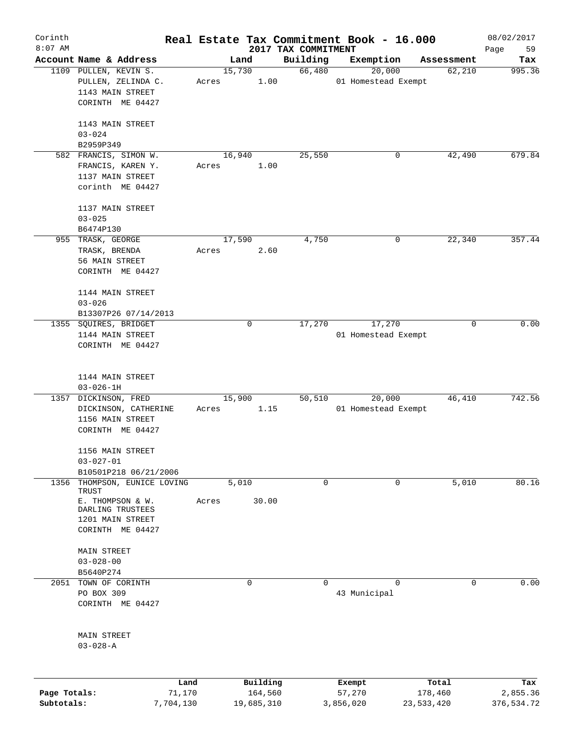| Corinth      |                                             |           |       |                |             |                                 | Real Estate Tax Commitment Book - 16.000 |   |                      | 08/02/2017    |
|--------------|---------------------------------------------|-----------|-------|----------------|-------------|---------------------------------|------------------------------------------|---|----------------------|---------------|
| $8:07$ AM    | Account Name & Address                      |           |       |                |             | 2017 TAX COMMITMENT<br>Building |                                          |   |                      | 59<br>Page    |
|              |                                             |           |       | Land<br>15,730 |             | 66,480                          | Exemption<br>20,000                      |   | Assessment<br>62,210 | Tax<br>995.36 |
|              | 1109 PULLEN, KEVIN S.<br>PULLEN, ZELINDA C. |           | Acres |                | 1.00        |                                 | 01 Homestead Exempt                      |   |                      |               |
|              | 1143 MAIN STREET                            |           |       |                |             |                                 |                                          |   |                      |               |
|              | CORINTH ME 04427                            |           |       |                |             |                                 |                                          |   |                      |               |
|              |                                             |           |       |                |             |                                 |                                          |   |                      |               |
|              | 1143 MAIN STREET                            |           |       |                |             |                                 |                                          |   |                      |               |
|              | $03 - 024$                                  |           |       |                |             |                                 |                                          |   |                      |               |
|              | B2959P349                                   |           |       |                |             |                                 |                                          |   |                      |               |
|              | 582 FRANCIS, SIMON W.                       |           |       | 16,940         |             | 25,550                          |                                          | 0 | 42,490               | 679.84        |
|              | FRANCIS, KAREN Y.                           |           | Acres |                | 1.00        |                                 |                                          |   |                      |               |
|              | 1137 MAIN STREET                            |           |       |                |             |                                 |                                          |   |                      |               |
|              | corinth ME 04427                            |           |       |                |             |                                 |                                          |   |                      |               |
|              |                                             |           |       |                |             |                                 |                                          |   |                      |               |
|              | 1137 MAIN STREET                            |           |       |                |             |                                 |                                          |   |                      |               |
|              | $03 - 025$                                  |           |       |                |             |                                 |                                          |   |                      |               |
|              | B6474P130                                   |           |       |                |             |                                 |                                          |   |                      |               |
|              | 955 TRASK, GEORGE                           |           |       | 17,590         |             | 4,750                           |                                          | 0 | 22,340               | 357.44        |
|              | TRASK, BRENDA                               |           | Acres |                | 2.60        |                                 |                                          |   |                      |               |
|              | 56 MAIN STREET                              |           |       |                |             |                                 |                                          |   |                      |               |
|              | CORINTH ME 04427                            |           |       |                |             |                                 |                                          |   |                      |               |
|              |                                             |           |       |                |             |                                 |                                          |   |                      |               |
|              | 1144 MAIN STREET                            |           |       |                |             |                                 |                                          |   |                      |               |
|              | $03 - 026$                                  |           |       |                |             |                                 |                                          |   |                      |               |
|              | B13307P26 07/14/2013                        |           |       |                |             |                                 |                                          |   |                      |               |
| 1355         | SQUIRES, BRIDGET                            |           |       |                | $\mathbf 0$ | 17,270                          | 17,270                                   |   | 0                    | 0.00          |
|              | 1144 MAIN STREET                            |           |       |                |             |                                 | 01 Homestead Exempt                      |   |                      |               |
|              | CORINTH ME 04427                            |           |       |                |             |                                 |                                          |   |                      |               |
|              |                                             |           |       |                |             |                                 |                                          |   |                      |               |
|              | 1144 MAIN STREET                            |           |       |                |             |                                 |                                          |   |                      |               |
|              | $03 - 026 - 1H$                             |           |       |                |             |                                 |                                          |   |                      |               |
| 1357         | DICKINSON, FRED                             |           |       | 15,900         |             | 50,510                          | 20,000                                   |   | 46,410               | 742.56        |
|              | DICKINSON, CATHERINE                        |           | Acres |                | 1.15        |                                 | 01 Homestead Exempt                      |   |                      |               |
|              | 1156 MAIN STREET                            |           |       |                |             |                                 |                                          |   |                      |               |
|              | CORINTH ME 04427                            |           |       |                |             |                                 |                                          |   |                      |               |
|              |                                             |           |       |                |             |                                 |                                          |   |                      |               |
|              | 1156 MAIN STREET                            |           |       |                |             |                                 |                                          |   |                      |               |
|              | $03 - 027 - 01$                             |           |       |                |             |                                 |                                          |   |                      |               |
|              | B10501P218 06/21/2006                       |           |       |                |             |                                 |                                          |   |                      |               |
| 1356         | THOMPSON, EUNICE LOVING                     |           |       | 5,010          |             | 0                               |                                          | 0 | 5,010                | 80.16         |
|              | TRUST                                       |           |       |                |             |                                 |                                          |   |                      |               |
|              | E. THOMPSON & W.<br>DARLING TRUSTEES        |           | Acres |                | 30.00       |                                 |                                          |   |                      |               |
|              | 1201 MAIN STREET                            |           |       |                |             |                                 |                                          |   |                      |               |
|              | CORINTH ME 04427                            |           |       |                |             |                                 |                                          |   |                      |               |
|              |                                             |           |       |                |             |                                 |                                          |   |                      |               |
|              | <b>MAIN STREET</b>                          |           |       |                |             |                                 |                                          |   |                      |               |
|              | $03 - 028 - 00$                             |           |       |                |             |                                 |                                          |   |                      |               |
|              | B5640P274                                   |           |       |                |             |                                 |                                          |   |                      |               |
| 2051         | TOWN OF CORINTH                             |           |       |                | 0           | 0                               |                                          | 0 | 0                    | 0.00          |
|              | PO BOX 309                                  |           |       |                |             |                                 | 43 Municipal                             |   |                      |               |
|              | CORINTH ME 04427                            |           |       |                |             |                                 |                                          |   |                      |               |
|              |                                             |           |       |                |             |                                 |                                          |   |                      |               |
|              | <b>MAIN STREET</b>                          |           |       |                |             |                                 |                                          |   |                      |               |
|              | $03 - 028 - A$                              |           |       |                |             |                                 |                                          |   |                      |               |
|              |                                             |           |       |                |             |                                 |                                          |   |                      |               |
|              |                                             |           |       |                |             |                                 |                                          |   |                      |               |
|              |                                             | Land      |       |                | Building    |                                 | Exempt                                   |   | Total                | Tax           |
| Page Totals: |                                             | 71,170    |       |                | 164,560     |                                 | 57,270                                   |   | 178,460              | 2,855.36      |
| Subtotals:   |                                             | 7,704,130 |       |                | 19,685,310  |                                 | 3,856,020                                |   | 23, 533, 420         | 376,534.72    |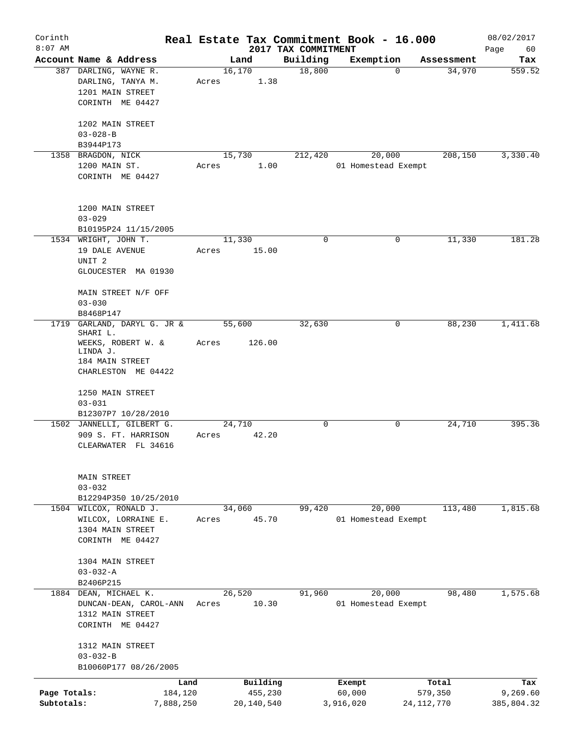| Corinth<br>$8:07$ AM |                                         |       |            | 2017 TAX COMMITMENT | Real Estate Tax Commitment Book - 16.000 |              | 08/02/2017<br>Page<br>60 |
|----------------------|-----------------------------------------|-------|------------|---------------------|------------------------------------------|--------------|--------------------------|
|                      | Account Name & Address                  |       | Land       | Building            | Exemption                                | Assessment   | Tax                      |
|                      | 387 DARLING, WAYNE R.                   |       | 16,170     | 18,800              | $\mathbf 0$                              | 34,970       | 559.52                   |
|                      | DARLING, TANYA M.                       | Acres | 1.38       |                     |                                          |              |                          |
|                      | 1201 MAIN STREET                        |       |            |                     |                                          |              |                          |
|                      |                                         |       |            |                     |                                          |              |                          |
|                      | CORINTH ME 04427                        |       |            |                     |                                          |              |                          |
|                      | 1202 MAIN STREET                        |       |            |                     |                                          |              |                          |
|                      | $03 - 028 - B$                          |       |            |                     |                                          |              |                          |
|                      | B3944P173                               |       |            |                     |                                          |              |                          |
|                      | 1358 BRAGDON, NICK                      |       | 15,730     | 212,420             | 20,000                                   | 208,150      | 3,330.40                 |
|                      | 1200 MAIN ST.                           | Acres | 1.00       |                     | 01 Homestead Exempt                      |              |                          |
|                      | CORINTH ME 04427                        |       |            |                     |                                          |              |                          |
|                      |                                         |       |            |                     |                                          |              |                          |
|                      |                                         |       |            |                     |                                          |              |                          |
|                      | 1200 MAIN STREET                        |       |            |                     |                                          |              |                          |
|                      | $03 - 029$                              |       |            |                     |                                          |              |                          |
|                      | B10195P24 11/15/2005                    |       |            |                     |                                          |              |                          |
|                      | 1534 WRIGHT, JOHN T.                    |       | 11,330     | $\mathbf 0$         | 0                                        | 11,330       | 181.28                   |
|                      | 19 DALE AVENUE                          | Acres | 15.00      |                     |                                          |              |                          |
|                      | UNIT <sub>2</sub>                       |       |            |                     |                                          |              |                          |
|                      | GLOUCESTER MA 01930                     |       |            |                     |                                          |              |                          |
|                      |                                         |       |            |                     |                                          |              |                          |
|                      | MAIN STREET N/F OFF                     |       |            |                     |                                          |              |                          |
|                      | $03 - 030$                              |       |            |                     |                                          |              |                          |
|                      | B8468P147                               |       |            |                     |                                          |              |                          |
| 1719                 | GARLAND, DARYL G. JR &                  |       | 55,600     | 32,630              | 0                                        | 88,230       | 1,411.68                 |
|                      | SHARI L.                                |       |            |                     |                                          |              |                          |
|                      | WEEKS, ROBERT W. &                      | Acres | 126.00     |                     |                                          |              |                          |
|                      | LINDA J.                                |       |            |                     |                                          |              |                          |
|                      | 184 MAIN STREET                         |       |            |                     |                                          |              |                          |
|                      | CHARLESTON ME 04422                     |       |            |                     |                                          |              |                          |
|                      |                                         |       |            |                     |                                          |              |                          |
|                      | 1250 MAIN STREET                        |       |            |                     |                                          |              |                          |
|                      | $03 - 031$                              |       |            |                     |                                          |              |                          |
|                      | B12307P7 10/28/2010                     |       |            |                     |                                          |              |                          |
|                      | 1502 JANNELLI, GILBERT G.               |       | 24,710     | 0                   | 0                                        | 24,710       | 395.36                   |
|                      | 909 S. FT. HARRISON                     | Acres | 42.20      |                     |                                          |              |                          |
|                      | CLEARWATER FL 34616                     |       |            |                     |                                          |              |                          |
|                      |                                         |       |            |                     |                                          |              |                          |
|                      |                                         |       |            |                     |                                          |              |                          |
|                      | MAIN STREET                             |       |            |                     |                                          |              |                          |
|                      | $03 - 032$                              |       |            |                     |                                          |              |                          |
|                      | B12294P350 10/25/2010                   |       |            |                     |                                          | 113,480      |                          |
|                      | 1504 WILCOX, RONALD J.                  |       | 34,060     | 99,420              | 20,000                                   |              | 1,815.68                 |
|                      | WILCOX, LORRAINE E.                     | Acres | 45.70      |                     | 01 Homestead Exempt                      |              |                          |
|                      | 1304 MAIN STREET                        |       |            |                     |                                          |              |                          |
|                      | CORINTH ME 04427                        |       |            |                     |                                          |              |                          |
|                      |                                         |       |            |                     |                                          |              |                          |
|                      | 1304 MAIN STREET                        |       |            |                     |                                          |              |                          |
|                      | $03 - 032 - A$                          |       |            |                     |                                          |              |                          |
|                      | B2406P215                               |       |            | 91,960              |                                          | 98,480       | 1, 575.68                |
|                      | 1884 DEAN, MICHAEL K.                   |       | 26,520     |                     | 20,000                                   |              |                          |
|                      | DUNCAN-DEAN, CAROL-ANN                  | Acres | 10.30      |                     | 01 Homestead Exempt                      |              |                          |
|                      | 1312 MAIN STREET                        |       |            |                     |                                          |              |                          |
|                      | CORINTH ME 04427                        |       |            |                     |                                          |              |                          |
|                      |                                         |       |            |                     |                                          |              |                          |
|                      | 1312 MAIN STREET                        |       |            |                     |                                          |              |                          |
|                      | $03 - 032 - B$<br>B10060P177 08/26/2005 |       |            |                     |                                          |              |                          |
|                      |                                         |       |            |                     |                                          |              |                          |
|                      |                                         | Land  | Building   |                     | Exempt                                   | Total        | Tax                      |
| Page Totals:         | 184,120                                 |       | 455,230    |                     | 60,000                                   | 579,350      | 9,269.60                 |
| Subtotals:           | 7,888,250                               |       | 20,140,540 |                     | 3,916,020                                | 24, 112, 770 | 385,804.32               |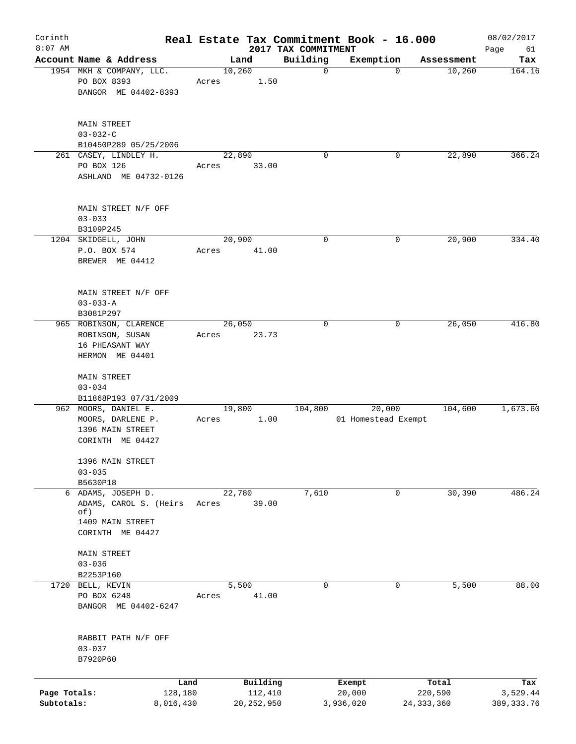| Corinth<br>$8:07$ AM       |                                                           |       |                         |                                 | Real Estate Tax Commitment Book - 16.000 |                         | 08/02/2017              |
|----------------------------|-----------------------------------------------------------|-------|-------------------------|---------------------------------|------------------------------------------|-------------------------|-------------------------|
|                            | Account Name & Address                                    |       | Land                    | 2017 TAX COMMITMENT<br>Building | Exemption                                | Assessment              | Page<br>61<br>Tax       |
|                            | 1954 MKH & COMPANY, LLC.                                  |       | 10,260                  | $\mathbf 0$                     | $\mathbf 0$                              | 10,260                  | 164.16                  |
|                            | PO BOX 8393<br>BANGOR ME 04402-8393                       | Acres | 1.50                    |                                 |                                          |                         |                         |
|                            | <b>MAIN STREET</b><br>$03 - 032 - C$                      |       |                         |                                 |                                          |                         |                         |
|                            | B10450P289 05/25/2006                                     |       |                         |                                 |                                          |                         |                         |
|                            | 261 CASEY, LINDLEY H.                                     |       | 22,890                  | 0                               | 0                                        | 22,890                  | 366.24                  |
|                            | PO BOX 126<br>ASHLAND ME 04732-0126                       | Acres | 33.00                   |                                 |                                          |                         |                         |
|                            | MAIN STREET N/F OFF<br>$03 - 033$                         |       |                         |                                 |                                          |                         |                         |
|                            | B3109P245                                                 |       |                         |                                 |                                          |                         |                         |
|                            | 1204 SKIDGELL, JOHN<br>P.O. BOX 574<br>BREWER ME 04412    | Acres | 20,900<br>41.00         | 0                               | 0                                        | 20,900                  | 334.40                  |
|                            | MAIN STREET N/F OFF<br>$03 - 033 - A$                     |       |                         |                                 |                                          |                         |                         |
|                            | B3081P297<br>965 ROBINSON, CLARENCE                       |       | 26,050                  | $\mathbf 0$                     | 0                                        | 26,050                  | 416.80                  |
|                            | ROBINSON, SUSAN<br>16 PHEASANT WAY<br>HERMON ME 04401     | Acres | 23.73                   |                                 |                                          |                         |                         |
|                            | <b>MAIN STREET</b><br>$03 - 034$<br>B11868P193 07/31/2009 |       |                         |                                 |                                          |                         |                         |
|                            | 962 MOORS, DANIEL E.                                      |       | 19,800                  | 104,800                         | 20,000                                   | 104,600                 | 1,673.60                |
|                            | MOORS, DARLENE P.<br>1396 MAIN STREET<br>CORINTH ME 04427 | Acres | 1.00                    |                                 | 01 Homestead Exempt                      |                         |                         |
|                            | 1396 MAIN STREET<br>$03 - 035$                            |       |                         |                                 |                                          |                         |                         |
|                            | B5630P18<br>6 ADAMS, JOSEPH D.                            |       | 22,780                  | 7,610                           | 0                                        | 30,390                  | 486.24                  |
|                            | ADAMS, CAROL S. (Heirs<br>of)<br>1409 MAIN STREET         | Acres | 39.00                   |                                 |                                          |                         |                         |
|                            | CORINTH ME 04427                                          |       |                         |                                 |                                          |                         |                         |
|                            | <b>MAIN STREET</b><br>$03 - 036$                          |       |                         |                                 |                                          |                         |                         |
|                            | B2253P160<br>1720 BELL, KEVIN                             |       | 5,500                   | $\mathbf 0$                     | $\mathbf 0$                              | 5,500                   | 88.00                   |
|                            | PO BOX 6248<br>BANGOR ME 04402-6247                       | Acres | 41.00                   |                                 |                                          |                         |                         |
|                            | RABBIT PATH N/F OFF<br>$03 - 037$<br>B7920P60             |       |                         |                                 |                                          |                         |                         |
|                            |                                                           | Land  | Building                |                                 | Exempt                                   | Total                   | Tax                     |
| Page Totals:<br>Subtotals: | 128,180<br>8,016,430                                      |       | 112,410<br>20, 252, 950 |                                 | 20,000<br>3,936,020                      | 220,590<br>24, 333, 360 | 3,529.44<br>389, 333.76 |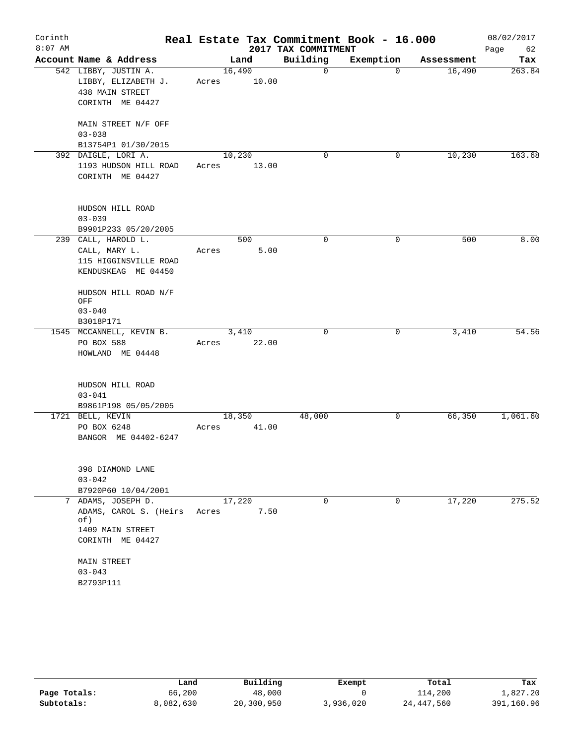| Corinth   |                                           |       |        |                     | Real Estate Tax Commitment Book - 16.000 |            | 08/02/2017 |
|-----------|-------------------------------------------|-------|--------|---------------------|------------------------------------------|------------|------------|
| $8:07$ AM |                                           |       |        | 2017 TAX COMMITMENT |                                          |            | Page<br>62 |
|           | Account Name & Address                    |       | Land   | Building            | Exemption                                | Assessment | Tax        |
|           | 542 LIBBY, JUSTIN A.                      |       | 16,490 | 0                   | $\mathbf 0$                              | 16,490     | 263.84     |
|           | LIBBY, ELIZABETH J.                       | Acres | 10.00  |                     |                                          |            |            |
|           | 438 MAIN STREET                           |       |        |                     |                                          |            |            |
|           | CORINTH ME 04427                          |       |        |                     |                                          |            |            |
|           | MAIN STREET N/F OFF                       |       |        |                     |                                          |            |            |
|           | $03 - 038$                                |       |        |                     |                                          |            |            |
|           | B13754P1 01/30/2015                       |       |        |                     |                                          |            |            |
|           | 392 DAIGLE, LORI A.                       |       | 10,230 | 0                   | 0                                        | 10,230     | 163.68     |
|           | 1193 HUDSON HILL ROAD<br>CORINTH ME 04427 | Acres | 13.00  |                     |                                          |            |            |
|           | HUDSON HILL ROAD                          |       |        |                     |                                          |            |            |
|           | $03 - 039$                                |       |        |                     |                                          |            |            |
|           | B9901P233 05/20/2005                      |       |        |                     |                                          |            |            |
|           | 239 CALL, HAROLD L.                       |       | 500    | 0                   | 0                                        | 500        | 8.00       |
|           | CALL, MARY L.                             | Acres | 5.00   |                     |                                          |            |            |
|           | 115 HIGGINSVILLE ROAD                     |       |        |                     |                                          |            |            |
|           | KENDUSKEAG ME 04450                       |       |        |                     |                                          |            |            |
|           | HUDSON HILL ROAD N/F<br>OFF               |       |        |                     |                                          |            |            |
|           | $03 - 040$                                |       |        |                     |                                          |            |            |
|           | B3018P171                                 |       |        |                     |                                          |            |            |
|           | 1545 MCCANNELL, KEVIN B.                  |       | 3,410  | $\Omega$            | 0                                        | 3,410      | 54.56      |
|           | PO BOX 588                                | Acres | 22.00  |                     |                                          |            |            |
|           | HOWLAND ME 04448                          |       |        |                     |                                          |            |            |
|           | HUDSON HILL ROAD                          |       |        |                     |                                          |            |            |
|           | $03 - 041$                                |       |        |                     |                                          |            |            |
|           | B9861P198 05/05/2005                      |       |        |                     |                                          |            |            |
|           | 1721 BELL, KEVIN                          |       | 18,350 | 48,000              | 0                                        | 66, 350    | 1,061.60   |
|           | PO BOX 6248                               | Acres | 41.00  |                     |                                          |            |            |
|           | BANGOR ME 04402-6247                      |       |        |                     |                                          |            |            |
|           | 398 DIAMOND LANE                          |       |        |                     |                                          |            |            |
|           | $03 - 042$                                |       |        |                     |                                          |            |            |
|           | B7920P60 10/04/2001                       |       |        |                     |                                          |            |            |
|           | 7 ADAMS, JOSEPH D.                        |       | 17,220 | 0                   | 0                                        | 17,220     | 275.52     |
|           | ADAMS, CAROL S. (Heirs<br>of)             | Acres | 7.50   |                     |                                          |            |            |
|           | 1409 MAIN STREET<br>CORINTH ME 04427      |       |        |                     |                                          |            |            |
|           | MAIN STREET                               |       |        |                     |                                          |            |            |
|           | $03 - 043$                                |       |        |                     |                                          |            |            |
|           | B2793P111                                 |       |        |                     |                                          |            |            |

|              | Land      | Building   | Exempt    | Total      | Tax        |
|--------------|-----------|------------|-----------|------------|------------|
| Page Totals: | 66,200    | 48,000     |           | 114,200    | 1,827.20   |
| Subtotals:   | 8,082,630 | 20,300,950 | 3,936,020 | 24,447,560 | 391,160.96 |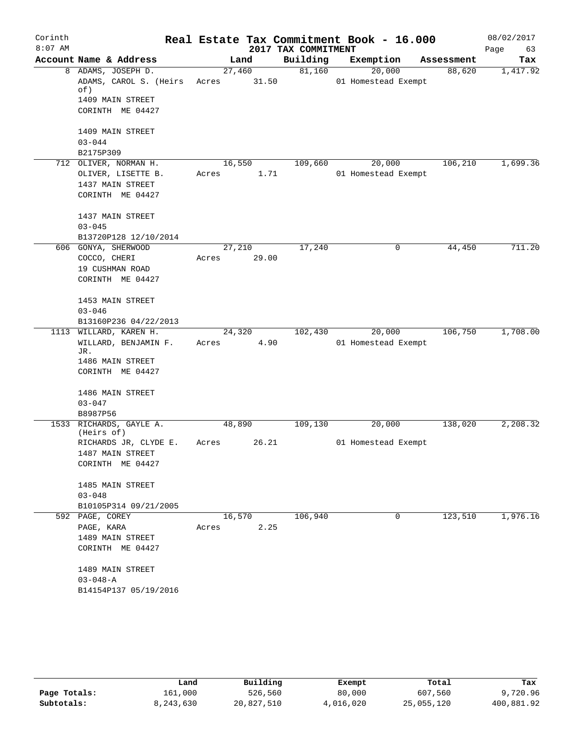| Corinth   |                                                                         |                 |       |                     | Real Estate Tax Commitment Book - 16.000 |            | 08/02/2017 |
|-----------|-------------------------------------------------------------------------|-----------------|-------|---------------------|------------------------------------------|------------|------------|
| $8:07$ AM |                                                                         |                 |       | 2017 TAX COMMITMENT |                                          |            | Page<br>63 |
|           | Account Name & Address                                                  |                 | Land  | Building            | Exemption                                | Assessment | Tax        |
|           | 8 ADAMS, JOSEPH D.<br>ADAMS, CAROL S. (Heirs<br>of)<br>1409 MAIN STREET | 27,460<br>Acres | 31.50 | 81,160              | 20,000<br>01 Homestead Exempt            | 88,620     | 1,417.92   |
|           | CORINTH ME 04427                                                        |                 |       |                     |                                          |            |            |
|           | 1409 MAIN STREET<br>$03 - 044$                                          |                 |       |                     |                                          |            |            |
|           | B2175P309                                                               |                 |       |                     |                                          |            |            |
|           | 712 OLIVER, NORMAN H.                                                   | 16,550          |       | 109,660             | 20,000                                   | 106,210    | 1,699.36   |
|           | OLIVER, LISETTE B.                                                      | Acres           | 1.71  |                     | 01 Homestead Exempt                      |            |            |
|           | 1437 MAIN STREET                                                        |                 |       |                     |                                          |            |            |
|           | CORINTH ME 04427                                                        |                 |       |                     |                                          |            |            |
|           | 1437 MAIN STREET                                                        |                 |       |                     |                                          |            |            |
|           | $03 - 045$                                                              |                 |       |                     |                                          |            |            |
|           | B13720P128 12/10/2014                                                   |                 |       |                     |                                          |            |            |
|           | 606 GONYA, SHERWOOD<br>COCCO, CHERI                                     | 27,210<br>Acres | 29.00 | 17,240              | 0                                        | 44,450     | 711.20     |
|           | 19 CUSHMAN ROAD                                                         |                 |       |                     |                                          |            |            |
|           | CORINTH ME 04427                                                        |                 |       |                     |                                          |            |            |
|           |                                                                         |                 |       |                     |                                          |            |            |
|           | 1453 MAIN STREET                                                        |                 |       |                     |                                          |            |            |
|           | $03 - 046$                                                              |                 |       |                     |                                          |            |            |
|           | B13160P236 04/22/2013                                                   |                 |       |                     |                                          |            |            |
|           | 1113 WILLARD, KAREN H.<br>WILLARD, BENJAMIN F.                          | 24,320<br>Acres | 4.90  | 102,430             | 20,000<br>01 Homestead Exempt            | 106,750    | 1,708.00   |
|           | JR.                                                                     |                 |       |                     |                                          |            |            |
|           | 1486 MAIN STREET                                                        |                 |       |                     |                                          |            |            |
|           | CORINTH ME 04427                                                        |                 |       |                     |                                          |            |            |
|           | 1486 MAIN STREET                                                        |                 |       |                     |                                          |            |            |
|           | $03 - 047$                                                              |                 |       |                     |                                          |            |            |
|           | B8987P56                                                                |                 |       |                     |                                          |            |            |
|           | 1533 RICHARDS, GAYLE A.<br>(Heirs of)                                   | 48,890          |       | 109,130             | 20,000                                   | 138,020    | 2,208.32   |
|           | RICHARDS JR, CLYDE E.                                                   | Acres           | 26.21 |                     | 01 Homestead Exempt                      |            |            |
|           | 1487 MAIN STREET<br>CORINTH ME 04427                                    |                 |       |                     |                                          |            |            |
|           |                                                                         |                 |       |                     |                                          |            |            |
|           | 1485 MAIN STREET                                                        |                 |       |                     |                                          |            |            |
|           | $03 - 048$                                                              |                 |       |                     |                                          |            |            |
|           | B10105P314 09/21/2005                                                   |                 |       |                     |                                          |            |            |
|           | 592 PAGE, COREY                                                         | 16,570          |       | 106,940             | $\mathbf 0$                              | 123,510    | 1,976.16   |
|           | PAGE, KARA                                                              | Acres           | 2.25  |                     |                                          |            |            |
|           | 1489 MAIN STREET<br>CORINTH ME 04427                                    |                 |       |                     |                                          |            |            |
|           |                                                                         |                 |       |                     |                                          |            |            |
|           | 1489 MAIN STREET                                                        |                 |       |                     |                                          |            |            |
|           | $03 - 048 - A$                                                          |                 |       |                     |                                          |            |            |
|           | B14154P137 05/19/2016                                                   |                 |       |                     |                                          |            |            |

|              | Land      | Building   | Exempt    | Total      | Tax        |
|--------------|-----------|------------|-----------|------------|------------|
| Page Totals: | 161,000   | 526,560    | 80,000    | 607,560    | 9,720.96   |
| Subtotals:   | 8,243,630 | 20,827,510 | 4,016,020 | 25,055,120 | 400,881.92 |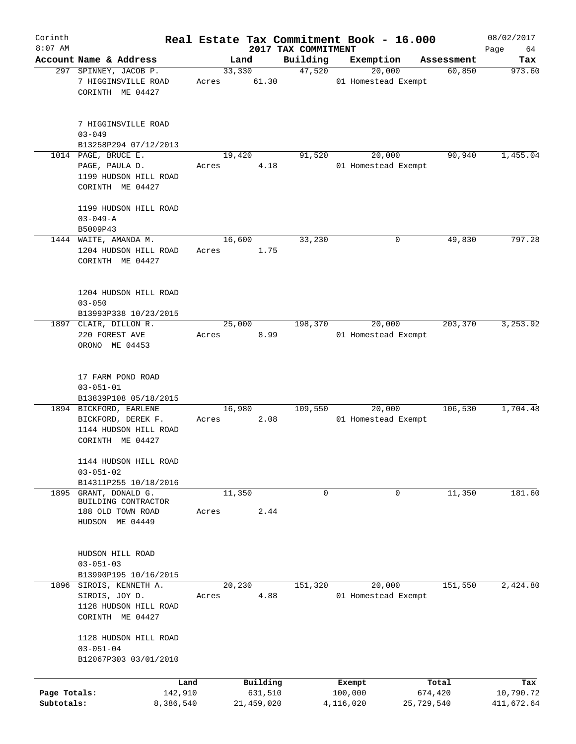| Corinth                    |                                                                                           |                 |                       |                                 | Real Estate Tax Commitment Book - 16.000 |                       | 08/02/2017              |
|----------------------------|-------------------------------------------------------------------------------------------|-----------------|-----------------------|---------------------------------|------------------------------------------|-----------------------|-------------------------|
| $8:07$ AM                  | Account Name & Address                                                                    |                 | Land                  | 2017 TAX COMMITMENT<br>Building | Exemption                                |                       | Page<br>64              |
|                            | 297 SPINNEY, JACOB P.                                                                     |                 | 33,330                | 47,520                          | 20,000                                   | Assessment<br>60,850  | Tax<br>973.60           |
|                            | 7 HIGGINSVILLE ROAD<br>CORINTH ME 04427                                                   | Acres           | 61.30                 |                                 | 01 Homestead Exempt                      |                       |                         |
|                            | 7 HIGGINSVILLE ROAD<br>$03 - 049$                                                         |                 |                       |                                 |                                          |                       |                         |
|                            | B13258P294 07/12/2013                                                                     |                 |                       |                                 |                                          |                       |                         |
|                            | 1014 PAGE, BRUCE E.<br>PAGE, PAULA D.<br>1199 HUDSON HILL ROAD<br>CORINTH ME 04427        | Acres           | 19,420<br>4.18        | 91,520                          | 20,000<br>01 Homestead Exempt            | 90,940                | 1,455.04                |
|                            | 1199 HUDSON HILL ROAD<br>$03 - 049 - A$                                                   |                 |                       |                                 |                                          |                       |                         |
|                            | B5009P43<br>1444 WAITE, AMANDA M.                                                         | 16,600          |                       | 33,230                          | 0                                        | 49,830                | 797.28                  |
|                            | 1204 HUDSON HILL ROAD<br>CORINTH ME 04427                                                 | Acres           | 1.75                  |                                 |                                          |                       |                         |
|                            | 1204 HUDSON HILL ROAD<br>$03 - 050$<br>B13993P338 10/23/2015                              |                 |                       |                                 |                                          |                       |                         |
|                            | 1897 CLAIR, DILLON R.                                                                     |                 | 25,000                | 198,370                         | 20,000                                   | 203,370               | 3,253.92                |
|                            | 220 FOREST AVE<br>ORONO ME 04453                                                          | Acres           | 8.99                  |                                 | 01 Homestead Exempt                      |                       |                         |
|                            | 17 FARM POND ROAD<br>$03 - 051 - 01$                                                      |                 |                       |                                 |                                          |                       |                         |
|                            | B13839P108 05/18/2015                                                                     |                 |                       |                                 |                                          |                       |                         |
|                            | 1894 BICKFORD, EARLENE<br>BICKFORD, DEREK F.<br>1144 HUDSON HILL ROAD<br>CORINTH ME 04427 | 16,980<br>Acres | 2.08                  | 109,550                         | 20,000<br>01 Homestead Exempt            | 106,530               | 1,704.48                |
|                            | 1144 HUDSON HILL ROAD<br>$03 - 051 - 02$                                                  |                 |                       |                                 |                                          |                       |                         |
| 1895                       | B14311P255 10/18/2016<br>GRANT, DONALD G.                                                 | 11,350          |                       | 0                               | 0                                        | 11,350                | 181.60                  |
|                            | BUILDING CONTRACTOR<br>188 OLD TOWN ROAD<br>HUDSON ME 04449                               | Acres           | 2.44                  |                                 |                                          |                       |                         |
|                            | HUDSON HILL ROAD<br>$03 - 051 - 03$<br>B13990P195 10/16/2015                              |                 |                       |                                 |                                          |                       |                         |
|                            | 1896 SIROIS, KENNETH A.                                                                   |                 | 20,230                | 151,320                         | 20,000                                   | 151,550               | 2,424.80                |
|                            | SIROIS, JOY D.<br>1128 HUDSON HILL ROAD<br>CORINTH ME 04427                               | Acres           | 4.88                  |                                 | 01 Homestead Exempt                      |                       |                         |
|                            | 1128 HUDSON HILL ROAD<br>$03 - 051 - 04$<br>B12067P303 03/01/2010                         |                 |                       |                                 |                                          |                       |                         |
|                            | Land                                                                                      |                 | Building              |                                 | Exempt                                   | Total                 | Tax                     |
| Page Totals:<br>Subtotals: | 142,910<br>8,386,540                                                                      |                 | 631,510<br>21,459,020 |                                 | 100,000<br>4,116,020                     | 674,420<br>25,729,540 | 10,790.72<br>411,672.64 |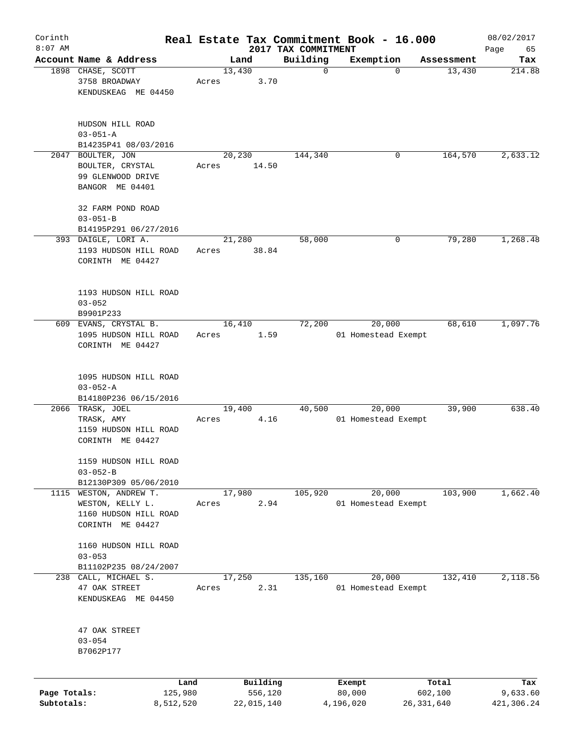| Corinth      |                                                              |       |                        |                         | Real Estate Tax Commitment Book - 16.000 |              |                      | 08/02/2017    |
|--------------|--------------------------------------------------------------|-------|------------------------|-------------------------|------------------------------------------|--------------|----------------------|---------------|
| $8:07$ AM    |                                                              |       |                        | 2017 TAX COMMITMENT     |                                          |              |                      | Page<br>65    |
|              | Account Name & Address<br>1898 CHASE, SCOTT<br>3758 BROADWAY | Acres | Land<br>13,430<br>3.70 | Building<br>$\mathbf 0$ | Exemption                                | $\mathbf 0$  | Assessment<br>13,430 | Tax<br>214.88 |
|              | KENDUSKEAG ME 04450                                          |       |                        |                         |                                          |              |                      |               |
|              | HUDSON HILL ROAD<br>$03 - 051 - A$                           |       |                        |                         |                                          |              |                      |               |
|              | B14235P41 08/03/2016                                         |       |                        |                         |                                          |              |                      |               |
|              | 2047 BOULTER, JON                                            |       | 20,230                 | 144,340                 |                                          | 0            | 164,570              | 2,633.12      |
|              | BOULTER, CRYSTAL                                             | Acres | 14.50                  |                         |                                          |              |                      |               |
|              | 99 GLENWOOD DRIVE<br>BANGOR ME 04401                         |       |                        |                         |                                          |              |                      |               |
|              | 32 FARM POND ROAD                                            |       |                        |                         |                                          |              |                      |               |
|              | $03 - 051 - B$                                               |       |                        |                         |                                          |              |                      |               |
|              | B14195P291 06/27/2016                                        |       |                        |                         |                                          |              |                      |               |
|              | 393 DAIGLE, LORI A.                                          |       | 21,280                 | 58,000                  |                                          | 0            | 79,280               | 1,268.48      |
|              | 1193 HUDSON HILL ROAD                                        | Acres | 38.84                  |                         |                                          |              |                      |               |
|              | CORINTH ME 04427                                             |       |                        |                         |                                          |              |                      |               |
|              | 1193 HUDSON HILL ROAD                                        |       |                        |                         |                                          |              |                      |               |
|              | $03 - 052$                                                   |       |                        |                         |                                          |              |                      |               |
|              | B9901P233                                                    |       |                        |                         |                                          |              |                      |               |
|              | 609 EVANS, CRYSTAL B.                                        |       | 16,410                 | 72,200                  | 20,000                                   |              | 68,610               | 1,097.76      |
|              | 1095 HUDSON HILL ROAD<br>CORINTH ME 04427                    | Acres | 1.59                   |                         | 01 Homestead Exempt                      |              |                      |               |
|              | 1095 HUDSON HILL ROAD                                        |       |                        |                         |                                          |              |                      |               |
|              | $03 - 052 - A$                                               |       |                        |                         |                                          |              |                      |               |
|              | B14180P236 06/15/2016                                        |       |                        |                         |                                          |              |                      |               |
|              | 2066 TRASK, JOEL                                             |       | 19,400                 | 40,500                  | 20,000                                   |              | 39,900               | 638.40        |
|              | TRASK, AMY                                                   | Acres | 4.16                   |                         | 01 Homestead Exempt                      |              |                      |               |
|              | 1159 HUDSON HILL ROAD<br>CORINTH ME 04427                    |       |                        |                         |                                          |              |                      |               |
|              |                                                              |       |                        |                         |                                          |              |                      |               |
|              | 1159 HUDSON HILL ROAD                                        |       |                        |                         |                                          |              |                      |               |
|              | $03 - 052 - B$                                               |       |                        |                         |                                          |              |                      |               |
|              | B12130P309 05/06/2010                                        |       |                        |                         |                                          |              |                      |               |
| 1115         | WESTON, ANDREW T.                                            |       | 17,980                 | 105,920                 | 20,000                                   |              | 103,900              | 1,662.40      |
|              | WESTON, KELLY L.                                             | Acres | 2.94                   |                         | 01 Homestead Exempt                      |              |                      |               |
|              | 1160 HUDSON HILL ROAD                                        |       |                        |                         |                                          |              |                      |               |
|              | CORINTH ME 04427                                             |       |                        |                         |                                          |              |                      |               |
|              | 1160 HUDSON HILL ROAD                                        |       |                        |                         |                                          |              |                      |               |
|              | $03 - 053$                                                   |       |                        |                         |                                          |              |                      |               |
|              | B11102P235 08/24/2007                                        |       |                        |                         |                                          |              |                      |               |
| 238          | CALL, MICHAEL S.                                             |       | 17,250                 | 135,160                 | 20,000                                   |              | 132,410              | 2,118.56      |
|              | 47 OAK STREET                                                | Acres | 2.31                   |                         | 01 Homestead Exempt                      |              |                      |               |
|              | KENDUSKEAG ME 04450                                          |       |                        |                         |                                          |              |                      |               |
|              | 47 OAK STREET                                                |       |                        |                         |                                          |              |                      |               |
|              | $03 - 054$                                                   |       |                        |                         |                                          |              |                      |               |
|              | B7062P177                                                    |       |                        |                         |                                          |              |                      |               |
|              |                                                              | Land  | Building               |                         | Exempt                                   |              | Total                | Tax           |
| Page Totals: | 125,980                                                      |       | 556,120                |                         | 80,000                                   |              | 602,100              | 9,633.60      |
| Subtotals:   | 8,512,520                                                    |       | 22,015,140             |                         | 4,196,020                                | 26, 331, 640 |                      | 421,306.24    |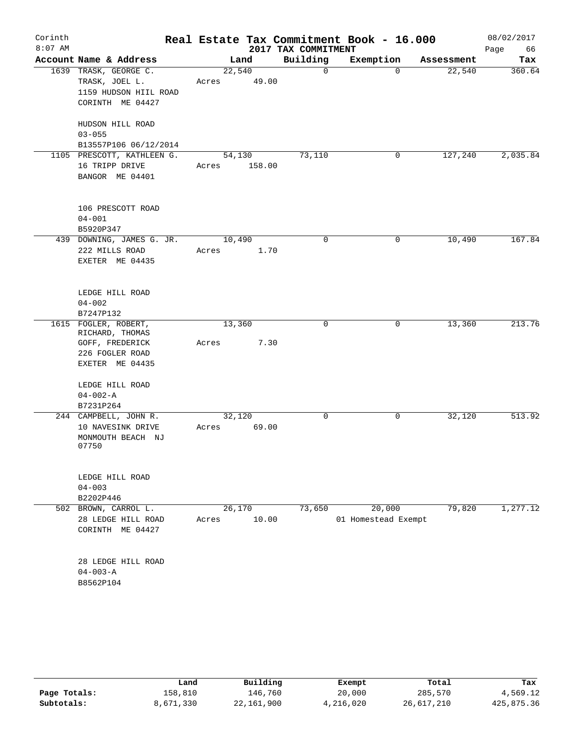| Corinth   |                            |        |        |                     | Real Estate Tax Commitment Book - 16.000 |            | 08/02/2017 |
|-----------|----------------------------|--------|--------|---------------------|------------------------------------------|------------|------------|
| $8:07$ AM |                            |        |        | 2017 TAX COMMITMENT |                                          |            | Page<br>66 |
|           | Account Name & Address     |        | Land   | Building            | Exemption                                | Assessment | Tax        |
|           | 1639 TRASK, GEORGE C.      | 22,540 |        | 0                   | $\Omega$                                 | 22,540     | 360.64     |
|           | TRASK, JOEL L.             | Acres  | 49.00  |                     |                                          |            |            |
|           | 1159 HUDSON HIIL ROAD      |        |        |                     |                                          |            |            |
|           | CORINTH ME 04427           |        |        |                     |                                          |            |            |
|           | HUDSON HILL ROAD           |        |        |                     |                                          |            |            |
|           | $03 - 055$                 |        |        |                     |                                          |            |            |
|           | B13557P106 06/12/2014      |        |        |                     |                                          |            |            |
|           | 1105 PRESCOTT, KATHLEEN G. | 54,130 |        | 73,110              | 0                                        | 127,240    | 2,035.84   |
|           | 16 TRIPP DRIVE             | Acres  | 158.00 |                     |                                          |            |            |
|           | BANGOR ME 04401            |        |        |                     |                                          |            |            |
|           |                            |        |        |                     |                                          |            |            |
|           |                            |        |        |                     |                                          |            |            |
|           | 106 PRESCOTT ROAD          |        |        |                     |                                          |            |            |
|           | $04 - 001$<br>B5920P347    |        |        |                     |                                          |            |            |
|           | 439 DOWNING, JAMES G. JR.  | 10,490 |        | 0                   | 0                                        | 10,490     | 167.84     |
|           | 222 MILLS ROAD             | Acres  | 1.70   |                     |                                          |            |            |
|           | EXETER ME 04435            |        |        |                     |                                          |            |            |
|           |                            |        |        |                     |                                          |            |            |
|           |                            |        |        |                     |                                          |            |            |
|           | LEDGE HILL ROAD            |        |        |                     |                                          |            |            |
|           | $04 - 002$<br>B7247P132    |        |        |                     |                                          |            |            |
|           | 1615 FOGLER, ROBERT,       | 13,360 |        | 0                   | 0                                        | 13,360     | 213.76     |
|           | RICHARD, THOMAS            |        |        |                     |                                          |            |            |
|           | GOFF, FREDERICK            | Acres  | 7.30   |                     |                                          |            |            |
|           | 226 FOGLER ROAD            |        |        |                     |                                          |            |            |
|           | EXETER ME 04435            |        |        |                     |                                          |            |            |
|           | LEDGE HILL ROAD            |        |        |                     |                                          |            |            |
|           | $04 - 002 - A$             |        |        |                     |                                          |            |            |
|           | B7231P264                  |        |        |                     |                                          |            |            |
|           | 244 CAMPBELL, JOHN R.      | 32,120 |        | 0                   | 0                                        | 32,120     | 513.92     |
|           | 10 NAVESINK DRIVE          | Acres  | 69.00  |                     |                                          |            |            |
|           | MONMOUTH BEACH NJ          |        |        |                     |                                          |            |            |
|           | 07750                      |        |        |                     |                                          |            |            |
|           |                            |        |        |                     |                                          |            |            |
|           | LEDGE HILL ROAD            |        |        |                     |                                          |            |            |
|           | $04 - 003$                 |        |        |                     |                                          |            |            |
|           | B2202P446                  |        |        |                     |                                          | 79,820     |            |
|           | 502 BROWN, CARROL L.       | 26,170 | 10.00  | 73,650              | 20,000                                   |            | 1,277.12   |
|           | 28 LEDGE HILL ROAD         | Acres  |        |                     | 01 Homestead Exempt                      |            |            |
|           | CORINTH ME 04427           |        |        |                     |                                          |            |            |
|           | 28 LEDGE HILL ROAD         |        |        |                     |                                          |            |            |
|           | $04 - 003 - A$             |        |        |                     |                                          |            |            |
|           | B8562P104                  |        |        |                     |                                          |            |            |
|           |                            |        |        |                     |                                          |            |            |

|              | Land      | Building     | Exempt    | Total      | Tax        |
|--------------|-----------|--------------|-----------|------------|------------|
| Page Totals: | 158,810   | 146.760      | 20,000    | 285,570    | 4,569.12   |
| Subtotals:   | 8,671,330 | 22, 161, 900 | 4,216,020 | 26,617,210 | 425,875.36 |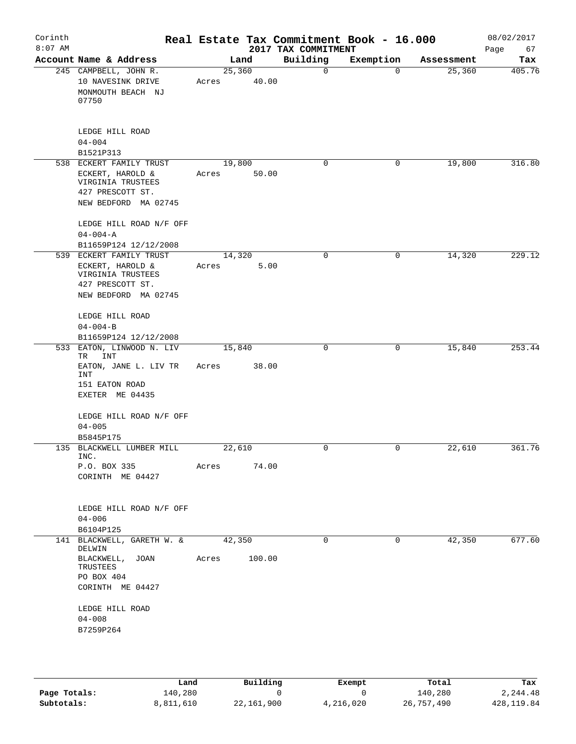| Corinth<br>$8:07$ AM |                                                                                                              | Real Estate Tax Commitment Book - 16.000 | 2017 TAX COMMITMENT |             |            | 08/02/2017<br>Page<br>67 |
|----------------------|--------------------------------------------------------------------------------------------------------------|------------------------------------------|---------------------|-------------|------------|--------------------------|
|                      | Account Name & Address                                                                                       | Land                                     | Building            | Exemption   | Assessment | Tax                      |
|                      | 245 CAMPBELL, JOHN R.<br>10 NAVESINK DRIVE<br>MONMOUTH BEACH NJ<br>07750                                     | 25,360<br>40.00<br>Acres                 | $\mathbf 0$         | $\Omega$    | 25,360     | 405.76                   |
|                      | LEDGE HILL ROAD<br>$04 - 004$<br>B1521P313                                                                   |                                          |                     |             |            |                          |
|                      | 538 ECKERT FAMILY TRUST                                                                                      | 19,800                                   | 0                   | 0           | 19,800     | 316.80                   |
|                      | ECKERT, HAROLD &<br>VIRGINIA TRUSTEES<br>427 PRESCOTT ST.<br>NEW BEDFORD MA 02745                            | 50.00<br>Acres                           |                     |             |            |                          |
|                      | LEDGE HILL ROAD N/F OFF<br>$04 - 004 - A$                                                                    |                                          |                     |             |            |                          |
|                      | B11659P124 12/12/2008                                                                                        |                                          |                     |             |            |                          |
|                      | 539 ECKERT FAMILY TRUST<br>ECKERT, HAROLD &<br>VIRGINIA TRUSTEES<br>427 PRESCOTT ST.<br>NEW BEDFORD MA 02745 | 14,320<br>Acres<br>5.00                  | $\mathbf 0$         | 0           | 14,320     | 229.12                   |
|                      | LEDGE HILL ROAD<br>$04 - 004 - B$                                                                            |                                          |                     |             |            |                          |
|                      | B11659P124 12/12/2008                                                                                        |                                          |                     |             |            |                          |
| 533                  | EATON, LINWOOD N. LIV<br>TR<br>INT<br>EATON, JANE L. LIV TR<br>INT<br>151 EATON ROAD<br>EXETER ME 04435      | 15,840<br>38.00<br>Acres                 | $\mathbf 0$         | 0           | 15,840     | 253.44                   |
|                      | LEDGE HILL ROAD N/F OFF<br>$04 - 005$<br>B5845P175                                                           |                                          |                     |             |            |                          |
|                      | 135 BLACKWELL LUMBER MILL                                                                                    | 22,610                                   | 0                   | 0           | 22,610     | 361.76                   |
|                      | INC.<br>P.O. BOX 335<br>CORINTH ME 04427                                                                     | 74.00<br>Acres                           |                     |             |            |                          |
|                      | LEDGE HILL ROAD N/F OFF<br>$04 - 006$<br>B6104P125                                                           |                                          |                     |             |            |                          |
|                      | 141 BLACKWELL, GARETH W. &<br>DELWIN<br>BLACKWELL, JOAN<br>TRUSTEES<br>PO BOX 404<br>CORINTH ME 04427        | 42,350<br>100.00<br>Acres                | $\mathbf 0$         | $\mathbf 0$ | 42,350     | 677.60                   |
|                      | LEDGE HILL ROAD<br>$04 - 008$<br>B7259P264                                                                   |                                          |                     |             |            |                          |

|              | Land      | Building   | Exempt    | Total      | Tax         |
|--------------|-----------|------------|-----------|------------|-------------|
| Page Totals: | 140,280   |            |           | 140,280    | 2,244.48    |
| Subtotals:   | 8,811,610 | 22,161,900 | 4,216,020 | 26,757,490 | 428, 119.84 |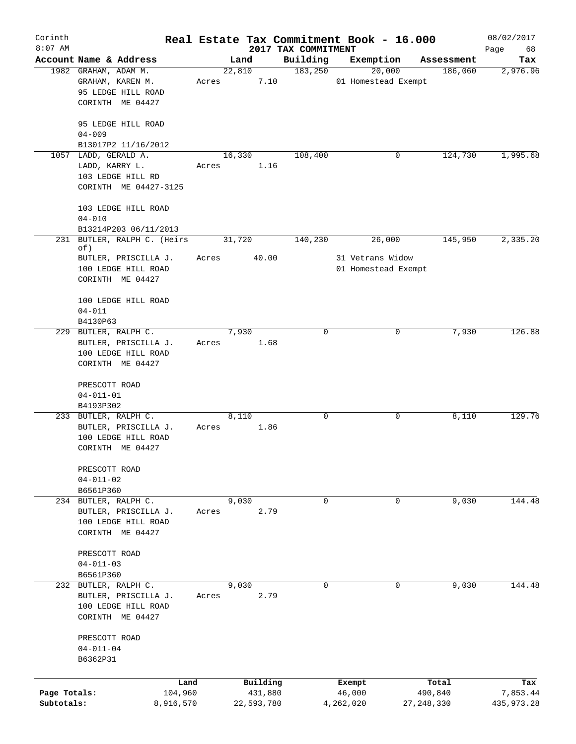| Corinth      |                                   |       |            |                                 | Real Estate Tax Commitment Book - 16.000 |              | 08/02/2017        |
|--------------|-----------------------------------|-------|------------|---------------------------------|------------------------------------------|--------------|-------------------|
| $8:07$ AM    | Account Name & Address            |       | Land       | 2017 TAX COMMITMENT<br>Building | Exemption                                | Assessment   | Page<br>68<br>Tax |
|              | 1982 GRAHAM, ADAM M.              |       | 22,810     | 183,250                         | 20,000                                   | 186,060      | 2,976.96          |
|              | GRAHAM, KAREN M.                  | Acres | 7.10       |                                 | 01 Homestead Exempt                      |              |                   |
|              | 95 LEDGE HILL ROAD                |       |            |                                 |                                          |              |                   |
|              | CORINTH ME 04427                  |       |            |                                 |                                          |              |                   |
|              |                                   |       |            |                                 |                                          |              |                   |
|              | 95 LEDGE HILL ROAD                |       |            |                                 |                                          |              |                   |
|              | $04 - 009$                        |       |            |                                 |                                          |              |                   |
|              | B13017P2 11/16/2012               |       |            |                                 |                                          |              |                   |
|              | 1057 LADD, GERALD A.              |       | 16,330     | 108,400                         | 0                                        | 124,730      | 1,995.68          |
|              | LADD, KARRY L.                    | Acres | 1.16       |                                 |                                          |              |                   |
|              | 103 LEDGE HILL RD                 |       |            |                                 |                                          |              |                   |
|              | CORINTH ME 04427-3125             |       |            |                                 |                                          |              |                   |
|              |                                   |       |            |                                 |                                          |              |                   |
|              | 103 LEDGE HILL ROAD<br>$04 - 010$ |       |            |                                 |                                          |              |                   |
|              | B13214P203 06/11/2013             |       |            |                                 |                                          |              |                   |
| 231          | BUTLER, RALPH C. (Heirs           |       | 31,720     | 140,230                         | 26,000                                   | 145,950      | 2,335.20          |
|              | of)                               |       |            |                                 |                                          |              |                   |
|              | BUTLER, PRISCILLA J.              | Acres | 40.00      |                                 | 31 Vetrans Widow                         |              |                   |
|              | 100 LEDGE HILL ROAD               |       |            |                                 | 01 Homestead Exempt                      |              |                   |
|              | CORINTH ME 04427                  |       |            |                                 |                                          |              |                   |
|              |                                   |       |            |                                 |                                          |              |                   |
|              | 100 LEDGE HILL ROAD               |       |            |                                 |                                          |              |                   |
|              | $04 - 011$                        |       |            |                                 |                                          |              |                   |
|              | B4130P63                          |       |            |                                 |                                          |              |                   |
|              | 229 BUTLER, RALPH C.              |       | 7,930      | $\Omega$                        | 0                                        | 7,930        | 126.88            |
|              | BUTLER, PRISCILLA J.              | Acres | 1.68       |                                 |                                          |              |                   |
|              | 100 LEDGE HILL ROAD               |       |            |                                 |                                          |              |                   |
|              | CORINTH ME 04427                  |       |            |                                 |                                          |              |                   |
|              | PRESCOTT ROAD                     |       |            |                                 |                                          |              |                   |
|              | $04 - 011 - 01$                   |       |            |                                 |                                          |              |                   |
|              | B4193P302                         |       |            |                                 |                                          |              |                   |
|              | 233 BUTLER, RALPH C.              |       | 8,110      | 0                               | 0                                        | 8,110        | 129.76            |
|              | BUTLER, PRISCILLA J.              | Acres | 1.86       |                                 |                                          |              |                   |
|              | 100 LEDGE HILL ROAD               |       |            |                                 |                                          |              |                   |
|              | CORINTH ME 04427                  |       |            |                                 |                                          |              |                   |
|              |                                   |       |            |                                 |                                          |              |                   |
|              | PRESCOTT ROAD                     |       |            |                                 |                                          |              |                   |
|              | $04 - 011 - 02$                   |       |            |                                 |                                          |              |                   |
|              | B6561P360                         |       |            |                                 |                                          |              |                   |
|              | 234 BUTLER, RALPH C.              |       | 9,030      | $\mathbf 0$                     | 0                                        | 9,030        | 144.48            |
|              | BUTLER, PRISCILLA J.              | Acres | 2.79       |                                 |                                          |              |                   |
|              | 100 LEDGE HILL ROAD               |       |            |                                 |                                          |              |                   |
|              | CORINTH ME 04427                  |       |            |                                 |                                          |              |                   |
|              | PRESCOTT ROAD                     |       |            |                                 |                                          |              |                   |
|              | $04 - 011 - 03$                   |       |            |                                 |                                          |              |                   |
|              | B6561P360                         |       |            |                                 |                                          |              |                   |
|              | 232 BUTLER, RALPH C.              |       | 9,030      | $\mathbf 0$                     | $\Omega$                                 | 9,030        | 144.48            |
|              | BUTLER, PRISCILLA J.              | Acres | 2.79       |                                 |                                          |              |                   |
|              | 100 LEDGE HILL ROAD               |       |            |                                 |                                          |              |                   |
|              | CORINTH ME 04427                  |       |            |                                 |                                          |              |                   |
|              |                                   |       |            |                                 |                                          |              |                   |
|              | PRESCOTT ROAD                     |       |            |                                 |                                          |              |                   |
|              | $04 - 011 - 04$                   |       |            |                                 |                                          |              |                   |
|              | B6362P31                          |       |            |                                 |                                          |              |                   |
|              |                                   |       |            |                                 |                                          |              |                   |
|              | Land                              |       | Building   |                                 | Exempt                                   | Total        | Tax               |
| Page Totals: | 104,960                           |       | 431,880    |                                 | 46,000                                   | 490,840      | 7,853.44          |
| Subtotals:   | 8,916,570                         |       | 22,593,780 |                                 | 4,262,020                                | 27, 248, 330 | 435, 973. 28      |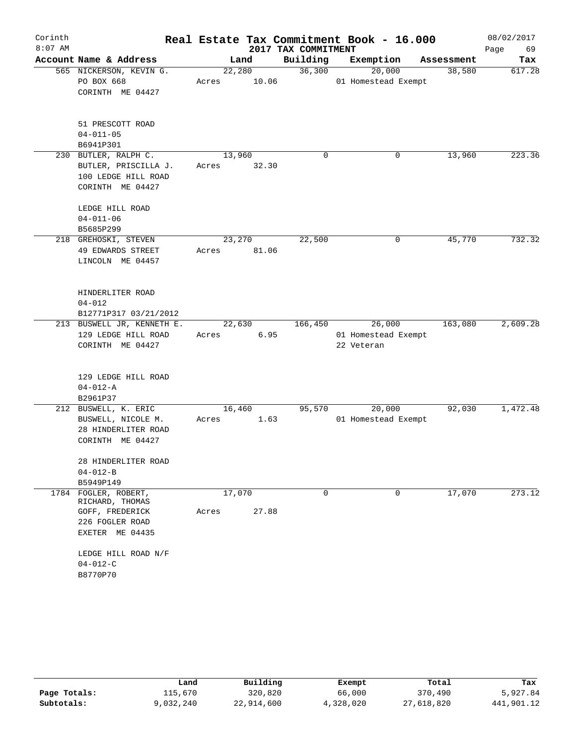| Corinth   |                                                                                                                                      |                          |                     | Real Estate Tax Commitment Book - 16.000    |            | 08/02/2017 |
|-----------|--------------------------------------------------------------------------------------------------------------------------------------|--------------------------|---------------------|---------------------------------------------|------------|------------|
| $8:07$ AM |                                                                                                                                      |                          | 2017 TAX COMMITMENT |                                             |            | 69<br>Page |
|           | Account Name & Address                                                                                                               | Land                     | Building            | Exemption                                   | Assessment | Tax        |
|           | 565 NICKERSON, KEVIN G.<br>PO BOX 668<br>CORINTH ME 04427                                                                            | 22,280<br>Acres          | 36,300<br>10.06     | 20,000<br>01 Homestead Exempt               | 38,580     | 617.28     |
|           | 51 PRESCOTT ROAD<br>$04 - 011 - 05$<br>B6941P301                                                                                     |                          |                     |                                             |            |            |
|           | 230 BUTLER, RALPH C.<br>BUTLER, PRISCILLA J.<br>100 LEDGE HILL ROAD<br>CORINTH ME 04427                                              | 13,960<br>Acres<br>32.30 | $\mathbf 0$         | 0                                           | 13,960     | 223.36     |
|           | LEDGE HILL ROAD<br>$04 - 011 - 06$<br>B5685P299                                                                                      |                          |                     |                                             |            |            |
|           | 218 GREHOSKI, STEVEN<br>49 EDWARDS STREET<br>LINCOLN ME 04457                                                                        | 23,270<br>81.06<br>Acres | 22,500              | 0                                           | 45,770     | 732.32     |
|           | HINDERLITER ROAD<br>$04 - 012$<br>B12771P317 03/21/2012                                                                              |                          |                     |                                             |            |            |
|           | 213 BUSWELL JR, KENNETH E.<br>129 LEDGE HILL ROAD<br>CORINTH ME 04427                                                                | 22,630<br>Acres          | 166,450<br>6.95     | 26,000<br>01 Homestead Exempt<br>22 Veteran | 163,080    | 2,609.28   |
|           | 129 LEDGE HILL ROAD<br>$04 - 012 - A$<br>B2961P37                                                                                    |                          |                     |                                             |            |            |
|           | 212 BUSWELL, K. ERIC<br>BUSWELL, NICOLE M.<br>28 HINDERLITER ROAD<br>CORINTH ME 04427                                                | 16,460<br>Acres          | 95,570<br>1.63      | 20,000<br>01 Homestead Exempt               | 92,030     | 1,472.48   |
|           | 28 HINDERLITER ROAD<br>$04 - 012 - B$<br>B5949P149                                                                                   |                          |                     |                                             |            |            |
| 1784      | FOGLER, ROBERT,<br>RICHARD, THOMAS<br>GOFF, FREDERICK<br>226 FOGLER ROAD<br>EXETER ME 04435<br>LEDGE HILL ROAD N/F<br>$04 - 012 - C$ | 17,070<br>Acres          | 0<br>27.88          | 0                                           | 17,070     | 273.12     |
|           | B8770P70                                                                                                                             |                          |                     |                                             |            |            |

|              | Land      | Building   | Exempt    | Total      | Tax        |
|--------------|-----------|------------|-----------|------------|------------|
| Page Totals: | 115,670   | 320,820    | 66,000    | 370,490    | 5,927.84   |
| Subtotals:   | 9,032,240 | 22,914,600 | 4,328,020 | 27,618,820 | 441,901.12 |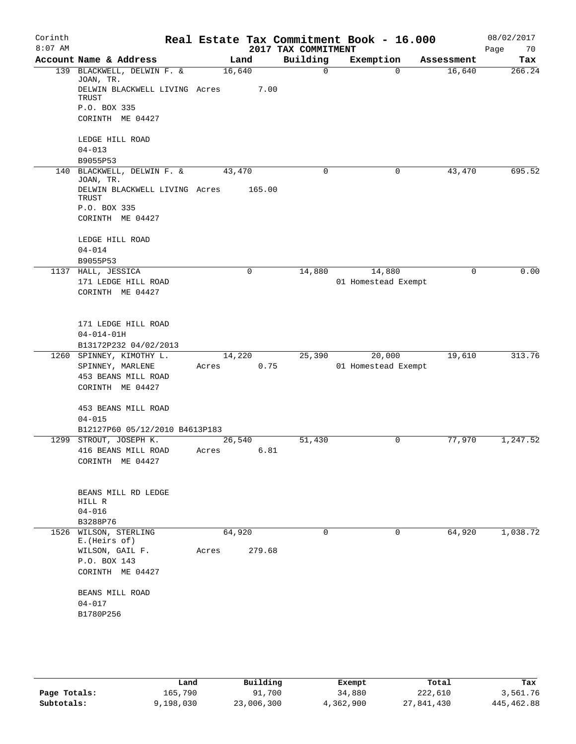| Corinth<br>$8:07$ AM |                                                     |        |        | 2017 TAX COMMITMENT | Real Estate Tax Commitment Book - 16.000 |            | 08/02/2017<br>Page<br>70 |
|----------------------|-----------------------------------------------------|--------|--------|---------------------|------------------------------------------|------------|--------------------------|
|                      | Account Name & Address                              | Land   |        | Building            | Exemption                                | Assessment | Tax                      |
| 139                  | BLACKWELL, DELWIN F. &                              | 16,640 |        | $\Omega$            | $\Omega$                                 | 16,640     | 266.24                   |
|                      | JOAN, TR.<br>DELWIN BLACKWELL LIVING Acres<br>TRUST |        | 7.00   |                     |                                          |            |                          |
|                      | P.O. BOX 335                                        |        |        |                     |                                          |            |                          |
|                      | CORINTH ME 04427                                    |        |        |                     |                                          |            |                          |
|                      | LEDGE HILL ROAD                                     |        |        |                     |                                          |            |                          |
|                      | $04 - 013$                                          |        |        |                     |                                          |            |                          |
|                      | B9055P53                                            |        |        |                     |                                          |            |                          |
| 140                  | BLACKWELL, DELWIN F. &<br>JOAN, TR.                 | 43,470 |        | 0                   | 0                                        | 43,470     | 695.52                   |
|                      | DELWIN BLACKWELL LIVING Acres<br>TRUST              |        | 165.00 |                     |                                          |            |                          |
|                      | P.O. BOX 335                                        |        |        |                     |                                          |            |                          |
|                      | CORINTH ME 04427                                    |        |        |                     |                                          |            |                          |
|                      | LEDGE HILL ROAD                                     |        |        |                     |                                          |            |                          |
|                      | $04 - 014$                                          |        |        |                     |                                          |            |                          |
|                      | B9055P53                                            |        |        |                     |                                          |            |                          |
|                      | 1137 HALL, JESSICA                                  |        | 0      | 14,880              | 14,880                                   | 0          | 0.00                     |
|                      | 171 LEDGE HILL ROAD                                 |        |        |                     | 01 Homestead Exempt                      |            |                          |
|                      | CORINTH ME 04427                                    |        |        |                     |                                          |            |                          |
|                      | 171 LEDGE HILL ROAD                                 |        |        |                     |                                          |            |                          |
|                      | $04 - 014 - 01H$                                    |        |        |                     |                                          |            |                          |
|                      | B13172P232 04/02/2013                               |        |        |                     |                                          |            |                          |
|                      | 1260 SPINNEY, KIMOTHY L.                            | 14,220 |        | 25,390              | 20,000                                   | 19,610     | 313.76                   |
|                      | SPINNEY, MARLENE                                    | Acres  | 0.75   |                     | 01 Homestead Exempt                      |            |                          |
|                      | 453 BEANS MILL ROAD                                 |        |        |                     |                                          |            |                          |
|                      | CORINTH ME 04427                                    |        |        |                     |                                          |            |                          |
|                      | 453 BEANS MILL ROAD                                 |        |        |                     |                                          |            |                          |
|                      | $04 - 015$                                          |        |        |                     |                                          |            |                          |
|                      | B12127P60 05/12/2010 B4613P183                      |        |        |                     |                                          |            |                          |
|                      | 1299 STROUT, JOSEPH K.                              | 26,540 |        | 51,430              | 0                                        | 77,970     | 1,247.52                 |
|                      | 416 BEANS MILL ROAD                                 | Acres  | 6.81   |                     |                                          |            |                          |
|                      | CORINTH ME 04427                                    |        |        |                     |                                          |            |                          |
|                      |                                                     |        |        |                     |                                          |            |                          |
|                      | BEANS MILL RD LEDGE<br>HILL R                       |        |        |                     |                                          |            |                          |
|                      | $04 - 016$                                          |        |        |                     |                                          |            |                          |
|                      | B3288P76                                            |        |        |                     |                                          |            |                          |
|                      | 1526 WILSON, STERLING                               | 64,920 |        | $\mathbf 0$         | 0                                        | 64,920     | 1,038.72                 |
|                      | E. (Heirs of)<br>WILSON, GAIL F.                    | Acres  | 279.68 |                     |                                          |            |                          |
|                      | P.O. BOX 143                                        |        |        |                     |                                          |            |                          |
|                      | CORINTH ME 04427                                    |        |        |                     |                                          |            |                          |
|                      | BEANS MILL ROAD                                     |        |        |                     |                                          |            |                          |
|                      | $04 - 017$                                          |        |        |                     |                                          |            |                          |
|                      | B1780P256                                           |        |        |                     |                                          |            |                          |
|                      |                                                     |        |        |                     |                                          |            |                          |
|                      |                                                     |        |        |                     |                                          |            |                          |
|                      |                                                     |        |        |                     |                                          |            |                          |

|              | Land      | Building   | Exempt    | Total      | Tax        |
|--------------|-----------|------------|-----------|------------|------------|
| Page Totals: | 165.790   | 91,700     | 34,880    | 222,610    | 3,561.76   |
| Subtotals:   | 9,198,030 | 23,006,300 | 4,362,900 | 27,841,430 | 445,462.88 |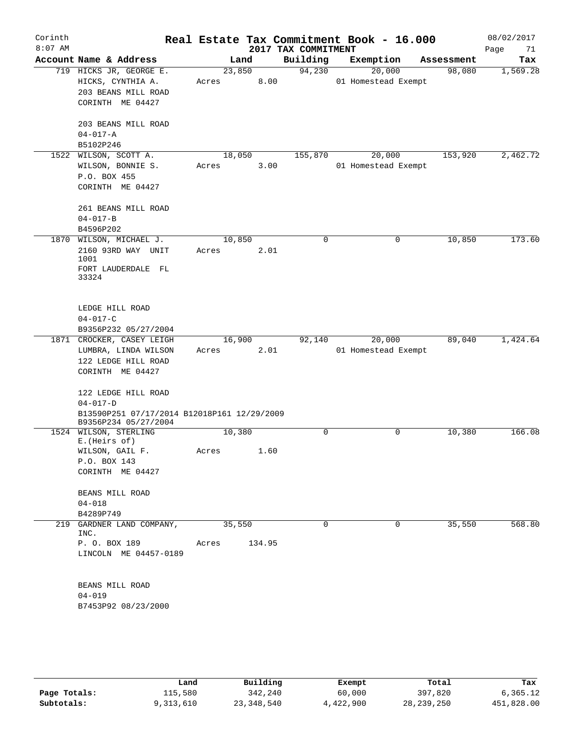| Corinth<br>$8:07$ AM |                                                                                         |                 |        | 2017 TAX COMMITMENT | Real Estate Tax Commitment Book - 16.000 |            | 08/02/2017<br>Page<br>71 |
|----------------------|-----------------------------------------------------------------------------------------|-----------------|--------|---------------------|------------------------------------------|------------|--------------------------|
|                      | Account Name & Address                                                                  | Land            |        | Building            | Exemption                                | Assessment | Tax                      |
|                      | 719 HICKS JR, GEORGE E.<br>HICKS, CYNTHIA A.<br>203 BEANS MILL ROAD<br>CORINTH ME 04427 | 23,850<br>Acres | 8.00   | 94,230              | 20,000<br>01 Homestead Exempt            | 98,080     | 1,569.28                 |
|                      | 203 BEANS MILL ROAD<br>$04 - 017 - A$<br>B5102P246                                      |                 |        |                     |                                          |            |                          |
|                      | 1522 WILSON, SCOTT A.                                                                   | 18,050          |        | 155,870             | 20,000                                   | 153,920    | 2,462.72                 |
|                      | WILSON, BONNIE S.<br>P.O. BOX 455<br>CORINTH ME 04427                                   | Acres           | 3.00   |                     | 01 Homestead Exempt                      |            |                          |
|                      | 261 BEANS MILL ROAD<br>$04 - 017 - B$<br>B4596P202                                      |                 |        |                     |                                          |            |                          |
| 1870                 | WILSON, MICHAEL J.                                                                      | 10,850          |        | $\mathbf 0$         | $\mathbf 0$                              | 10,850     | 173.60                   |
|                      | 2160 93RD WAY UNIT<br>1001<br>FORT LAUDERDALE FL<br>33324                               | Acres           | 2.01   |                     |                                          |            |                          |
|                      | LEDGE HILL ROAD<br>$04 - 017 - C$<br>B9356P232 05/27/2004                               |                 |        |                     |                                          |            |                          |
|                      | 1871 CROCKER, CASEY LEIGH                                                               | 16,900          |        | 92,140              | 20,000                                   | 89,040     | 1,424.64                 |
|                      | LUMBRA, LINDA WILSON<br>122 LEDGE HILL ROAD<br>CORINTH ME 04427<br>122 LEDGE HILL ROAD  | Acres           | 2.01   |                     | 01 Homestead Exempt                      |            |                          |
|                      | $04 - 017 - D$                                                                          |                 |        |                     |                                          |            |                          |
|                      | B13590P251 07/17/2014 B12018P161 12/29/2009<br>B9356P234 05/27/2004                     |                 |        |                     |                                          |            |                          |
|                      | 1524 WILSON, STERLING<br>E. (Heirs of)                                                  | 10,380          |        | 0                   | 0                                        | 10,380     | 166.08                   |
|                      | WILSON, GAIL F.<br>P.O. BOX 143<br>CORINTH ME 04427                                     | Acres           | 1.60   |                     |                                          |            |                          |
|                      | BEANS MILL ROAD<br>$04 - 018$<br>B4289P749                                              |                 |        |                     |                                          |            |                          |
|                      | 219 GARDNER LAND COMPANY,                                                               | 35,550          |        | 0                   | 0                                        | 35,550     | 568.80                   |
|                      | INC.<br>P. O. BOX 189<br>LINCOLN ME 04457-0189                                          | Acres           | 134.95 |                     |                                          |            |                          |
|                      | BEANS MILL ROAD<br>$04 - 019$<br>B7453P92 08/23/2000                                    |                 |        |                     |                                          |            |                          |
|                      |                                                                                         |                 |        |                     |                                          |            |                          |

|              | Land      | Building   | Exempt    | Total      | Tax        |
|--------------|-----------|------------|-----------|------------|------------|
| Page Totals: | 115,580   | 342,240    | 60,000    | 397,820    | 6,365.12   |
| Subtotals:   | 9,313,610 | 23,348,540 | 4,422,900 | 28,239,250 | 451,828.00 |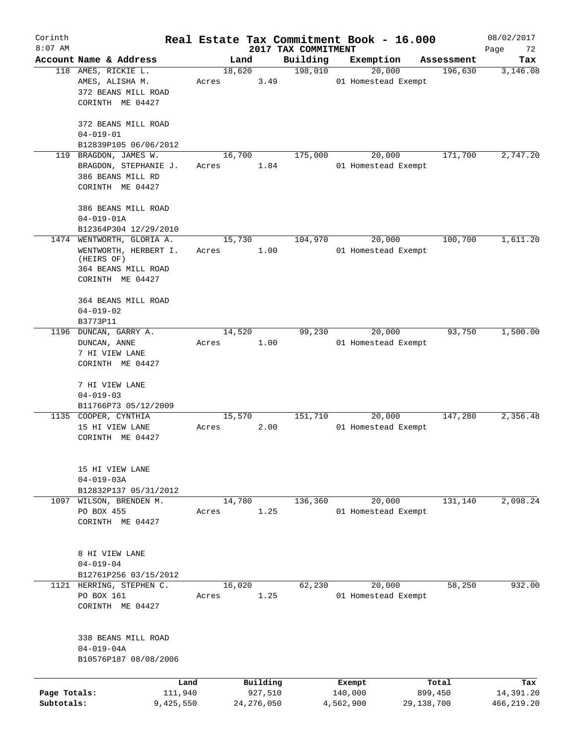| Corinth                    |                                                                                                             |                 |                         |                                 | Real Estate Tax Commitment Book - 16.000 |                       | 08/02/2017               |
|----------------------------|-------------------------------------------------------------------------------------------------------------|-----------------|-------------------------|---------------------------------|------------------------------------------|-----------------------|--------------------------|
| $8:07$ AM                  | Account Name & Address                                                                                      | Land            |                         | 2017 TAX COMMITMENT<br>Building | Exemption                                | Assessment            | Page<br>72<br>Tax        |
|                            | 118 AMES, RICKIE L.<br>AMES, ALISHA M.<br>372 BEANS MILL ROAD<br>CORINTH ME 04427                           | 18,620<br>Acres | 3.49                    | 198,010                         | 20,000<br>01 Homestead Exempt            | 196,630               | 3,146.08                 |
|                            | 372 BEANS MILL ROAD<br>$04 - 019 - 01$<br>B12839P105 06/06/2012                                             |                 |                         |                                 |                                          |                       |                          |
|                            | 119 BRAGDON, JAMES W.<br>BRAGDON, STEPHANIE J.<br>386 BEANS MILL RD<br>CORINTH ME 04427                     | 16,700<br>Acres | 1.84                    | 175,000                         | 20,000<br>01 Homestead Exempt            | 171,700               | 2,747.20                 |
|                            | 386 BEANS MILL ROAD<br>$04 - 019 - 01A$<br>B12364P304 12/29/2010                                            |                 |                         |                                 |                                          |                       |                          |
|                            | 1474 WENTWORTH, GLORIA A.<br>WENTWORTH, HERBERT I.<br>(HEIRS OF)<br>364 BEANS MILL ROAD<br>CORINTH ME 04427 | 15,730<br>Acres | 1.00                    | 104,970                         | 20,000<br>01 Homestead Exempt            | 100,700               | 1,611.20                 |
|                            | 364 BEANS MILL ROAD<br>$04 - 019 - 02$<br>B3773P11                                                          |                 |                         |                                 |                                          |                       |                          |
|                            | 1196 DUNCAN, GARRY A.<br>DUNCAN, ANNE<br>7 HI VIEW LANE<br>CORINTH ME 04427                                 | 14,520<br>Acres | 1.00                    | 99,230                          | 20,000<br>01 Homestead Exempt            | 93,750                | 1,500.00                 |
|                            | 7 HI VIEW LANE<br>$04 - 019 - 03$<br>B11766P73 05/12/2009                                                   |                 |                         |                                 |                                          |                       |                          |
|                            | 1135 COOPER, CYNTHIA<br>15 HI VIEW LANE<br>CORINTH ME 04427                                                 | 15,570<br>Acres | 2.00                    | 151,710                         | 20,000<br>01 Homestead Exempt            | 147,280               | 2,356.48                 |
|                            | 15 HI VIEW LANE<br>$04 - 019 - 03A$<br>B12832P137 05/31/2012                                                |                 |                         |                                 |                                          |                       |                          |
| 1097                       | WILSON, BRENDEN M.<br>PO BOX 455<br>CORINTH ME 04427                                                        | 14,780<br>Acres | 1.25                    | 136,360                         | 20,000<br>01 Homestead Exempt            | 131,140               | 2,098.24                 |
|                            | 8 HI VIEW LANE<br>$04 - 019 - 04$<br>B12761P256 03/15/2012                                                  |                 |                         |                                 |                                          |                       |                          |
|                            | 1121 HERRING, STEPHEN C.<br>PO BOX 161<br>CORINTH ME 04427                                                  | 16,020<br>Acres | 1.25                    | 62,230                          | 20,000<br>01 Homestead Exempt            | 58,250                | 932.00                   |
|                            | 338 BEANS MILL ROAD<br>$04 - 019 - 04A$<br>B10576P187 08/08/2006                                            |                 |                         |                                 |                                          |                       |                          |
|                            | Land                                                                                                        |                 | Building                |                                 | Exempt                                   | Total                 | Tax                      |
| Page Totals:<br>Subtotals: | 111,940<br>9,425,550                                                                                        |                 | 927,510<br>24, 276, 050 |                                 | 140,000<br>4,562,900                     | 899,450<br>29,138,700 | 14,391.20<br>466, 219.20 |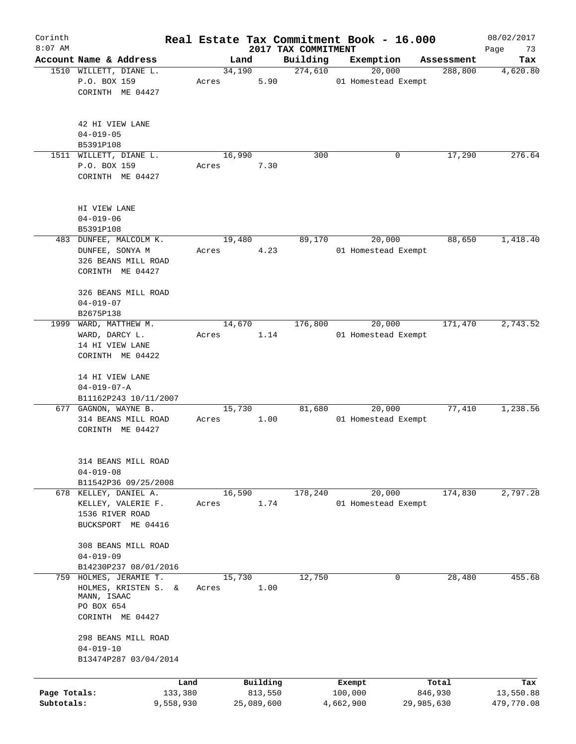| Corinth      |                                     |       |                |         |                     | Real Estate Tax Commitment Book - 16.000 |                       | 08/02/2017      |
|--------------|-------------------------------------|-------|----------------|---------|---------------------|------------------------------------------|-----------------------|-----------------|
| $8:07$ AM    | Account Name & Address              |       |                |         | 2017 TAX COMMITMENT |                                          |                       | Page<br>73      |
|              | 1510 WILLETT, DIANE L.              |       | Land<br>34,190 |         | Building<br>274,610 | Exemption<br>20,000                      | Assessment<br>288,800 | Tax<br>4,620.80 |
|              | P.O. BOX 159                        | Acres |                | 5.90    |                     | 01 Homestead Exempt                      |                       |                 |
|              | CORINTH ME 04427                    |       |                |         |                     |                                          |                       |                 |
|              |                                     |       |                |         |                     |                                          |                       |                 |
|              |                                     |       |                |         |                     |                                          |                       |                 |
|              | 42 HI VIEW LANE                     |       |                |         |                     |                                          |                       |                 |
|              | $04 - 019 - 05$                     |       |                |         |                     |                                          |                       |                 |
|              | B5391P108                           |       |                |         |                     |                                          |                       |                 |
|              | 1511 WILLETT, DIANE L.              |       | 16,990         |         | 300                 | 0                                        | 17,290                | 276.64          |
|              | P.O. BOX 159                        | Acres |                | 7.30    |                     |                                          |                       |                 |
|              | CORINTH ME 04427                    |       |                |         |                     |                                          |                       |                 |
|              |                                     |       |                |         |                     |                                          |                       |                 |
|              | HI VIEW LANE                        |       |                |         |                     |                                          |                       |                 |
|              | $04 - 019 - 06$                     |       |                |         |                     |                                          |                       |                 |
|              | B5391P108                           |       |                |         |                     |                                          |                       |                 |
|              | 483 DUNFEE, MALCOLM K.              |       | 19,480         |         | 89,170              | 20,000                                   | 88,650                | 1,418.40        |
|              | DUNFEE, SONYA M                     | Acres |                | 4.23    |                     | 01 Homestead Exempt                      |                       |                 |
|              | 326 BEANS MILL ROAD                 |       |                |         |                     |                                          |                       |                 |
|              | CORINTH ME 04427                    |       |                |         |                     |                                          |                       |                 |
|              |                                     |       |                |         |                     |                                          |                       |                 |
|              | 326 BEANS MILL ROAD                 |       |                |         |                     |                                          |                       |                 |
|              | $04 - 019 - 07$                     |       |                |         |                     |                                          |                       |                 |
|              | B2675P138                           |       |                |         |                     |                                          |                       |                 |
| 1999         | WARD, MATTHEW M.                    |       | 14,670         |         | 176,800             | 20,000                                   | 171,470               | 2,743.52        |
|              | WARD, DARCY L.                      | Acres |                | 1.14    |                     | 01 Homestead Exempt                      |                       |                 |
|              | 14 HI VIEW LANE                     |       |                |         |                     |                                          |                       |                 |
|              | CORINTH ME 04422                    |       |                |         |                     |                                          |                       |                 |
|              |                                     |       |                |         |                     |                                          |                       |                 |
|              | 14 HI VIEW LANE                     |       |                |         |                     |                                          |                       |                 |
|              | $04 - 019 - 07 - A$                 |       |                |         |                     |                                          |                       |                 |
|              | B11162P243 10/11/2007               |       |                |         |                     |                                          |                       |                 |
|              | 677 GAGNON, WAYNE B.                |       | 15,730         |         | 81,680              | 20,000                                   | 77,410                | 1,238.56        |
|              | 314 BEANS MILL ROAD                 | Acres |                | 1.00    |                     | 01 Homestead Exempt                      |                       |                 |
|              | CORINTH ME 04427                    |       |                |         |                     |                                          |                       |                 |
|              |                                     |       |                |         |                     |                                          |                       |                 |
|              |                                     |       |                |         |                     |                                          |                       |                 |
|              | 314 BEANS MILL ROAD                 |       |                |         |                     |                                          |                       |                 |
|              | $04 - 019 - 08$                     |       |                |         |                     |                                          |                       |                 |
|              | B11542P36 09/25/2008                |       |                |         |                     |                                          |                       |                 |
|              | 678 KELLEY, DANIEL A.               |       | 16,590         |         | 178,240             | 20,000                                   | 174,830               | 2,797.28        |
|              | KELLEY, VALERIE F.                  | Acres |                | 1.74    |                     | 01 Homestead Exempt                      |                       |                 |
|              | 1536 RIVER ROAD                     |       |                |         |                     |                                          |                       |                 |
|              | BUCKSPORT ME 04416                  |       |                |         |                     |                                          |                       |                 |
|              |                                     |       |                |         |                     |                                          |                       |                 |
|              | 308 BEANS MILL ROAD                 |       |                |         |                     |                                          |                       |                 |
|              | $04 - 019 - 09$                     |       |                |         |                     |                                          |                       |                 |
|              | B14230P237 08/01/2016               |       |                |         |                     |                                          |                       |                 |
| 759          | HOLMES, JERAMIE T.                  |       | 15,730         |         | 12,750              | 0                                        | 28,480                | 455.68          |
|              | HOLMES, KRISTEN S. &<br>MANN, ISAAC | Acres |                | 1.00    |                     |                                          |                       |                 |
|              | PO BOX 654                          |       |                |         |                     |                                          |                       |                 |
|              | CORINTH ME 04427                    |       |                |         |                     |                                          |                       |                 |
|              |                                     |       |                |         |                     |                                          |                       |                 |
|              | 298 BEANS MILL ROAD                 |       |                |         |                     |                                          |                       |                 |
|              | $04 - 019 - 10$                     |       |                |         |                     |                                          |                       |                 |
|              | B13474P287 03/04/2014               |       |                |         |                     |                                          |                       |                 |
|              |                                     |       |                |         |                     |                                          |                       |                 |
|              |                                     | Land  | Building       |         |                     | Exempt                                   | Total                 | Tax             |
| Page Totals: | 133,380                             |       |                | 813,550 |                     | 100,000                                  | 846,930               | 13,550.88       |
| Subtotals:   | 9,558,930                           |       | 25,089,600     |         |                     | 4,662,900                                | 29,985,630            | 479,770.08      |
|              |                                     |       |                |         |                     |                                          |                       |                 |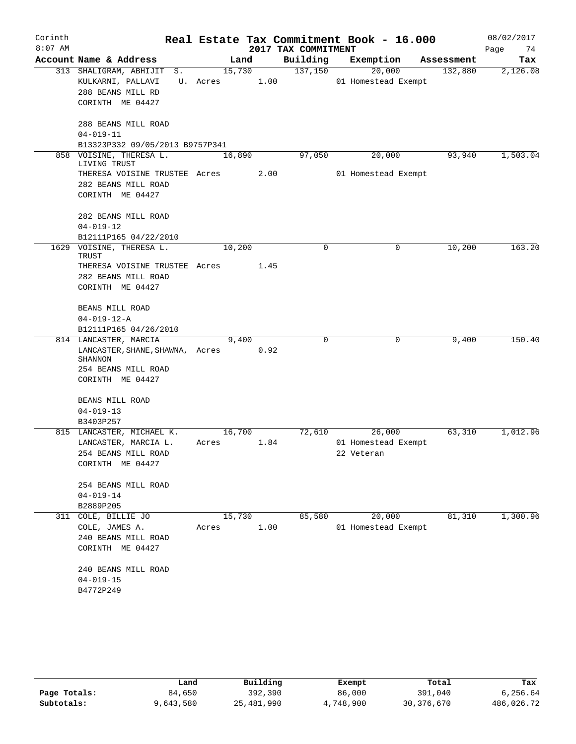| Corinth<br>$8:07$ AM |                                                                                                                     |                    |      | 2017 TAX COMMITMENT | Real Estate Tax Commitment Book - 16.000    |            | 08/02/2017<br>Page<br>74 |
|----------------------|---------------------------------------------------------------------------------------------------------------------|--------------------|------|---------------------|---------------------------------------------|------------|--------------------------|
|                      | Account Name & Address                                                                                              |                    | Land | Building            | Exemption                                   | Assessment | Tax                      |
|                      | 313 SHALIGRAM, ABHIJIT<br>S.<br>KULKARNI, PALLAVI<br>288 BEANS MILL RD<br>CORINTH ME 04427                          | 15,730<br>U. Acres | 1.00 | 137,150             | 20,000<br>01 Homestead Exempt               | 132,880    | 2,126.08                 |
|                      | 288 BEANS MILL ROAD<br>$04 - 019 - 11$                                                                              |                    |      |                     |                                             |            |                          |
|                      | B13323P332 09/05/2013 B9757P341                                                                                     |                    |      |                     |                                             |            |                          |
|                      | 858 VOISINE, THERESA L.<br>LIVING TRUST<br>THERESA VOISINE TRUSTEE Acres<br>282 BEANS MILL ROAD<br>CORINTH ME 04427 | 16,890             | 2.00 | 97,050              | 20,000<br>01 Homestead Exempt               | 93,940     | 1,503.04                 |
|                      | 282 BEANS MILL ROAD<br>$04 - 019 - 12$                                                                              |                    |      |                     |                                             |            |                          |
|                      | B12111P165 04/22/2010<br>1629 VOISINE, THERESA L.                                                                   | 10,200             |      | $\mathbf 0$         | 0                                           | 10,200     | 163.20                   |
|                      | TRUST                                                                                                               |                    |      |                     |                                             |            |                          |
|                      | THERESA VOISINE TRUSTEE Acres<br>282 BEANS MILL ROAD<br>CORINTH ME 04427                                            |                    | 1.45 |                     |                                             |            |                          |
|                      | BEANS MILL ROAD                                                                                                     |                    |      |                     |                                             |            |                          |
|                      | $04 - 019 - 12 - A$                                                                                                 |                    |      |                     |                                             |            |                          |
|                      | B12111P165 04/26/2010                                                                                               |                    |      |                     |                                             |            |                          |
|                      | 814 LANCASTER, MARCIA                                                                                               | 9,400              |      | $\mathbf 0$         | 0                                           | 9,400      | 150.40                   |
|                      | LANCASTER, SHANE, SHAWNA, Acres<br>SHANNON<br>254 BEANS MILL ROAD<br>CORINTH ME 04427                               |                    | 0.92 |                     |                                             |            |                          |
|                      | BEANS MILL ROAD                                                                                                     |                    |      |                     |                                             |            |                          |
|                      | $04 - 019 - 13$                                                                                                     |                    |      |                     |                                             |            |                          |
|                      | B3403P257                                                                                                           |                    |      |                     |                                             |            |                          |
|                      | 815 LANCASTER, MICHAEL K.<br>LANCASTER, MARCIA L.<br>254 BEANS MILL ROAD<br>CORINTH ME 04427                        | 16,700<br>Acres    | 1.84 | 72,610              | 26,000<br>01 Homestead Exempt<br>22 Veteran | 63,310     | 1,012.96                 |
|                      | 254 BEANS MILL ROAD<br>$04 - 019 - 14$                                                                              |                    |      |                     |                                             |            |                          |
|                      | B2889P205                                                                                                           |                    |      |                     |                                             |            |                          |
| 311                  | COLE, BILLIE JO<br>COLE, JAMES A.<br>240 BEANS MILL ROAD<br>CORINTH ME 04427                                        | 15,730<br>Acres    | 1.00 | 85,580              | 20,000<br>01 Homestead Exempt               | 81,310     | 1,300.96                 |
|                      | 240 BEANS MILL ROAD<br>$04 - 019 - 15$<br>B4772P249                                                                 |                    |      |                     |                                             |            |                          |

|              | Land      | Building   | Exempt    | Total        | Tax        |
|--------------|-----------|------------|-----------|--------------|------------|
| Page Totals: | 84,650    | 392,390    | 86,000    | 391,040      | 6,256.64   |
| Subtotals:   | 9,643,580 | 25,481,990 | 4,748,900 | 30, 376, 670 | 486,026.72 |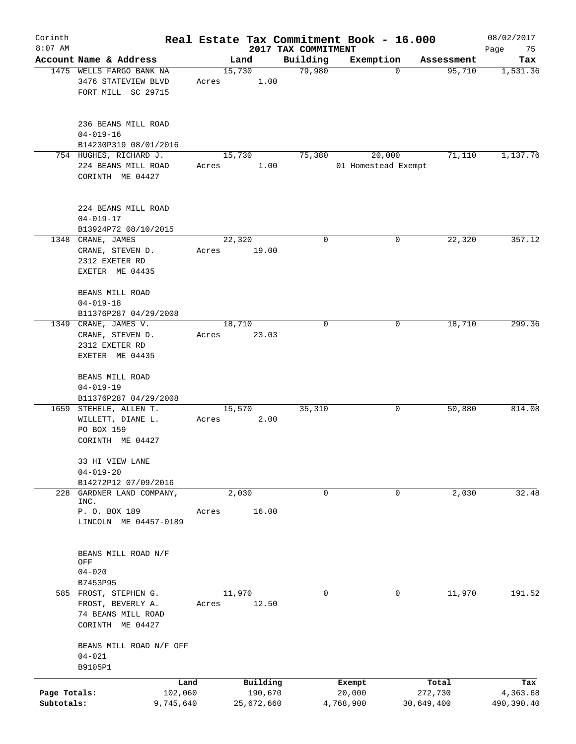| Corinth      |                                                                               |       |                        |                     | Real Estate Tax Commitment Book - 16.000 |                      | 08/02/2017      |
|--------------|-------------------------------------------------------------------------------|-------|------------------------|---------------------|------------------------------------------|----------------------|-----------------|
| $8:07$ AM    | Account Name & Address                                                        |       |                        | 2017 TAX COMMITMENT |                                          |                      | Page<br>75      |
|              | 1475 WELLS FARGO BANK NA<br>3476 STATEVIEW BLVD                               | Acres | Land<br>15,730<br>1.00 | Building<br>79,980  | Exemption<br>$\mathbf 0$                 | Assessment<br>95,710 | Tax<br>1,531.36 |
|              | FORT MILL SC 29715                                                            |       |                        |                     |                                          |                      |                 |
|              | 236 BEANS MILL ROAD<br>$04 - 019 - 16$                                        |       |                        |                     |                                          |                      |                 |
|              | B14230P319 08/01/2016                                                         |       |                        |                     |                                          |                      |                 |
|              | 754 HUGHES, RICHARD J.<br>224 BEANS MILL ROAD<br>CORINTH ME 04427             | Acres | 15,730<br>1.00         | 75,380              | 20,000<br>01 Homestead Exempt            | 71,110               | 1,137.76        |
|              | 224 BEANS MILL ROAD<br>$04 - 019 - 17$<br>B13924P72 08/10/2015                |       |                        |                     |                                          |                      |                 |
|              | 1348 CRANE, JAMES                                                             |       | 22,320                 | 0                   | 0                                        | 22,320               | 357.12          |
|              | CRANE, STEVEN D.<br>2312 EXETER RD<br>EXETER ME 04435                         | Acres | 19.00                  |                     |                                          |                      |                 |
|              | BEANS MILL ROAD<br>$04 - 019 - 18$                                            |       |                        |                     |                                          |                      |                 |
|              | B11376P287 04/29/2008                                                         |       |                        |                     |                                          |                      |                 |
|              | 1349 CRANE, JAMES V.<br>CRANE, STEVEN D.<br>2312 EXETER RD<br>EXETER ME 04435 | Acres | 18,710<br>23.03        | $\mathbf 0$         | 0                                        | 18,710               | 299.36          |
|              | BEANS MILL ROAD<br>$04 - 019 - 19$                                            |       |                        |                     |                                          |                      |                 |
|              | B11376P287 04/29/2008                                                         |       |                        |                     |                                          |                      |                 |
|              | 1659 STEHELE, ALLEN T.                                                        |       | 15,570                 | 35,310              | 0                                        | 50,880               | 814.08          |
|              | WILLETT, DIANE L.<br>PO BOX 159<br>CORINTH ME 04427                           | Acres | 2.00                   |                     |                                          |                      |                 |
|              | 33 HI VIEW LANE                                                               |       |                        |                     |                                          |                      |                 |
|              | $04 - 019 - 20$                                                               |       |                        |                     |                                          |                      |                 |
| 228          | B14272P12 07/09/2016<br>GARDNER LAND COMPANY,                                 |       | 2,030                  | 0                   | 0                                        | 2,030                | 32.48           |
|              | INC.<br>P. O. BOX 189                                                         | Acres | 16.00                  |                     |                                          |                      |                 |
|              | LINCOLN ME 04457-0189                                                         |       |                        |                     |                                          |                      |                 |
|              | BEANS MILL ROAD N/F<br>OFF                                                    |       |                        |                     |                                          |                      |                 |
|              | $04 - 020$                                                                    |       |                        |                     |                                          |                      |                 |
|              | B7453P95<br>585 FROST, STEPHEN G.                                             |       | 11,970                 | 0                   | 0                                        | 11,970               | 191.52          |
|              | FROST, BEVERLY A.<br>74 BEANS MILL ROAD<br>CORINTH ME 04427                   | Acres | 12.50                  |                     |                                          |                      |                 |
|              | BEANS MILL ROAD N/F OFF<br>$04 - 021$<br>B9105P1                              |       |                        |                     |                                          |                      |                 |
|              |                                                                               | Land  | Building               |                     | Exempt                                   | Total                | Tax             |
| Page Totals: | 102,060                                                                       |       | 190,670                |                     | 20,000                                   | 272,730              | 4,363.68        |
| Subtotals:   | 9,745,640                                                                     |       | 25,672,660             |                     | 4,768,900                                | 30,649,400           | 490,390.40      |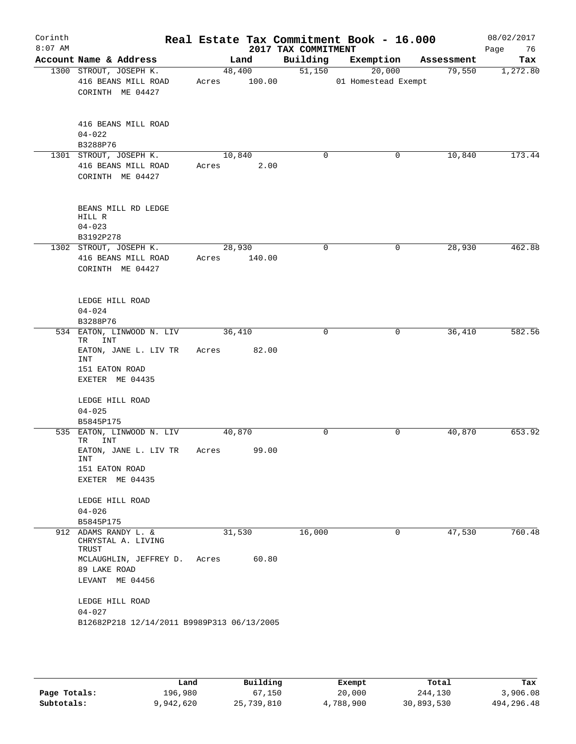| Corinth<br>$8:07$ AM |                                                                                                                                                                                                 |                        |       | 2017 TAX COMMITMENT | Real Estate Tax Commitment Book - 16.000 |                               | 08/02/2017<br>Page<br>76 |
|----------------------|-------------------------------------------------------------------------------------------------------------------------------------------------------------------------------------------------|------------------------|-------|---------------------|------------------------------------------|-------------------------------|--------------------------|
|                      | Account Name & Address                                                                                                                                                                          |                        | Land  |                     |                                          | Building Exemption Assessment | Tax                      |
|                      | 1300 STROUT, JOSEPH K.<br>416 BEANS MILL ROAD<br>CORINTH ME 04427                                                                                                                               | 48,400<br>Acres 100.00 |       | 51,150              | 20,000<br>01 Homestead Exempt            | 79,550                        | 1,272.80                 |
|                      | 416 BEANS MILL ROAD<br>$04 - 022$<br>B3288P76                                                                                                                                                   |                        |       |                     |                                          |                               |                          |
|                      | 1301 STROUT, JOSEPH K.<br>416 BEANS MILL ROAD<br>CORINTH ME 04427                                                                                                                               | 10,840<br>Acres 2.00   |       | $\mathbf 0$         | 0                                        | 10,840                        | 173.44                   |
|                      | BEANS MILL RD LEDGE<br>HILL R<br>$04 - 023$<br>B3192P278                                                                                                                                        |                        |       |                     |                                          |                               |                          |
|                      | 1302 STROUT, JOSEPH K.<br>416 BEANS MILL ROAD<br>CORINTH ME 04427                                                                                                                               | 28,930<br>Acres 140.00 |       | 0                   | 0                                        | 28,930                        | 462.88                   |
|                      | LEDGE HILL ROAD<br>$04 - 024$<br>B3288P76                                                                                                                                                       |                        |       |                     |                                          |                               |                          |
|                      | 534 EATON, LINWOOD N. LIV<br>TR INT<br>EATON, JANE L. LIV TR<br>INT<br>151 EATON ROAD<br>EXETER ME 04435                                                                                        | 36,410<br>Acres 82.00  |       | $\Omega$            | 0                                        | 36,410                        | 582.56                   |
|                      | LEDGE HILL ROAD<br>$04 - 025$<br>B5845P175                                                                                                                                                      |                        |       |                     |                                          |                               |                          |
|                      | 535 EATON, LINWOOD N. LIV<br>INT<br>TR<br>EATON, JANE L. LIV TR<br>INT<br>151 EATON ROAD<br>EXETER ME 04435<br>LEDGE HILL ROAD                                                                  | 40,870<br>Acres        | 99.00 | 0                   | 0                                        | 40,870                        | 653.92                   |
|                      | $04 - 026$<br>B5845P175                                                                                                                                                                         |                        |       |                     |                                          |                               |                          |
|                      | 912 ADAMS RANDY L. &<br>CHRYSTAL A. LIVING<br>TRUST<br>MCLAUGHLIN, JEFFREY D.<br>89 LAKE ROAD<br>LEVANT ME 04456<br>LEDGE HILL ROAD<br>$04 - 027$<br>B12682P218 12/14/2011 B9989P313 06/13/2005 | 31,530<br>Acres        | 60.80 | 16,000              | 0                                        | 47,530                        | 760.48                   |

|              | Land      | Building   | Exempt    | Total      | Tax          |
|--------------|-----------|------------|-----------|------------|--------------|
| Page Totals: | 196,980   | 67,150     | 20,000    | 244,130    | 3,906.08     |
| Subtotals:   | 9,942,620 | 25,739,810 | 4,788,900 | 30,893,530 | 494, 296, 48 |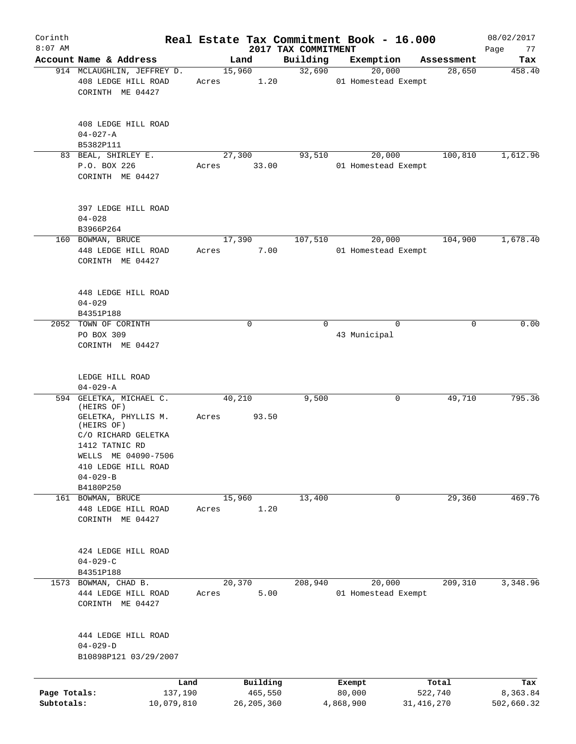| Corinth<br>$8:07$ AM       |                                                                                                                 |       |                                     |                                 | Real Estate Tax Commitment Book - 16.000 |                                  | 08/02/2017                    |
|----------------------------|-----------------------------------------------------------------------------------------------------------------|-------|-------------------------------------|---------------------------------|------------------------------------------|----------------------------------|-------------------------------|
|                            | Account Name & Address                                                                                          |       | Land                                | 2017 TAX COMMITMENT<br>Building | Exemption                                | Assessment                       | Page<br>77<br>Tax             |
|                            | 914 MCLAUGHLIN, JEFFREY D.                                                                                      |       | 15,960                              | 32,690                          | 20,000                                   | 28,650                           | 458.40                        |
|                            | 408 LEDGE HILL ROAD<br>CORINTH ME 04427                                                                         | Acres | 1.20                                |                                 | 01 Homestead Exempt                      |                                  |                               |
|                            | 408 LEDGE HILL ROAD<br>$04 - 027 - A$                                                                           |       |                                     |                                 |                                          |                                  |                               |
|                            | B5382P111                                                                                                       |       |                                     |                                 |                                          |                                  |                               |
|                            | 83 BEAL, SHIRLEY E.<br>P.O. BOX 226<br>CORINTH ME 04427                                                         | Acres | 27,300<br>33.00                     | 93,510                          | 20,000<br>01 Homestead Exempt            | 100,810                          | 1,612.96                      |
|                            | 397 LEDGE HILL ROAD<br>$04 - 028$<br>B3966P264                                                                  |       |                                     |                                 |                                          |                                  |                               |
|                            | 160 BOWMAN, BRUCE                                                                                               |       | 17,390                              | 107,510                         | 20,000                                   | 104,900                          | 1,678.40                      |
|                            | 448 LEDGE HILL ROAD<br>CORINTH ME 04427                                                                         | Acres | 7.00                                |                                 | 01 Homestead Exempt                      |                                  |                               |
|                            | 448 LEDGE HILL ROAD<br>$04 - 029$<br>B4351P188                                                                  |       |                                     |                                 |                                          |                                  |                               |
|                            | 2052 TOWN OF CORINTH                                                                                            |       | $\mathbf 0$                         | $\Omega$                        | $\Omega$                                 | 0                                | 0.00                          |
|                            | PO BOX 309<br>CORINTH ME 04427                                                                                  |       |                                     |                                 | 43 Municipal                             |                                  |                               |
|                            | LEDGE HILL ROAD<br>$04 - 029 - A$                                                                               |       |                                     |                                 |                                          |                                  |                               |
|                            | 594 GELETKA, MICHAEL C.                                                                                         |       | 40,210                              | 9,500                           | 0                                        | 49,710                           | 795.36                        |
|                            | (HEIRS OF)<br>GELETKA, PHYLLIS M.<br>(HEIRS OF)<br>C/O RICHARD GELETKA<br>1412 TATNIC RD<br>WELLS ME 04090-7506 | Acres | 93.50                               |                                 |                                          |                                  |                               |
|                            | 410 LEDGE HILL ROAD<br>$04 - 029 - B$                                                                           |       |                                     |                                 |                                          |                                  |                               |
|                            | B4180P250                                                                                                       |       |                                     |                                 |                                          |                                  |                               |
| 161                        | BOWMAN, BRUCE                                                                                                   |       | 15,960                              | 13,400                          | 0                                        | 29,360                           | 469.76                        |
|                            | 448 LEDGE HILL ROAD<br>CORINTH ME 04427                                                                         | Acres | 1.20                                |                                 |                                          |                                  |                               |
|                            | 424 LEDGE HILL ROAD<br>$04 - 029 - C$                                                                           |       |                                     |                                 |                                          |                                  |                               |
|                            | B4351P188                                                                                                       |       |                                     |                                 |                                          |                                  |                               |
| 1573                       | BOWMAN, CHAD B.<br>444 LEDGE HILL ROAD<br>CORINTH ME 04427                                                      | Acres | 20,370<br>5.00                      | 208,940                         | 20,000<br>01 Homestead Exempt            | 209,310                          | 3,348.96                      |
|                            | 444 LEDGE HILL ROAD<br>$04 - 029 - D$<br>B10898P121 03/29/2007                                                  |       |                                     |                                 |                                          |                                  |                               |
|                            |                                                                                                                 |       |                                     |                                 |                                          |                                  |                               |
| Page Totals:<br>Subtotals: | Land<br>137,190<br>10,079,810                                                                                   |       | Building<br>465,550<br>26, 205, 360 |                                 | Exempt<br>80,000<br>4,868,900            | Total<br>522,740<br>31, 416, 270 | Tax<br>8,363.84<br>502,660.32 |
|                            |                                                                                                                 |       |                                     |                                 |                                          |                                  |                               |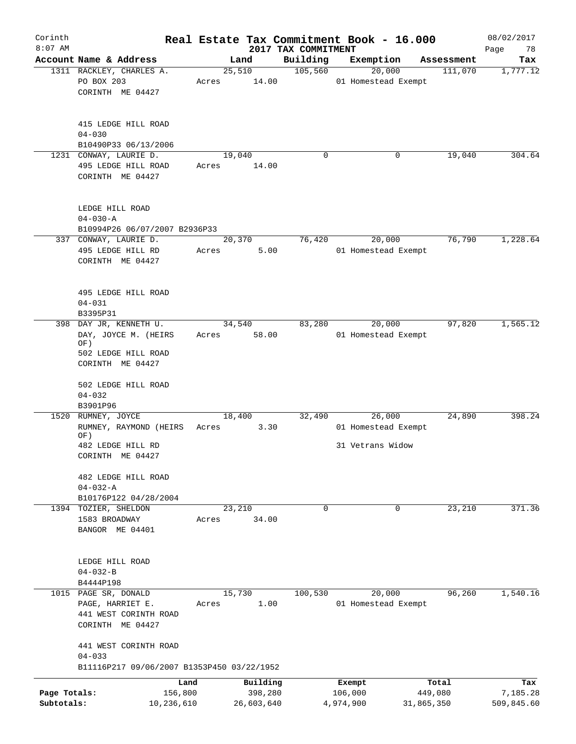| Corinth<br>$8:07$ AM       |                                                                    |       |                       | 2017 TAX COMMITMENT | Real Estate Tax Commitment Book - 16.000 |                       | 08/02/2017             |
|----------------------------|--------------------------------------------------------------------|-------|-----------------------|---------------------|------------------------------------------|-----------------------|------------------------|
|                            | Account Name & Address                                             |       | Land                  | Building            | Exemption                                | Assessment            | Page<br>78<br>Tax      |
|                            | 1311 RACKLEY, CHARLES A.                                           |       | 25,510                | 105,560             | 20,000                                   | 111,070               | 1,777.12               |
|                            | PO BOX 203<br>CORINTH ME 04427                                     | Acres | 14.00                 |                     | 01 Homestead Exempt                      |                       |                        |
|                            | 415 LEDGE HILL ROAD<br>$04 - 030$<br>B10490P33 06/13/2006          |       |                       |                     |                                          |                       |                        |
| 1231                       | CONWAY, LAURIE D.                                                  |       | 19,040                | $\mathbf 0$         | 0                                        | 19,040                | 304.64                 |
|                            | 495 LEDGE HILL ROAD<br>CORINTH ME 04427                            | Acres | 14.00                 |                     |                                          |                       |                        |
|                            | LEDGE HILL ROAD<br>$04 - 030 - A$<br>B10994P26 06/07/2007 B2936P33 |       |                       |                     |                                          |                       |                        |
|                            | 337 CONWAY, LAURIE D.                                              |       | 20,370                | 76,420              | 20,000                                   | 76,790                | 1,228.64               |
|                            | 495 LEDGE HILL RD<br>CORINTH ME 04427                              | Acres | 5.00                  |                     | 01 Homestead Exempt                      |                       |                        |
|                            | 495 LEDGE HILL ROAD<br>$04 - 031$                                  |       |                       |                     |                                          |                       |                        |
|                            | B3395P31                                                           |       |                       |                     |                                          |                       |                        |
|                            | 398 DAY JR, KENNETH U.<br>DAY, JOYCE M. (HEIRS<br>OF)              | Acres | 34,540<br>58.00       | 83,280              | 20,000<br>01 Homestead Exempt            | 97,820                | 1,565.12               |
|                            | 502 LEDGE HILL ROAD<br>CORINTH ME 04427                            |       |                       |                     |                                          |                       |                        |
|                            | 502 LEDGE HILL ROAD<br>$04 - 032$<br>B3901P96                      |       |                       |                     |                                          |                       |                        |
|                            | 1520 RUMNEY, JOYCE<br>RUMNEY, RAYMOND (HEIRS                       | Acres | 18,400<br>3.30        | 32,490              | 26,000<br>01 Homestead Exempt            | 24,890                | 398.24                 |
|                            | OF)                                                                |       |                       |                     |                                          |                       |                        |
|                            | 482 LEDGE HILL RD<br>CORINTH ME 04427                              |       |                       |                     | 31 Vetrans Widow                         |                       |                        |
|                            | 482 LEDGE HILL ROAD<br>$04 - 032 - A$                              |       |                       |                     |                                          |                       |                        |
|                            | B10176P122 04/28/2004                                              |       |                       |                     |                                          |                       |                        |
|                            | 1394 TOZIER, SHELDON                                               |       | 23,210                | $\Omega$            | $\mathbf 0$                              | 23,210                | 371.36                 |
|                            | 1583 BROADWAY<br>BANGOR ME 04401                                   | Acres | 34.00                 |                     |                                          |                       |                        |
|                            | LEDGE HILL ROAD<br>$04 - 032 - B$                                  |       |                       |                     |                                          |                       |                        |
|                            | B4444P198                                                          |       |                       |                     |                                          |                       |                        |
|                            | 1015 PAGE SR, DONALD                                               |       | 15,730                | 100,530             | 20,000                                   | 96,260                | 1,540.16               |
|                            | PAGE, HARRIET E.<br>441 WEST CORINTH ROAD<br>CORINTH ME 04427      | Acres | 1.00                  |                     | 01 Homestead Exempt                      |                       |                        |
|                            | 441 WEST CORINTH ROAD<br>$04 - 033$                                |       |                       |                     |                                          |                       |                        |
|                            | B11116P217 09/06/2007 B1353P450 03/22/1952                         |       |                       |                     |                                          |                       |                        |
|                            | Land                                                               |       | Building              |                     | Exempt                                   | Total                 | Tax                    |
| Page Totals:<br>Subtotals: | 156,800<br>10,236,610                                              |       | 398,280<br>26,603,640 |                     | 106,000<br>4,974,900                     | 449,080<br>31,865,350 | 7,185.28<br>509,845.60 |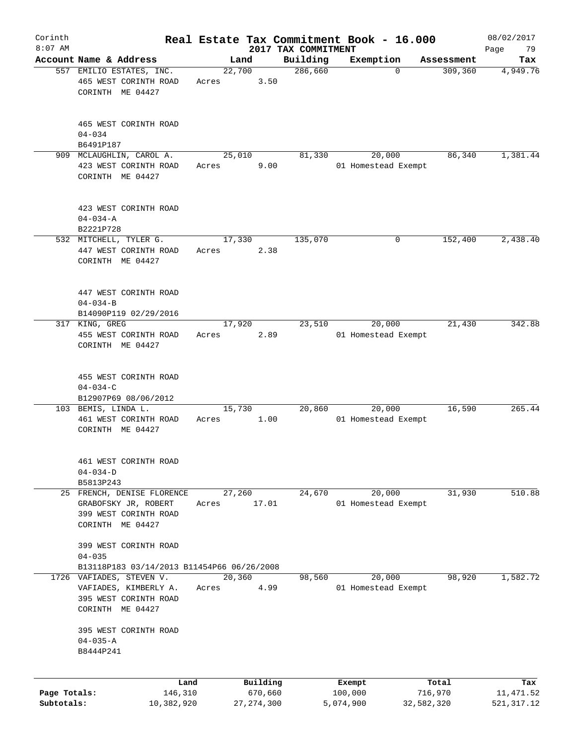| Corinth      |                                                                       |       |                        |                     | Real Estate Tax Commitment Book - 16.000 |                        | 08/02/2017      |
|--------------|-----------------------------------------------------------------------|-------|------------------------|---------------------|------------------------------------------|------------------------|-----------------|
| $8:07$ AM    | Account Name & Address                                                |       |                        | 2017 TAX COMMITMENT |                                          |                        | 79<br>Page      |
|              | 557 EMILIO ESTATES, INC.<br>465 WEST CORINTH ROAD                     | Acres | Land<br>22,700<br>3.50 | Building<br>286,660 | Exemption<br>$\Omega$                    | Assessment<br>309, 360 | Tax<br>4,949.76 |
|              | CORINTH ME 04427                                                      |       |                        |                     |                                          |                        |                 |
|              | 465 WEST CORINTH ROAD<br>$04 - 034$                                   |       |                        |                     |                                          |                        |                 |
|              | B6491P187                                                             |       |                        |                     |                                          |                        |                 |
|              | 909 MCLAUGHLIN, CAROL A.<br>423 WEST CORINTH ROAD<br>CORINTH ME 04427 | Acres | 25,010<br>9.00         | 81,330              | 20,000<br>01 Homestead Exempt            | 86,340                 | 1,381.44        |
|              | 423 WEST CORINTH ROAD<br>$04 - 034 - A$                               |       |                        |                     |                                          |                        |                 |
|              | B2221P728<br>532 MITCHELL, TYLER G.                                   |       |                        |                     |                                          |                        |                 |
|              | 447 WEST CORINTH ROAD<br>CORINTH ME 04427                             | Acres | 17,330<br>2.38         | 135,070             | 0                                        | 152,400                | 2,438.40        |
|              | 447 WEST CORINTH ROAD<br>$04 - 034 - B$                               |       |                        |                     |                                          |                        |                 |
|              | B14090P119 02/29/2016                                                 |       |                        |                     |                                          |                        |                 |
|              | 317 KING, GREG                                                        |       | 17,920                 | 23,510              | 20,000                                   | 21,430                 | 342.88          |
|              | 455 WEST CORINTH ROAD<br>CORINTH ME 04427                             | Acres | 2.89                   |                     | 01 Homestead Exempt                      |                        |                 |
|              | 455 WEST CORINTH ROAD                                                 |       |                        |                     |                                          |                        |                 |
|              | $04 - 034 - C$<br>B12907P69 08/06/2012                                |       |                        |                     |                                          |                        |                 |
|              | 103 BEMIS, LINDA L.                                                   |       | 15,730                 | 20,860              | 20,000                                   | 16,590                 | 265.44          |
|              | 461 WEST CORINTH ROAD<br>CORINTH ME 04427                             | Acres | 1.00                   |                     | 01 Homestead Exempt                      |                        |                 |
|              | 461 WEST CORINTH ROAD<br>$04 - 034 - D$                               |       |                        |                     |                                          |                        |                 |
|              | B5813P243                                                             |       |                        |                     |                                          |                        |                 |
|              | 25 FRENCH, DENISE FLORENCE                                            |       | 27,260                 | 24,670              | 20,000                                   | 31,930                 | 510.88          |
|              | GRABOFSKY JR, ROBERT<br>399 WEST CORINTH ROAD<br>CORINTH ME 04427     | Acres | 17.01                  |                     | 01 Homestead Exempt                      |                        |                 |
|              | 399 WEST CORINTH ROAD<br>$04 - 035$                                   |       |                        |                     |                                          |                        |                 |
|              | B13118P183 03/14/2013 B11454P66 06/26/2008                            |       |                        |                     |                                          |                        |                 |
|              | 1726 VAFIADES, STEVEN V.                                              |       | 20, 360                | 98,560              | 20,000                                   | 98,920                 | 1,582.72        |
|              | VAFIADES, KIMBERLY A.                                                 | Acres | 4.99                   |                     | 01 Homestead Exempt                      |                        |                 |
|              | 395 WEST CORINTH ROAD<br>CORINTH ME 04427                             |       |                        |                     |                                          |                        |                 |
|              | 395 WEST CORINTH ROAD                                                 |       |                        |                     |                                          |                        |                 |
|              | $04 - 035 - A$<br>B8444P241                                           |       |                        |                     |                                          |                        |                 |
|              | Land                                                                  |       | Building               |                     | Exempt                                   | Total                  | Tax             |
| Page Totals: | 146,310                                                               |       | 670,660                |                     | 100,000                                  | 716,970                | 11,471.52       |
| Subtotals:   | 10,382,920                                                            |       | 27, 274, 300           |                     | 5,074,900                                | 32,582,320             | 521, 317.12     |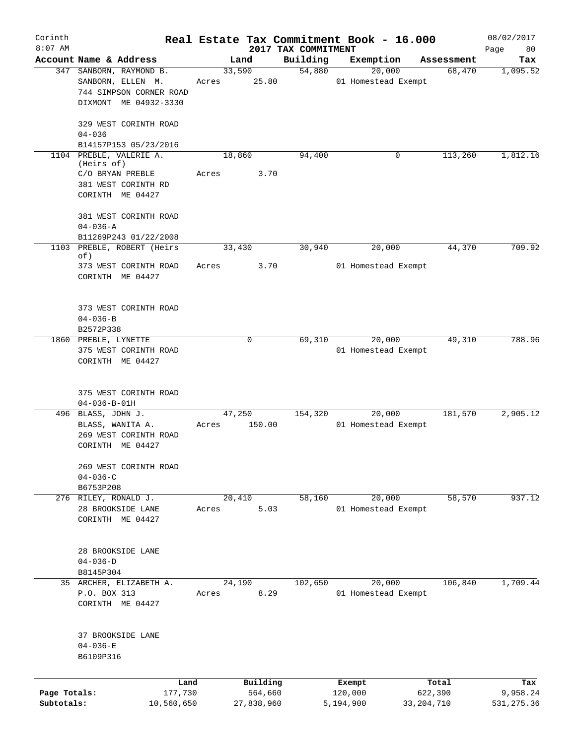| Corinth      |                                               |       |            |                                 | Real Estate Tax Commitment Book - 16.000 |                      | 08/02/2017      |
|--------------|-----------------------------------------------|-------|------------|---------------------------------|------------------------------------------|----------------------|-----------------|
| $8:07$ AM    | Account Name & Address                        |       | Land       | 2017 TAX COMMITMENT<br>Building | Exemption                                |                      | Page<br>80      |
|              | 347 SANBORN, RAYMOND B.                       |       | 33,590     | 54,880                          | 20,000                                   | Assessment<br>68,470 | Tax<br>1,095.52 |
|              | SANBORN, ELLEN M.                             | Acres | 25.80      |                                 | 01 Homestead Exempt                      |                      |                 |
|              | 744 SIMPSON CORNER ROAD                       |       |            |                                 |                                          |                      |                 |
|              | DIXMONT ME 04932-3330                         |       |            |                                 |                                          |                      |                 |
|              |                                               |       |            |                                 |                                          |                      |                 |
|              | 329 WEST CORINTH ROAD<br>$04 - 036$           |       |            |                                 |                                          |                      |                 |
|              | B14157P153 05/23/2016                         |       |            |                                 |                                          |                      |                 |
|              | 1104 PREBLE, VALERIE A.                       |       | 18,860     | 94,400                          | 0                                        | 113,260              | 1,812.16        |
|              | (Heirs of)                                    |       |            |                                 |                                          |                      |                 |
|              | C/O BRYAN PREBLE                              | Acres | 3.70       |                                 |                                          |                      |                 |
|              | 381 WEST CORINTH RD                           |       |            |                                 |                                          |                      |                 |
|              | CORINTH ME 04427                              |       |            |                                 |                                          |                      |                 |
|              | 381 WEST CORINTH ROAD                         |       |            |                                 |                                          |                      |                 |
|              | $04 - 036 - A$                                |       |            |                                 |                                          |                      |                 |
|              | B11269P243 01/22/2008                         |       |            |                                 |                                          |                      |                 |
| 1103         | PREBLE, ROBERT (Heirs                         |       | 33,430     | 30,940                          | 20,000                                   | 44,370               | 709.92          |
|              | of)<br>373 WEST CORINTH ROAD                  | Acres | 3.70       |                                 | 01 Homestead Exempt                      |                      |                 |
|              | CORINTH ME 04427                              |       |            |                                 |                                          |                      |                 |
|              |                                               |       |            |                                 |                                          |                      |                 |
|              | 373 WEST CORINTH ROAD                         |       |            |                                 |                                          |                      |                 |
|              | $04 - 036 - B$                                |       |            |                                 |                                          |                      |                 |
|              | B2572P338                                     |       |            |                                 |                                          |                      |                 |
|              | 1860 PREBLE, LYNETTE                          |       | 0          | 69,310                          | 20,000                                   | 49,310               | 788.96          |
|              | 375 WEST CORINTH ROAD                         |       |            |                                 | 01 Homestead Exempt                      |                      |                 |
|              | CORINTH ME 04427                              |       |            |                                 |                                          |                      |                 |
|              |                                               |       |            |                                 |                                          |                      |                 |
|              |                                               |       |            |                                 |                                          |                      |                 |
|              | 375 WEST CORINTH ROAD<br>$04 - 036 - B - 01H$ |       |            |                                 |                                          |                      |                 |
|              | 496 BLASS, JOHN J.                            |       | 47,250     | 154,320                         | 20,000                                   | 181,570              | 2,905.12        |
|              | BLASS, WANITA A.                              | Acres | 150.00     |                                 | 01 Homestead Exempt                      |                      |                 |
|              | 269 WEST CORINTH ROAD                         |       |            |                                 |                                          |                      |                 |
|              | CORINTH ME 04427                              |       |            |                                 |                                          |                      |                 |
|              |                                               |       |            |                                 |                                          |                      |                 |
|              | 269 WEST CORINTH ROAD                         |       |            |                                 |                                          |                      |                 |
|              | $04 - 036 - C$                                |       |            |                                 |                                          |                      |                 |
|              | B6753P208                                     |       |            |                                 |                                          |                      |                 |
|              | 276 RILEY, RONALD J.                          |       | 20,410     | 58,160                          | 20,000                                   | 58,570               | 937.12          |
|              | 28 BROOKSIDE LANE                             | Acres | 5.03       |                                 | 01 Homestead Exempt                      |                      |                 |
|              | CORINTH ME 04427                              |       |            |                                 |                                          |                      |                 |
|              |                                               |       |            |                                 |                                          |                      |                 |
|              | 28 BROOKSIDE LANE                             |       |            |                                 |                                          |                      |                 |
|              | $04 - 036 - D$                                |       |            |                                 |                                          |                      |                 |
|              | B8145P304                                     |       |            |                                 |                                          |                      |                 |
|              | 35 ARCHER, ELIZABETH A.                       |       | 24,190     | 102,650                         | 20,000                                   | 106,840              | 1,709.44        |
|              | P.O. BOX 313                                  | Acres | 8.29       |                                 | 01 Homestead Exempt                      |                      |                 |
|              | CORINTH ME 04427                              |       |            |                                 |                                          |                      |                 |
|              |                                               |       |            |                                 |                                          |                      |                 |
|              |                                               |       |            |                                 |                                          |                      |                 |
|              | 37 BROOKSIDE LANE<br>$04 - 036 - E$           |       |            |                                 |                                          |                      |                 |
|              | B6109P316                                     |       |            |                                 |                                          |                      |                 |
|              |                                               |       |            |                                 |                                          |                      |                 |
|              | Land                                          |       | Building   |                                 | Exempt                                   | Total                | Tax             |
| Page Totals: | 177,730                                       |       | 564,660    |                                 | 120,000                                  | 622,390              | 9,958.24        |
| Subtotals:   | 10,560,650                                    |       | 27,838,960 |                                 | 5,194,900                                | 33, 204, 710         | 531, 275.36     |
|              |                                               |       |            |                                 |                                          |                      |                 |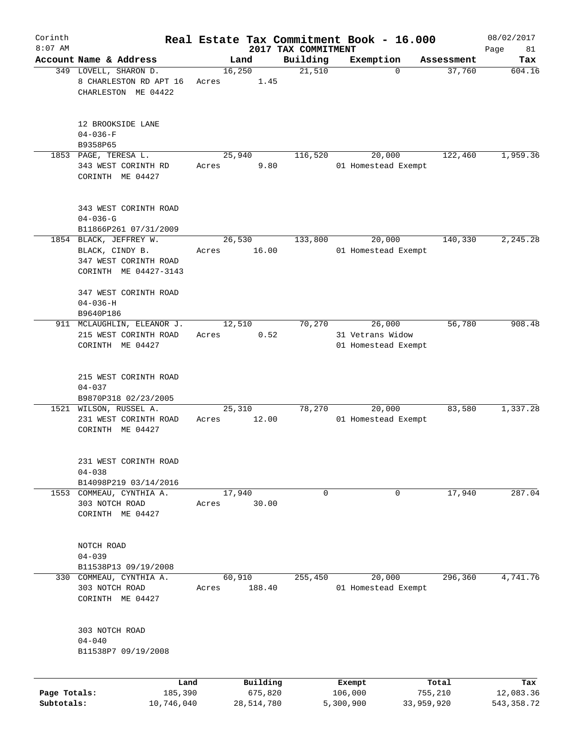| Corinth      |                                                                                             |       |                     |                                 | Real Estate Tax Commitment Book - 16.000 |                  | 08/02/2017        |
|--------------|---------------------------------------------------------------------------------------------|-------|---------------------|---------------------------------|------------------------------------------|------------------|-------------------|
| $8:07$ AM    | Account Name & Address                                                                      |       | Land                | 2017 TAX COMMITMENT<br>Building | Exemption                                | Assessment       | Page<br>81<br>Tax |
|              | 349 LOVELL, SHARON D.<br>8 CHARLESTON RD APT 16<br>CHARLESTON ME 04422                      | Acres | 16,250<br>1.45      | 21,510                          | $\mathbf 0$                              | 37,760           | 604.16            |
|              | 12 BROOKSIDE LANE<br>$04 - 036 - F$<br>B9358P65                                             |       |                     |                                 |                                          |                  |                   |
|              | 1853 PAGE, TERESA L.                                                                        |       | 25,940              | 116,520                         | 20,000                                   | 122,460          | 1,959.36          |
|              | 343 WEST CORINTH RD<br>CORINTH ME 04427                                                     | Acres | 9.80                |                                 | 01 Homestead Exempt                      |                  |                   |
|              | 343 WEST CORINTH ROAD<br>$04 - 036 - G$                                                     |       |                     |                                 |                                          |                  |                   |
|              | B11866P261 07/31/2009                                                                       |       |                     |                                 |                                          |                  |                   |
|              | 1854 BLACK, JEFFREY W.<br>BLACK, CINDY B.<br>347 WEST CORINTH ROAD<br>CORINTH ME 04427-3143 | Acres | 26,530<br>16.00     | 133,800                         | 20,000<br>01 Homestead Exempt            | 140,330          | 2, 245.28         |
|              | 347 WEST CORINTH ROAD<br>$04 - 036 - H$<br>B9640P186                                        |       |                     |                                 |                                          |                  |                   |
|              | 911 MCLAUGHLIN, ELEANOR J.                                                                  |       | 12,510              | 70,270                          | 26,000                                   | 56,780           | 908.48            |
|              | 215 WEST CORINTH ROAD<br>CORINTH ME 04427                                                   | Acres | 0.52                |                                 | 31 Vetrans Widow<br>01 Homestead Exempt  |                  |                   |
|              | 215 WEST CORINTH ROAD<br>$04 - 037$                                                         |       |                     |                                 |                                          |                  |                   |
|              | B9870P318 02/23/2005<br>1521 WILSON, RUSSEL A.                                              |       | 25,310              | 78,270                          | 20,000                                   | 83,580           | 1,337.28          |
|              | 231 WEST CORINTH ROAD<br>CORINTH ME 04427                                                   | Acres | 12.00               |                                 | 01 Homestead Exempt                      |                  |                   |
|              | 231 WEST CORINTH ROAD<br>$04 - 038$                                                         |       |                     |                                 |                                          |                  |                   |
|              | B14098P219 03/14/2016                                                                       |       |                     |                                 |                                          |                  |                   |
|              | 1553 COMMEAU, CYNTHIA A.<br>303 NOTCH ROAD<br>CORINTH ME 04427                              | Acres | 17,940<br>30.00     | 0                               | 0                                        | 17,940           | 287.04            |
|              | NOTCH ROAD<br>$04 - 039$                                                                    |       |                     |                                 |                                          |                  |                   |
|              | B11538P13 09/19/2008                                                                        |       |                     |                                 |                                          |                  |                   |
|              | 330 COMMEAU, CYNTHIA A.<br>303 NOTCH ROAD<br>CORINTH ME 04427                               | Acres | 60,910<br>188.40    | 255,450                         | 20,000<br>01 Homestead Exempt            | 296,360          | 4,741.76          |
|              | 303 NOTCH ROAD<br>$04 - 040$<br>B11538P7 09/19/2008                                         |       |                     |                                 |                                          |                  |                   |
|              |                                                                                             |       |                     |                                 |                                          |                  |                   |
| Page Totals: | Land<br>185,390                                                                             |       | Building<br>675,820 |                                 | Exempt<br>106,000                        | Total<br>755,210 | Tax<br>12,083.36  |
| Subtotals:   | 10,746,040                                                                                  |       | 28,514,780          |                                 | 5,300,900                                | 33,959,920       | 543, 358.72       |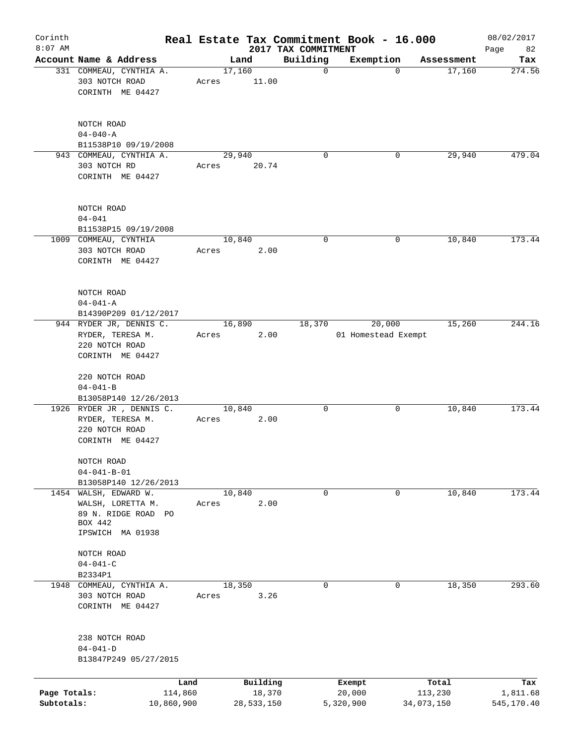| Corinth                    |                                                                                                  |                       |       |                |        | Real Estate Tax Commitment Book - 16.000 |                     |             |                      | 08/02/2017             |
|----------------------------|--------------------------------------------------------------------------------------------------|-----------------------|-------|----------------|--------|------------------------------------------|---------------------|-------------|----------------------|------------------------|
| $8:07$ AM                  | Account Name & Address                                                                           |                       |       |                |        | 2017 TAX COMMITMENT                      |                     |             |                      | 82<br>Page             |
|                            | 331 COMMEAU, CYNTHIA A.                                                                          |                       |       | Land<br>17,160 |        | Building<br>$\mathbf 0$                  | Exemption           | $\mathbf 0$ | Assessment<br>17,160 | Tax<br>274.56          |
|                            | 303 NOTCH ROAD<br>CORINTH ME 04427                                                               |                       | Acres | 11.00          |        |                                          |                     |             |                      |                        |
|                            | NOTCH ROAD<br>$04 - 040 - A$                                                                     |                       |       |                |        |                                          |                     |             |                      |                        |
|                            | B11538P10 09/19/2008                                                                             |                       |       |                |        |                                          |                     |             |                      |                        |
|                            | 943 COMMEAU, CYNTHIA A.                                                                          |                       |       | 29,940         |        | $\mathbf 0$                              |                     | 0           | 29,940               | 479.04                 |
|                            | 303 NOTCH RD<br>CORINTH ME 04427                                                                 |                       | Acres | 20.74          |        |                                          |                     |             |                      |                        |
|                            | NOTCH ROAD<br>$04 - 041$                                                                         |                       |       |                |        |                                          |                     |             |                      |                        |
|                            | B11538P15 09/19/2008                                                                             |                       |       |                |        |                                          |                     |             |                      |                        |
|                            | 1009 COMMEAU, CYNTHIA<br>303 NOTCH ROAD<br>CORINTH ME 04427                                      |                       | Acres | 10,840         | 2.00   | 0                                        |                     | 0           | 10,840               | 173.44                 |
|                            | NOTCH ROAD<br>$04 - 041 - A$<br>B14390P209 01/12/2017                                            |                       |       |                |        |                                          |                     |             |                      |                        |
|                            | 944 RYDER JR, DENNIS C.                                                                          |                       |       | 16,890         |        | 18,370                                   | 20,000              |             | 15,260               | 244.16                 |
|                            | RYDER, TERESA M.<br>220 NOTCH ROAD<br>CORINTH ME 04427                                           |                       | Acres |                | 2.00   |                                          | 01 Homestead Exempt |             |                      |                        |
|                            | 220 NOTCH ROAD<br>$04 - 041 - B$                                                                 |                       |       |                |        |                                          |                     |             |                      |                        |
|                            | B13058P140 12/26/2013<br>1926 RYDER JR, DENNIS C.                                                |                       |       | 10,840         |        | 0                                        |                     | 0           | 10,840               | 173.44                 |
|                            | RYDER, TERESA M.<br>220 NOTCH ROAD<br>CORINTH ME 04427                                           |                       | Acres |                | 2.00   |                                          |                     |             |                      |                        |
|                            | NOTCH ROAD<br>$04 - 041 - B - 01$                                                                |                       |       |                |        |                                          |                     |             |                      |                        |
|                            | B13058P140 12/26/2013                                                                            |                       |       |                |        |                                          |                     |             |                      |                        |
|                            | 1454 WALSH, EDWARD W.<br>WALSH, LORETTA M.<br>89 N. RIDGE ROAD PO<br>BOX 442<br>IPSWICH MA 01938 |                       | Acres | 10,840         | 2.00   | 0                                        |                     | 0           | 10,840               | 173.44                 |
|                            | NOTCH ROAD<br>$04 - 041 - C$<br>B2334P1                                                          |                       |       |                |        |                                          |                     |             |                      |                        |
| 1948                       | COMMEAU, CYNTHIA A.                                                                              |                       |       | 18,350         |        | $\mathbf 0$                              |                     | $\mathbf 0$ | 18,350               | 293.60                 |
|                            | 303 NOTCH ROAD<br>CORINTH ME 04427                                                               |                       | Acres |                | 3.26   |                                          |                     |             |                      |                        |
|                            | 238 NOTCH ROAD<br>$04 - 041 - D$<br>B13847P249 05/27/2015                                        |                       |       |                |        |                                          |                     |             |                      |                        |
|                            |                                                                                                  | Land                  |       | Building       |        |                                          | Exempt              |             | Total                | Tax                    |
| Page Totals:<br>Subtotals: |                                                                                                  | 114,860<br>10,860,900 |       | 28,533,150     | 18,370 |                                          | 20,000<br>5,320,900 | 34,073,150  | 113,230              | 1,811.68<br>545,170.40 |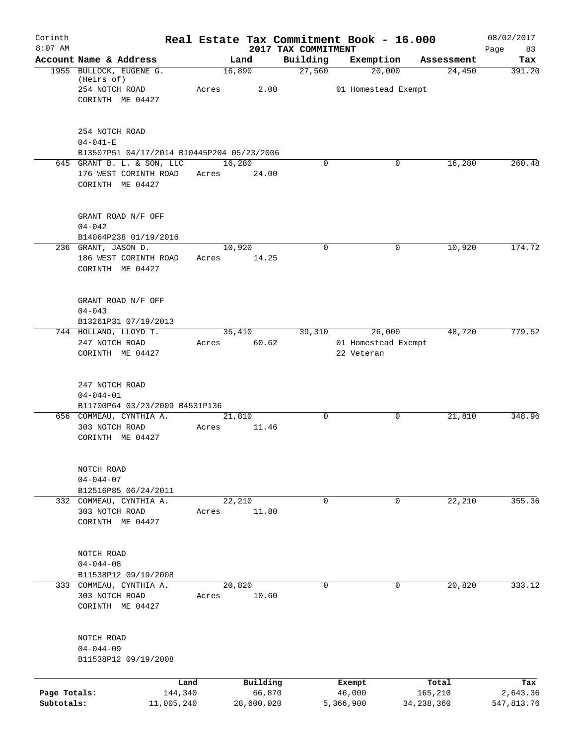| Corinth<br>$8:07$ AM       |                                                                                | Real Estate Tax Commitment Book - 16.000 |                                 |                                             |                         | 08/02/2017             |
|----------------------------|--------------------------------------------------------------------------------|------------------------------------------|---------------------------------|---------------------------------------------|-------------------------|------------------------|
|                            | Account Name & Address                                                         | Land                                     | 2017 TAX COMMITMENT<br>Building | Exemption                                   | Assessment              | 83<br>Page<br>Tax      |
|                            | 1955 BULLOCK, EUGENE G.<br>(Heirs of)<br>254 NOTCH ROAD<br>CORINTH ME 04427    | 16,890<br>2.00<br>Acres                  | 27,560                          | 20,000<br>01 Homestead Exempt               | 24,450                  | 391.20                 |
|                            | 254 NOTCH ROAD<br>$04 - 041 - E$<br>B13507P51 04/17/2014 B10445P204 05/23/2006 |                                          |                                 |                                             |                         |                        |
|                            | 645 GRANT B. L. & SON, LLC<br>176 WEST CORINTH ROAD<br>CORINTH ME 04427        | 16,280<br>24.00<br>Acres                 | 0                               | 0                                           | 16,280                  | 260.48                 |
|                            | GRANT ROAD N/F OFF<br>$04 - 042$<br>B14064P238 01/19/2016                      |                                          |                                 |                                             |                         |                        |
|                            | 236 GRANT, JASON D.<br>186 WEST CORINTH ROAD<br>CORINTH ME 04427               | 10,920<br>14.25<br>Acres                 | $\mathbf 0$                     | 0                                           | 10,920                  | 174.72                 |
|                            | GRANT ROAD N/F OFF<br>$04 - 043$<br>B13261P31 07/19/2013                       |                                          |                                 |                                             |                         |                        |
|                            | 744 HOLLAND, LLOYD T.<br>247 NOTCH ROAD<br>CORINTH ME 04427                    | 35,410<br>60.62<br>Acres                 | 39,310                          | 26,000<br>01 Homestead Exempt<br>22 Veteran | 48,720                  | 779.52                 |
|                            | 247 NOTCH ROAD<br>$04 - 044 - 01$<br>B11700P64 03/23/2009 B4531P136            |                                          |                                 |                                             |                         |                        |
|                            | 656 COMMEAU, CYNTHIA A.<br>303 NOTCH ROAD<br>CORINTH ME 04427                  | 21,810<br>11.46<br>Acres                 | 0                               | 0                                           | 21,810                  | 348.96                 |
|                            | NOTCH ROAD<br>$04 - 044 - 07$<br>B12516P85 06/24/2011                          |                                          |                                 |                                             |                         |                        |
|                            | 332 COMMEAU, CYNTHIA A.<br>303 NOTCH ROAD<br>CORINTH ME 04427                  | 22,210<br>11.80<br>Acres                 | $\mathbf 0$                     | 0                                           | 22,210                  | 355.36                 |
|                            | NOTCH ROAD<br>$04 - 044 - 08$<br>B11538P12 09/19/2008                          |                                          |                                 |                                             |                         |                        |
|                            | 333 COMMEAU, CYNTHIA A.<br>303 NOTCH ROAD<br>CORINTH ME 04427                  | 20,820<br>10.60<br>Acres                 | $\mathbf 0$                     | $\mathbf 0$                                 | 20,820                  | 333.12                 |
|                            | NOTCH ROAD<br>$04 - 044 - 09$<br>B11538P12 09/19/2008                          |                                          |                                 |                                             |                         |                        |
|                            | Land                                                                           | Building                                 |                                 | Exempt                                      | Total                   | Tax                    |
| Page Totals:<br>Subtotals: | 144,340<br>11,005,240                                                          | 66,870<br>28,600,020                     |                                 | 46,000<br>5,366,900                         | 165,210<br>34, 238, 360 | 2,643.36<br>547,813.76 |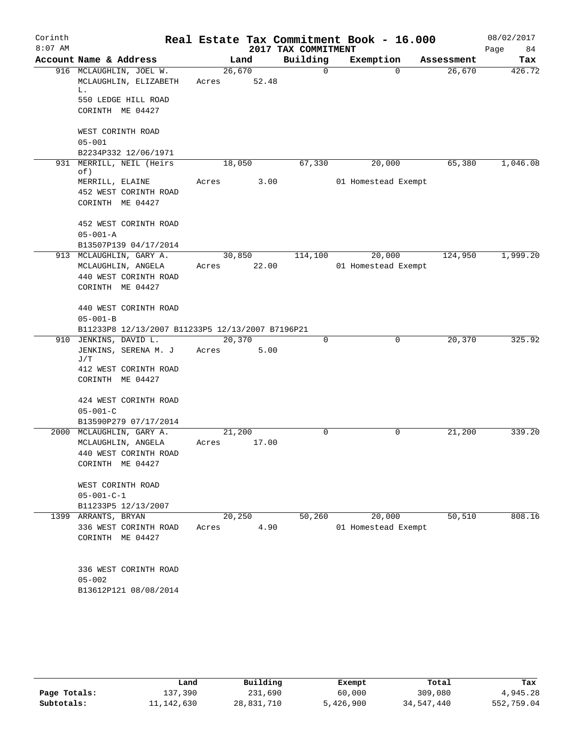| Corinth   |                                                        |                 |       |                     | Real Estate Tax Commitment Book - 16.000 |                    | 08/02/2017 |  |
|-----------|--------------------------------------------------------|-----------------|-------|---------------------|------------------------------------------|--------------------|------------|--|
| $8:07$ AM |                                                        |                 |       | 2017 TAX COMMITMENT |                                          |                    | 84<br>Page |  |
|           | Account Name & Address                                 |                 | Land  | Building            | Exemption                                | Assessment         | Tax        |  |
|           | 916 MCLAUGHLIN, JOEL W.<br>MCLAUGHLIN, ELIZABETH<br>L. | 26,670<br>Acres | 52.48 | $\Omega$            |                                          | $\Omega$<br>26,670 | 426.72     |  |
|           | 550 LEDGE HILL ROAD                                    |                 |       |                     |                                          |                    |            |  |
|           | CORINTH ME 04427                                       |                 |       |                     |                                          |                    |            |  |
|           | WEST CORINTH ROAD<br>$05 - 001$                        |                 |       |                     |                                          |                    |            |  |
|           | B2234P332 12/06/1971                                   |                 |       |                     |                                          |                    |            |  |
|           | 931 MERRILL, NEIL (Heirs<br>of)                        | 18,050          |       | 67,330              | 20,000                                   | 65,380             | 1,046.08   |  |
|           | MERRILL, ELAINE                                        | Acres           | 3.00  |                     | 01 Homestead Exempt                      |                    |            |  |
|           | 452 WEST CORINTH ROAD                                  |                 |       |                     |                                          |                    |            |  |
|           | CORINTH ME 04427                                       |                 |       |                     |                                          |                    |            |  |
|           | 452 WEST CORINTH ROAD                                  |                 |       |                     |                                          |                    |            |  |
|           | $05 - 001 - A$                                         |                 |       |                     |                                          |                    |            |  |
|           | B13507P139 04/17/2014                                  |                 |       |                     |                                          |                    |            |  |
|           | 913 MCLAUGHLIN, GARY A.                                | 30,850          |       | 114,100             | 20,000                                   | 124,950            | 1,999.20   |  |
|           | MCLAUGHLIN, ANGELA                                     | Acres 22.00     |       |                     | 01 Homestead Exempt                      |                    |            |  |
|           | 440 WEST CORINTH ROAD<br>CORINTH ME 04427              |                 |       |                     |                                          |                    |            |  |
|           |                                                        |                 |       |                     |                                          |                    |            |  |
|           | 440 WEST CORINTH ROAD                                  |                 |       |                     |                                          |                    |            |  |
|           | $05 - 001 - B$                                         |                 |       |                     |                                          |                    |            |  |
|           | B11233P8 12/13/2007 B11233P5 12/13/2007 B7196P21       |                 |       |                     |                                          |                    |            |  |
|           | 910 JENKINS, DAVID L.                                  | 20,370          |       | $\mathbf 0$         | 0                                        | 20,370             | 325.92     |  |
|           | JENKINS, SERENA M. J<br>J/T                            | Acres           | 5.00  |                     |                                          |                    |            |  |
|           | 412 WEST CORINTH ROAD                                  |                 |       |                     |                                          |                    |            |  |
|           | CORINTH ME 04427                                       |                 |       |                     |                                          |                    |            |  |
|           | 424 WEST CORINTH ROAD                                  |                 |       |                     |                                          |                    |            |  |
|           | $05 - 001 - C$                                         |                 |       |                     |                                          |                    |            |  |
|           | B13590P279 07/17/2014                                  |                 |       |                     |                                          |                    |            |  |
|           | 2000 MCLAUGHLIN, GARY A.                               | 21,200          |       | 0                   | 0                                        | 21,200             | 339.20     |  |
|           | MCLAUGHLIN, ANGELA<br>440 WEST CORINTH ROAD            | Acres           | 17.00 |                     |                                          |                    |            |  |
|           | CORINTH ME 04427                                       |                 |       |                     |                                          |                    |            |  |
|           |                                                        |                 |       |                     |                                          |                    |            |  |
|           | WEST CORINTH ROAD                                      |                 |       |                     |                                          |                    |            |  |
|           | $05 - 001 - C - 1$                                     |                 |       |                     |                                          |                    |            |  |
|           | B11233P5 12/13/2007                                    |                 |       |                     |                                          |                    |            |  |
|           | 1399 ARRANTS, BRYAN                                    | 20,250          |       | 50,260              | 20,000                                   | 50, 510            | 808.16     |  |
|           | 336 WEST CORINTH ROAD                                  | Acres           | 4.90  |                     | 01 Homestead Exempt                      |                    |            |  |
|           | CORINTH ME 04427                                       |                 |       |                     |                                          |                    |            |  |
|           |                                                        |                 |       |                     |                                          |                    |            |  |
|           | 336 WEST CORINTH ROAD                                  |                 |       |                     |                                          |                    |            |  |
|           | $05 - 002$                                             |                 |       |                     |                                          |                    |            |  |
|           | B13612P121 08/08/2014                                  |                 |       |                     |                                          |                    |            |  |
|           |                                                        |                 |       |                     |                                          |                    |            |  |

|              | Land         | Building   | Exempt    | Total      | Tax        |
|--------------|--------------|------------|-----------|------------|------------|
| Page Totals: | 137,390      | 231,690    | 60,000    | 309,080    | 4,945.28   |
| Subtotals:   | 11, 142, 630 | 28,831,710 | 5,426,900 | 34,547,440 | 552,759.04 |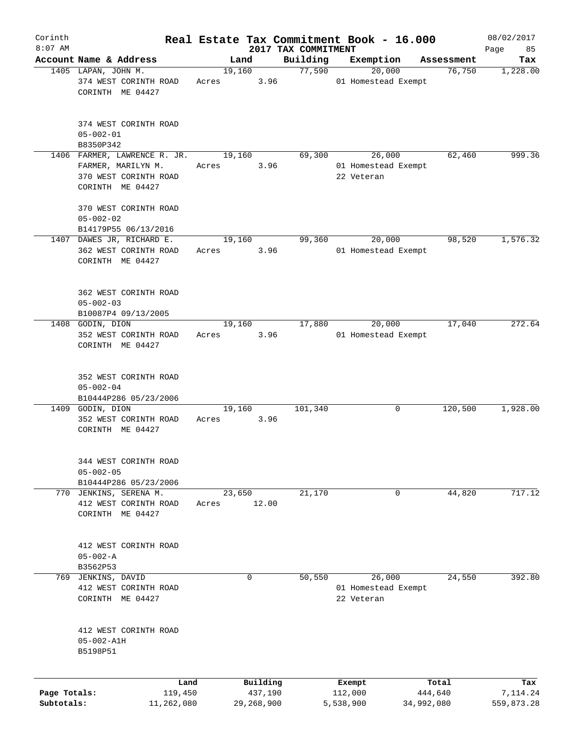| Corinth                    |                                                                                                                          |       |                       |                                 | Real Estate Tax Commitment Book - 16.000    |                       | 08/02/2017             |
|----------------------------|--------------------------------------------------------------------------------------------------------------------------|-------|-----------------------|---------------------------------|---------------------------------------------|-----------------------|------------------------|
| $8:07$ AM                  | Account Name & Address                                                                                                   |       | Land                  | 2017 TAX COMMITMENT<br>Building | Exemption                                   | Assessment            | Page<br>85<br>Tax      |
|                            | 1405 LAPAN, JOHN M.                                                                                                      |       | 19,160                | 77,590                          | 20,000                                      | 76,750                | 1,228.00               |
|                            | 374 WEST CORINTH ROAD<br>CORINTH ME 04427                                                                                | Acres | 3.96                  |                                 | 01 Homestead Exempt                         |                       |                        |
|                            | 374 WEST CORINTH ROAD<br>$05 - 002 - 01$                                                                                 |       |                       |                                 |                                             |                       |                        |
|                            | B8350P342                                                                                                                |       |                       |                                 |                                             |                       |                        |
|                            | 1406 FARMER, LAWRENCE R. JR.<br>FARMER, MARILYN M.<br>370 WEST CORINTH ROAD<br>CORINTH ME 04427<br>370 WEST CORINTH ROAD | Acres | 19,160<br>3.96        | 69,300                          | 26,000<br>01 Homestead Exempt<br>22 Veteran | 62,460                | 999.36                 |
|                            | $05 - 002 - 02$                                                                                                          |       |                       |                                 |                                             |                       |                        |
|                            | B14179P55 06/13/2016                                                                                                     |       |                       |                                 |                                             |                       |                        |
|                            | 1407 DAWES JR, RICHARD E.<br>362 WEST CORINTH ROAD<br>CORINTH ME 04427                                                   | Acres | 19,160<br>3.96        | 99,360                          | 20,000<br>01 Homestead Exempt               | 98,520                | 1,576.32               |
|                            | 362 WEST CORINTH ROAD<br>$05 - 002 - 03$<br>B10087P4 09/13/2005                                                          |       |                       |                                 |                                             |                       |                        |
|                            | 1408 GODIN, DION                                                                                                         |       | 19,160                | 17,880                          | 20,000                                      | 17,040                | 272.64                 |
|                            | 352 WEST CORINTH ROAD<br>CORINTH ME 04427                                                                                | Acres | 3.96                  |                                 | 01 Homestead Exempt                         |                       |                        |
|                            | 352 WEST CORINTH ROAD<br>$05 - 002 - 04$<br>B10444P286 05/23/2006                                                        |       |                       |                                 |                                             |                       |                        |
|                            | 1409 GODIN, DION                                                                                                         |       | 19,160                | 101,340                         | 0                                           | 120,500               | 1,928.00               |
|                            | 352 WEST CORINTH ROAD<br>CORINTH ME 04427                                                                                | Acres | 3.96                  |                                 |                                             |                       |                        |
|                            | 344 WEST CORINTH ROAD<br>$05 - 002 - 05$<br>B10444P286 05/23/2006                                                        |       |                       |                                 |                                             |                       |                        |
|                            | 770 JENKINS, SERENA M.                                                                                                   |       | 23,650                | 21,170                          | 0                                           | 44,820                | 717.12                 |
|                            | 412 WEST CORINTH ROAD<br>CORINTH ME 04427                                                                                | Acres | 12.00                 |                                 |                                             |                       |                        |
|                            | 412 WEST CORINTH ROAD<br>$05 - 002 - A$<br>B3562P53                                                                      |       |                       |                                 |                                             |                       |                        |
| 769                        | JENKINS, DAVID                                                                                                           |       | 0                     | 50,550                          | 26,000                                      | 24,550                | 392.80                 |
|                            | 412 WEST CORINTH ROAD<br>CORINTH ME 04427                                                                                |       |                       |                                 | 01 Homestead Exempt<br>22 Veteran           |                       |                        |
|                            | 412 WEST CORINTH ROAD<br>$05 - 002 - A1H$<br>B5198P51                                                                    |       |                       |                                 |                                             |                       |                        |
|                            | Land                                                                                                                     |       | Building              |                                 | Exempt                                      | Total                 | Tax                    |
| Page Totals:<br>Subtotals: | 119,450<br>11,262,080                                                                                                    |       | 437,190<br>29,268,900 |                                 | 112,000<br>5,538,900                        | 444,640<br>34,992,080 | 7,114.24<br>559,873.28 |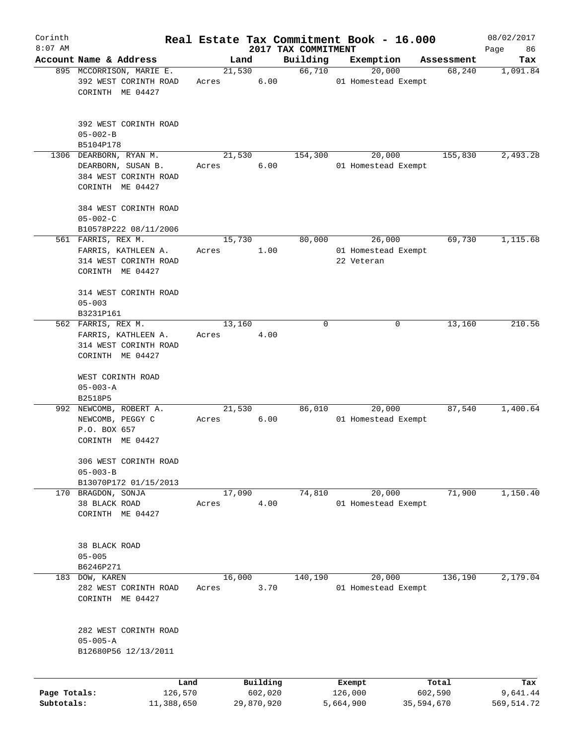| Corinth      |                                                                                        |       |                |          |                     | Real Estate Tax Commitment Book - 16.000    |            |                      | 08/02/2017              |
|--------------|----------------------------------------------------------------------------------------|-------|----------------|----------|---------------------|---------------------------------------------|------------|----------------------|-------------------------|
| $8:07$ AM    |                                                                                        |       |                |          | 2017 TAX COMMITMENT |                                             |            |                      | Page<br>86              |
|              | Account Name & Address<br>895 MCCORRISON, MARIE E.                                     |       | Land<br>21,530 |          | Building<br>66,710  | Exemption<br>20,000                         |            | Assessment<br>68,240 | Tax<br>1,091.84         |
|              | 392 WEST CORINTH ROAD<br>CORINTH ME 04427                                              | Acres |                | 6.00     |                     | 01 Homestead Exempt                         |            |                      |                         |
|              | 392 WEST CORINTH ROAD<br>$05 - 002 - B$<br>B5104P178                                   |       |                |          |                     |                                             |            |                      |                         |
|              | 1306 DEARBORN, RYAN M.                                                                 |       | 21,530         |          | 154,300             | 20,000                                      |            | 155,830              | 2,493.28                |
|              | DEARBORN, SUSAN B.<br>384 WEST CORINTH ROAD<br>CORINTH ME 04427                        | Acres |                | 6.00     |                     | 01 Homestead Exempt                         |            |                      |                         |
|              | 384 WEST CORINTH ROAD<br>$05 - 002 - C$                                                |       |                |          |                     |                                             |            |                      |                         |
|              | B10578P222 08/11/2006                                                                  |       |                |          |                     |                                             |            |                      |                         |
|              | 561 FARRIS, REX M.<br>FARRIS, KATHLEEN A.<br>314 WEST CORINTH ROAD<br>CORINTH ME 04427 | Acres | 15,730         | 1.00     | 80,000              | 26,000<br>01 Homestead Exempt<br>22 Veteran |            | 69,730               | 1,115.68                |
|              | 314 WEST CORINTH ROAD<br>$05 - 003$                                                    |       |                |          |                     |                                             |            |                      |                         |
|              | B3231P161<br>562 FARRIS, REX M.                                                        |       | 13,160         |          | 0                   |                                             | 0          | 13,160               | 210.56                  |
|              | FARRIS, KATHLEEN A.<br>314 WEST CORINTH ROAD<br>CORINTH ME 04427                       | Acres |                | 4.00     |                     |                                             |            |                      |                         |
|              | WEST CORINTH ROAD<br>$05 - 003 - A$<br>B2518P5                                         |       |                |          |                     |                                             |            |                      |                         |
|              | 992 NEWCOMB, ROBERT A.<br>NEWCOMB, PEGGY C<br>P.O. BOX 657<br>CORINTH ME 04427         | Acres | 21,530         | 6.00     | 86,010              | 20,000<br>01 Homestead Exempt               |            | 87,540               | 1,400.64                |
|              | 306 WEST CORINTH ROAD<br>$05 - 003 - B$                                                |       |                |          |                     |                                             |            |                      |                         |
|              | B13070P172 01/15/2013<br>170 BRAGDON, SONJA                                            |       | 17,090         |          | 74,810              | 20,000                                      |            | 71,900               | 1,150.40                |
|              | 38 BLACK ROAD<br>CORINTH ME 04427                                                      | Acres |                | 4.00     |                     | 01 Homestead Exempt                         |            |                      |                         |
|              | 38 BLACK ROAD<br>$05 - 005$                                                            |       |                |          |                     |                                             |            |                      |                         |
|              | B6246P271                                                                              |       | 16,000         |          | 140,190             | 20,000                                      |            | 136,190              | 2,179.04                |
|              | 183 DOW, KAREN<br>282 WEST CORINTH ROAD<br>CORINTH ME 04427                            | Acres |                | 3.70     |                     | 01 Homestead Exempt                         |            |                      |                         |
|              | 282 WEST CORINTH ROAD<br>$05 - 005 - A$<br>B12680P56 12/13/2011                        |       |                |          |                     |                                             |            |                      |                         |
| Page Totals: | Land                                                                                   |       |                | Building |                     | Exempt                                      |            | Total                | Tax                     |
| Subtotals:   | 126,570<br>11,388,650                                                                  |       | 29,870,920     | 602,020  |                     | 126,000<br>5,664,900                        | 35,594,670 | 602,590              | 9,641.44<br>569, 514.72 |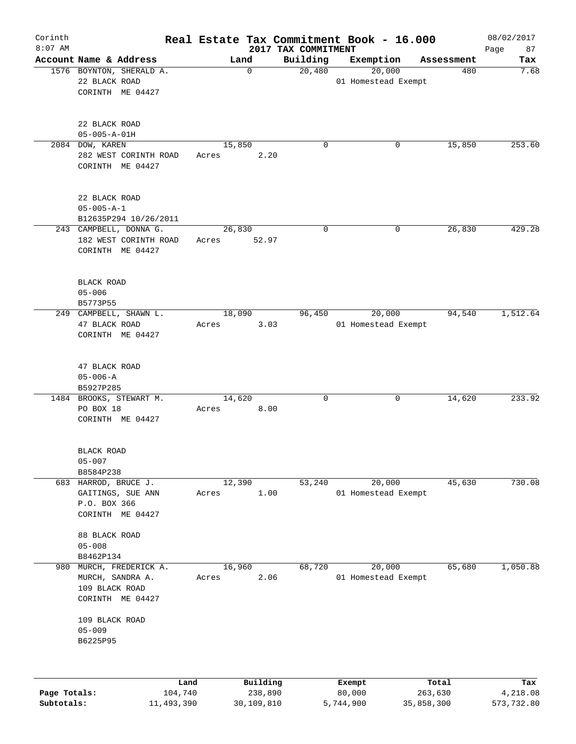| Corinth<br>$8:07$ AM |                                    |            |        |             | Real Estate Tax Commitment Book - 16.000<br>2017 TAX COMMITMENT |                     |                     |            | 08/02/2017<br>87<br>Page |
|----------------------|------------------------------------|------------|--------|-------------|-----------------------------------------------------------------|---------------------|---------------------|------------|--------------------------|
|                      | Account Name & Address             |            | Land   |             | Building                                                        | Exemption           |                     | Assessment | Tax                      |
|                      | 1576 BOYNTON, SHERALD A.           |            |        | $\mathbf 0$ | 20,480                                                          |                     | $\overline{20,000}$ | 480        | 7.68                     |
|                      | 22 BLACK ROAD                      |            |        |             |                                                                 | 01 Homestead Exempt |                     |            |                          |
|                      | CORINTH ME 04427                   |            |        |             |                                                                 |                     |                     |            |                          |
|                      |                                    |            |        |             |                                                                 |                     |                     |            |                          |
|                      |                                    |            |        |             |                                                                 |                     |                     |            |                          |
|                      | 22 BLACK ROAD                      |            |        |             |                                                                 |                     |                     |            |                          |
|                      | $05 - 005 - A - 01H$               |            |        |             |                                                                 |                     |                     |            |                          |
|                      | 2084 DOW, KAREN                    |            | 15,850 |             | 0                                                               |                     | 0                   | 15,850     | 253.60                   |
|                      | 282 WEST CORINTH ROAD              |            | Acres  | 2.20        |                                                                 |                     |                     |            |                          |
|                      | CORINTH ME 04427                   |            |        |             |                                                                 |                     |                     |            |                          |
|                      |                                    |            |        |             |                                                                 |                     |                     |            |                          |
|                      | 22 BLACK ROAD                      |            |        |             |                                                                 |                     |                     |            |                          |
|                      | $05 - 005 - A - 1$                 |            |        |             |                                                                 |                     |                     |            |                          |
|                      | B12635P294 10/26/2011              |            |        |             |                                                                 |                     |                     |            |                          |
|                      | 243 CAMPBELL, DONNA G.             |            | 26,830 |             | 0                                                               |                     | 0                   | 26,830     | 429.28                   |
|                      | 182 WEST CORINTH ROAD              |            | Acres  | 52.97       |                                                                 |                     |                     |            |                          |
|                      | CORINTH ME 04427                   |            |        |             |                                                                 |                     |                     |            |                          |
|                      |                                    |            |        |             |                                                                 |                     |                     |            |                          |
|                      |                                    |            |        |             |                                                                 |                     |                     |            |                          |
|                      | <b>BLACK ROAD</b>                  |            |        |             |                                                                 |                     |                     |            |                          |
|                      | $05 - 006$<br>B5773P55             |            |        |             |                                                                 |                     |                     |            |                          |
|                      | 249 CAMPBELL, SHAWN L.             |            | 18,090 |             | 96,450                                                          |                     | 20,000              | 94,540     | 1,512.64                 |
|                      | 47 BLACK ROAD                      |            | Acres  | 3.03        |                                                                 | 01 Homestead Exempt |                     |            |                          |
|                      | CORINTH ME 04427                   |            |        |             |                                                                 |                     |                     |            |                          |
|                      |                                    |            |        |             |                                                                 |                     |                     |            |                          |
|                      |                                    |            |        |             |                                                                 |                     |                     |            |                          |
|                      | 47 BLACK ROAD                      |            |        |             |                                                                 |                     |                     |            |                          |
|                      | $05 - 006 - A$                     |            |        |             |                                                                 |                     |                     |            |                          |
|                      | B5927P285                          |            |        |             |                                                                 |                     |                     |            |                          |
|                      | 1484 BROOKS, STEWART M.            |            | 14,620 |             | 0                                                               |                     | 0                   | 14,620     | 233.92                   |
|                      | PO BOX 18                          |            | Acres  | 8.00        |                                                                 |                     |                     |            |                          |
|                      | CORINTH ME 04427                   |            |        |             |                                                                 |                     |                     |            |                          |
|                      |                                    |            |        |             |                                                                 |                     |                     |            |                          |
|                      | BLACK ROAD                         |            |        |             |                                                                 |                     |                     |            |                          |
|                      | $05 - 007$                         |            |        |             |                                                                 |                     |                     |            |                          |
|                      | B8584P238                          |            |        |             |                                                                 |                     |                     |            |                          |
|                      | 683 HARROD, BRUCE J.               |            | 12,390 |             | 53,240                                                          |                     | 20,000              | 45,630     | 730.08                   |
|                      | GAITINGS, SUE ANN                  |            | Acres  | 1.00        |                                                                 | 01 Homestead Exempt |                     |            |                          |
|                      | P.O. BOX 366                       |            |        |             |                                                                 |                     |                     |            |                          |
|                      | CORINTH ME 04427                   |            |        |             |                                                                 |                     |                     |            |                          |
|                      |                                    |            |        |             |                                                                 |                     |                     |            |                          |
|                      | 88 BLACK ROAD                      |            |        |             |                                                                 |                     |                     |            |                          |
|                      | $05 - 008$                         |            |        |             |                                                                 |                     |                     |            |                          |
|                      | B8462P134                          |            |        |             |                                                                 |                     |                     |            |                          |
| 980                  | MURCH, FREDERICK A.                |            | 16,960 |             | 68,720                                                          |                     | 20,000              | 65,680     | 1,050.88                 |
|                      | MURCH, SANDRA A.<br>109 BLACK ROAD |            | Acres  | 2.06        |                                                                 | 01 Homestead Exempt |                     |            |                          |
|                      | CORINTH ME 04427                   |            |        |             |                                                                 |                     |                     |            |                          |
|                      |                                    |            |        |             |                                                                 |                     |                     |            |                          |
|                      | 109 BLACK ROAD                     |            |        |             |                                                                 |                     |                     |            |                          |
|                      | $05 - 009$                         |            |        |             |                                                                 |                     |                     |            |                          |
|                      | B6225P95                           |            |        |             |                                                                 |                     |                     |            |                          |
|                      |                                    |            |        |             |                                                                 |                     |                     |            |                          |
|                      |                                    |            |        |             |                                                                 |                     |                     |            |                          |
|                      |                                    | Land       |        | Building    |                                                                 | Exempt              |                     | Total      | Tax                      |
| Page Totals:         |                                    | 104,740    |        | 238,890     |                                                                 | 80,000              |                     | 263,630    | 4,218.08                 |
| Subtotals:           |                                    | 11,493,390 |        | 30,109,810  |                                                                 | 5,744,900           | 35,858,300          |            | 573,732.80               |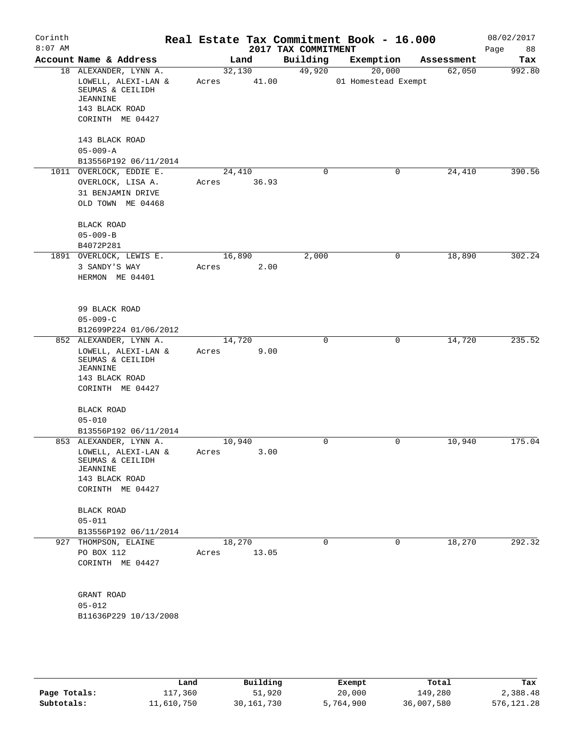| Corinth<br>$8:07$ AM |                                                                                                                            |                 |       | 2017 TAX COMMITMENT | Real Estate Tax Commitment Book - 16.000 |            | 08/02/2017<br>Page<br>88 |
|----------------------|----------------------------------------------------------------------------------------------------------------------------|-----------------|-------|---------------------|------------------------------------------|------------|--------------------------|
|                      | Account Name & Address                                                                                                     |                 | Land  | Building            | Exemption                                | Assessment | Tax                      |
|                      | 18 ALEXANDER, LYNN A.<br>LOWELL, ALEXI-LAN &<br>SEUMAS & CEILIDH<br><b>JEANNINE</b><br>143 BLACK ROAD<br>CORINTH ME 04427  | 32,130<br>Acres | 41.00 | 49,920              | 20,000<br>01 Homestead Exempt            | 62,050     | 992.80                   |
|                      | 143 BLACK ROAD<br>$05 - 009 - A$<br>B13556P192 06/11/2014                                                                  |                 |       |                     |                                          |            |                          |
|                      | 1011 OVERLOCK, EDDIE E.<br>OVERLOCK, LISA A.<br>31 BENJAMIN DRIVE<br>OLD TOWN ME 04468                                     | 24,410<br>Acres | 36.93 | $\mathsf{O}$        | 0                                        | 24,410     | 390.56                   |
|                      | BLACK ROAD<br>$05 - 009 - B$<br>B4072P281                                                                                  |                 |       |                     |                                          |            |                          |
|                      | 1891 OVERLOCK, LEWIS E.<br>3 SANDY'S WAY<br>HERMON ME 04401                                                                | 16,890<br>Acres | 2.00  | 2,000               | 0                                        | 18,890     | 302.24                   |
|                      | 99 BLACK ROAD<br>$05 - 009 - C$<br>B12699P224 01/06/2012                                                                   |                 |       |                     |                                          |            |                          |
|                      | 852 ALEXANDER, LYNN A.<br>LOWELL, ALEXI-LAN &<br>SEUMAS & CEILIDH<br><b>JEANNINE</b><br>143 BLACK ROAD<br>CORINTH ME 04427 | 14,720<br>Acres | 9.00  | 0                   | 0                                        | 14,720     | 235.52                   |
|                      | <b>BLACK ROAD</b><br>$05 - 010$<br>B13556P192 06/11/2014                                                                   |                 |       |                     |                                          |            |                          |
|                      | 853 ALEXANDER, LYNN A.<br>LOWELL, ALEXI-LAN $\&$<br>SEUMAS & CEILIDH<br>JEANNINE<br>143 BLACK ROAD<br>CORINTH ME 04427     | 10,940<br>Acres | 3.00  | 0                   | 0                                        | 10,940     | 175.04                   |
|                      | BLACK ROAD<br>$05 - 011$<br>B13556P192 06/11/2014                                                                          |                 |       |                     |                                          |            |                          |
|                      | 927 THOMPSON, ELAINE<br>PO BOX 112<br>CORINTH ME 04427                                                                     | 18,270<br>Acres | 13.05 | $\Omega$            | 0                                        | 18,270     | 292.32                   |
|                      | GRANT ROAD<br>$05 - 012$<br>B11636P229 10/13/2008                                                                          |                 |       |                     |                                          |            |                          |
|                      |                                                                                                                            |                 |       |                     |                                          |            |                          |

|              | Land       | Building     | Exempt    | Total      | Tax          |
|--------------|------------|--------------|-----------|------------|--------------|
| Page Totals: | 117,360    | 51,920       | 20,000    | 149,280    | 2,388.48     |
| Subtotals:   | 11,610,750 | 30, 161, 730 | 5,764,900 | 36,007,580 | 576, 121. 28 |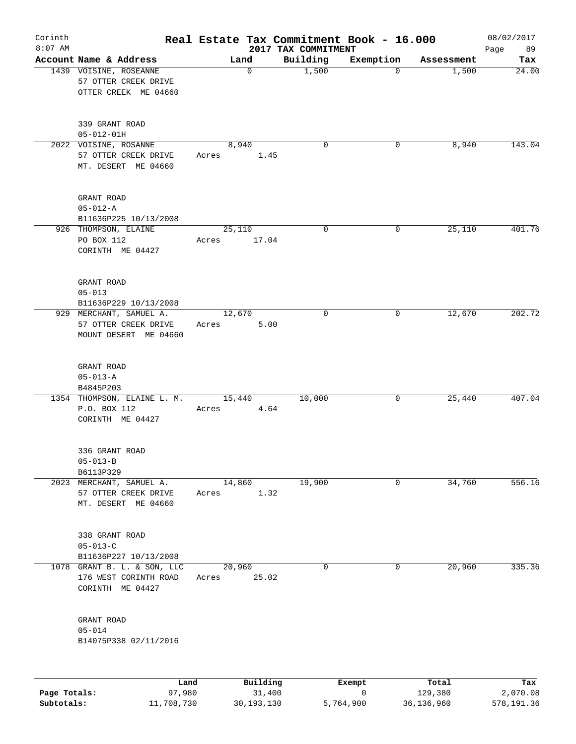| Corinth<br>$8:07$ AM |                                                                          |                 |                    | 2017 TAX COMMITMENT | Real Estate Tax Commitment Book - 16.000 |                  | 08/02/2017<br>89 |
|----------------------|--------------------------------------------------------------------------|-----------------|--------------------|---------------------|------------------------------------------|------------------|------------------|
|                      | Account Name & Address                                                   | Land            |                    | Building            | Exemption                                | Assessment       | Page<br>Tax      |
|                      | 1439 VOISINE, ROSEANNE<br>57 OTTER CREEK DRIVE<br>OTTER CREEK ME 04660   |                 | $\mathbf 0$        | 1,500               | $\Omega$                                 | 1,500            | 24.00            |
|                      | 339 GRANT ROAD<br>$05 - 012 - 01H$                                       |                 |                    |                     |                                          |                  |                  |
|                      | 2022 VOISINE, ROSANNE<br>57 OTTER CREEK DRIVE<br>MT. DESERT ME 04660     | 8,940<br>Acres  | 1.45               | $\mathbf 0$         | 0                                        | 8,940            | 143.04           |
|                      | GRANT ROAD<br>$05 - 012 - A$<br>B11636P225 10/13/2008                    |                 |                    |                     |                                          |                  |                  |
|                      | 926 THOMPSON, ELAINE<br>PO BOX 112<br>CORINTH ME 04427                   | 25,110<br>Acres | 17.04              | 0                   | 0                                        | 25,110           | 401.76           |
|                      | GRANT ROAD<br>$05 - 013$<br>B11636P229 10/13/2008                        |                 |                    |                     |                                          |                  |                  |
|                      | 929 MERCHANT, SAMUEL A.<br>57 OTTER CREEK DRIVE<br>MOUNT DESERT ME 04660 | 12,670<br>Acres | 5.00               | $\mathbf 0$         | 0                                        | 12,670           | 202.72           |
|                      | GRANT ROAD<br>$05 - 013 - A$<br>B4845P203                                |                 |                    |                     |                                          |                  |                  |
|                      | 1354 THOMPSON, ELAINE L. M.<br>P.O. BOX 112<br>CORINTH ME 04427          | 15,440<br>Acres | 4.64               | 10,000              | 0                                        | 25,440           | 407.04           |
|                      | 336 GRANT ROAD<br>$05 - 013 - B$<br>B6113P329                            |                 |                    |                     |                                          |                  |                  |
|                      | 2023 MERCHANT, SAMUEL A.<br>57 OTTER CREEK DRIVE<br>MT. DESERT ME 04660  | 14,860<br>Acres | 1.32               | 19,900              | 0                                        | 34,760           | 556.16           |
|                      | 338 GRANT ROAD<br>$05 - 013 - C$<br>B11636P227 10/13/2008                |                 |                    |                     |                                          |                  |                  |
| 1078                 | GRANT B. L. & SON, LLC<br>176 WEST CORINTH ROAD<br>CORINTH ME 04427      | 20,960<br>Acres | 25.02              | $\mathbf 0$         | 0                                        | 20,960           | 335.36           |
|                      | GRANT ROAD<br>$05 - 014$<br>B14075P338 02/11/2016                        |                 |                    |                     |                                          |                  |                  |
|                      |                                                                          |                 |                    |                     |                                          |                  |                  |
| Page Totals:         | Land<br>97,980                                                           |                 | Building<br>31,400 |                     | Exempt<br>0                              | Total<br>129,380 | Tax<br>2,070.08  |

**Subtotals:** 11,708,730 30,193,130 5,764,900 36,136,960 578,191.36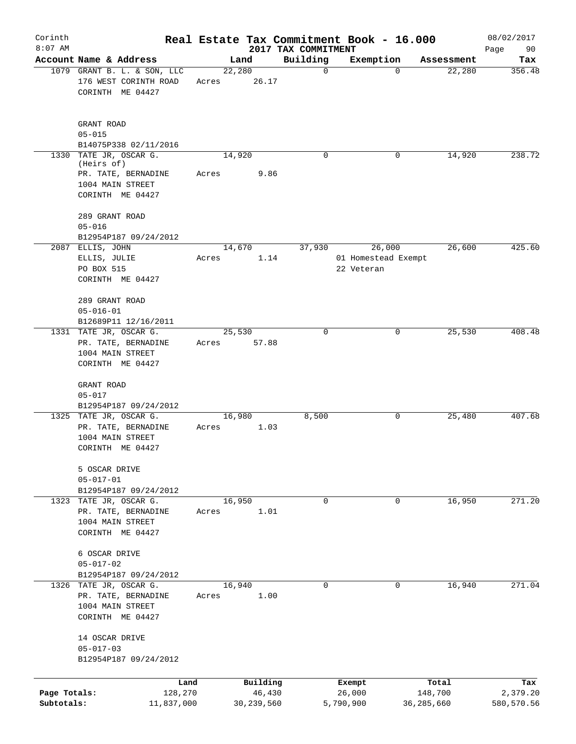| Corinth                    |                                                                                                | Real Estate Tax Commitment Book - 16.000 |                                 |                                   |                         | 08/02/2017             |
|----------------------------|------------------------------------------------------------------------------------------------|------------------------------------------|---------------------------------|-----------------------------------|-------------------------|------------------------|
| $8:07$ AM                  | Account Name & Address                                                                         | Land                                     | 2017 TAX COMMITMENT<br>Building | Exemption                         | Assessment              | Page<br>90<br>Tax      |
|                            | 1079 GRANT B. L. & SON, LLC<br>176 WEST CORINTH ROAD<br>CORINTH ME 04427                       | 22,280<br>26.17<br>Acres                 | $\mathbf 0$                     | $\mathbf 0$                       | 22,280                  | 356.48                 |
|                            | GRANT ROAD<br>$05 - 015$<br>B14075P338 02/11/2016                                              |                                          |                                 |                                   |                         |                        |
| 1330                       | TATE JR, OSCAR G.<br>(Heirs of)<br>PR. TATE, BERNADINE<br>1004 MAIN STREET<br>CORINTH ME 04427 | 14,920<br>9.86<br>Acres                  | 0                               | 0                                 | 14,920                  | 238.72                 |
|                            | 289 GRANT ROAD<br>$05 - 016$<br>B12954P187 09/24/2012<br>2087 ELLIS, JOHN                      | 14,670                                   | 37,930                          | 26,000                            | 26,600                  | 425.60                 |
|                            | ELLIS, JULIE<br>PO BOX 515<br>CORINTH ME 04427<br>289 GRANT ROAD                               | 1.14<br>Acres                            |                                 | 01 Homestead Exempt<br>22 Veteran |                         |                        |
|                            | $05 - 016 - 01$<br>B12689P11 12/16/2011<br>1331 TATE JR, OSCAR G.                              | 25,530                                   | $\mathbf 0$                     | 0                                 | 25,530                  | 408.48                 |
|                            | PR. TATE, BERNADINE<br>1004 MAIN STREET<br>CORINTH ME 04427                                    | 57.88<br>Acres                           |                                 |                                   |                         |                        |
|                            | GRANT ROAD<br>$05 - 017$<br>B12954P187 09/24/2012                                              |                                          |                                 |                                   |                         |                        |
|                            | 1325 TATE JR, OSCAR G.<br>PR. TATE, BERNADINE<br>1004 MAIN STREET<br>CORINTH ME 04427          | 16,980<br>1.03<br>Acres                  | 8,500                           | 0                                 | 25,480                  | 407.68                 |
|                            | 5 OSCAR DRIVE<br>$05 - 017 - 01$<br>B12954P187 09/24/2012                                      |                                          |                                 |                                   |                         |                        |
|                            | 1323 TATE JR, OSCAR G.<br>PR. TATE, BERNADINE<br>1004 MAIN STREET<br>CORINTH ME 04427          | 16,950<br>1.01<br>Acres                  | $\mathbf 0$                     | $\mathbf 0$                       | 16,950                  | 271.20                 |
|                            | 6 OSCAR DRIVE<br>$05 - 017 - 02$<br>B12954P187 09/24/2012                                      |                                          |                                 |                                   |                         |                        |
|                            | 1326 TATE JR, OSCAR G.<br>PR. TATE, BERNADINE<br>1004 MAIN STREET<br>CORINTH ME 04427          | 16,940<br>1.00<br>Acres                  | $\mathbf 0$                     | $\mathbf 0$                       | 16,940                  | 271.04                 |
|                            | 14 OSCAR DRIVE<br>$05 - 017 - 03$<br>B12954P187 09/24/2012                                     |                                          |                                 |                                   |                         |                        |
|                            | Land                                                                                           | Building                                 |                                 | Exempt                            | Total                   | Tax                    |
| Page Totals:<br>Subtotals: | 128,270<br>11,837,000                                                                          | 46,430<br>30, 239, 560                   |                                 | 26,000<br>5,790,900               | 148,700<br>36, 285, 660 | 2,379.20<br>580,570.56 |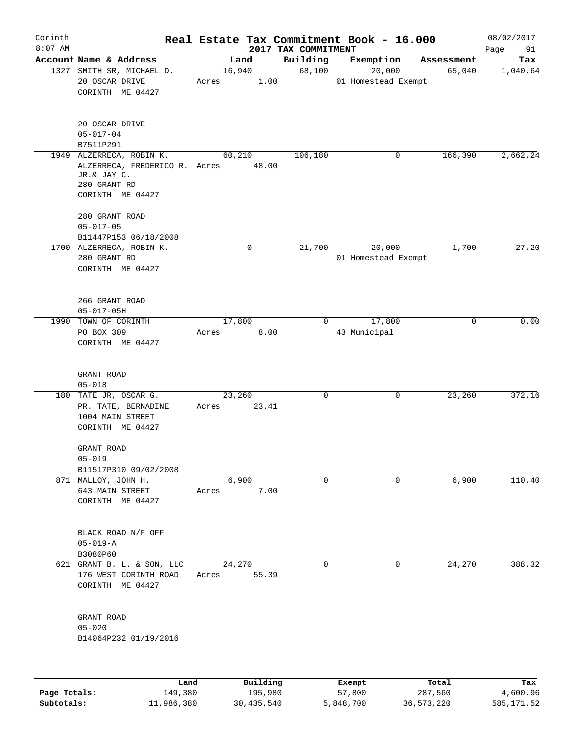| Corinth      |                                                                                                              |       |                 |                                 | Real Estate Tax Commitment Book - 16.000 |            | 08/02/2017        |
|--------------|--------------------------------------------------------------------------------------------------------------|-------|-----------------|---------------------------------|------------------------------------------|------------|-------------------|
| $8:07$ AM    | Account Name & Address                                                                                       |       | Land            | 2017 TAX COMMITMENT<br>Building | Exemption                                | Assessment | Page<br>91<br>Tax |
|              | 1327 SMITH SR, MICHAEL D.<br>20 OSCAR DRIVE<br>CORINTH ME 04427                                              | Acres | 16,940<br>1.00  | 68,100                          | 20,000<br>01 Homestead Exempt            | 65,040     | 1,040.64          |
|              | 20 OSCAR DRIVE<br>$05 - 017 - 04$<br>B7511P291                                                               |       |                 |                                 |                                          |            |                   |
|              | 1949 ALZERRECA, ROBIN K.<br>ALZERRECA, FREDERICO R. Acres<br>JR.& JAY C.<br>280 GRANT RD<br>CORINTH ME 04427 |       | 60,210<br>48.00 | 106,180                         | 0                                        | 166,390    | 2,662.24          |
|              | 280 GRANT ROAD<br>$05 - 017 - 05$                                                                            |       |                 |                                 |                                          |            |                   |
|              | B11447P153 06/18/2008<br>1700 ALZERRECA, ROBIN K.<br>280 GRANT RD<br>CORINTH ME 04427                        |       | 0               | 21,700                          | 20,000<br>01 Homestead Exempt            | 1,700      | 27.20             |
|              | 266 GRANT ROAD<br>$05 - 017 - 05H$                                                                           |       |                 |                                 |                                          |            |                   |
|              | 1990 TOWN OF CORINTH<br>PO BOX 309<br>CORINTH ME 04427                                                       | Acres | 17,800<br>8.00  | $\Omega$                        | 17,800<br>43 Municipal                   | $\Omega$   | 0.00              |
|              | GRANT ROAD<br>$05 - 018$                                                                                     |       |                 |                                 |                                          |            |                   |
|              | 180 TATE JR, OSCAR G.<br>PR. TATE, BERNADINE<br>1004 MAIN STREET<br>CORINTH ME 04427                         | Acres | 23,260<br>23.41 | 0                               | 0                                        | 23,260     | 372.16            |
|              | GRANT ROAD<br>$05 - 019$<br>B11517P310 09/02/2008                                                            |       |                 |                                 |                                          |            |                   |
|              | 871 MALLOY, JOHN H.<br>643 MAIN STREET<br>CORINTH ME 04427                                                   | Acres | 6,900<br>7.00   | $\mathbf 0$                     | 0                                        | 6,900      | 110.40            |
|              | BLACK ROAD N/F OFF<br>$05 - 019 - A$<br>B3080P60                                                             |       |                 |                                 |                                          |            |                   |
|              | 621 GRANT B. L. & SON, LLC<br>176 WEST CORINTH ROAD<br>CORINTH ME 04427                                      | Acres | 24,270<br>55.39 | $\mathbf 0$                     | $\mathbf 0$                              | 24,270     | 388.32            |
|              | GRANT ROAD<br>$05 - 020$<br>B14064P232 01/19/2016                                                            |       |                 |                                 |                                          |            |                   |
|              | Land                                                                                                         |       | Building        |                                 | Exempt                                   | Total      | Tax               |
| Page Totals: | 149,380                                                                                                      |       | 195,980         |                                 | 57,800                                   | 287,560    | 4,600.96          |

**Subtotals:** 11,986,380 30,435,540 5,848,700 36,573,220 585,171.52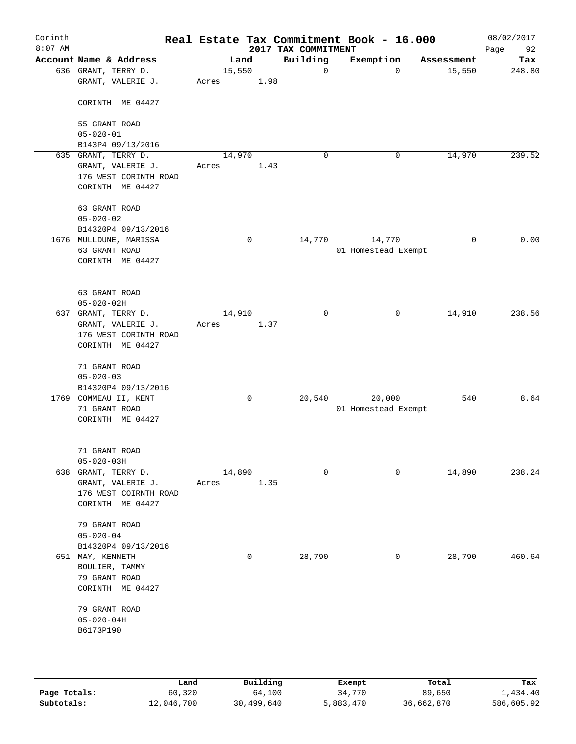| Corinth<br>$8:07$ AM |                                               |       |             | 2017 TAX COMMITMENT | Real Estate Tax Commitment Book - 16.000 |            | 08/02/2017<br>Page<br>92 |
|----------------------|-----------------------------------------------|-------|-------------|---------------------|------------------------------------------|------------|--------------------------|
|                      | Account Name & Address                        |       | Land        | Building            | Exemption                                | Assessment | Tax                      |
|                      | 636 GRANT, TERRY D.                           |       | 15,550      | $\mathbf 0$         | $\Omega$                                 | 15,550     | 248.80                   |
|                      | GRANT, VALERIE J.                             | Acres | 1.98        |                     |                                          |            |                          |
|                      | CORINTH ME 04427                              |       |             |                     |                                          |            |                          |
|                      | 55 GRANT ROAD                                 |       |             |                     |                                          |            |                          |
|                      | $05 - 020 - 01$<br>B143P4 09/13/2016          |       |             |                     |                                          |            |                          |
|                      | 635 GRANT, TERRY D.                           |       | 14,970      | $\mathbf 0$         | 0                                        | 14,970     | 239.52                   |
|                      | GRANT, VALERIE J.                             | Acres | 1.43        |                     |                                          |            |                          |
|                      | 176 WEST CORINTH ROAD                         |       |             |                     |                                          |            |                          |
|                      | CORINTH ME 04427                              |       |             |                     |                                          |            |                          |
|                      | 63 GRANT ROAD                                 |       |             |                     |                                          |            |                          |
|                      | $05 - 020 - 02$                               |       |             |                     |                                          |            |                          |
|                      | B14320P4 09/13/2016<br>1676 MULLDUNE, MARISSA |       | $\mathbf 0$ | 14,770              | 14,770                                   | 0          | 0.00                     |
|                      | 63 GRANT ROAD                                 |       |             |                     | 01 Homestead Exempt                      |            |                          |
|                      | CORINTH ME 04427                              |       |             |                     |                                          |            |                          |
|                      |                                               |       |             |                     |                                          |            |                          |
|                      | 63 GRANT ROAD                                 |       |             |                     |                                          |            |                          |
|                      | $05 - 020 - 02H$                              |       |             |                     |                                          |            |                          |
| 637                  | GRANT, TERRY D.                               |       | 14,910      | $\mathbf 0$         | 0                                        | 14,910     | 238.56                   |
|                      | GRANT, VALERIE J.<br>176 WEST CORINTH ROAD    | Acres | 1.37        |                     |                                          |            |                          |
|                      | CORINTH ME 04427                              |       |             |                     |                                          |            |                          |
|                      | 71 GRANT ROAD                                 |       |             |                     |                                          |            |                          |
|                      | $05 - 020 - 03$                               |       |             |                     |                                          |            |                          |
|                      | B14320P4 09/13/2016                           |       |             |                     |                                          |            |                          |
|                      | 1769 COMMEAU II, KENT<br>71 GRANT ROAD        |       | 0           | 20,540              | 20,000<br>01 Homestead Exempt            | 540        | 8.64                     |
|                      | CORINTH ME 04427                              |       |             |                     |                                          |            |                          |
|                      |                                               |       |             |                     |                                          |            |                          |
|                      | 71 GRANT ROAD                                 |       |             |                     |                                          |            |                          |
|                      | $05 - 020 - 03H$                              |       | 14,890      | $\mathbf 0$         | 0                                        |            | 238.24                   |
|                      | 638 GRANT, TERRY D.<br>GRANT, VALERIE J.      | Acres | 1.35        |                     |                                          | 14,890     |                          |
|                      | 176 WEST COIRNTH ROAD                         |       |             |                     |                                          |            |                          |
|                      | CORINTH ME 04427                              |       |             |                     |                                          |            |                          |
|                      | 79 GRANT ROAD                                 |       |             |                     |                                          |            |                          |
|                      | $05 - 020 - 04$                               |       |             |                     |                                          |            |                          |
|                      | B14320P4 09/13/2016                           |       |             |                     |                                          |            |                          |
|                      | 651 MAY, KENNETH                              |       | 0           | 28,790              | 0                                        | 28,790     | 460.64                   |
|                      | BOULIER, TAMMY<br>79 GRANT ROAD               |       |             |                     |                                          |            |                          |
|                      | CORINTH ME 04427                              |       |             |                     |                                          |            |                          |
|                      |                                               |       |             |                     |                                          |            |                          |
|                      | 79 GRANT ROAD                                 |       |             |                     |                                          |            |                          |
|                      | $05 - 020 - 04H$                              |       |             |                     |                                          |            |                          |
|                      | B6173P190                                     |       |             |                     |                                          |            |                          |
|                      |                                               |       |             |                     |                                          |            |                          |
|                      |                                               | Land  | Building    |                     | Exempt                                   | Total      | Tax                      |

|              | ∟and       | Building   | Exempt    | Total      | тах        |
|--------------|------------|------------|-----------|------------|------------|
| Page Totals: | 60,320     | 64,100     | 34,770    | 89,650     | 1,434.40   |
| Subtotals:   | 12,046,700 | 30,499,640 | 5,883,470 | 36,662,870 | 586,605.92 |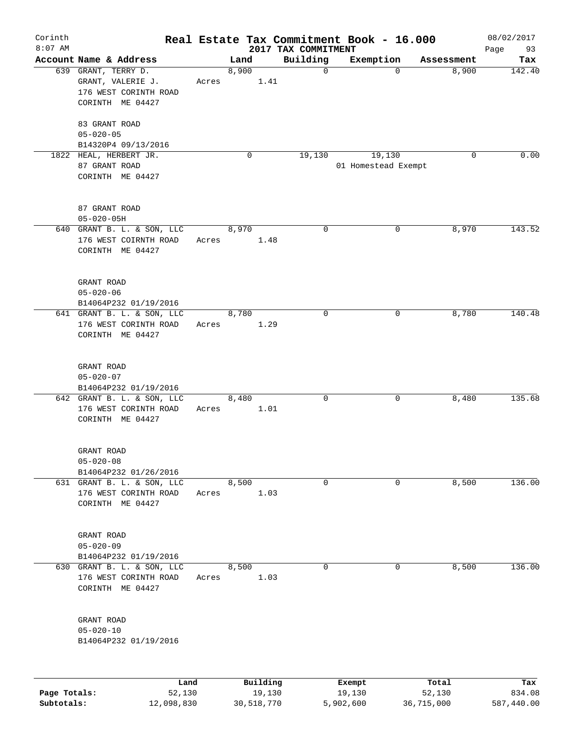| Corinth<br>$8:07$ AM |                                                                                       |       |       |                    | 2017 TAX COMMITMENT | Real Estate Tax Commitment Book - 16.000 |                 | 08/02/2017<br>Page<br>93 |
|----------------------|---------------------------------------------------------------------------------------|-------|-------|--------------------|---------------------|------------------------------------------|-----------------|--------------------------|
|                      | Account Name & Address                                                                |       | Land  |                    | Building            | Exemption                                | Assessment      | Tax                      |
|                      | 639 GRANT, TERRY D.<br>GRANT, VALERIE J.<br>176 WEST CORINTH ROAD<br>CORINTH ME 04427 | Acres | 8,900 | 1.41               | $\mathbf 0$         | $\Omega$                                 | 8,900           | 142.40                   |
|                      | 83 GRANT ROAD<br>$05 - 020 - 05$<br>B14320P4 09/13/2016                               |       |       |                    |                     |                                          |                 |                          |
|                      | 1822 HEAL, HERBERT JR.<br>87 GRANT ROAD<br>CORINTH ME 04427                           |       |       | 0                  | 19,130              | 19,130<br>01 Homestead Exempt            | $\mathbf 0$     | 0.00                     |
|                      | 87 GRANT ROAD<br>$05 - 020 - 05H$                                                     |       |       |                    |                     |                                          |                 |                          |
|                      | 640 GRANT B. L. & SON, LLC<br>176 WEST COIRNTH ROAD<br>CORINTH ME 04427               | Acres | 8,970 | 1.48               | $\mathbf 0$         | 0                                        | 8,970           | 143.52                   |
|                      | GRANT ROAD<br>$05 - 020 - 06$<br>B14064P232 01/19/2016                                |       |       |                    |                     |                                          |                 |                          |
|                      | 641 GRANT B. L. & SON, LLC<br>176 WEST CORINTH ROAD<br>CORINTH ME 04427               | Acres | 8,780 | 1.29               | $\mathbf 0$         | 0                                        | 8,780           | 140.48                   |
|                      | GRANT ROAD<br>$05 - 020 - 07$<br>B14064P232 01/19/2016                                |       |       |                    |                     |                                          |                 |                          |
|                      | 642 GRANT B. L. & SON, LLC<br>176 WEST CORINTH ROAD<br>CORINTH ME 04427               | Acres | 8,480 | 1.01               | 0                   | 0                                        | 8,480           | 135.68                   |
|                      | GRANT ROAD<br>$05 - 020 - 08$<br>B14064P232 01/26/2016                                |       |       |                    |                     |                                          |                 |                          |
|                      | 631 GRANT B. L. & SON, LLC<br>176 WEST CORINTH ROAD<br>CORINTH ME 04427               | Acres | 8,500 | 1.03               | 0                   | 0                                        | 8,500           | 136.00                   |
|                      | GRANT ROAD<br>$05 - 020 - 09$<br>B14064P232 01/19/2016                                |       |       |                    |                     |                                          |                 |                          |
| 630                  | GRANT B. L. & SON, LLC<br>176 WEST CORINTH ROAD<br>CORINTH ME 04427                   | Acres | 8,500 | 1.03               | 0                   | 0                                        | 8,500           | 136.00                   |
|                      | GRANT ROAD<br>$05 - 020 - 10$<br>B14064P232 01/19/2016                                |       |       |                    |                     |                                          |                 |                          |
|                      |                                                                                       |       |       |                    |                     |                                          |                 |                          |
| Page Totals:         | Land<br>52,130                                                                        |       |       | Building<br>19,130 |                     | Exempt<br>19,130                         | Total<br>52,130 | Tax<br>834.08            |

**Subtotals:** 12,098,830 30,518,770 5,902,600 36,715,000 587,440.00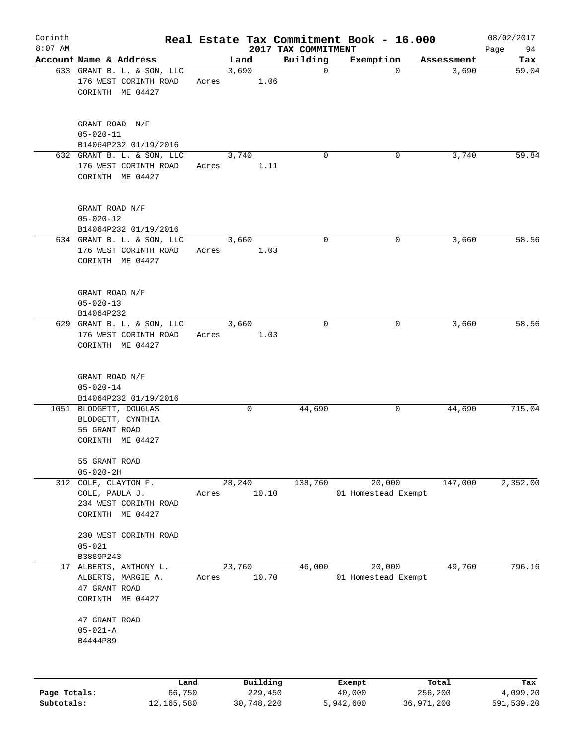| Corinth      |                                                                                  |       |        |                     |                                 | Real Estate Tax Commitment Book - 16.000 |                  | 08/02/2017      |
|--------------|----------------------------------------------------------------------------------|-------|--------|---------------------|---------------------------------|------------------------------------------|------------------|-----------------|
| $8:07$ AM    | Account Name & Address                                                           |       | Land   |                     | 2017 TAX COMMITMENT<br>Building | Exemption                                | Assessment       | 94<br>Page      |
|              | 633 GRANT B. L. & SON, LLC<br>176 WEST CORINTH ROAD<br>CORINTH ME 04427          | Acres | 3,690  | 1.06                | $\mathbf 0$                     | $\Omega$                                 | 3,690            | Tax<br>59.04    |
|              | GRANT ROAD N/F<br>$05 - 020 - 11$<br>B14064P232 01/19/2016                       |       |        |                     |                                 |                                          |                  |                 |
|              | 632 GRANT B. L. & SON, LLC<br>176 WEST CORINTH ROAD<br>CORINTH ME 04427          | Acres | 3,740  | 1.11                | $\mathbf 0$                     | 0                                        | 3,740            | 59.84           |
|              | GRANT ROAD N/F<br>$05 - 020 - 12$<br>B14064P232 01/19/2016                       |       |        |                     |                                 |                                          |                  |                 |
|              | 634 GRANT B. L. & SON, LLC<br>176 WEST CORINTH ROAD<br>CORINTH ME 04427          | Acres | 3,660  | 1.03                | 0                               | 0                                        | 3,660            | 58.56           |
|              | GRANT ROAD N/F<br>$05 - 020 - 13$<br>B14064P232                                  |       |        |                     |                                 |                                          |                  |                 |
|              | 629 GRANT B. L. & SON, LLC<br>176 WEST CORINTH ROAD<br>CORINTH ME 04427          | Acres | 3,660  | 1.03                | $\mathbf 0$                     | 0                                        | 3,660            | 58.56           |
|              | GRANT ROAD N/F<br>$05 - 020 - 14$<br>B14064P232 01/19/2016                       |       |        |                     |                                 |                                          |                  |                 |
|              | 1051 BLODGETT, DOUGLAS<br>BLODGETT, CYNTHIA<br>55 GRANT ROAD<br>CORINTH ME 04427 |       |        | 0                   | 44,690                          | 0                                        | 44,690           | 715.04          |
|              | 55 GRANT ROAD<br>$05 - 020 - 2H$                                                 |       |        |                     |                                 |                                          |                  |                 |
| 312          | COLE, CLAYTON F.<br>COLE, PAULA J.<br>234 WEST CORINTH ROAD<br>CORINTH ME 04427  | Acres | 28,240 | 10.10               | 138,760                         | 20,000<br>01 Homestead Exempt            | 147,000          | 2,352.00        |
|              | 230 WEST CORINTH ROAD<br>$05 - 021$<br>B3889P243                                 |       |        |                     |                                 |                                          |                  |                 |
| 17           | ALBERTS, ANTHONY L.<br>ALBERTS, MARGIE A.<br>47 GRANT ROAD<br>CORINTH ME 04427   | Acres | 23,760 | 10.70               | 46,000                          | 20,000<br>01 Homestead Exempt            | 49,760           | 796.16          |
|              | 47 GRANT ROAD<br>$05 - 021 - A$<br>B4444P89                                      |       |        |                     |                                 |                                          |                  |                 |
|              |                                                                                  |       |        |                     |                                 |                                          |                  |                 |
| Page Totals: | Land<br>66,750                                                                   |       |        | Building<br>229,450 |                                 | Exempt<br>40,000                         | Total<br>256,200 | Tax<br>4,099.20 |

**Subtotals:** 12,165,580 30,748,220 5,942,600 36,971,200 591,539.20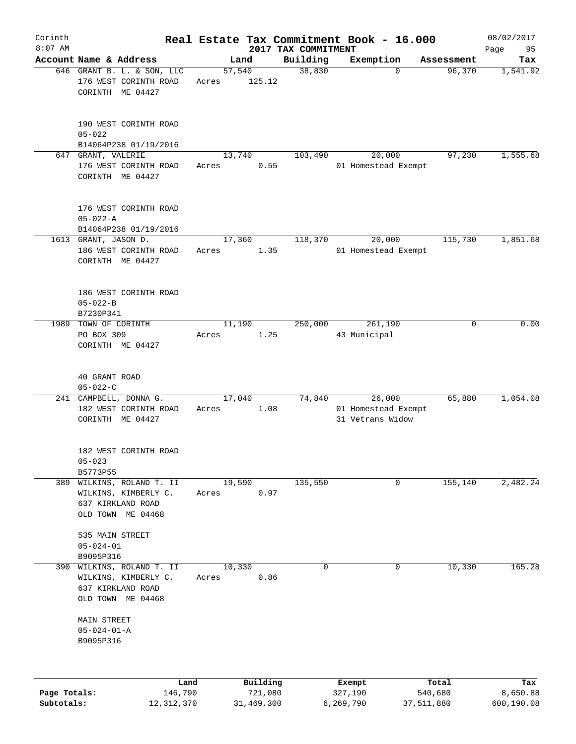| Corinth      |                                                                                         |                 |                     |                                 | Real Estate Tax Commitment Book - 16.000          |                  | 08/02/2017        |
|--------------|-----------------------------------------------------------------------------------------|-----------------|---------------------|---------------------------------|---------------------------------------------------|------------------|-------------------|
| $8:07$ AM    | Account Name & Address                                                                  |                 | Land                | 2017 TAX COMMITMENT<br>Building | Exemption                                         | Assessment       | Page<br>95<br>Tax |
|              | 646 GRANT B. L. & SON, LLC<br>176 WEST CORINTH ROAD<br>CORINTH ME 04427                 | Acres           | 57,540<br>125.12    | 38,830                          | $\Omega$                                          | 96,370           | 1,541.92          |
|              | 190 WEST CORINTH ROAD<br>$05 - 022$<br>B14064P238 01/19/2016                            |                 |                     |                                 |                                                   |                  |                   |
|              | 647 GRANT, VALERIE                                                                      |                 | 13,740              | 103,490                         | 20,000                                            | 97,230           | 1,555.68          |
|              | 176 WEST CORINTH ROAD<br>CORINTH ME 04427                                               | Acres           | 0.55                |                                 | 01 Homestead Exempt                               |                  |                   |
|              | 176 WEST CORINTH ROAD<br>$05 - 022 - A$                                                 |                 |                     |                                 |                                                   |                  |                   |
|              | B14064P238 01/19/2016                                                                   |                 |                     |                                 |                                                   |                  |                   |
|              | 1613 GRANT, JASON D.<br>186 WEST CORINTH ROAD<br>CORINTH ME 04427                       | 17,360<br>Acres | 1.35                | 118,370                         | 20,000<br>01 Homestead Exempt                     | 115,730          | 1,851.68          |
|              | 186 WEST CORINTH ROAD<br>$05 - 022 - B$<br>B7230P341                                    |                 |                     |                                 |                                                   |                  |                   |
| 1989         | TOWN OF CORINTH                                                                         |                 | 11,190              | 250,000                         | 261,190                                           | 0                | 0.00              |
|              | PO BOX 309<br>CORINTH ME 04427                                                          | Acres           | 1.25                |                                 | 43 Municipal                                      |                  |                   |
|              | 40 GRANT ROAD<br>$05 - 022 - C$                                                         |                 |                     |                                 |                                                   |                  |                   |
|              | 241 CAMPBELL, DONNA G.<br>182 WEST CORINTH ROAD<br>CORINTH ME 04427                     | 17,040<br>Acres | 1.08                | 74,840                          | 26,000<br>01 Homestead Exempt<br>31 Vetrans Widow | 65,880           | 1,054.08          |
|              | 182 WEST CORINTH ROAD<br>$05 - 023$<br>B5773P55                                         |                 |                     |                                 |                                                   |                  |                   |
| 389          | WILKINS, ROLAND T. II<br>WILKINS, KIMBERLY C.<br>637 KIRKLAND ROAD<br>OLD TOWN ME 04468 | Acres           | 19,590<br>0.97      | 135,550                         | 0                                                 | 155,140          | 2,482.24          |
|              | 535 MAIN STREET<br>$05 - 024 - 01$<br>B9095P316                                         |                 |                     |                                 |                                                   |                  |                   |
| 390          | WILKINS, ROLAND T. II<br>WILKINS, KIMBERLY C.<br>637 KIRKLAND ROAD<br>OLD TOWN ME 04468 | 10,330<br>Acres | 0.86                | 0                               | 0                                                 | 10,330           | 165.28            |
|              | <b>MAIN STREET</b><br>$05 - 024 - 01 - A$<br>B9095P316                                  |                 |                     |                                 |                                                   |                  |                   |
| Page Totals: | 146,790                                                                                 | Land            | Building<br>721,080 |                                 | Exempt<br>327,190                                 | Total<br>540,680 | Tax<br>8,650.88   |
| Subtotals:   | 12, 312, 370                                                                            |                 | 31,469,300          |                                 | 6,269,790                                         | 37,511,880       | 600,190.08        |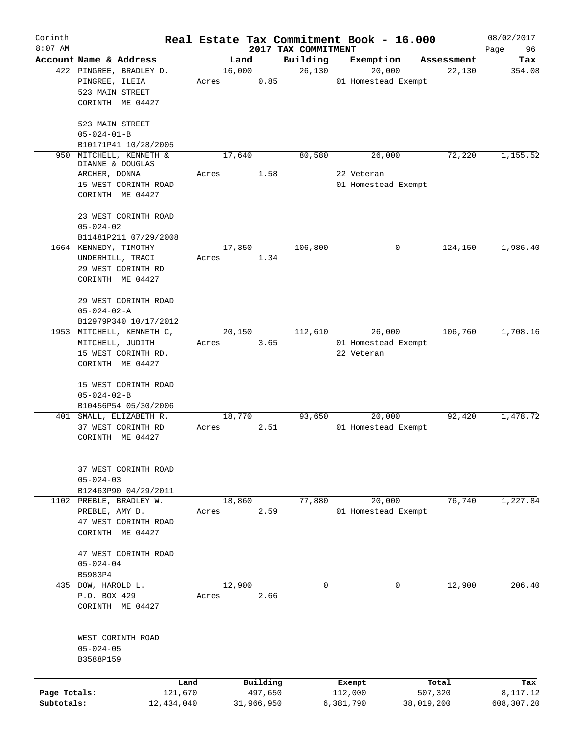| Corinth      |                                         |        |            |                                 | Real Estate Tax Commitment Book - 16.000 |            | 08/02/2017        |
|--------------|-----------------------------------------|--------|------------|---------------------------------|------------------------------------------|------------|-------------------|
| $8:07$ AM    | Account Name & Address                  | Land   |            | 2017 TAX COMMITMENT<br>Building | Exemption                                | Assessment | Page<br>96<br>Tax |
|              | 422 PINGREE, BRADLEY D.                 | 16,000 |            | 26,130                          | 20,000                                   | 22,130     | 354.08            |
|              | PINGREE, ILEIA                          | Acres  | 0.85       |                                 | 01 Homestead Exempt                      |            |                   |
|              | 523 MAIN STREET                         |        |            |                                 |                                          |            |                   |
|              | CORINTH ME 04427                        |        |            |                                 |                                          |            |                   |
|              |                                         |        |            |                                 |                                          |            |                   |
|              | 523 MAIN STREET                         |        |            |                                 |                                          |            |                   |
|              | $05 - 024 - 01 - B$                     |        |            |                                 |                                          |            |                   |
|              | B10171P41 10/28/2005                    |        |            |                                 |                                          |            |                   |
| 950          | MITCHELL, KENNETH &<br>DIANNE & DOUGLAS | 17,640 |            | 80,580                          | 26,000                                   | 72,220     | 1,155.52          |
|              | ARCHER, DONNA                           | Acres  | 1.58       |                                 | 22 Veteran                               |            |                   |
|              | 15 WEST CORINTH ROAD                    |        |            |                                 | 01 Homestead Exempt                      |            |                   |
|              | CORINTH ME 04427                        |        |            |                                 |                                          |            |                   |
|              | 23 WEST CORINTH ROAD                    |        |            |                                 |                                          |            |                   |
|              | $05 - 024 - 02$                         |        |            |                                 |                                          |            |                   |
|              | B11481P211 07/29/2008                   |        |            |                                 |                                          |            |                   |
|              | 1664 KENNEDY, TIMOTHY                   | 17,350 |            | 106,800                         | 0                                        | 124,150    | 1,986.40          |
|              | UNDERHILL, TRACI                        | Acres  | 1.34       |                                 |                                          |            |                   |
|              | 29 WEST CORINTH RD                      |        |            |                                 |                                          |            |                   |
|              | CORINTH ME 04427                        |        |            |                                 |                                          |            |                   |
|              |                                         |        |            |                                 |                                          |            |                   |
|              | 29 WEST CORINTH ROAD                    |        |            |                                 |                                          |            |                   |
|              | $05 - 024 - 02 - A$                     |        |            |                                 |                                          |            |                   |
|              | B12979P340 10/17/2012                   |        |            |                                 |                                          |            |                   |
|              | 1953 MITCHELL, KENNETH C,               | 20,150 |            | 112,610                         | 26,000                                   | 106,760    | 1,708.16          |
|              | MITCHELL, JUDITH<br>15 WEST CORINTH RD. | Acres  | 3.65       |                                 | 01 Homestead Exempt<br>22 Veteran        |            |                   |
|              | CORINTH ME 04427                        |        |            |                                 |                                          |            |                   |
|              |                                         |        |            |                                 |                                          |            |                   |
|              | 15 WEST CORINTH ROAD                    |        |            |                                 |                                          |            |                   |
|              | $05 - 024 - 02 - B$                     |        |            |                                 |                                          |            |                   |
|              | B10456P54 05/30/2006                    |        |            |                                 |                                          |            |                   |
|              | 401 SMALL, ELIZABETH R.                 | 18,770 |            | 93,650                          | 20,000                                   | 92,420     | 1,478.72          |
|              | 37 WEST CORINTH RD                      | Acres  | 2.51       |                                 | 01 Homestead Exempt                      |            |                   |
|              | CORINTH ME 04427                        |        |            |                                 |                                          |            |                   |
|              |                                         |        |            |                                 |                                          |            |                   |
|              | 37 WEST CORINTH ROAD                    |        |            |                                 |                                          |            |                   |
|              | $05 - 024 - 03$                         |        |            |                                 |                                          |            |                   |
|              | B12463P90 04/29/2011                    |        |            |                                 |                                          |            |                   |
|              | 1102 PREBLE, BRADLEY W.                 | 18,860 |            | 77,880                          | 20,000                                   | 76,740     | 1,227.84          |
|              | PREBLE, AMY D.                          | Acres  | 2.59       |                                 | 01 Homestead Exempt                      |            |                   |
|              | 47 WEST CORINTH ROAD                    |        |            |                                 |                                          |            |                   |
|              | CORINTH ME 04427                        |        |            |                                 |                                          |            |                   |
|              | 47 WEST CORINTH ROAD                    |        |            |                                 |                                          |            |                   |
|              | $05 - 024 - 04$                         |        |            |                                 |                                          |            |                   |
|              | B5983P4                                 |        |            |                                 |                                          |            |                   |
|              | 435 DOW, HAROLD L.                      | 12,900 |            | $\mathbf 0$                     | 0                                        | 12,900     | 206.40            |
|              | P.O. BOX 429                            | Acres  | 2.66       |                                 |                                          |            |                   |
|              | CORINTH ME 04427                        |        |            |                                 |                                          |            |                   |
|              |                                         |        |            |                                 |                                          |            |                   |
|              | WEST CORINTH ROAD                       |        |            |                                 |                                          |            |                   |
|              | $05 - 024 - 05$                         |        |            |                                 |                                          |            |                   |
|              | B3588P159                               |        |            |                                 |                                          |            |                   |
|              |                                         |        |            |                                 |                                          |            |                   |
|              | Land                                    |        | Building   |                                 | Exempt                                   | Total      | Tax               |
| Page Totals: | 121,670                                 |        | 497,650    |                                 | 112,000                                  | 507,320    | 8,117.12          |
| Subtotals:   | 12,434,040                              |        | 31,966,950 |                                 | 6,381,790                                | 38,019,200 | 608,307.20        |
|              |                                         |        |            |                                 |                                          |            |                   |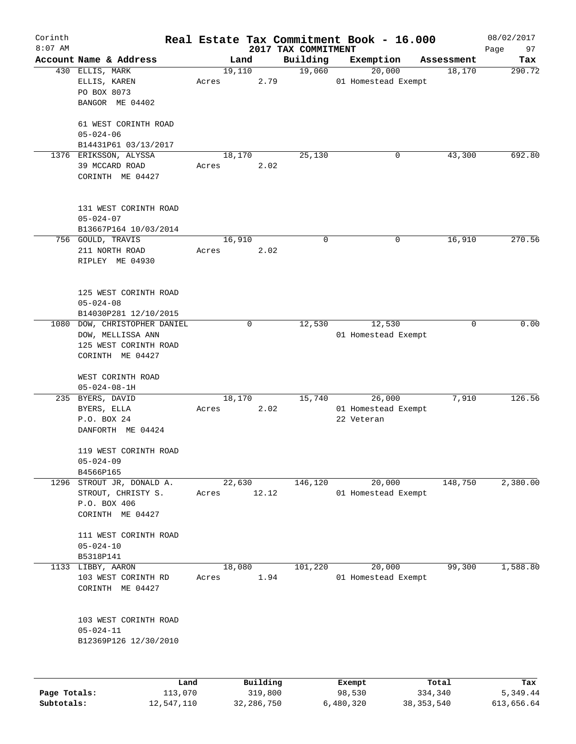| Corinth      |                           |       |        |          |                                 | Real Estate Tax Commitment Book - 16.000 |            | 08/02/2017        |
|--------------|---------------------------|-------|--------|----------|---------------------------------|------------------------------------------|------------|-------------------|
| $8:07$ AM    | Account Name & Address    |       | Land   |          | 2017 TAX COMMITMENT<br>Building | Exemption                                | Assessment | 97<br>Page<br>Tax |
|              | 430 ELLIS, MARK           |       | 19,110 |          | 19,060                          | 20,000                                   | 18,170     | 290.72            |
|              | ELLIS, KAREN              | Acres |        | 2.79     |                                 | 01 Homestead Exempt                      |            |                   |
|              | PO BOX 8073               |       |        |          |                                 |                                          |            |                   |
|              | BANGOR ME 04402           |       |        |          |                                 |                                          |            |                   |
|              |                           |       |        |          |                                 |                                          |            |                   |
|              | 61 WEST CORINTH ROAD      |       |        |          |                                 |                                          |            |                   |
|              | $05 - 024 - 06$           |       |        |          |                                 |                                          |            |                   |
|              | B14431P61 03/13/2017      |       |        |          |                                 |                                          |            |                   |
|              | 1376 ERIKSSON, ALYSSA     |       | 18,170 |          | 25,130                          | 0                                        | 43,300     | 692.80            |
|              | 39 MCCARD ROAD            | Acres |        | 2.02     |                                 |                                          |            |                   |
|              | CORINTH ME 04427          |       |        |          |                                 |                                          |            |                   |
|              |                           |       |        |          |                                 |                                          |            |                   |
|              |                           |       |        |          |                                 |                                          |            |                   |
|              | 131 WEST CORINTH ROAD     |       |        |          |                                 |                                          |            |                   |
|              | $05 - 024 - 07$           |       |        |          |                                 |                                          |            |                   |
|              | B13667P164 10/03/2014     |       |        |          |                                 |                                          |            |                   |
|              | 756 GOULD, TRAVIS         |       | 16,910 |          | 0                               | 0                                        | 16,910     | 270.56            |
|              | 211 NORTH ROAD            | Acres |        | 2.02     |                                 |                                          |            |                   |
|              | RIPLEY ME 04930           |       |        |          |                                 |                                          |            |                   |
|              |                           |       |        |          |                                 |                                          |            |                   |
|              | 125 WEST CORINTH ROAD     |       |        |          |                                 |                                          |            |                   |
|              | $05 - 024 - 08$           |       |        |          |                                 |                                          |            |                   |
|              | B14030P281 12/10/2015     |       |        |          |                                 |                                          |            |                   |
| 1080         | DOW, CHRISTOPHER DANIEL   |       | 0      |          | 12,530                          | 12,530                                   | 0          | 0.00              |
|              | DOW, MELLISSA ANN         |       |        |          |                                 | 01 Homestead Exempt                      |            |                   |
|              | 125 WEST CORINTH ROAD     |       |        |          |                                 |                                          |            |                   |
|              | CORINTH ME 04427          |       |        |          |                                 |                                          |            |                   |
|              |                           |       |        |          |                                 |                                          |            |                   |
|              | WEST CORINTH ROAD         |       |        |          |                                 |                                          |            |                   |
|              | $05 - 024 - 08 - 1H$      |       |        |          |                                 |                                          |            |                   |
|              | 235 BYERS, DAVID          |       | 18,170 |          | 15,740                          | 26,000                                   | 7,910      | 126.56            |
|              | BYERS, ELLA               | Acres |        | 2.02     |                                 | 01 Homestead Exempt                      |            |                   |
|              | P.O. BOX 24               |       |        |          |                                 | 22 Veteran                               |            |                   |
|              | DANFORTH ME 04424         |       |        |          |                                 |                                          |            |                   |
|              |                           |       |        |          |                                 |                                          |            |                   |
|              | 119 WEST CORINTH ROAD     |       |        |          |                                 |                                          |            |                   |
|              | $05 - 024 - 09$           |       |        |          |                                 |                                          |            |                   |
|              | B4566P165                 |       |        |          |                                 |                                          |            |                   |
|              | 1296 STROUT JR, DONALD A. |       | 22,630 |          | 146,120                         | 20,000                                   | 148,750    | 2,380.00          |
|              | STROUT, CHRISTY S.        | Acres |        | 12.12    |                                 | 01 Homestead Exempt                      |            |                   |
|              | P.O. BOX 406              |       |        |          |                                 |                                          |            |                   |
|              | CORINTH ME 04427          |       |        |          |                                 |                                          |            |                   |
|              | 111 WEST CORINTH ROAD     |       |        |          |                                 |                                          |            |                   |
|              | $05 - 024 - 10$           |       |        |          |                                 |                                          |            |                   |
|              | B5318P141                 |       |        |          |                                 |                                          |            |                   |
| 1133         | LIBBY, AARON              |       | 18,080 |          | 101,220                         | 20,000                                   | 99,300     | 1,588.80          |
|              | 103 WEST CORINTH RD       | Acres |        | 1.94     |                                 | 01 Homestead Exempt                      |            |                   |
|              | CORINTH ME 04427          |       |        |          |                                 |                                          |            |                   |
|              |                           |       |        |          |                                 |                                          |            |                   |
|              |                           |       |        |          |                                 |                                          |            |                   |
|              | 103 WEST CORINTH ROAD     |       |        |          |                                 |                                          |            |                   |
|              | $05 - 024 - 11$           |       |        |          |                                 |                                          |            |                   |
|              | B12369P126 12/30/2010     |       |        |          |                                 |                                          |            |                   |
|              |                           |       |        |          |                                 |                                          |            |                   |
|              |                           |       |        |          |                                 |                                          |            |                   |
|              | Land                      |       |        | Building |                                 | Exempt                                   | Total      | Tax               |
| Page Totals: | 113,070                   |       |        | 319,800  |                                 | 98,530                                   | 334,340    | 5,349.44          |

**Subtotals:** 12,547,110 32,286,750 6,480,320 38,353,540 613,656.64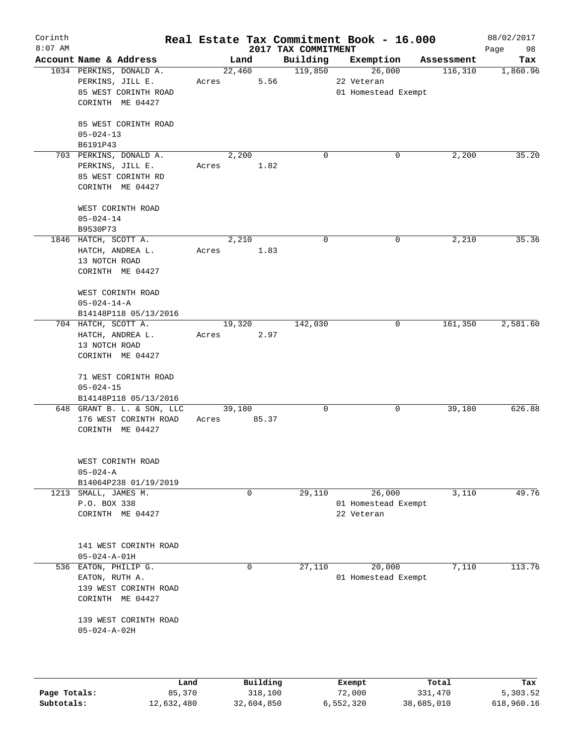| Corinth      |                            |       |             |          |                                 | Real Estate Tax Commitment Book - 16.000 |            | 08/02/2017        |
|--------------|----------------------------|-------|-------------|----------|---------------------------------|------------------------------------------|------------|-------------------|
| $8:07$ AM    | Account Name & Address     |       | Land        |          | 2017 TAX COMMITMENT<br>Building | Exemption                                | Assessment | 98<br>Page<br>Tax |
|              | 1034 PERKINS, DONALD A.    |       | 22,460      |          | 119,850                         | 26,000                                   | 116,310    | 1,860.96          |
|              | PERKINS, JILL E.           | Acres |             | 5.56     |                                 | 22 Veteran                               |            |                   |
|              | 85 WEST CORINTH ROAD       |       |             |          |                                 | 01 Homestead Exempt                      |            |                   |
|              | CORINTH ME 04427           |       |             |          |                                 |                                          |            |                   |
|              |                            |       |             |          |                                 |                                          |            |                   |
|              | 85 WEST CORINTH ROAD       |       |             |          |                                 |                                          |            |                   |
|              | $05 - 024 - 13$            |       |             |          |                                 |                                          |            |                   |
|              | B6191P43                   |       |             |          |                                 |                                          |            |                   |
|              | 703 PERKINS, DONALD A.     |       | 2,200       |          | $\Omega$                        | 0                                        | 2,200      | 35.20             |
|              | PERKINS, JILL E.           | Acres |             | 1.82     |                                 |                                          |            |                   |
|              | 85 WEST CORINTH RD         |       |             |          |                                 |                                          |            |                   |
|              | CORINTH ME 04427           |       |             |          |                                 |                                          |            |                   |
|              | WEST CORINTH ROAD          |       |             |          |                                 |                                          |            |                   |
|              | $05 - 024 - 14$            |       |             |          |                                 |                                          |            |                   |
|              | B9530P73                   |       |             |          |                                 |                                          |            |                   |
|              | 1846 HATCH, SCOTT A.       |       | 2,210       |          | 0                               | 0                                        | 2,210      | 35.36             |
|              | HATCH, ANDREA L.           | Acres |             | 1.83     |                                 |                                          |            |                   |
|              | 13 NOTCH ROAD              |       |             |          |                                 |                                          |            |                   |
|              | CORINTH ME 04427           |       |             |          |                                 |                                          |            |                   |
|              |                            |       |             |          |                                 |                                          |            |                   |
|              | WEST CORINTH ROAD          |       |             |          |                                 |                                          |            |                   |
|              | $05 - 024 - 14 - A$        |       |             |          |                                 |                                          |            |                   |
|              | B14148P118 05/13/2016      |       |             |          |                                 |                                          |            |                   |
|              | 704 HATCH, SCOTT A.        |       | 19,320      |          | 142,030                         | 0                                        | 161,350    | 2,581.60          |
|              | HATCH, ANDREA L.           | Acres |             | 2.97     |                                 |                                          |            |                   |
|              | 13 NOTCH ROAD              |       |             |          |                                 |                                          |            |                   |
|              | CORINTH ME 04427           |       |             |          |                                 |                                          |            |                   |
|              |                            |       |             |          |                                 |                                          |            |                   |
|              | 71 WEST CORINTH ROAD       |       |             |          |                                 |                                          |            |                   |
|              | $05 - 024 - 15$            |       |             |          |                                 |                                          |            |                   |
|              | B14148P118 05/13/2016      |       |             |          |                                 |                                          |            |                   |
|              | 648 GRANT B. L. & SON, LLC |       | 39,180      |          | 0                               | 0                                        | 39,180     | 626.88            |
|              | 176 WEST CORINTH ROAD      | Acres |             | 85.37    |                                 |                                          |            |                   |
|              | CORINTH ME 04427           |       |             |          |                                 |                                          |            |                   |
|              |                            |       |             |          |                                 |                                          |            |                   |
|              | WEST CORINTH ROAD          |       |             |          |                                 |                                          |            |                   |
|              | $05 - 024 - A$             |       |             |          |                                 |                                          |            |                   |
|              | B14064P238 01/19/2019      |       |             |          |                                 |                                          |            |                   |
|              | 1213 SMALL, JAMES M.       |       | 0           |          | 29,110                          | 26,000                                   | 3,110      | 49.76             |
|              | P.O. BOX 338               |       |             |          |                                 | 01 Homestead Exempt                      |            |                   |
|              | CORINTH ME 04427           |       |             |          |                                 | 22 Veteran                               |            |                   |
|              |                            |       |             |          |                                 |                                          |            |                   |
|              |                            |       |             |          |                                 |                                          |            |                   |
|              | 141 WEST CORINTH ROAD      |       |             |          |                                 |                                          |            |                   |
|              | $05 - 024 - A - 01H$       |       |             |          |                                 |                                          |            |                   |
|              | 536 EATON, PHILIP G.       |       | $\mathbf 0$ |          | 27,110                          | 20,000                                   | 7,110      | 113.76            |
|              | EATON, RUTH A.             |       |             |          |                                 | 01 Homestead Exempt                      |            |                   |
|              | 139 WEST CORINTH ROAD      |       |             |          |                                 |                                          |            |                   |
|              | CORINTH ME 04427           |       |             |          |                                 |                                          |            |                   |
|              |                            |       |             |          |                                 |                                          |            |                   |
|              | 139 WEST CORINTH ROAD      |       |             |          |                                 |                                          |            |                   |
|              | $05 - 024 - A - 02H$       |       |             |          |                                 |                                          |            |                   |
|              |                            |       |             |          |                                 |                                          |            |                   |
|              |                            |       |             |          |                                 |                                          |            |                   |
|              |                            |       |             |          |                                 |                                          |            |                   |
|              | Land                       |       |             | Building |                                 | Exempt                                   | Total      | Tax               |
| Page Totals: | 85,370                     |       |             | 318,100  |                                 | 72,000                                   | 331,470    | 5,303.52          |

**Subtotals:** 12,632,480 32,604,850 6,552,320 38,685,010 618,960.16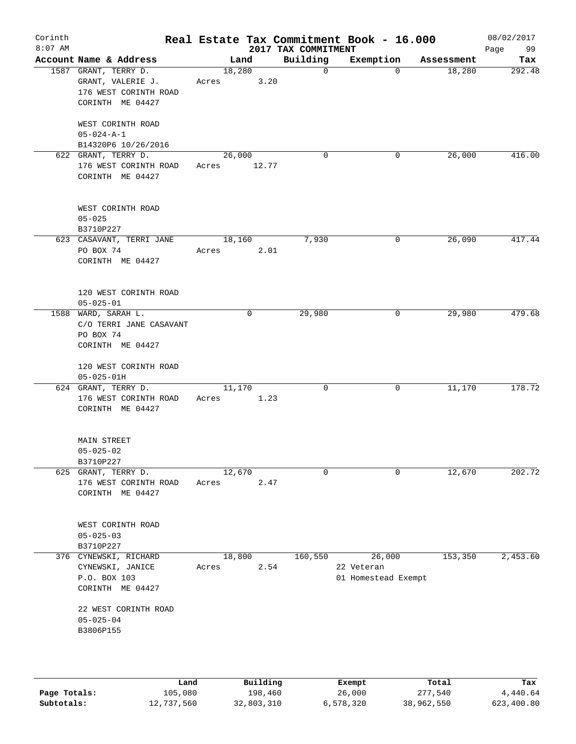| Corinth<br>$8:07$ AM |                                              |                 |             |                                 | Real Estate Tax Commitment Book - 16.000 |            | 08/02/2017        |
|----------------------|----------------------------------------------|-----------------|-------------|---------------------------------|------------------------------------------|------------|-------------------|
|                      | Account Name & Address                       | Land            |             | 2017 TAX COMMITMENT<br>Building | Exemption                                | Assessment | Page<br>99<br>Tax |
|                      | 1587 GRANT, TERRY D.                         | 18,280          |             | $\mathbf 0$                     | $\Omega$                                 | 18,280     | 292.48            |
|                      | GRANT, VALERIE J.                            | Acres           | 3.20        |                                 |                                          |            |                   |
|                      | 176 WEST CORINTH ROAD                        |                 |             |                                 |                                          |            |                   |
|                      | CORINTH ME 04427                             |                 |             |                                 |                                          |            |                   |
|                      | WEST CORINTH ROAD                            |                 |             |                                 |                                          |            |                   |
|                      | $05 - 024 - A - 1$                           |                 |             |                                 |                                          |            |                   |
|                      | B14320P6 10/26/2016                          |                 |             |                                 |                                          |            |                   |
|                      | 622 GRANT, TERRY D.                          | 26,000          |             | 0                               | 0                                        | 26,000     | 416.00            |
|                      | 176 WEST CORINTH ROAD                        | Acres           | 12.77       |                                 |                                          |            |                   |
|                      | CORINTH ME 04427                             |                 |             |                                 |                                          |            |                   |
|                      | WEST CORINTH ROAD                            |                 |             |                                 |                                          |            |                   |
|                      | $05 - 025$                                   |                 |             |                                 |                                          |            |                   |
|                      | B3710P227                                    |                 |             |                                 |                                          |            |                   |
|                      | 623 CASAVANT, TERRI JANE                     | 18,160          |             | 7,930                           | 0                                        | 26,090     | 417.44            |
|                      | PO BOX 74                                    | Acres           | 2.01        |                                 |                                          |            |                   |
|                      | CORINTH ME 04427                             |                 |             |                                 |                                          |            |                   |
|                      | 120 WEST CORINTH ROAD                        |                 |             |                                 |                                          |            |                   |
|                      | $05 - 025 - 01$                              |                 |             |                                 |                                          |            |                   |
|                      | 1588 WARD, SARAH L.                          |                 | $\mathbf 0$ | 29,980                          | 0                                        | 29,980     | 479.68            |
|                      | C/O TERRI JANE CASAVANT<br>PO BOX 74         |                 |             |                                 |                                          |            |                   |
|                      | CORINTH ME 04427                             |                 |             |                                 |                                          |            |                   |
|                      |                                              |                 |             |                                 |                                          |            |                   |
|                      | 120 WEST CORINTH ROAD                        |                 |             |                                 |                                          |            |                   |
|                      | $05 - 025 - 01H$                             |                 |             |                                 |                                          |            |                   |
|                      | 624 GRANT, TERRY D.                          | 11,170          |             | $\mathbf 0$                     | 0                                        | 11,170     | 178.72            |
|                      | 176 WEST CORINTH ROAD<br>CORINTH ME 04427    | Acres           | 1.23        |                                 |                                          |            |                   |
|                      |                                              |                 |             |                                 |                                          |            |                   |
|                      | MAIN STREET                                  |                 |             |                                 |                                          |            |                   |
|                      | $05 - 025 - 02$                              |                 |             |                                 |                                          |            |                   |
|                      | B3710P227                                    |                 |             | $\mathbf 0$                     | 0                                        |            | 202.72            |
|                      | 625 GRANT, TERRY D.<br>176 WEST CORINTH ROAD | 12,670<br>Acres | 2.47        |                                 |                                          | 12,670     |                   |
|                      | CORINTH ME 04427                             |                 |             |                                 |                                          |            |                   |
|                      |                                              |                 |             |                                 |                                          |            |                   |
|                      | WEST CORINTH ROAD                            |                 |             |                                 |                                          |            |                   |
|                      | $05 - 025 - 03$                              |                 |             |                                 |                                          |            |                   |
|                      | B3710P227<br>376 CYNEWSKI, RICHARD           |                 |             |                                 |                                          | 153,350    | 2,453.60          |
|                      | CYNEWSKI, JANICE                             | 18,800<br>Acres | 2.54        | 160,550                         | 26,000<br>22 Veteran                     |            |                   |
|                      | P.O. BOX 103                                 |                 |             |                                 | 01 Homestead Exempt                      |            |                   |
|                      | CORINTH ME 04427                             |                 |             |                                 |                                          |            |                   |
|                      | 22 WEST CORINTH ROAD                         |                 |             |                                 |                                          |            |                   |
|                      | $05 - 025 - 04$                              |                 |             |                                 |                                          |            |                   |
|                      | B3806P155                                    |                 |             |                                 |                                          |            |                   |
|                      |                                              |                 |             |                                 |                                          |            |                   |
|                      |                                              |                 |             |                                 |                                          |            |                   |
|                      | Land                                         |                 | Building    |                                 | Exempt                                   | Total      | Tax               |

|              | Land       | Building   | Exempt    | Total      | Tax        |
|--------------|------------|------------|-----------|------------|------------|
| Page Totals: | 105,080    | 198,460    | 26,000    | 277,540    | 4,440.64   |
| Subtotals:   | 12,737,560 | 32,803,310 | 6,578,320 | 38,962,550 | 623,400.80 |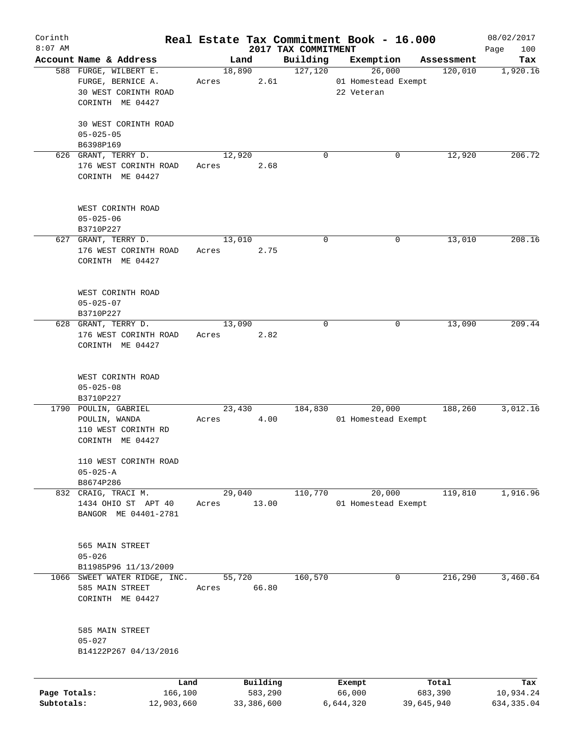| Corinth      |                         |       |                |            |                     | Real Estate Tax Commitment Book - 16.000 |            |                       | 08/02/2017      |
|--------------|-------------------------|-------|----------------|------------|---------------------|------------------------------------------|------------|-----------------------|-----------------|
| $8:07$ AM    | Account Name & Address  |       |                |            | 2017 TAX COMMITMENT |                                          |            |                       | 100<br>Page     |
|              | 588 FURGE, WILBERT E.   |       | Land<br>18,890 |            | Building<br>127,120 | Exemption<br>26,000                      |            | Assessment<br>120,010 | Tax<br>1,920.16 |
|              | FURGE, BERNICE A.       | Acres |                | 2.61       |                     | 01 Homestead Exempt                      |            |                       |                 |
|              | 30 WEST CORINTH ROAD    |       |                |            |                     | 22 Veteran                               |            |                       |                 |
|              | CORINTH ME 04427        |       |                |            |                     |                                          |            |                       |                 |
|              |                         |       |                |            |                     |                                          |            |                       |                 |
|              | 30 WEST CORINTH ROAD    |       |                |            |                     |                                          |            |                       |                 |
|              | $05 - 025 - 05$         |       |                |            |                     |                                          |            |                       |                 |
|              | B6398P169               |       |                |            |                     |                                          |            |                       |                 |
|              | 626 GRANT, TERRY D.     |       | 12,920         |            | $\Omega$            |                                          | 0          | 12,920                | 206.72          |
|              | 176 WEST CORINTH ROAD   | Acres |                | 2.68       |                     |                                          |            |                       |                 |
|              | CORINTH ME 04427        |       |                |            |                     |                                          |            |                       |                 |
|              |                         |       |                |            |                     |                                          |            |                       |                 |
|              |                         |       |                |            |                     |                                          |            |                       |                 |
|              | WEST CORINTH ROAD       |       |                |            |                     |                                          |            |                       |                 |
|              | $05 - 025 - 06$         |       |                |            |                     |                                          |            |                       |                 |
|              | B3710P227               |       |                |            |                     |                                          |            |                       |                 |
|              | 627 GRANT, TERRY D.     |       | 13,010         |            | 0                   |                                          | 0          | 13,010                | 208.16          |
|              | 176 WEST CORINTH ROAD   | Acres |                | 2.75       |                     |                                          |            |                       |                 |
|              | CORINTH ME 04427        |       |                |            |                     |                                          |            |                       |                 |
|              |                         |       |                |            |                     |                                          |            |                       |                 |
|              |                         |       |                |            |                     |                                          |            |                       |                 |
|              | WEST CORINTH ROAD       |       |                |            |                     |                                          |            |                       |                 |
|              | $05 - 025 - 07$         |       |                |            |                     |                                          |            |                       |                 |
|              | B3710P227               |       |                |            |                     |                                          |            |                       |                 |
|              | 628 GRANT, TERRY D.     |       | 13,090         |            | $\Omega$            |                                          | 0          | 13,090                | 209.44          |
|              | 176 WEST CORINTH ROAD   | Acres |                | 2.82       |                     |                                          |            |                       |                 |
|              | CORINTH ME 04427        |       |                |            |                     |                                          |            |                       |                 |
|              |                         |       |                |            |                     |                                          |            |                       |                 |
|              | WEST CORINTH ROAD       |       |                |            |                     |                                          |            |                       |                 |
|              | $05 - 025 - 08$         |       |                |            |                     |                                          |            |                       |                 |
|              | B3710P227               |       |                |            |                     |                                          |            |                       |                 |
|              | 1790 POULIN, GABRIEL    |       | 23,430         |            | 184,830             | 20,000                                   |            | 188,260               | 3,012.16        |
|              | POULIN, WANDA           | Acres |                | 4.00       |                     | 01 Homestead Exempt                      |            |                       |                 |
|              | 110 WEST CORINTH RD     |       |                |            |                     |                                          |            |                       |                 |
|              | CORINTH ME 04427        |       |                |            |                     |                                          |            |                       |                 |
|              |                         |       |                |            |                     |                                          |            |                       |                 |
|              | 110 WEST CORINTH ROAD   |       |                |            |                     |                                          |            |                       |                 |
|              | $05 - 025 - A$          |       |                |            |                     |                                          |            |                       |                 |
|              | B8674P286               |       |                |            |                     |                                          |            |                       |                 |
|              | 832 CRAIG, TRACI M.     |       | 29,040         |            | 110,770             | 20,000                                   |            | 119,810               | 1,916.96        |
|              | 1434 OHIO ST APT 40     | Acres |                | 13.00      |                     | 01 Homestead Exempt                      |            |                       |                 |
|              | BANGOR ME 04401-2781    |       |                |            |                     |                                          |            |                       |                 |
|              |                         |       |                |            |                     |                                          |            |                       |                 |
|              |                         |       |                |            |                     |                                          |            |                       |                 |
|              | 565 MAIN STREET         |       |                |            |                     |                                          |            |                       |                 |
|              | $05 - 026$              |       |                |            |                     |                                          |            |                       |                 |
|              | B11985P96 11/13/2009    |       |                |            |                     |                                          |            |                       |                 |
| 1066         | SWEET WATER RIDGE, INC. |       | 55,720         |            | 160,570             |                                          | 0          | 216, 290              | 3,460.64        |
|              | 585 MAIN STREET         | Acres |                | 66.80      |                     |                                          |            |                       |                 |
|              | CORINTH ME 04427        |       |                |            |                     |                                          |            |                       |                 |
|              |                         |       |                |            |                     |                                          |            |                       |                 |
|              | 585 MAIN STREET         |       |                |            |                     |                                          |            |                       |                 |
|              | $05 - 027$              |       |                |            |                     |                                          |            |                       |                 |
|              | B14122P267 04/13/2016   |       |                |            |                     |                                          |            |                       |                 |
|              |                         |       |                |            |                     |                                          |            |                       |                 |
|              | Land                    |       |                | Building   |                     | Exempt                                   |            | Total                 | Tax             |
| Page Totals: | 166,100                 |       |                | 583,290    |                     | 66,000                                   |            | 683,390               | 10,934.24       |
| Subtotals:   | 12,903,660              |       |                | 33,386,600 |                     | 6,644,320                                | 39,645,940 |                       | 634, 335.04     |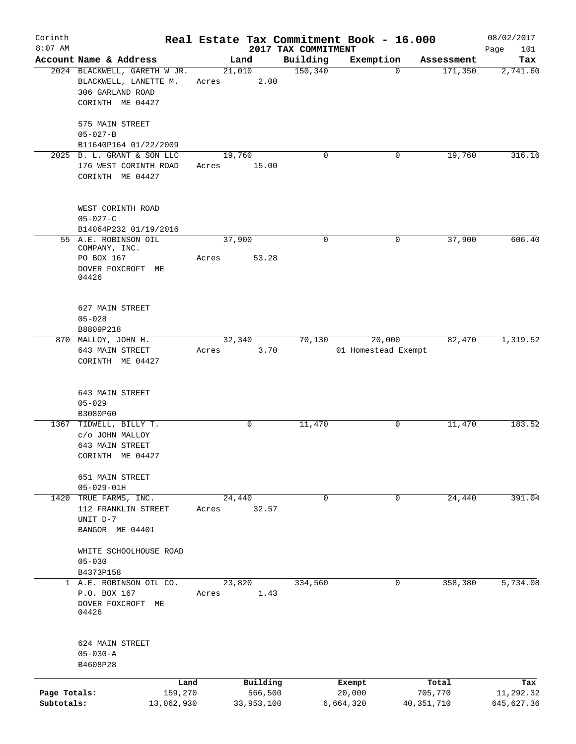| Corinth      |                                                                                               |         |                         |                     | Real Estate Tax Commitment Book - 16.000 |              | 08/02/2017  |
|--------------|-----------------------------------------------------------------------------------------------|---------|-------------------------|---------------------|------------------------------------------|--------------|-------------|
| $8:07$ AM    |                                                                                               |         |                         | 2017 TAX COMMITMENT |                                          |              | Page<br>101 |
|              | Account Name & Address                                                                        |         | Land                    | Building            | Exemption                                | Assessment   | Tax         |
|              | 2024 BLACKWELL, GARETH W JR.<br>BLACKWELL, LANETTE M.<br>306 GARLAND ROAD<br>CORINTH ME 04427 |         | 21,010<br>2.00<br>Acres | 150, 340            | $\mathbf 0$                              | 171,350      | 2,741.60    |
|              | 575 MAIN STREET                                                                               |         |                         |                     |                                          |              |             |
|              | $05 - 027 - B$                                                                                |         |                         |                     |                                          |              |             |
|              | B11640P164 01/22/2009                                                                         |         |                         |                     |                                          |              |             |
|              | 2025 B. L. GRANT & SON LLC                                                                    |         | 19,760                  | 0                   | 0                                        | 19,760       | 316.16      |
|              | 176 WEST CORINTH ROAD<br>CORINTH ME 04427                                                     | Acres   | 15.00                   |                     |                                          |              |             |
|              | WEST CORINTH ROAD<br>$05 - 027 - C$                                                           |         |                         |                     |                                          |              |             |
|              | B14064P232 01/19/2016                                                                         |         |                         |                     |                                          |              |             |
|              | 55 A.E. ROBINSON OIL                                                                          |         | 37,900                  | 0                   | 0                                        | 37,900       | 606.40      |
|              | COMPANY, INC.                                                                                 |         |                         |                     |                                          |              |             |
|              | PO BOX 167                                                                                    | Acres   | 53.28                   |                     |                                          |              |             |
|              | DOVER FOXCROFT ME<br>04426                                                                    |         |                         |                     |                                          |              |             |
|              | 627 MAIN STREET                                                                               |         |                         |                     |                                          |              |             |
|              | $05 - 028$                                                                                    |         |                         |                     |                                          |              |             |
|              | B8809P218                                                                                     |         |                         |                     |                                          |              |             |
|              | 870 MALLOY, JOHN H.                                                                           |         | 32,340                  | 70,130              | 20,000                                   | 82,470       | 1,319.52    |
|              | 643 MAIN STREET<br>CORINTH ME 04427                                                           | Acres   | 3.70                    |                     | 01 Homestead Exempt                      |              |             |
|              | 643 MAIN STREET                                                                               |         |                         |                     |                                          |              |             |
|              | $05 - 029$                                                                                    |         |                         |                     |                                          |              |             |
|              | B3080P60<br>1367 TIDWELL, BILLY T.                                                            |         | $\mathbf 0$             | 11,470              | 0                                        | 11,470       | 183.52      |
|              | c/o JOHN MALLOY                                                                               |         |                         |                     |                                          |              |             |
|              | 643 MAIN STREET                                                                               |         |                         |                     |                                          |              |             |
|              | CORINTH ME 04427                                                                              |         |                         |                     |                                          |              |             |
|              | 651 MAIN STREET                                                                               |         |                         |                     |                                          |              |             |
|              | $05 - 029 - 01H$                                                                              |         |                         |                     |                                          |              |             |
|              | 1420 TRUE FARMS, INC.                                                                         |         | 24,440                  | $\mathbf 0$         | $\mathbf 0$                              | 24,440       | 391.04      |
|              | 112 FRANKLIN STREET                                                                           | Acres   | 32.57                   |                     |                                          |              |             |
|              | UNIT D-7                                                                                      |         |                         |                     |                                          |              |             |
|              | BANGOR ME 04401                                                                               |         |                         |                     |                                          |              |             |
|              |                                                                                               |         |                         |                     |                                          |              |             |
|              | WHITE SCHOOLHOUSE ROAD<br>$05 - 030$                                                          |         |                         |                     |                                          |              |             |
|              | B4373P158                                                                                     |         |                         |                     |                                          |              |             |
|              | 1 A.E. ROBINSON OIL CO.                                                                       |         | 23,820                  | 334,560             | 0                                        | 358,380      | 5,734.08    |
|              | P.O. BOX 167<br>DOVER FOXCROFT ME<br>04426                                                    | Acres   |                         | 1.43                |                                          |              |             |
|              | 624 MAIN STREET                                                                               |         |                         |                     |                                          |              |             |
|              | $05 - 030 - A$                                                                                |         |                         |                     |                                          |              |             |
|              | B4608P28                                                                                      |         |                         |                     |                                          |              |             |
|              |                                                                                               |         |                         |                     |                                          |              |             |
|              |                                                                                               | Land    | Building                |                     | Exempt                                   | Total        | Tax         |
| Page Totals: |                                                                                               | 159,270 | 566,500                 |                     | 20,000                                   | 705,770      | 11,292.32   |
| Subtotals:   | 13,062,930                                                                                    |         | 33,953,100              |                     | 6,664,320                                | 40, 351, 710 | 645,627.36  |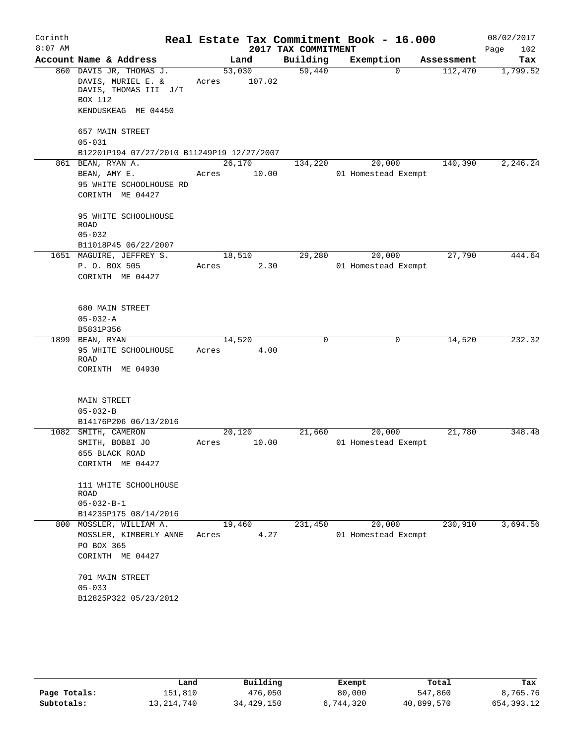| Corinth   |                                                                                                          |                 |        |                     | Real Estate Tax Commitment Book - 16.000 |            | 08/02/2017  |
|-----------|----------------------------------------------------------------------------------------------------------|-----------------|--------|---------------------|------------------------------------------|------------|-------------|
| $8:07$ AM |                                                                                                          |                 |        | 2017 TAX COMMITMENT |                                          |            | 102<br>Page |
|           | Account Name & Address                                                                                   |                 | Land   | Building            | Exemption                                | Assessment | Tax         |
|           | 860 DAVIS JR, THOMAS J.<br>DAVIS, MURIEL E. &<br>DAVIS, THOMAS III J/T<br>BOX 112<br>KENDUSKEAG ME 04450 | 53,030<br>Acres | 107.02 | 59,440              | $\Omega$                                 | 112,470    | 1,799.52    |
|           | 657 MAIN STREET<br>$05 - 031$<br>B12201P194 07/27/2010 B11249P19 12/27/2007                              |                 |        |                     |                                          |            |             |
|           | 861 BEAN, RYAN A.                                                                                        | 26,170          |        | 134,220             | 20,000                                   | 140,390    | 2,246.24    |
|           | BEAN, AMY E.<br>95 WHITE SCHOOLHOUSE RD<br>CORINTH ME 04427                                              | Acres           | 10.00  |                     | 01 Homestead Exempt                      |            |             |
|           | 95 WHITE SCHOOLHOUSE<br>ROAD<br>$05 - 032$                                                               |                 |        |                     |                                          |            |             |
|           | B11018P45 06/22/2007                                                                                     |                 |        |                     |                                          |            |             |
|           | 1651 MAGUIRE, JEFFREY S.<br>P. O. BOX 505<br>CORINTH ME 04427                                            | 18,510<br>Acres | 2.30   | 29,280              | 20,000<br>01 Homestead Exempt            | 27,790     | 444.64      |
|           | 680 MAIN STREET<br>$05 - 032 - A$<br>B5831P356                                                           |                 |        |                     |                                          |            |             |
|           | 1899 BEAN, RYAN                                                                                          | 14,520          |        | 0                   | 0                                        | 14,520     | 232.32      |
|           | 95 WHITE SCHOOLHOUSE<br>ROAD<br>CORINTH ME 04930                                                         | Acres           | 4.00   |                     |                                          |            |             |
|           | <b>MAIN STREET</b><br>$05 - 032 - B$<br>B14176P206 06/13/2016                                            |                 |        |                     |                                          |            |             |
|           | 1082 SMITH, CAMERON<br>SMITH, BOBBI JO<br>655 BLACK ROAD<br>CORINTH ME 04427                             | 20,120<br>Acres | 10.00  | 21,660              | 20,000<br>01 Homestead Exempt            | 21,780     | 348.48      |
|           | 111 WHITE SCHOOLHOUSE<br>ROAD<br>$05 - 032 - B - 1$<br>B14235P175 08/14/2016                             |                 |        |                     |                                          |            |             |
|           | 800 MOSSLER, WILLIAM A.                                                                                  | 19,460          |        | 231,450             | 20,000                                   | 230,910    | 3,694.56    |
|           | MOSSLER, KIMBERLY ANNE<br>PO BOX 365<br>CORINTH ME 04427                                                 | Acres           | 4.27   |                     | 01 Homestead Exempt                      |            |             |
|           | 701 MAIN STREET<br>$05 - 033$<br>B12825P322 05/23/2012                                                   |                 |        |                     |                                          |            |             |

|              | Land         | Building   | Exempt    | Total      | Tax        |
|--------------|--------------|------------|-----------|------------|------------|
| Page Totals: | 151,810      | 476,050    | 80,000    | 547,860    | 8,765.76   |
| Subtotals:   | 13, 214, 740 | 34,429,150 | 6,744,320 | 40,899,570 | 654,393.12 |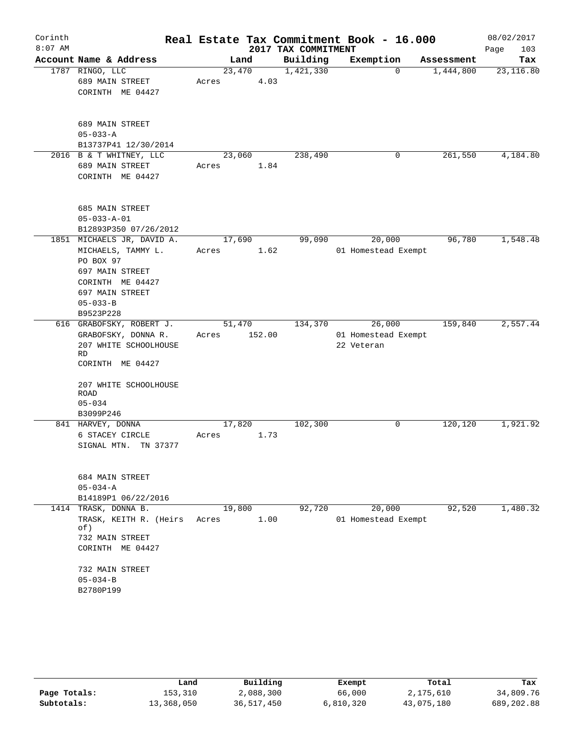| Corinth<br>$8:07$ AM |                                                                                                                                                                 |                 |        | 2017 TAX COMMITMENT | Real Estate Tax Commitment Book - 16.000    |            | 08/02/2017<br>103<br>Page |
|----------------------|-----------------------------------------------------------------------------------------------------------------------------------------------------------------|-----------------|--------|---------------------|---------------------------------------------|------------|---------------------------|
|                      | Account Name & Address                                                                                                                                          |                 | Land   | Building            | Exemption                                   | Assessment | Tax                       |
|                      | 1787 RINGO, LLC<br>689 MAIN STREET<br>CORINTH ME 04427                                                                                                          | 23,470<br>Acres | 4.03   | 1,421,330           | $\Omega$                                    | 1,444,800  | 23,116.80                 |
|                      | 689 MAIN STREET<br>$05 - 033 - A$<br>B13737P41 12/30/2014                                                                                                       |                 |        |                     |                                             |            |                           |
|                      | 2016 B & T WHITNEY, LLC<br>689 MAIN STREET<br>CORINTH ME 04427                                                                                                  | 23,060<br>Acres | 1.84   | 238,490             | 0                                           | 261,550    | 4,184.80                  |
|                      | 685 MAIN STREET<br>$05 - 033 - A - 01$<br>B12893P350 07/26/2012                                                                                                 |                 |        |                     |                                             |            |                           |
|                      | 1851 MICHAELS JR, DAVID A.<br>MICHAELS, TAMMY L.<br>PO BOX 97<br>697 MAIN STREET<br>CORINTH ME 04427<br>697 MAIN STREET<br>$05 - 033 - B$<br>B9523P228          | 17,690<br>Acres | 1.62   | 99,090              | 20,000<br>01 Homestead Exempt               | 96,780     | 1,548.48                  |
|                      | 616 GRABOFSKY, ROBERT J.<br>GRABOFSKY, DONNA R.<br>207 WHITE SCHOOLHOUSE<br><b>RD</b><br>CORINTH ME 04427<br>207 WHITE SCHOOLHOUSE<br><b>ROAD</b><br>$05 - 034$ | 51,470<br>Acres | 152.00 | 134,370             | 26,000<br>01 Homestead Exempt<br>22 Veteran | 159,840    | 2,557.44                  |
|                      | B3099P246<br>841 HARVEY, DONNA<br>6 STACEY CIRCLE<br>SIGNAL MTN.<br>TN 37377                                                                                    | 17,820<br>Acres | 1.73   | 102,300             | 0                                           | 120,120    | 1,921.92                  |
|                      | 684 MAIN STREET<br>$05 - 034 - A$<br>B14189P1 06/22/2016                                                                                                        |                 |        |                     |                                             |            |                           |
|                      | 1414 TRASK, DONNA B.<br>TRASK, KEITH R. (Heirs<br>of)<br>732 MAIN STREET<br>CORINTH ME 04427<br>732 MAIN STREET<br>$05 - 034 - B$<br>B2780P199                  | 19,800<br>Acres | 1.00   | 92,720              | 20,000<br>01 Homestead Exempt               | 92,520     | 1,480.32                  |

|              | Land       | Building   | Exempt    | Total      | Tax        |
|--------------|------------|------------|-----------|------------|------------|
| Page Totals: | 153,310    | 2,088,300  | 66,000    | 2,175,610  | 34,809.76  |
| Subtotals:   | 13,368,050 | 36,517,450 | 6,810,320 | 43,075,180 | 689,202.88 |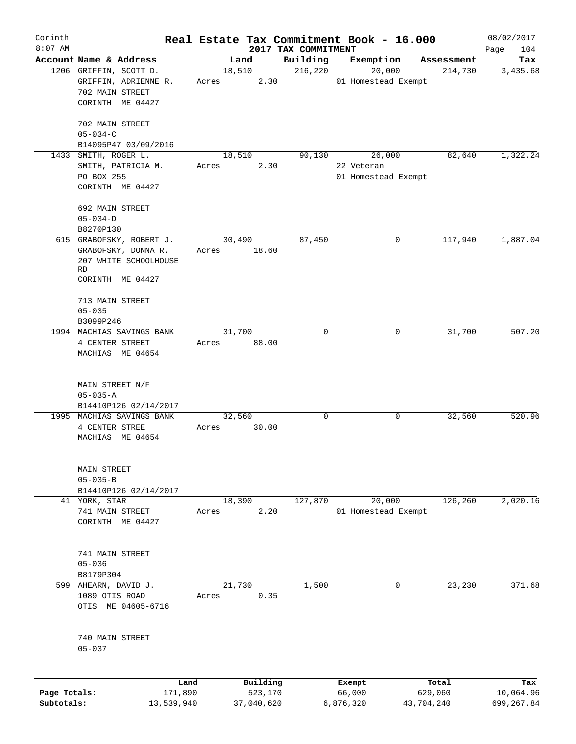| Corinth      |                                                                          |                          |                                 | Real Estate Tax Commitment Book - 16.000 |            | 08/02/2017         |
|--------------|--------------------------------------------------------------------------|--------------------------|---------------------------------|------------------------------------------|------------|--------------------|
| $8:07$ AM    | Account Name & Address                                                   | Land                     | 2017 TAX COMMITMENT<br>Building | Exemption                                | Assessment | Page<br>104<br>Tax |
|              | 1206 GRIFFIN, SCOTT D.<br>GRIFFIN, ADRIENNE R.                           | 18,510<br>2.30<br>Acres  | 216,220                         | 20,000<br>01 Homestead Exempt            | 214,730    | 3,435.68           |
|              | 702 MAIN STREET<br>CORINTH ME 04427                                      |                          |                                 |                                          |            |                    |
|              | 702 MAIN STREET<br>$05 - 034 - C$                                        |                          |                                 |                                          |            |                    |
|              | B14095P47 03/09/2016                                                     |                          |                                 |                                          |            |                    |
| 1433         | SMITH, ROGER L.                                                          | 18,510                   | 90,130                          | 26,000                                   | 82,640     | 1,322.24           |
|              | SMITH, PATRICIA M.<br>PO BOX 255                                         | 2.30<br>Acres            |                                 | 22 Veteran<br>01 Homestead Exempt        |            |                    |
|              | CORINTH ME 04427                                                         |                          |                                 |                                          |            |                    |
|              | 692 MAIN STREET<br>$05 - 034 - D$                                        |                          |                                 |                                          |            |                    |
|              | B8270P130                                                                |                          |                                 |                                          |            |                    |
|              | 615 GRABOFSKY, ROBERT J.<br>GRABOFSKY, DONNA R.<br>207 WHITE SCHOOLHOUSE | 30,490<br>18.60<br>Acres | 87,450                          | 0                                        | 117,940    | 1,887.04           |
|              | RD<br>CORINTH ME 04427                                                   |                          |                                 |                                          |            |                    |
|              | 713 MAIN STREET                                                          |                          |                                 |                                          |            |                    |
|              | $05 - 035$<br>B3099P246                                                  |                          |                                 |                                          |            |                    |
|              | 1994 MACHIAS SAVINGS BANK                                                | 31,700                   | $\Omega$                        | 0                                        | 31,700     | 507.20             |
|              | 4 CENTER STREET                                                          | 88.00<br>Acres           |                                 |                                          |            |                    |
|              | MACHIAS ME 04654                                                         |                          |                                 |                                          |            |                    |
|              | MAIN STREET N/F                                                          |                          |                                 |                                          |            |                    |
|              | $05 - 035 - A$<br>B14410P126 02/14/2017                                  |                          |                                 |                                          |            |                    |
|              | 1995 MACHIAS SAVINGS BANK                                                | 32,560                   | $\mathbf 0$                     | 0                                        | 32,560     | 520.96             |
|              | 4 CENTER STREE                                                           | 30.00<br>Acres           |                                 |                                          |            |                    |
|              | MACHIAS ME 04654                                                         |                          |                                 |                                          |            |                    |
|              | MAIN STREET                                                              |                          |                                 |                                          |            |                    |
|              | $05 - 035 - B$                                                           |                          |                                 |                                          |            |                    |
|              | B14410P126 02/14/2017<br>41 YORK, STAR                                   | 18,390                   | 127,870                         | 20,000                                   | 126,260    | 2,020.16           |
|              | 741 MAIN STREET                                                          | 2.20<br>Acres            |                                 | 01 Homestead Exempt                      |            |                    |
|              | CORINTH ME 04427                                                         |                          |                                 |                                          |            |                    |
|              | 741 MAIN STREET                                                          |                          |                                 |                                          |            |                    |
|              | $05 - 036$                                                               |                          |                                 |                                          |            |                    |
|              | B8179P304<br>599 AHEARN, DAVID J.                                        | 21,730                   | 1,500                           | 0                                        | 23,230     | 371.68             |
|              | 1089 OTIS ROAD<br>OTIS ME 04605-6716                                     | 0.35<br>Acres            |                                 |                                          |            |                    |
|              | 740 MAIN STREET<br>$05 - 037$                                            |                          |                                 |                                          |            |                    |
|              |                                                                          |                          |                                 |                                          |            |                    |
|              | Land                                                                     | Building                 |                                 | Exempt                                   | Total      | Tax                |
| Page Totals: | 171,890                                                                  | 523,170                  |                                 | 66,000                                   | 629,060    | 10,064.96          |
| Subtotals:   | 13,539,940                                                               | 37,040,620               |                                 | 6,876,320                                | 43,704,240 | 699, 267.84        |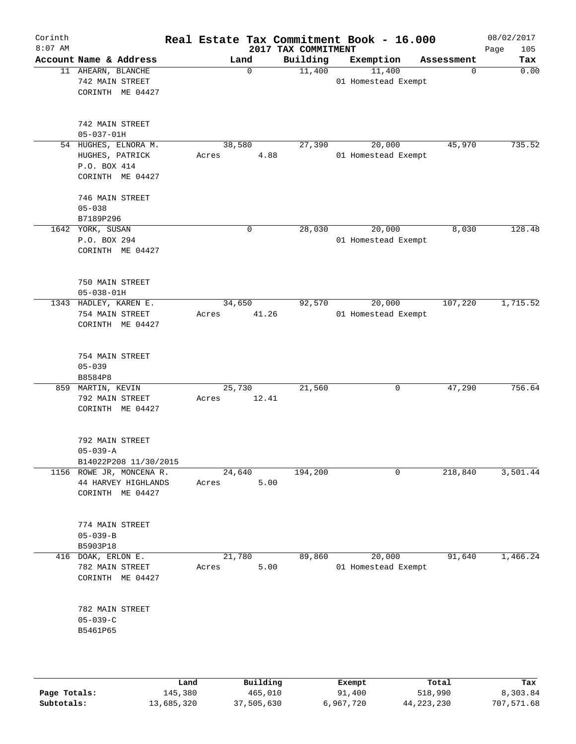| Corinth<br>$8:07$ AM |                                               |                                                                                              |        |       |                        | 2017 TAX COMMITMENT | Real Estate Tax Commitment Book - 16.000 |            | 08/02/2017<br>Page<br>105 |
|----------------------|-----------------------------------------------|----------------------------------------------------------------------------------------------|--------|-------|------------------------|---------------------|------------------------------------------|------------|---------------------------|
|                      |                                               | Account Name & Address                                                                       |        |       | Land                   | Building            | Exemption                                | Assessment | Tax                       |
|                      | 11 AHEARN, BLANCHE<br>742 MAIN STREET         | CORINTH ME 04427                                                                             |        |       | $\Omega$               | 11,400              | 11,400<br>01 Homestead Exempt            | $\Omega$   | 0.00                      |
|                      | 742 MAIN STREET<br>$05 - 037 - 01H$           |                                                                                              |        |       |                        |                     |                                          |            |                           |
|                      | HUGHES, PATRICK<br>P.O. BOX 414               | 54 HUGHES, ELNORA M.<br>CORINTH ME 04427                                                     |        | Acres | 38,580<br>4.88         | 27,390              | 20,000<br>01 Homestead Exempt            | 45,970     | 735.52                    |
|                      | 746 MAIN STREET<br>$05 - 038$<br>B7189P296    |                                                                                              |        |       |                        |                     |                                          |            |                           |
|                      | 1642 YORK, SUSAN<br>P.O. BOX 294              | CORINTH ME 04427                                                                             |        |       | $\mathbf 0$            | 28,030              | 20,000<br>01 Homestead Exempt            | 8,030      | 128.48                    |
|                      | 750 MAIN STREET<br>$05 - 038 - 01H$           |                                                                                              |        |       |                        |                     |                                          |            |                           |
|                      | 754 MAIN STREET                               | 1343 HADLEY, KAREN E.<br>CORINTH ME 04427                                                    |        | Acres | 34,650<br>41.26        | 92,570              | 20,000<br>01 Homestead Exempt            | 107,220    | 1,715.52                  |
|                      | 754 MAIN STREET<br>$05 - 039$<br>B8584P8      |                                                                                              |        |       |                        |                     |                                          |            |                           |
|                      | 859 MARTIN, KEVIN<br>792 MAIN STREET          | CORINTH ME 04427                                                                             |        | Acres | 25,730<br>12.41        | 21,560              | $\mathbf 0$                              | 47,290     | 756.64                    |
|                      | 792 MAIN STREET<br>$05 - 039 - A$             |                                                                                              |        |       |                        |                     |                                          |            |                           |
|                      |                                               | B14022P208 11/30/2015<br>1156 ROWE JR, MONCENA R.<br>44 HARVEY HIGHLANDS<br>CORINTH ME 04427 |        | Acres | 24,640<br>5.00         | 194,200             | 0                                        | 218,840    | 3,501.44                  |
|                      | 774 MAIN STREET<br>$05 - 039 - B$<br>B5903P18 |                                                                                              |        |       |                        |                     |                                          |            |                           |
|                      | 416 DOAK, ERLON E.<br>782 MAIN STREET         | CORINTH ME 04427                                                                             |        | Acres | 21,780<br>5.00         | 89,860              | 20,000<br>01 Homestead Exempt            | 91,640     | 1,466.24                  |
|                      | 782 MAIN STREET<br>$05 - 039 - C$<br>B5461P65 |                                                                                              |        |       |                        |                     |                                          |            |                           |
|                      |                                               |                                                                                              | المصدر |       | $D_{11}$ in $A$ in $A$ |                     | $P$ <sub>r</sub> $\sim$ m $\sim$ t       | $T - + -1$ | m.,                       |

|              | Land       | Building   | Exempt    | Total      | Tax        |
|--------------|------------|------------|-----------|------------|------------|
| Page Totals: | 145,380    | 465,010    | 91,400    | 518,990    | 8,303.84   |
| Subtotals:   | 13,685,320 | 37,505,630 | 6,967,720 | 44,223,230 | 707,571.68 |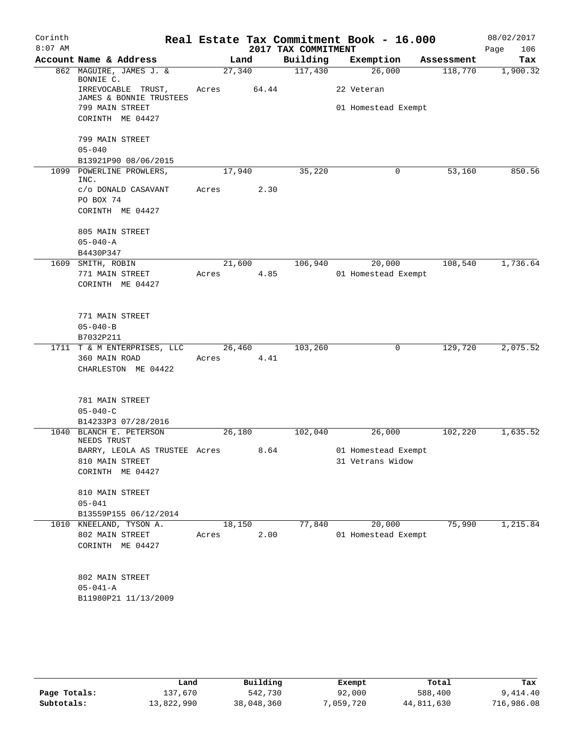| Corinth<br>$8:07$ AM |                                               |        |       | 2017 TAX COMMITMENT | Real Estate Tax Commitment Book - 16.000 |            | 08/02/2017<br>106<br>Page |
|----------------------|-----------------------------------------------|--------|-------|---------------------|------------------------------------------|------------|---------------------------|
|                      | Account Name & Address                        |        | Land  | Building            | Exemption                                | Assessment | Tax                       |
|                      | 862 MAGUIRE, JAMES J. &<br>BONNIE C.          | 27,340 |       | 117,430             | 26,000                                   | 118,770    | 1,900.32                  |
|                      | IRREVOCABLE TRUST,<br>JAMES & BONNIE TRUSTEES | Acres  | 64.44 |                     | 22 Veteran                               |            |                           |
|                      | 799 MAIN STREET                               |        |       |                     | 01 Homestead Exempt                      |            |                           |
|                      | CORINTH ME 04427                              |        |       |                     |                                          |            |                           |
|                      | 799 MAIN STREET                               |        |       |                     |                                          |            |                           |
|                      | $05 - 040$                                    |        |       |                     |                                          |            |                           |
|                      | B13921P90 08/06/2015                          |        |       |                     |                                          |            |                           |
|                      | 1099 POWERLINE PROWLERS,<br>INC.              | 17,940 |       | 35,220              | 0                                        | 53,160     | 850.56                    |
|                      | c/o DONALD CASAVANT                           | Acres  | 2.30  |                     |                                          |            |                           |
|                      | PO BOX 74                                     |        |       |                     |                                          |            |                           |
|                      | CORINTH ME 04427                              |        |       |                     |                                          |            |                           |
|                      | 805 MAIN STREET                               |        |       |                     |                                          |            |                           |
|                      | $05 - 040 - A$                                |        |       |                     |                                          |            |                           |
|                      | B4430P347                                     |        |       |                     |                                          |            |                           |
|                      | 1609 SMITH, ROBIN                             | 21,600 |       | 106,940             | 20,000                                   | 108,540    | 1,736.64                  |
|                      | 771 MAIN STREET                               | Acres  | 4.85  |                     | 01 Homestead Exempt                      |            |                           |
|                      | CORINTH ME 04427                              |        |       |                     |                                          |            |                           |
|                      | 771 MAIN STREET                               |        |       |                     |                                          |            |                           |
|                      | $05 - 040 - B$                                |        |       |                     |                                          |            |                           |
|                      | B7032P211                                     |        |       |                     |                                          |            |                           |
|                      | 1711 T & M ENTERPRISES, LLC                   | 26,460 |       | 103,260             | 0                                        | 129,720    | 2,075.52                  |
|                      | 360 MAIN ROAD                                 | Acres  | 4.41  |                     |                                          |            |                           |
|                      | CHARLESTON ME 04422                           |        |       |                     |                                          |            |                           |
|                      |                                               |        |       |                     |                                          |            |                           |
|                      | 781 MAIN STREET<br>$05 - 040 - C$             |        |       |                     |                                          |            |                           |
|                      | B14233P3 07/28/2016                           |        |       |                     |                                          |            |                           |
|                      | 1040 BLANCH E. PETERSON<br>NEEDS TRUST        | 26,180 |       | 102,040             | 26,000                                   | 102,220    | 1,635.52                  |
|                      | BARRY, LEOLA AS TRUSTEE Acres                 |        | 8.64  |                     | 01 Homestead Exempt                      |            |                           |
|                      | 810 MAIN STREET                               |        |       |                     | 31 Vetrans Widow                         |            |                           |
|                      | CORINTH ME 04427                              |        |       |                     |                                          |            |                           |
|                      | 810 MAIN STREET                               |        |       |                     |                                          |            |                           |
|                      | $05 - 041$                                    |        |       |                     |                                          |            |                           |
|                      | B13559P155 06/12/2014                         |        |       |                     |                                          |            |                           |
|                      | 1010 KNEELAND, TYSON A.                       | 18,150 |       | 77,840              | 20,000                                   | 75,990     | 1,215.84                  |
|                      | 802 MAIN STREET                               | Acres  | 2.00  |                     | 01 Homestead Exempt                      |            |                           |
|                      | CORINTH ME 04427                              |        |       |                     |                                          |            |                           |
|                      |                                               |        |       |                     |                                          |            |                           |
|                      | 802 MAIN STREET                               |        |       |                     |                                          |            |                           |
|                      | $05 - 041 - A$                                |        |       |                     |                                          |            |                           |
|                      | B11980P21 11/13/2009                          |        |       |                     |                                          |            |                           |
|                      |                                               |        |       |                     |                                          |            |                           |
|                      |                                               |        |       |                     |                                          |            |                           |

|              | Land       | Building   | Exempt    | Total      | Tax        |
|--------------|------------|------------|-----------|------------|------------|
| Page Totals: | 137,670    | 542,730    | 92,000    | 588,400    | 9,414.40   |
| Subtotals:   | 13,822,990 | 38,048,360 | 7,059,720 | 44,811,630 | 716,986.08 |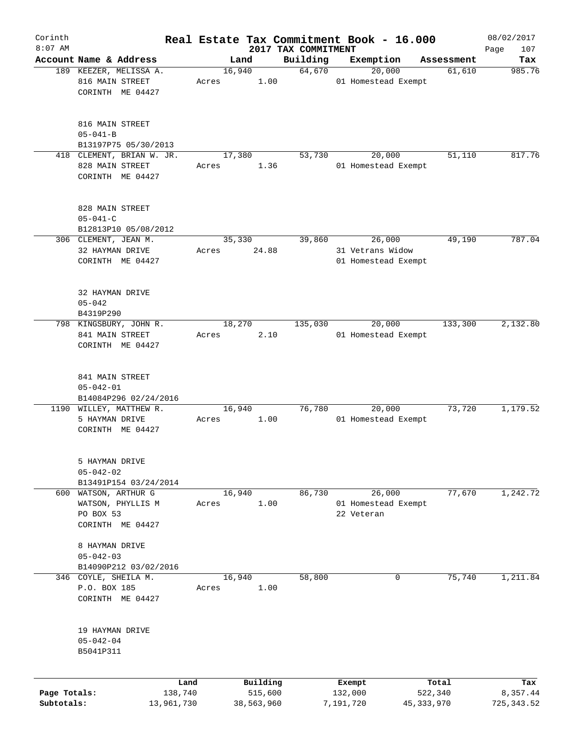| Corinth      |                           |       |                |                     | Real Estate Tax Commitment Book - 16.000 |                      | 08/02/2017    |
|--------------|---------------------------|-------|----------------|---------------------|------------------------------------------|----------------------|---------------|
| $8:07$ AM    | Account Name & Address    |       |                | 2017 TAX COMMITMENT |                                          |                      | 107<br>Page   |
|              | 189 KEEZER, MELISSA A.    |       | Land<br>16,940 | Building<br>64,670  | Exemption<br>20,000                      | Assessment<br>61,610 | Tax<br>985.76 |
|              | 816 MAIN STREET           | Acres | 1.00           |                     | 01 Homestead Exempt                      |                      |               |
|              | CORINTH ME 04427          |       |                |                     |                                          |                      |               |
|              |                           |       |                |                     |                                          |                      |               |
|              |                           |       |                |                     |                                          |                      |               |
|              | 816 MAIN STREET           |       |                |                     |                                          |                      |               |
|              | $05 - 041 - B$            |       |                |                     |                                          |                      |               |
|              | B13197P75 05/30/2013      |       |                |                     |                                          |                      |               |
|              | 418 CLEMENT, BRIAN W. JR. |       | 17,380         | 53,730              | 20,000                                   | 51,110               | 817.76        |
|              | 828 MAIN STREET           | Acres | 1.36           |                     | 01 Homestead Exempt                      |                      |               |
|              | CORINTH ME 04427          |       |                |                     |                                          |                      |               |
|              |                           |       |                |                     |                                          |                      |               |
|              | 828 MAIN STREET           |       |                |                     |                                          |                      |               |
|              | $05 - 041 - C$            |       |                |                     |                                          |                      |               |
|              | B12813P10 05/08/2012      |       |                |                     |                                          |                      |               |
|              | 306 CLEMENT, JEAN M.      |       | 35,330         | 39,860              | 26,000                                   | 49,190               | 787.04        |
|              | 32 HAYMAN DRIVE           | Acres | 24.88          |                     | 31 Vetrans Widow                         |                      |               |
|              | CORINTH ME 04427          |       |                |                     | 01 Homestead Exempt                      |                      |               |
|              |                           |       |                |                     |                                          |                      |               |
|              | 32 HAYMAN DRIVE           |       |                |                     |                                          |                      |               |
|              | $05 - 042$                |       |                |                     |                                          |                      |               |
|              | B4319P290                 |       |                |                     |                                          |                      |               |
|              | 798 KINGSBURY, JOHN R.    |       | 18,270         | 135,030             | 20,000                                   | 133,300              | 2,132.80      |
|              | 841 MAIN STREET           | Acres | 2.10           |                     | 01 Homestead Exempt                      |                      |               |
|              | CORINTH ME 04427          |       |                |                     |                                          |                      |               |
|              |                           |       |                |                     |                                          |                      |               |
|              |                           |       |                |                     |                                          |                      |               |
|              | 841 MAIN STREET           |       |                |                     |                                          |                      |               |
|              | $05 - 042 - 01$           |       |                |                     |                                          |                      |               |
|              | B14084P296 02/24/2016     |       |                |                     |                                          |                      |               |
|              | 1190 WILLEY, MATTHEW R.   |       | 16,940         | 76,780              | 20,000                                   | 73,720               | 1,179.52      |
|              | 5 HAYMAN DRIVE            | Acres | 1.00           |                     | 01 Homestead Exempt                      |                      |               |
|              | CORINTH ME 04427          |       |                |                     |                                          |                      |               |
|              |                           |       |                |                     |                                          |                      |               |
|              | 5 HAYMAN DRIVE            |       |                |                     |                                          |                      |               |
|              | $05 - 042 - 02$           |       |                |                     |                                          |                      |               |
|              | B13491P154 03/24/2014     |       |                |                     |                                          |                      |               |
|              | 600 WATSON, ARTHUR G      |       | 16,940         | 86,730              | 26,000                                   | 77,670               | 1,242.72      |
|              | WATSON, PHYLLIS M         | Acres | 1.00           |                     | 01 Homestead Exempt                      |                      |               |
|              | PO BOX 53                 |       |                |                     | 22 Veteran                               |                      |               |
|              | CORINTH ME 04427          |       |                |                     |                                          |                      |               |
|              | 8 HAYMAN DRIVE            |       |                |                     |                                          |                      |               |
|              | $05 - 042 - 03$           |       |                |                     |                                          |                      |               |
|              | B14090P212 03/02/2016     |       |                |                     |                                          |                      |               |
|              |                           |       |                |                     |                                          | 75,740               |               |
|              | 346 COYLE, SHEILA M.      |       | 16,940         | 58,800              | 0                                        |                      | 1,211.84      |
|              | P.O. BOX 185              | Acres | 1.00           |                     |                                          |                      |               |
|              | CORINTH ME 04427          |       |                |                     |                                          |                      |               |
|              |                           |       |                |                     |                                          |                      |               |
|              | 19 HAYMAN DRIVE           |       |                |                     |                                          |                      |               |
|              | $05 - 042 - 04$           |       |                |                     |                                          |                      |               |
|              | B5041P311                 |       |                |                     |                                          |                      |               |
|              |                           |       |                |                     |                                          |                      |               |
|              |                           | Land  | Building       |                     | Exempt                                   | Total                | Tax           |
| Page Totals: | 138,740                   |       | 515,600        |                     | 132,000                                  | 522,340              | 8,357.44      |
| Subtotals:   | 13,961,730                |       | 38,563,960     |                     | 7,191,720                                | 45,333,970           | 725,343.52    |
|              |                           |       |                |                     |                                          |                      |               |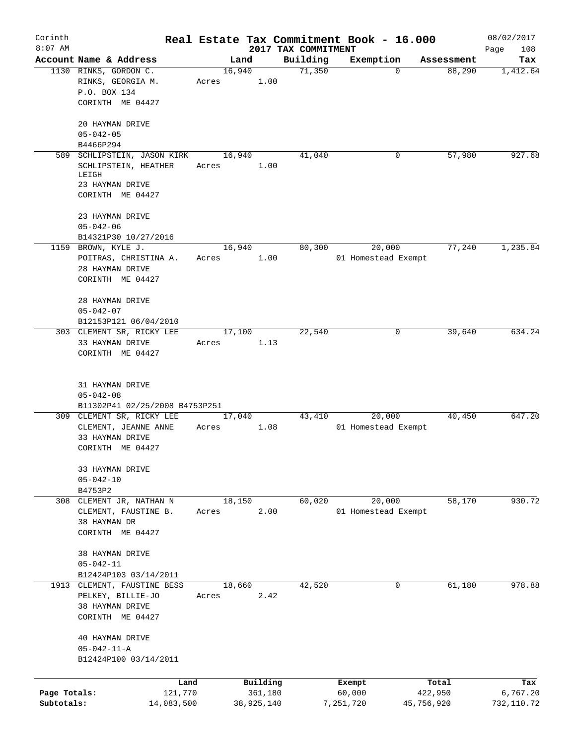| Corinth                    |                                                                                          |                 |                       |                                 | Real Estate Tax Commitment Book - 16.000 |                       | 08/02/2017             |
|----------------------------|------------------------------------------------------------------------------------------|-----------------|-----------------------|---------------------------------|------------------------------------------|-----------------------|------------------------|
| $8:07$ AM                  | Account Name & Address                                                                   |                 | Land                  | 2017 TAX COMMITMENT<br>Building | Exemption                                | Assessment            | Page<br>108<br>Tax     |
|                            | 1130 RINKS, GORDON C.<br>RINKS, GEORGIA M.<br>P.O. BOX 134<br>CORINTH ME 04427           | 16,940<br>Acres | 1.00                  | 71,350                          | $\Omega$                                 | 88,290                | 1,412.64               |
|                            | 20 HAYMAN DRIVE<br>$05 - 042 - 05$<br>B4466P294                                          |                 |                       |                                 |                                          |                       |                        |
|                            | 589 SCHLIPSTEIN, JASON KIRK                                                              | 16,940          |                       | 41,040                          | 0                                        | 57,980                | 927.68                 |
|                            | SCHLIPSTEIN, HEATHER<br>LEIGH<br>23 HAYMAN DRIVE<br>CORINTH ME 04427                     | Acres           | 1.00                  |                                 |                                          |                       |                        |
|                            | 23 HAYMAN DRIVE<br>$05 - 042 - 06$<br>B14321P30 10/27/2016                               |                 |                       |                                 |                                          |                       |                        |
|                            | 1159 BROWN, KYLE J.<br>POITRAS, CHRISTINA A.<br>28 HAYMAN DRIVE<br>CORINTH ME 04427      | 16,940<br>Acres | 1.00                  | 80,300                          | 20,000<br>01 Homestead Exempt            | 77,240                | 1,235.84               |
|                            | 28 HAYMAN DRIVE<br>$05 - 042 - 07$<br>B12153P121 06/04/2010                              |                 |                       |                                 |                                          |                       |                        |
|                            | 303 CLEMENT SR, RICKY LEE<br>33 HAYMAN DRIVE<br>CORINTH ME 04427                         | 17,100<br>Acres | 1.13                  | 22,540                          | 0                                        | 39,640                | 634.24                 |
|                            | 31 HAYMAN DRIVE<br>$05 - 042 - 08$<br>B11302P41 02/25/2008 B4753P251                     |                 |                       |                                 |                                          |                       |                        |
|                            | 309 CLEMENT SR, RICKY LEE<br>CLEMENT, JEANNE ANNE<br>33 HAYMAN DRIVE<br>CORINTH ME 04427 | 17,040<br>Acres | 1.08                  | 43,410                          | 20,000<br>01 Homestead Exempt            | 40,450                | 647.20                 |
|                            | 33 HAYMAN DRIVE<br>$05 - 042 - 10$<br>B4753P2                                            |                 |                       |                                 |                                          |                       |                        |
|                            | 308 CLEMENT JR, NATHAN N<br>CLEMENT, FAUSTINE B.<br>38 HAYMAN DR<br>CORINTH ME 04427     | 18,150<br>Acres | 2.00                  | 60,020                          | 20,000<br>01 Homestead Exempt            | 58,170                | 930.72                 |
|                            | 38 HAYMAN DRIVE<br>$05 - 042 - 11$<br>B12424P103 03/14/2011                              |                 |                       |                                 |                                          |                       |                        |
|                            | 1913 CLEMENT, FAUSTINE BESS<br>PELKEY, BILLIE-JO<br>38 HAYMAN DRIVE<br>CORINTH ME 04427  | 18,660<br>Acres | 2.42                  | 42,520                          | 0                                        | 61,180                | 978.88                 |
|                            | 40 HAYMAN DRIVE<br>$05 - 042 - 11 - A$<br>B12424P100 03/14/2011                          |                 |                       |                                 |                                          |                       |                        |
|                            | Land                                                                                     |                 | Building              |                                 | Exempt                                   | Total                 | Tax                    |
| Page Totals:<br>Subtotals: | 121,770<br>14,083,500                                                                    |                 | 361,180<br>38,925,140 |                                 | 60,000<br>7,251,720                      | 422,950<br>45,756,920 | 6,767.20<br>732,110.72 |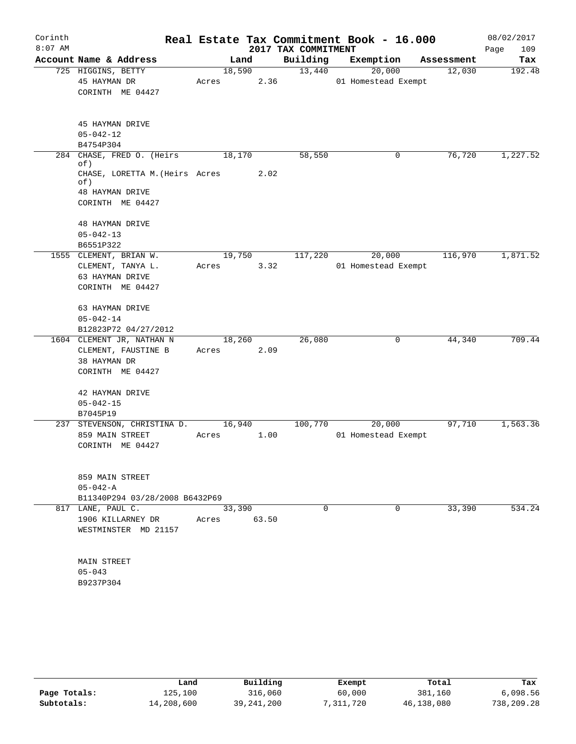| Corinth<br>$8:07$ AM |                                                                                                              |                 |       | 2017 TAX COMMITMENT | Real Estate Tax Commitment Book - 16.000 |            | 08/02/2017<br>109<br>Page |
|----------------------|--------------------------------------------------------------------------------------------------------------|-----------------|-------|---------------------|------------------------------------------|------------|---------------------------|
|                      | Account Name & Address                                                                                       |                 | Land  | Building            | Exemption                                | Assessment | Tax                       |
|                      | 725 HIGGINS, BETTY<br>45 HAYMAN DR<br>CORINTH ME 04427                                                       | 18,590<br>Acres | 2.36  | 13,440              | 20,000<br>01 Homestead Exempt            | 12,030     | 192.48                    |
|                      | 45 HAYMAN DRIVE<br>$05 - 042 - 12$<br>B4754P304                                                              |                 |       |                     |                                          |            |                           |
| 284                  | CHASE, FRED O. (Heirs<br>of)<br>CHASE, LORETTA M. (Heirs Acres<br>of)<br>48 HAYMAN DRIVE<br>CORINTH ME 04427 | 18,170          | 2.02  | 58,550              | 0                                        | 76,720     | 1,227.52                  |
|                      | <b>48 HAYMAN DRIVE</b><br>$05 - 042 - 13$<br>B6551P322                                                       |                 |       |                     |                                          |            |                           |
|                      | 1555 CLEMENT, BRIAN W.<br>CLEMENT, TANYA L.<br>63 HAYMAN DRIVE<br>CORINTH ME 04427                           | 19,750<br>Acres | 3.32  | 117,220             | 20,000<br>01 Homestead Exempt            | 116,970    | 1,871.52                  |
|                      | 63 HAYMAN DRIVE<br>$05 - 042 - 14$<br>B12823P72 04/27/2012                                                   |                 |       |                     |                                          |            |                           |
|                      | 1604 CLEMENT JR, NATHAN N<br>CLEMENT, FAUSTINE B<br>38 HAYMAN DR<br>CORINTH ME 04427                         | 18,260<br>Acres | 2.09  | 26,080              | 0                                        | 44,340     | 709.44                    |
|                      | 42 HAYMAN DRIVE<br>$05 - 042 - 15$<br>B7045P19                                                               |                 |       |                     |                                          |            |                           |
|                      | 237 STEVENSON, CHRISTINA D.<br>859 MAIN STREET<br>CORINTH ME 04427                                           | 16,940<br>Acres | 1.00  | 100,770             | 20,000<br>01 Homestead Exempt            | 97,710     | 1,563.36                  |
|                      | 859 MAIN STREET<br>$05 - 042 - A$<br>B11340P294 03/28/2008 B6432P69                                          |                 |       |                     |                                          |            |                           |
|                      | 817 LANE, PAUL C.<br>1906 KILLARNEY DR<br>WESTMINSTER MD 21157                                               | 33,390<br>Acres | 63.50 | $\Omega$            | $\Omega$                                 | 33,390     | 534.24                    |
|                      | <b>MAIN STREET</b><br>$05 - 043$<br>B9237P304                                                                |                 |       |                     |                                          |            |                           |

|              | Land       | Building     | Exempt   | Total      | Tax        |
|--------------|------------|--------------|----------|------------|------------|
| Page Totals: | 125,100    | 316,060      | 60,000   | 381,160    | 6,098.56   |
| Subtotals:   | 14,208,600 | 39, 241, 200 | ,311,720 | 46,138,080 | 738,209.28 |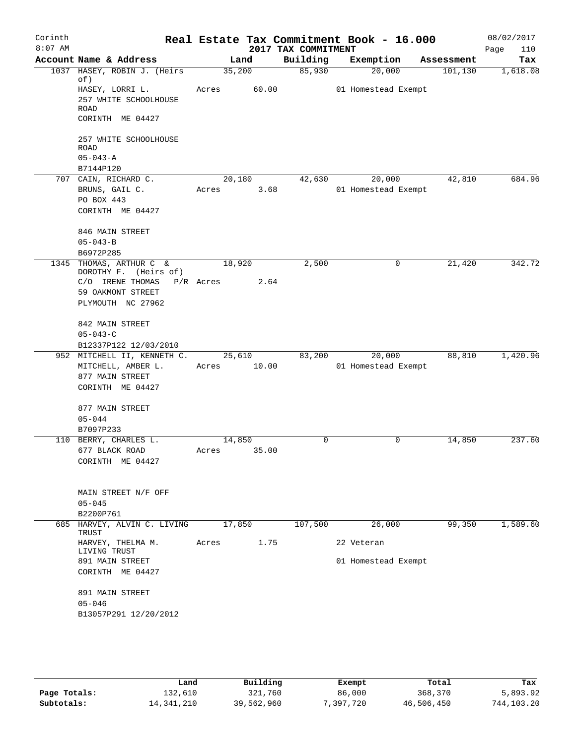| Corinth<br>$8:07$ AM |                                                  |             |        | 2017 TAX COMMITMENT | Real Estate Tax Commitment Book - 16.000 |         | 08/02/2017<br>Page<br>110 |
|----------------------|--------------------------------------------------|-------------|--------|---------------------|------------------------------------------|---------|---------------------------|
|                      | Account Name & Address                           |             | Land   |                     | Building Exemption Assessment            |         | Tax                       |
|                      | 1037 HASEY, ROBIN J. (Heirs<br>of)               | 35,200      |        | 85,930              | 20,000                                   | 101,130 | 1,618.08                  |
|                      | HASEY, LORRI L.<br>257 WHITE SCHOOLHOUSE<br>ROAD | Acres 60.00 |        |                     | 01 Homestead Exempt                      |         |                           |
|                      | CORINTH ME 04427                                 |             |        |                     |                                          |         |                           |
|                      | 257 WHITE SCHOOLHOUSE<br>ROAD                    |             |        |                     |                                          |         |                           |
|                      | $05 - 043 - A$<br>B7144P120                      |             |        |                     |                                          |         |                           |
|                      | 707 CAIN, RICHARD C.                             |             | 20,180 | 42,630              | 20,000                                   | 42,810  | 684.96                    |
|                      | BRUNS, GAIL C.                                   | Acres 3.68  |        |                     | 01 Homestead Exempt                      |         |                           |
|                      | PO BOX 443                                       |             |        |                     |                                          |         |                           |
|                      | CORINTH ME 04427                                 |             |        |                     |                                          |         |                           |
|                      | 846 MAIN STREET                                  |             |        |                     |                                          |         |                           |
|                      | $05 - 043 - B$                                   |             |        |                     |                                          |         |                           |
|                      | B6972P285<br>1345 THOMAS, ARTHUR C &             | 18,920      |        | 2,500               | 0                                        | 21,420  | 342.72                    |
|                      | DOROTHY F. (Heirs of)                            |             |        |                     |                                          |         |                           |
|                      | $C/O$ IRENE THOMAS $P/R$ Acres 2.64              |             |        |                     |                                          |         |                           |
|                      | 59 OAKMONT STREET                                |             |        |                     |                                          |         |                           |
|                      | PLYMOUTH NC 27962                                |             |        |                     |                                          |         |                           |
|                      | 842 MAIN STREET                                  |             |        |                     |                                          |         |                           |
|                      | $05 - 043 - C$                                   |             |        |                     |                                          |         |                           |
|                      | B12337P122 12/03/2010                            |             |        |                     |                                          |         |                           |
|                      | 952 MITCHELL II, KENNETH C.                      |             | 25,610 |                     | 83,200<br>20,000                         | 88,810  | 1,420.96                  |
|                      | MITCHELL, AMBER L.                               | Acres 10.00 |        |                     | 01 Homestead Exempt                      |         |                           |
|                      | 877 MAIN STREET<br>CORINTH ME 04427              |             |        |                     |                                          |         |                           |
|                      |                                                  |             |        |                     |                                          |         |                           |
|                      | 877 MAIN STREET                                  |             |        |                     |                                          |         |                           |
|                      | $05 - 044$                                       |             |        |                     |                                          |         |                           |
|                      | B7097P233                                        |             |        |                     |                                          |         |                           |
|                      | 110 BERRY, CHARLES L.                            | 14,850      |        | 0                   | 0                                        | 14,850  | 237.60                    |
|                      | 677 BLACK ROAD                                   | Acres       | 35.00  |                     |                                          |         |                           |
|                      | CORINTH ME 04427                                 |             |        |                     |                                          |         |                           |
|                      |                                                  |             |        |                     |                                          |         |                           |
|                      | MAIN STREET N/F OFF                              |             |        |                     |                                          |         |                           |
|                      | $05 - 045$<br>B2200P761                          |             |        |                     |                                          |         |                           |
|                      | 685 HARVEY, ALVIN C. LIVING                      | 17,850      |        | 107,500             | 26,000                                   | 99,350  | 1,589.60                  |
|                      | TRUST                                            |             |        |                     |                                          |         |                           |
|                      | HARVEY, THELMA M.<br>LIVING TRUST                | Acres       | 1.75   |                     | 22 Veteran                               |         |                           |
|                      | 891 MAIN STREET<br>CORINTH ME 04427              |             |        |                     | 01 Homestead Exempt                      |         |                           |
|                      | 891 MAIN STREET                                  |             |        |                     |                                          |         |                           |
|                      | $05 - 046$                                       |             |        |                     |                                          |         |                           |
|                      | B13057P291 12/20/2012                            |             |        |                     |                                          |         |                           |
|                      |                                                  |             |        |                     |                                          |         |                           |
|                      |                                                  |             |        |                     |                                          |         |                           |

|              | Land       | Building   | Exempt    | Total      | Tax        |  |
|--------------|------------|------------|-----------|------------|------------|--|
| Page Totals: | 132,610    | 321,760    | 86,000    | 368,370    | 5,893.92   |  |
| Subtotals:   | 14,341,210 | 39,562,960 | 7,397,720 | 46,506,450 | 744,103.20 |  |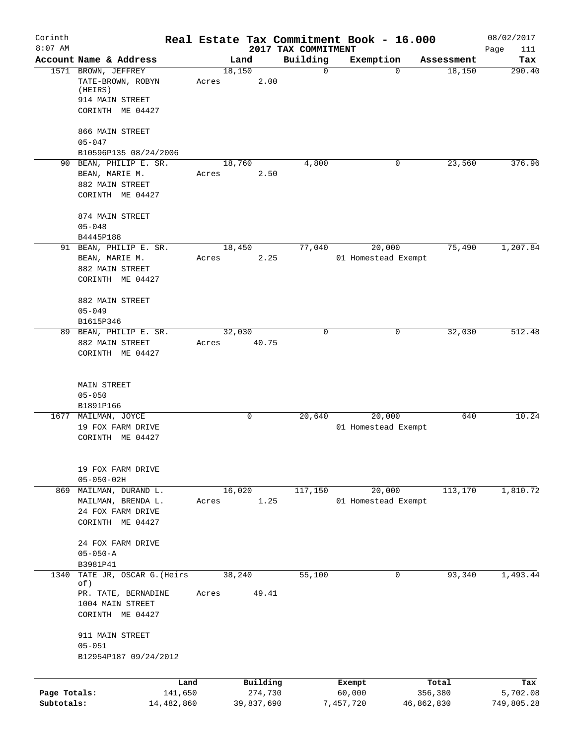| Corinth<br>$8:07$ AM       |                                                                                                |                          |                                 | Real Estate Tax Commitment Book - 16.000 |                       | 08/02/2017             |
|----------------------------|------------------------------------------------------------------------------------------------|--------------------------|---------------------------------|------------------------------------------|-----------------------|------------------------|
|                            | Account Name & Address                                                                         | Land                     | 2017 TAX COMMITMENT<br>Building | Exemption                                | Assessment            | Page<br>111<br>Tax     |
|                            | 1571 BROWN, JEFFREY<br>TATE-BROWN, ROBYN<br>(HEIRS)<br>914 MAIN STREET<br>CORINTH ME 04427     | 18,150<br>2.00<br>Acres  | $\mathbf 0$                     | $\Omega$                                 | 18,150                | 290.40                 |
|                            | 866 MAIN STREET<br>$05 - 047$<br>B10596P135 08/24/2006                                         |                          |                                 |                                          |                       |                        |
|                            | 90 BEAN, PHILIP E. SR.<br>BEAN, MARIE M.<br>882 MAIN STREET<br>CORINTH ME 04427                | 18,760<br>2.50<br>Acres  | 4,800                           | 0                                        | 23,560                | 376.96                 |
|                            | 874 MAIN STREET<br>$05 - 048$<br>B4445P188                                                     |                          |                                 |                                          |                       |                        |
|                            | 91 BEAN, PHILIP E. SR.<br>BEAN, MARIE M.<br>882 MAIN STREET<br>CORINTH ME 04427                | 18,450<br>Acres<br>2.25  | 77,040                          | 20,000<br>01 Homestead Exempt            | 75,490                | 1,207.84               |
|                            | 882 MAIN STREET<br>$05 - 049$<br>B1615P346                                                     |                          |                                 |                                          |                       |                        |
|                            | 89 BEAN, PHILIP E. SR.<br>882 MAIN STREET<br>CORINTH ME 04427                                  | 32,030<br>40.75<br>Acres | $\Omega$                        | 0                                        | 32,030                | 512.48                 |
|                            | <b>MAIN STREET</b><br>$05 - 050$<br>B1891P166                                                  |                          |                                 |                                          |                       |                        |
|                            | 1677 MAILMAN, JOYCE<br>19 FOX FARM DRIVE<br>CORINTH ME 04427                                   | 0                        | 20,640                          | 20,000<br>01 Homestead Exempt            | 640                   | 10.24                  |
|                            | 19 FOX FARM DRIVE<br>$05 - 050 - 02H$                                                          |                          |                                 |                                          |                       |                        |
|                            | 869 MAILMAN, DURAND L.<br>MAILMAN, BRENDA L.<br>24 FOX FARM DRIVE<br>CORINTH ME 04427          | 16,020<br>1.25<br>Acres  | 117,150                         | 20,000<br>01 Homestead Exempt            | 113,170               | 1,810.72               |
|                            | 24 FOX FARM DRIVE<br>$05 - 050 - A$<br>B3981P41                                                |                          |                                 |                                          |                       |                        |
| 1340                       | TATE JR, OSCAR G. (Heirs<br>of)<br>PR. TATE, BERNADINE                                         | 38,240<br>Acres<br>49.41 | 55,100                          | 0                                        | 93,340                | 1,493.44               |
|                            | 1004 MAIN STREET<br>CORINTH ME 04427<br>911 MAIN STREET<br>$05 - 051$<br>B12954P187 09/24/2012 |                          |                                 |                                          |                       |                        |
|                            | Land                                                                                           | Building                 |                                 | Exempt                                   | Total                 | Tax                    |
| Page Totals:<br>Subtotals: | 141,650<br>14,482,860                                                                          | 274,730<br>39,837,690    |                                 | 60,000<br>7,457,720                      | 356,380<br>46,862,830 | 5,702.08<br>749,805.28 |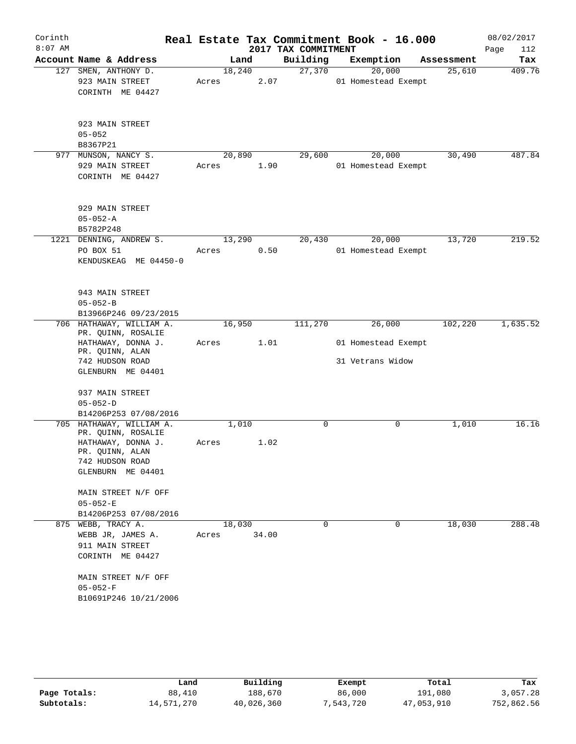| Corinth   |                                       |        |       | Real Estate Tax Commitment Book - 16.000 |                     |   |            | 08/02/2017  |
|-----------|---------------------------------------|--------|-------|------------------------------------------|---------------------|---|------------|-------------|
| $8:07$ AM |                                       |        |       | 2017 TAX COMMITMENT                      |                     |   |            | Page<br>112 |
|           | Account Name & Address                |        | Land  | Building                                 | Exemption           |   | Assessment | Tax         |
|           | 127 SMEN, ANTHONY D.                  | 18,240 |       | 27,370                                   | 20,000              |   | 25,610     | 409.76      |
|           | 923 MAIN STREET                       | Acres  | 2.07  |                                          | 01 Homestead Exempt |   |            |             |
|           | CORINTH ME 04427                      |        |       |                                          |                     |   |            |             |
|           |                                       |        |       |                                          |                     |   |            |             |
|           | 923 MAIN STREET                       |        |       |                                          |                     |   |            |             |
|           | $05 - 052$                            |        |       |                                          |                     |   |            |             |
|           | B8367P21                              |        |       |                                          |                     |   |            |             |
|           | 977 MUNSON, NANCY S.                  | 20,890 |       | 29,600                                   | 20,000              |   | 30,490     | 487.84      |
|           | 929 MAIN STREET                       | Acres  | 1.90  |                                          | 01 Homestead Exempt |   |            |             |
|           | CORINTH ME 04427                      |        |       |                                          |                     |   |            |             |
|           | 929 MAIN STREET                       |        |       |                                          |                     |   |            |             |
|           | $05 - 052 - A$                        |        |       |                                          |                     |   |            |             |
|           | B5782P248                             |        |       |                                          |                     |   |            |             |
|           | 1221 DENNING, ANDREW S.               | 13,290 |       | 20,430                                   | 20,000              |   | 13,720     | 219.52      |
|           | PO BOX 51                             | Acres  | 0.50  |                                          | 01 Homestead Exempt |   |            |             |
|           | KENDUSKEAG ME 04450-0                 |        |       |                                          |                     |   |            |             |
|           |                                       |        |       |                                          |                     |   |            |             |
|           | 943 MAIN STREET                       |        |       |                                          |                     |   |            |             |
|           | $05 - 052 - B$                        |        |       |                                          |                     |   |            |             |
|           | B13966P246 09/23/2015                 |        |       |                                          |                     |   |            |             |
|           | 706 HATHAWAY, WILLIAM A.              | 16,950 |       | 111,270                                  | 26,000              |   | 102,220    | 1,635.52    |
|           | PR. QUINN, ROSALIE                    |        | 1.01  |                                          |                     |   |            |             |
|           | HATHAWAY, DONNA J.<br>PR. QUINN, ALAN | Acres  |       |                                          | 01 Homestead Exempt |   |            |             |
|           | 742 HUDSON ROAD                       |        |       |                                          | 31 Vetrans Widow    |   |            |             |
|           | GLENBURN ME 04401                     |        |       |                                          |                     |   |            |             |
|           |                                       |        |       |                                          |                     |   |            |             |
|           | 937 MAIN STREET                       |        |       |                                          |                     |   |            |             |
|           | $05 - 052 - D$                        |        |       |                                          |                     |   |            |             |
|           | B14206P253 07/08/2016                 |        |       |                                          |                     |   |            |             |
|           | 705 HATHAWAY, WILLIAM A.              | 1,010  |       | $\mathbf 0$                              |                     | 0 | 1,010      | 16.16       |
|           | PR. QUINN, ROSALIE                    |        |       |                                          |                     |   |            |             |
|           | HATHAWAY, DONNA J.<br>PR. QUINN, ALAN | Acres  | 1.02  |                                          |                     |   |            |             |
|           | 742 HUDSON ROAD                       |        |       |                                          |                     |   |            |             |
|           | GLENBURN ME 04401                     |        |       |                                          |                     |   |            |             |
|           | MAIN STREET N/F OFF                   |        |       |                                          |                     |   |            |             |
|           | $05 - 052 - E$                        |        |       |                                          |                     |   |            |             |
|           | B14206P253 07/08/2016                 |        |       |                                          |                     |   |            |             |
|           | 875 WEBB, TRACY A.                    | 18,030 |       | 0                                        |                     | 0 | 18,030     | 288.48      |
|           | WEBB JR, JAMES A.                     | Acres  | 34.00 |                                          |                     |   |            |             |
|           | 911 MAIN STREET                       |        |       |                                          |                     |   |            |             |
|           | CORINTH ME 04427                      |        |       |                                          |                     |   |            |             |
|           | MAIN STREET N/F OFF                   |        |       |                                          |                     |   |            |             |
|           | $05 - 052 - F$                        |        |       |                                          |                     |   |            |             |
|           | B10691P246 10/21/2006                 |        |       |                                          |                     |   |            |             |
|           |                                       |        |       |                                          |                     |   |            |             |

|              | Land       | Building   | Exempt    | Total      | Tax        |  |
|--------------|------------|------------|-----------|------------|------------|--|
| Page Totals: | 88,410     | 188,670    | 86,000    | 191,080    | 3,057.28   |  |
| Subtotals:   | 14,571,270 | 40,026,360 | 7,543,720 | 47,053,910 | 752,862.56 |  |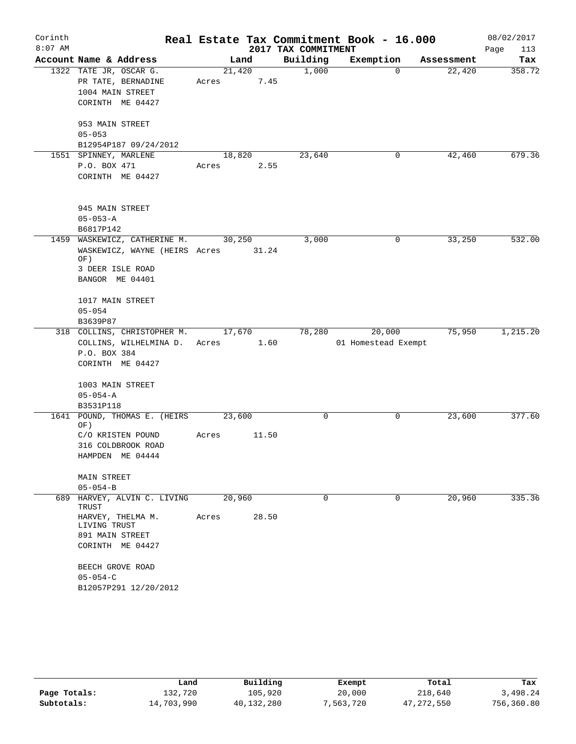| Corinth   |                                      |        |        |                     | Real Estate Tax Commitment Book - 16.000 |            | 08/02/2017  |
|-----------|--------------------------------------|--------|--------|---------------------|------------------------------------------|------------|-------------|
| $8:07$ AM |                                      |        |        | 2017 TAX COMMITMENT |                                          |            | 113<br>Page |
|           | Account Name & Address               |        | Land   | Building            | Exemption                                | Assessment | Tax         |
|           | 1322 TATE JR, OSCAR G.               |        | 21,420 | 1,000               | $\Omega$                                 | 22,420     | 358.72      |
|           | PR TATE, BERNADINE                   | Acres  | 7.45   |                     |                                          |            |             |
|           | 1004 MAIN STREET                     |        |        |                     |                                          |            |             |
|           | CORINTH ME 04427                     |        |        |                     |                                          |            |             |
|           | 953 MAIN STREET                      |        |        |                     |                                          |            |             |
|           | $05 - 053$                           |        |        |                     |                                          |            |             |
|           | B12954P187 09/24/2012                |        |        |                     |                                          |            |             |
|           | 1551 SPINNEY, MARLENE                | 18,820 |        | 23,640              | 0                                        | 42,460     | 679.36      |
|           | P.O. BOX 471                         | Acres  | 2.55   |                     |                                          |            |             |
|           | CORINTH ME 04427                     |        |        |                     |                                          |            |             |
|           | 945 MAIN STREET                      |        |        |                     |                                          |            |             |
|           | $05 - 053 - A$                       |        |        |                     |                                          |            |             |
|           | B6817P142                            |        |        |                     |                                          |            |             |
| 1459      | WASKEWICZ, CATHERINE M.              | 30,250 |        | 3,000               | 0                                        | 33,250     | 532.00      |
|           | WASKEWICZ, WAYNE (HEIRS Acres 31.24  |        |        |                     |                                          |            |             |
|           | OF)                                  |        |        |                     |                                          |            |             |
|           | 3 DEER ISLE ROAD                     |        |        |                     |                                          |            |             |
|           | BANGOR ME 04401                      |        |        |                     |                                          |            |             |
|           | 1017 MAIN STREET                     |        |        |                     |                                          |            |             |
|           | $05 - 054$                           |        |        |                     |                                          |            |             |
|           | B3639P87                             |        |        |                     |                                          |            |             |
|           | 318 COLLINS, CHRISTOPHER M.          |        | 17,670 | 78,280              | 20,000                                   | 75,950     | 1,215.20    |
|           | COLLINS, WILHELMINA D.               | Acres  | 1.60   |                     | 01 Homestead Exempt                      |            |             |
|           | P.O. BOX 384                         |        |        |                     |                                          |            |             |
|           | CORINTH ME 04427                     |        |        |                     |                                          |            |             |
|           | 1003 MAIN STREET                     |        |        |                     |                                          |            |             |
|           | $05 - 054 - A$                       |        |        |                     |                                          |            |             |
|           | B3531P118                            |        |        |                     |                                          |            |             |
|           | 1641 POUND, THOMAS E. (HEIRS         | 23,600 |        | 0                   | 0                                        | 23,600     | 377.60      |
|           | OF)<br>C/O KRISTEN POUND             | Acres  | 11.50  |                     |                                          |            |             |
|           | 316 COLDBROOK ROAD                   |        |        |                     |                                          |            |             |
|           | HAMPDEN ME 04444                     |        |        |                     |                                          |            |             |
|           | MAIN STREET                          |        |        |                     |                                          |            |             |
|           | $05 - 054 - B$                       |        |        |                     |                                          |            |             |
|           | 689 HARVEY, ALVIN C. LIVING<br>TRUST | 20,960 |        | $\Omega$            | $\Omega$                                 | 20,960     | 335.36      |
|           | HARVEY, THELMA M.<br>LIVING TRUST    | Acres  | 28.50  |                     |                                          |            |             |
|           | 891 MAIN STREET                      |        |        |                     |                                          |            |             |
|           | CORINTH ME 04427                     |        |        |                     |                                          |            |             |
|           | BEECH GROVE ROAD                     |        |        |                     |                                          |            |             |
|           | $05 - 054 - C$                       |        |        |                     |                                          |            |             |
|           | B12057P291 12/20/2012                |        |        |                     |                                          |            |             |

|              | Land       | Building   | Exempt    | Total        | Tax        |
|--------------|------------|------------|-----------|--------------|------------|
| Page Totals: | 132,720    | 105,920    | 20,000    | 218,640      | 3,498.24   |
| Subtotals:   | 14,703,990 | 40,132,280 | 7,563,720 | 47, 272, 550 | 756,360.80 |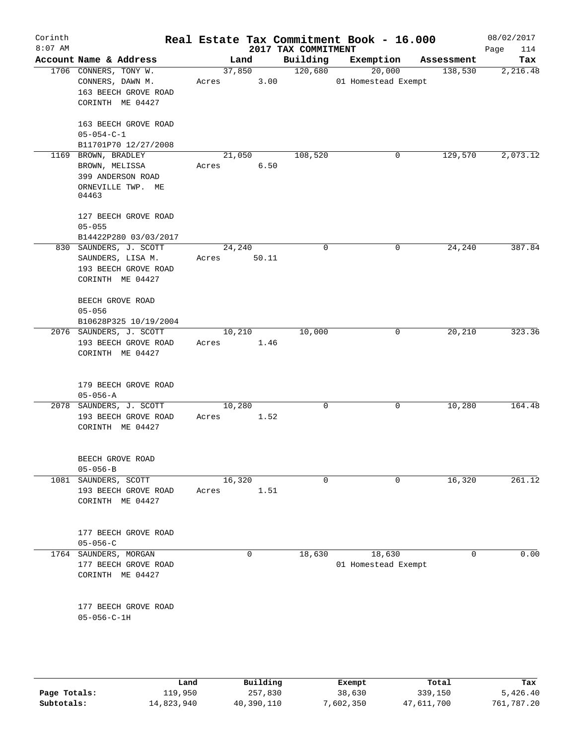| Corinth<br>$8:07$ AM |                                                                                         |                          | 2017 TAX COMMITMENT | Real Estate Tax Commitment Book - 16.000 |            | 08/02/2017<br>114<br>Page |
|----------------------|-----------------------------------------------------------------------------------------|--------------------------|---------------------|------------------------------------------|------------|---------------------------|
|                      | Account Name & Address                                                                  | Land                     | Building            | Exemption                                | Assessment | Tax                       |
|                      | 1706 CONNERS, TONY W.<br>CONNERS, DAWN M.<br>163 BEECH GROVE ROAD<br>CORINTH ME 04427   | 37,850<br>3.00<br>Acres  | 120,680             | 20,000<br>01 Homestead Exempt            | 138,530    | 2,216.48                  |
|                      | 163 BEECH GROVE ROAD<br>$05 - 054 - C - 1$                                              |                          |                     |                                          |            |                           |
|                      | B11701P70 12/27/2008<br>1169 BROWN, BRADLEY                                             | 21,050                   | 108,520             | 0                                        | 129,570    | 2,073.12                  |
|                      | BROWN, MELISSA<br>399 ANDERSON ROAD<br>ORNEVILLE TWP. ME<br>04463                       | 6.50<br>Acres            |                     |                                          |            |                           |
|                      | 127 BEECH GROVE ROAD<br>$05 - 055$<br>B14422P280 03/03/2017                             |                          |                     |                                          |            |                           |
|                      | 830 SAUNDERS, J. SCOTT<br>SAUNDERS, LISA M.<br>193 BEECH GROVE ROAD<br>CORINTH ME 04427 | 24,240<br>50.11<br>Acres | 0                   | 0                                        | 24,240     | 387.84                    |
|                      | BEECH GROVE ROAD<br>$05 - 056$<br>B10628P325 10/19/2004                                 |                          |                     |                                          |            |                           |
|                      | 2076 SAUNDERS, J. SCOTT<br>193 BEECH GROVE ROAD<br>CORINTH ME 04427                     | 10,210<br>1.46<br>Acres  | 10,000              | 0                                        | 20,210     | 323.36                    |
|                      | 179 BEECH GROVE ROAD<br>$05 - 056 - A$                                                  |                          |                     |                                          |            |                           |
|                      | 2078 SAUNDERS, J. SCOTT<br>193 BEECH GROVE ROAD<br>CORINTH ME 04427                     | 10,280<br>1.52<br>Acres  | 0                   | 0                                        | 10,280     | 164.48                    |
|                      | BEECH GROVE ROAD<br>$05 - 056 - B$                                                      |                          |                     |                                          |            |                           |
| 1081                 | SAUNDERS, SCOTT<br>193 BEECH GROVE ROAD<br>CORINTH ME 04427                             | 16,320<br>1.51<br>Acres  | 0                   | $\mathbf 0$                              | 16,320     | 261.12                    |
|                      | 177 BEECH GROVE ROAD<br>$05 - 056 - C$                                                  |                          |                     |                                          |            |                           |
|                      | 1764 SAUNDERS, MORGAN<br>177 BEECH GROVE ROAD<br>CORINTH ME 04427                       | 0                        | 18,630              | 18,630<br>01 Homestead Exempt            | 0          | 0.00                      |
|                      | 177 BEECH GROVE ROAD<br>$05 - 056 - C - 1H$                                             |                          |                     |                                          |            |                           |
|                      |                                                                                         |                          |                     |                                          |            |                           |

|              | Land       | Building   | Exempt    | Total      | Tax        |
|--------------|------------|------------|-----------|------------|------------|
| Page Totals: | 119,950    | 257,830    | 38,630    | 339,150    | 5,426.40   |
| Subtotals:   | 14,823,940 | 40,390,110 | 7,602,350 | 47,611,700 | 761,787.20 |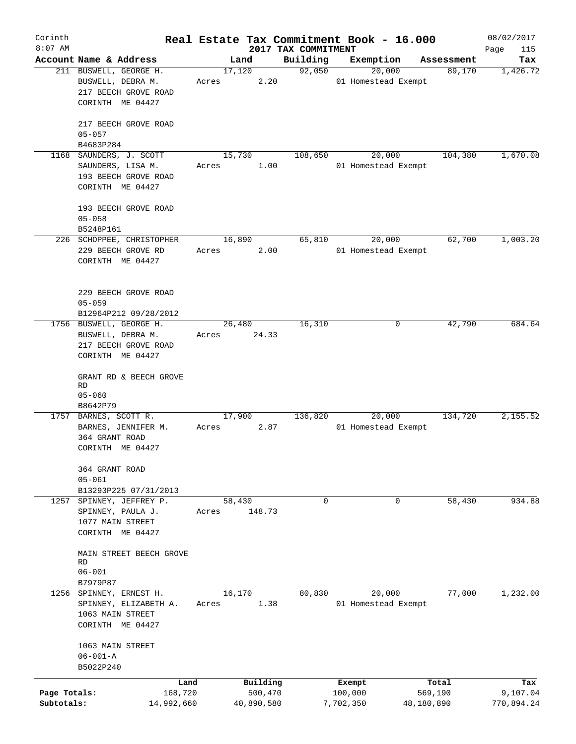| Corinth      |                                                  |        |                |                     | Real Estate Tax Commitment Book - 16.000 |                      | 08/02/2017      |
|--------------|--------------------------------------------------|--------|----------------|---------------------|------------------------------------------|----------------------|-----------------|
| $8:07$ AM    |                                                  |        |                | 2017 TAX COMMITMENT |                                          |                      | Page<br>115     |
|              | Account Name & Address<br>211 BUSWELL, GEORGE H. |        | Land<br>17,120 | Building<br>92,050  | Exemption<br>20,000                      | Assessment<br>89,170 | Tax<br>1,426.72 |
|              | BUSWELL, DEBRA M.                                | Acres  | 2.20           |                     | 01 Homestead Exempt                      |                      |                 |
|              | 217 BEECH GROVE ROAD                             |        |                |                     |                                          |                      |                 |
|              | CORINTH ME 04427                                 |        |                |                     |                                          |                      |                 |
|              |                                                  |        |                |                     |                                          |                      |                 |
|              | 217 BEECH GROVE ROAD                             |        |                |                     |                                          |                      |                 |
|              | $05 - 057$                                       |        |                |                     |                                          |                      |                 |
|              | B4683P284                                        |        |                |                     |                                          |                      |                 |
|              | 1168 SAUNDERS, J. SCOTT                          |        | 15,730         | 108,650             | 20,000                                   | 104,380              | 1,670.08        |
|              | SAUNDERS, LISA M.                                | Acres  | 1.00           |                     | 01 Homestead Exempt                      |                      |                 |
|              | 193 BEECH GROVE ROAD                             |        |                |                     |                                          |                      |                 |
|              | CORINTH ME 04427                                 |        |                |                     |                                          |                      |                 |
|              |                                                  |        |                |                     |                                          |                      |                 |
|              | 193 BEECH GROVE ROAD                             |        |                |                     |                                          |                      |                 |
|              | $05 - 058$                                       |        |                |                     |                                          |                      |                 |
|              | B5248P161                                        |        |                |                     |                                          |                      |                 |
|              | 226 SCHOPPEE, CHRISTOPHER                        | 16,890 |                | 65,810              | 20,000                                   | 62,700               | 1,003.20        |
|              | 229 BEECH GROVE RD                               | Acres  | 2.00           |                     | 01 Homestead Exempt                      |                      |                 |
|              | CORINTH ME 04427                                 |        |                |                     |                                          |                      |                 |
|              |                                                  |        |                |                     |                                          |                      |                 |
|              | 229 BEECH GROVE ROAD                             |        |                |                     |                                          |                      |                 |
|              | $05 - 059$                                       |        |                |                     |                                          |                      |                 |
|              | B12964P212 09/28/2012                            |        |                |                     |                                          |                      |                 |
|              | 1756 BUSWELL, GEORGE H.                          |        | 26,480         | 16,310              | 0                                        | 42,790               | 684.64          |
|              | BUSWELL, DEBRA M.                                | Acres  | 24.33          |                     |                                          |                      |                 |
|              | 217 BEECH GROVE ROAD                             |        |                |                     |                                          |                      |                 |
|              | CORINTH ME 04427                                 |        |                |                     |                                          |                      |                 |
|              |                                                  |        |                |                     |                                          |                      |                 |
|              | GRANT RD & BEECH GROVE                           |        |                |                     |                                          |                      |                 |
|              | RD                                               |        |                |                     |                                          |                      |                 |
|              | $05 - 060$                                       |        |                |                     |                                          |                      |                 |
|              | B8642P79<br>1757 BARNES, SCOTT R.                |        | 17,900         | 136,820             | 20,000                                   | 134,720              | 2,155.52        |
|              | BARNES, JENNIFER M.                              | Acres  | 2.87           |                     | 01 Homestead Exempt                      |                      |                 |
|              | 364 GRANT ROAD                                   |        |                |                     |                                          |                      |                 |
|              | CORINTH ME 04427                                 |        |                |                     |                                          |                      |                 |
|              |                                                  |        |                |                     |                                          |                      |                 |
|              | 364 GRANT ROAD                                   |        |                |                     |                                          |                      |                 |
|              | $05 - 061$                                       |        |                |                     |                                          |                      |                 |
|              | B13293P225 07/31/2013                            |        |                |                     |                                          |                      |                 |
|              | 1257 SPINNEY, JEFFREY P.                         | 58,430 |                | $\mathbf 0$         | 0                                        | 58,430               | 934.88          |
|              | SPINNEY, PAULA J.                                | Acres  | 148.73         |                     |                                          |                      |                 |
|              | 1077 MAIN STREET                                 |        |                |                     |                                          |                      |                 |
|              | CORINTH ME 04427                                 |        |                |                     |                                          |                      |                 |
|              |                                                  |        |                |                     |                                          |                      |                 |
|              | MAIN STREET BEECH GROVE<br>RD                    |        |                |                     |                                          |                      |                 |
|              | $06 - 001$                                       |        |                |                     |                                          |                      |                 |
|              | B7979P87                                         |        |                |                     |                                          |                      |                 |
|              | 1256 SPINNEY, ERNEST H.                          | 16,170 |                | 80,830              | 20,000                                   | 77,000               | 1,232.00        |
|              | SPINNEY, ELIZABETH A.                            | Acres  | 1.38           |                     | 01 Homestead Exempt                      |                      |                 |
|              | 1063 MAIN STREET                                 |        |                |                     |                                          |                      |                 |
|              | CORINTH ME 04427                                 |        |                |                     |                                          |                      |                 |
|              |                                                  |        |                |                     |                                          |                      |                 |
|              | 1063 MAIN STREET                                 |        |                |                     |                                          |                      |                 |
|              | $06 - 001 - A$                                   |        |                |                     |                                          |                      |                 |
|              | B5022P240                                        |        |                |                     |                                          |                      |                 |
|              | Land                                             |        | Building       |                     | Exempt                                   | Total                | Tax             |
| Page Totals: | 168,720                                          |        | 500,470        |                     | 100,000                                  | 569,190              | 9,107.04        |
| Subtotals:   | 14,992,660                                       |        | 40,890,580     |                     | 7,702,350                                | 48,180,890           | 770,894.24      |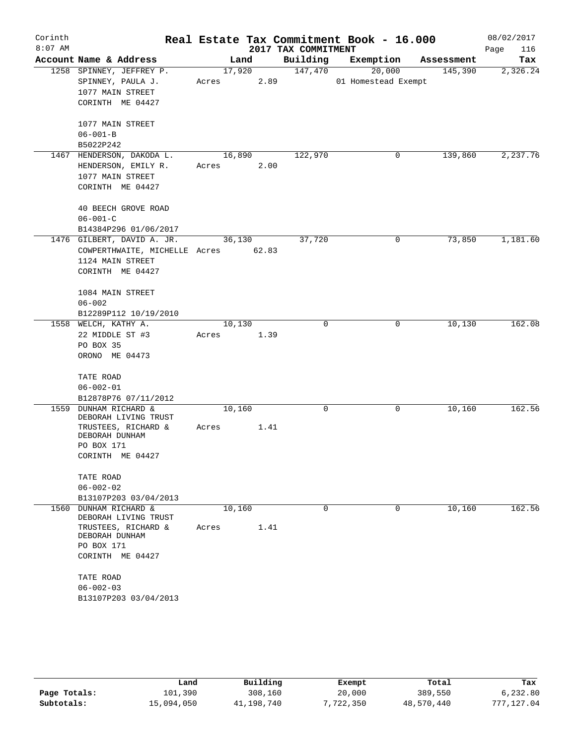| Corinth<br>$8:07$ AM |                                          |        |        | 2017 TAX COMMITMENT | Real Estate Tax Commitment Book - 16.000 |            | 08/02/2017<br>116<br>Page |
|----------------------|------------------------------------------|--------|--------|---------------------|------------------------------------------|------------|---------------------------|
|                      | Account Name & Address                   |        | Land   | Building            | Exemption                                | Assessment | Tax                       |
|                      | 1258 SPINNEY, JEFFREY P.                 |        | 17,920 | 147,470             | 20,000                                   | 145,390    | 2,326.24                  |
|                      | SPINNEY, PAULA J.                        | Acres  | 2.89   |                     | 01 Homestead Exempt                      |            |                           |
|                      | 1077 MAIN STREET                         |        |        |                     |                                          |            |                           |
|                      | CORINTH ME 04427                         |        |        |                     |                                          |            |                           |
|                      |                                          |        |        |                     |                                          |            |                           |
|                      | 1077 MAIN STREET                         |        |        |                     |                                          |            |                           |
|                      | $06 - 001 - B$                           |        |        |                     |                                          |            |                           |
|                      | B5022P242                                |        |        |                     |                                          |            |                           |
|                      | 1467 HENDERSON, DAKODA L.                | 16,890 |        | 122,970             | 0                                        | 139,860    | 2,237.76                  |
|                      | HENDERSON, EMILY R.                      | Acres  | 2.00   |                     |                                          |            |                           |
|                      | 1077 MAIN STREET                         |        |        |                     |                                          |            |                           |
|                      | CORINTH ME 04427                         |        |        |                     |                                          |            |                           |
|                      | 40 BEECH GROVE ROAD                      |        |        |                     |                                          |            |                           |
|                      | $06 - 001 - C$                           |        |        |                     |                                          |            |                           |
|                      | B14384P296 01/06/2017                    |        |        |                     |                                          |            |                           |
|                      | 1476 GILBERT, DAVID A. JR.               | 36,130 |        | 37,720              | $\mathbf 0$                              | 73,850     | 1,181.60                  |
|                      | COWPERTHWAITE, MICHELLE Acres 62.83      |        |        |                     |                                          |            |                           |
|                      | 1124 MAIN STREET                         |        |        |                     |                                          |            |                           |
|                      | CORINTH ME 04427                         |        |        |                     |                                          |            |                           |
|                      |                                          |        |        |                     |                                          |            |                           |
|                      | 1084 MAIN STREET                         |        |        |                     |                                          |            |                           |
|                      | $06 - 002$                               |        |        |                     |                                          |            |                           |
|                      | B12289P112 10/19/2010                    |        |        | $\mathbf 0$         |                                          |            | 162.08                    |
|                      | 1558 WELCH, KATHY A.                     | 10,130 |        |                     | $\mathbf 0$                              | 10,130     |                           |
|                      | 22 MIDDLE ST #3                          | Acres  | 1.39   |                     |                                          |            |                           |
|                      | PO BOX 35                                |        |        |                     |                                          |            |                           |
|                      | ORONO ME 04473                           |        |        |                     |                                          |            |                           |
|                      | TATE ROAD                                |        |        |                     |                                          |            |                           |
|                      | $06 - 002 - 01$                          |        |        |                     |                                          |            |                           |
|                      | B12878P76 07/11/2012                     |        |        |                     |                                          |            |                           |
| 1559                 | DUNHAM RICHARD &<br>DEBORAH LIVING TRUST | 10,160 |        | $\mathbf 0$         | 0                                        | 10,160     | 162.56                    |
|                      | TRUSTEES, RICHARD &                      | Acres  | 1.41   |                     |                                          |            |                           |
|                      | DEBORAH DUNHAM                           |        |        |                     |                                          |            |                           |
|                      | PO BOX 171                               |        |        |                     |                                          |            |                           |
|                      | CORINTH ME 04427                         |        |        |                     |                                          |            |                           |
|                      | TATE ROAD                                |        |        |                     |                                          |            |                           |
|                      | $06 - 002 - 02$                          |        |        |                     |                                          |            |                           |
|                      | B13107P203 03/04/2013                    |        |        |                     |                                          |            |                           |
| 1560                 | <b>DUNHAM RICHARD &amp;</b>              | 10,160 |        | $\Omega$            | $\Omega$                                 | 10,160     | 162.56                    |
|                      | DEBORAH LIVING TRUST                     |        |        |                     |                                          |            |                           |
|                      | TRUSTEES, RICHARD &                      | Acres  | 1.41   |                     |                                          |            |                           |
|                      | DEBORAH DUNHAM                           |        |        |                     |                                          |            |                           |
|                      | PO BOX 171                               |        |        |                     |                                          |            |                           |
|                      | CORINTH ME 04427                         |        |        |                     |                                          |            |                           |
|                      | TATE ROAD                                |        |        |                     |                                          |            |                           |
|                      | $06 - 002 - 03$                          |        |        |                     |                                          |            |                           |
|                      | B13107P203 03/04/2013                    |        |        |                     |                                          |            |                           |
|                      |                                          |        |        |                     |                                          |            |                           |

|              | Land       | Building   | Exempt    | Total      | Tax        |
|--------------|------------|------------|-----------|------------|------------|
| Page Totals: | 101,390    | 308,160    | 20,000    | 389,550    | 6.232.80   |
| Subtotals:   | 15,094,050 | 41,198,740 | 7,722,350 | 48,570,440 | 777,127.04 |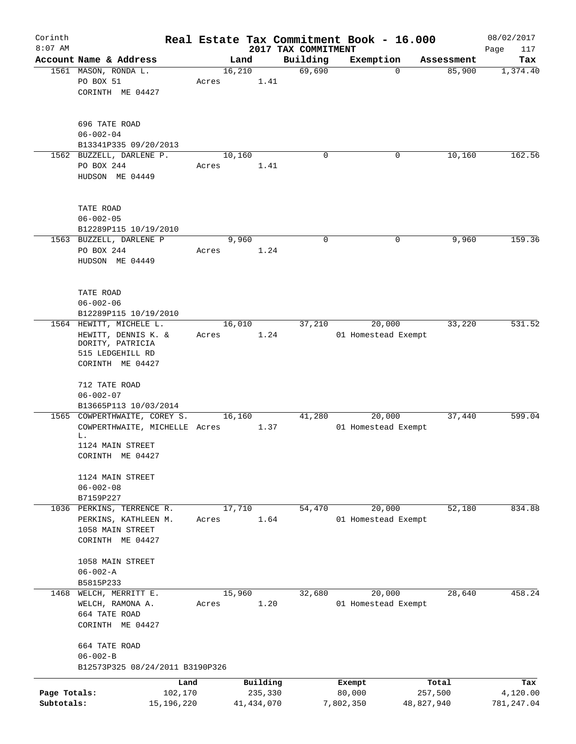| Corinth      |                                                |              |       |                |              |                     |             | Real Estate Tax Commitment Book - 16.000 |             |                      | 08/02/2017  |
|--------------|------------------------------------------------|--------------|-------|----------------|--------------|---------------------|-------------|------------------------------------------|-------------|----------------------|-------------|
| $8:07$ AM    |                                                |              |       |                |              | 2017 TAX COMMITMENT |             |                                          |             |                      | Page<br>117 |
|              | Account Name & Address<br>1561 MASON, RONDA L. |              |       | Land<br>16,210 |              | Building<br>69,690  |             | Exemption                                | $\mathbf 0$ | Assessment<br>85,900 | Tax         |
|              | PO BOX 51                                      |              | Acres |                | 1.41         |                     |             |                                          |             |                      | 1,374.40    |
|              | CORINTH ME 04427                               |              |       |                |              |                     |             |                                          |             |                      |             |
|              |                                                |              |       |                |              |                     |             |                                          |             |                      |             |
|              | 696 TATE ROAD                                  |              |       |                |              |                     |             |                                          |             |                      |             |
|              | $06 - 002 - 04$                                |              |       |                |              |                     |             |                                          |             |                      |             |
|              | B13341P335 09/20/2013                          |              |       |                |              |                     |             |                                          |             |                      |             |
|              | 1562 BUZZELL, DARLENE P.                       |              |       | 10,160         |              |                     | $\mathbf 0$ |                                          | 0           | 10,160               | 162.56      |
|              | PO BOX 244<br>HUDSON ME 04449                  |              | Acres |                | 1.41         |                     |             |                                          |             |                      |             |
|              |                                                |              |       |                |              |                     |             |                                          |             |                      |             |
|              | TATE ROAD                                      |              |       |                |              |                     |             |                                          |             |                      |             |
|              | $06 - 002 - 05$                                |              |       |                |              |                     |             |                                          |             |                      |             |
|              | B12289P115 10/19/2010                          |              |       | 9,960          |              |                     | $\mathbf 0$ |                                          | 0           | 9,960                | 159.36      |
|              | 1563 BUZZELL, DARLENE P                        |              | Acres |                |              |                     |             |                                          |             |                      |             |
|              | PO BOX 244<br>HUDSON ME 04449                  |              |       |                | 1.24         |                     |             |                                          |             |                      |             |
|              |                                                |              |       |                |              |                     |             |                                          |             |                      |             |
|              | TATE ROAD                                      |              |       |                |              |                     |             |                                          |             |                      |             |
|              | $06 - 002 - 06$                                |              |       |                |              |                     |             |                                          |             |                      |             |
|              | B12289P115 10/19/2010                          |              |       |                |              |                     |             |                                          |             |                      |             |
|              | 1564 HEWITT, MICHELE L.                        |              |       | 16,010         |              | 37,210              |             | 20,000                                   |             | 33,220               | 531.52      |
|              | HEWITT, DENNIS K. &                            |              | Acres |                | 1.24         |                     |             | 01 Homestead Exempt                      |             |                      |             |
|              | DORITY, PATRICIA<br>515 LEDGEHILL RD           |              |       |                |              |                     |             |                                          |             |                      |             |
|              | CORINTH ME 04427                               |              |       |                |              |                     |             |                                          |             |                      |             |
|              |                                                |              |       |                |              |                     |             |                                          |             |                      |             |
|              | 712 TATE ROAD                                  |              |       |                |              |                     |             |                                          |             |                      |             |
|              | $06 - 002 - 07$                                |              |       |                |              |                     |             |                                          |             |                      |             |
|              | B13665P113 10/03/2014                          |              |       |                |              |                     |             |                                          |             |                      |             |
|              | 1565 COWPERTHWAITE, COREY S.                   |              |       | 16,160         |              | 41,280              |             | 20,000                                   |             | 37,440               | 599.04      |
|              | COWPERTHWAITE, MICHELLE Acres                  |              |       |                | 1.37         |                     |             | 01 Homestead Exempt                      |             |                      |             |
|              | L.                                             |              |       |                |              |                     |             |                                          |             |                      |             |
|              | 1124 MAIN STREET                               |              |       |                |              |                     |             |                                          |             |                      |             |
|              | CORINTH ME 04427                               |              |       |                |              |                     |             |                                          |             |                      |             |
|              | 1124 MAIN STREET                               |              |       |                |              |                     |             |                                          |             |                      |             |
|              | $06 - 002 - 08$                                |              |       |                |              |                     |             |                                          |             |                      |             |
|              | B7159P227                                      |              |       |                |              |                     |             |                                          |             |                      |             |
|              | 1036 PERKINS, TERRENCE R.                      |              |       | 17,710         |              | 54,470              |             | 20,000                                   |             | 52,180               | 834.88      |
|              | PERKINS, KATHLEEN M.                           |              | Acres |                | 1.64         |                     |             | 01 Homestead Exempt                      |             |                      |             |
|              | 1058 MAIN STREET                               |              |       |                |              |                     |             |                                          |             |                      |             |
|              | CORINTH ME 04427                               |              |       |                |              |                     |             |                                          |             |                      |             |
|              | 1058 MAIN STREET                               |              |       |                |              |                     |             |                                          |             |                      |             |
|              | $06 - 002 - A$                                 |              |       |                |              |                     |             |                                          |             |                      |             |
|              | B5815P233                                      |              |       |                |              |                     |             |                                          |             |                      |             |
| 1468         | WELCH, MERRITT E.                              |              |       | 15,960         |              | 32,680              |             | 20,000                                   |             | 28,640               | 458.24      |
|              | WELCH, RAMONA A.                               |              | Acres |                | 1.20         |                     |             | 01 Homestead Exempt                      |             |                      |             |
|              | 664 TATE ROAD                                  |              |       |                |              |                     |             |                                          |             |                      |             |
|              | CORINTH ME 04427                               |              |       |                |              |                     |             |                                          |             |                      |             |
|              | 664 TATE ROAD                                  |              |       |                |              |                     |             |                                          |             |                      |             |
|              | $06 - 002 - B$                                 |              |       |                |              |                     |             |                                          |             |                      |             |
|              | B12573P325 08/24/2011 B3190P326                |              |       |                |              |                     |             |                                          |             |                      |             |
|              |                                                | Land         |       |                | Building     |                     |             | Exempt                                   |             | Total                | Tax         |
| Page Totals: |                                                | 102,170      |       |                | 235,330      |                     |             | 80,000                                   |             | 257,500              | 4,120.00    |
| Subtotals:   |                                                | 15, 196, 220 |       |                | 41, 434, 070 |                     |             | 7,802,350                                | 48,827,940  |                      | 781, 247.04 |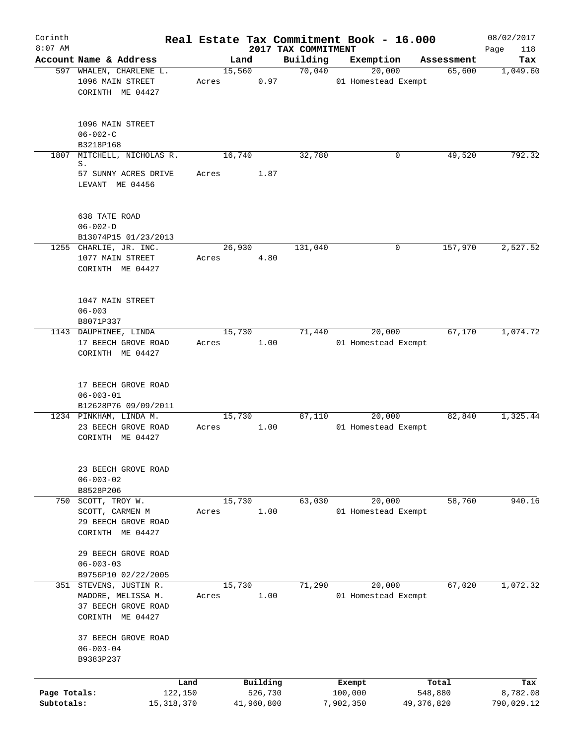| Corinth<br>$8:07$ AM       |                                                                                         |                 |                       | 2017 TAX COMMITMENT | Real Estate Tax Commitment Book - 16.000 |                         | 08/02/2017<br>118<br>Page |
|----------------------------|-----------------------------------------------------------------------------------------|-----------------|-----------------------|---------------------|------------------------------------------|-------------------------|---------------------------|
|                            | Account Name & Address                                                                  | Land            |                       | Building            | Exemption                                | Assessment              | Tax                       |
|                            | 597 WHALEN, CHARLENE L.<br>1096 MAIN STREET<br>CORINTH ME 04427                         | 15,560<br>Acres | 0.97                  | 70,040              | 20,000<br>01 Homestead Exempt            | 65,600                  | 1,049.60                  |
|                            | 1096 MAIN STREET<br>$06 - 002 - C$<br>B3218P168                                         |                 |                       |                     |                                          |                         |                           |
| 1807                       | MITCHELL, NICHOLAS R.                                                                   | 16,740          |                       | 32,780              | 0                                        | 49,520                  | 792.32                    |
|                            | S.<br>57 SUNNY ACRES DRIVE<br>LEVANT ME 04456                                           | Acres           | 1.87                  |                     |                                          |                         |                           |
|                            | 638 TATE ROAD<br>$06 - 002 - D$<br>B13074P15 01/23/2013                                 |                 |                       |                     |                                          |                         |                           |
|                            | 1255 CHARLIE, JR. INC.<br>1077 MAIN STREET<br>CORINTH ME 04427                          | 26,930<br>Acres | 4.80                  | 131,040             | 0                                        | 157,970                 | 2,527.52                  |
|                            | 1047 MAIN STREET<br>$06 - 003$<br>B8071P337                                             |                 |                       |                     |                                          |                         |                           |
|                            | 1143 DAUPHINEE, LINDA<br>17 BEECH GROVE ROAD<br>CORINTH ME 04427                        | 15,730<br>Acres | 1.00                  | 71,440              | 20,000<br>01 Homestead Exempt            | 67,170                  | 1,074.72                  |
|                            | 17 BEECH GROVE ROAD<br>$06 - 003 - 01$<br>B12628P76 09/09/2011                          |                 |                       |                     |                                          |                         |                           |
|                            | 1234 PINKHAM, LINDA M.<br>23 BEECH GROVE ROAD<br>CORINTH ME 04427                       | 15,730<br>Acres | 1.00                  | 87,110              | 20,000<br>01 Homestead Exempt            | 82,840                  | 1,325.44                  |
|                            | 23 BEECH GROVE ROAD<br>$06 - 003 - 02$<br>B8528P206                                     |                 |                       |                     |                                          |                         |                           |
|                            | 750 SCOTT, TROY W.<br>SCOTT, CARMEN M<br>29 BEECH GROVE ROAD<br>CORINTH ME 04427        | 15,730<br>Acres | 1.00                  | 63,030              | 20,000<br>01 Homestead Exempt            | 58,760                  | 940.16                    |
|                            | 29 BEECH GROVE ROAD<br>$06 - 003 - 03$<br>B9756P10 02/22/2005                           |                 |                       |                     |                                          |                         |                           |
|                            | 351 STEVENS, JUSTIN R.<br>MADORE, MELISSA M.<br>37 BEECH GROVE ROAD<br>CORINTH ME 04427 | 15,730<br>Acres | 1.00                  | 71,290              | 20,000<br>01 Homestead Exempt            | 67,020                  | 1,072.32                  |
|                            | 37 BEECH GROVE ROAD<br>$06 - 003 - 04$<br>B9383P237                                     |                 |                       |                     |                                          |                         |                           |
|                            | Land                                                                                    |                 | Building              |                     | Exempt                                   | Total                   | Tax                       |
| Page Totals:<br>Subtotals: | 122,150<br>15, 318, 370                                                                 |                 | 526,730<br>41,960,800 |                     | 100,000<br>7,902,350                     | 548,880<br>49, 376, 820 | 8,782.08<br>790,029.12    |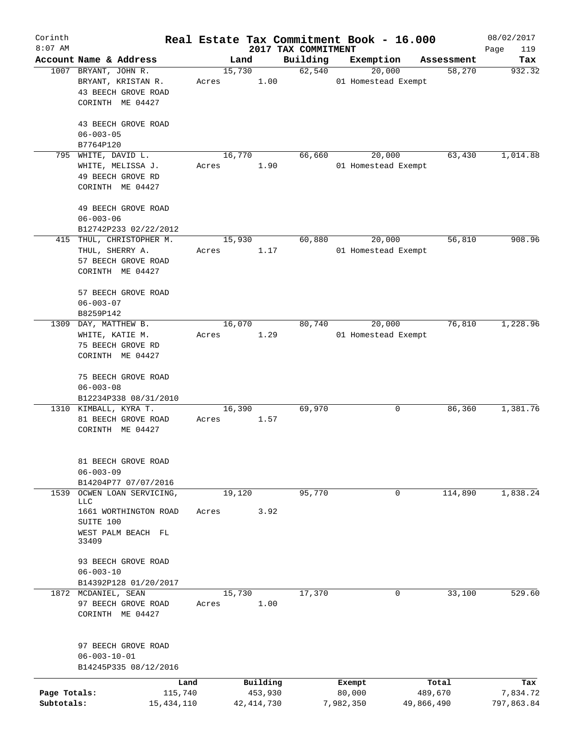| Corinth      |                                             |       |                |              |                     | Real Estate Tax Commitment Book - 16.000 |                      | 08/02/2017    |
|--------------|---------------------------------------------|-------|----------------|--------------|---------------------|------------------------------------------|----------------------|---------------|
| $8:07$ AM    | Account Name & Address                      |       |                |              | 2017 TAX COMMITMENT |                                          |                      | Page<br>119   |
|              | 1007 BRYANT, JOHN R.                        |       | Land<br>15,730 |              | Building<br>62,540  | Exemption<br>20,000                      | Assessment<br>58,270 | Tax<br>932.32 |
|              | BRYANT, KRISTAN R.<br>43 BEECH GROVE ROAD   | Acres |                | 1.00         |                     | 01 Homestead Exempt                      |                      |               |
|              | CORINTH ME 04427                            |       |                |              |                     |                                          |                      |               |
|              | 43 BEECH GROVE ROAD<br>$06 - 003 - 05$      |       |                |              |                     |                                          |                      |               |
|              | B7764P120                                   |       |                |              |                     |                                          |                      |               |
| 795          | WHITE, DAVID L.                             |       | 16,770         |              | 66,660              | 20,000                                   | 63,430               | 1,014.88      |
|              | WHITE, MELISSA J.                           | Acres |                | 1.90         |                     | 01 Homestead Exempt                      |                      |               |
|              | 49 BEECH GROVE RD<br>CORINTH ME 04427       |       |                |              |                     |                                          |                      |               |
|              |                                             |       |                |              |                     |                                          |                      |               |
|              | 49 BEECH GROVE ROAD                         |       |                |              |                     |                                          |                      |               |
|              | $06 - 003 - 06$                             |       |                |              |                     |                                          |                      |               |
|              | B12742P233 02/22/2012                       |       |                |              | 60,880              |                                          | 56,810               | 908.96        |
|              | 415 THUL, CHRISTOPHER M.<br>THUL, SHERRY A. | Acres | 15,930         | 1.17         |                     | 20,000<br>01 Homestead Exempt            |                      |               |
|              | 57 BEECH GROVE ROAD                         |       |                |              |                     |                                          |                      |               |
|              | CORINTH ME 04427                            |       |                |              |                     |                                          |                      |               |
|              | 57 BEECH GROVE ROAD                         |       |                |              |                     |                                          |                      |               |
|              | $06 - 003 - 07$                             |       |                |              |                     |                                          |                      |               |
|              | B8259P142                                   |       |                |              |                     |                                          |                      |               |
| 1309         | DAY, MATTHEW B.                             |       | 16,070         |              | 80,740              | 20,000                                   | 76,810               | 1,228.96      |
|              | WHITE, KATIE M.                             | Acres |                | 1.29         |                     | 01 Homestead Exempt                      |                      |               |
|              | 75 BEECH GROVE RD                           |       |                |              |                     |                                          |                      |               |
|              | CORINTH ME 04427                            |       |                |              |                     |                                          |                      |               |
|              | 75 BEECH GROVE ROAD                         |       |                |              |                     |                                          |                      |               |
|              | $06 - 003 - 08$                             |       |                |              |                     |                                          |                      |               |
|              | B12234P338 08/31/2010                       |       |                |              |                     |                                          |                      |               |
|              | 1310 KIMBALL, KYRA T.                       |       | 16,390         |              | 69,970              | 0                                        | 86,360               | 1,381.76      |
|              | 81 BEECH GROVE ROAD                         | Acres |                | 1.57         |                     |                                          |                      |               |
|              | CORINTH ME 04427                            |       |                |              |                     |                                          |                      |               |
|              |                                             |       |                |              |                     |                                          |                      |               |
|              | 81 BEECH GROVE ROAD<br>$06 - 003 - 09$      |       |                |              |                     |                                          |                      |               |
|              | B14204P77 07/07/2016                        |       |                |              |                     |                                          |                      |               |
| 1539         | OCWEN LOAN SERVICING,                       |       | 19,120         |              | 95,770              | 0                                        | 114,890              | 1,838.24      |
|              | LLC                                         |       |                |              |                     |                                          |                      |               |
|              | 1661 WORTHINGTON ROAD                       | Acres |                | 3.92         |                     |                                          |                      |               |
|              | SUITE 100                                   |       |                |              |                     |                                          |                      |               |
|              | WEST PALM BEACH FL<br>33409                 |       |                |              |                     |                                          |                      |               |
|              | 93 BEECH GROVE ROAD                         |       |                |              |                     |                                          |                      |               |
|              | $06 - 003 - 10$                             |       |                |              |                     |                                          |                      |               |
|              | B14392P128 01/20/2017                       |       |                |              |                     |                                          |                      |               |
|              | 1872 MCDANIEL, SEAN                         |       | 15,730         |              | 17,370              | 0                                        | 33,100               | 529.60        |
|              | 97 BEECH GROVE ROAD                         | Acres |                | 1.00         |                     |                                          |                      |               |
|              | CORINTH ME 04427                            |       |                |              |                     |                                          |                      |               |
|              |                                             |       |                |              |                     |                                          |                      |               |
|              | 97 BEECH GROVE ROAD<br>$06 - 003 - 10 - 01$ |       |                |              |                     |                                          |                      |               |
|              | B14245P335 08/12/2016                       |       |                |              |                     |                                          |                      |               |
|              |                                             | Land  |                | Building     |                     | Exempt                                   | Total                | Tax           |
| Page Totals: | 115,740                                     |       |                | 453,930      |                     | 80,000                                   | 489,670              | 7,834.72      |
| Subtotals:   | 15,434,110                                  |       |                | 42, 414, 730 |                     | 7,982,350                                | 49,866,490           | 797,863.84    |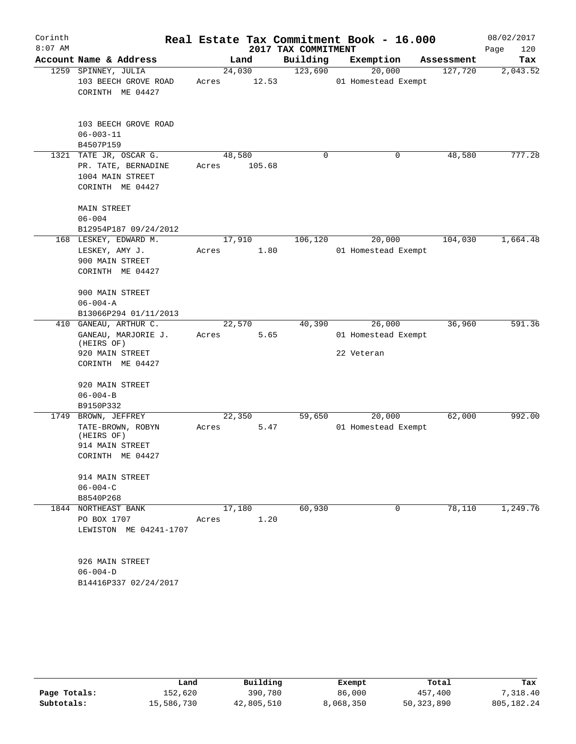| Corinth<br>$8:07$ AM |                                                             |        |        | 2017 TAX COMMITMENT | Real Estate Tax Commitment Book - 16.000 |            | 08/02/2017<br>Page<br>120 |
|----------------------|-------------------------------------------------------------|--------|--------|---------------------|------------------------------------------|------------|---------------------------|
|                      | Account Name & Address                                      |        | Land   | Building            | Exemption                                | Assessment | Tax                       |
|                      | 1259 SPINNEY, JULIA                                         | 24,030 |        | 123,690             | 20,000                                   | 127,720    | 2,043.52                  |
|                      | 103 BEECH GROVE ROAD                                        | Acres  | 12.53  |                     | 01 Homestead Exempt                      |            |                           |
|                      | CORINTH ME 04427                                            |        |        |                     |                                          |            |                           |
|                      | 103 BEECH GROVE ROAD                                        |        |        |                     |                                          |            |                           |
|                      | $06 - 003 - 11$                                             |        |        |                     |                                          |            |                           |
|                      | B4507P159                                                   |        |        |                     |                                          |            |                           |
|                      | 1321 TATE JR, OSCAR G.                                      | 48,580 |        | 0                   | 0                                        | 48,580     | 777.28                    |
|                      | PR. TATE, BERNADINE<br>1004 MAIN STREET<br>CORINTH ME 04427 | Acres  | 105.68 |                     |                                          |            |                           |
|                      | <b>MAIN STREET</b>                                          |        |        |                     |                                          |            |                           |
|                      | $06 - 004$                                                  |        |        |                     |                                          |            |                           |
|                      | B12954P187 09/24/2012<br>168 LESKEY, EDWARD M.              | 17,910 |        | 106,120             | 20,000                                   | 104,030    | 1,664.48                  |
|                      | LESKEY, AMY J.                                              | Acres  | 1.80   |                     | 01 Homestead Exempt                      |            |                           |
|                      | 900 MAIN STREET                                             |        |        |                     |                                          |            |                           |
|                      | CORINTH ME 04427                                            |        |        |                     |                                          |            |                           |
|                      | 900 MAIN STREET                                             |        |        |                     |                                          |            |                           |
|                      | $06 - 004 - A$<br>B13066P294 01/11/2013                     |        |        |                     |                                          |            |                           |
| 410                  | GANEAU, ARTHUR C.                                           | 22,570 |        | 40,390              | 26,000                                   | 36,960     | 591.36                    |
|                      | GANEAU, MARJORIE J.<br>(HEIRS OF)                           | Acres  | 5.65   |                     | 01 Homestead Exempt                      |            |                           |
|                      | 920 MAIN STREET                                             |        |        |                     | 22 Veteran                               |            |                           |
|                      | CORINTH ME 04427                                            |        |        |                     |                                          |            |                           |
|                      | 920 MAIN STREET                                             |        |        |                     |                                          |            |                           |
|                      | $06 - 004 - B$                                              |        |        |                     |                                          |            |                           |
|                      | B9150P332                                                   |        |        |                     |                                          |            |                           |
|                      | 1749 BROWN, JEFFREY                                         | 22,350 |        | 59,650              | 20,000                                   | 62,000     | 992.00                    |
|                      | TATE-BROWN, ROBYN<br>(HEIRS OF)                             | Acres  | 5.47   |                     | 01 Homestead Exempt                      |            |                           |
|                      | 914 MAIN STREET                                             |        |        |                     |                                          |            |                           |
|                      | CORINTH ME 04427                                            |        |        |                     |                                          |            |                           |
|                      | 914 MAIN STREET                                             |        |        |                     |                                          |            |                           |
|                      | $06 - 004 - C$                                              |        |        |                     |                                          |            |                           |
|                      | B8540P268                                                   |        |        |                     |                                          |            |                           |
|                      | 1844 NORTHEAST BANK                                         |        | 17,180 | 60,930              | 0                                        | 78,110     | 1,249.76                  |
|                      | PO BOX 1707                                                 | Acres  | 1.20   |                     |                                          |            |                           |
|                      | LEWISTON ME 04241-1707                                      |        |        |                     |                                          |            |                           |
|                      | 926 MAIN STREET                                             |        |        |                     |                                          |            |                           |
|                      | $06 - 004 - D$                                              |        |        |                     |                                          |            |                           |
|                      | B14416P337 02/24/2017                                       |        |        |                     |                                          |            |                           |

|              | Land       | Building   | Exempt    | Total      | Tax        |
|--------------|------------|------------|-----------|------------|------------|
| Page Totals: | 152,620    | 390,780    | 86,000    | 457,400    | 7,318.40   |
| Subtotals:   | 15,586,730 | 42,805,510 | 8,068,350 | 50,323,890 | 805,182.24 |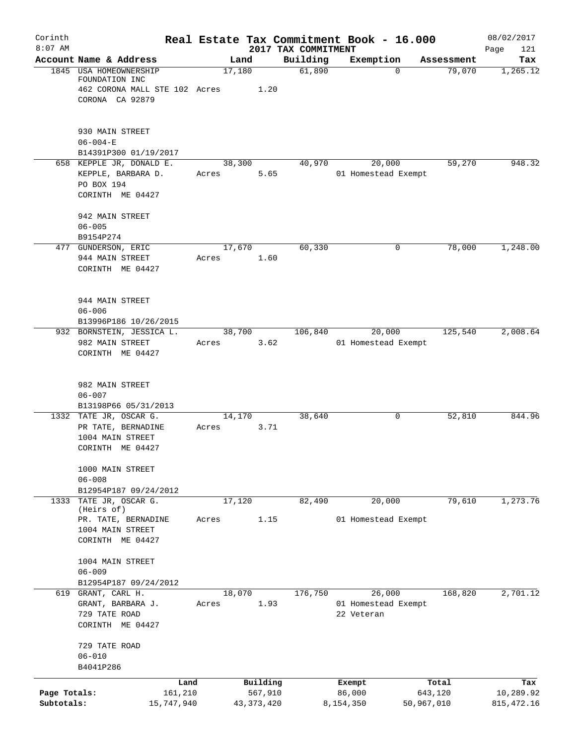| Corinth                    |                                                                                                     |                 |                                     |          | Real Estate Tax Commitment Book - 16.000    |                                | 08/02/2017                      |
|----------------------------|-----------------------------------------------------------------------------------------------------|-----------------|-------------------------------------|----------|---------------------------------------------|--------------------------------|---------------------------------|
| $8:07$ AM                  | Account Name & Address                                                                              | Land            | 2017 TAX COMMITMENT                 | Building | Exemption                                   | Assessment                     | Page<br>121<br>Tax              |
|                            | 1845 USA HOMEOWNERSHIP<br>FOUNDATION INC<br>462 CORONA MALL STE 102 Acres<br>CORONA CA 92879        | 17,180          | 1.20                                | 61,890   | $\Omega$                                    | 79,070                         | 1,265.12                        |
|                            | 930 MAIN STREET<br>$06 - 004 - E$<br>B14391P300 01/19/2017                                          |                 |                                     |          |                                             |                                |                                 |
|                            | 658 KEPPLE JR, DONALD E.<br>KEPPLE, BARBARA D.<br>PO BOX 194<br>CORINTH ME 04427                    | 38,300<br>Acres | 5.65                                | 40,970   | 20,000<br>01 Homestead Exempt               | 59,270                         | 948.32                          |
|                            | 942 MAIN STREET<br>$06 - 005$<br>B9154P274                                                          |                 |                                     |          |                                             |                                |                                 |
|                            | 477 GUNDERSON, ERIC<br>944 MAIN STREET<br>CORINTH ME 04427                                          | 17,670<br>Acres | 1.60                                | 60,330   | 0                                           | 78,000                         | 1,248.00                        |
|                            | 944 MAIN STREET<br>$06 - 006$<br>B13996P186 10/26/2015                                              |                 |                                     |          |                                             |                                |                                 |
|                            | 932 BORNSTEIN, JESSICA L.<br>982 MAIN STREET<br>CORINTH ME 04427                                    | 38,700<br>Acres | 3.62                                | 106,840  | 20,000<br>01 Homestead Exempt               | 125,540                        | 2,008.64                        |
|                            | 982 MAIN STREET<br>$06 - 007$<br>B13198P66 05/31/2013                                               |                 |                                     |          |                                             |                                |                                 |
|                            | 1332 TATE JR, OSCAR G.<br>PR TATE, BERNADINE<br>1004 MAIN STREET<br>CORINTH ME 04427                | 14,170<br>Acres | 3.71                                | 38,640   | 0                                           | 52,810                         | 844.96                          |
|                            | 1000 MAIN STREET<br>$06 - 008$<br>B12954P187 09/24/2012                                             |                 |                                     |          |                                             |                                |                                 |
|                            | 1333 TATE JR, OSCAR G.<br>(Heirs of)<br>PR. TATE, BERNADINE<br>1004 MAIN STREET<br>CORINTH ME 04427 | 17,120<br>Acres | 1.15                                | 82,490   | 20,000<br>01 Homestead Exempt               | 79,610                         | 1,273.76                        |
|                            | 1004 MAIN STREET<br>$06 - 009$<br>B12954P187 09/24/2012                                             |                 |                                     |          |                                             |                                |                                 |
|                            | 619 GRANT, CARL H.<br>GRANT, BARBARA J.<br>729 TATE ROAD<br>CORINTH ME 04427                        | 18,070<br>Acres | 1.93                                | 176,750  | 26,000<br>01 Homestead Exempt<br>22 Veteran | 168,820                        | 2,701.12                        |
|                            | 729 TATE ROAD<br>$06 - 010$<br>B4041P286                                                            |                 |                                     |          |                                             |                                |                                 |
| Page Totals:<br>Subtotals: | Land<br>161,210<br>15,747,940                                                                       |                 | Building<br>567,910<br>43, 373, 420 |          | Exempt<br>86,000<br>8,154,350               | Total<br>643,120<br>50,967,010 | Tax<br>10,289.92<br>815, 472.16 |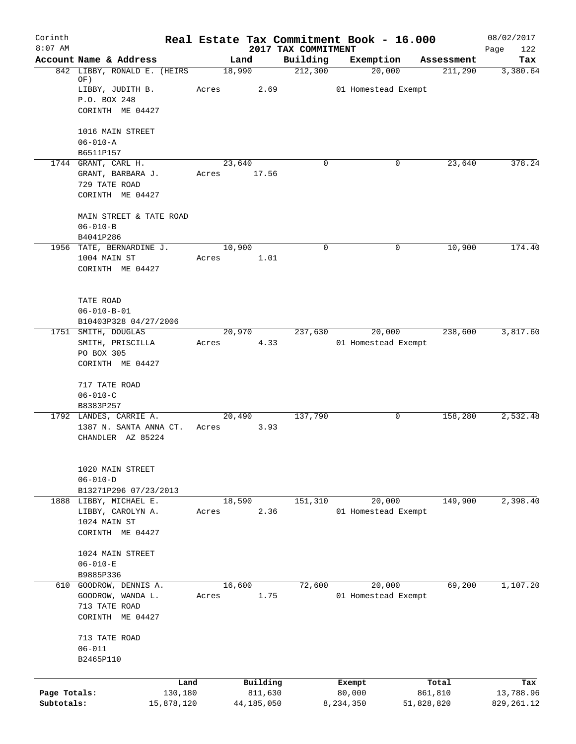| Corinth<br>$8:07$ AM |                                                  | Real Estate Tax Commitment Book - 16.000 | 2017 TAX COMMITMENT |                     |            | 08/02/2017         |
|----------------------|--------------------------------------------------|------------------------------------------|---------------------|---------------------|------------|--------------------|
|                      | Account Name & Address                           | Land                                     | Building            | Exemption           | Assessment | Page<br>122<br>Tax |
|                      | 842 LIBBY, RONALD E. (HEIRS                      | 18,990                                   | 212,300             | 20,000              | 211,290    | 3,380.64           |
|                      | OF)                                              | Acres<br>2.69                            |                     | 01 Homestead Exempt |            |                    |
|                      | LIBBY, JUDITH B.<br>P.O. BOX 248                 |                                          |                     |                     |            |                    |
|                      | CORINTH ME 04427                                 |                                          |                     |                     |            |                    |
|                      | 1016 MAIN STREET                                 |                                          |                     |                     |            |                    |
|                      | $06 - 010 - A$                                   |                                          |                     |                     |            |                    |
|                      | B6511P157<br>1744 GRANT, CARL H.                 | 23,640                                   | $\Omega$            | 0                   | 23,640     | 378.24             |
|                      | GRANT, BARBARA J.                                | Acres 17.56                              |                     |                     |            |                    |
|                      | 729 TATE ROAD                                    |                                          |                     |                     |            |                    |
|                      | CORINTH ME 04427                                 |                                          |                     |                     |            |                    |
|                      | MAIN STREET & TATE ROAD                          |                                          |                     |                     |            |                    |
|                      | $06 - 010 - B$<br>B4041P286                      |                                          |                     |                     |            |                    |
|                      | 1956 TATE, BERNARDINE J.                         | 10,900                                   | $\mathbf 0$         | 0                   | 10,900     | 174.40             |
|                      | 1004 MAIN ST                                     | Acres<br>1.01                            |                     |                     |            |                    |
|                      | CORINTH ME 04427                                 |                                          |                     |                     |            |                    |
|                      |                                                  |                                          |                     |                     |            |                    |
|                      | TATE ROAD<br>$06 - 010 - B - 01$                 |                                          |                     |                     |            |                    |
|                      | B10403P328 04/27/2006                            |                                          |                     |                     |            |                    |
|                      | 1751 SMITH, DOUGLAS                              | 20,970                                   | 237,630             | 20,000              | 238,600    | 3,817.60           |
|                      | SMITH, PRISCILLA                                 | 4.33<br>Acres                            |                     | 01 Homestead Exempt |            |                    |
|                      | PO BOX 305<br>CORINTH ME 04427                   |                                          |                     |                     |            |                    |
|                      |                                                  |                                          |                     |                     |            |                    |
|                      | 717 TATE ROAD                                    |                                          |                     |                     |            |                    |
|                      | $06 - 010 - C$                                   |                                          |                     |                     |            |                    |
|                      | B8383P257                                        | 20,490                                   |                     | 0                   | 158,280    | 2,532.48           |
|                      | 1792 LANDES, CARRIE A.<br>1387 N. SANTA ANNA CT. | 3.93<br>Acres                            | 137,790             |                     |            |                    |
|                      | CHANDLER AZ 85224                                |                                          |                     |                     |            |                    |
|                      |                                                  |                                          |                     |                     |            |                    |
|                      | 1020 MAIN STREET<br>$06 - 010 - D$               |                                          |                     |                     |            |                    |
|                      | B13271P296 07/23/2013                            |                                          |                     |                     |            |                    |
|                      | 1888 LIBBY, MICHAEL E.                           | 18,590                                   | 151,310             | 20,000              | 149,900    | 2,398.40           |
|                      | LIBBY, CAROLYN A.                                | 2.36<br>Acres                            |                     | 01 Homestead Exempt |            |                    |
|                      | 1024 MAIN ST<br>CORINTH ME 04427                 |                                          |                     |                     |            |                    |
|                      |                                                  |                                          |                     |                     |            |                    |
|                      | 1024 MAIN STREET                                 |                                          |                     |                     |            |                    |
|                      | $06 - 010 - E$                                   |                                          |                     |                     |            |                    |
|                      | B9885P336<br>610 GOODROW, DENNIS A.              | 16,600                                   | 72,600              | 20,000              | 69,200     | 1,107.20           |
|                      | GOODROW, WANDA L.                                | 1.75<br>Acres                            |                     | 01 Homestead Exempt |            |                    |
|                      | 713 TATE ROAD                                    |                                          |                     |                     |            |                    |
|                      | CORINTH ME 04427                                 |                                          |                     |                     |            |                    |
|                      | 713 TATE ROAD                                    |                                          |                     |                     |            |                    |
|                      | $06 - 011$                                       |                                          |                     |                     |            |                    |
|                      | B2465P110                                        |                                          |                     |                     |            |                    |
|                      | Land                                             | Building                                 |                     | Exempt              | Total      | Tax                |
| Page Totals:         | 130,180                                          | 811,630                                  |                     | 80,000              | 861,810    | 13,788.96          |
| Subtotals:           | 15,878,120                                       | 44,185,050                               |                     | 8,234,350           | 51,828,820 | 829, 261.12        |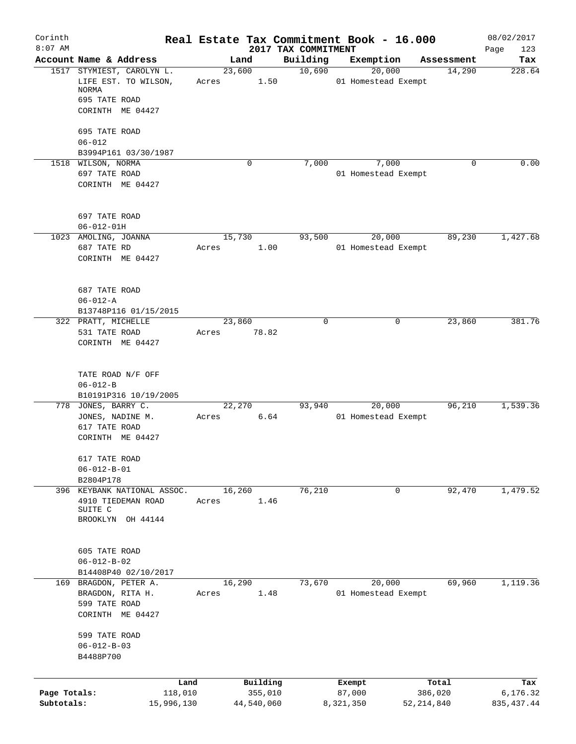| Corinth<br>$8:07$ AM |                                                   |       |                     | Real Estate Tax Commitment Book - 16.000<br>2017 TAX COMMITMENT |                  |                     |                  | 08/02/2017         |
|----------------------|---------------------------------------------------|-------|---------------------|-----------------------------------------------------------------|------------------|---------------------|------------------|--------------------|
|                      | Account Name & Address                            |       | Land                | Building                                                        |                  | Exemption           | Assessment       | Page<br>123<br>Tax |
|                      | 1517 STYMIEST, CAROLYN L.                         |       | 23,600              | 10,690                                                          |                  | 20,000              | 14,290           | 228.64             |
|                      | LIFE EST. TO WILSON,<br><b>NORMA</b>              | Acres | 1.50                |                                                                 |                  | 01 Homestead Exempt |                  |                    |
|                      | 695 TATE ROAD                                     |       |                     |                                                                 |                  |                     |                  |                    |
|                      | CORINTH ME 04427                                  |       |                     |                                                                 |                  |                     |                  |                    |
|                      | 695 TATE ROAD<br>$06 - 012$                       |       |                     |                                                                 |                  |                     |                  |                    |
|                      | B3994P161 03/30/1987                              |       |                     |                                                                 |                  |                     |                  |                    |
|                      | 1518 WILSON, NORMA                                |       | $\Omega$            | 7,000                                                           |                  | 7,000               | $\Omega$         | 0.00               |
|                      | 697 TATE ROAD                                     |       |                     |                                                                 |                  | 01 Homestead Exempt |                  |                    |
|                      | CORINTH ME 04427                                  |       |                     |                                                                 |                  |                     |                  |                    |
|                      | 697 TATE ROAD                                     |       |                     |                                                                 |                  |                     |                  |                    |
|                      | $06 - 012 - 01H$                                  |       |                     |                                                                 |                  |                     |                  |                    |
|                      | 1023 AMOLING, JOANNA                              |       | 15,730              | 93,500                                                          |                  | 20,000              | 89,230           | 1,427.68           |
|                      | 687 TATE RD                                       | Acres | 1.00                |                                                                 |                  | 01 Homestead Exempt |                  |                    |
|                      | CORINTH ME 04427                                  |       |                     |                                                                 |                  |                     |                  |                    |
|                      | 687 TATE ROAD                                     |       |                     |                                                                 |                  |                     |                  |                    |
|                      | $06 - 012 - A$                                    |       |                     |                                                                 |                  |                     |                  |                    |
|                      | B13748P116 01/15/2015<br>322 PRATT, MICHELLE      |       | 23,860              | $\Omega$                                                        |                  | 0                   | 23,860           | 381.76             |
|                      | 531 TATE ROAD                                     | Acres | 78.82               |                                                                 |                  |                     |                  |                    |
|                      | CORINTH ME 04427                                  |       |                     |                                                                 |                  |                     |                  |                    |
|                      | TATE ROAD N/F OFF<br>$06 - 012 - B$               |       |                     |                                                                 |                  |                     |                  |                    |
|                      | B10191P316 10/19/2005                             |       |                     |                                                                 |                  |                     |                  |                    |
|                      | 778 JONES, BARRY C.                               |       | 22,270              | 93,940                                                          |                  | 20,000              | 96,210           | 1,539.36           |
|                      | JONES, NADINE M.                                  | Acres | 6.64                |                                                                 |                  | 01 Homestead Exempt |                  |                    |
|                      | 617 TATE ROAD<br>CORINTH ME 04427                 |       |                     |                                                                 |                  |                     |                  |                    |
|                      | 617 TATE ROAD                                     |       |                     |                                                                 |                  |                     |                  |                    |
|                      | $06 - 012 - B - 01$                               |       |                     |                                                                 |                  |                     |                  |                    |
|                      | B2804P178                                         |       |                     |                                                                 |                  |                     |                  |                    |
|                      | 396 KEYBANK NATIONAL ASSOC.<br>4910 TIEDEMAN ROAD | Acres | 16,260<br>1.46      | 76,210                                                          |                  | 0                   | 92,470           | 1,479.52           |
|                      | SUITE C                                           |       |                     |                                                                 |                  |                     |                  |                    |
|                      | BROOKLYN OH 44144                                 |       |                     |                                                                 |                  |                     |                  |                    |
|                      | 605 TATE ROAD                                     |       |                     |                                                                 |                  |                     |                  |                    |
|                      | $06 - 012 - B - 02$                               |       |                     |                                                                 |                  |                     |                  |                    |
|                      | B14408P40 02/10/2017                              |       |                     |                                                                 |                  |                     |                  |                    |
| 169                  | BRAGDON, PETER A.                                 |       | 16,290              | 73,670                                                          |                  | 20,000              | 69,960           | 1,119.36           |
|                      | BRAGDON, RITA H.                                  | Acres | 1.48                |                                                                 |                  | 01 Homestead Exempt |                  |                    |
|                      | 599 TATE ROAD                                     |       |                     |                                                                 |                  |                     |                  |                    |
|                      | CORINTH ME 04427                                  |       |                     |                                                                 |                  |                     |                  |                    |
|                      | 599 TATE ROAD                                     |       |                     |                                                                 |                  |                     |                  |                    |
|                      | $06 - 012 - B - 03$                               |       |                     |                                                                 |                  |                     |                  |                    |
|                      | B4488P700                                         |       |                     |                                                                 |                  |                     |                  |                    |
|                      |                                                   |       |                     |                                                                 |                  |                     |                  |                    |
| Page Totals:         | Land<br>118,010                                   |       | Building<br>355,010 |                                                                 | Exempt<br>87,000 |                     | Total<br>386,020 | Tax<br>6,176.32    |
| Subtotals:           | 15,996,130                                        |       | 44,540,060          |                                                                 | 8,321,350        |                     | 52,214,840       | 835, 437.44        |
|                      |                                                   |       |                     |                                                                 |                  |                     |                  |                    |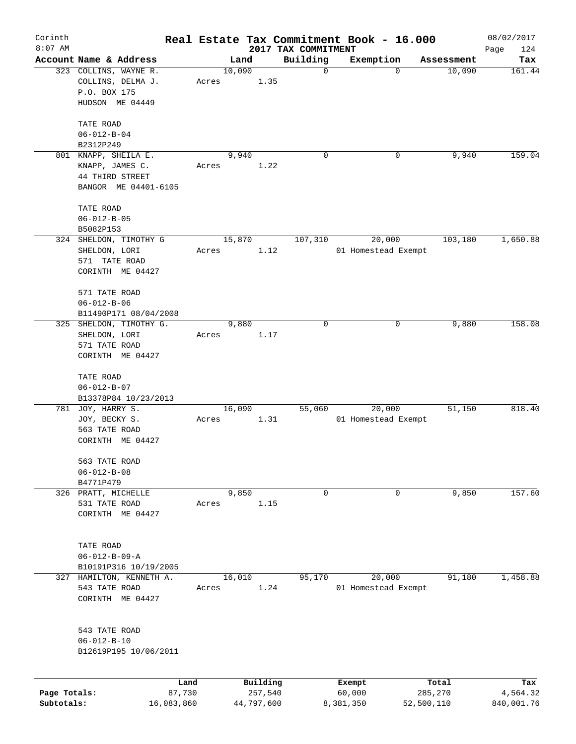| Corinth      |                                   |       |        |                     |                                 | Real Estate Tax Commitment Book - 16.000 |                    | 08/02/2017         |
|--------------|-----------------------------------|-------|--------|---------------------|---------------------------------|------------------------------------------|--------------------|--------------------|
| $8:07$ AM    | Account Name & Address            |       | Land   |                     | 2017 TAX COMMITMENT<br>Building | Exemption                                | Assessment         | 124<br>Page<br>Tax |
|              | 323 COLLINS, WAYNE R.             |       | 10,090 |                     | 0                               |                                          | $\Omega$<br>10,090 | 161.44             |
|              | COLLINS, DELMA J.                 | Acres |        | 1.35                |                                 |                                          |                    |                    |
|              | P.O. BOX 175                      |       |        |                     |                                 |                                          |                    |                    |
|              | HUDSON ME 04449                   |       |        |                     |                                 |                                          |                    |                    |
|              |                                   |       |        |                     |                                 |                                          |                    |                    |
|              | TATE ROAD                         |       |        |                     |                                 |                                          |                    |                    |
|              | $06 - 012 - B - 04$               |       |        |                     |                                 |                                          |                    |                    |
|              | B2312P249                         |       |        |                     |                                 |                                          |                    |                    |
|              | 801 KNAPP, SHEILA E.              |       | 9,940  |                     | 0                               |                                          | 9,940<br>0         | 159.04             |
|              | KNAPP, JAMES C.                   | Acres |        | 1.22                |                                 |                                          |                    |                    |
|              | 44 THIRD STREET                   |       |        |                     |                                 |                                          |                    |                    |
|              | BANGOR ME 04401-6105              |       |        |                     |                                 |                                          |                    |                    |
|              | TATE ROAD                         |       |        |                     |                                 |                                          |                    |                    |
|              | $06 - 012 - B - 05$               |       |        |                     |                                 |                                          |                    |                    |
|              | B5082P153                         |       |        |                     |                                 |                                          |                    |                    |
|              | 324 SHELDON, TIMOTHY G            |       | 15,870 |                     | 107,310                         | 20,000                                   | 103,180            | 1,650.88           |
|              | SHELDON, LORI                     | Acres |        | 1.12                |                                 | 01 Homestead Exempt                      |                    |                    |
|              | 571 TATE ROAD                     |       |        |                     |                                 |                                          |                    |                    |
|              | CORINTH ME 04427                  |       |        |                     |                                 |                                          |                    |                    |
|              |                                   |       |        |                     |                                 |                                          |                    |                    |
|              | 571 TATE ROAD                     |       |        |                     |                                 |                                          |                    |                    |
|              | $06 - 012 - B - 06$               |       |        |                     |                                 |                                          |                    |                    |
|              | B11490P171 08/04/2008             |       |        |                     |                                 |                                          |                    |                    |
| 325          | SHELDON, TIMOTHY G.               |       | 9,880  |                     | 0                               |                                          | 9,880<br>0         | 158.08             |
|              | SHELDON, LORI                     | Acres |        | 1.17                |                                 |                                          |                    |                    |
|              | 571 TATE ROAD<br>CORINTH ME 04427 |       |        |                     |                                 |                                          |                    |                    |
|              |                                   |       |        |                     |                                 |                                          |                    |                    |
|              | TATE ROAD                         |       |        |                     |                                 |                                          |                    |                    |
|              | $06 - 012 - B - 07$               |       |        |                     |                                 |                                          |                    |                    |
|              | B13378P84 10/23/2013              |       |        |                     |                                 |                                          |                    |                    |
|              | 781 JOY, HARRY S.                 |       | 16,090 |                     | 55,060                          | 20,000                                   | 51,150             | 818.40             |
|              | JOY, BECKY S.                     | Acres |        | 1.31                |                                 | 01 Homestead Exempt                      |                    |                    |
|              | 563 TATE ROAD                     |       |        |                     |                                 |                                          |                    |                    |
|              | CORINTH ME 04427                  |       |        |                     |                                 |                                          |                    |                    |
|              | 563 TATE ROAD                     |       |        |                     |                                 |                                          |                    |                    |
|              | $06 - 012 - B - 08$               |       |        |                     |                                 |                                          |                    |                    |
|              | B4771P479                         |       |        |                     |                                 |                                          |                    |                    |
|              | 326 PRATT, MICHELLE               |       | 9,850  |                     | 0                               |                                          | 9,850<br>0         | 157.60             |
|              | 531 TATE ROAD                     | Acres |        | 1.15                |                                 |                                          |                    |                    |
|              | CORINTH ME 04427                  |       |        |                     |                                 |                                          |                    |                    |
|              |                                   |       |        |                     |                                 |                                          |                    |                    |
|              | TATE ROAD                         |       |        |                     |                                 |                                          |                    |                    |
|              | $06 - 012 - B - 09 - A$           |       |        |                     |                                 |                                          |                    |                    |
|              | B10191P316 10/19/2005             |       |        |                     |                                 |                                          |                    |                    |
|              | 327 HAMILTON, KENNETH A.          |       | 16,010 |                     | 95,170                          | 20,000                                   | 91,180             | 1,458.88           |
|              | 543 TATE ROAD                     | Acres |        | 1.24                |                                 | 01 Homestead Exempt                      |                    |                    |
|              | CORINTH ME 04427                  |       |        |                     |                                 |                                          |                    |                    |
|              |                                   |       |        |                     |                                 |                                          |                    |                    |
|              |                                   |       |        |                     |                                 |                                          |                    |                    |
|              | 543 TATE ROAD                     |       |        |                     |                                 |                                          |                    |                    |
|              | $06 - 012 - B - 10$               |       |        |                     |                                 |                                          |                    |                    |
|              | B12619P195 10/06/2011             |       |        |                     |                                 |                                          |                    |                    |
|              |                                   |       |        |                     |                                 |                                          |                    |                    |
| Page Totals: | Land<br>87,730                    |       |        | Building<br>257,540 |                                 | Exempt<br>60,000                         | Total<br>285,270   | Tax<br>4,564.32    |
| Subtotals:   | 16,083,860                        |       |        | 44,797,600          |                                 | 8,381,350                                | 52,500,110         | 840,001.76         |
|              |                                   |       |        |                     |                                 |                                          |                    |                    |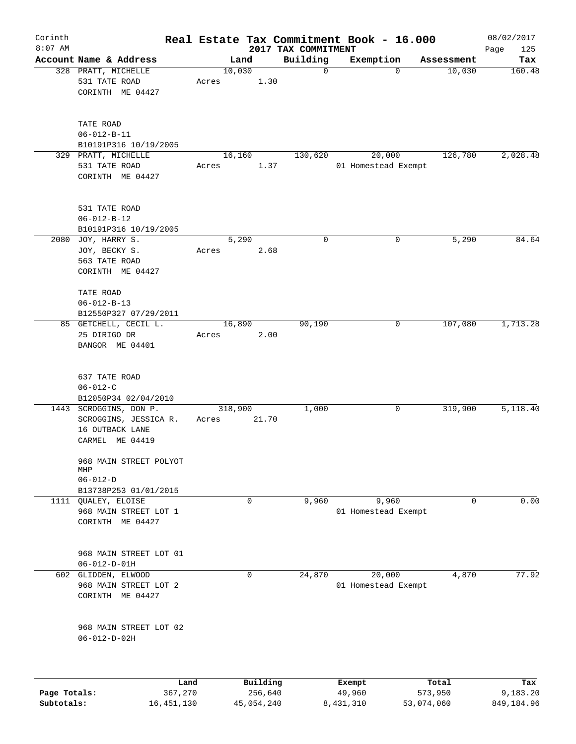| Corinth                    |                                                                                                                       |                         |       |             |                       |                                 | Real Estate Tax Commitment Book - 16.000 |             |                       | 08/02/2017             |
|----------------------------|-----------------------------------------------------------------------------------------------------------------------|-------------------------|-------|-------------|-----------------------|---------------------------------|------------------------------------------|-------------|-----------------------|------------------------|
| $8:07$ AM                  | Account Name & Address                                                                                                |                         |       | Land        |                       | 2017 TAX COMMITMENT<br>Building | Exemption                                |             |                       | Page<br>125<br>Tax     |
|                            | 328 PRATT, MICHELLE<br>531 TATE ROAD<br>CORINTH ME 04427                                                              |                         | Acres | 10,030      | 1.30                  | $\mathbf 0$                     |                                          | $\mathbf 0$ | Assessment<br>10,030  | 160.48                 |
|                            | TATE ROAD<br>$06 - 012 - B - 11$<br>B10191P316 10/19/2005<br>329 PRATT, MICHELLE<br>531 TATE ROAD<br>CORINTH ME 04427 |                         | Acres | 16,160      | 1.37                  | 130,620                         | 20,000<br>01 Homestead Exempt            |             | 126,780               | 2,028.48               |
|                            | 531 TATE ROAD<br>$06 - 012 - B - 12$<br>B10191P316 10/19/2005                                                         |                         |       |             |                       |                                 |                                          |             |                       |                        |
|                            | 2080 JOY, HARRY S.<br>JOY, BECKY S.<br>563 TATE ROAD<br>CORINTH ME 04427<br>TATE ROAD                                 |                         | Acres | 5,290       | 2.68                  | $\mathbf 0$                     |                                          | 0           | 5,290                 | 84.64                  |
|                            | $06 - 012 - B - 13$<br>B12550P327 07/29/2011                                                                          |                         |       |             |                       |                                 |                                          |             |                       |                        |
|                            | 85 GETCHELL, CECIL L.<br>25 DIRIGO DR<br>BANGOR ME 04401                                                              |                         | Acres | 16,890      | 2.00                  | 90,190                          |                                          | 0           | 107,080               | 1,713.28               |
|                            | 637 TATE ROAD<br>$06 - 012 - C$<br>B12050P34 02/04/2010                                                               |                         |       |             |                       |                                 |                                          |             |                       |                        |
|                            | 1443 SCROGGINS, DON P.<br>SCROGGINS, JESSICA R.<br>16 OUTBACK LANE<br>CARMEL ME 04419                                 |                         | Acres | 318,900     | 21.70                 | 1,000                           |                                          | 0           | 319,900               | 5,118.40               |
|                            | 968 MAIN STREET POLYOT<br>MHP<br>$06 - 012 - D$<br>B13738P253 01/01/2015                                              |                         |       |             |                       |                                 |                                          |             |                       |                        |
| 1111                       | <b>OUALEY, ELOISE</b><br>968 MAIN STREET LOT 1<br>CORINTH ME 04427                                                    |                         |       | $\mathbf 0$ |                       | 9,960                           | 9,960<br>01 Homestead Exempt             |             | 0                     | 0.00                   |
|                            | 968 MAIN STREET LOT 01<br>$06 - 012 - D - 01H$                                                                        |                         |       |             |                       |                                 |                                          |             |                       |                        |
|                            | 602 GLIDDEN, ELWOOD<br>968 MAIN STREET LOT 2<br>CORINTH ME 04427                                                      |                         |       | $\mathbf 0$ |                       | 24,870                          | 20,000<br>01 Homestead Exempt            |             | 4,870                 | 77.92                  |
|                            | 968 MAIN STREET LOT 02<br>$06 - 012 - D - 02H$                                                                        |                         |       |             |                       |                                 |                                          |             |                       |                        |
|                            |                                                                                                                       | Land                    |       |             | Building              |                                 | Exempt                                   |             | Total                 | Tax                    |
| Page Totals:<br>Subtotals: |                                                                                                                       | 367,270<br>16, 451, 130 |       |             | 256,640<br>45,054,240 |                                 | 49,960<br>8,431,310                      |             | 573,950<br>53,074,060 | 9,183.20<br>849,184.96 |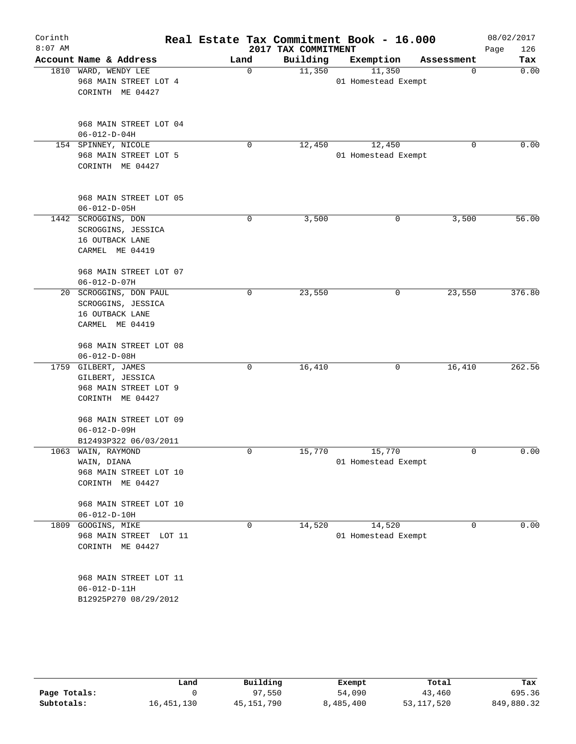| Corinth   |                                                |      |                     | Real Estate Tax Commitment Book - 16.000 |            | 08/02/2017  |
|-----------|------------------------------------------------|------|---------------------|------------------------------------------|------------|-------------|
| $8:07$ AM |                                                |      | 2017 TAX COMMITMENT |                                          |            | 126<br>Page |
|           | Account Name & Address                         | Land | Building            | Exemption                                | Assessment | Tax         |
|           | 1810 WARD, WENDY LEE<br>968 MAIN STREET LOT 4  | 0    | 11,350              | 11,350<br>01 Homestead Exempt            | 0          | 0.00        |
|           | CORINTH ME 04427                               |      |                     |                                          |            |             |
|           |                                                |      |                     |                                          |            |             |
|           | 968 MAIN STREET LOT 04                         |      |                     |                                          |            |             |
|           | $06 - 012 - D - 04H$                           |      |                     |                                          |            |             |
|           | 154 SPINNEY, NICOLE                            | 0    | 12,450              | 12,450                                   | 0          | 0.00        |
|           | 968 MAIN STREET LOT 5                          |      |                     | 01 Homestead Exempt                      |            |             |
|           | CORINTH ME 04427                               |      |                     |                                          |            |             |
|           | 968 MAIN STREET LOT 05<br>$06 - 012 - D - 05H$ |      |                     |                                          |            |             |
|           | 1442 SCROGGINS, DON                            | 0    | 3,500               | 0                                        | 3,500      | 56.00       |
|           | SCROGGINS, JESSICA                             |      |                     |                                          |            |             |
|           | 16 OUTBACK LANE                                |      |                     |                                          |            |             |
|           | CARMEL ME 04419                                |      |                     |                                          |            |             |
|           | 968 MAIN STREET LOT 07                         |      |                     |                                          |            |             |
|           | $06 - 012 - D - 07H$                           |      |                     |                                          |            |             |
|           | 20 SCROGGINS, DON PAUL                         | 0    | 23,550              | 0                                        | 23,550     | 376.80      |
|           | SCROGGINS, JESSICA<br>16 OUTBACK LANE          |      |                     |                                          |            |             |
|           | CARMEL ME 04419                                |      |                     |                                          |            |             |
|           | 968 MAIN STREET LOT 08                         |      |                     |                                          |            |             |
|           | $06 - 012 - D - 08H$                           |      |                     |                                          |            |             |
|           | 1759 GILBERT, JAMES                            | 0    | 16,410              | 0                                        | 16,410     | 262.56      |
|           | GILBERT, JESSICA                               |      |                     |                                          |            |             |
|           | 968 MAIN STREET LOT 9                          |      |                     |                                          |            |             |
|           | CORINTH ME 04427                               |      |                     |                                          |            |             |
|           | 968 MAIN STREET LOT 09                         |      |                     |                                          |            |             |
|           | $06 - 012 - D - 09H$                           |      |                     |                                          |            |             |
|           | B12493P322 06/03/2011                          |      |                     |                                          |            |             |
| 1063      | WAIN, RAYMOND                                  | 0    | 15,770              | 15,770                                   | 0          | 0.00        |
|           | WAIN, DIANA                                    |      |                     | 01 Homestead Exempt                      |            |             |
|           | 968 MAIN STREET LOT 10                         |      |                     |                                          |            |             |
|           | CORINTH ME 04427                               |      |                     |                                          |            |             |
|           | 968 MAIN STREET LOT 10                         |      |                     |                                          |            |             |
|           | $06 - 012 - D - 10H$                           |      |                     |                                          |            |             |
| 1809      | GOOGINS, MIKE                                  | 0    | 14,520              | 14,520                                   | 0          | 0.00        |
|           | 968 MAIN STREET LOT 11                         |      |                     | 01 Homestead Exempt                      |            |             |
|           | CORINTH ME 04427                               |      |                     |                                          |            |             |
|           | 968 MAIN STREET LOT 11                         |      |                     |                                          |            |             |
|           | $06 - 012 - D - 11H$                           |      |                     |                                          |            |             |
|           | B12925P270 08/29/2012                          |      |                     |                                          |            |             |
|           |                                                |      |                     |                                          |            |             |

|              | Land         | Building     | Exempt    | Total        | Tax        |
|--------------|--------------|--------------|-----------|--------------|------------|
| Page Totals: |              | 97,550       | 54,090    | 43,460       | 695.36     |
| Subtotals:   | 16, 451, 130 | 45, 151, 790 | 8,485,400 | 53, 117, 520 | 849,880.32 |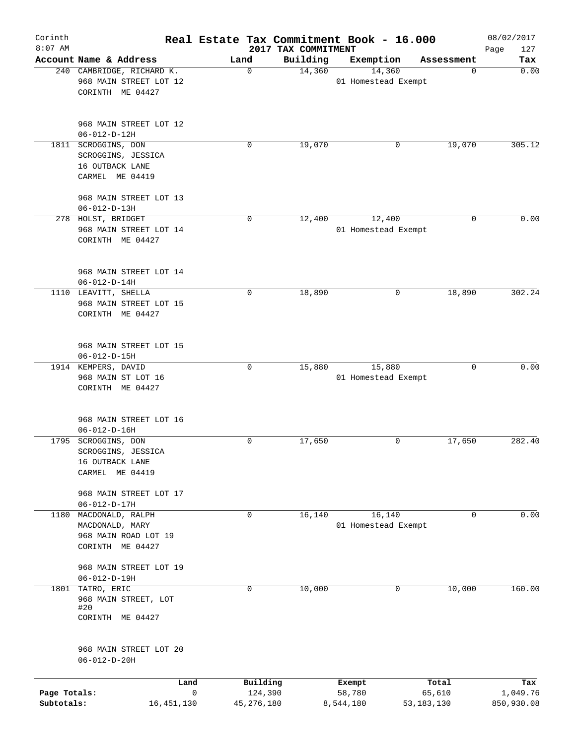| Corinth<br>$8:07$ AM       |                                                |      |                         | 2017 TAX COMMITMENT | Real Estate Tax Commitment Book - 16.000 |              |            | 08/02/2017<br>Page<br>127 |
|----------------------------|------------------------------------------------|------|-------------------------|---------------------|------------------------------------------|--------------|------------|---------------------------|
|                            | Account Name & Address                         | Land |                         | Building            | Exemption                                |              | Assessment | Tax                       |
|                            | 240 CAMBRIDGE, RICHARD K.                      |      | $\mathbf 0$             | 14,360              | 14,360                                   |              | 0          | 0.00                      |
|                            | 968 MAIN STREET LOT 12<br>CORINTH ME 04427     |      |                         |                     | 01 Homestead Exempt                      |              |            |                           |
|                            | 968 MAIN STREET LOT 12<br>$06 - 012 - D - 12H$ |      |                         |                     |                                          |              |            |                           |
|                            | 1811 SCROGGINS, DON                            |      | 0                       | 19,070              |                                          | 0            | 19,070     | 305.12                    |
|                            | SCROGGINS, JESSICA                             |      |                         |                     |                                          |              |            |                           |
|                            | 16 OUTBACK LANE<br>CARMEL ME 04419             |      |                         |                     |                                          |              |            |                           |
|                            | 968 MAIN STREET LOT 13<br>$06 - 012 - D - 13H$ |      |                         |                     |                                          |              |            |                           |
|                            | 278 HOLST, BRIDGET                             |      | $\mathbf 0$             | 12,400              | 12,400                                   |              | 0          | 0.00                      |
|                            | 968 MAIN STREET LOT 14                         |      |                         |                     | 01 Homestead Exempt                      |              |            |                           |
|                            | CORINTH ME 04427                               |      |                         |                     |                                          |              |            |                           |
|                            | 968 MAIN STREET LOT 14                         |      |                         |                     |                                          |              |            |                           |
|                            | $06 - 012 - D - 14H$                           |      |                         |                     |                                          |              |            |                           |
|                            | 1110 LEAVITT, SHELLA                           |      | 0                       | 18,890              |                                          | 0            | 18,890     | 302.24                    |
|                            | 968 MAIN STREET LOT 15<br>CORINTH ME 04427     |      |                         |                     |                                          |              |            |                           |
|                            | 968 MAIN STREET LOT 15                         |      |                         |                     |                                          |              |            |                           |
|                            | $06 - 012 - D - 15H$                           |      |                         |                     |                                          |              |            |                           |
|                            | 1914 KEMPERS, DAVID                            |      | $\mathbf 0$             | 15,880              | 15,880                                   |              | 0          | 0.00                      |
|                            | 968 MAIN ST LOT 16<br>CORINTH ME 04427         |      |                         |                     | 01 Homestead Exempt                      |              |            |                           |
|                            | 968 MAIN STREET LOT 16                         |      |                         |                     |                                          |              |            |                           |
|                            | $06 - 012 - D - 16H$                           |      |                         |                     |                                          |              |            |                           |
|                            | 1795 SCROGGINS, DON<br>SCROGGINS, JESSICA      |      | 0                       | 17,650              |                                          | 0            | 17,650     | 282.40                    |
|                            | 16 OUTBACK LANE                                |      |                         |                     |                                          |              |            |                           |
|                            | CARMEL ME 04419                                |      |                         |                     |                                          |              |            |                           |
|                            | 968 MAIN STREET LOT 17<br>$06 - 012 - D - 17H$ |      |                         |                     |                                          |              |            |                           |
| 1180                       | MACDONALD, RALPH                               |      | 0                       | 16,140              | 16,140                                   |              | 0          | 0.00                      |
|                            | MACDONALD, MARY                                |      |                         |                     | 01 Homestead Exempt                      |              |            |                           |
|                            | 968 MAIN ROAD LOT 19<br>CORINTH ME 04427       |      |                         |                     |                                          |              |            |                           |
|                            | 968 MAIN STREET LOT 19<br>$06 - 012 - D - 19H$ |      |                         |                     |                                          |              |            |                           |
| 1801                       | TATRO, ERIC                                    |      | 0                       | 10,000              |                                          | 0            | 10,000     | 160.00                    |
|                            | 968 MAIN STREET, LOT<br>#20                    |      |                         |                     |                                          |              |            |                           |
|                            | CORINTH ME 04427                               |      |                         |                     |                                          |              |            |                           |
|                            | 968 MAIN STREET LOT 20                         |      |                         |                     |                                          |              |            |                           |
|                            | $06 - 012 - D - 20H$                           |      |                         |                     |                                          |              |            |                           |
|                            | Land                                           |      | Building                |                     | Exempt                                   |              | Total      | Tax                       |
| Page Totals:<br>Subtotals: | 16, 451, 130                                   | 0    | 124,390<br>45, 276, 180 |                     | 58,780<br>8,544,180                      | 53, 183, 130 | 65,610     | 1,049.76<br>850,930.08    |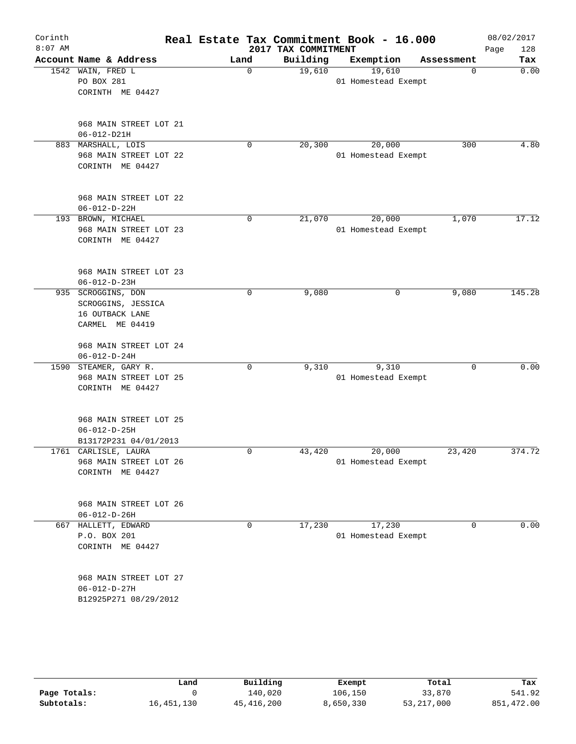| Corinth<br>$8:07$ AM |                                                                                |      |             | 2017 TAX COMMITMENT | Real Estate Tax Commitment Book - 16.000 |            | 08/02/2017<br>Page<br>128 |
|----------------------|--------------------------------------------------------------------------------|------|-------------|---------------------|------------------------------------------|------------|---------------------------|
|                      | Account Name & Address                                                         | Land |             | Building            | Exemption                                | Assessment | Tax                       |
|                      | 1542 WAIN, FRED L<br>PO BOX 281<br>CORINTH ME 04427                            |      | $\mathbf 0$ | 19,610              | 19,610<br>01 Homestead Exempt            | 0          | 0.00                      |
|                      | 968 MAIN STREET LOT 21<br>$06 - 012 - D21H$                                    |      |             |                     |                                          |            |                           |
|                      | 883 MARSHALL, LOIS<br>968 MAIN STREET LOT 22<br>CORINTH ME 04427               |      | 0           | 20,300              | 20,000<br>01 Homestead Exempt            | 300        | 4.80                      |
|                      | 968 MAIN STREET LOT 22<br>$06 - 012 - D - 22H$                                 |      |             |                     |                                          |            |                           |
|                      | 193 BROWN, MICHAEL<br>968 MAIN STREET LOT 23<br>CORINTH ME 04427               |      | 0           | 21,070              | 20,000<br>01 Homestead Exempt            | 1,070      | 17.12                     |
|                      | 968 MAIN STREET LOT 23<br>$06 - 012 - D - 23H$                                 |      |             |                     |                                          |            |                           |
|                      | 935 SCROGGINS, DON<br>SCROGGINS, JESSICA<br>16 OUTBACK LANE<br>CARMEL ME 04419 |      | 0           | 9,080               | 0                                        | 9,080      | 145.28                    |
|                      | 968 MAIN STREET LOT 24<br>$06 - 012 - D - 24H$                                 |      |             |                     |                                          |            |                           |
|                      | 1590 STEAMER, GARY R.<br>968 MAIN STREET LOT 25<br>CORINTH ME 04427            |      | 0           | 9,310               | 9,310<br>01 Homestead Exempt             | 0          | 0.00                      |
|                      | 968 MAIN STREET LOT 25<br>$06 - 012 - D - 25H$<br>B13172P231 04/01/2013        |      |             |                     |                                          |            |                           |
|                      | 1761 CARLISLE, LAURA<br>968 MAIN STREET LOT 26<br>CORINTH ME 04427             |      | 0           | 43,420              | 20,000<br>01 Homestead Exempt            | 23,420     | 374.72                    |
|                      | 968 MAIN STREET LOT 26<br>$06 - 012 - D - 26H$                                 |      |             |                     |                                          |            |                           |
|                      | 667 HALLETT, EDWARD<br>P.O. BOX 201<br>CORINTH ME 04427                        |      | 0           | 17,230              | 17,230<br>01 Homestead Exempt            | 0          | 0.00                      |
|                      | 968 MAIN STREET LOT 27<br>$06 - 012 - D - 27H$<br>B12925P271 08/29/2012        |      |             |                     |                                          |            |                           |
|                      |                                                                                |      |             |                     |                                          |            |                           |

|              | Land       | Building     | Exempt    | Total      | Tax        |
|--------------|------------|--------------|-----------|------------|------------|
| Page Totals: |            | 140,020      | 106,150   | 33,870     | 541.92     |
| Subtotals:   | 16,451,130 | 45, 416, 200 | 8,650,330 | 53,217,000 | 851,472.00 |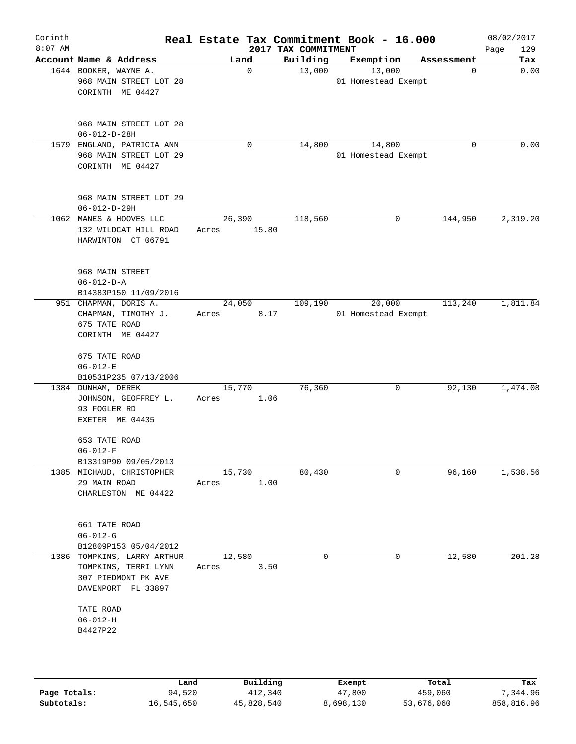| Corinth<br>$8:07$ AM |                                                                                                  |                       | 2017 TAX COMMITMENT | Real Estate Tax Commitment Book - 16.000 |             | 08/02/2017<br>129<br>Page |
|----------------------|--------------------------------------------------------------------------------------------------|-----------------------|---------------------|------------------------------------------|-------------|---------------------------|
|                      | Account Name & Address                                                                           | Land                  | Building            | Exemption                                | Assessment  | Tax                       |
|                      | 1644 BOOKER, WAYNE A.<br>968 MAIN STREET LOT 28<br>CORINTH ME 04427                              | 0                     | 13,000              | 13,000<br>01 Homestead Exempt            | $\mathbf 0$ | 0.00                      |
|                      | 968 MAIN STREET LOT 28<br>$06 - 012 - D - 28H$                                                   |                       |                     |                                          |             |                           |
|                      | 1579 ENGLAND, PATRICIA ANN<br>968 MAIN STREET LOT 29<br>CORINTH ME 04427                         | 0                     | 14,800              | 14,800<br>01 Homestead Exempt            | $\Omega$    | 0.00                      |
|                      | 968 MAIN STREET LOT 29<br>$06 - 012 - D - 29H$                                                   |                       |                     |                                          |             |                           |
|                      | 1062 MANES & HOOVES LLC<br>132 WILDCAT HILL ROAD<br>HARWINTON CT 06791                           | 26,390<br>Acres 15.80 | 118,560             | 0                                        | 144,950     | 2,319.20                  |
|                      | 968 MAIN STREET<br>$06 - 012 - D - A$<br>B14383P150 11/09/2016                                   |                       |                     |                                          |             |                           |
|                      | 951 CHAPMAN, DORIS A.<br>CHAPMAN, TIMOTHY J.<br>675 TATE ROAD<br>CORINTH ME 04427                | 24,050<br>Acres       | 109,190<br>8.17     | 20,000<br>01 Homestead Exempt            | 113,240     | 1,811.84                  |
|                      | 675 TATE ROAD<br>$06 - 012 - E$<br>B10531P235 07/13/2006                                         |                       |                     |                                          |             |                           |
|                      | 1384 DUNHAM, DEREK<br>JOHNSON, GEOFFREY L.<br>93 FOGLER RD<br>EXETER ME 04435                    | 15,770<br>Acres       | 76,360<br>1.06      | 0                                        | 92,130      | 1,474.08                  |
|                      | 653 TATE ROAD<br>$06 - 012 - F$<br>B13319P90 09/05/2013                                          |                       |                     |                                          |             |                           |
|                      | 1385 MICHAUD, CHRISTOPHER<br>29 MAIN ROAD<br>CHARLESTON ME 04422                                 | 15,730<br>Acres       | 80,430<br>1.00      | 0                                        | 96,160      | 1,538.56                  |
|                      | 661 TATE ROAD<br>$06 - 012 - G$<br>B12809P153 05/04/2012                                         |                       |                     |                                          |             |                           |
|                      | 1386 TOMPKINS, LARRY ARTHUR<br>TOMPKINS, TERRI LYNN<br>307 PIEDMONT PK AVE<br>DAVENPORT FL 33897 | 12,580<br>Acres       | $\mathbf 0$<br>3.50 | 0                                        | 12,580      | 201.28                    |
|                      | TATE ROAD<br>$06 - 012 - H$<br>B4427P22                                                          |                       |                     |                                          |             |                           |
|                      |                                                                                                  |                       |                     |                                          |             |                           |

|              | Land       | Building   | Exempt    | Total      | Tax        |
|--------------|------------|------------|-----------|------------|------------|
| Page Totals: | 94,520     | 412,340    | 47,800    | 459,060    | 7,344.96   |
| Subtotals:   | 16,545,650 | 45,828,540 | 8,698,130 | 53,676,060 | 858,816.96 |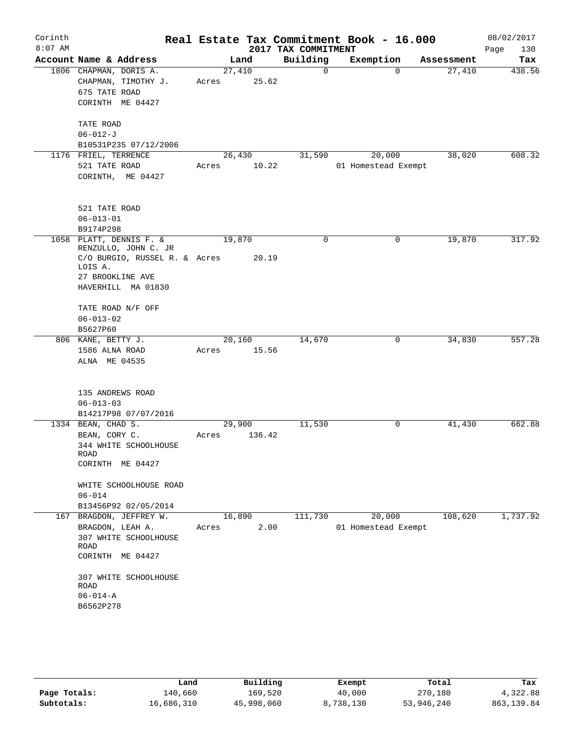| Corinth<br>$8:07$ AM |                                                                                                                                       |                 |        | 2017 TAX COMMITMENT | Real Estate Tax Commitment Book - 16.000 |            | 08/02/2017<br>Page<br>130 |
|----------------------|---------------------------------------------------------------------------------------------------------------------------------------|-----------------|--------|---------------------|------------------------------------------|------------|---------------------------|
|                      | Account Name & Address                                                                                                                |                 | Land   | Building            | Exemption                                | Assessment | Tax                       |
|                      | 1806 CHAPMAN, DORIS A.<br>CHAPMAN, TIMOTHY J.<br>675 TATE ROAD<br>CORINTH ME 04427                                                    | 27,410<br>Acres | 25.62  | 0                   | $\Omega$                                 | 27,410     | 438.56                    |
|                      | TATE ROAD<br>$06 - 012 - J$                                                                                                           |                 |        |                     |                                          |            |                           |
|                      | B10531P235 07/12/2006                                                                                                                 |                 |        |                     |                                          |            | 608.32                    |
|                      | 1176 FRIEL, TERRENCE<br>521 TATE ROAD<br>CORINTH, ME 04427                                                                            | 26,430<br>Acres | 10.22  | 31,590              | 20,000<br>01 Homestead Exempt            | 38,020     |                           |
|                      | 521 TATE ROAD<br>$06 - 013 - 01$                                                                                                      |                 |        |                     |                                          |            |                           |
|                      | B9174P298                                                                                                                             |                 |        |                     |                                          |            |                           |
|                      | 1058 PLATT, DENNIS F. &<br>RENZULLO, JOHN C. JR<br>C/O BURGIO, RUSSEL R. & Acres<br>LOIS A.<br>27 BROOKLINE AVE<br>HAVERHILL MA 01830 | 19,870          | 20.19  | 0                   | 0                                        | 19,870     | 317.92                    |
|                      | TATE ROAD N/F OFF<br>$06 - 013 - 02$<br>B5627P60                                                                                      |                 |        |                     |                                          |            |                           |
|                      | 806 KANE, BETTY J.                                                                                                                    | 20,160          |        | 14,670              | 0                                        | 34,830     | 557.28                    |
|                      | 1586 ALNA ROAD<br>ALNA ME 04535                                                                                                       | Acres           | 15.56  |                     |                                          |            |                           |
|                      | 135 ANDREWS ROAD<br>$06 - 013 - 03$<br>B14217P98 07/07/2016                                                                           |                 |        |                     |                                          |            |                           |
|                      | 1334 BEAN, CHAD S.                                                                                                                    | 29,900          |        | 11,530              | 0                                        | 41,430     | 662.88                    |
|                      | BEAN, CORY C.<br>344 WHITE SCHOOLHOUSE<br>ROAD<br>CORINTH ME 04427                                                                    | Acres           | 136.42 |                     |                                          |            |                           |
|                      | WHITE SCHOOLHOUSE ROAD<br>$06 - 014$<br>B13456P92 02/05/2014                                                                          |                 |        |                     |                                          |            |                           |
|                      | 167 BRAGDON, JEFFREY W.<br>BRAGDON, LEAH A.<br>307 WHITE SCHOOLHOUSE<br>ROAD<br>CORINTH ME 04427<br>307 WHITE SCHOOLHOUSE<br>ROAD     | 16,890<br>Acres | 2.00   | 111,730             | 20,000<br>01 Homestead Exempt            | 108,620    | 1,737.92                  |
|                      | $06 - 014 - A$<br>B6562P278                                                                                                           |                 |        |                     |                                          |            |                           |

|              | Land       | Building   | Exempt    | Total      | Tax         |
|--------------|------------|------------|-----------|------------|-------------|
| Page Totals: | 140,660    | 169,520    | 40,000    | 270,180    | 4,322.88    |
| Subtotals:   | 16,686,310 | 45,998,060 | 8,738,130 | 53,946,240 | 863, 139.84 |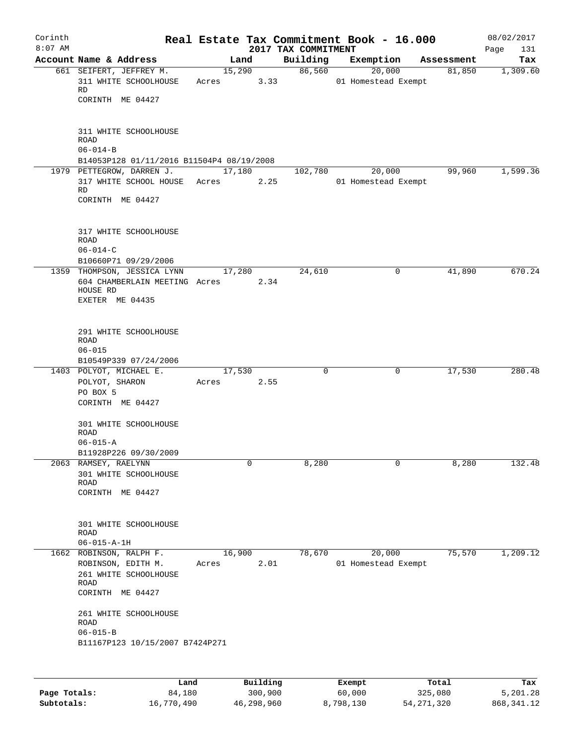|                                                                                                    |                                                                                                                                               |                                                             |                                                                                       |                                                                                                                                    |                                          | 08/02/2017<br>Page<br>131                                                                                                                                                                                 |
|----------------------------------------------------------------------------------------------------|-----------------------------------------------------------------------------------------------------------------------------------------------|-------------------------------------------------------------|---------------------------------------------------------------------------------------|------------------------------------------------------------------------------------------------------------------------------------|------------------------------------------|-----------------------------------------------------------------------------------------------------------------------------------------------------------------------------------------------------------|
| Account Name & Address                                                                             |                                                                                                                                               |                                                             | Building                                                                              |                                                                                                                                    | Assessment                               | Tax                                                                                                                                                                                                       |
| 661 SEIFERT, JEFFREY M.<br>311 WHITE SCHOOLHOUSE<br>RD<br>CORINTH ME 04427                         |                                                                                                                                               |                                                             |                                                                                       |                                                                                                                                    | 81,850                                   | 1,309.60                                                                                                                                                                                                  |
| 311 WHITE SCHOOLHOUSE<br><b>ROAD</b><br>$06 - 014 - B$                                             |                                                                                                                                               |                                                             |                                                                                       |                                                                                                                                    |                                          |                                                                                                                                                                                                           |
|                                                                                                    |                                                                                                                                               |                                                             |                                                                                       |                                                                                                                                    |                                          | 1,599.36                                                                                                                                                                                                  |
| RD<br>CORINTH ME 04427                                                                             |                                                                                                                                               |                                                             |                                                                                       |                                                                                                                                    |                                          |                                                                                                                                                                                                           |
| 317 WHITE SCHOOLHOUSE<br><b>ROAD</b><br>$06 - 014 - C$                                             |                                                                                                                                               |                                                             |                                                                                       |                                                                                                                                    |                                          |                                                                                                                                                                                                           |
|                                                                                                    |                                                                                                                                               |                                                             |                                                                                       |                                                                                                                                    |                                          | 670.24                                                                                                                                                                                                    |
| HOUSE RD<br>EXETER ME 04435                                                                        |                                                                                                                                               |                                                             |                                                                                       |                                                                                                                                    |                                          |                                                                                                                                                                                                           |
| 291 WHITE SCHOOLHOUSE<br>ROAD<br>$06 - 015$                                                        |                                                                                                                                               |                                                             |                                                                                       |                                                                                                                                    |                                          |                                                                                                                                                                                                           |
| 1403 POLYOT, MICHAEL E.                                                                            |                                                                                                                                               |                                                             | 0                                                                                     |                                                                                                                                    | 17,530                                   | 280.48                                                                                                                                                                                                    |
| POLYOT, SHARON                                                                                     | Acres                                                                                                                                         |                                                             |                                                                                       |                                                                                                                                    |                                          |                                                                                                                                                                                                           |
| PO BOX 5<br>CORINTH ME 04427                                                                       |                                                                                                                                               |                                                             |                                                                                       |                                                                                                                                    |                                          |                                                                                                                                                                                                           |
| 301 WHITE SCHOOLHOUSE<br><b>ROAD</b>                                                               |                                                                                                                                               |                                                             |                                                                                       |                                                                                                                                    |                                          |                                                                                                                                                                                                           |
|                                                                                                    |                                                                                                                                               |                                                             |                                                                                       |                                                                                                                                    |                                          |                                                                                                                                                                                                           |
|                                                                                                    |                                                                                                                                               | 0                                                           |                                                                                       | 0                                                                                                                                  |                                          | 132.48                                                                                                                                                                                                    |
| 301 WHITE SCHOOLHOUSE<br>ROAD<br>CORINTH ME 04427                                                  |                                                                                                                                               |                                                             |                                                                                       |                                                                                                                                    |                                          |                                                                                                                                                                                                           |
| 301 WHITE SCHOOLHOUSE<br>ROAD                                                                      |                                                                                                                                               |                                                             |                                                                                       |                                                                                                                                    |                                          |                                                                                                                                                                                                           |
| $06 - 015 - A - 1H$                                                                                |                                                                                                                                               |                                                             |                                                                                       |                                                                                                                                    |                                          |                                                                                                                                                                                                           |
| 1662 ROBINSON, RALPH F.<br>ROBINSON, EDITH M.<br>261 WHITE SCHOOLHOUSE<br>ROAD<br>CORINTH ME 04427 |                                                                                                                                               |                                                             |                                                                                       |                                                                                                                                    |                                          | 1,209.12                                                                                                                                                                                                  |
| 261 WHITE SCHOOLHOUSE                                                                              |                                                                                                                                               |                                                             |                                                                                       |                                                                                                                                    |                                          |                                                                                                                                                                                                           |
|                                                                                                    | 1979 PETTEGROW, DARREN J.<br>B10660P71 09/29/2006<br>B10549P339 07/24/2006<br>$06 - 015 - A$<br>B11928P226 09/30/2009<br>2063 RAMSEY, RAELYNN | 317 WHITE SCHOOL HOUSE Acres<br>1359 THOMPSON, JESSICA LYNN | Land<br>Acres<br>17,280<br>604 CHAMBERLAIN MEETING Acres<br>17,530<br>16,900<br>Acres | 15,290<br>3.33<br>B14053P128 01/11/2016 B11504P4 08/19/2008<br>17,180<br>2.25<br>24,610<br>2.34<br>2.55<br>8,280<br>78,670<br>2.01 | 2017 TAX COMMITMENT<br>86,560<br>102,780 | Real Estate Tax Commitment Book - 16.000<br>Exemption<br>20,000<br>01 Homestead Exempt<br>20,000<br>99,960<br>01 Homestead Exempt<br>0<br>41,890<br>0<br>8,280<br>75,570<br>20,000<br>01 Homestead Exempt |

|              | Land       | Building   | Exempt    | Total        | Tax          |
|--------------|------------|------------|-----------|--------------|--------------|
| Page Totals: | 84,180     | 300,900    | 60,000    | 325,080      | 5,201.28     |
| Subtotals:   | 16,770,490 | 46,298,960 | 8,798,130 | 54, 271, 320 | 868, 341. 12 |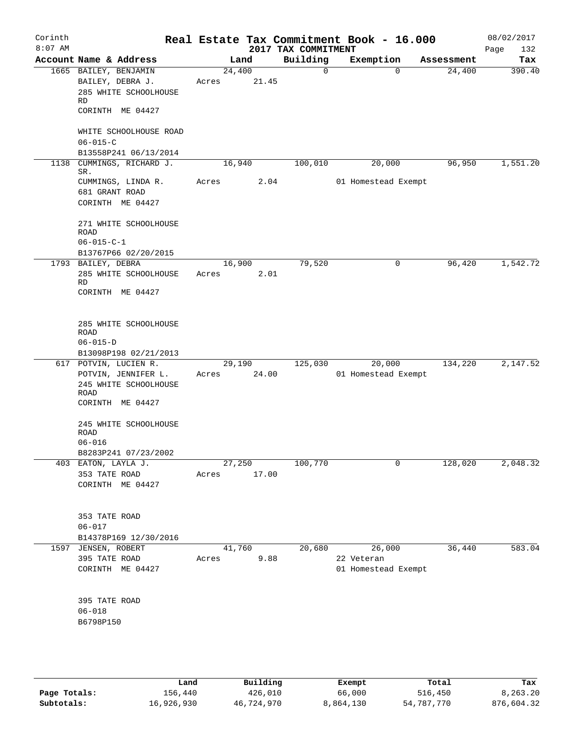| Corinth<br>$8:07$ AM |                     |                           |       |        | 2017 TAX COMMITMENT | Real Estate Tax Commitment Book - 16.000 |            | 08/02/2017<br>132<br>Page |
|----------------------|---------------------|---------------------------|-------|--------|---------------------|------------------------------------------|------------|---------------------------|
|                      |                     | Account Name & Address    |       | Land   | Building            | Exemption                                | Assessment | Tax                       |
|                      |                     | 1665 BAILEY, BENJAMIN     |       | 24,400 | 0                   | $\Omega$                                 | 24,400     | 390.40                    |
|                      |                     | BAILEY, DEBRA J.          | Acres | 21.45  |                     |                                          |            |                           |
|                      |                     | 285 WHITE SCHOOLHOUSE     |       |        |                     |                                          |            |                           |
|                      | RD                  |                           |       |        |                     |                                          |            |                           |
|                      |                     | CORINTH ME 04427          |       |        |                     |                                          |            |                           |
|                      |                     | WHITE SCHOOLHOUSE ROAD    |       |        |                     |                                          |            |                           |
|                      | $06 - 015 - C$      |                           |       |        |                     |                                          |            |                           |
|                      |                     | B13558P241 06/13/2014     |       |        |                     |                                          |            |                           |
|                      |                     | 1138 CUMMINGS, RICHARD J. |       | 16,940 | 100,010             | 20,000                                   | 96,950     | 1,551.20                  |
|                      | SR.                 |                           |       |        |                     |                                          |            |                           |
|                      |                     | CUMMINGS, LINDA R.        | Acres | 2.04   |                     | 01 Homestead Exempt                      |            |                           |
|                      | 681 GRANT ROAD      |                           |       |        |                     |                                          |            |                           |
|                      |                     | CORINTH ME 04427          |       |        |                     |                                          |            |                           |
|                      |                     |                           |       |        |                     |                                          |            |                           |
|                      | ROAD                | 271 WHITE SCHOOLHOUSE     |       |        |                     |                                          |            |                           |
|                      | $06 - 015 - C - 1$  |                           |       |        |                     |                                          |            |                           |
|                      |                     | B13767P66 02/20/2015      |       |        |                     |                                          |            |                           |
|                      | 1793 BAILEY, DEBRA  |                           |       | 16,900 | 79,520              | 0                                        | 96,420     | 1,542.72                  |
|                      |                     | 285 WHITE SCHOOLHOUSE     | Acres | 2.01   |                     |                                          |            |                           |
|                      | RD                  |                           |       |        |                     |                                          |            |                           |
|                      |                     | CORINTH ME 04427          |       |        |                     |                                          |            |                           |
|                      |                     |                           |       |        |                     |                                          |            |                           |
|                      |                     | 285 WHITE SCHOOLHOUSE     |       |        |                     |                                          |            |                           |
|                      | ROAD                |                           |       |        |                     |                                          |            |                           |
|                      | $06 - 015 - D$      |                           |       |        |                     |                                          |            |                           |
|                      |                     | B13098P198 02/21/2013     |       |        |                     |                                          |            |                           |
|                      |                     | 617 POTVIN, LUCIEN R.     |       | 29,190 | 125,030             | 20,000                                   | 134,220    | 2,147.52                  |
|                      |                     | POTVIN, JENNIFER L.       | Acres | 24.00  |                     | 01 Homestead Exempt                      |            |                           |
|                      |                     | 245 WHITE SCHOOLHOUSE     |       |        |                     |                                          |            |                           |
|                      | ROAD                | CORINTH ME 04427          |       |        |                     |                                          |            |                           |
|                      |                     |                           |       |        |                     |                                          |            |                           |
|                      |                     | 245 WHITE SCHOOLHOUSE     |       |        |                     |                                          |            |                           |
|                      | ROAD                |                           |       |        |                     |                                          |            |                           |
|                      | $06 - 016$          |                           |       |        |                     |                                          |            |                           |
|                      |                     | B8283P241 07/23/2002      |       |        |                     |                                          |            |                           |
|                      |                     | 403 EATON, LAYLA J.       |       | 27,250 | 100,770             | 0                                        | 128,020    | 2,048.32                  |
|                      | 353 TATE ROAD       |                           | Acres | 17.00  |                     |                                          |            |                           |
|                      |                     | CORINTH ME 04427          |       |        |                     |                                          |            |                           |
|                      |                     |                           |       |        |                     |                                          |            |                           |
|                      | 353 TATE ROAD       |                           |       |        |                     |                                          |            |                           |
|                      | $06 - 017$          |                           |       |        |                     |                                          |            |                           |
|                      |                     | B14378P169 12/30/2016     |       |        |                     |                                          |            |                           |
|                      | 1597 JENSEN, ROBERT |                           |       | 41,760 | 20,680              | 26,000                                   | 36,440     | 583.04                    |
|                      | 395 TATE ROAD       |                           | Acres | 9.88   |                     | 22 Veteran                               |            |                           |
|                      |                     | CORINTH ME 04427          |       |        |                     | 01 Homestead Exempt                      |            |                           |
|                      |                     |                           |       |        |                     |                                          |            |                           |
|                      | 395 TATE ROAD       |                           |       |        |                     |                                          |            |                           |
|                      | $06 - 018$          |                           |       |        |                     |                                          |            |                           |
|                      | B6798P150           |                           |       |        |                     |                                          |            |                           |
|                      |                     |                           |       |        |                     |                                          |            |                           |
|                      |                     |                           |       |        |                     |                                          |            |                           |
|                      |                     |                           |       |        |                     |                                          |            |                           |

|              | Land       | Building   | Exempt    | Total      | Tax        |
|--------------|------------|------------|-----------|------------|------------|
| Page Totals: | 156,440    | 426,010    | 66,000    | 516,450    | 8,263.20   |
| Subtotals:   | 16,926,930 | 46,724,970 | 8,864,130 | 54,787,770 | 876,604.32 |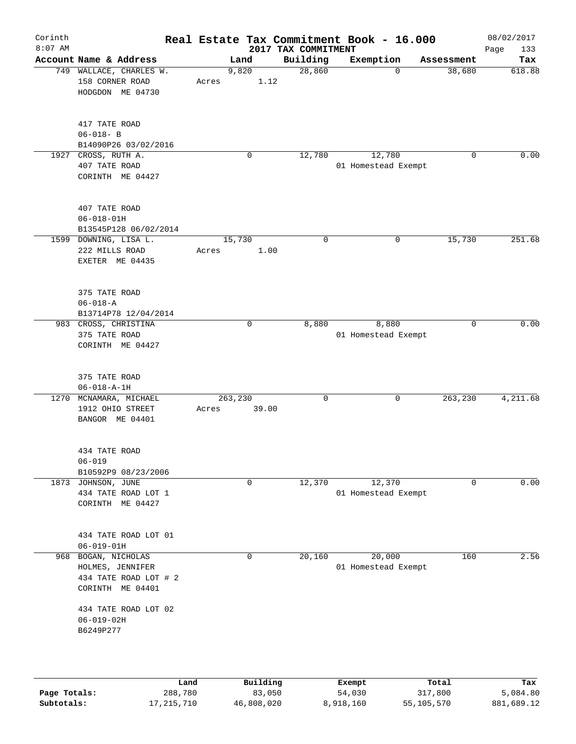| Corinth<br>$8:07$ AM |                                                                                  |       |                  | 2017 TAX COMMITMENT | Real Estate Tax Commitment Book - 16.000 |            | 08/02/2017<br>Page<br>133 |
|----------------------|----------------------------------------------------------------------------------|-------|------------------|---------------------|------------------------------------------|------------|---------------------------|
|                      | Account Name & Address                                                           |       | Land             | Building            | Exemption                                | Assessment | Tax                       |
|                      | 749 WALLACE, CHARLES W.<br>158 CORNER ROAD<br>HODGDON ME 04730                   | Acres | 9,820<br>1.12    | 28,860              | 0                                        | 38,680     | 618.88                    |
|                      | 417 TATE ROAD<br>$06 - 018 - B$<br>B14090P26 03/02/2016                          |       |                  |                     |                                          |            |                           |
| 1927                 | CROSS, RUTH A.<br>407 TATE ROAD<br>CORINTH ME 04427                              |       | 0                | 12,780              | 12,780<br>01 Homestead Exempt            | 0          | 0.00                      |
|                      | 407 TATE ROAD<br>$06 - 018 - 01H$<br>B13545P128 06/02/2014                       |       |                  |                     |                                          |            |                           |
|                      | 1599 DOWNING, LISA L.<br>222 MILLS ROAD<br>EXETER ME 04435                       | Acres | 15,730<br>1.00   | $\mathbf 0$         | 0                                        | 15,730     | 251.68                    |
|                      | 375 TATE ROAD<br>$06 - 018 - A$<br>B13714P78 12/04/2014                          |       |                  |                     |                                          |            |                           |
|                      | 983 CROSS, CHRISTINA<br>375 TATE ROAD<br>CORINTH ME 04427                        |       | 0                | 8,880               | 8,880<br>01 Homestead Exempt             | 0          | 0.00                      |
|                      | 375 TATE ROAD<br>$06 - 018 - A - 1H$                                             |       |                  |                     |                                          |            |                           |
|                      | 1270 MCNAMARA, MICHAEL<br>1912 OHIO STREET<br>BANGOR ME 04401                    | Acres | 263,230<br>39.00 | 0                   | 0                                        | 263,230    | 4,211.68                  |
|                      | 434 TATE ROAD<br>$06 - 019$<br>B10592P9 08/23/2006                               |       |                  |                     |                                          |            |                           |
|                      | 1873 JOHNSON, JUNE<br>434 TATE ROAD LOT 1<br>CORINTH ME 04427                    |       | 0                | 12,370              | 12,370<br>01 Homestead Exempt            | 0          | 0.00                      |
|                      | 434 TATE ROAD LOT 01<br>$06 - 019 - 01H$                                         |       |                  |                     |                                          |            |                           |
| 968                  | BOGAN, NICHOLAS<br>HOLMES, JENNIFER<br>434 TATE ROAD LOT # 2<br>CORINTH ME 04401 |       | 0                | 20,160              | 20,000<br>01 Homestead Exempt            | 160        | 2.56                      |
|                      | 434 TATE ROAD LOT 02<br>$06 - 019 - 02H$<br>B6249P277                            |       |                  |                     |                                          |            |                           |
|                      |                                                                                  | Land  | Building         |                     | Exempt                                   | Total      | Tax                       |

|              | Land         | <b>Building</b> | Exempt    | тосат      | rax.       |
|--------------|--------------|-----------------|-----------|------------|------------|
| Page Totals: | 288,780      | 83,050          | 54,030    | 317,800    | 5,084.80   |
| Subtotals:   | 17, 215, 710 | 46,808,020      | 8,918,160 | 55,105,570 | 881,689.12 |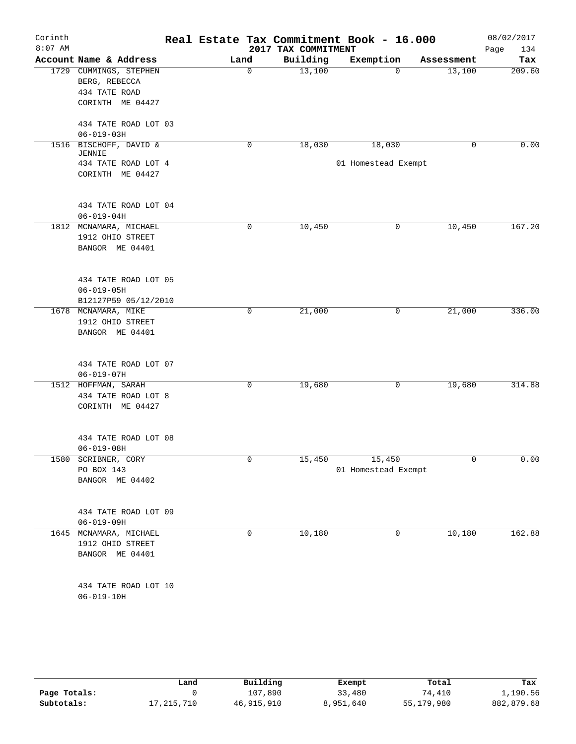| Corinth<br>$8:07$ AM |                                                                              |      |             | Real Estate Tax Commitment Book - 16.000<br>2017 TAX COMMITMENT |                               |             |            | 08/02/2017<br>Page<br>134 |
|----------------------|------------------------------------------------------------------------------|------|-------------|-----------------------------------------------------------------|-------------------------------|-------------|------------|---------------------------|
|                      | Account Name & Address                                                       | Land |             | Building                                                        | Exemption                     |             | Assessment | Tax                       |
|                      | 1729 CUMMINGS, STEPHEN<br>BERG, REBECCA<br>434 TATE ROAD<br>CORINTH ME 04427 |      | $\mathbf 0$ | 13,100                                                          |                               | $\mathbf 0$ | 13,100     | 209.60                    |
|                      | 434 TATE ROAD LOT 03<br>$06 - 019 - 03H$                                     |      |             |                                                                 |                               |             |            |                           |
| 1516                 | BISCHOFF, DAVID &                                                            |      | 0           | 18,030                                                          | 18,030                        |             | 0          | 0.00                      |
|                      | JENNIE<br>434 TATE ROAD LOT 4<br>CORINTH ME 04427                            |      |             |                                                                 | 01 Homestead Exempt           |             |            |                           |
|                      | 434 TATE ROAD LOT 04<br>$06 - 019 - 04H$                                     |      |             |                                                                 |                               |             |            |                           |
|                      | 1812 MCNAMARA, MICHAEL<br>1912 OHIO STREET<br>BANGOR ME 04401                |      | $\mathbf 0$ | 10,450                                                          |                               | 0           | 10,450     | 167.20                    |
|                      | 434 TATE ROAD LOT 05<br>$06 - 019 - 05H$<br>B12127P59 05/12/2010             |      |             |                                                                 |                               |             |            |                           |
|                      | 1678 MCNAMARA, MIKE<br>1912 OHIO STREET<br>BANGOR ME 04401                   |      | 0           | 21,000                                                          |                               | 0           | 21,000     | 336.00                    |
|                      | 434 TATE ROAD LOT 07<br>$06 - 019 - 07H$                                     |      |             |                                                                 |                               |             |            |                           |
|                      | 1512 HOFFMAN, SARAH<br>434 TATE ROAD LOT 8<br>CORINTH ME 04427               |      | 0           | 19,680                                                          |                               | 0           | 19,680     | 314.88                    |
|                      | 434 TATE ROAD LOT 08<br>$06 - 019 - 08H$                                     |      |             |                                                                 |                               |             |            |                           |
|                      | 1580 SCRIBNER, CORY<br>PO BOX 143<br>BANGOR ME 04402                         |      | 0           | 15,450                                                          | 15,450<br>01 Homestead Exempt |             | 0          | 0.00                      |
|                      | 434 TATE ROAD LOT 09<br>$06 - 019 - 09H$                                     |      |             |                                                                 |                               |             |            |                           |
|                      | 1645 MCNAMARA, MICHAEL<br>1912 OHIO STREET<br>BANGOR ME 04401                |      | 0           | 10,180                                                          |                               | 0           | 10,180     | 162.88                    |
|                      | 434 TATE ROAD LOT 10<br>$06 - 019 - 10H$                                     |      |             |                                                                 |                               |             |            |                           |

|              | Land         | Building   | Exempt    | Total      | Tax        |
|--------------|--------------|------------|-----------|------------|------------|
| Page Totals: |              | 107,890    | 33,480    | 74,410     | 1,190.56   |
| Subtotals:   | 17, 215, 710 | 46,915,910 | 8,951,640 | 55,179,980 | 882,879.68 |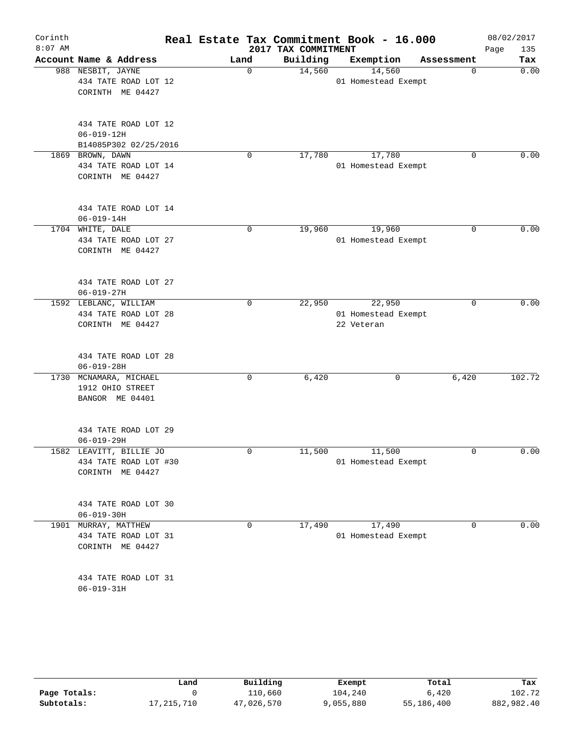| Corinth<br>$8:07$ AM |                                                                      |  |             | Real Estate Tax Commitment Book - 16.000<br>2017 TAX COMMITMENT |                                             |            | 08/02/2017<br>Page<br>135 |
|----------------------|----------------------------------------------------------------------|--|-------------|-----------------------------------------------------------------|---------------------------------------------|------------|---------------------------|
|                      | Account Name & Address                                               |  | Land        | Building                                                        | Exemption                                   | Assessment | Tax                       |
|                      | 988 NESBIT, JAYNE<br>434 TATE ROAD LOT 12<br>CORINTH ME 04427        |  | $\mathbf 0$ | 14,560                                                          | 14,560<br>01 Homestead Exempt               | 0          | 0.00                      |
|                      | 434 TATE ROAD LOT 12<br>$06 - 019 - 12H$<br>B14085P302 02/25/2016    |  |             |                                                                 |                                             |            |                           |
|                      | 1869 BROWN, DAWN<br>434 TATE ROAD LOT 14<br>CORINTH ME 04427         |  | $\mathbf 0$ | 17,780                                                          | 17,780<br>01 Homestead Exempt               | 0          | 0.00                      |
|                      | 434 TATE ROAD LOT 14<br>$06 - 019 - 14H$                             |  |             |                                                                 |                                             |            |                           |
|                      | 1704 WHITE, DALE<br>434 TATE ROAD LOT 27<br>CORINTH ME 04427         |  | 0           | 19,960                                                          | 19,960<br>01 Homestead Exempt               | 0          | 0.00                      |
|                      | 434 TATE ROAD LOT 27<br>$06 - 019 - 27H$                             |  |             |                                                                 |                                             |            |                           |
|                      | 1592 LEBLANC, WILLIAM<br>434 TATE ROAD LOT 28<br>CORINTH ME 04427    |  | 0           | 22,950                                                          | 22,950<br>01 Homestead Exempt<br>22 Veteran | 0          | 0.00                      |
|                      | 434 TATE ROAD LOT 28<br>$06 - 019 - 28H$                             |  |             |                                                                 |                                             |            |                           |
|                      | 1730 MCNAMARA, MICHAEL<br>1912 OHIO STREET<br>BANGOR ME 04401        |  | 0           | 6,420                                                           | 0                                           | 6,420      | 102.72                    |
|                      | 434 TATE ROAD LOT 29<br>$06 - 019 - 29H$                             |  |             |                                                                 |                                             |            |                           |
|                      | 1582 LEAVITT, BILLIE JO<br>434 TATE ROAD LOT #30<br>CORINTH ME 04427 |  | 0           | 11,500                                                          | 11,500<br>01 Homestead Exempt               | 0          | 0.00                      |
|                      | 434 TATE ROAD LOT 30<br>$06 - 019 - 30H$                             |  |             |                                                                 |                                             |            |                           |
|                      | 1901 MURRAY, MATTHEW<br>434 TATE ROAD LOT 31<br>CORINTH ME 04427     |  | 0           | 17,490                                                          | 17,490<br>01 Homestead Exempt               | 0          | 0.00                      |
|                      | 434 TATE ROAD LOT 31<br>$06 - 019 - 31H$                             |  |             |                                                                 |                                             |            |                           |

|              | Land       | Building | Exempt    | Total      | Tax        |
|--------------|------------|----------|-----------|------------|------------|
| Page Totals: |            | 110,660  | 104,240   | 6,420      | 102.72     |
| Subtotals:   | 17,215,710 | ,026,570 | 9,055,880 | 55,186,400 | 882,982.40 |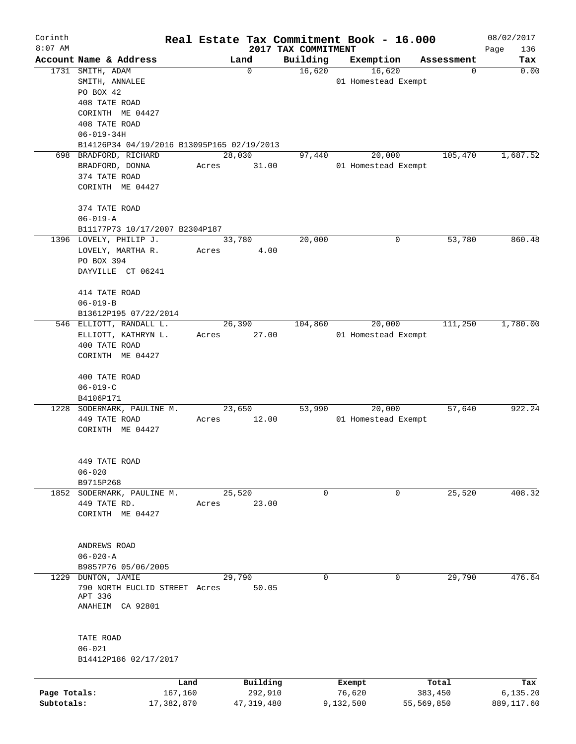| Corinth<br>$8:07$ AM       |                                                                                |                       |       |                       |                                 | Real Estate Tax Commitment Book - 16.000 |                       | 08/02/2017             |
|----------------------------|--------------------------------------------------------------------------------|-----------------------|-------|-----------------------|---------------------------------|------------------------------------------|-----------------------|------------------------|
|                            | Account Name & Address                                                         |                       |       | Land                  | 2017 TAX COMMITMENT<br>Building | Exemption                                | Assessment            | Page<br>136<br>Tax     |
|                            | 1731 SMITH, ADAM<br>SMITH, ANNALEE<br>PO BOX 42<br>408 TATE ROAD               |                       |       | $\mathbf 0$           | 16,620                          | 16,620<br>01 Homestead Exempt            | 0                     | 0.00                   |
|                            | CORINTH ME 04427<br>408 TATE ROAD<br>$06 - 019 - 34H$                          |                       |       |                       |                                 |                                          |                       |                        |
|                            | B14126P34 04/19/2016 B13095P165 02/19/2013<br>698 BRADFORD, RICHARD            |                       |       | 28,030                | 97,440                          | 20,000                                   | 105,470               | 1,687.52               |
|                            | BRADFORD, DONNA<br>374 TATE ROAD<br>CORINTH ME 04427<br>374 TATE ROAD          |                       | Acres | 31.00                 |                                 | 01 Homestead Exempt                      |                       |                        |
|                            | $06 - 019 - A$                                                                 |                       |       |                       |                                 |                                          |                       |                        |
|                            | B11177P73 10/17/2007 B2304P187                                                 |                       |       |                       |                                 |                                          |                       |                        |
|                            | 1396 LOVELY, PHILIP J.<br>LOVELY, MARTHA R.<br>PO BOX 394<br>DAYVILLE CT 06241 |                       | Acres | 33,780<br>4.00        | 20,000                          |                                          | 53,780<br>0           | 860.48                 |
|                            | 414 TATE ROAD<br>$06 - 019 - B$<br>B13612P195 07/22/2014                       |                       |       |                       |                                 |                                          |                       |                        |
|                            | 546 ELLIOTT, RANDALL L.                                                        |                       |       | 26,390                | 104,860                         | 20,000                                   | 111,250               | 1,780.00               |
|                            | ELLIOTT, KATHRYN L.<br>400 TATE ROAD                                           |                       | Acres | 27.00                 |                                 | 01 Homestead Exempt                      |                       |                        |
|                            | CORINTH ME 04427<br>400 TATE ROAD                                              |                       |       |                       |                                 |                                          |                       |                        |
|                            | $06 - 019 - C$<br>B4106P171                                                    |                       |       |                       |                                 |                                          |                       |                        |
|                            | 1228 SODERMARK, PAULINE M.                                                     |                       |       | 23,650                | 53,990                          | 20,000                                   | 57,640                | 922.24                 |
|                            | 449 TATE ROAD<br>CORINTH ME 04427                                              |                       | Acres | 12.00                 |                                 | 01 Homestead Exempt                      |                       |                        |
|                            | 449 TATE ROAD<br>$06 - 020$<br>B9715P268                                       |                       |       |                       |                                 |                                          |                       |                        |
| 1852                       | SODERMARK, PAULINE M.<br>449 TATE RD.<br>CORINTH ME 04427                      |                       | Acres | 25,520<br>23.00       | 0                               |                                          | 0<br>25,520           | 408.32                 |
|                            | ANDREWS ROAD<br>$06 - 020 - A$<br>B9857P76 05/06/2005                          |                       |       |                       |                                 |                                          |                       |                        |
| 1229                       | DUNTON, JAMIE<br>790 NORTH EUCLID STREET Acres<br>APT 336<br>ANAHEIM CA 92801  |                       |       | 29,790<br>50.05       | 0                               |                                          | 29,790<br>0           | 476.64                 |
|                            | TATE ROAD<br>$06 - 021$<br>B14412P186 02/17/2017                               |                       |       |                       |                                 |                                          |                       |                        |
|                            |                                                                                | Land                  |       | Building              |                                 | Exempt                                   | Total                 | Tax                    |
| Page Totals:<br>Subtotals: |                                                                                | 167,160<br>17,382,870 |       | 292,910<br>47,319,480 |                                 | 76,620<br>9,132,500                      | 383,450<br>55,569,850 | 6,135.20<br>889,117.60 |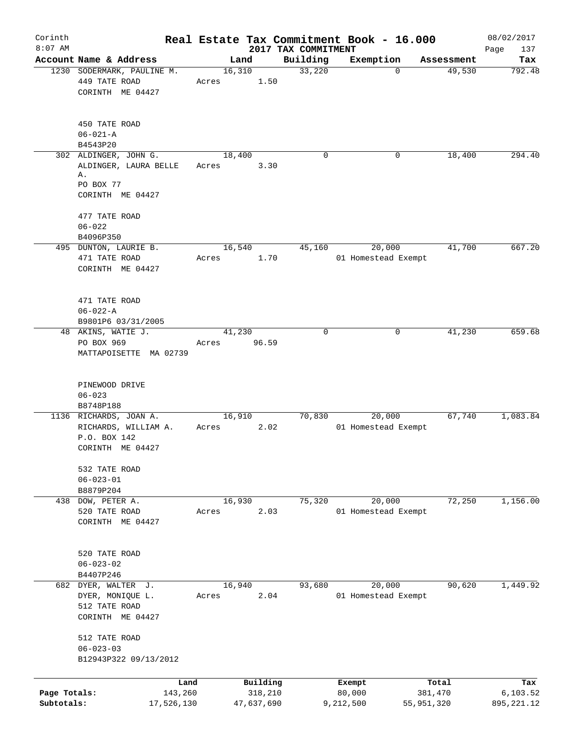| Corinth                    |                                                                                       |                 |                       |                                 | Real Estate Tax Commitment Book - 16.000 |                       | 08/02/2017              |
|----------------------------|---------------------------------------------------------------------------------------|-----------------|-----------------------|---------------------------------|------------------------------------------|-----------------------|-------------------------|
| $8:07$ AM                  | Account Name & Address                                                                |                 | Land                  | 2017 TAX COMMITMENT<br>Building | Exemption                                | Assessment            | Page<br>137<br>Tax      |
|                            | 1230 SODERMARK, PAULINE M.<br>449 TATE ROAD<br>CORINTH ME 04427                       | 16,310<br>Acres | 1.50                  | 33,220                          | $\Omega$                                 | 49,530                | 792.48                  |
|                            | 450 TATE ROAD<br>$06 - 021 - A$<br>B4543P20                                           |                 |                       |                                 |                                          |                       |                         |
|                            | 302 ALDINGER, JOHN G.<br>ALDINGER, LAURA BELLE<br>Α.<br>PO BOX 77<br>CORINTH ME 04427 | 18,400<br>Acres | 3.30                  | 0                               | 0                                        | 18,400                | 294.40                  |
|                            | 477 TATE ROAD<br>$06 - 022$<br>B4096P350                                              |                 |                       |                                 |                                          |                       |                         |
|                            | 495 DUNTON, LAURIE B.<br>471 TATE ROAD<br>CORINTH ME 04427                            | 16,540<br>Acres | 1.70                  | 45,160                          | 20,000<br>01 Homestead Exempt            | 41,700                | 667.20                  |
|                            | 471 TATE ROAD<br>$06 - 022 - A$<br>B9801P6 03/31/2005                                 |                 |                       |                                 |                                          |                       |                         |
|                            | 48 AKINS, WATIE J.<br>PO BOX 969<br>MATTAPOISETTE MA 02739                            | 41,230<br>Acres | 96.59                 | $\Omega$                        | $\mathbf 0$                              | 41,230                | 659.68                  |
|                            | PINEWOOD DRIVE<br>$06 - 023$<br>B8748P188                                             |                 |                       |                                 |                                          |                       |                         |
|                            | 1136 RICHARDS, JOAN A.<br>RICHARDS, WILLIAM A.<br>P.O. BOX 142<br>CORINTH ME 04427    | 16,910<br>Acres | 2.02                  | 70,830                          | 20,000<br>01 Homestead Exempt            | 67,740                | 1,083.84                |
|                            | 532 TATE ROAD<br>$06 - 023 - 01$<br>B8879P204                                         |                 |                       |                                 |                                          |                       |                         |
| 438                        | DOW, PETER A.<br>520 TATE ROAD<br>CORINTH ME 04427                                    | 16,930<br>Acres | 2.03                  | 75,320                          | 20,000<br>01 Homestead Exempt            | 72,250                | 1,156.00                |
|                            | 520 TATE ROAD<br>$06 - 023 - 02$<br>B4407P246                                         |                 |                       |                                 |                                          |                       |                         |
|                            | 682 DYER, WALTER J.<br>DYER, MONIQUE L.<br>512 TATE ROAD<br>CORINTH ME 04427          | 16,940<br>Acres | 2.04                  | 93,680                          | 20,000<br>01 Homestead Exempt            | 90,620                | 1,449.92                |
|                            | 512 TATE ROAD<br>$06 - 023 - 03$<br>B12943P322 09/13/2012                             |                 |                       |                                 |                                          |                       |                         |
|                            | Land                                                                                  |                 | Building              |                                 | Exempt                                   | Total                 | Tax                     |
| Page Totals:<br>Subtotals: | 143,260<br>17,526,130                                                                 |                 | 318,210<br>47,637,690 |                                 | 80,000<br>9,212,500                      | 381,470<br>55,951,320 | 6,103.52<br>895, 221.12 |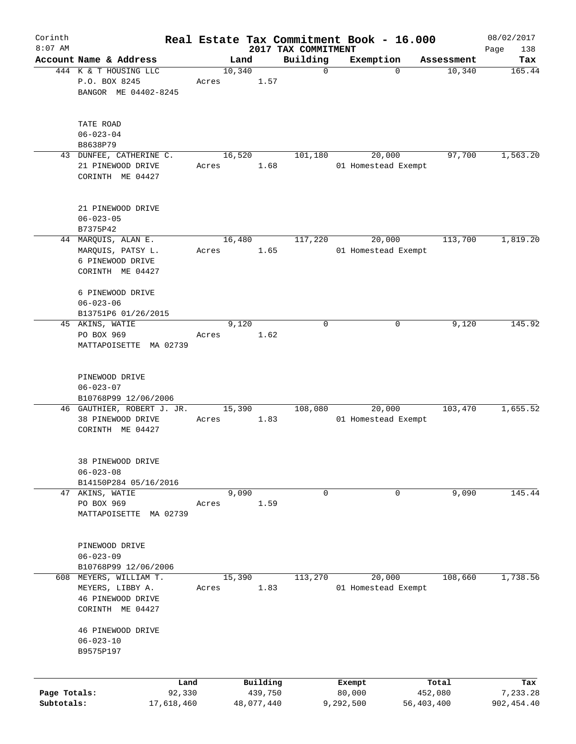| Corinth      |                                       |        |       |        |            |                                 | Real Estate Tax Commitment Book - 16.000 |            | 08/02/2017         |
|--------------|---------------------------------------|--------|-------|--------|------------|---------------------------------|------------------------------------------|------------|--------------------|
| $8:07$ AM    | Account Name & Address                |        |       | Land   |            | 2017 TAX COMMITMENT<br>Building | Exemption                                | Assessment | Page<br>138<br>Tax |
|              | 444 K & T HOUSING LLC                 |        |       | 10,340 |            | $\mathbf 0$                     | $\mathbf 0$                              | 10,340     | 165.44             |
|              | P.O. BOX 8245                         |        | Acres |        | 1.57       |                                 |                                          |            |                    |
|              | BANGOR ME 04402-8245                  |        |       |        |            |                                 |                                          |            |                    |
|              |                                       |        |       |        |            |                                 |                                          |            |                    |
|              | TATE ROAD                             |        |       |        |            |                                 |                                          |            |                    |
|              | $06 - 023 - 04$<br>B8638P79           |        |       |        |            |                                 |                                          |            |                    |
|              | 43 DUNFEE, CATHERINE C.               |        |       | 16,520 |            | 101,180                         | 20,000                                   | 97,700     | 1,563.20           |
|              | 21 PINEWOOD DRIVE                     |        | Acres |        | 1.68       |                                 | 01 Homestead Exempt                      |            |                    |
|              | CORINTH ME 04427                      |        |       |        |            |                                 |                                          |            |                    |
|              |                                       |        |       |        |            |                                 |                                          |            |                    |
|              | 21 PINEWOOD DRIVE                     |        |       |        |            |                                 |                                          |            |                    |
|              | $06 - 023 - 05$                       |        |       |        |            |                                 |                                          |            |                    |
|              | B7375P42                              |        |       |        |            |                                 |                                          |            |                    |
|              | 44 MARQUIS, ALAN E.                   |        |       | 16,480 |            | 117,220                         | 20,000                                   | 113,700    | 1,819.20           |
|              | MARQUIS, PATSY L.                     |        | Acres |        | 1.65       |                                 | 01 Homestead Exempt                      |            |                    |
|              | 6 PINEWOOD DRIVE                      |        |       |        |            |                                 |                                          |            |                    |
|              | CORINTH ME 04427                      |        |       |        |            |                                 |                                          |            |                    |
|              | 6 PINEWOOD DRIVE                      |        |       |        |            |                                 |                                          |            |                    |
|              | $06 - 023 - 06$                       |        |       |        |            |                                 |                                          |            |                    |
|              | B13751P6 01/26/2015                   |        |       |        |            |                                 |                                          |            |                    |
|              | 45 AKINS, WATIE                       |        |       | 9,120  |            | $\mathbf 0$                     | 0                                        | 9,120      | 145.92             |
|              | PO BOX 969                            |        | Acres |        | 1.62       |                                 |                                          |            |                    |
|              | MATTAPOISETTE MA 02739                |        |       |        |            |                                 |                                          |            |                    |
|              |                                       |        |       |        |            |                                 |                                          |            |                    |
|              | PINEWOOD DRIVE                        |        |       |        |            |                                 |                                          |            |                    |
|              | $06 - 023 - 07$                       |        |       |        |            |                                 |                                          |            |                    |
|              | B10768P99 12/06/2006                  |        |       |        |            |                                 |                                          |            |                    |
|              | 46 GAUTHIER, ROBERT J. JR.            |        |       | 15,390 |            | 108,080                         | 20,000                                   | 103,470    | 1,655.52           |
|              | 38 PINEWOOD DRIVE                     |        | Acres |        | 1.83       |                                 | 01 Homestead Exempt                      |            |                    |
|              | CORINTH ME 04427                      |        |       |        |            |                                 |                                          |            |                    |
|              |                                       |        |       |        |            |                                 |                                          |            |                    |
|              | 38 PINEWOOD DRIVE                     |        |       |        |            |                                 |                                          |            |                    |
|              | $06 - 023 - 08$                       |        |       |        |            |                                 |                                          |            |                    |
|              | B14150P284 05/16/2016                 |        |       |        |            |                                 |                                          |            |                    |
|              | 47 AKINS, WATIE                       |        |       | 9,090  |            | 0                               | 0                                        | 9,090      | 145.44             |
|              | PO BOX 969                            |        | Acres |        | 1.59       |                                 |                                          |            |                    |
|              | MATTAPOISETTE<br>MA 02739             |        |       |        |            |                                 |                                          |            |                    |
|              |                                       |        |       |        |            |                                 |                                          |            |                    |
|              | PINEWOOD DRIVE                        |        |       |        |            |                                 |                                          |            |                    |
|              | $06 - 023 - 09$                       |        |       |        |            |                                 |                                          |            |                    |
|              |                                       |        |       |        |            |                                 |                                          |            |                    |
|              | B10768P99 12/06/2006                  |        |       |        |            | 113,270                         |                                          | 108,660    | 1,738.56           |
|              | 608 MEYERS, WILLIAM T.                |        |       | 15,390 |            |                                 | 20,000                                   |            |                    |
|              | MEYERS, LIBBY A.                      |        | Acres |        | 1.83       |                                 | 01 Homestead Exempt                      |            |                    |
|              | 46 PINEWOOD DRIVE<br>CORINTH ME 04427 |        |       |        |            |                                 |                                          |            |                    |
|              |                                       |        |       |        |            |                                 |                                          |            |                    |
|              | 46 PINEWOOD DRIVE                     |        |       |        |            |                                 |                                          |            |                    |
|              | $06 - 023 - 10$                       |        |       |        |            |                                 |                                          |            |                    |
|              | B9575P197                             |        |       |        |            |                                 |                                          |            |                    |
|              |                                       |        |       |        |            |                                 |                                          |            |                    |
|              |                                       | Land   |       |        | Building   |                                 | Exempt                                   | Total      | Tax                |
| Page Totals: |                                       | 92,330 |       |        | 439,750    |                                 | 80,000                                   | 452,080    | 7,233.28           |
| Subtotals:   | 17,618,460                            |        |       |        | 48,077,440 |                                 | 9,292,500                                | 56,403,400 | 902, 454.40        |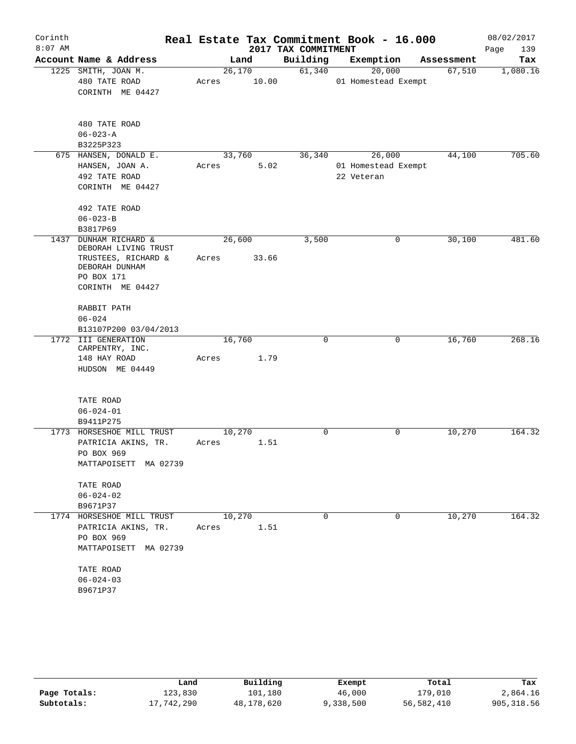| Corinth   |                                          |       |        |       |                     | Real Estate Tax Commitment Book - 16.000 |            | 08/02/2017  |
|-----------|------------------------------------------|-------|--------|-------|---------------------|------------------------------------------|------------|-------------|
| $8:07$ AM |                                          |       |        |       | 2017 TAX COMMITMENT |                                          |            | 139<br>Page |
|           | Account Name & Address                   |       | Land   |       | Building            | Exemption                                | Assessment | Tax         |
|           | 1225 SMITH, JOAN M.                      |       | 26,170 |       | 61,340              | 20,000                                   | 67,510     | 1,080.16    |
|           | 480 TATE ROAD                            | Acres |        | 10.00 |                     | 01 Homestead Exempt                      |            |             |
|           | CORINTH ME 04427                         |       |        |       |                     |                                          |            |             |
|           | 480 TATE ROAD                            |       |        |       |                     |                                          |            |             |
|           | $06 - 023 - A$                           |       |        |       |                     |                                          |            |             |
|           | B3225P323                                |       |        |       |                     |                                          |            |             |
|           | 675 HANSEN, DONALD E.                    |       | 33,760 |       | 36,340              | 26,000                                   | 44,100     | 705.60      |
|           | HANSEN, JOAN A.                          | Acres |        | 5.02  |                     | 01 Homestead Exempt                      |            |             |
|           | 492 TATE ROAD                            |       |        |       |                     | 22 Veteran                               |            |             |
|           | CORINTH ME 04427                         |       |        |       |                     |                                          |            |             |
|           | 492 TATE ROAD                            |       |        |       |                     |                                          |            |             |
|           | $06 - 023 - B$                           |       |        |       |                     |                                          |            |             |
|           | B3817P69                                 |       |        |       |                     |                                          |            |             |
| 1437      | DUNHAM RICHARD &<br>DEBORAH LIVING TRUST |       | 26,600 |       | 3,500               | $\mathbf 0$                              | 30,100     | 481.60      |
|           | TRUSTEES, RICHARD &                      | Acres |        | 33.66 |                     |                                          |            |             |
|           | DEBORAH DUNHAM                           |       |        |       |                     |                                          |            |             |
|           | PO BOX 171                               |       |        |       |                     |                                          |            |             |
|           | CORINTH ME 04427                         |       |        |       |                     |                                          |            |             |
|           | RABBIT PATH                              |       |        |       |                     |                                          |            |             |
|           | $06 - 024$                               |       |        |       |                     |                                          |            |             |
|           | B13107P200 03/04/2013                    |       |        |       |                     |                                          |            |             |
|           | 1772 III GENERATION<br>CARPENTRY, INC.   |       | 16,760 |       | 0                   | $\mathbf 0$                              | 16,760     | 268.16      |
|           | 148 HAY ROAD                             | Acres |        | 1.79  |                     |                                          |            |             |
|           | HUDSON ME 04449                          |       |        |       |                     |                                          |            |             |
|           |                                          |       |        |       |                     |                                          |            |             |
|           | TATE ROAD                                |       |        |       |                     |                                          |            |             |
|           | $06 - 024 - 01$                          |       |        |       |                     |                                          |            |             |
|           | B9411P275                                |       |        |       |                     |                                          |            |             |
|           | 1773 HORSESHOE MILL TRUST                |       | 10,270 |       | 0                   | $\mathbf 0$                              | 10,270     | 164.32      |
|           | PATRICIA AKINS, TR.<br>PO BOX 969        | Acres |        | 1.51  |                     |                                          |            |             |
|           | MATTAPOISETT MA 02739                    |       |        |       |                     |                                          |            |             |
|           | TATE ROAD                                |       |        |       |                     |                                          |            |             |
|           | $06 - 024 - 02$                          |       |        |       |                     |                                          |            |             |
|           | B9671P37                                 |       |        |       |                     |                                          |            |             |
|           | 1774 HORSESHOE MILL TRUST                |       | 10,270 |       | $\Omega$            | 0                                        | 10,270     | 164.32      |
|           | PATRICIA AKINS, TR.                      | Acres |        | 1.51  |                     |                                          |            |             |
|           | PO BOX 969                               |       |        |       |                     |                                          |            |             |
|           | MATTAPOISETT MA 02739                    |       |        |       |                     |                                          |            |             |
|           | TATE ROAD                                |       |        |       |                     |                                          |            |             |
|           | $06 - 024 - 03$                          |       |        |       |                     |                                          |            |             |
|           | B9671P37                                 |       |        |       |                     |                                          |            |             |
|           |                                          |       |        |       |                     |                                          |            |             |

|              | Land       | Building   | Exempt    | Total      | Tax         |
|--------------|------------|------------|-----------|------------|-------------|
| Page Totals: | 123,830    | 101,180    | 46,000    | 179,010    | 2,864.16    |
| Subtotals:   | 17,742,290 | 48,178,620 | 9,338,500 | 56,582,410 | 905, 318.56 |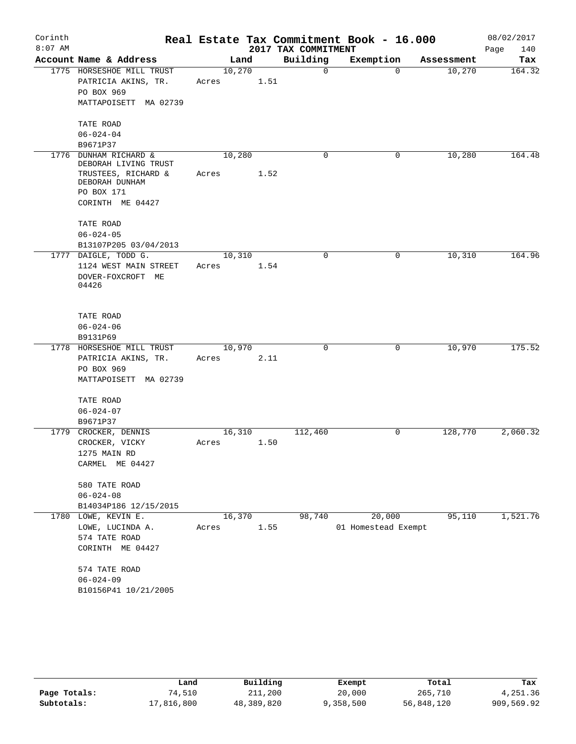| Corinth<br>$8:07$ AM |                                                                                                                     |                 |      | 2017 TAX COMMITMENT | Real Estate Tax Commitment Book - 16.000 |            | 08/02/2017<br>Page<br>140 |
|----------------------|---------------------------------------------------------------------------------------------------------------------|-----------------|------|---------------------|------------------------------------------|------------|---------------------------|
|                      | Account Name & Address                                                                                              | Land            |      | Building            | Exemption                                | Assessment | Tax                       |
|                      | 1775 HORSESHOE MILL TRUST<br>PATRICIA AKINS, TR.<br>PO BOX 969<br>MATTAPOISETT MA 02739                             | 10,270<br>Acres | 1.51 | 0                   | $\Omega$                                 | 10,270     | 164.32                    |
|                      | TATE ROAD<br>$06 - 024 - 04$<br>B9671P37                                                                            |                 |      |                     |                                          |            |                           |
| 1776                 | DUNHAM RICHARD &<br>DEBORAH LIVING TRUST<br>TRUSTEES, RICHARD &<br>DEBORAH DUNHAM<br>PO BOX 171<br>CORINTH ME 04427 | 10,280<br>Acres | 1.52 | 0                   | 0                                        | 10,280     | 164.48                    |
|                      | TATE ROAD<br>$06 - 024 - 05$<br>B13107P205 03/04/2013                                                               |                 |      |                     |                                          |            |                           |
|                      | 1777 DAIGLE, TODD G.<br>1124 WEST MAIN STREET<br>DOVER-FOXCROFT ME<br>04426                                         | 10,310<br>Acres | 1.54 | 0                   | 0                                        | 10,310     | 164.96                    |
|                      | TATE ROAD<br>$06 - 024 - 06$<br>B9131P69                                                                            |                 |      |                     |                                          |            |                           |
|                      | 1778 HORSESHOE MILL TRUST<br>PATRICIA AKINS, TR.<br>PO BOX 969<br>MATTAPOISETT MA 02739                             | 10,970<br>Acres | 2.11 | 0                   | 0                                        | 10,970     | 175.52                    |
|                      | TATE ROAD<br>$06 - 024 - 07$<br>B9671P37                                                                            |                 |      |                     |                                          |            |                           |
|                      | 1779 CROCKER, DENNIS<br>CROCKER, VICKY<br>1275 MAIN RD<br>CARMEL ME 04427                                           | 16,310<br>Acres | 1.50 | 112,460             | 0                                        | 128,770    | 2,060.32                  |
|                      | 580 TATE ROAD<br>$06 - 024 - 08$<br>B14034P186 12/15/2015                                                           |                 |      |                     |                                          |            |                           |
|                      | 1780 LOWE, KEVIN E.<br>LOWE, LUCINDA A.<br>574 TATE ROAD<br>CORINTH ME 04427                                        | 16,370<br>Acres | 1.55 | 98,740              | 20,000<br>01 Homestead Exempt            | 95,110     | 1,521.76                  |
|                      | 574 TATE ROAD<br>$06 - 024 - 09$<br>B10156P41 10/21/2005                                                            |                 |      |                     |                                          |            |                           |

|              | Land       | Building   | Exempt    | Total      | Tax        |
|--------------|------------|------------|-----------|------------|------------|
| Page Totals: | 74,510     | 211,200    | 20,000    | 265,710    | 4,251.36   |
| Subtotals:   | 17,816,800 | 48,389,820 | 9,358,500 | 56,848,120 | 909,569.92 |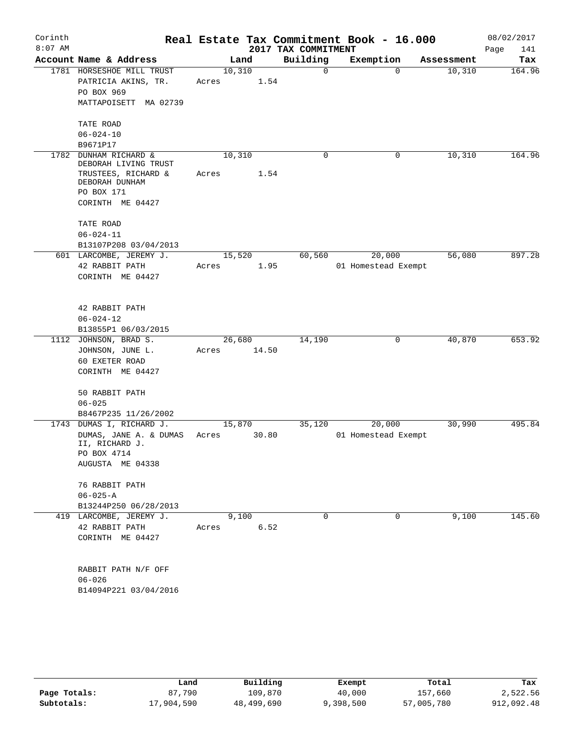| Corinth<br>$8:07$ AM |                                                    |                 |       | 2017 TAX COMMITMENT | Real Estate Tax Commitment Book - 16.000 |            | 08/02/2017<br>Page<br>141 |
|----------------------|----------------------------------------------------|-----------------|-------|---------------------|------------------------------------------|------------|---------------------------|
|                      | Account Name & Address                             |                 | Land  | Building            | Exemption                                | Assessment | Tax                       |
|                      | 1781 HORSESHOE MILL TRUST<br>PATRICIA AKINS, TR.   | 10,310<br>Acres | 1.54  | $\mathbf 0$         | $\Omega$                                 | 10,310     | 164.96                    |
|                      | PO BOX 969                                         |                 |       |                     |                                          |            |                           |
|                      | MATTAPOISETT MA 02739                              |                 |       |                     |                                          |            |                           |
|                      | TATE ROAD                                          |                 |       |                     |                                          |            |                           |
|                      | $06 - 024 - 10$<br>B9671P17                        |                 |       |                     |                                          |            |                           |
| 1782                 | DUNHAM RICHARD &                                   | 10,310          |       | $\mathbf 0$         | 0                                        | 10,310     | 164.96                    |
|                      | DEBORAH LIVING TRUST                               |                 |       |                     |                                          |            |                           |
|                      | TRUSTEES, RICHARD &<br>DEBORAH DUNHAM              | Acres           | 1.54  |                     |                                          |            |                           |
|                      | PO BOX 171                                         |                 |       |                     |                                          |            |                           |
|                      | CORINTH ME 04427                                   |                 |       |                     |                                          |            |                           |
|                      | TATE ROAD                                          |                 |       |                     |                                          |            |                           |
|                      | $06 - 024 - 11$                                    |                 |       |                     |                                          |            |                           |
|                      | B13107P208 03/04/2013                              |                 |       |                     |                                          |            |                           |
|                      | 601 LARCOMBE, JEREMY J.<br>42 RABBIT PATH          | 15,520<br>Acres | 1.95  | 60,560              | 20,000<br>01 Homestead Exempt            | 56,080     | 897.28                    |
|                      | CORINTH ME 04427                                   |                 |       |                     |                                          |            |                           |
|                      |                                                    |                 |       |                     |                                          |            |                           |
|                      | 42 RABBIT PATH                                     |                 |       |                     |                                          |            |                           |
|                      | $06 - 024 - 12$                                    |                 |       |                     |                                          |            |                           |
|                      | B13855P1 06/03/2015                                |                 |       |                     |                                          |            |                           |
|                      | 1112 JOHNSON, BRAD S.                              | 26,680          |       | 14,190              | 0                                        | 40,870     | 653.92                    |
|                      | JOHNSON, JUNE L.                                   | Acres           | 14.50 |                     |                                          |            |                           |
|                      | 60 EXETER ROAD<br>CORINTH ME 04427                 |                 |       |                     |                                          |            |                           |
|                      |                                                    |                 |       |                     |                                          |            |                           |
|                      | 50 RABBIT PATH                                     |                 |       |                     |                                          |            |                           |
|                      | $06 - 025$                                         |                 |       |                     |                                          |            |                           |
|                      | B8467P235 11/26/2002                               |                 |       |                     |                                          |            |                           |
|                      | 1743 DUMAS I, RICHARD J.<br>DUMAS, JANE A. & DUMAS | 15,870<br>Acres | 30.80 | 35,120              | 20,000<br>01 Homestead Exempt            | 30,990     | 495.84                    |
|                      | II, RICHARD J.                                     |                 |       |                     |                                          |            |                           |
|                      | PO BOX 4714                                        |                 |       |                     |                                          |            |                           |
|                      | AUGUSTA ME 04338                                   |                 |       |                     |                                          |            |                           |
|                      | 76 RABBIT PATH                                     |                 |       |                     |                                          |            |                           |
|                      | $06 - 025 - A$                                     |                 |       |                     |                                          |            |                           |
|                      | B13244P250 06/28/2013                              |                 |       |                     |                                          |            |                           |
|                      | 419 LARCOMBE, JEREMY J.                            |                 | 9,100 | $\Omega$            | 0                                        | 9,100      | 145.60                    |
|                      | 42 RABBIT PATH                                     | Acres           | 6.52  |                     |                                          |            |                           |
|                      | CORINTH ME 04427                                   |                 |       |                     |                                          |            |                           |
|                      | RABBIT PATH N/F OFF                                |                 |       |                     |                                          |            |                           |
|                      | $06 - 026$                                         |                 |       |                     |                                          |            |                           |
|                      | B14094P221 03/04/2016                              |                 |       |                     |                                          |            |                           |
|                      |                                                    |                 |       |                     |                                          |            |                           |
|                      |                                                    |                 |       |                     |                                          |            |                           |

|              | Land       | Building   | Exempt    | Total      | Tax        |
|--------------|------------|------------|-----------|------------|------------|
| Page Totals: | 87,790     | 109,870    | 40,000    | 157,660    | 2,522.56   |
| Subtotals:   | 17,904,590 | 48,499,690 | 9,398,500 | 57,005,780 | 912,092.48 |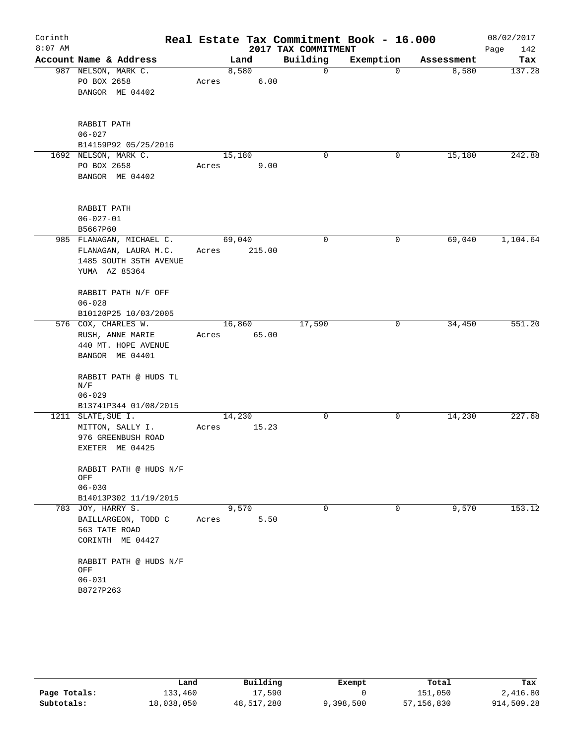| Corinth<br>$8:07$ AM |                              |       |        |        | 2017 TAX COMMITMENT | Real Estate Tax Commitment Book - 16.000 |            | 08/02/2017<br>142<br>Page |
|----------------------|------------------------------|-------|--------|--------|---------------------|------------------------------------------|------------|---------------------------|
|                      | Account Name & Address       |       | Land   |        | Building            | Exemption                                | Assessment | Tax                       |
|                      | 987 NELSON, MARK C.          |       | 8,580  |        | 0                   | 0                                        | 8,580      | 137.28                    |
|                      | PO BOX 2658                  | Acres |        | 6.00   |                     |                                          |            |                           |
|                      | BANGOR ME 04402              |       |        |        |                     |                                          |            |                           |
|                      |                              |       |        |        |                     |                                          |            |                           |
|                      |                              |       |        |        |                     |                                          |            |                           |
|                      | RABBIT PATH                  |       |        |        |                     |                                          |            |                           |
|                      | $06 - 027$                   |       |        |        |                     |                                          |            |                           |
|                      | B14159P92 05/25/2016         |       |        |        |                     |                                          |            |                           |
|                      | 1692 NELSON, MARK C.         |       | 15,180 |        | 0                   | 0                                        | 15,180     | 242.88                    |
|                      | PO BOX 2658                  | Acres |        | 9.00   |                     |                                          |            |                           |
|                      | BANGOR ME 04402              |       |        |        |                     |                                          |            |                           |
|                      | RABBIT PATH                  |       |        |        |                     |                                          |            |                           |
|                      | $06 - 027 - 01$              |       |        |        |                     |                                          |            |                           |
|                      | B5667P60                     |       |        |        |                     |                                          |            |                           |
|                      | 985 FLANAGAN, MICHAEL C.     |       | 69,040 |        | 0                   | 0                                        | 69,040     | 1,104.64                  |
|                      | FLANAGAN, LAURA M.C.         | Acres |        | 215.00 |                     |                                          |            |                           |
|                      | 1485 SOUTH 35TH AVENUE       |       |        |        |                     |                                          |            |                           |
|                      | YUMA AZ 85364                |       |        |        |                     |                                          |            |                           |
|                      | RABBIT PATH N/F OFF          |       |        |        |                     |                                          |            |                           |
|                      | $06 - 028$                   |       |        |        |                     |                                          |            |                           |
|                      | B10120P25 10/03/2005         |       |        |        |                     |                                          |            |                           |
|                      | 576 COX, CHARLES W.          |       | 16,860 |        | 17,590              | 0                                        | 34,450     | 551.20                    |
|                      | RUSH, ANNE MARIE             | Acres |        | 65.00  |                     |                                          |            |                           |
|                      | 440 MT. HOPE AVENUE          |       |        |        |                     |                                          |            |                           |
|                      | BANGOR ME 04401              |       |        |        |                     |                                          |            |                           |
|                      | RABBIT PATH @ HUDS TL<br>N/F |       |        |        |                     |                                          |            |                           |
|                      | $06 - 029$                   |       |        |        |                     |                                          |            |                           |
|                      | B13741P344 01/08/2015        |       |        |        |                     |                                          |            |                           |
|                      | 1211 SLATE, SUE I.           |       | 14,230 |        | 0                   | 0                                        | 14,230     | 227.68                    |
|                      | MITTON, SALLY I.             | Acres |        | 15.23  |                     |                                          |            |                           |
|                      | 976 GREENBUSH ROAD           |       |        |        |                     |                                          |            |                           |
|                      | EXETER ME 04425              |       |        |        |                     |                                          |            |                           |
|                      | RABBIT PATH @ HUDS N/F       |       |        |        |                     |                                          |            |                           |
|                      | OFF<br>$06 - 030$            |       |        |        |                     |                                          |            |                           |
|                      | B14013P302 11/19/2015        |       |        |        |                     |                                          |            |                           |
|                      | 783 JOY, HARRY S.            |       | 9,570  |        | $\Omega$            | 0                                        | 9,570      | 153.12                    |
|                      | BAILLARGEON, TODD C          | Acres |        | 5.50   |                     |                                          |            |                           |
|                      | 563 TATE ROAD                |       |        |        |                     |                                          |            |                           |
|                      | CORINTH ME 04427             |       |        |        |                     |                                          |            |                           |
|                      |                              |       |        |        |                     |                                          |            |                           |
|                      | RABBIT PATH @ HUDS N/F       |       |        |        |                     |                                          |            |                           |
|                      | OFF                          |       |        |        |                     |                                          |            |                           |
|                      | $06 - 031$                   |       |        |        |                     |                                          |            |                           |
|                      | B8727P263                    |       |        |        |                     |                                          |            |                           |

|              | Land       | Building   | Exempt    | Total      | Tax        |
|--------------|------------|------------|-----------|------------|------------|
| Page Totals: | 133,460    | 17,590     |           | 151,050    | 2,416.80   |
| Subtotals:   | 18,038,050 | 48,517,280 | 9,398,500 | 57,156,830 | 914,509.28 |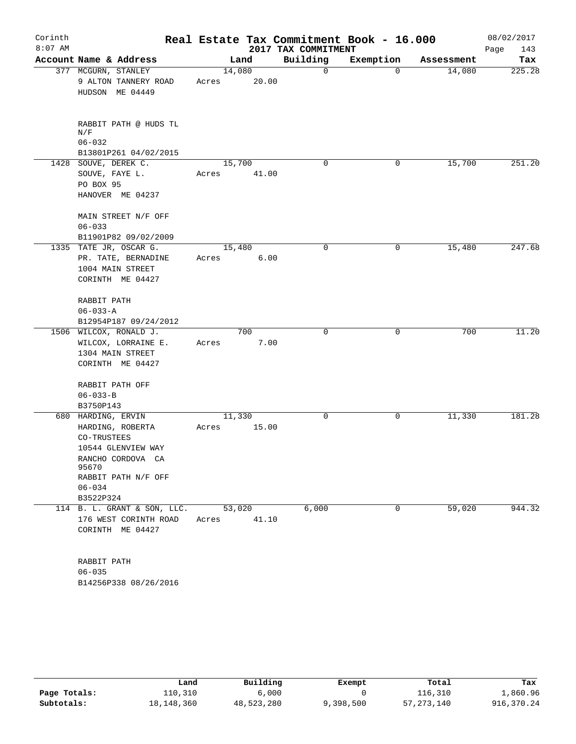| Corinth<br>$8:07$ AM |                                                                                                                                                |                 |             | 2017 TAX COMMITMENT | Real Estate Tax Commitment Book - 16.000 |            | 08/02/2017<br>143<br>Page |
|----------------------|------------------------------------------------------------------------------------------------------------------------------------------------|-----------------|-------------|---------------------|------------------------------------------|------------|---------------------------|
|                      | Account Name & Address                                                                                                                         |                 | Land        | Building            | Exemption                                | Assessment | Tax                       |
|                      | 377 MCGURN, STANLEY<br>9 ALTON TANNERY ROAD<br>HUDSON ME 04449                                                                                 | 14,080<br>Acres | 20.00       | 0                   | $\Omega$                                 | 14,080     | 225.28                    |
|                      | RABBIT PATH @ HUDS TL<br>N/F<br>$06 - 032$<br>B13801P261 04/02/2015                                                                            |                 |             |                     |                                          |            |                           |
|                      | 1428 SOUVE, DEREK C.<br>SOUVE, FAYE L.<br>PO BOX 95<br>HANOVER ME 04237                                                                        | 15,700<br>Acres | 41.00       | $\Omega$            | 0                                        | 15,700     | 251.20                    |
|                      | MAIN STREET N/F OFF<br>$06 - 033$<br>B11901P82 09/02/2009                                                                                      |                 |             |                     |                                          |            |                           |
|                      | 1335 TATE JR, OSCAR G.<br>PR. TATE, BERNADINE<br>1004 MAIN STREET<br>CORINTH ME 04427                                                          | 15,480<br>Acres | 6.00        | $\mathbf 0$         | 0                                        | 15,480     | 247.68                    |
|                      | RABBIT PATH<br>$06 - 033 - A$<br>B12954P187 09/24/2012                                                                                         |                 |             |                     |                                          |            |                           |
|                      | 1506 WILCOX, RONALD J.<br>WILCOX, LORRAINE E.<br>1304 MAIN STREET<br>CORINTH ME 04427                                                          | Acres           | 700<br>7.00 | $\Omega$            | 0                                        | 700        | 11.20                     |
|                      | RABBIT PATH OFF<br>$06 - 033 - B$<br>B3750P143                                                                                                 |                 |             |                     |                                          |            |                           |
|                      | 680 HARDING, ERVIN<br>HARDING, ROBERTA<br>CO-TRUSTEES<br>10544 GLENVIEW WAY<br>RANCHO CORDOVA CA<br>95670<br>RABBIT PATH N/F OFF<br>$06 - 034$ | 11,330<br>Acres | 15.00       | 0                   | 0                                        | 11,330     | 181.28                    |
|                      | B3522P324                                                                                                                                      |                 |             |                     |                                          |            |                           |
|                      | 114 B. L. GRANT & SON, LLC.<br>176 WEST CORINTH ROAD<br>CORINTH ME 04427                                                                       | 53,020<br>Acres | 41.10       | 6,000               | $\mathbf 0$                              | 59,020     | 944.32                    |
|                      | RABBIT PATH<br>$06 - 035$<br>B14256P338 08/26/2016                                                                                             |                 |             |                     |                                          |            |                           |

|              | Land       | Building   | Exempt    | Total        | Tax        |
|--------------|------------|------------|-----------|--------------|------------|
| Page Totals: | 110,310    | 6,000      |           | 116,310      | 1,860.96   |
| Subtotals:   | 18,148,360 | 48,523,280 | 9,398,500 | 57, 273, 140 | 916,370.24 |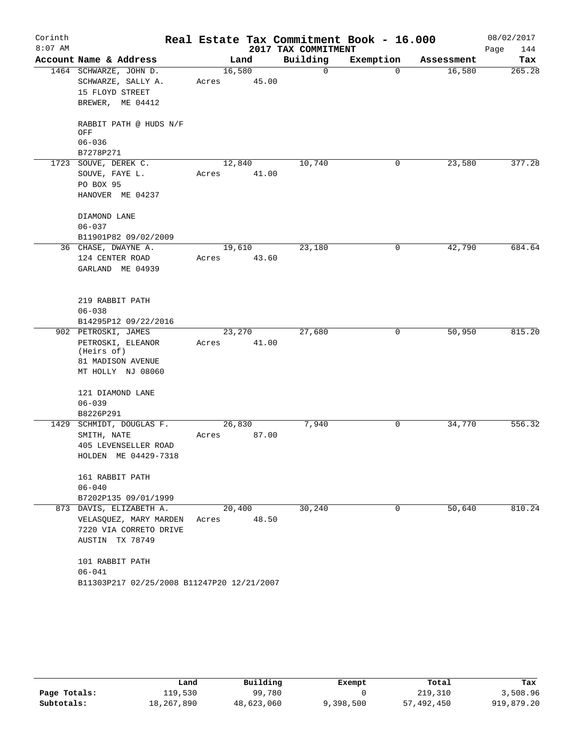| Corinth<br>$8:07$ AM |                                            |        |        | 2017 TAX COMMITMENT | Real Estate Tax Commitment Book - 16.000 |            | 08/02/2017<br>144<br>Page |
|----------------------|--------------------------------------------|--------|--------|---------------------|------------------------------------------|------------|---------------------------|
|                      | Account Name & Address                     |        | Land   | Building            | Exemption                                | Assessment | Tax                       |
|                      | 1464 SCHWARZE, JOHN D.                     | 16,580 |        | 0                   | $\Omega$                                 | 16,580     | 265.28                    |
|                      | SCHWARZE, SALLY A.                         | Acres  | 45.00  |                     |                                          |            |                           |
|                      | 15 FLOYD STREET                            |        |        |                     |                                          |            |                           |
|                      | BREWER, ME 04412                           |        |        |                     |                                          |            |                           |
|                      | RABBIT PATH @ HUDS N/F<br>OFF              |        |        |                     |                                          |            |                           |
|                      | $06 - 036$                                 |        |        |                     |                                          |            |                           |
|                      | B7278P271                                  |        |        |                     |                                          |            |                           |
|                      | 1723 SOUVE, DEREK C.                       |        | 12,840 | 10,740              | 0                                        | 23,580     | 377.28                    |
|                      | SOUVE, FAYE L.                             | Acres  | 41.00  |                     |                                          |            |                           |
|                      | PO BOX 95                                  |        |        |                     |                                          |            |                           |
|                      | HANOVER ME 04237                           |        |        |                     |                                          |            |                           |
|                      | DIAMOND LANE                               |        |        |                     |                                          |            |                           |
|                      | $06 - 037$                                 |        |        |                     |                                          |            |                           |
|                      | B11901P82 09/02/2009                       |        |        |                     |                                          |            |                           |
|                      | 36 CHASE, DWAYNE A.                        | 19,610 |        | 23,180              | 0                                        | 42,790     | 684.64                    |
|                      | 124 CENTER ROAD                            | Acres  | 43.60  |                     |                                          |            |                           |
|                      | GARLAND ME 04939                           |        |        |                     |                                          |            |                           |
|                      |                                            |        |        |                     |                                          |            |                           |
|                      | 219 RABBIT PATH                            |        |        |                     |                                          |            |                           |
|                      | $06 - 038$                                 |        |        |                     |                                          |            |                           |
|                      | B14295P12 09/22/2016                       |        |        |                     |                                          |            |                           |
|                      | 902 PETROSKI, JAMES                        |        | 23,270 | 27,680              | 0                                        | 50,950     | 815.20                    |
|                      | PETROSKI, ELEANOR                          | Acres  | 41.00  |                     |                                          |            |                           |
|                      | (Heirs of)                                 |        |        |                     |                                          |            |                           |
|                      | 81 MADISON AVENUE                          |        |        |                     |                                          |            |                           |
|                      | MT HOLLY NJ 08060                          |        |        |                     |                                          |            |                           |
|                      | 121 DIAMOND LANE                           |        |        |                     |                                          |            |                           |
|                      | $06 - 039$                                 |        |        |                     |                                          |            |                           |
|                      | B8226P291                                  |        |        |                     |                                          |            |                           |
|                      | 1429 SCHMIDT, DOUGLAS F.                   | 26,830 |        | 7,940               | 0                                        | 34,770     | 556.32                    |
|                      | SMITH, NATE                                | Acres  | 87.00  |                     |                                          |            |                           |
|                      | 405 LEVENSELLER ROAD                       |        |        |                     |                                          |            |                           |
|                      | HOLDEN ME 04429-7318                       |        |        |                     |                                          |            |                           |
|                      | 161 RABBIT PATH                            |        |        |                     |                                          |            |                           |
|                      | $06 - 040$                                 |        |        |                     |                                          |            |                           |
|                      | B7202P135 09/01/1999                       |        |        |                     |                                          |            |                           |
|                      | 873 DAVIS, ELIZABETH A.                    |        | 20,400 | 30,240              | $\Omega$                                 | 50,640     | 810.24                    |
|                      | VELASQUEZ, MARY MARDEN                     | Acres  | 48.50  |                     |                                          |            |                           |
|                      | 7220 VIA CORRETO DRIVE                     |        |        |                     |                                          |            |                           |
|                      | AUSTIN TX 78749                            |        |        |                     |                                          |            |                           |
|                      | 101 RABBIT PATH                            |        |        |                     |                                          |            |                           |
|                      | $06 - 041$                                 |        |        |                     |                                          |            |                           |
|                      | B11303P217 02/25/2008 B11247P20 12/21/2007 |        |        |                     |                                          |            |                           |

|              | Land       | Building   | Exempt    | Total      | Tax        |
|--------------|------------|------------|-----------|------------|------------|
| Page Totals: | 119,530    | 99,780     |           | 219,310    | 3,508.96   |
| Subtotals:   | 18,267,890 | 48,623,060 | 9,398,500 | 57,492,450 | 919,879.20 |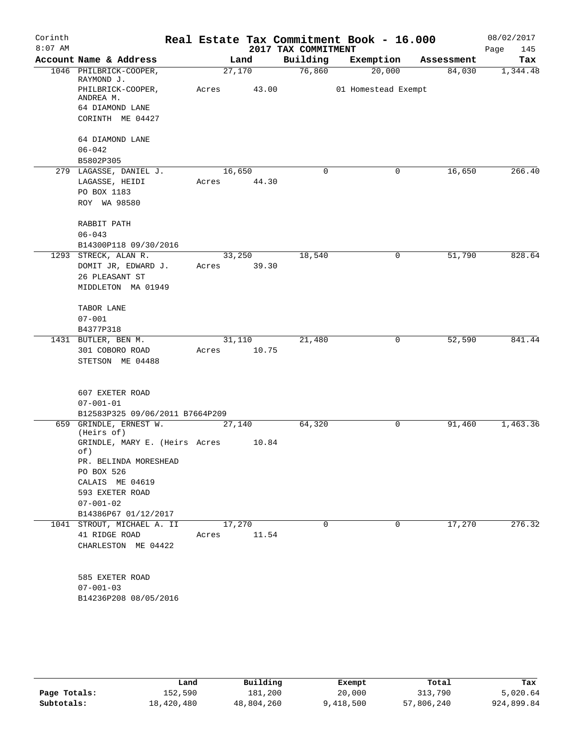| Corinth<br>$8:07$ AM |                                      |       |             | 2017 TAX COMMITMENT | Real Estate Tax Commitment Book - 16.000 |            | 08/02/2017<br>Page<br>145 |
|----------------------|--------------------------------------|-------|-------------|---------------------|------------------------------------------|------------|---------------------------|
|                      | Account Name & Address               |       | Land        | Building            | Exemption                                | Assessment | Tax                       |
|                      | 1046 PHILBRICK-COOPER,<br>RAYMOND J. |       | 27,170      | 76,860              | 20,000                                   | 84,030     | 1,344.48                  |
|                      | PHILBRICK-COOPER,<br>ANDREA M.       | Acres | 43.00       |                     | 01 Homestead Exempt                      |            |                           |
|                      | 64 DIAMOND LANE                      |       |             |                     |                                          |            |                           |
|                      | CORINTH ME 04427                     |       |             |                     |                                          |            |                           |
|                      | 64 DIAMOND LANE                      |       |             |                     |                                          |            |                           |
|                      | $06 - 042$                           |       |             |                     |                                          |            |                           |
|                      | B5802P305                            |       |             |                     |                                          |            |                           |
|                      | 279 LAGASSE, DANIEL J.               |       | 16,650      | $\mathbf 0$         | 0                                        | 16,650     | 266.40                    |
|                      | LAGASSE, HEIDI                       |       | Acres 44.30 |                     |                                          |            |                           |
|                      | PO BOX 1183                          |       |             |                     |                                          |            |                           |
|                      | ROY WA 98580                         |       |             |                     |                                          |            |                           |
|                      | RABBIT PATH                          |       |             |                     |                                          |            |                           |
|                      | $06 - 043$                           |       |             |                     |                                          |            |                           |
|                      | B14300P118 09/30/2016                |       |             |                     |                                          |            |                           |
|                      | 1293 STRECK, ALAN R.                 |       | 33,250      | 18,540              | 0                                        | 51,790     | 828.64                    |
|                      | DOMIT JR, EDWARD J.                  | Acres | 39.30       |                     |                                          |            |                           |
|                      | 26 PLEASANT ST                       |       |             |                     |                                          |            |                           |
|                      | MIDDLETON MA 01949                   |       |             |                     |                                          |            |                           |
|                      | TABOR LANE                           |       |             |                     |                                          |            |                           |
|                      | $07 - 001$                           |       |             |                     |                                          |            |                           |
|                      | B4377P318                            |       |             |                     |                                          |            |                           |
|                      | 1431 BUTLER, BEN M.                  |       | 31,110      | 21,480              | 0                                        | 52,590     | 841.44                    |
|                      | 301 COBORO ROAD                      | Acres | 10.75       |                     |                                          |            |                           |
|                      | STETSON ME 04488                     |       |             |                     |                                          |            |                           |
|                      |                                      |       |             |                     |                                          |            |                           |
|                      | 607 EXETER ROAD                      |       |             |                     |                                          |            |                           |
|                      | $07 - 001 - 01$                      |       |             |                     |                                          |            |                           |
|                      | B12583P325 09/06/2011 B7664P209      |       |             |                     |                                          |            |                           |
|                      | 659 GRINDLE, ERNEST W.<br>(Heirs of) |       | 27,140      | 64,320              | 0                                        | 91,460     | 1,463.36                  |
|                      | GRINDLE, MARY E. (Heirs Acres<br>of) |       | 10.84       |                     |                                          |            |                           |
|                      | PR. BELINDA MORESHEAD                |       |             |                     |                                          |            |                           |
|                      | PO BOX 526                           |       |             |                     |                                          |            |                           |
|                      | CALAIS ME 04619                      |       |             |                     |                                          |            |                           |
|                      | 593 EXETER ROAD                      |       |             |                     |                                          |            |                           |
|                      | $07 - 001 - 02$                      |       |             |                     |                                          |            |                           |
|                      | B14386P67 01/12/2017                 |       |             |                     |                                          |            |                           |
|                      | 1041 STROUT, MICHAEL A. II           |       | 17,270      | 0                   | 0                                        | 17,270     | 276.32                    |
|                      | 41 RIDGE ROAD                        | Acres | 11.54       |                     |                                          |            |                           |
|                      | CHARLESTON ME 04422                  |       |             |                     |                                          |            |                           |
|                      |                                      |       |             |                     |                                          |            |                           |
|                      | 585 EXETER ROAD                      |       |             |                     |                                          |            |                           |
|                      | $07 - 001 - 03$                      |       |             |                     |                                          |            |                           |
|                      | B14236P208 08/05/2016                |       |             |                     |                                          |            |                           |
|                      |                                      |       |             |                     |                                          |            |                           |
|                      |                                      |       |             |                     |                                          |            |                           |
|                      |                                      |       |             |                     |                                          |            |                           |

|              | Land       | Building   | Exempt    | Total      | Tax        |
|--------------|------------|------------|-----------|------------|------------|
| Page Totals: | 152,590    | 181,200    | 20,000    | 313,790    | 5,020.64   |
| Subtotals:   | 18,420,480 | 48,804,260 | 9,418,500 | 57,806,240 | 924,899.84 |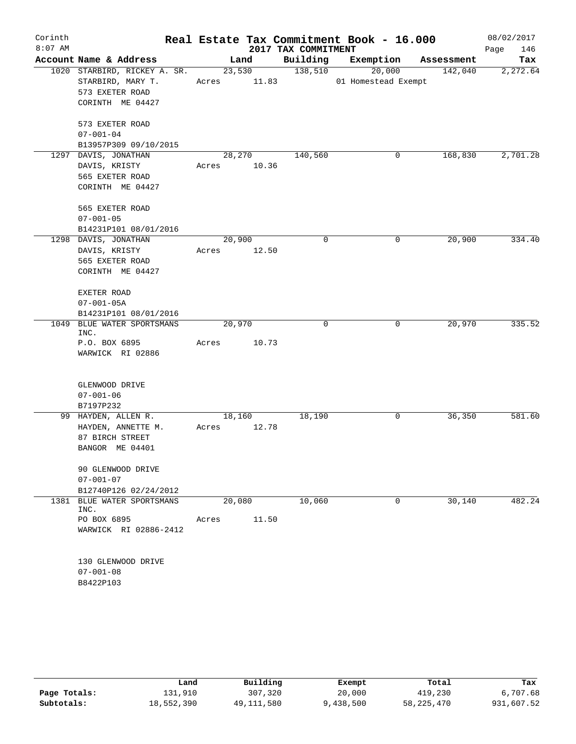| Corinth   |                                                   |             |        |                     | Real Estate Tax Commitment Book - 16.000 |            | 08/02/2017  |
|-----------|---------------------------------------------------|-------------|--------|---------------------|------------------------------------------|------------|-------------|
| $8:07$ AM |                                                   |             |        | 2017 TAX COMMITMENT |                                          |            | Page<br>146 |
|           | Account Name & Address                            |             | Land   | Building            | Exemption                                | Assessment | Tax         |
|           | 1020 STARBIRD, RICKEY A. SR.<br>STARBIRD, MARY T. |             | 23,530 | 138,510             | 20,000                                   | 142,040    | 2,272.64    |
|           |                                                   | Acres 11.83 |        |                     | 01 Homestead Exempt                      |            |             |
|           | 573 EXETER ROAD                                   |             |        |                     |                                          |            |             |
|           | CORINTH ME 04427                                  |             |        |                     |                                          |            |             |
|           | 573 EXETER ROAD                                   |             |        |                     |                                          |            |             |
|           | $07 - 001 - 04$                                   |             |        |                     |                                          |            |             |
|           | B13957P309 09/10/2015                             |             |        |                     |                                          |            |             |
|           | 1297 DAVIS, JONATHAN                              |             | 28,270 | 140,560             | 0                                        | 168,830    | 2,701.28    |
|           | DAVIS, KRISTY                                     | Acres       | 10.36  |                     |                                          |            |             |
|           | 565 EXETER ROAD                                   |             |        |                     |                                          |            |             |
|           | CORINTH ME 04427                                  |             |        |                     |                                          |            |             |
|           | 565 EXETER ROAD                                   |             |        |                     |                                          |            |             |
|           | $07 - 001 - 05$                                   |             |        |                     |                                          |            |             |
|           | B14231P101 08/01/2016                             |             |        |                     |                                          |            |             |
|           | 1298 DAVIS, JONATHAN                              |             | 20,900 | $\mathbf 0$         | 0                                        | 20,900     | 334.40      |
|           | DAVIS, KRISTY                                     | Acres       | 12.50  |                     |                                          |            |             |
|           | 565 EXETER ROAD                                   |             |        |                     |                                          |            |             |
|           | CORINTH ME 04427                                  |             |        |                     |                                          |            |             |
|           | EXETER ROAD                                       |             |        |                     |                                          |            |             |
|           | $07 - 001 - 05A$                                  |             |        |                     |                                          |            |             |
|           | B14231P101 08/01/2016                             |             |        |                     |                                          |            |             |
|           | 1049 BLUE WATER SPORTSMANS<br>INC.                |             | 20,970 | 0                   | 0                                        | 20,970     | 335.52      |
|           | P.O. BOX 6895                                     | Acres       | 10.73  |                     |                                          |            |             |
|           | WARWICK RI 02886                                  |             |        |                     |                                          |            |             |
|           |                                                   |             |        |                     |                                          |            |             |
|           | GLENWOOD DRIVE                                    |             |        |                     |                                          |            |             |
|           | $07 - 001 - 06$                                   |             |        |                     |                                          |            |             |
|           | B7197P232<br>99 HAYDEN, ALLEN R.                  |             | 18,160 | 18,190              | 0                                        | 36,350     | 581.60      |
|           | HAYDEN, ANNETTE M.                                | Acres       | 12.78  |                     |                                          |            |             |
|           | 87 BIRCH STREET                                   |             |        |                     |                                          |            |             |
|           | BANGOR ME 04401                                   |             |        |                     |                                          |            |             |
|           |                                                   |             |        |                     |                                          |            |             |
|           | 90 GLENWOOD DRIVE                                 |             |        |                     |                                          |            |             |
|           | $07 - 001 - 07$                                   |             |        |                     |                                          |            |             |
|           | B12740P126 02/24/2012                             |             |        |                     |                                          |            |             |
|           | 1381 BLUE WATER SPORTSMANS<br>INC.                |             | 20,080 | 10,060              | 0                                        | 30,140     | 482.24      |
|           | PO BOX 6895                                       | Acres       | 11.50  |                     |                                          |            |             |
|           | WARWICK RI 02886-2412                             |             |        |                     |                                          |            |             |
|           | 130 GLENWOOD DRIVE                                |             |        |                     |                                          |            |             |
|           | $07 - 001 - 08$                                   |             |        |                     |                                          |            |             |
|           | B8422P103                                         |             |        |                     |                                          |            |             |
|           |                                                   |             |        |                     |                                          |            |             |

|              | Land       | Building   | Exempt    | Total        | Tax        |
|--------------|------------|------------|-----------|--------------|------------|
| Page Totals: | ⊥31,910    | 307,320    | 20,000    | 419,230      | 6,707.68   |
| Subtotals:   | 18,552,390 | 49,111,580 | 9,438,500 | 58, 225, 470 | 931,607.52 |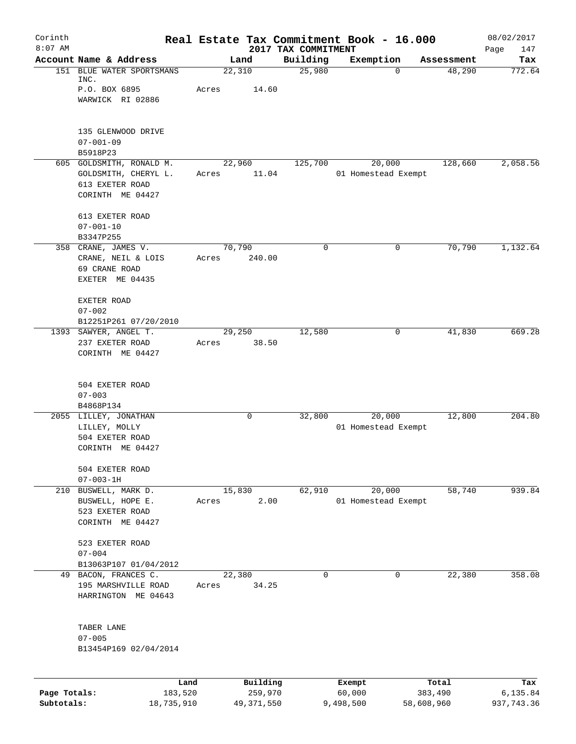| Corinth      |                                                                                         |                 |          |                                 | Real Estate Tax Commitment Book - 16.000 |                       | 08/02/2017         |
|--------------|-----------------------------------------------------------------------------------------|-----------------|----------|---------------------------------|------------------------------------------|-----------------------|--------------------|
| $8:07$ AM    | Account Name & Address                                                                  |                 | Land     | 2017 TAX COMMITMENT<br>Building | Exemption                                | Assessment            | Page<br>147<br>Tax |
|              | 151 BLUE WATER SPORTSMANS<br>INC.                                                       | 22,310          |          | 25,980                          |                                          | 48,290<br>$\mathbf 0$ | 772.64             |
|              | P.O. BOX 6895                                                                           | Acres           | 14.60    |                                 |                                          |                       |                    |
|              | WARWICK RI 02886                                                                        |                 |          |                                 |                                          |                       |                    |
|              | 135 GLENWOOD DRIVE<br>$07 - 001 - 09$                                                   |                 |          |                                 |                                          |                       |                    |
|              | B5918P23                                                                                |                 |          |                                 |                                          |                       |                    |
|              | 605 GOLDSMITH, RONALD M.<br>GOLDSMITH, CHERYL L.<br>613 EXETER ROAD<br>CORINTH ME 04427 | 22,960<br>Acres | 11.04    | 125,700                         | 20,000<br>01 Homestead Exempt            | 128,660               | 2,058.56           |
|              | 613 EXETER ROAD<br>$07 - 001 - 10$                                                      |                 |          |                                 |                                          |                       |                    |
|              | B3347P255                                                                               |                 |          |                                 |                                          |                       |                    |
|              | 358 CRANE, JAMES V.<br>CRANE, NEIL & LOIS<br>69 CRANE ROAD                              | 70,790<br>Acres | 240.00   | $\mathbf 0$                     | 0                                        | 70,790                | 1,132.64           |
|              | EXETER ME 04435                                                                         |                 |          |                                 |                                          |                       |                    |
|              | EXETER ROAD<br>$07 - 002$                                                               |                 |          |                                 |                                          |                       |                    |
|              | B12251P261 07/20/2010                                                                   |                 |          |                                 |                                          |                       |                    |
|              | 1393 SAWYER, ANGEL T.                                                                   | 29,250          |          | 12,580                          |                                          | 41,830<br>0           | 669.28             |
|              | 237 EXETER ROAD<br>CORINTH ME 04427                                                     | Acres           | 38.50    |                                 |                                          |                       |                    |
|              | 504 EXETER ROAD<br>$07 - 003$                                                           |                 |          |                                 |                                          |                       |                    |
|              | B4868P134                                                                               |                 |          |                                 |                                          |                       |                    |
|              | 2055 LILLEY, JONATHAN                                                                   |                 | 0        | 32,800                          | 20,000                                   | 12,800                | 204.80             |
|              | LILLEY, MOLLY                                                                           |                 |          |                                 | 01 Homestead Exempt                      |                       |                    |
|              | 504 EXETER ROAD<br>CORINTH ME 04427                                                     |                 |          |                                 |                                          |                       |                    |
|              | 504 EXETER ROAD<br>$07 - 003 - 1H$                                                      |                 |          |                                 |                                          |                       |                    |
|              | 210 BUSWELL, MARK D.                                                                    | 15,830          |          | 62,910                          | 20,000                                   | 58,740                | 939.84             |
|              | BUSWELL, HOPE E.                                                                        | Acres           | 2.00     |                                 | 01 Homestead Exempt                      |                       |                    |
|              | 523 EXETER ROAD<br>CORINTH ME 04427                                                     |                 |          |                                 |                                          |                       |                    |
|              | 523 EXETER ROAD                                                                         |                 |          |                                 |                                          |                       |                    |
|              | $07 - 004$<br>B13063P107 01/04/2012                                                     |                 |          |                                 |                                          |                       |                    |
|              | 49 BACON, FRANCES C.                                                                    | 22,380          |          | $\Omega$                        | $\Omega$                                 | 22,380                | 358.08             |
|              | 195 MARSHVILLE ROAD                                                                     | Acres           | 34.25    |                                 |                                          |                       |                    |
|              | HARRINGTON ME 04643                                                                     |                 |          |                                 |                                          |                       |                    |
|              | TABER LANE                                                                              |                 |          |                                 |                                          |                       |                    |
|              | $07 - 005$                                                                              |                 |          |                                 |                                          |                       |                    |
|              | B13454P169 02/04/2014                                                                   |                 |          |                                 |                                          |                       |                    |
|              | Land                                                                                    |                 | Building |                                 | Exempt                                   | Total                 | Tax                |
| Page Totals: | 183,520                                                                                 |                 | 259,970  |                                 | 60,000                                   | 383,490               | 6,135.84           |

**Subtotals:** 18,735,910 49,371,550 9,498,500 58,608,960 937,743.36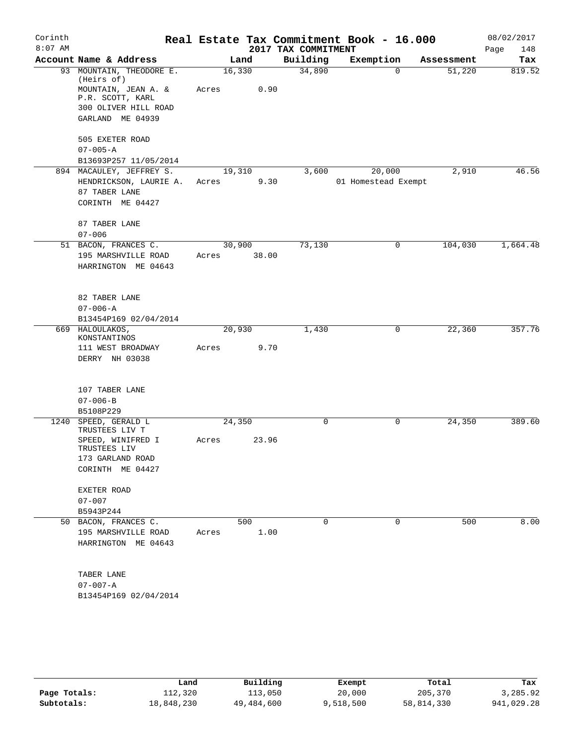| Corinth<br>$8:07$ AM |                                            |       |        | 2017 TAX COMMITMENT | Real Estate Tax Commitment Book - 16.000 |            | 08/02/2017<br>Page<br>148 |
|----------------------|--------------------------------------------|-------|--------|---------------------|------------------------------------------|------------|---------------------------|
|                      | Account Name & Address                     |       | Land   | Building            | Exemption                                | Assessment | Tax                       |
|                      | 93 MOUNTAIN, THEODORE E.<br>(Heirs of)     |       | 16,330 | 34,890              | $\Omega$                                 | 51,220     | 819.52                    |
|                      | MOUNTAIN, JEAN A. &<br>P.R. SCOTT, KARL    | Acres | 0.90   |                     |                                          |            |                           |
|                      | 300 OLIVER HILL ROAD                       |       |        |                     |                                          |            |                           |
|                      | GARLAND ME 04939                           |       |        |                     |                                          |            |                           |
|                      | 505 EXETER ROAD                            |       |        |                     |                                          |            |                           |
|                      | $07 - 005 - A$                             |       |        |                     |                                          |            |                           |
|                      | B13693P257 11/05/2014                      |       |        |                     |                                          |            |                           |
|                      | 894 MACAULEY, JEFFREY S.                   |       | 19,310 | 3,600               | 20,000                                   | 2,910      | 46.56                     |
|                      | HENDRICKSON, LAURIE A.<br>87 TABER LANE    | Acres | 9.30   |                     | 01 Homestead Exempt                      |            |                           |
|                      | CORINTH ME 04427                           |       |        |                     |                                          |            |                           |
|                      | 87 TABER LANE                              |       |        |                     |                                          |            |                           |
|                      | $07 - 006$                                 |       |        |                     |                                          |            |                           |
|                      | 51 BACON, FRANCES C.                       |       | 30,900 | 73,130              | 0                                        | 104,030    | 1,664.48                  |
|                      | 195 MARSHVILLE ROAD                        | Acres | 38.00  |                     |                                          |            |                           |
|                      | HARRINGTON ME 04643                        |       |        |                     |                                          |            |                           |
|                      | 82 TABER LANE                              |       |        |                     |                                          |            |                           |
|                      | $07 - 006 - A$                             |       |        |                     |                                          |            |                           |
|                      | B13454P169 02/04/2014                      |       |        |                     |                                          |            |                           |
|                      | 669 HALOULAKOS,<br>KONSTANTINOS            |       | 20,930 | 1,430               | 0                                        | 22,360     | 357.76                    |
|                      | 111 WEST BROADWAY                          | Acres | 9.70   |                     |                                          |            |                           |
|                      | DERRY NH 03038                             |       |        |                     |                                          |            |                           |
|                      | 107 TABER LANE                             |       |        |                     |                                          |            |                           |
|                      | $07 - 006 - B$                             |       |        |                     |                                          |            |                           |
|                      | B5108P229                                  |       |        |                     |                                          |            |                           |
|                      | 1240 SPEED, GERALD L<br>TRUSTEES LIV T     |       | 24,350 | $\mathbf 0$         | 0                                        | 24,350     | 389.60                    |
|                      | SPEED, WINIFRED I<br>TRUSTEES LIV          | Acres | 23.96  |                     |                                          |            |                           |
|                      | 173 GARLAND ROAD                           |       |        |                     |                                          |            |                           |
|                      | CORINTH ME 04427                           |       |        |                     |                                          |            |                           |
|                      | EXETER ROAD                                |       |        |                     |                                          |            |                           |
|                      | $07 - 007$                                 |       |        |                     |                                          |            |                           |
|                      | B5943P244                                  |       |        |                     |                                          |            |                           |
|                      | 50 BACON, FRANCES C.                       |       | 500    | 0                   | 0                                        | 500        | 8.00                      |
|                      | 195 MARSHVILLE ROAD<br>HARRINGTON ME 04643 | Acres | 1.00   |                     |                                          |            |                           |
|                      | TABER LANE                                 |       |        |                     |                                          |            |                           |
|                      | $07 - 007 - A$                             |       |        |                     |                                          |            |                           |
|                      | B13454P169 02/04/2014                      |       |        |                     |                                          |            |                           |
|                      |                                            |       |        |                     |                                          |            |                           |

|              | Land       | Building   | Exempt    | Total      | Tax        |
|--------------|------------|------------|-----------|------------|------------|
| Page Totals: | 112,320    | 113,050    | 20,000    | 205,370    | 3,285.92   |
| Subtotals:   | 18,848,230 | 49,484,600 | 9,518,500 | 58,814,330 | 941,029.28 |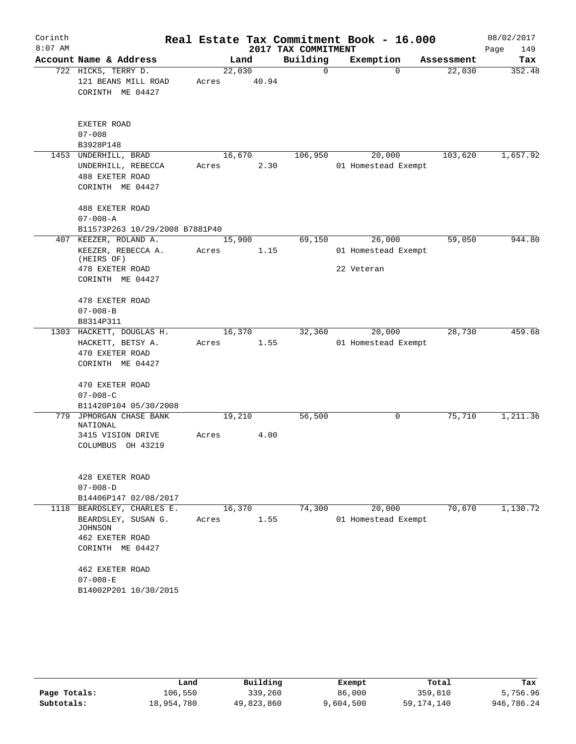| Corinth<br>$8:07$ AM |                                                                                                                                                              |                 |       | 2017 TAX COMMITMENT | Real Estate Tax Commitment Book - 16.000    |            | 08/02/2017<br>Page<br>149 |
|----------------------|--------------------------------------------------------------------------------------------------------------------------------------------------------------|-----------------|-------|---------------------|---------------------------------------------|------------|---------------------------|
|                      | Account Name & Address                                                                                                                                       |                 | Land  | Building            | Exemption                                   | Assessment | Tax                       |
|                      | 722 HICKS, TERRY D.<br>121 BEANS MILL ROAD<br>CORINTH ME 04427                                                                                               | 22,030<br>Acres | 40.94 | 0                   | $\Omega$                                    | 22,030     | 352.48                    |
|                      | EXETER ROAD<br>$07 - 008$<br>B3928P148                                                                                                                       |                 |       |                     |                                             |            |                           |
|                      | 1453 UNDERHILL, BRAD<br>UNDERHILL, REBECCA<br>488 EXETER ROAD<br>CORINTH ME 04427                                                                            | 16,670<br>Acres | 2.30  | 106,950             | 20,000<br>01 Homestead Exempt               | 103,620    | 1,657.92                  |
|                      | 488 EXETER ROAD<br>$07 - 008 - A$<br>B11573P263 10/29/2008 B7881P40                                                                                          |                 |       |                     |                                             |            |                           |
| 407                  | KEEZER, ROLAND A.<br>KEEZER, REBECCA A.<br>(HEIRS OF)<br>478 EXETER ROAD<br>CORINTH ME 04427                                                                 | 15,900<br>Acres | 1.15  | 69,150              | 26,000<br>01 Homestead Exempt<br>22 Veteran | 59,050     | 944.80                    |
|                      | 478 EXETER ROAD<br>$07 - 008 - B$<br>B8314P311                                                                                                               |                 |       |                     |                                             |            |                           |
|                      | 1303 HACKETT, DOUGLAS H.<br>HACKETT, BETSY A.<br>470 EXETER ROAD<br>CORINTH ME 04427                                                                         | 16,370<br>Acres | 1.55  | 32,360              | 20,000<br>01 Homestead Exempt               | 28,730     | 459.68                    |
|                      | 470 EXETER ROAD<br>$07 - 008 - C$<br>B11420P104 05/30/2008                                                                                                   |                 |       |                     |                                             |            |                           |
| 779                  | JPMORGAN CHASE BANK<br>NATIONAL<br>3415 VISION DRIVE<br>COLUMBUS OH 43219                                                                                    | 19,210<br>Acres | 4.00  | 56,500              | 0                                           | 75,710     | 1,211.36                  |
|                      | 428 EXETER ROAD<br>$07 - 008 - D$<br>B14406P147 02/08/2017                                                                                                   |                 |       |                     |                                             |            |                           |
| 1118                 | BEARDSLEY, CHARLES E.<br>BEARDSLEY, SUSAN G.<br>JOHNSON<br>462 EXETER ROAD<br>CORINTH ME 04427<br>462 EXETER ROAD<br>$07 - 008 - E$<br>B14002P201 10/30/2015 | 16,370<br>Acres | 1.55  | 74,300              | 20,000<br>01 Homestead Exempt               | 70,670     | 1,130.72                  |

|              | Land       | Building   | Exempt    | Total      | Tax        |
|--------------|------------|------------|-----------|------------|------------|
| Page Totals: | 106,550    | 339,260    | 86,000    | 359,810    | 5,756.96   |
| Subtotals:   | 18,954,780 | 49,823,860 | 9,604,500 | 59,174,140 | 946,786.24 |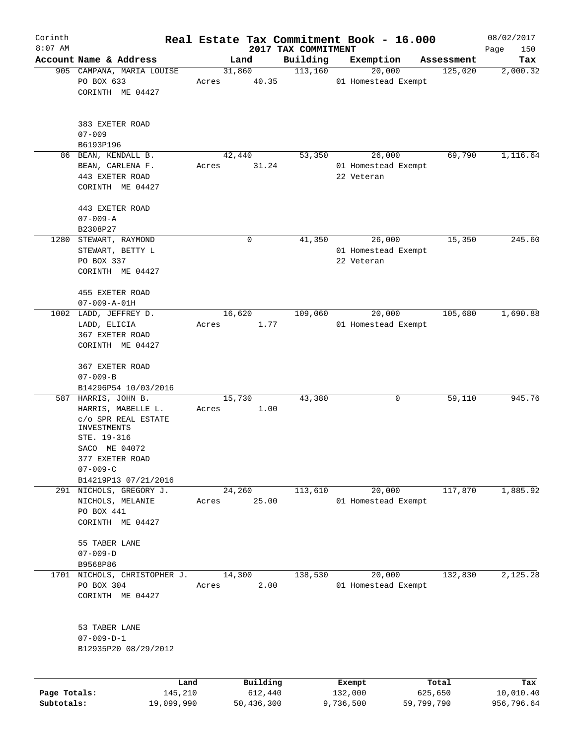| Corinth      |                                         |        |          |                                 | Real Estate Tax Commitment Book - 16.000 |            | 08/02/2017         |
|--------------|-----------------------------------------|--------|----------|---------------------------------|------------------------------------------|------------|--------------------|
| $8:07$ AM    | Account Name & Address                  |        | Land     | 2017 TAX COMMITMENT<br>Building | Exemption                                | Assessment | Page<br>150<br>Tax |
|              | 905 CAMPANA, MARIA LOUISE               | 31,860 |          | 113,160                         | 20,000                                   | 125,020    | 2,000.32           |
|              | PO BOX 633                              | Acres  | 40.35    |                                 | 01 Homestead Exempt                      |            |                    |
|              | CORINTH ME 04427                        |        |          |                                 |                                          |            |                    |
|              |                                         |        |          |                                 |                                          |            |                    |
|              | 383 EXETER ROAD<br>$07 - 009$           |        |          |                                 |                                          |            |                    |
|              | B6193P196                               |        |          |                                 |                                          |            |                    |
|              | 86 BEAN, KENDALL B.                     | 42,440 |          | 53,350                          | 26,000                                   | 69,790     | 1,116.64           |
|              | BEAN, CARLENA F.                        | Acres  | 31.24    |                                 | 01 Homestead Exempt                      |            |                    |
|              | 443 EXETER ROAD                         |        |          |                                 | 22 Veteran                               |            |                    |
|              | CORINTH ME 04427                        |        |          |                                 |                                          |            |                    |
|              | 443 EXETER ROAD                         |        |          |                                 |                                          |            |                    |
|              | $07 - 009 - A$                          |        |          |                                 |                                          |            |                    |
|              | B2308P27                                |        |          |                                 |                                          |            |                    |
|              | 1280 STEWART, RAYMOND                   |        | 0        | 41,350                          | 26,000                                   | 15,350     | 245.60             |
|              | STEWART, BETTY L                        |        |          |                                 | 01 Homestead Exempt                      |            |                    |
|              | PO BOX 337                              |        |          |                                 | 22 Veteran                               |            |                    |
|              | CORINTH ME 04427                        |        |          |                                 |                                          |            |                    |
|              | 455 EXETER ROAD<br>$07 - 009 - A - 01H$ |        |          |                                 |                                          |            |                    |
|              | 1002 LADD, JEFFREY D.                   | 16,620 |          | 109,060                         | 20,000                                   | 105,680    | 1,690.88           |
|              | LADD, ELICIA                            | Acres  | 1.77     |                                 | 01 Homestead Exempt                      |            |                    |
|              | 367 EXETER ROAD                         |        |          |                                 |                                          |            |                    |
|              | CORINTH ME 04427                        |        |          |                                 |                                          |            |                    |
|              | 367 EXETER ROAD                         |        |          |                                 |                                          |            |                    |
|              | $07 - 009 - B$                          |        |          |                                 |                                          |            |                    |
|              | B14296P54 10/03/2016                    |        |          |                                 |                                          |            |                    |
|              | 587 HARRIS, JOHN B.                     | 15,730 |          | 43,380                          | 0                                        | 59,110     | 945.76             |
|              | HARRIS, MABELLE L.                      | Acres  | 1.00     |                                 |                                          |            |                    |
|              | C/O SPR REAL ESTATE                     |        |          |                                 |                                          |            |                    |
|              | INVESTMENTS<br>STE. 19-316              |        |          |                                 |                                          |            |                    |
|              | SACO ME 04072                           |        |          |                                 |                                          |            |                    |
|              | 377 EXETER ROAD                         |        |          |                                 |                                          |            |                    |
|              | $07 - 009 - C$                          |        |          |                                 |                                          |            |                    |
|              | B14219P13 07/21/2016                    |        |          |                                 |                                          |            |                    |
|              | 291 NICHOLS, GREGORY J.                 | 24,260 |          | 113,610                         | 20,000                                   | 117,870    | 1,885.92           |
|              | NICHOLS, MELANIE                        | Acres  | 25.00    |                                 | 01 Homestead Exempt                      |            |                    |
|              | PO BOX 441                              |        |          |                                 |                                          |            |                    |
|              | CORINTH ME 04427                        |        |          |                                 |                                          |            |                    |
|              | 55 TABER LANE                           |        |          |                                 |                                          |            |                    |
|              | $07 - 009 - D$                          |        |          |                                 |                                          |            |                    |
|              | B9568P86                                |        |          |                                 |                                          |            |                    |
|              | 1701 NICHOLS, CHRISTOPHER J.            | 14,300 |          | 138,530                         | 20,000                                   | 132,830    | 2,125.28           |
|              | PO BOX 304                              | Acres  | 2.00     |                                 | 01 Homestead Exempt                      |            |                    |
|              | CORINTH ME 04427                        |        |          |                                 |                                          |            |                    |
|              | 53 TABER LANE                           |        |          |                                 |                                          |            |                    |
|              | $07 - 009 - D - 1$                      |        |          |                                 |                                          |            |                    |
|              | B12935P20 08/29/2012                    |        |          |                                 |                                          |            |                    |
|              |                                         |        |          |                                 |                                          |            |                    |
|              | Land                                    |        | Building |                                 | Exempt                                   | Total      | Tax                |
| Page Totals: | 145,210                                 |        | 612,440  |                                 | 132,000                                  | 625,650    | 10,010.40          |

**Subtotals:** 19,099,990 50,436,300 9,736,500 59,799,790 956,796.64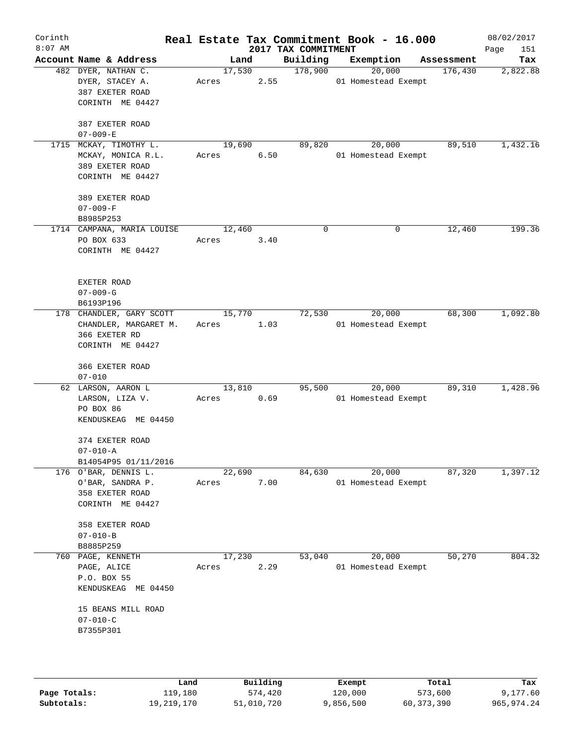| Corinth<br>$8:07$ AM |                                                                                                                          |       |                | 2017 TAX COMMITMENT | Real Estate Tax Commitment Book - 16.000 |            | 08/02/2017<br>Page<br>151 |
|----------------------|--------------------------------------------------------------------------------------------------------------------------|-------|----------------|---------------------|------------------------------------------|------------|---------------------------|
|                      | Account Name & Address                                                                                                   |       | Land           | Building            | Exemption                                | Assessment | Tax                       |
|                      | 482 DYER, NATHAN C.<br>DYER, STACEY A.<br>387 EXETER ROAD<br>CORINTH ME 04427<br>387 EXETER ROAD                         | Acres | 17,530<br>2.55 | 178,900             | 20,000<br>01 Homestead Exempt            | 176,430    | 2,822.88                  |
|                      | $07 - 009 - E$                                                                                                           |       |                |                     |                                          |            |                           |
|                      | 1715 MCKAY, TIMOTHY L.<br>MCKAY, MONICA R.L.<br>389 EXETER ROAD<br>CORINTH ME 04427<br>389 EXETER ROAD<br>$07 - 009 - F$ | Acres | 19,690<br>6.50 | 89,820              | 20,000<br>01 Homestead Exempt            | 89,510     | 1,432.16                  |
|                      | B8985P253                                                                                                                |       |                |                     |                                          |            |                           |
|                      | 1714 CAMPANA, MARIA LOUISE<br>PO BOX 633<br>CORINTH ME 04427                                                             | Acres | 12,460<br>3.40 | $\mathbf 0$         | $\mathbf 0$                              | 12,460     | 199.36                    |
|                      | EXETER ROAD<br>$07 - 009 - G$<br>B6193P196<br>178 CHANDLER, GARY SCOTT                                                   |       | 15,770         | 72,530              | 20,000                                   | 68,300     | 1,092.80                  |
|                      | CHANDLER, MARGARET M.<br>366 EXETER RD<br>CORINTH ME 04427                                                               | Acres | 1.03           |                     | 01 Homestead Exempt                      |            |                           |
|                      | 366 EXETER ROAD                                                                                                          |       |                |                     |                                          |            |                           |
|                      | $07 - 010$<br>62 LARSON, AARON L<br>LARSON, LIZA V.<br>PO BOX 86<br>KENDUSKEAG ME 04450                                  | Acres | 13,810<br>0.69 | 95,500              | 20,000<br>01 Homestead Exempt            | 89,310     | 1,428.96                  |
|                      | 374 EXETER ROAD<br>$07 - 010 - A$<br>B14054P95 01/11/2016                                                                |       |                |                     |                                          |            |                           |
|                      | 176 O'BAR, DENNIS L.<br>O'BAR, SANDRA P.<br>358 EXETER ROAD<br>CORINTH ME 04427                                          | Acres | 22,690<br>7.00 | 84,630              | 20,000<br>01 Homestead Exempt            | 87,320     | 1,397.12                  |
|                      | 358 EXETER ROAD<br>$07 - 010 - B$<br>B8885P259                                                                           |       |                |                     |                                          |            |                           |
|                      | 760 PAGE, KENNETH<br>PAGE, ALICE<br>P.O. BOX 55<br>KENDUSKEAG ME 04450                                                   | Acres | 17,230<br>2.29 | 53,040              | 20,000<br>01 Homestead Exempt            | 50,270     | 804.32                    |
|                      | 15 BEANS MILL ROAD<br>$07 - 010 - C$<br>B7355P301                                                                        |       |                |                     |                                          |            |                           |
|                      |                                                                                                                          |       |                |                     |                                          |            |                           |

|              | Land       | Building   | Exempt    | Total      | Tax        |
|--------------|------------|------------|-----------|------------|------------|
| Page Totals: | 119,180    | 574,420    | 120,000   | 573,600    | 9,177.60   |
| Subtotals:   | 19,219,170 | 51,010,720 | 9,856,500 | 60,373,390 | 965,974.24 |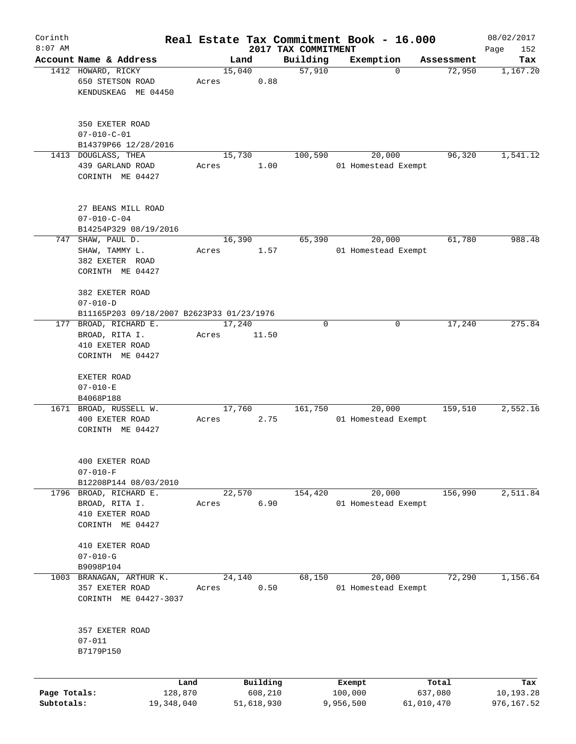| Corinth                    |                                                                                |       |        |                       |                     | Real Estate Tax Commitment Book - 16.000 |                       | 08/02/2017              |
|----------------------------|--------------------------------------------------------------------------------|-------|--------|-----------------------|---------------------|------------------------------------------|-----------------------|-------------------------|
| $8:07$ AM                  |                                                                                |       |        |                       | 2017 TAX COMMITMENT |                                          |                       | Page<br>152             |
|                            | Account Name & Address                                                         |       | Land   |                       | Building            | Exemption                                | Assessment            | Tax                     |
|                            | 1412 HOWARD, RICKY<br>650 STETSON ROAD<br>KENDUSKEAG ME 04450                  | Acres | 15,040 | 0.88                  | 57,910              | $\Omega$                                 | 72,950                | 1,167.20                |
|                            | 350 EXETER ROAD<br>$07 - 010 - C - 01$<br>B14379P66 12/28/2016                 |       |        |                       |                     |                                          |                       |                         |
|                            | 1413 DOUGLASS, THEA                                                            |       | 15,730 |                       | 100,590             | 20,000                                   | 96,320                | 1,541.12                |
|                            | 439 GARLAND ROAD<br>CORINTH ME 04427                                           | Acres |        | 1.00                  |                     | 01 Homestead Exempt                      |                       |                         |
|                            | 27 BEANS MILL ROAD<br>$07 - 010 - C - 04$<br>B14254P329 08/19/2016             |       |        |                       |                     |                                          |                       |                         |
| 747                        | SHAW, PAUL D.                                                                  |       | 16,390 |                       | 65,390              | 20,000                                   | 61,780                | 988.48                  |
|                            | SHAW, TAMMY L.<br>382 EXETER ROAD<br>CORINTH ME 04427                          | Acres |        | 1.57                  |                     | 01 Homestead Exempt                      |                       |                         |
|                            | 382 EXETER ROAD<br>$07 - 010 - D$<br>B11165P203 09/18/2007 B2623P33 01/23/1976 |       |        |                       |                     |                                          |                       |                         |
| 177                        | BROAD, RICHARD E.                                                              |       | 17,240 |                       | 0                   | 0                                        | 17,240                | 275.84                  |
|                            | BROAD, RITA I.<br>410 EXETER ROAD<br>CORINTH ME 04427                          | Acres |        | 11.50                 |                     |                                          |                       |                         |
|                            | EXETER ROAD                                                                    |       |        |                       |                     |                                          |                       |                         |
|                            | $07 - 010 - E$                                                                 |       |        |                       |                     |                                          |                       |                         |
|                            | B4068P188                                                                      |       |        |                       |                     |                                          |                       |                         |
|                            | 1671 BROAD, RUSSELL W.<br>400 EXETER ROAD<br>CORINTH ME 04427                  | Acres | 17,760 | 2.75                  | 161,750             | 20,000<br>01 Homestead Exempt            | 159,510               | 2,552.16                |
|                            | 400 EXETER ROAD<br>$07 - 010 - F$<br>B12208P144 08/03/2010                     |       |        |                       |                     |                                          |                       |                         |
| 1796                       | BROAD, RICHARD E.                                                              |       | 22,570 |                       | 154,420             | 20,000                                   | 156,990               | 2,511.84                |
|                            | BROAD, RITA I.<br>410 EXETER ROAD<br>CORINTH ME 04427                          | Acres |        | 6.90                  |                     | 01 Homestead Exempt                      |                       |                         |
|                            | 410 EXETER ROAD<br>$07 - 010 - G$                                              |       |        |                       |                     |                                          |                       |                         |
|                            | B9098P104                                                                      |       |        |                       |                     |                                          |                       |                         |
| 1003                       | BRANAGAN, ARTHUR K.                                                            |       | 24,140 |                       | 68,150              | 20,000                                   | 72,290                | 1,156.64                |
|                            | 357 EXETER ROAD<br>CORINTH ME 04427-3037                                       | Acres |        | 0.50                  |                     | 01 Homestead Exempt                      |                       |                         |
|                            | 357 EXETER ROAD<br>$07 - 011$<br>B7179P150                                     |       |        |                       |                     |                                          |                       |                         |
|                            | Land                                                                           |       |        | Building              |                     | Exempt                                   | Total                 | Tax                     |
| Page Totals:<br>Subtotals: | 128,870<br>19,348,040                                                          |       |        | 608,210<br>51,618,930 |                     | 100,000<br>9,956,500                     | 637,080<br>61,010,470 | 10,193.28<br>976,167.52 |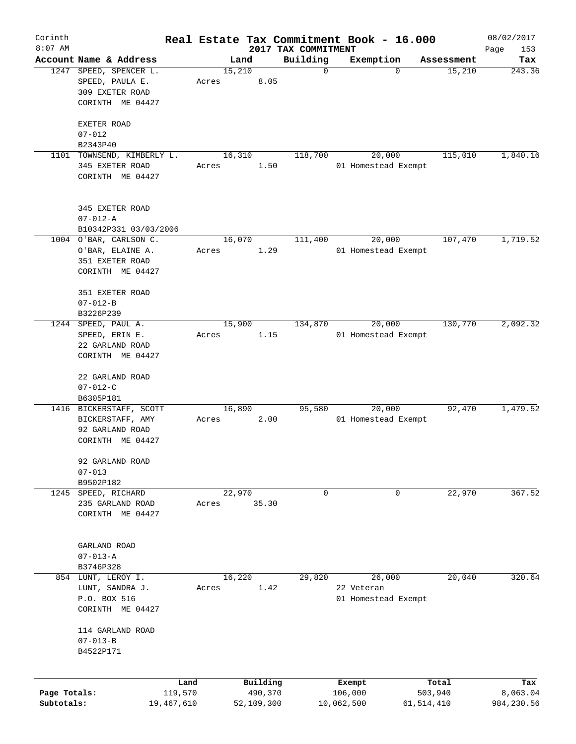| Corinth      |                            |            |       |                |            |                         | Real Estate Tax Commitment Book - 16.000 |                      | 08/02/2017    |
|--------------|----------------------------|------------|-------|----------------|------------|-------------------------|------------------------------------------|----------------------|---------------|
| $8:07$ AM    | Account Name & Address     |            |       |                |            | 2017 TAX COMMITMENT     |                                          |                      | Page<br>153   |
|              | 1247 SPEED, SPENCER L.     |            |       | Land<br>15,210 |            | Building<br>$\mathbf 0$ | Exemption<br>$\mathbf 0$                 | Assessment<br>15,210 | Tax<br>243.36 |
|              | SPEED, PAULA E.            |            | Acres |                | 8.05       |                         |                                          |                      |               |
|              | 309 EXETER ROAD            |            |       |                |            |                         |                                          |                      |               |
|              | CORINTH ME 04427           |            |       |                |            |                         |                                          |                      |               |
|              |                            |            |       |                |            |                         |                                          |                      |               |
|              | EXETER ROAD                |            |       |                |            |                         |                                          |                      |               |
|              | $07 - 012$                 |            |       |                |            |                         |                                          |                      |               |
|              | B2343P40                   |            |       |                |            |                         |                                          |                      |               |
|              | 1101 TOWNSEND, KIMBERLY L. |            |       | 16,310         |            | 118,700                 | 20,000                                   | 115,010              | 1,840.16      |
|              | 345 EXETER ROAD            |            | Acres |                | 1.50       |                         | 01 Homestead Exempt                      |                      |               |
|              | CORINTH ME 04427           |            |       |                |            |                         |                                          |                      |               |
|              |                            |            |       |                |            |                         |                                          |                      |               |
|              |                            |            |       |                |            |                         |                                          |                      |               |
|              | 345 EXETER ROAD            |            |       |                |            |                         |                                          |                      |               |
|              | $07 - 012 - A$             |            |       |                |            |                         |                                          |                      |               |
|              | B10342P331 03/03/2006      |            |       |                |            |                         |                                          |                      |               |
|              | 1004 O'BAR, CARLSON C.     |            |       | 16,070         |            | 111,400                 | 20,000                                   | 107,470              | 1,719.52      |
|              | O'BAR, ELAINE A.           |            | Acres |                | 1.29       |                         | 01 Homestead Exempt                      |                      |               |
|              | 351 EXETER ROAD            |            |       |                |            |                         |                                          |                      |               |
|              | CORINTH ME 04427           |            |       |                |            |                         |                                          |                      |               |
|              | 351 EXETER ROAD            |            |       |                |            |                         |                                          |                      |               |
|              | $07 - 012 - B$             |            |       |                |            |                         |                                          |                      |               |
|              | B3226P239                  |            |       |                |            |                         |                                          |                      |               |
|              | 1244 SPEED, PAUL A.        |            |       | 15,900         |            | 134,870                 | 20,000                                   | 130,770              | 2,092.32      |
|              | SPEED, ERIN E.             |            | Acres |                | 1.15       |                         | 01 Homestead Exempt                      |                      |               |
|              | 22 GARLAND ROAD            |            |       |                |            |                         |                                          |                      |               |
|              | CORINTH ME 04427           |            |       |                |            |                         |                                          |                      |               |
|              |                            |            |       |                |            |                         |                                          |                      |               |
|              | 22 GARLAND ROAD            |            |       |                |            |                         |                                          |                      |               |
|              | $07 - 012 - C$             |            |       |                |            |                         |                                          |                      |               |
|              | B6305P181                  |            |       |                |            |                         |                                          |                      |               |
|              | 1416 BICKERSTAFF, SCOTT    |            |       | 16,890         |            | 95,580                  | 20,000                                   | 92,470               | 1,479.52      |
|              | BICKERSTAFF, AMY           |            | Acres |                | 2.00       |                         | 01 Homestead Exempt                      |                      |               |
|              | 92 GARLAND ROAD            |            |       |                |            |                         |                                          |                      |               |
|              | CORINTH ME 04427           |            |       |                |            |                         |                                          |                      |               |
|              |                            |            |       |                |            |                         |                                          |                      |               |
|              | 92 GARLAND ROAD            |            |       |                |            |                         |                                          |                      |               |
|              | $07 - 013$<br>B9502P182    |            |       |                |            |                         |                                          |                      |               |
| 1245         | SPEED, RICHARD             |            |       | 22,970         |            | 0                       | 0                                        | 22,970               | 367.52        |
|              | 235 GARLAND ROAD           |            | Acres |                | 35.30      |                         |                                          |                      |               |
|              | CORINTH ME 04427           |            |       |                |            |                         |                                          |                      |               |
|              |                            |            |       |                |            |                         |                                          |                      |               |
|              |                            |            |       |                |            |                         |                                          |                      |               |
|              | GARLAND ROAD               |            |       |                |            |                         |                                          |                      |               |
|              | $07 - 013 - A$             |            |       |                |            |                         |                                          |                      |               |
|              | B3746P328                  |            |       |                |            |                         |                                          |                      |               |
|              | 854 LUNT, LEROY I.         |            |       | 16,220         |            | 29,820                  | 26,000                                   | 20,040               | 320.64        |
|              | LUNT, SANDRA J.            |            | Acres |                | 1.42       |                         | 22 Veteran                               |                      |               |
|              | P.O. BOX 516               |            |       |                |            |                         | 01 Homestead Exempt                      |                      |               |
|              | CORINTH ME 04427           |            |       |                |            |                         |                                          |                      |               |
|              |                            |            |       |                |            |                         |                                          |                      |               |
|              | 114 GARLAND ROAD           |            |       |                |            |                         |                                          |                      |               |
|              | $07 - 013 - B$             |            |       |                |            |                         |                                          |                      |               |
|              | B4522P171                  |            |       |                |            |                         |                                          |                      |               |
|              |                            |            |       |                |            |                         |                                          |                      |               |
|              |                            | Land       |       |                | Building   |                         | Exempt                                   | Total                | Tax           |
| Page Totals: |                            | 119,570    |       |                | 490,370    |                         | 106,000                                  | 503,940              | 8,063.04      |
| Subtotals:   |                            | 19,467,610 |       |                | 52,109,300 |                         | 10,062,500                               | 61,514,410           | 984,230.56    |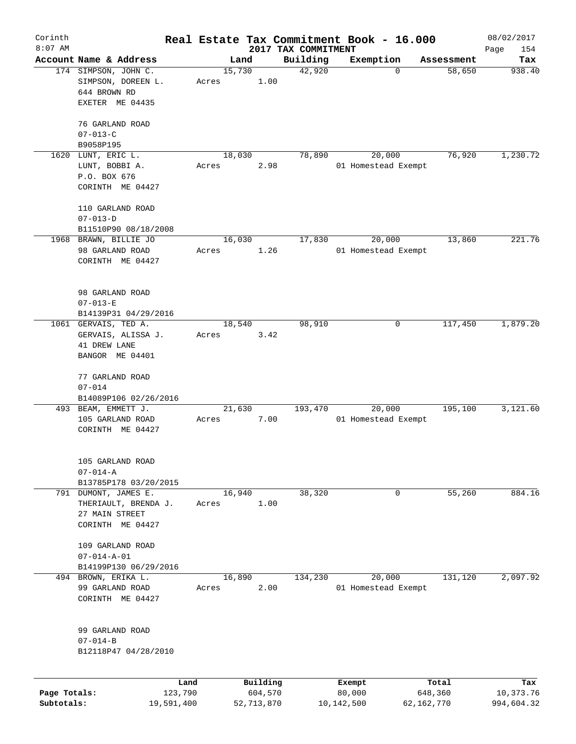| Corinth      |                                                                                    |                 |          |                                 | Real Estate Tax Commitment Book - 16.000 |            | 08/02/2017         |
|--------------|------------------------------------------------------------------------------------|-----------------|----------|---------------------------------|------------------------------------------|------------|--------------------|
| $8:07$ AM    | Account Name & Address                                                             | Land            |          | 2017 TAX COMMITMENT<br>Building | Exemption                                | Assessment | Page<br>154<br>Tax |
|              | 174 SIMPSON, JOHN C.<br>SIMPSON, DOREEN L.<br>644 BROWN RD<br>EXETER ME 04435      | 15,730<br>Acres | 1.00     | 42,920                          | 0                                        | 58,650     | 938.40             |
|              | 76 GARLAND ROAD<br>$07 - 013 - C$                                                  |                 |          |                                 |                                          |            |                    |
| 1620         | B9058P195<br>LUNT, ERIC L.                                                         | 18,030          |          | 78,890                          | 20,000                                   | 76,920     | 1,230.72           |
|              | LUNT, BOBBI A.<br>P.O. BOX 676<br>CORINTH ME 04427                                 | Acres           | 2.98     |                                 | 01 Homestead Exempt                      |            |                    |
|              | 110 GARLAND ROAD<br>$07 - 013 - D$                                                 |                 |          |                                 |                                          |            |                    |
|              | B11510P90 08/18/2008                                                               |                 |          |                                 |                                          |            |                    |
|              | 1968 BRAWN, BILLIE JO<br>98 GARLAND ROAD<br>CORINTH ME 04427                       | 16,030<br>Acres | 1.26     | 17,830                          | 20,000<br>01 Homestead Exempt            | 13,860     | 221.76             |
|              | 98 GARLAND ROAD<br>$07 - 013 - E$<br>B14139P31 04/29/2016                          |                 |          |                                 |                                          |            |                    |
|              | 1061 GERVAIS, TED A.<br>GERVAIS, ALISSA J.<br>41 DREW LANE<br>BANGOR ME 04401      | 18,540<br>Acres | 3.42     | 98,910                          | 0                                        | 117,450    | 1,879.20           |
|              | 77 GARLAND ROAD<br>$07 - 014$<br>B14089P106 02/26/2016                             |                 |          |                                 |                                          |            |                    |
|              | 493 BEAM, EMMETT J.<br>105 GARLAND ROAD<br>CORINTH ME 04427                        | 21,630<br>Acres | 7.00     | 193,470                         | 20,000<br>01 Homestead Exempt            | 195,100    | 3,121.60           |
|              | 105 GARLAND ROAD<br>$07 - 014 - A$<br>B13785P178 03/20/2015                        |                 |          |                                 |                                          |            |                    |
|              | 791 DUMONT, JAMES E.<br>THERIAULT, BRENDA J.<br>27 MAIN STREET<br>CORINTH ME 04427 | 16,940<br>Acres | 1.00     | 38,320                          | 0                                        | 55,260     | 884.16             |
|              | 109 GARLAND ROAD<br>$07 - 014 - A - 01$<br>B14199P130 06/29/2016                   |                 |          |                                 |                                          |            |                    |
|              | 494 BROWN, ERIKA L.<br>99 GARLAND ROAD<br>CORINTH ME 04427                         | 16,890<br>Acres | 2.00     | 134,230                         | 20,000<br>01 Homestead Exempt            | 131,120    | 2,097.92           |
|              | 99 GARLAND ROAD<br>$07 - 014 - B$<br>B12118P47 04/28/2010                          |                 |          |                                 |                                          |            |                    |
|              | Land                                                                               |                 | Building |                                 | Exempt                                   | Total      | Tax                |
| Page Totals: | 123,790                                                                            |                 | 604,570  |                                 | 80,000                                   | 648,360    | 10,373.76          |

**Subtotals:** 19,591,400 52,713,870 10,142,500 62,162,770 994,604.32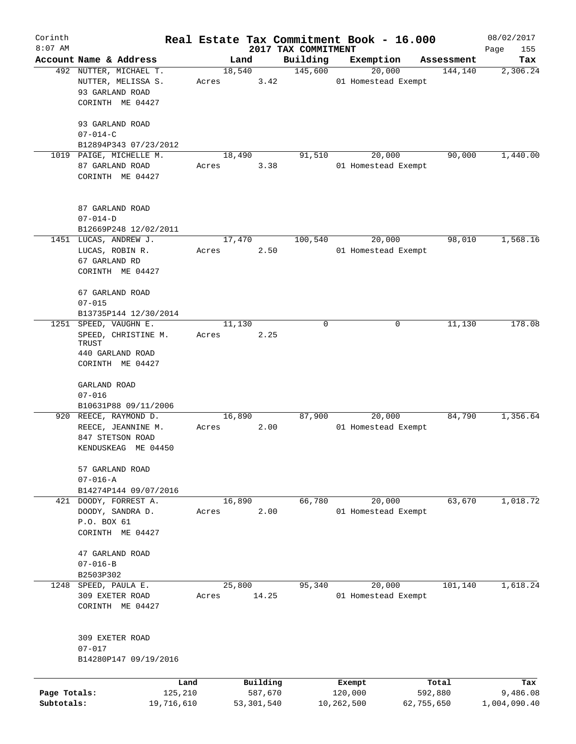| Corinth      |                                       |        |            |                     | Real Estate Tax Commitment Book - 16.000 |            | 08/02/2017   |
|--------------|---------------------------------------|--------|------------|---------------------|------------------------------------------|------------|--------------|
| $8:07$ AM    |                                       |        |            | 2017 TAX COMMITMENT |                                          |            | Page<br>155  |
|              | Account Name & Address                | Land   |            | Building            | Exemption                                | Assessment | Tax          |
|              | 492 NUTTER, MICHAEL T.                | 18,540 |            | 145,600             | 20,000                                   | 144,140    | 2,306.24     |
|              | NUTTER, MELISSA S.<br>93 GARLAND ROAD | Acres  | 3.42       |                     | 01 Homestead Exempt                      |            |              |
|              | CORINTH ME 04427                      |        |            |                     |                                          |            |              |
|              |                                       |        |            |                     |                                          |            |              |
|              | 93 GARLAND ROAD                       |        |            |                     |                                          |            |              |
|              | $07 - 014 - C$                        |        |            |                     |                                          |            |              |
|              | B12894P343 07/23/2012                 |        |            |                     |                                          |            |              |
|              | 1019 PAIGE, MICHELLE M.               | 18,490 |            | 91,510              | 20,000                                   | 90,000     | 1,440.00     |
|              | 87 GARLAND ROAD                       | Acres  | 3.38       |                     | 01 Homestead Exempt                      |            |              |
|              | CORINTH ME 04427                      |        |            |                     |                                          |            |              |
|              |                                       |        |            |                     |                                          |            |              |
|              | 87 GARLAND ROAD                       |        |            |                     |                                          |            |              |
|              | $07 - 014 - D$                        |        |            |                     |                                          |            |              |
|              | B12669P248 12/02/2011                 |        |            |                     |                                          |            |              |
|              | 1451 LUCAS, ANDREW J.                 | 17,470 |            | 100,540             | 20,000                                   | 98,010     | 1,568.16     |
|              | LUCAS, ROBIN R.                       | Acres  | 2.50       |                     | 01 Homestead Exempt                      |            |              |
|              | 67 GARLAND RD                         |        |            |                     |                                          |            |              |
|              | CORINTH ME 04427                      |        |            |                     |                                          |            |              |
|              |                                       |        |            |                     |                                          |            |              |
|              | 67 GARLAND ROAD                       |        |            |                     |                                          |            |              |
|              | $07 - 015$                            |        |            |                     |                                          |            |              |
|              | B13735P144 12/30/2014                 |        |            |                     |                                          |            |              |
|              | 1251 SPEED, VAUGHN E.                 | 11,130 |            | 0                   | 0                                        | 11,130     | 178.08       |
|              | SPEED, CHRISTINE M.                   | Acres  | 2.25       |                     |                                          |            |              |
|              | TRUST<br>440 GARLAND ROAD             |        |            |                     |                                          |            |              |
|              | CORINTH ME 04427                      |        |            |                     |                                          |            |              |
|              |                                       |        |            |                     |                                          |            |              |
|              | GARLAND ROAD                          |        |            |                     |                                          |            |              |
|              | $07 - 016$                            |        |            |                     |                                          |            |              |
|              | B10631P88 09/11/2006                  |        |            |                     |                                          |            |              |
|              | 920 REECE, RAYMOND D.                 | 16,890 |            | 87,900              | 20,000                                   | 84,790     | 1,356.64     |
|              | REECE, JEANNINE M.                    | Acres  | 2.00       |                     | 01 Homestead Exempt                      |            |              |
|              | 847 STETSON ROAD                      |        |            |                     |                                          |            |              |
|              | KENDUSKEAG ME 04450                   |        |            |                     |                                          |            |              |
|              |                                       |        |            |                     |                                          |            |              |
|              | 57 GARLAND ROAD<br>$07 - 016 - A$     |        |            |                     |                                          |            |              |
|              | B14274P144 09/07/2016                 |        |            |                     |                                          |            |              |
|              | 421 DOODY, FORREST A.                 | 16,890 |            | 66,780              | 20,000                                   | 63,670     | 1,018.72     |
|              | DOODY, SANDRA D.                      | Acres  | 2.00       |                     | 01 Homestead Exempt                      |            |              |
|              | P.O. BOX 61                           |        |            |                     |                                          |            |              |
|              | CORINTH ME 04427                      |        |            |                     |                                          |            |              |
|              |                                       |        |            |                     |                                          |            |              |
|              | 47 GARLAND ROAD                       |        |            |                     |                                          |            |              |
|              | $07 - 016 - B$                        |        |            |                     |                                          |            |              |
|              | B2503P302                             |        |            |                     |                                          |            |              |
|              | 1248 SPEED, PAULA E.                  | 25,800 |            | 95,340              | 20,000                                   | 101,140    | 1,618.24     |
|              | 309 EXETER ROAD                       | Acres  | 14.25      |                     | 01 Homestead Exempt                      |            |              |
|              | CORINTH ME 04427                      |        |            |                     |                                          |            |              |
|              |                                       |        |            |                     |                                          |            |              |
|              | 309 EXETER ROAD                       |        |            |                     |                                          |            |              |
|              | $07 - 017$                            |        |            |                     |                                          |            |              |
|              | B14280P147 09/19/2016                 |        |            |                     |                                          |            |              |
|              |                                       |        |            |                     |                                          |            |              |
|              | Land                                  |        | Building   |                     | Exempt                                   | Total      | Tax          |
| Page Totals: | 125,210                               |        | 587,670    |                     | 120,000                                  | 592,880    | 9,486.08     |
| Subtotals:   | 19,716,610                            |        | 53,301,540 |                     | 10,262,500                               | 62,755,650 | 1,004,090.40 |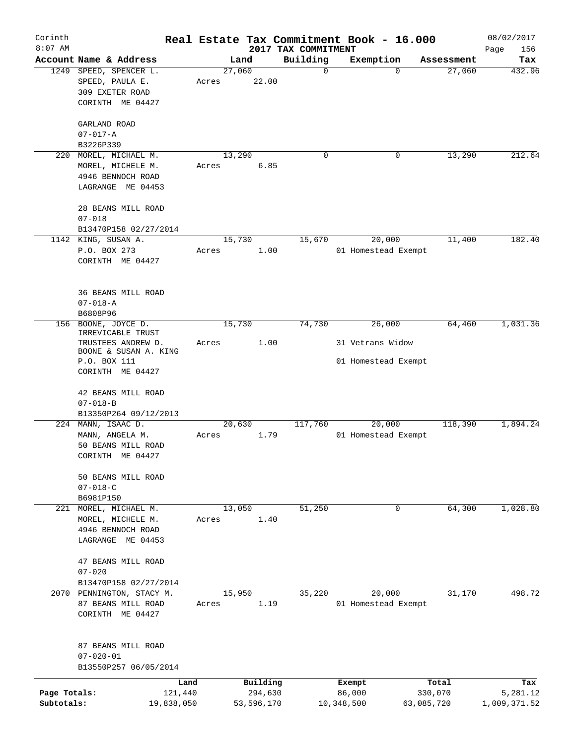| Corinth      |                                                         |       |                |                         | Real Estate Tax Commitment Book - 16.000 |                      | 08/02/2017    |
|--------------|---------------------------------------------------------|-------|----------------|-------------------------|------------------------------------------|----------------------|---------------|
| $8:07$ AM    |                                                         |       |                | 2017 TAX COMMITMENT     |                                          |                      | Page<br>156   |
|              | Account Name & Address                                  |       | Land<br>27,060 | Building<br>$\mathbf 0$ | Exemption<br>0                           | Assessment<br>27,060 | Tax<br>432.96 |
| 1249         | SPEED, SPENCER L.<br>SPEED, PAULA E.<br>309 EXETER ROAD | Acres | 22.00          |                         |                                          |                      |               |
|              | CORINTH ME 04427                                        |       |                |                         |                                          |                      |               |
|              | GARLAND ROAD                                            |       |                |                         |                                          |                      |               |
|              | $07 - 017 - A$                                          |       |                |                         |                                          |                      |               |
|              | B3226P339                                               |       |                |                         |                                          |                      |               |
| 220          | MOREL, MICHAEL M.                                       |       | 13,290         | 0                       | 0                                        | 13,290               | 212.64        |
|              | MOREL, MICHELE M.                                       | Acres | 6.85           |                         |                                          |                      |               |
|              | 4946 BENNOCH ROAD<br>LAGRANGE ME 04453                  |       |                |                         |                                          |                      |               |
|              |                                                         |       |                |                         |                                          |                      |               |
|              | 28 BEANS MILL ROAD                                      |       |                |                         |                                          |                      |               |
|              | $07 - 018$                                              |       |                |                         |                                          |                      |               |
|              | B13470P158 02/27/2014                                   |       |                |                         |                                          |                      | 182.40        |
|              | 1142 KING, SUSAN A.                                     |       | 15,730         | 15,670                  | 20,000                                   | 11,400               |               |
|              | P.O. BOX 273                                            | Acres | 1.00           |                         | 01 Homestead Exempt                      |                      |               |
|              | CORINTH ME 04427                                        |       |                |                         |                                          |                      |               |
|              | 36 BEANS MILL ROAD                                      |       |                |                         |                                          |                      |               |
|              | $07 - 018 - A$                                          |       |                |                         |                                          |                      |               |
|              | B6808P96                                                |       |                |                         |                                          |                      |               |
| 156          | BOONE, JOYCE D.                                         |       | 15,730         | 74,730                  | 26,000                                   | 64,460               | 1,031.36      |
|              | IRREVICABLE TRUST                                       |       |                |                         |                                          |                      |               |
|              | TRUSTEES ANDREW D.<br>BOONE & SUSAN A. KING             | Acres | 1.00           |                         | 31 Vetrans Widow                         |                      |               |
|              | P.O. BOX 111                                            |       |                |                         | 01 Homestead Exempt                      |                      |               |
|              | CORINTH ME 04427                                        |       |                |                         |                                          |                      |               |
|              | 42 BEANS MILL ROAD                                      |       |                |                         |                                          |                      |               |
|              | $07 - 018 - B$                                          |       |                |                         |                                          |                      |               |
|              | B13350P264 09/12/2013                                   |       |                |                         |                                          |                      |               |
|              | 224 MANN, ISAAC D.                                      |       | 20,630         | 117,760                 | 20,000                                   | 118,390              | 1,894.24      |
|              | MANN, ANGELA M.                                         | Acres | 1.79           |                         | 01 Homestead Exempt                      |                      |               |
|              | 50 BEANS MILL ROAD                                      |       |                |                         |                                          |                      |               |
|              | CORINTH ME 04427                                        |       |                |                         |                                          |                      |               |
|              | 50 BEANS MILL ROAD                                      |       |                |                         |                                          |                      |               |
|              | $07 - 018 - C$                                          |       |                |                         |                                          |                      |               |
|              | B6981P150                                               |       |                |                         |                                          |                      |               |
|              | 221 MOREL, MICHAEL M.                                   |       | 13,050         | 51,250                  | $\mathbf 0$                              | 64,300               | 1,028.80      |
|              | MOREL, MICHELE M.                                       | Acres | 1.40           |                         |                                          |                      |               |
|              | 4946 BENNOCH ROAD                                       |       |                |                         |                                          |                      |               |
|              | LAGRANGE ME 04453                                       |       |                |                         |                                          |                      |               |
|              | 47 BEANS MILL ROAD                                      |       |                |                         |                                          |                      |               |
|              | $07 - 020$                                              |       |                |                         |                                          |                      |               |
|              | B13470P158 02/27/2014                                   |       |                |                         |                                          |                      |               |
|              | 2070 PENNINGTON, STACY M.                               |       | 15,950         | 35,220                  | 20,000                                   | 31,170               | 498.72        |
|              | 87 BEANS MILL ROAD                                      | Acres | 1.19           |                         | 01 Homestead Exempt                      |                      |               |
|              | CORINTH ME 04427                                        |       |                |                         |                                          |                      |               |
|              | 87 BEANS MILL ROAD                                      |       |                |                         |                                          |                      |               |
|              | $07 - 020 - 01$                                         |       |                |                         |                                          |                      |               |
|              | B13550P257 06/05/2014                                   |       |                |                         |                                          |                      |               |
|              | Land                                                    |       | Building       |                         | Exempt                                   | Total                | Tax           |
| Page Totals: | 121,440                                                 |       | 294,630        |                         | 86,000                                   | 330,070              | 5,281.12      |
| Subtotals:   | 19,838,050                                              |       | 53,596,170     |                         | 10,348,500                               | 63,085,720           | 1,009,371.52  |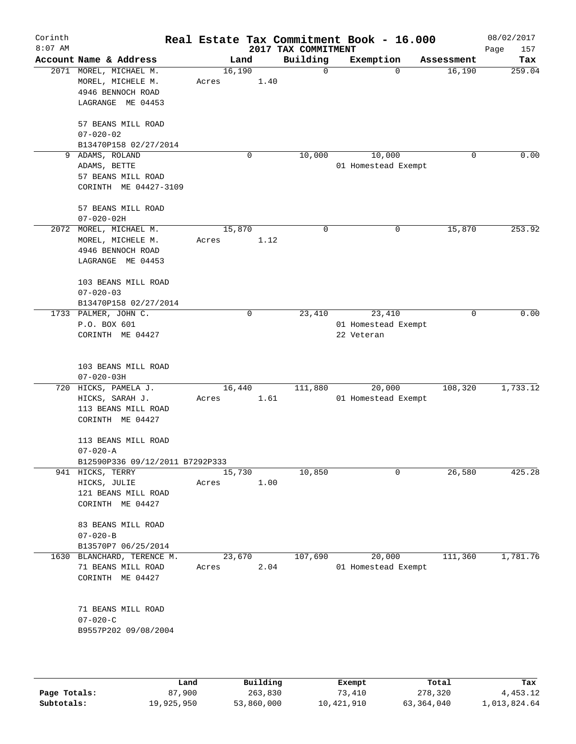|                                                                                       |                                      |                                 |                                                        |                                                |                                 | 08/02/2017<br>Page<br>157                                                                                                                      |
|---------------------------------------------------------------------------------------|--------------------------------------|---------------------------------|--------------------------------------------------------|------------------------------------------------|---------------------------------|------------------------------------------------------------------------------------------------------------------------------------------------|
| Account Name & Address                                                                |                                      |                                 | Building                                               | Exemption                                      | Assessment                      | Tax                                                                                                                                            |
| 2071 MOREL, MICHAEL M.<br>MOREL, MICHELE M.<br>4946 BENNOCH ROAD<br>LAGRANGE ME 04453 | Acres                                |                                 | $\mathbf 0$                                            | $\Omega$                                       | 16,190                          | 259.04                                                                                                                                         |
| 57 BEANS MILL ROAD<br>$07 - 020 - 02$<br>B13470P158 02/27/2014                        |                                      |                                 |                                                        |                                                |                                 |                                                                                                                                                |
| ADAMS, ROLAND<br>9<br>ADAMS, BETTE<br>57 BEANS MILL ROAD<br>CORINTH ME 04427-3109     |                                      | 0                               | 10,000                                                 | 10,000                                         | 0                               | 0.00                                                                                                                                           |
| 57 BEANS MILL ROAD<br>$07 - 020 - 02H$                                                |                                      |                                 |                                                        |                                                |                                 |                                                                                                                                                |
| 2072 MOREL, MICHAEL M.<br>MOREL, MICHELE M.<br>4946 BENNOCH ROAD<br>LAGRANGE ME 04453 | Acres                                |                                 | $\mathbf 0$                                            | 0                                              | 15,870                          | 253.92                                                                                                                                         |
| 103 BEANS MILL ROAD<br>$07 - 020 - 03$<br>B13470P158 02/27/2014                       |                                      |                                 |                                                        |                                                |                                 |                                                                                                                                                |
| 1733 PALMER, JOHN C.<br>P.O. BOX 601<br>CORINTH ME 04427                              |                                      | $\mathbf 0$                     | 23,410                                                 | 23,410<br>22 Veteran                           | $\mathbf 0$                     | 0.00                                                                                                                                           |
| 103 BEANS MILL ROAD                                                                   |                                      |                                 |                                                        |                                                |                                 |                                                                                                                                                |
| 720 HICKS, PAMELA J.<br>HICKS, SARAH J.<br>113 BEANS MILL ROAD<br>CORINTH ME 04427    | Acres                                |                                 | 111,880                                                | 20,000                                         | 108,320                         | 1,733.12                                                                                                                                       |
| 113 BEANS MILL ROAD<br>$07 - 020 - A$                                                 |                                      |                                 |                                                        |                                                |                                 |                                                                                                                                                |
|                                                                                       |                                      |                                 |                                                        |                                                |                                 |                                                                                                                                                |
| HICKS, JULIE<br>121 BEANS MILL ROAD<br>CORINTH ME 04427                               | Acres                                |                                 |                                                        |                                                |                                 | 425.28                                                                                                                                         |
| 83 BEANS MILL ROAD<br>$07 - 020 - B$<br>B13570P7 06/25/2014                           |                                      |                                 |                                                        |                                                |                                 |                                                                                                                                                |
| 1630 BLANCHARD, TERENCE M.<br>71 BEANS MILL ROAD<br>CORINTH ME 04427                  | Acres                                |                                 | 107,690                                                | 20,000                                         | 111,360                         | 1,781.76                                                                                                                                       |
| 71 BEANS MILL ROAD<br>$07 - 020 - C$                                                  |                                      |                                 |                                                        |                                                |                                 |                                                                                                                                                |
|                                                                                       | $07 - 020 - 03H$<br>941 HICKS, TERRY | B12590P336 09/12/2011 B7292P333 | Land<br>16,190<br>15,870<br>16,440<br>15,730<br>23,670 | 1.40<br>1.12<br>1.61<br>10,850<br>1.00<br>2.04 | 2017 TAX COMMITMENT<br>$\Omega$ | Real Estate Tax Commitment Book - 16.000<br>01 Homestead Exempt<br>01 Homestead Exempt<br>01 Homestead Exempt<br>26,580<br>01 Homestead Exempt |

|              | Land       | Building   | Exempt     | Total      | Tax          |
|--------------|------------|------------|------------|------------|--------------|
| Page Totals: | 87,900     | 263,830    | 73,410     | 278,320    | 4,453.12     |
| Subtotals:   | 19,925,950 | 53,860,000 | 10,421,910 | 63,364,040 | 1,013,824.64 |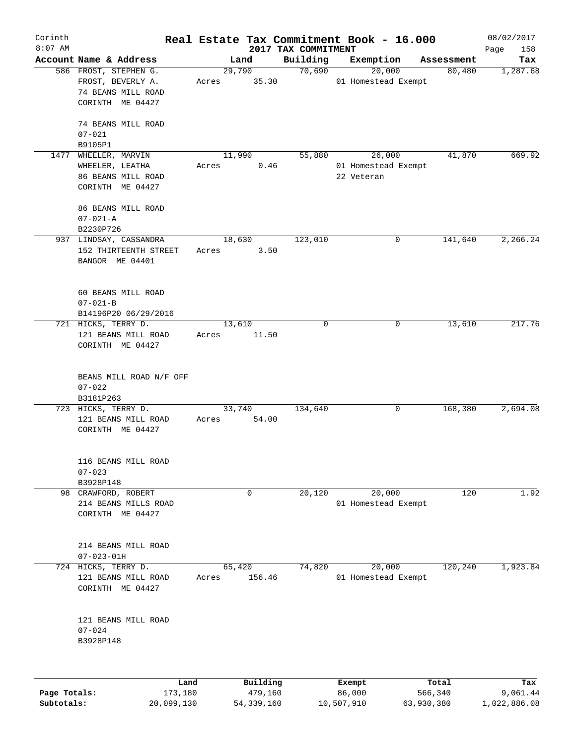| Corinth      |                                                                    |                 |                     |                     | Real Estate Tax Commitment Book - 16.000 |                      | 08/02/2017      |
|--------------|--------------------------------------------------------------------|-----------------|---------------------|---------------------|------------------------------------------|----------------------|-----------------|
| $8:07$ AM    |                                                                    |                 |                     | 2017 TAX COMMITMENT |                                          |                      | 158<br>Page     |
|              | Account Name & Address<br>586 FROST, STEPHEN G.                    | Land<br>29,790  |                     | Building<br>70,690  | Exemption<br>20,000                      | Assessment<br>80,480 | Tax             |
|              | FROST, BEVERLY A.<br>74 BEANS MILL ROAD<br>CORINTH ME 04427        | Acres           | 35.30               |                     | 01 Homestead Exempt                      |                      | 1,287.68        |
|              | 74 BEANS MILL ROAD<br>$07 - 021$<br>B9105P1                        |                 |                     |                     |                                          |                      |                 |
| 1477         | WHEELER, MARVIN<br>WHEELER, LEATHA                                 | 11,990<br>Acres | 0.46                | 55,880              | 26,000<br>01 Homestead Exempt            | 41,870               | 669.92          |
|              | 86 BEANS MILL ROAD<br>CORINTH ME 04427                             |                 |                     |                     | 22 Veteran                               |                      |                 |
|              | 86 BEANS MILL ROAD<br>$07 - 021 - A$                               |                 |                     |                     |                                          |                      |                 |
|              | B2230P726                                                          |                 |                     |                     |                                          |                      |                 |
|              | 937 LINDSAY, CASSANDRA<br>152 THIRTEENTH STREET<br>BANGOR ME 04401 | 18,630<br>Acres | 3.50                | 123,010             | 0                                        | 141,640              | 2,266.24        |
|              | 60 BEANS MILL ROAD<br>$07 - 021 - B$<br>B14196P20 06/29/2016       |                 |                     |                     |                                          |                      |                 |
|              | 721 HICKS, TERRY D.<br>121 BEANS MILL ROAD<br>CORINTH ME 04427     | 13,610<br>Acres | 11.50               | $\mathbf 0$         | 0                                        | 13,610               | 217.76          |
|              | BEANS MILL ROAD N/F OFF<br>$07 - 022$<br>B3181P263                 |                 |                     |                     |                                          |                      |                 |
|              | 723 HICKS, TERRY D.<br>121 BEANS MILL ROAD<br>CORINTH ME 04427     | 33,740<br>Acres | 54.00               | 134,640             | 0                                        | 168,380              | 2,694.08        |
|              | 116 BEANS MILL ROAD<br>$07 - 023$<br>B3928P148                     |                 |                     |                     |                                          |                      |                 |
|              | 98 CRAWFORD, ROBERT                                                | 0               |                     | 20,120              | 20,000                                   | 120                  | 1.92            |
|              | 214 BEANS MILLS ROAD<br>CORINTH ME 04427                           |                 |                     |                     | 01 Homestead Exempt                      |                      |                 |
|              | 214 BEANS MILL ROAD<br>$07 - 023 - 01H$                            |                 |                     |                     |                                          |                      |                 |
| 724          | HICKS, TERRY D.<br>121 BEANS MILL ROAD<br>CORINTH ME 04427         | 65,420<br>Acres | 156.46              | 74,820              | 20,000<br>01 Homestead Exempt            | 120, 240             | 1,923.84        |
|              | 121 BEANS MILL ROAD<br>$07 - 024$<br>B3928P148                     |                 |                     |                     |                                          |                      |                 |
|              |                                                                    |                 |                     |                     |                                          |                      |                 |
| Page Totals: | Land<br>173,180                                                    |                 | Building<br>479,160 |                     | Exempt<br>86,000                         | Total<br>566,340     | Tax<br>9,061.44 |

**Subtotals:** 20,099,130 54,339,160 10,507,910 63,930,380 1,022,886.08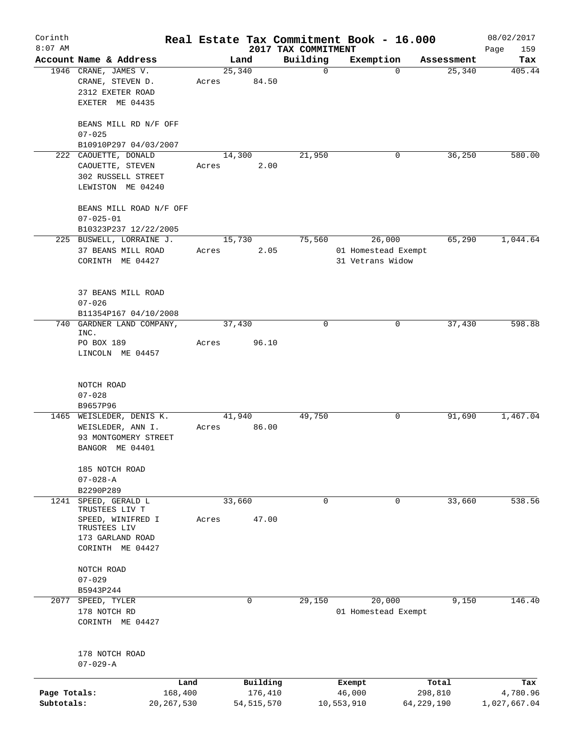| Corinth      |                                            |              |        |              |                                 | Real Estate Tax Commitment Book - 16.000 |             |            | 08/02/2017         |
|--------------|--------------------------------------------|--------------|--------|--------------|---------------------------------|------------------------------------------|-------------|------------|--------------------|
| $8:07$ AM    | Account Name & Address                     |              | Land   |              | 2017 TAX COMMITMENT<br>Building | Exemption                                |             | Assessment | Page<br>159<br>Tax |
|              | 1946 CRANE, JAMES V.                       |              | 25,340 |              | $\mathbf 0$                     |                                          | $\Omega$    | 25,340     | 405.44             |
|              | CRANE, STEVEN D.                           | Acres        |        | 84.50        |                                 |                                          |             |            |                    |
|              | 2312 EXETER ROAD                           |              |        |              |                                 |                                          |             |            |                    |
|              | EXETER ME 04435                            |              |        |              |                                 |                                          |             |            |                    |
|              | BEANS MILL RD N/F OFF                      |              |        |              |                                 |                                          |             |            |                    |
|              | $07 - 025$                                 |              |        |              |                                 |                                          |             |            |                    |
|              | B10910P297 04/03/2007                      |              |        |              |                                 |                                          |             |            |                    |
|              | 222 CAOUETTE, DONALD                       |              | 14,300 |              | 21,950                          |                                          | 0           | 36,250     | 580.00             |
|              | CAOUETTE, STEVEN                           | Acres        |        | 2.00         |                                 |                                          |             |            |                    |
|              | 302 RUSSELL STREET                         |              |        |              |                                 |                                          |             |            |                    |
|              | LEWISTON ME 04240                          |              |        |              |                                 |                                          |             |            |                    |
|              | BEANS MILL ROAD N/F OFF<br>$07 - 025 - 01$ |              |        |              |                                 |                                          |             |            |                    |
|              | B10323P237 12/22/2005                      |              |        |              |                                 |                                          |             |            |                    |
|              | 225 BUSWELL, LORRAINE J.                   |              | 15,730 |              | 75,560                          | 26,000                                   |             | 65,290     | 1,044.64           |
|              | 37 BEANS MILL ROAD                         | Acres        |        | 2.05         |                                 | 01 Homestead Exempt                      |             |            |                    |
|              | CORINTH ME 04427                           |              |        |              |                                 | 31 Vetrans Widow                         |             |            |                    |
|              |                                            |              |        |              |                                 |                                          |             |            |                    |
|              |                                            |              |        |              |                                 |                                          |             |            |                    |
|              | 37 BEANS MILL ROAD                         |              |        |              |                                 |                                          |             |            |                    |
|              | $07 - 026$                                 |              |        |              |                                 |                                          |             |            |                    |
|              | B11354P167 04/10/2008                      |              |        |              |                                 |                                          |             |            |                    |
| 740          | GARDNER LAND COMPANY,                      |              | 37,430 |              | 0                               |                                          | 0           | 37,430     | 598.88             |
|              | INC.                                       |              |        |              |                                 |                                          |             |            |                    |
|              | PO BOX 189                                 | Acres        |        | 96.10        |                                 |                                          |             |            |                    |
|              | LINCOLN ME 04457                           |              |        |              |                                 |                                          |             |            |                    |
|              |                                            |              |        |              |                                 |                                          |             |            |                    |
|              | NOTCH ROAD                                 |              |        |              |                                 |                                          |             |            |                    |
|              | $07 - 028$                                 |              |        |              |                                 |                                          |             |            |                    |
|              | B9657P96                                   |              |        |              |                                 |                                          |             |            |                    |
|              | 1465 WEISLEDER, DENIS K.                   |              | 41,940 |              | 49,750                          |                                          | 0           | 91,690     | 1,467.04           |
|              | WEISLEDER, ANN I.                          | Acres        |        | 86.00        |                                 |                                          |             |            |                    |
|              | 93 MONTGOMERY STREET                       |              |        |              |                                 |                                          |             |            |                    |
|              | BANGOR ME 04401                            |              |        |              |                                 |                                          |             |            |                    |
|              | 185 NOTCH ROAD                             |              |        |              |                                 |                                          |             |            |                    |
|              | $07 - 028 - A$                             |              |        |              |                                 |                                          |             |            |                    |
|              | B2290P289                                  |              |        |              |                                 |                                          |             |            |                    |
| 1241         | SPEED, GERALD L                            |              | 33,660 |              | $\mathbf 0$                     |                                          | $\mathbf 0$ | 33,660     | 538.56             |
|              | TRUSTEES LIV T                             |              |        |              |                                 |                                          |             |            |                    |
|              | SPEED, WINIFRED I                          | Acres        |        | 47.00        |                                 |                                          |             |            |                    |
|              | TRUSTEES LIV                               |              |        |              |                                 |                                          |             |            |                    |
|              | 173 GARLAND ROAD                           |              |        |              |                                 |                                          |             |            |                    |
|              | CORINTH ME 04427                           |              |        |              |                                 |                                          |             |            |                    |
|              | NOTCH ROAD                                 |              |        |              |                                 |                                          |             |            |                    |
|              | $07 - 029$                                 |              |        |              |                                 |                                          |             |            |                    |
|              | B5943P244                                  |              |        |              |                                 |                                          |             |            |                    |
| 2077         | SPEED, TYLER                               |              | 0      |              | 29,150                          | 20,000                                   |             | 9,150      | 146.40             |
|              | 178 NOTCH RD                               |              |        |              |                                 | 01 Homestead Exempt                      |             |            |                    |
|              | CORINTH ME 04427                           |              |        |              |                                 |                                          |             |            |                    |
|              |                                            |              |        |              |                                 |                                          |             |            |                    |
|              |                                            |              |        |              |                                 |                                          |             |            |                    |
|              | 178 NOTCH ROAD                             |              |        |              |                                 |                                          |             |            |                    |
|              | $07 - 029 - A$                             |              |        |              |                                 |                                          |             |            |                    |
|              |                                            | Land         |        | Building     |                                 | Exempt                                   |             | Total      | Tax                |
| Page Totals: |                                            | 168,400      |        | 176,410      |                                 | 46,000                                   |             | 298,810    | 4,780.96           |
| Subtotals:   |                                            | 20, 267, 530 |        | 54, 515, 570 |                                 | 10,553,910                               | 64,229,190  |            | 1,027,667.04       |
|              |                                            |              |        |              |                                 |                                          |             |            |                    |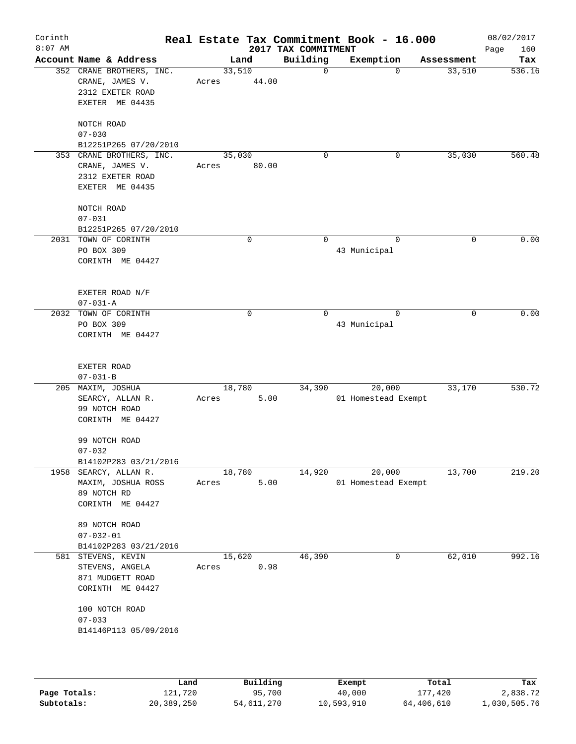|                                                                                    |                                                                      |             | 2017 TAX COMMITMENT                            | Real Estate Tax Commitment Book - 16.000                   |             | 08/02/2017<br>Page<br>160                                      |
|------------------------------------------------------------------------------------|----------------------------------------------------------------------|-------------|------------------------------------------------|------------------------------------------------------------|-------------|----------------------------------------------------------------|
| Account Name & Address                                                             | Land                                                                 |             | Building                                       | Exemption                                                  | Assessment  | Tax                                                            |
| 352 CRANE BROTHERS, INC.<br>CRANE, JAMES V.<br>2312 EXETER ROAD<br>EXETER ME 04435 | Acres                                                                |             | $\mathbf 0$                                    | $\Omega$                                                   | 33,510      | 536.16                                                         |
| NOTCH ROAD<br>$07 - 030$<br>B12251P265 07/20/2010                                  |                                                                      |             |                                                |                                                            |             |                                                                |
| 353 CRANE BROTHERS, INC.<br>CRANE, JAMES V.<br>2312 EXETER ROAD<br>EXETER ME 04435 | Acres                                                                |             | 0                                              | 0                                                          | 35,030      | 560.48                                                         |
| NOTCH ROAD<br>$07 - 031$                                                           |                                                                      |             |                                                |                                                            |             |                                                                |
| 2031 TOWN OF CORINTH<br>PO BOX 309<br>CORINTH ME 04427                             |                                                                      | $\mathbf 0$ | $\mathbf 0$                                    | $\Omega$<br>43 Municipal                                   | $\mathbf 0$ | 0.00                                                           |
| EXETER ROAD N/F<br>$07 - 031 - A$                                                  |                                                                      |             |                                                |                                                            |             |                                                                |
| TOWN OF CORINTH<br>PO BOX 309<br>CORINTH ME 04427                                  |                                                                      | 0           | $\Omega$                                       | $\Omega$<br>43 Municipal                                   | 0           | 0.00                                                           |
| EXETER ROAD<br>$07 - 031 - B$                                                      |                                                                      |             |                                                |                                                            |             |                                                                |
| 205 MAXIM, JOSHUA<br>SEARCY, ALLAN R.<br>99 NOTCH ROAD<br>CORINTH ME 04427         | Acres                                                                |             | 34,390                                         | 20,000                                                     | 33,170      | 530.72                                                         |
| 99 NOTCH ROAD<br>$07 - 032$<br>B14102P283 03/21/2016                               |                                                                      |             |                                                |                                                            |             |                                                                |
| MAXIM, JOSHUA ROSS<br>89 NOTCH RD<br>CORINTH ME 04427                              | Acres                                                                |             |                                                |                                                            |             | 219.20                                                         |
| 89 NOTCH ROAD<br>$07 - 032 - 01$<br>B14102P283 03/21/2016                          |                                                                      |             |                                                |                                                            |             |                                                                |
| STEVENS, ANGELA<br>871 MUDGETT ROAD<br>CORINTH ME 04427                            | Acres                                                                |             |                                                | 0                                                          |             | 992.16                                                         |
| 100 NOTCH ROAD<br>$07 - 033$<br>B14146P113 05/09/2016                              |                                                                      |             |                                                |                                                            |             |                                                                |
|                                                                                    | B12251P265 07/20/2010<br>1958 SEARCY, ALLAN R.<br>581 STEVENS, KEVIN |             | 33,510<br>35,030<br>18,780<br>18,780<br>15,620 | 44.00<br>80.00<br>5.00<br>14,920<br>5.00<br>46,390<br>0.98 | 20,000      | 01 Homestead Exempt<br>13,700<br>01 Homestead Exempt<br>62,010 |

|              | Land       | Building   | Exempt     | Total      | Tax          |
|--------------|------------|------------|------------|------------|--------------|
| Page Totals: | 121,720    | 95,700     | 40,000     | 177,420    | 2,838.72     |
| Subtotals:   | 20,389,250 | 54,611,270 | 10,593,910 | 64,406,610 | 1,030,505.76 |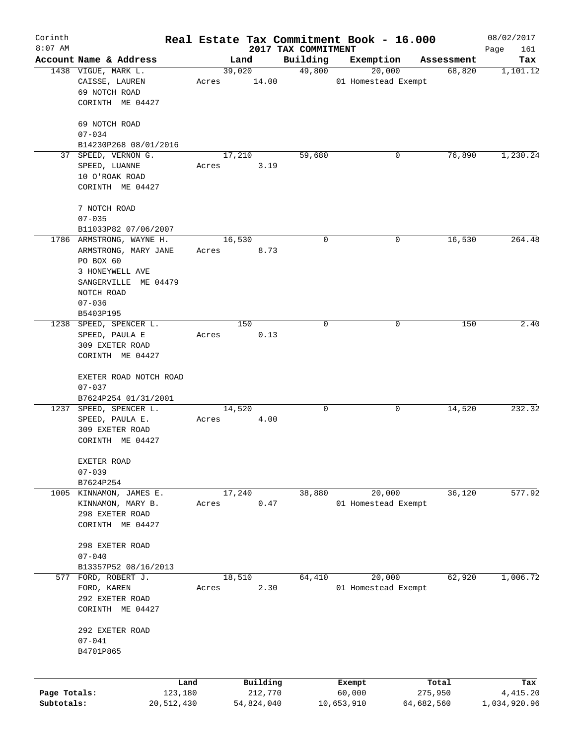| Corinth      |                                                  |         |        |            |                                 | Real Estate Tax Commitment Book - 16.000 |   |            | 08/02/2017         |
|--------------|--------------------------------------------------|---------|--------|------------|---------------------------------|------------------------------------------|---|------------|--------------------|
| $8:07$ AM    | Account Name & Address                           |         | Land   |            | 2017 TAX COMMITMENT<br>Building | Exemption                                |   | Assessment | Page<br>161<br>Tax |
|              | 1438 VIGUE, MARK L.                              |         | 39,020 |            | 49,800                          | 20,000                                   |   | 68,820     | 1,101.12           |
|              | CAISSE, LAUREN<br>69 NOTCH ROAD                  | Acres   |        | 14.00      |                                 | 01 Homestead Exempt                      |   |            |                    |
|              | CORINTH ME 04427                                 |         |        |            |                                 |                                          |   |            |                    |
|              | 69 NOTCH ROAD                                    |         |        |            |                                 |                                          |   |            |                    |
|              | $07 - 034$<br>B14230P268 08/01/2016              |         |        |            |                                 |                                          |   |            |                    |
|              | 37 SPEED, VERNON G.                              |         | 17,210 |            | 59,680                          |                                          | 0 | 76,890     | 1,230.24           |
|              | SPEED, LUANNE                                    | Acres   |        | 3.19       |                                 |                                          |   |            |                    |
|              | 10 O'ROAK ROAD                                   |         |        |            |                                 |                                          |   |            |                    |
|              | CORINTH ME 04427                                 |         |        |            |                                 |                                          |   |            |                    |
|              | 7 NOTCH ROAD                                     |         |        |            |                                 |                                          |   |            |                    |
|              | $07 - 035$                                       |         |        |            |                                 |                                          |   |            |                    |
|              | B11033P82 07/06/2007<br>1786 ARMSTRONG, WAYNE H. |         | 16,530 |            | 0                               |                                          | 0 | 16,530     | 264.48             |
|              | ARMSTRONG, MARY JANE                             | Acres   |        | 8.73       |                                 |                                          |   |            |                    |
|              | PO BOX 60                                        |         |        |            |                                 |                                          |   |            |                    |
|              | 3 HONEYWELL AVE                                  |         |        |            |                                 |                                          |   |            |                    |
|              | SANGERVILLE ME 04479                             |         |        |            |                                 |                                          |   |            |                    |
|              | NOTCH ROAD                                       |         |        |            |                                 |                                          |   |            |                    |
|              | $07 - 036$                                       |         |        |            |                                 |                                          |   |            |                    |
|              | B5403P195                                        |         |        |            |                                 |                                          |   |            |                    |
|              | 1238 SPEED, SPENCER L.                           |         |        | 150        | 0                               |                                          | 0 | 150        | 2.40               |
|              | SPEED, PAULA E                                   | Acres   |        | 0.13       |                                 |                                          |   |            |                    |
|              | 309 EXETER ROAD                                  |         |        |            |                                 |                                          |   |            |                    |
|              | CORINTH ME 04427                                 |         |        |            |                                 |                                          |   |            |                    |
|              | EXETER ROAD NOTCH ROAD                           |         |        |            |                                 |                                          |   |            |                    |
|              | $07 - 037$                                       |         |        |            |                                 |                                          |   |            |                    |
|              | B7624P254 01/31/2001                             |         |        |            |                                 |                                          |   |            |                    |
|              | 1237 SPEED, SPENCER L.                           |         | 14,520 |            | 0                               |                                          | 0 | 14,520     | 232.32             |
|              | SPEED, PAULA E.                                  | Acres   |        | 4.00       |                                 |                                          |   |            |                    |
|              | 309 EXETER ROAD                                  |         |        |            |                                 |                                          |   |            |                    |
|              | CORINTH ME 04427                                 |         |        |            |                                 |                                          |   |            |                    |
|              | EXETER ROAD                                      |         |        |            |                                 |                                          |   |            |                    |
|              | $07 - 039$                                       |         |        |            |                                 |                                          |   |            |                    |
|              | B7624P254                                        |         |        |            |                                 |                                          |   |            |                    |
| 1005         | KINNAMON, JAMES E.                               |         | 17,240 |            | 38,880                          | 20,000                                   |   | 36,120     | 577.92             |
|              | KINNAMON, MARY B.                                | Acres   |        | 0.47       |                                 | 01 Homestead Exempt                      |   |            |                    |
|              | 298 EXETER ROAD                                  |         |        |            |                                 |                                          |   |            |                    |
|              | CORINTH ME 04427                                 |         |        |            |                                 |                                          |   |            |                    |
|              | 298 EXETER ROAD                                  |         |        |            |                                 |                                          |   |            |                    |
|              | $07 - 040$                                       |         |        |            |                                 |                                          |   |            |                    |
|              | B13357P52 08/16/2013                             |         |        |            |                                 |                                          |   |            |                    |
|              | 577 FORD, ROBERT J.                              |         | 18,510 |            | 64,410                          | 20,000                                   |   | 62,920     | 1,006.72           |
|              | FORD, KAREN                                      | Acres   |        | 2.30       |                                 | 01 Homestead Exempt                      |   |            |                    |
|              | 292 EXETER ROAD                                  |         |        |            |                                 |                                          |   |            |                    |
|              | CORINTH ME 04427                                 |         |        |            |                                 |                                          |   |            |                    |
|              | 292 EXETER ROAD                                  |         |        |            |                                 |                                          |   |            |                    |
|              | $07 - 041$                                       |         |        |            |                                 |                                          |   |            |                    |
|              | B4701P865                                        |         |        |            |                                 |                                          |   |            |                    |
|              |                                                  |         |        |            |                                 |                                          |   |            |                    |
|              |                                                  | Land    |        | Building   |                                 | Exempt                                   |   | Total      | Tax                |
| Page Totals: |                                                  | 123,180 |        | 212,770    |                                 | 60,000                                   |   | 275,950    | 4,415.20           |
| Subtotals:   | 20,512,430                                       |         |        | 54,824,040 |                                 | 10,653,910                               |   | 64,682,560 | 1,034,920.96       |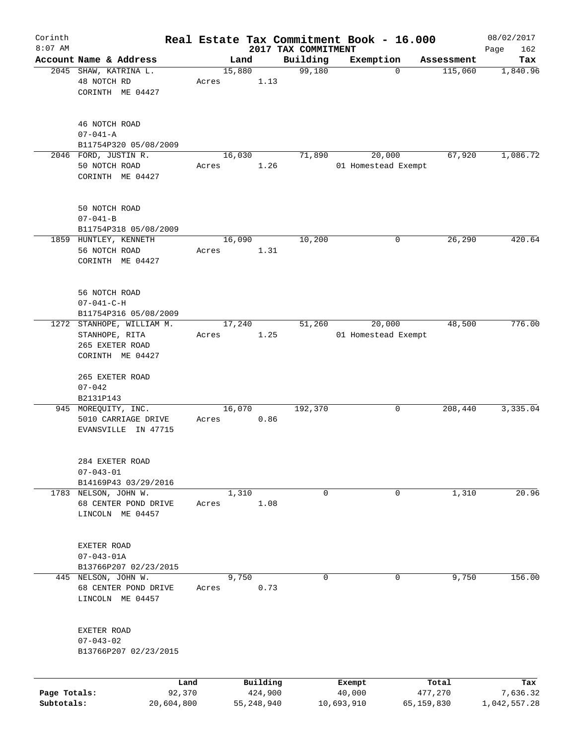| Corinth                    |                                                                                    |                      |       |                |          |                     | Real Estate Tax Commitment Book - 16.000 |                                      | 08/02/2017               |
|----------------------------|------------------------------------------------------------------------------------|----------------------|-------|----------------|----------|---------------------|------------------------------------------|--------------------------------------|--------------------------|
| $8:07$ AM                  | Account Name & Address                                                             |                      |       |                |          | 2017 TAX COMMITMENT |                                          |                                      | 162<br>Page              |
|                            | 2045 SHAW, KATRINA L.<br>48 NOTCH RD<br>CORINTH ME 04427                           |                      | Acres | Land<br>15,880 | 1.13     | Building<br>99,180  | Exemption                                | Assessment<br>115,060<br>$\mathbf 0$ | Tax<br>1,840.96          |
|                            | 46 NOTCH ROAD<br>$07 - 041 - A$<br>B11754P320 05/08/2009                           |                      |       |                |          |                     |                                          |                                      |                          |
|                            | 2046 FORD, JUSTIN R.<br>50 NOTCH ROAD<br>CORINTH ME 04427                          |                      | Acres | 16,030         | 1.26     | 71,890              | 20,000<br>01 Homestead Exempt            | 67,920                               | 1,086.72                 |
|                            | 50 NOTCH ROAD<br>$07 - 041 - B$<br>B11754P318 05/08/2009                           |                      |       |                |          |                     |                                          |                                      |                          |
|                            | 1859 HUNTLEY, KENNETH<br>56 NOTCH ROAD<br>CORINTH ME 04427                         |                      | Acres | 16,090         | 1.31     | 10,200              |                                          | 26,290<br>0                          | 420.64                   |
|                            | 56 NOTCH ROAD<br>$07 - 041 - C - H$<br>B11754P316 05/08/2009                       |                      |       |                |          |                     |                                          |                                      |                          |
|                            | 1272 STANHOPE, WILLIAM M.<br>STANHOPE, RITA<br>265 EXETER ROAD<br>CORINTH ME 04427 |                      | Acres | 17,240         | 1.25     | 51,260              | 20,000<br>01 Homestead Exempt            | 48,500                               | 776.00                   |
|                            | 265 EXETER ROAD<br>$07 - 042$<br>B2131P143                                         |                      |       |                |          |                     |                                          |                                      |                          |
|                            | 945 MOREQUITY, INC.<br>5010 CARRIAGE DRIVE<br>EVANSVILLE IN 47715                  |                      | Acres | 16,070         | 0.86     | 192,370             | 0                                        | 208,440                              | 3,335.04                 |
|                            | 284 EXETER ROAD<br>$07 - 043 - 01$<br>B14169P43 03/29/2016                         |                      |       |                |          |                     |                                          |                                      |                          |
|                            | 1783 NELSON, JOHN W.<br>68 CENTER POND DRIVE<br>LINCOLN ME 04457                   |                      | Acres | 1,310          | 1.08     | 0                   | 0                                        | 1,310                                | 20.96                    |
|                            | EXETER ROAD<br>$07 - 043 - 01A$<br>B13766P207 02/23/2015                           |                      |       |                |          |                     |                                          |                                      |                          |
|                            | 445 NELSON, JOHN W.<br>68 CENTER POND DRIVE<br>LINCOLN ME 04457                    |                      | Acres | 9,750          | 0.73     | 0                   | 0                                        | 9,750                                | 156.00                   |
|                            | EXETER ROAD<br>$07 - 043 - 02$<br>B13766P207 02/23/2015                            |                      |       |                |          |                     |                                          |                                      |                          |
|                            |                                                                                    | Land                 |       |                | Building |                     | Exempt                                   | Total                                | Tax                      |
| Page Totals:<br>Subtotals: |                                                                                    | 92,370<br>20,604,800 |       | 55, 248, 940   | 424,900  |                     | 40,000<br>10,693,910                     | 477,270<br>65,159,830                | 7,636.32<br>1,042,557.28 |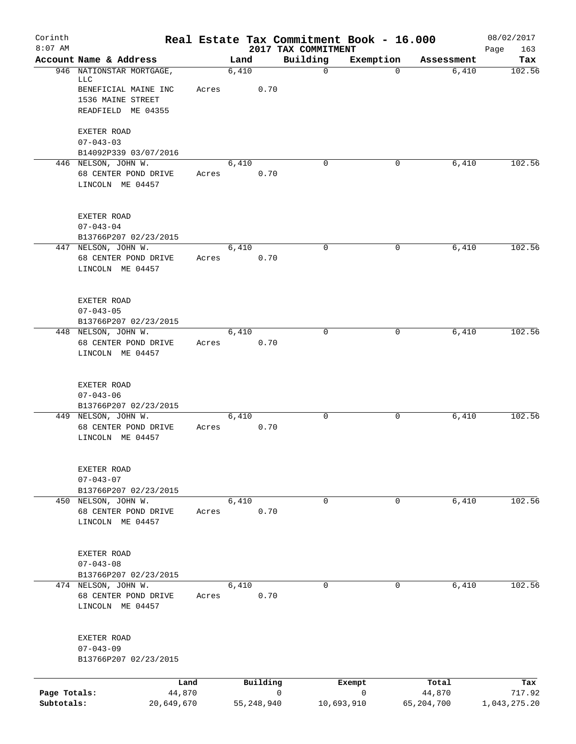| Corinth<br>$8:07$ AM |                                              |       |              |          | Real Estate Tax Commitment Book - 16.000<br>2017 TAX COMMITMENT |             |            | 08/02/2017         |
|----------------------|----------------------------------------------|-------|--------------|----------|-----------------------------------------------------------------|-------------|------------|--------------------|
|                      | Account Name & Address                       |       | Land         |          | Building                                                        | Exemption   | Assessment | 163<br>Page<br>Tax |
|                      | 946 NATIONSTAR MORTGAGE,                     |       | 6,410        |          | $\mathbf 0$                                                     | $\Omega$    | 6,410      | 102.56             |
|                      | LLC<br>BENEFICIAL MAINE INC                  | Acres |              | 0.70     |                                                                 |             |            |                    |
|                      | 1536 MAINE STREET                            |       |              |          |                                                                 |             |            |                    |
|                      | READFIELD ME 04355                           |       |              |          |                                                                 |             |            |                    |
|                      | EXETER ROAD                                  |       |              |          |                                                                 |             |            |                    |
|                      | $07 - 043 - 03$                              |       |              |          |                                                                 |             |            |                    |
|                      | B14092P339 03/07/2016<br>446 NELSON, JOHN W. |       | 6,410        |          | $\Omega$                                                        | 0           | 6,410      | 102.56             |
|                      | 68 CENTER POND DRIVE                         | Acres |              | 0.70     |                                                                 |             |            |                    |
|                      | LINCOLN ME 04457                             |       |              |          |                                                                 |             |            |                    |
|                      | EXETER ROAD                                  |       |              |          |                                                                 |             |            |                    |
|                      | $07 - 043 - 04$                              |       |              |          |                                                                 |             |            |                    |
|                      | B13766P207 02/23/2015                        |       |              |          |                                                                 |             |            |                    |
|                      | 447 NELSON, JOHN W.                          |       | 6,410        |          | 0                                                               | 0           | 6,410      | 102.56             |
|                      | 68 CENTER POND DRIVE<br>LINCOLN ME 04457     | Acres |              | 0.70     |                                                                 |             |            |                    |
|                      |                                              |       |              |          |                                                                 |             |            |                    |
|                      | EXETER ROAD                                  |       |              |          |                                                                 |             |            |                    |
|                      | $07 - 043 - 05$<br>B13766P207 02/23/2015     |       |              |          |                                                                 |             |            |                    |
|                      | 448 NELSON, JOHN W.                          |       | 6,410        |          | $\Omega$                                                        | 0           | 6,410      | 102.56             |
|                      | 68 CENTER POND DRIVE                         | Acres |              | 0.70     |                                                                 |             |            |                    |
|                      | LINCOLN ME 04457                             |       |              |          |                                                                 |             |            |                    |
|                      | EXETER ROAD<br>$07 - 043 - 06$               |       |              |          |                                                                 |             |            |                    |
|                      | B13766P207 02/23/2015                        |       |              |          |                                                                 |             |            |                    |
|                      | 449 NELSON, JOHN W.                          |       | 6,410        |          | 0                                                               | 0           | 6,410      | 102.56             |
|                      | 68 CENTER POND DRIVE                         | Acres |              | 0.70     |                                                                 |             |            |                    |
|                      | LINCOLN ME 04457                             |       |              |          |                                                                 |             |            |                    |
|                      | EXETER ROAD                                  |       |              |          |                                                                 |             |            |                    |
|                      | $07 - 043 - 07$<br>B13766P207 02/23/2015     |       |              |          |                                                                 |             |            |                    |
|                      | 450 NELSON, JOHN W.                          |       | 6,410        |          | 0                                                               | $\mathbf 0$ | 6,410      | 102.56             |
|                      | 68 CENTER POND DRIVE                         | Acres |              | 0.70     |                                                                 |             |            |                    |
|                      | LINCOLN ME 04457                             |       |              |          |                                                                 |             |            |                    |
|                      | EXETER ROAD                                  |       |              |          |                                                                 |             |            |                    |
|                      | $07 - 043 - 08$                              |       |              |          |                                                                 |             |            |                    |
|                      | B13766P207 02/23/2015                        |       |              |          |                                                                 |             |            |                    |
|                      | 474 NELSON, JOHN W.                          |       | 6,410        | 0.70     | $\mathbf 0$                                                     | $\Omega$    | 6,410      | 102.56             |
|                      | 68 CENTER POND DRIVE<br>LINCOLN ME 04457     | Acres |              |          |                                                                 |             |            |                    |
|                      | EXETER ROAD                                  |       |              |          |                                                                 |             |            |                    |
|                      | $07 - 043 - 09$                              |       |              |          |                                                                 |             |            |                    |
|                      | B13766P207 02/23/2015                        |       |              |          |                                                                 |             |            |                    |
|                      | Land                                         |       |              | Building |                                                                 | Exempt      | Total      | Tax                |
| Page Totals:         | 44,870                                       |       |              |          | 0                                                               | $\mathbf 0$ | 44,870     | 717.92             |
| Subtotals:           | 20,649,670                                   |       | 55, 248, 940 |          | 10,693,910                                                      |             | 65,204,700 | 1,043,275.20       |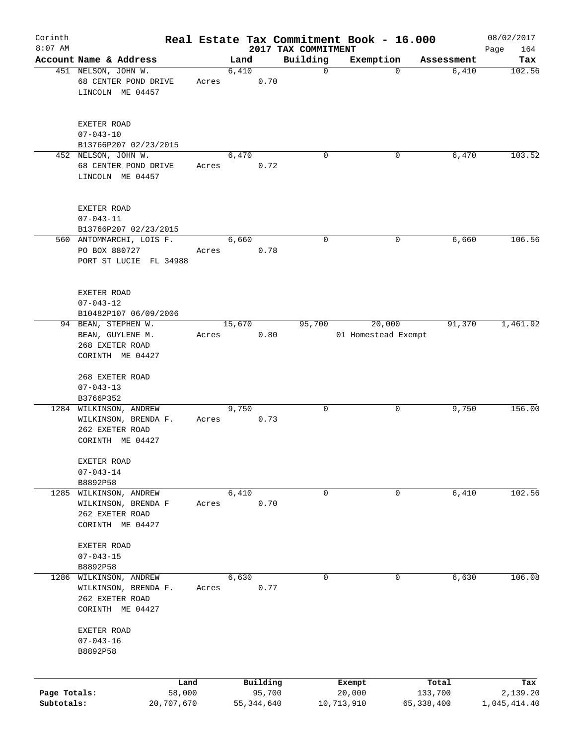| Corinth<br>$8:07$ AM       |                                                                                                    |       |            |          |                                 | Real Estate Tax Commitment Book - 16.000 |                       | 08/02/2017               |
|----------------------------|----------------------------------------------------------------------------------------------------|-------|------------|----------|---------------------------------|------------------------------------------|-----------------------|--------------------------|
|                            | Account Name & Address                                                                             |       | Land       |          | 2017 TAX COMMITMENT<br>Building | Exemption                                | Assessment            | Page<br>164<br>Tax       |
|                            | 451 NELSON, JOHN W.<br>68 CENTER POND DRIVE<br>LINCOLN ME 04457                                    | Acres | 6,410      | 0.70     | $\mathbf 0$                     | $\mathbf 0$                              | 6,410                 | 102.56                   |
|                            | EXETER ROAD<br>$07 - 043 - 10$<br>B13766P207 02/23/2015                                            |       |            |          |                                 |                                          |                       |                          |
|                            | 452 NELSON, JOHN W.<br>68 CENTER POND DRIVE<br>LINCOLN ME 04457                                    | Acres | 6,470      | 0.72     | $\Omega$                        | 0                                        | 6,470                 | 103.52                   |
|                            | EXETER ROAD<br>$07 - 043 - 11$<br>B13766P207 02/23/2015                                            |       |            |          |                                 |                                          |                       |                          |
|                            | 560 ANTOMMARCHI, LOIS F.<br>PO BOX 880727<br>PORT ST LUCIE FL 34988                                | Acres | 6,660      | 0.78     | 0                               | 0                                        | 6,660                 | 106.56                   |
|                            | EXETER ROAD<br>$07 - 043 - 12$<br>B10482P107 06/09/2006                                            |       |            |          |                                 |                                          |                       |                          |
|                            | 94 BEAN, STEPHEN W.<br>BEAN, GUYLENE M.<br>268 EXETER ROAD<br>CORINTH ME 04427                     | Acres | 15,670     | 0.80     | 95,700                          | 20,000<br>01 Homestead Exempt            | 91,370                | 1,461.92                 |
|                            | 268 EXETER ROAD<br>$07 - 043 - 13$                                                                 |       |            |          |                                 |                                          |                       |                          |
|                            | B3766P352<br>1284 WILKINSON, ANDREW<br>WILKINSON, BRENDA F.<br>262 EXETER ROAD<br>CORINTH ME 04427 | Acres | 9,750      | 0.73     | 0                               | 0                                        | 9,750                 | 156.00                   |
|                            | EXETER ROAD<br>$07 - 043 - 14$<br>B8892P58                                                         |       |            |          |                                 |                                          |                       |                          |
| 1285                       | WILKINSON, ANDREW<br>WILKINSON, BRENDA F<br>262 EXETER ROAD<br>CORINTH ME 04427                    | Acres | 6,410      | 0.70     | 0                               | 0                                        | 6,410                 | 102.56                   |
|                            | EXETER ROAD<br>$07 - 043 - 15$<br>B8892P58                                                         |       |            |          |                                 |                                          |                       |                          |
| 1286                       | WILKINSON, ANDREW<br>WILKINSON, BRENDA F.<br>262 EXETER ROAD<br>CORINTH ME 04427                   | Acres | 6,630      | 0.77     | 0                               | 0                                        | 6,630                 | 106.08                   |
|                            | EXETER ROAD<br>$07 - 043 - 16$<br>B8892P58                                                         |       |            |          |                                 |                                          |                       |                          |
|                            | Land                                                                                               |       |            | Building |                                 | Exempt                                   | Total                 | Tax                      |
| Page Totals:<br>Subtotals: | 58,000<br>20,707,670                                                                               |       | 55,344,640 | 95,700   |                                 | 20,000<br>10,713,910                     | 133,700<br>65,338,400 | 2,139.20<br>1,045,414.40 |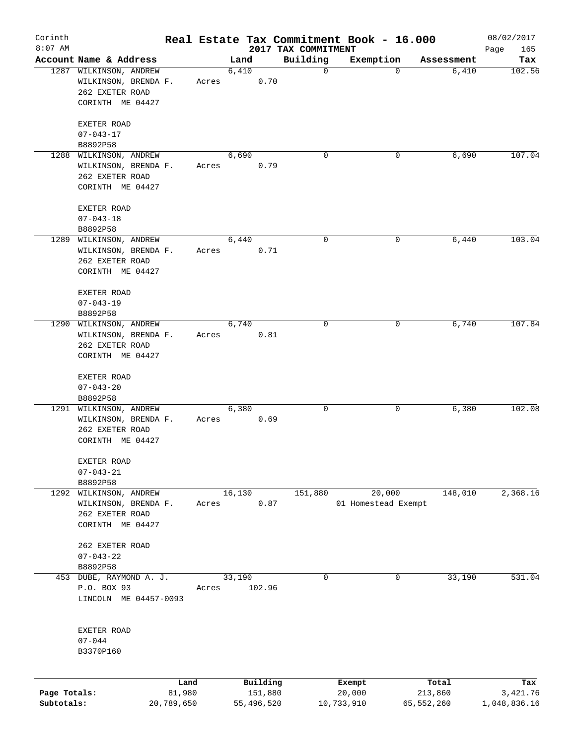| Corinth<br>$8:07$ AM |                         |                |       |         |                     |                                 | Real Estate Tax Commitment Book - 16.000 |             |                  | 08/02/2017         |
|----------------------|-------------------------|----------------|-------|---------|---------------------|---------------------------------|------------------------------------------|-------------|------------------|--------------------|
|                      | Account Name & Address  |                |       | Land    |                     | 2017 TAX COMMITMENT<br>Building | Exemption                                |             | Assessment       | Page<br>165<br>Tax |
|                      | 1287 WILKINSON, ANDREW  |                |       | 6,410   |                     | $\mathbf 0$                     |                                          | $\mathbf 0$ | 6,410            | 102.56             |
|                      | WILKINSON, BRENDA F.    |                | Acres |         | 0.70                |                                 |                                          |             |                  |                    |
|                      | 262 EXETER ROAD         |                |       |         |                     |                                 |                                          |             |                  |                    |
|                      | CORINTH ME 04427        |                |       |         |                     |                                 |                                          |             |                  |                    |
|                      | EXETER ROAD             |                |       |         |                     |                                 |                                          |             |                  |                    |
|                      | $07 - 043 - 17$         |                |       |         |                     |                                 |                                          |             |                  |                    |
|                      | B8892P58                |                |       |         |                     |                                 |                                          |             |                  |                    |
|                      | 1288 WILKINSON, ANDREW  |                |       | 6,690   |                     | $\mathbf 0$                     | 0                                        |             | 6,690            | 107.04             |
|                      | WILKINSON, BRENDA F.    |                | Acres |         | 0.79                |                                 |                                          |             |                  |                    |
|                      | 262 EXETER ROAD         |                |       |         |                     |                                 |                                          |             |                  |                    |
|                      | CORINTH ME 04427        |                |       |         |                     |                                 |                                          |             |                  |                    |
|                      | EXETER ROAD             |                |       |         |                     |                                 |                                          |             |                  |                    |
|                      | $07 - 043 - 18$         |                |       |         |                     |                                 |                                          |             |                  |                    |
|                      | B8892P58                |                |       |         |                     |                                 |                                          |             |                  |                    |
|                      | 1289 WILKINSON, ANDREW  |                |       | 6,440   |                     | 0                               | 0                                        |             | 6,440            | 103.04             |
|                      | WILKINSON, BRENDA F.    |                | Acres |         | 0.71                |                                 |                                          |             |                  |                    |
|                      | 262 EXETER ROAD         |                |       |         |                     |                                 |                                          |             |                  |                    |
|                      | CORINTH ME 04427        |                |       |         |                     |                                 |                                          |             |                  |                    |
|                      | EXETER ROAD             |                |       |         |                     |                                 |                                          |             |                  |                    |
|                      | $07 - 043 - 19$         |                |       |         |                     |                                 |                                          |             |                  |                    |
|                      | B8892P58                |                |       |         |                     |                                 |                                          |             |                  |                    |
|                      | 1290 WILKINSON, ANDREW  |                |       | 6,740   |                     | $\mathbf 0$                     |                                          | 0           | 6,740            | 107.84             |
|                      | WILKINSON, BRENDA F.    |                | Acres |         | 0.81                |                                 |                                          |             |                  |                    |
|                      | 262 EXETER ROAD         |                |       |         |                     |                                 |                                          |             |                  |                    |
|                      | CORINTH ME 04427        |                |       |         |                     |                                 |                                          |             |                  |                    |
|                      | EXETER ROAD             |                |       |         |                     |                                 |                                          |             |                  |                    |
|                      | $07 - 043 - 20$         |                |       |         |                     |                                 |                                          |             |                  |                    |
|                      | B8892P58                |                |       |         |                     |                                 |                                          |             |                  |                    |
|                      | 1291 WILKINSON, ANDREW  |                |       | 6,380   |                     | 0                               | 0                                        |             | 6,380            | 102.08             |
|                      | WILKINSON, BRENDA F.    |                | Acres |         | 0.69                |                                 |                                          |             |                  |                    |
|                      | 262 EXETER ROAD         |                |       |         |                     |                                 |                                          |             |                  |                    |
|                      | CORINTH ME 04427        |                |       |         |                     |                                 |                                          |             |                  |                    |
|                      | EXETER ROAD             |                |       |         |                     |                                 |                                          |             |                  |                    |
|                      | $07 - 043 - 21$         |                |       |         |                     |                                 |                                          |             |                  |                    |
|                      | B8892P58                |                |       |         |                     |                                 |                                          |             |                  |                    |
| 1292                 | WILKINSON, ANDREW       |                |       | 16, 130 |                     | 151,880                         | 20,000                                   |             | 148,010          | 2,368.16           |
|                      | WILKINSON, BRENDA F.    |                | Acres |         | 0.87                |                                 | 01 Homestead Exempt                      |             |                  |                    |
|                      | 262 EXETER ROAD         |                |       |         |                     |                                 |                                          |             |                  |                    |
|                      | CORINTH ME 04427        |                |       |         |                     |                                 |                                          |             |                  |                    |
|                      | 262 EXETER ROAD         |                |       |         |                     |                                 |                                          |             |                  |                    |
|                      | $07 - 043 - 22$         |                |       |         |                     |                                 |                                          |             |                  |                    |
|                      | B8892P58                |                |       |         |                     |                                 |                                          |             |                  |                    |
|                      | 453 DUBE, RAYMOND A. J. |                |       | 33,190  |                     | 0                               |                                          | 0           | 33,190           | 531.04             |
|                      | P.O. BOX 93             |                | Acres |         | 102.96              |                                 |                                          |             |                  |                    |
|                      | LINCOLN ME 04457-0093   |                |       |         |                     |                                 |                                          |             |                  |                    |
|                      |                         |                |       |         |                     |                                 |                                          |             |                  |                    |
|                      | EXETER ROAD             |                |       |         |                     |                                 |                                          |             |                  |                    |
|                      | $07 - 044$              |                |       |         |                     |                                 |                                          |             |                  |                    |
|                      | B3370P160               |                |       |         |                     |                                 |                                          |             |                  |                    |
|                      |                         |                |       |         |                     |                                 |                                          |             |                  |                    |
| Page Totals:         |                         | Land<br>81,980 |       |         | Building<br>151,880 |                                 | Exempt<br>20,000                         |             | Total<br>213,860 | Tax<br>3,421.76    |
| Subtotals:           |                         | 20,789,650     |       |         | 55,496,520          | 10,733,910                      |                                          | 65,552,260  |                  | 1,048,836.16       |
|                      |                         |                |       |         |                     |                                 |                                          |             |                  |                    |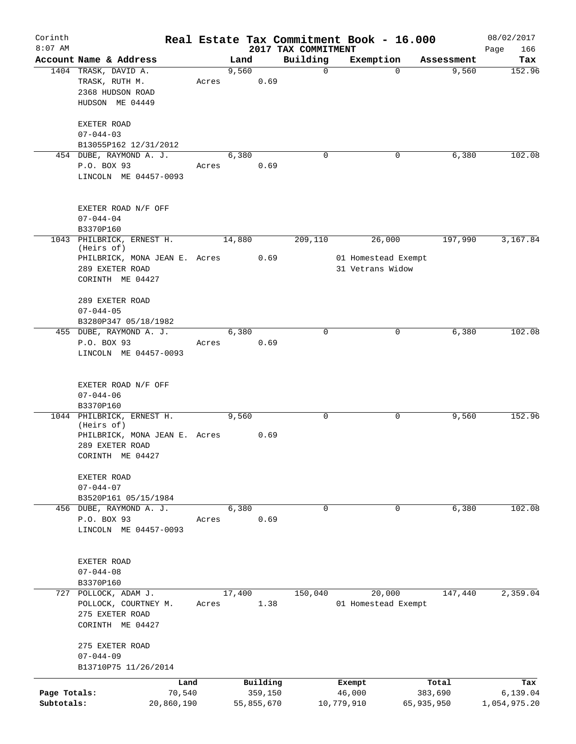| Corinth<br>$8:07$ AM       |                                                                                                                 |                              |       |        |                                   | 2017 TAX COMMITMENT | Real Estate Tax Commitment Book - 16.000          |                                | 08/02/2017<br>Page<br>166       |
|----------------------------|-----------------------------------------------------------------------------------------------------------------|------------------------------|-------|--------|-----------------------------------|---------------------|---------------------------------------------------|--------------------------------|---------------------------------|
|                            | Account Name & Address                                                                                          |                              |       | Land   |                                   | Building            | Exemption                                         | Assessment                     | Tax                             |
|                            | 1404 TRASK, DAVID A.<br>TRASK, RUTH M.<br>2368 HUDSON ROAD<br>HUDSON ME 04449                                   |                              | Acres | 9,560  | 0.69                              | $\mathbf 0$         | $\Omega$                                          | 9,560                          | 152.96                          |
|                            | EXETER ROAD<br>$07 - 044 - 03$<br>B13055P162 12/31/2012                                                         |                              |       |        |                                   |                     |                                                   |                                |                                 |
|                            | 454 DUBE, RAYMOND A. J.<br>P.O. BOX 93<br>LINCOLN ME 04457-0093                                                 |                              | Acres | 6,380  | 0.69                              | $\mathbf 0$         | 0                                                 | 6,380                          | 102.08                          |
|                            | EXETER ROAD N/F OFF<br>$07 - 044 - 04$<br>B3370P160                                                             |                              |       |        |                                   |                     |                                                   |                                |                                 |
|                            | 1043 PHILBRICK, ERNEST H.<br>(Heirs of)<br>PHILBRICK, MONA JEAN E. Acres<br>289 EXETER ROAD<br>CORINTH ME 04427 |                              |       | 14,880 | 0.69                              | 209,110             | 26,000<br>01 Homestead Exempt<br>31 Vetrans Widow | 197,990                        | 3,167.84                        |
|                            | 289 EXETER ROAD<br>$07 - 044 - 05$<br>B3280P347 05/18/1982                                                      |                              |       |        |                                   |                     |                                                   |                                |                                 |
|                            | 455 DUBE, RAYMOND A. J.<br>P.O. BOX 93<br>LINCOLN ME 04457-0093                                                 |                              | Acres | 6,380  | 0.69                              | $\Omega$            | 0                                                 | 6,380                          | 102.08                          |
|                            | EXETER ROAD N/F OFF<br>$07 - 044 - 06$<br>B3370P160                                                             |                              |       |        |                                   |                     |                                                   |                                |                                 |
|                            | 1044 PHILBRICK, ERNEST H.<br>(Heirs of)<br>PHILBRICK, MONA JEAN E. Acres<br>289 EXETER ROAD<br>CORINTH ME 04427 |                              |       | 9,560  | 0.69                              | $\mathbf 0$         | 0                                                 | 9,560                          | 152.96                          |
|                            | EXETER ROAD<br>$07 - 044 - 07$<br>B3520P161 05/15/1984                                                          |                              |       |        |                                   |                     |                                                   |                                |                                 |
|                            | 456 DUBE, RAYMOND A. J.<br>P.O. BOX 93<br>LINCOLN ME 04457-0093                                                 |                              | Acres | 6,380  | 0.69                              | $\mathbf 0$         | 0                                                 | 6,380                          | 102.08                          |
|                            | EXETER ROAD<br>$07 - 044 - 08$<br>B3370P160                                                                     |                              |       |        |                                   |                     |                                                   |                                |                                 |
|                            | 727 POLLOCK, ADAM J.<br>POLLOCK, COURTNEY M.<br>275 EXETER ROAD<br>CORINTH ME 04427                             |                              | Acres | 17,400 | 1.38                              | 150,040             | 20,000<br>01 Homestead Exempt                     | 147,440                        | 2,359.04                        |
|                            | 275 EXETER ROAD<br>$07 - 044 - 09$<br>B13710P75 11/26/2014                                                      |                              |       |        |                                   |                     |                                                   |                                |                                 |
| Page Totals:<br>Subtotals: |                                                                                                                 | Land<br>70,540<br>20,860,190 |       |        | Building<br>359,150<br>55,855,670 |                     | Exempt<br>46,000<br>10,779,910                    | Total<br>383,690<br>65,935,950 | Tax<br>6,139.04<br>1,054,975.20 |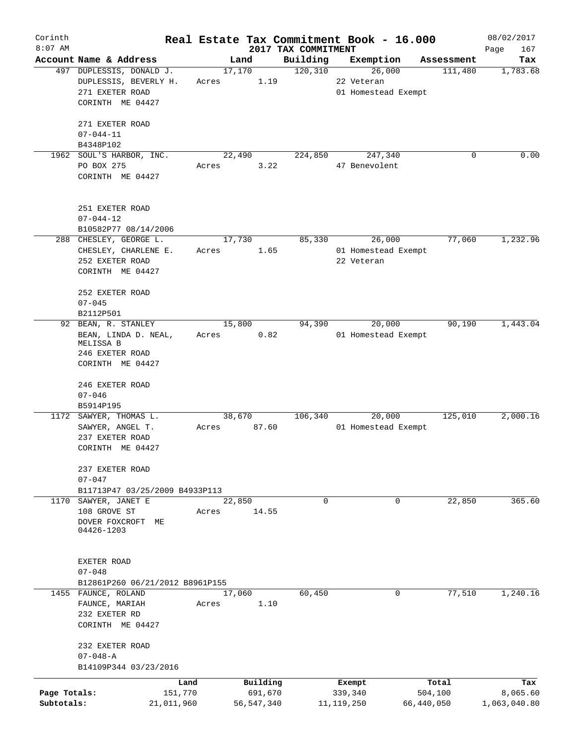| Corinth      |                                     |       |            |         |                     | Real Estate Tax Commitment Book - 16.000 |                       | 08/02/2017   |
|--------------|-------------------------------------|-------|------------|---------|---------------------|------------------------------------------|-----------------------|--------------|
| $8:07$ AM    |                                     |       |            |         | 2017 TAX COMMITMENT |                                          |                       | Page<br>167  |
|              | Account Name & Address              |       | Land       |         | Building            | Exemption                                | Assessment<br>111,480 | Tax          |
|              | 497 DUPLESSIS, DONALD J.            |       | 17,170     |         | 120, 310            | 26,000<br>22 Veteran                     |                       | 1,783.68     |
|              | DUPLESSIS, BEVERLY H.               | Acres |            | 1.19    |                     |                                          |                       |              |
|              | 271 EXETER ROAD<br>CORINTH ME 04427 |       |            |         |                     | 01 Homestead Exempt                      |                       |              |
|              |                                     |       |            |         |                     |                                          |                       |              |
|              | 271 EXETER ROAD                     |       |            |         |                     |                                          |                       |              |
|              | $07 - 044 - 11$                     |       |            |         |                     |                                          |                       |              |
|              | B4348P102                           |       |            |         |                     |                                          |                       |              |
| 1962         | SOUL'S HARBOR, INC.                 |       | 22,490     |         | 224,850             | 247,340                                  | $\Omega$              | 0.00         |
|              | PO BOX 275                          | Acres |            | 3.22    |                     | 47 Benevolent                            |                       |              |
|              | CORINTH ME 04427                    |       |            |         |                     |                                          |                       |              |
|              |                                     |       |            |         |                     |                                          |                       |              |
|              |                                     |       |            |         |                     |                                          |                       |              |
|              | 251 EXETER ROAD                     |       |            |         |                     |                                          |                       |              |
|              | $07 - 044 - 12$                     |       |            |         |                     |                                          |                       |              |
|              | B10582P77 08/14/2006                |       |            |         |                     |                                          |                       |              |
|              | 288 CHESLEY, GEORGE L.              |       | 17,730     |         | 85,330              | 26,000                                   | 77,060                | 1,232.96     |
|              | CHESLEY, CHARLENE E.                | Acres |            | 1.65    |                     | 01 Homestead Exempt                      |                       |              |
|              | 252 EXETER ROAD                     |       |            |         |                     | 22 Veteran                               |                       |              |
|              | CORINTH ME 04427                    |       |            |         |                     |                                          |                       |              |
|              |                                     |       |            |         |                     |                                          |                       |              |
|              | 252 EXETER ROAD                     |       |            |         |                     |                                          |                       |              |
|              | $07 - 045$                          |       |            |         |                     |                                          |                       |              |
|              | B2112P501                           |       |            |         |                     |                                          |                       |              |
| 92           | BEAN, R. STANLEY                    |       | 15,800     |         | 94,390              | 20,000                                   | 90,190                | 1,443.04     |
|              | BEAN, LINDA D. NEAL,<br>MELISSA B   | Acres |            | 0.82    |                     | 01 Homestead Exempt                      |                       |              |
|              | 246 EXETER ROAD                     |       |            |         |                     |                                          |                       |              |
|              | CORINTH ME 04427                    |       |            |         |                     |                                          |                       |              |
|              |                                     |       |            |         |                     |                                          |                       |              |
|              | 246 EXETER ROAD                     |       |            |         |                     |                                          |                       |              |
|              | $07 - 046$                          |       |            |         |                     |                                          |                       |              |
|              | B5914P195                           |       |            |         |                     |                                          |                       |              |
|              | 1172 SAWYER, THOMAS L.              |       | 38,670     |         | 106,340             | 20,000                                   | 125,010               | 2,000.16     |
|              | SAWYER, ANGEL T.                    | Acres |            | 87.60   |                     | 01 Homestead Exempt                      |                       |              |
|              | 237 EXETER ROAD                     |       |            |         |                     |                                          |                       |              |
|              | CORINTH ME 04427                    |       |            |         |                     |                                          |                       |              |
|              |                                     |       |            |         |                     |                                          |                       |              |
|              | 237 EXETER ROAD                     |       |            |         |                     |                                          |                       |              |
|              | $07 - 047$                          |       |            |         |                     |                                          |                       |              |
|              | B11713P47 03/25/2009 B4933P113      |       |            |         |                     |                                          |                       |              |
| 1170         | SAWYER, JANET E                     |       | 22,850     |         | $\Omega$            | $\Omega$                                 | 22,850                | 365.60       |
|              | 108 GROVE ST                        | Acres |            | 14.55   |                     |                                          |                       |              |
|              | DOVER FOXCROFT ME                   |       |            |         |                     |                                          |                       |              |
|              | 04426-1203                          |       |            |         |                     |                                          |                       |              |
|              |                                     |       |            |         |                     |                                          |                       |              |
|              | EXETER ROAD                         |       |            |         |                     |                                          |                       |              |
|              | $07 - 048$                          |       |            |         |                     |                                          |                       |              |
|              | B12861P260 06/21/2012 B8961P155     |       |            |         |                     |                                          |                       |              |
|              | 1455 FAUNCE, ROLAND                 |       | 17,060     |         | 60,450              | 0                                        | 77,510                | 1,240.16     |
|              | FAUNCE, MARIAH                      | Acres |            | 1.10    |                     |                                          |                       |              |
|              | 232 EXETER RD                       |       |            |         |                     |                                          |                       |              |
|              | CORINTH ME 04427                    |       |            |         |                     |                                          |                       |              |
|              |                                     |       |            |         |                     |                                          |                       |              |
|              | 232 EXETER ROAD                     |       |            |         |                     |                                          |                       |              |
|              | $07 - 048 - A$                      |       |            |         |                     |                                          |                       |              |
|              | B14109P344 03/23/2016               |       |            |         |                     |                                          |                       |              |
|              | Land                                |       | Building   |         |                     | Exempt                                   | Total                 | Tax          |
| Page Totals: | 151,770                             |       |            | 691,670 |                     | 339,340                                  | 504,100               | 8,065.60     |
| Subtotals:   | 21,011,960                          |       | 56,547,340 |         |                     | 11, 119, 250                             | 66,440,050            | 1,063,040.80 |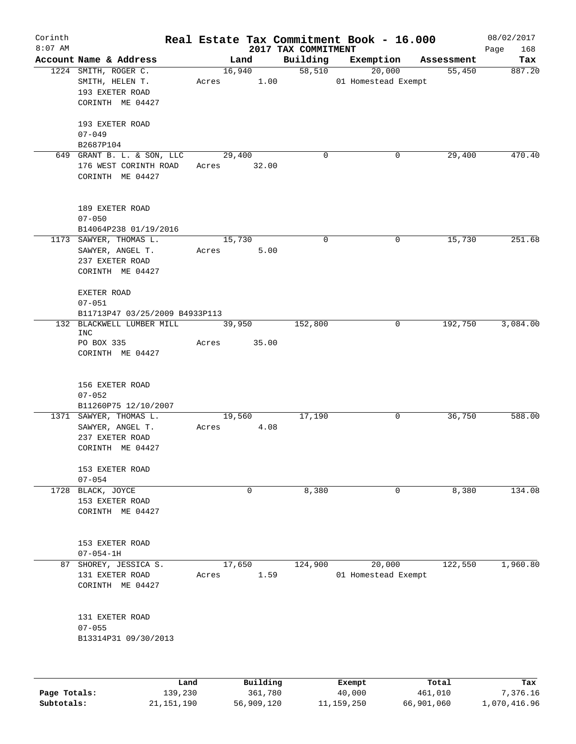| Corinth<br>$8:07$ AM |                                                              |             |                |                                 | Real Estate Tax Commitment Book - 16.000 |            | 08/02/2017            |
|----------------------|--------------------------------------------------------------|-------------|----------------|---------------------------------|------------------------------------------|------------|-----------------------|
|                      | Account Name & Address                                       |             | Land           | 2017 TAX COMMITMENT<br>Building | Exemption                                | Assessment | 168<br>Page<br>Tax    |
|                      | 1224 SMITH, ROGER C.                                         |             | 16,940         | 58,510                          | 20,000                                   | 55,450     | 887.20                |
|                      | SMITH, HELEN T.<br>193 EXETER ROAD<br>CORINTH ME 04427       | Acres       | 1.00           |                                 | 01 Homestead Exempt                      |            |                       |
|                      | 193 EXETER ROAD<br>$07 - 049$                                |             |                |                                 |                                          |            |                       |
|                      | B2687P104<br>649 GRANT B. L. & SON, LLC                      |             | 29,400         | 0                               | 0                                        | 29,400     | 470.40                |
|                      | 176 WEST CORINTH ROAD<br>CORINTH ME 04427                    | Acres 32.00 |                |                                 |                                          |            |                       |
|                      | 189 EXETER ROAD<br>$07 - 050$<br>B14064P238 01/19/2016       |             |                |                                 |                                          |            |                       |
|                      | 1173 SAWYER, THOMAS L.                                       |             | 15,730         | $\mathbf 0$                     | 0                                        | 15,730     | 251.68                |
|                      | SAWYER, ANGEL T.<br>237 EXETER ROAD<br>CORINTH ME 04427      | Acres       | 5.00           |                                 |                                          |            |                       |
|                      | EXETER ROAD                                                  |             |                |                                 |                                          |            |                       |
|                      | $07 - 051$                                                   |             |                |                                 |                                          |            |                       |
|                      | B11713P47 03/25/2009 B4933P113                               |             |                |                                 |                                          |            |                       |
|                      | 132 BLACKWELL LUMBER MILL<br><b>INC</b>                      |             | 39,950         | 152,800                         | 0                                        | 192,750    | 3,084.00              |
|                      | PO BOX 335<br>CORINTH ME 04427                               | Acres       | 35.00          |                                 |                                          |            |                       |
|                      | 156 EXETER ROAD<br>$07 - 052$                                |             |                |                                 |                                          |            |                       |
|                      | B11260P75 12/10/2007<br>1371 SAWYER, THOMAS L.               |             | 19,560         | 17,190                          | 0                                        | 36,750     | 588.00                |
|                      | SAWYER, ANGEL T.<br>237 EXETER ROAD<br>CORINTH ME 04427      | Acres       | 4.08           |                                 |                                          |            |                       |
|                      | 153 EXETER ROAD<br>$07 - 054$                                |             |                |                                 |                                          |            |                       |
|                      | 1728 BLACK, JOYCE<br>153 EXETER ROAD<br>CORINTH ME 04427     |             | 0              | 8,380                           | 0                                        | 8,380      | 134.08                |
|                      | 153 EXETER ROAD<br>$07 - 054 - 1H$                           |             |                |                                 |                                          |            |                       |
|                      | 87 SHOREY, JESSICA S.<br>131 EXETER ROAD<br>CORINTH ME 04427 | Acres       | 17,650<br>1.59 | 124,900                         | 20,000<br>01 Homestead Exempt            | 122,550    | $\overline{1,}960.80$ |
|                      | 131 EXETER ROAD<br>$07 - 055$<br>B13314P31 09/30/2013        |             |                |                                 |                                          |            |                       |
|                      |                                                              |             |                |                                 |                                          |            |                       |
|                      | Land                                                         |             | Building       |                                 | Exempt                                   | Total      | Tax                   |

|              | -----      | --------   | -------    | -----      | .            |
|--------------|------------|------------|------------|------------|--------------|
| Page Totals: | 139,230    | 361,780    | 40,000     | 461,010    | 7,376.16     |
| Subtotals:   | 21,151,190 | 56,909,120 | 11,159,250 | 66,901,060 | 1,070,416.96 |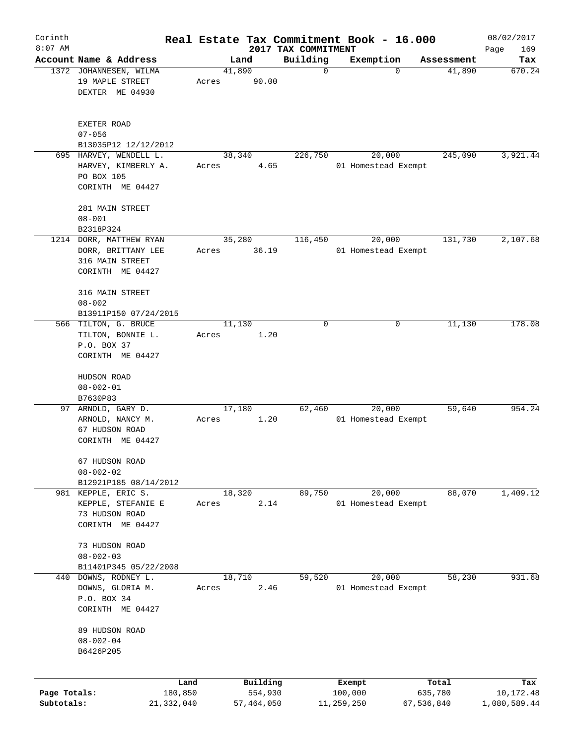| Corinth      |                                                                                      |                 |       |        |                     |                                 | Real Estate Tax Commitment Book - 16.000 |             |                      | 08/02/2017       |
|--------------|--------------------------------------------------------------------------------------|-----------------|-------|--------|---------------------|---------------------------------|------------------------------------------|-------------|----------------------|------------------|
| $8:07$ AM    | Account Name & Address                                                               |                 |       | Land   |                     | 2017 TAX COMMITMENT<br>Building |                                          |             |                      | Page<br>169      |
|              | 1372 JOHANNESEN, WILMA                                                               |                 |       | 41,890 |                     | $\mathbf 0$                     | Exemption                                | $\mathbf 0$ | Assessment<br>41,890 | Tax<br>670.24    |
|              | 19 MAPLE STREET<br>DEXTER ME 04930                                                   |                 | Acres |        | 90.00               |                                 |                                          |             |                      |                  |
|              | EXETER ROAD<br>$07 - 056$                                                            |                 |       |        |                     |                                 |                                          |             |                      |                  |
|              | B13035P12 12/12/2012                                                                 |                 |       |        |                     |                                 |                                          |             |                      |                  |
|              | 695 HARVEY, WENDELL L.<br>HARVEY, KIMBERLY A.<br>PO BOX 105<br>CORINTH ME 04427      |                 | Acres | 38,340 | 4.65                | 226,750                         | 01 Homestead Exempt                      | 20,000      | 245,090              | 3,921.44         |
|              | 281 MAIN STREET<br>$08 - 001$                                                        |                 |       |        |                     |                                 |                                          |             |                      |                  |
|              | B2318P324                                                                            |                 |       |        |                     |                                 |                                          |             |                      |                  |
|              | 1214 DORR, MATTHEW RYAN<br>DORR, BRITTANY LEE<br>316 MAIN STREET<br>CORINTH ME 04427 |                 | Acres | 35,280 | 36.19               | 116,450                         | 01 Homestead Exempt                      | 20,000      | 131,730              | 2,107.68         |
|              | 316 MAIN STREET<br>$08 - 002$                                                        |                 |       |        |                     |                                 |                                          |             |                      |                  |
|              | B13911P150 07/24/2015<br>566 TILTON, G. BRUCE                                        |                 |       | 11,130 |                     | 0                               |                                          | 0           | 11,130               | 178.08           |
|              | TILTON, BONNIE L.<br>P.O. BOX 37<br>CORINTH ME 04427                                 |                 | Acres |        | 1.20                |                                 |                                          |             |                      |                  |
|              | HUDSON ROAD<br>$08 - 002 - 01$                                                       |                 |       |        |                     |                                 |                                          |             |                      |                  |
|              | B7630P83                                                                             |                 |       |        |                     |                                 |                                          |             | 59,640               | 954.24           |
| 97           | ARNOLD, GARY D.<br>ARNOLD, NANCY M.<br>67 HUDSON ROAD<br>CORINTH ME 04427            |                 | Acres | 17,180 | 1.20                | 62,460                          | 01 Homestead Exempt                      | 20,000      |                      |                  |
|              | 67 HUDSON ROAD<br>$08 - 002 - 02$<br>B12921P185 08/14/2012                           |                 |       |        |                     |                                 |                                          |             |                      |                  |
|              | 981 KEPPLE, ERIC S.                                                                  |                 |       | 18,320 |                     | 89,750                          |                                          | 20,000      | 88,070               | 1,409.12         |
|              | KEPPLE, STEFANIE E<br>73 HUDSON ROAD<br>CORINTH ME 04427                             |                 | Acres |        | 2.14                |                                 | 01 Homestead Exempt                      |             |                      |                  |
|              | 73 HUDSON ROAD<br>$08 - 002 - 03$<br>B11401P345 05/22/2008                           |                 |       |        |                     |                                 |                                          |             |                      |                  |
| 440          | DOWNS, RODNEY L.                                                                     |                 |       | 18,710 |                     | 59,520                          |                                          | 20,000      | 58,230               | 931.68           |
|              | DOWNS, GLORIA M.<br>P.O. BOX 34<br>CORINTH ME 04427                                  |                 | Acres |        | 2.46                |                                 | 01 Homestead Exempt                      |             |                      |                  |
|              | 89 HUDSON ROAD<br>$08 - 002 - 04$<br>B6426P205                                       |                 |       |        |                     |                                 |                                          |             |                      |                  |
| Page Totals: |                                                                                      | Land<br>180,850 |       |        | Building<br>554,930 |                                 | Exempt<br>100,000                        |             | Total<br>635,780     | Tax<br>10,172.48 |
| Subtotals:   |                                                                                      | 21,332,040      |       |        | 57,464,050          |                                 | 11,259,250                               |             | 67,536,840           | 1,080,589.44     |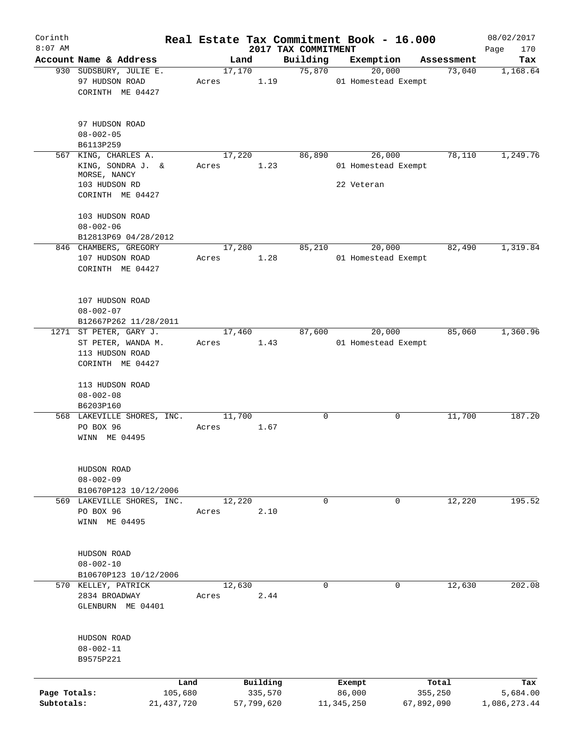| Corinth                    |                                                                                     |       |                       |                     | Real Estate Tax Commitment Book - 16.000 |                       | 08/02/2017               |
|----------------------------|-------------------------------------------------------------------------------------|-------|-----------------------|---------------------|------------------------------------------|-----------------------|--------------------------|
| $8:07$ AM                  | Account Name & Address                                                              |       |                       | 2017 TAX COMMITMENT |                                          |                       | Page<br>170<br>Tax       |
|                            | 930 SUDSBURY, JULIE E.                                                              |       | Land<br>17,170        | Building<br>75,870  | Exemption<br>20,000                      | Assessment<br>73,040  | 1,168.64                 |
|                            | 97 HUDSON ROAD<br>CORINTH ME 04427                                                  | Acres | 1.19                  |                     | 01 Homestead Exempt                      |                       |                          |
|                            | 97 HUDSON ROAD<br>$08 - 002 - 05$                                                   |       |                       |                     |                                          |                       |                          |
| 567                        | B6113P259<br>KING, CHARLES A.                                                       |       | 17,220                | 86,890              | 26,000                                   | 78,110                | 1,249.76                 |
|                            | KING, SONDRA J. &<br>MORSE, NANCY<br>103 HUDSON RD<br>CORINTH ME 04427              | Acres | 1.23                  |                     | 01 Homestead Exempt<br>22 Veteran        |                       |                          |
|                            | 103 HUDSON ROAD<br>$08 - 002 - 06$<br>B12813P69 04/28/2012                          |       |                       |                     |                                          |                       |                          |
|                            | 846 CHAMBERS, GREGORY<br>107 HUDSON ROAD<br>CORINTH ME 04427                        | Acres | 17,280<br>1.28        | 85,210              | 20,000<br>01 Homestead Exempt            | 82,490                | 1,319.84                 |
|                            | 107 HUDSON ROAD<br>$08 - 002 - 07$<br>B12667P262 11/28/2011                         |       |                       |                     |                                          |                       |                          |
|                            | 1271 ST PETER, GARY J.<br>ST PETER, WANDA M.<br>113 HUDSON ROAD<br>CORINTH ME 04427 | Acres | 17,460<br>1.43        | 87,600              | 20,000<br>01 Homestead Exempt            | 85,060                | 1,360.96                 |
|                            | 113 HUDSON ROAD<br>$08 - 002 - 08$<br>B6203P160                                     |       |                       |                     |                                          |                       |                          |
|                            | 568 LAKEVILLE SHORES, INC.<br>PO BOX 96<br>WINN ME 04495                            | Acres | 11,700<br>1.67        | 0                   | 0                                        | 11,700                | 187.20                   |
|                            | HUDSON ROAD<br>$08 - 002 - 09$<br>B10670P123 10/12/2006                             |       |                       |                     |                                          |                       |                          |
|                            | 569 LAKEVILLE SHORES, INC.<br>PO BOX 96<br>WINN ME 04495                            | Acres | 12,220<br>2.10        | $\mathbf 0$         | 0                                        | 12,220                | 195.52                   |
|                            | HUDSON ROAD<br>$08 - 002 - 10$<br>B10670P123 10/12/2006                             |       |                       |                     |                                          |                       |                          |
|                            | 570 KELLEY, PATRICK<br>2834 BROADWAY<br>GLENBURN ME 04401                           | Acres | 12,630<br>2.44        | $\mathbf 0$         | $\mathbf 0$                              | 12,630                | 202.08                   |
|                            | HUDSON ROAD<br>$08 - 002 - 11$<br>B9575P221                                         |       |                       |                     |                                          |                       |                          |
|                            |                                                                                     | Land  | Building              |                     | Exempt                                   | Total                 | Tax                      |
| Page Totals:<br>Subtotals: | 105,680<br>21,437,720                                                               |       | 335,570<br>57,799,620 |                     | 86,000<br>11,345,250                     | 355,250<br>67,892,090 | 5,684.00<br>1,086,273.44 |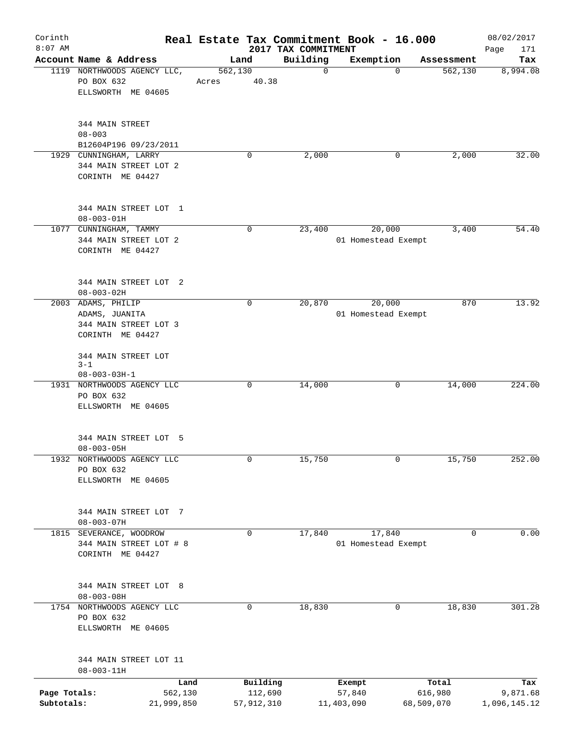| Corinth                    |                                                                     |         |                       |                                 | Real Estate Tax Commitment Book - 16.000 |                       |            | 08/02/2017               |
|----------------------------|---------------------------------------------------------------------|---------|-----------------------|---------------------------------|------------------------------------------|-----------------------|------------|--------------------------|
| $8:07$ AM                  | Account Name & Address                                              |         | Land                  | 2017 TAX COMMITMENT<br>Building | Exemption                                |                       | Assessment | Page<br>171<br>Tax       |
|                            | 1119 NORTHWOODS AGENCY LLC,                                         | 562,130 |                       | $\mathbf 0$                     |                                          | $\mathbf 0$           | 562, 130   | 8,994.08                 |
|                            | PO BOX 632<br>ELLSWORTH ME 04605                                    | Acres   | 40.38                 |                                 |                                          |                       |            |                          |
|                            | 344 MAIN STREET<br>$08 - 003$                                       |         |                       |                                 |                                          |                       |            |                          |
|                            | B12604P196 09/23/2011<br>1929 CUNNINGHAM, LARRY                     |         | 0                     | 2,000                           |                                          | 0                     | 2,000      | 32.00                    |
|                            | 344 MAIN STREET LOT 2<br>CORINTH ME 04427                           |         |                       |                                 |                                          |                       |            |                          |
|                            | 344 MAIN STREET LOT 1<br>$08 - 003 - 01H$                           |         |                       |                                 |                                          |                       |            |                          |
|                            | 1077 CUNNINGHAM, TAMMY<br>344 MAIN STREET LOT 2<br>CORINTH ME 04427 |         | 0                     | 23,400                          | 20,000<br>01 Homestead Exempt            |                       | 3,400      | 54.40                    |
|                            | 344 MAIN STREET LOT 2<br>$08 - 003 - 02H$                           |         |                       |                                 |                                          |                       |            |                          |
|                            | 2003 ADAMS, PHILIP                                                  |         | 0                     | 20,870                          | 20,000                                   |                       | 870        | 13.92                    |
|                            | ADAMS, JUANITA<br>344 MAIN STREET LOT 3<br>CORINTH ME 04427         |         |                       |                                 | 01 Homestead Exempt                      |                       |            |                          |
|                            | 344 MAIN STREET LOT<br>$3 - 1$<br>$08 - 003 - 03H - 1$              |         |                       |                                 |                                          |                       |            |                          |
|                            | 1931 NORTHWOODS AGENCY LLC<br>PO BOX 632<br>ELLSWORTH ME 04605      |         | 0                     | 14,000                          |                                          | 0                     | 14,000     | 224.00                   |
|                            | 344 MAIN STREET LOT 5<br>$08 - 003 - 05H$                           |         |                       |                                 |                                          |                       |            |                          |
| 1932                       | NORTHWOODS AGENCY LLC<br>PO BOX 632<br>ELLSWORTH ME 04605           |         | 0                     | 15,750                          |                                          | 0                     | 15,750     | 252.00                   |
|                            | 344 MAIN STREET LOT 7<br>$08 - 003 - 07H$                           |         |                       |                                 |                                          |                       |            |                          |
| 1815                       | SEVERANCE, WOODROW<br>344 MAIN STREET LOT # 8<br>CORINTH ME 04427   |         | 0                     | 17,840                          | 17,840<br>01 Homestead Exempt            |                       | 0          | 0.00                     |
|                            | 344 MAIN STREET LOT 8<br>$08 - 003 - 08H$                           |         |                       |                                 |                                          |                       |            |                          |
|                            | 1754 NORTHWOODS AGENCY LLC<br>PO BOX 632<br>ELLSWORTH ME 04605      |         | 0                     | 18,830                          |                                          | 0                     | 18,830     | 301.28                   |
|                            | 344 MAIN STREET LOT 11<br>$08 - 003 - 11H$                          |         |                       |                                 |                                          |                       |            |                          |
|                            |                                                                     | Land    | Building              |                                 | Exempt                                   | Total                 |            | Tax                      |
| Page Totals:<br>Subtotals: | 562,130<br>21,999,850                                               |         | 112,690<br>57,912,310 |                                 | 57,840<br>11,403,090                     | 616,980<br>68,509,070 |            | 9,871.68<br>1,096,145.12 |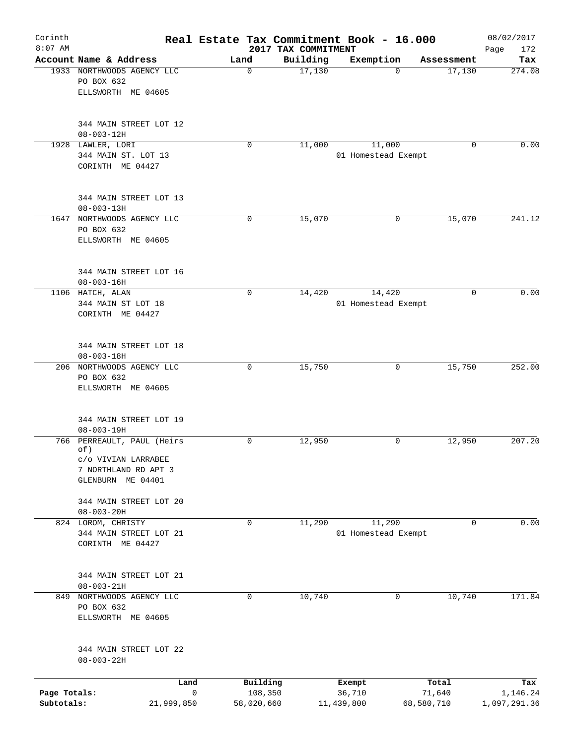| Corinth<br>$8:07$ AM       |                                                                                                       | Real Estate Tax Commitment Book - 16.000 | 2017 TAX COMMITMENT |                               |                      | 08/02/2017<br>Page<br>172 |
|----------------------------|-------------------------------------------------------------------------------------------------------|------------------------------------------|---------------------|-------------------------------|----------------------|---------------------------|
|                            | Account Name & Address                                                                                | Land                                     | Building            | Exemption                     | Assessment           | Tax                       |
|                            | 1933 NORTHWOODS AGENCY LLC<br>PO BOX 632<br>ELLSWORTH ME 04605                                        | $\mathbf 0$                              | 17,130              | $\Omega$                      | 17,130               | 274.08                    |
|                            | 344 MAIN STREET LOT 12<br>$08 - 003 - 12H$                                                            |                                          |                     |                               |                      |                           |
|                            | 1928 LAWLER, LORI<br>344 MAIN ST. LOT 13<br>CORINTH ME 04427                                          | $\mathbf 0$                              | 11,000              | 11,000<br>01 Homestead Exempt | 0                    | 0.00                      |
|                            | 344 MAIN STREET LOT 13<br>$08 - 003 - 13H$                                                            |                                          |                     |                               |                      |                           |
|                            | 1647 NORTHWOODS AGENCY LLC<br>PO BOX 632<br>ELLSWORTH ME 04605                                        | $\mathbf 0$                              | 15,070              | 0                             | 15,070               | 241.12                    |
|                            | 344 MAIN STREET LOT 16<br>$08 - 003 - 16H$                                                            |                                          |                     |                               |                      |                           |
|                            | 1106 HATCH, ALAN<br>344 MAIN ST LOT 18<br>CORINTH ME 04427                                            | $\mathbf 0$                              | 14,420              | 14,420<br>01 Homestead Exempt | $\mathbf 0$          | 0.00                      |
|                            | 344 MAIN STREET LOT 18<br>$08 - 003 - 18H$                                                            |                                          |                     |                               |                      |                           |
|                            | 206 NORTHWOODS AGENCY LLC<br>PO BOX 632<br>ELLSWORTH ME 04605                                         | 0                                        | 15,750              | 0                             | 15,750               | 252.00                    |
|                            | 344 MAIN STREET LOT 19<br>$08 - 003 - 19H$                                                            |                                          |                     |                               |                      |                           |
|                            | 766 PERREAULT, PAUL (Heirs<br>of)<br>c/o VIVIAN LARRABEE<br>7 NORTHLAND RD APT 3<br>GLENBURN ME 04401 | 0                                        | 12,950              | 0                             | 12,950               | 207.20                    |
|                            | 344 MAIN STREET LOT 20<br>$08 - 003 - 20H$                                                            |                                          |                     |                               |                      |                           |
|                            | 824 LOROM, CHRISTY<br>344 MAIN STREET LOT 21<br>CORINTH ME 04427                                      | 0                                        | 11,290              | 11,290<br>01 Homestead Exempt | 0                    | 0.00                      |
|                            | 344 MAIN STREET LOT 21<br>$08 - 003 - 21H$                                                            |                                          |                     |                               |                      |                           |
|                            | 849 NORTHWOODS AGENCY LLC<br>PO BOX 632<br>ELLSWORTH ME 04605                                         | 0                                        | 10,740              | 0                             | 10,740               | 171.84                    |
|                            | 344 MAIN STREET LOT 22<br>$08 - 003 - 22H$                                                            |                                          |                     |                               |                      |                           |
|                            | Land                                                                                                  | Building                                 |                     | Exempt                        | Total                | Tax                       |
| Page Totals:<br>Subtotals: | 21,999,850                                                                                            | 108,350<br>0<br>58,020,660               |                     | 36,710<br>11,439,800          | 71,640<br>68,580,710 | 1,146.24<br>1,097,291.36  |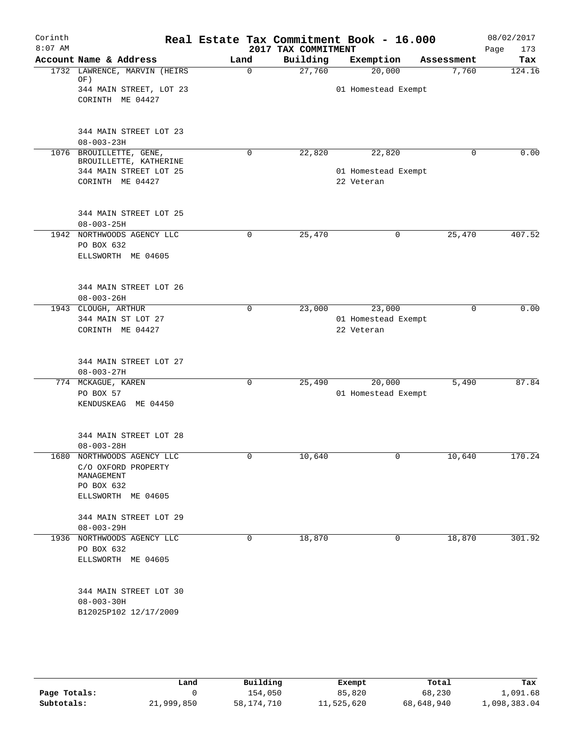| Corinth   |                                                                                                |             |                     | Real Estate Tax Commitment Book - 16.000 |            | 08/02/2017  |
|-----------|------------------------------------------------------------------------------------------------|-------------|---------------------|------------------------------------------|------------|-------------|
| $8:07$ AM |                                                                                                |             | 2017 TAX COMMITMENT |                                          |            | Page<br>173 |
|           | Account Name & Address                                                                         | Land        | Building            | Exemption                                | Assessment | Tax         |
|           | 1732 LAWRENCE, MARVIN (HEIRS<br>OF)                                                            | $\mathbf 0$ | 27,760              | 20,000                                   | 7,760      | 124.16      |
|           | 344 MAIN STREET, LOT 23<br>CORINTH ME 04427                                                    |             |                     | 01 Homestead Exempt                      |            |             |
|           | 344 MAIN STREET LOT 23<br>$08 - 003 - 23H$                                                     |             |                     |                                          |            |             |
|           | 1076 BROUILLETTE, GENE,                                                                        | 0           | 22,820              | 22,820                                   | 0          | 0.00        |
|           | BROUILLETTE, KATHERINE<br>344 MAIN STREET LOT 25                                               |             |                     | 01 Homestead Exempt                      |            |             |
|           | CORINTH ME 04427                                                                               |             |                     | 22 Veteran                               |            |             |
|           | 344 MAIN STREET LOT 25<br>$08 - 003 - 25H$                                                     |             |                     |                                          |            |             |
|           | 1942 NORTHWOODS AGENCY LLC<br>PO BOX 632<br>ELLSWORTH ME 04605                                 | $\mathbf 0$ | 25,470              | 0                                        | 25,470     | 407.52      |
|           | 344 MAIN STREET LOT 26<br>$08 - 003 - 26H$                                                     |             |                     |                                          |            |             |
|           | 1943 CLOUGH, ARTHUR                                                                            | $\mathbf 0$ | 23,000              | 23,000                                   | $\Omega$   | 0.00        |
|           | 344 MAIN ST LOT 27<br>CORINTH ME 04427                                                         |             |                     | 01 Homestead Exempt<br>22 Veteran        |            |             |
|           | 344 MAIN STREET LOT 27<br>$08 - 003 - 27H$                                                     |             |                     |                                          |            |             |
|           | 774 MCKAGUE, KAREN                                                                             | 0           | 25,490              | 20,000                                   | 5,490      | 87.84       |
|           | PO BOX 57<br>KENDUSKEAG ME 04450                                                               |             |                     | 01 Homestead Exempt                      |            |             |
|           | 344 MAIN STREET LOT 28<br>$08 - 003 - 28H$                                                     |             |                     |                                          |            |             |
| 1680      | NORTHWOODS AGENCY LLC<br>C/O OXFORD PROPERTY<br>MANAGEMENT<br>PO BOX 632<br>ELLSWORTH ME 04605 | 0           | 10,640              | 0                                        | 10,640     | 170.24      |
|           | 344 MAIN STREET LOT 29<br>$08 - 003 - 29H$                                                     |             |                     |                                          |            |             |
|           | 1936 NORTHWOODS AGENCY LLC<br>PO BOX 632<br>ELLSWORTH ME 04605                                 | 0           | 18,870              | 0                                        | 18,870     | 301.92      |
|           | 344 MAIN STREET LOT 30<br>$08 - 003 - 30H$<br>B12025P102 12/17/2009                            |             |                     |                                          |            |             |
|           |                                                                                                |             |                     |                                          |            |             |

|              | Land       | Building   | Exempt     | Total      | Tax          |
|--------------|------------|------------|------------|------------|--------------|
| Page Totals: |            | 154,050    | 85,820     | 68,230     | 1,091.68     |
| Subtotals:   | 21,999,850 | 58,174,710 | 11,525,620 | 68,648,940 | 1,098,383.04 |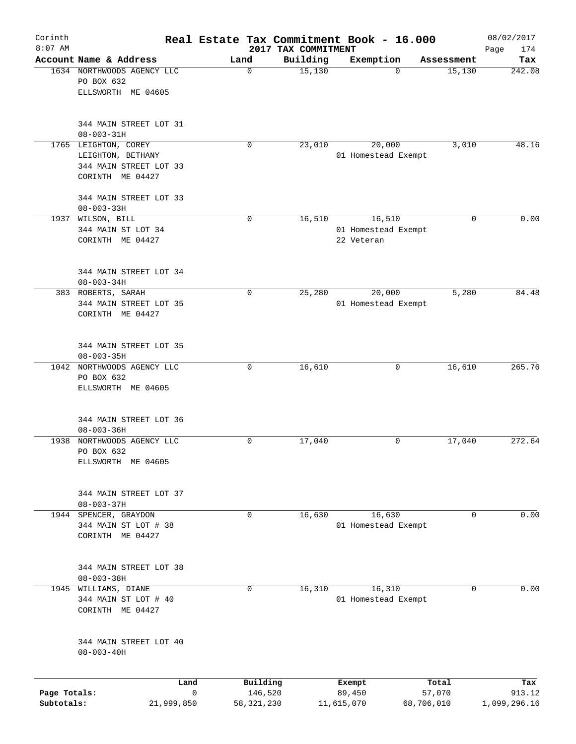| Corinth<br>$8:07$ AM       |                                                                                         |                              | 2017 TAX COMMITMENT | Real Estate Tax Commitment Book - 16.000    |                      | 08/02/2017<br>Page<br>174 |
|----------------------------|-----------------------------------------------------------------------------------------|------------------------------|---------------------|---------------------------------------------|----------------------|---------------------------|
|                            | Account Name & Address                                                                  | Land                         | Building            | Exemption                                   | Assessment           | Tax                       |
|                            | 1634 NORTHWOODS AGENCY LLC<br>PO BOX 632<br>ELLSWORTH ME 04605                          | 0                            | 15,130              | $\Omega$                                    | 15,130               | 242.08                    |
|                            | 344 MAIN STREET LOT 31<br>$08 - 003 - 31H$                                              |                              |                     |                                             |                      |                           |
|                            | 1765 LEIGHTON, COREY<br>LEIGHTON, BETHANY<br>344 MAIN STREET LOT 33<br>CORINTH ME 04427 | $\mathbf 0$                  | 23,010              | 20,000<br>01 Homestead Exempt               | 3,010                | 48.16                     |
|                            | 344 MAIN STREET LOT 33<br>$08 - 003 - 33H$                                              |                              |                     |                                             |                      |                           |
|                            | 1937 WILSON, BILL<br>344 MAIN ST LOT 34<br>CORINTH ME 04427                             | $\mathbf 0$                  | 16,510              | 16,510<br>01 Homestead Exempt<br>22 Veteran | 0                    | 0.00                      |
|                            | 344 MAIN STREET LOT 34<br>$08 - 003 - 34H$                                              |                              |                     |                                             |                      |                           |
|                            | 383 ROBERTS, SARAH<br>344 MAIN STREET LOT 35<br>CORINTH ME 04427                        | 0                            | 25,280              | 20,000<br>01 Homestead Exempt               | 5,280                | 84.48                     |
|                            | 344 MAIN STREET LOT 35<br>$08 - 003 - 35H$                                              |                              |                     |                                             |                      |                           |
|                            | 1042 NORTHWOODS AGENCY LLC<br>PO BOX 632<br>ELLSWORTH ME 04605                          | $\mathbf 0$                  | 16,610              | 0                                           | 16,610               | 265.76                    |
|                            | 344 MAIN STREET LOT 36<br>$08 - 003 - 36H$                                              |                              |                     |                                             |                      |                           |
| 1938                       | NORTHWOODS AGENCY LLC<br>PO BOX 632<br>ELLSWORTH ME 04605                               | 0                            | 17,040              | 0                                           | 17,040               | 272.64                    |
|                            | 344 MAIN STREET LOT 37<br>$08 - 003 - 37H$                                              |                              |                     |                                             |                      |                           |
|                            | 1944 SPENCER, GRAYDON<br>344 MAIN ST LOT # 38<br>CORINTH ME 04427                       | 0                            | 16,630              | 16,630<br>01 Homestead Exempt               | 0                    | 0.00                      |
|                            | 344 MAIN STREET LOT 38<br>$08 - 003 - 38H$                                              |                              |                     |                                             |                      |                           |
|                            | 1945 WILLIAMS, DIANE<br>344 MAIN ST LOT # 40<br>CORINTH ME 04427                        | 0                            | 16,310              | 16,310<br>01 Homestead Exempt               | 0                    | 0.00                      |
|                            | 344 MAIN STREET LOT 40<br>$08 - 003 - 40H$                                              |                              |                     |                                             |                      |                           |
|                            | Land                                                                                    | Building                     |                     | Exempt                                      | Total                | Tax                       |
| Page Totals:<br>Subtotals: | 21,999,850                                                                              | 0<br>146,520<br>58, 321, 230 |                     | 89,450<br>11,615,070                        | 57,070<br>68,706,010 | 913.12<br>1,099,296.16    |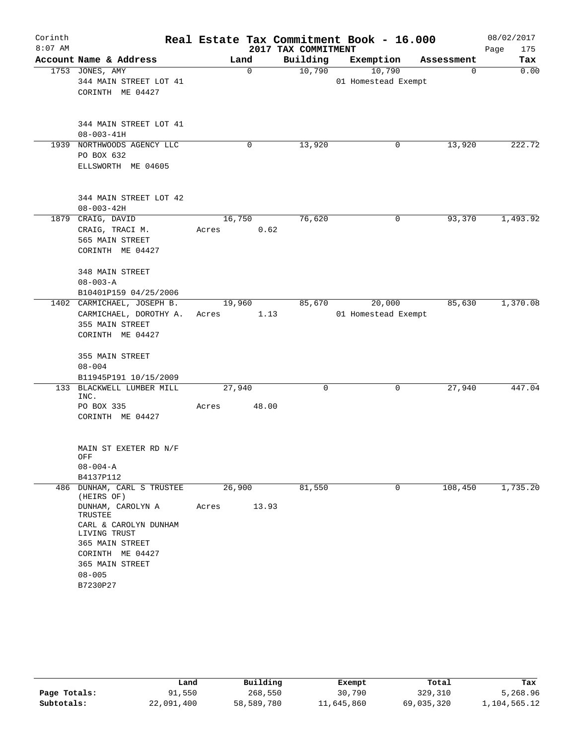| Corinth<br>$8:07$ AM |                                          |                | 2017 TAX COMMITMENT | Real Estate Tax Commitment Book - 16.000 |            | 08/02/2017<br>Page<br>175 |
|----------------------|------------------------------------------|----------------|---------------------|------------------------------------------|------------|---------------------------|
|                      | Account Name & Address                   | Land           | Building            | Exemption                                | Assessment | Tax                       |
|                      | 1753 JONES, AMY                          | $\mathbf 0$    | 10,790              | 10,790                                   | 0          | 0.00                      |
|                      | 344 MAIN STREET LOT 41                   |                |                     | 01 Homestead Exempt                      |            |                           |
|                      | CORINTH ME 04427                         |                |                     |                                          |            |                           |
|                      |                                          |                |                     |                                          |            |                           |
|                      | 344 MAIN STREET LOT 41                   |                |                     |                                          |            |                           |
|                      | $08 - 003 - 41H$                         |                |                     |                                          |            |                           |
|                      | 1939 NORTHWOODS AGENCY LLC               | 0              | 13,920              | 0                                        | 13,920     | 222.72                    |
|                      | PO BOX 632                               |                |                     |                                          |            |                           |
|                      | ELLSWORTH ME 04605                       |                |                     |                                          |            |                           |
|                      | 344 MAIN STREET LOT 42                   |                |                     |                                          |            |                           |
|                      | $08 - 003 - 42H$                         |                |                     |                                          |            |                           |
|                      | 1879 CRAIG, DAVID                        | 16,750         | 76,620              | 0                                        | 93,370     | 1,493.92                  |
|                      | CRAIG, TRACI M.                          | 0.62<br>Acres  |                     |                                          |            |                           |
|                      | 565 MAIN STREET                          |                |                     |                                          |            |                           |
|                      | CORINTH ME 04427                         |                |                     |                                          |            |                           |
|                      | 348 MAIN STREET                          |                |                     |                                          |            |                           |
|                      | $08 - 003 - A$                           |                |                     |                                          |            |                           |
|                      | B10401P159 04/25/2006                    |                |                     |                                          |            |                           |
|                      | 1402 CARMICHAEL, JOSEPH B.               | 19,960         | 85,670              | 20,000                                   | 85,630     | 1,370.08                  |
|                      | CARMICHAEL, DOROTHY A.                   | 1.13<br>Acres  |                     | 01 Homestead Exempt                      |            |                           |
|                      | 355 MAIN STREET                          |                |                     |                                          |            |                           |
|                      | CORINTH ME 04427                         |                |                     |                                          |            |                           |
|                      | 355 MAIN STREET                          |                |                     |                                          |            |                           |
|                      | $08 - 004$                               |                |                     |                                          |            |                           |
|                      | B11945P191 10/15/2009                    |                |                     |                                          |            |                           |
| 133                  | BLACKWELL LUMBER MILL<br>INC.            | 27,940         | 0                   | 0                                        | 27,940     | 447.04                    |
|                      | PO BOX 335                               | 48.00<br>Acres |                     |                                          |            |                           |
|                      | CORINTH ME 04427                         |                |                     |                                          |            |                           |
|                      | MAIN ST EXETER RD N/F                    |                |                     |                                          |            |                           |
|                      | OFF                                      |                |                     |                                          |            |                           |
|                      | $08 - 004 - A$                           |                |                     |                                          |            |                           |
|                      | B4137P112                                |                |                     |                                          |            |                           |
|                      | 486 DUNHAM, CARL S TRUSTEE<br>(HEIRS OF) | 26,900         | 81,550              | 0                                        | 108,450    | 1,735.20                  |
|                      | DUNHAM, CAROLYN A<br>TRUSTEE             | 13.93<br>Acres |                     |                                          |            |                           |
|                      | CARL & CAROLYN DUNHAM<br>LIVING TRUST    |                |                     |                                          |            |                           |
|                      | 365 MAIN STREET                          |                |                     |                                          |            |                           |
|                      | CORINTH ME 04427                         |                |                     |                                          |            |                           |
|                      | 365 MAIN STREET                          |                |                     |                                          |            |                           |
|                      | $08 - 005$                               |                |                     |                                          |            |                           |
|                      | B7230P27                                 |                |                     |                                          |            |                           |

|              | Land       | Building   | Exempt     | Total      | Tax          |
|--------------|------------|------------|------------|------------|--------------|
| Page Totals: | 91,550     | 268,550    | 30,790     | 329,310    | 5,268.96     |
| Subtotals:   | 22,091,400 | 58,589,780 | 11,645,860 | 69,035,320 | 1,104,565.12 |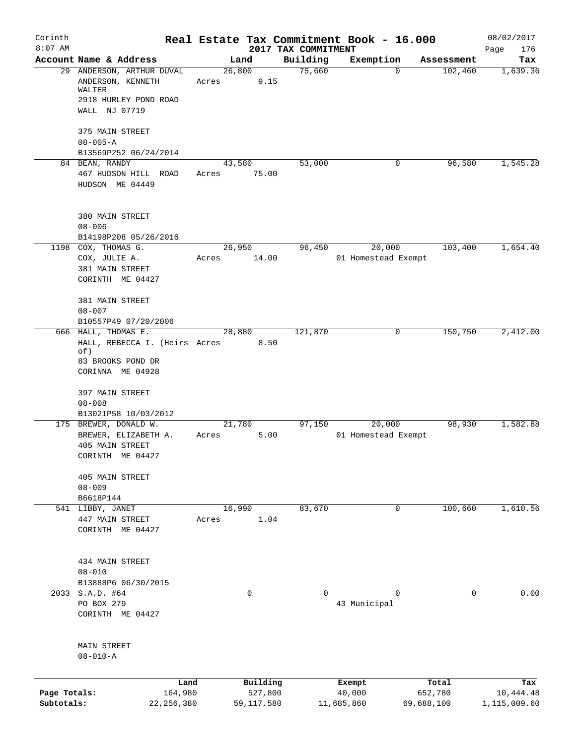| Corinth<br>$8:07$ AM       |                                                                                                      |                                     |                                 | Real Estate Tax Commitment Book - 16.000 |                                | 08/02/2017                       |
|----------------------------|------------------------------------------------------------------------------------------------------|-------------------------------------|---------------------------------|------------------------------------------|--------------------------------|----------------------------------|
|                            | Account Name & Address                                                                               | Land                                | 2017 TAX COMMITMENT<br>Building | Exemption                                | Assessment                     | Page<br>176<br>Tax               |
|                            | 29 ANDERSON, ARTHUR DUVAL<br>ANDERSON, KENNETH<br>WALTER<br>2918 HURLEY POND ROAD<br>WALL NJ 07719   | 26,800<br>9.15<br>Acres             | 75,660                          | $\Omega$                                 | 102,460                        | 1,639.36                         |
|                            | 375 MAIN STREET<br>$08 - 005 - A$                                                                    |                                     |                                 |                                          |                                |                                  |
|                            | B13569P252 06/24/2014                                                                                |                                     |                                 |                                          |                                |                                  |
|                            | 84 BEAN, RANDY<br>467 HUDSON HILL ROAD<br>HUDSON ME 04449                                            | 43,580<br>75.00<br>Acres            | 53,000                          | 0                                        | 96,580                         | 1,545.28                         |
|                            | 380 MAIN STREET<br>$08 - 006$<br>B14198P208 05/26/2016                                               |                                     |                                 |                                          |                                |                                  |
|                            | 1198 COX, THOMAS G.<br>COX, JULIE A.<br>381 MAIN STREET<br>CORINTH ME 04427                          | 26,950<br>14.00<br>Acres            | 96,450                          | 20,000<br>01 Homestead Exempt            | 103,400                        | 1,654.40                         |
|                            | 381 MAIN STREET<br>$08 - 007$<br>B10557P49 07/20/2006                                                |                                     |                                 |                                          |                                |                                  |
|                            | 666 HALL, THOMAS E.<br>HALL, REBECCA I. (Heirs Acres<br>of)<br>83 BROOKS POND DR<br>CORINNA ME 04928 | 28,880<br>8.50                      | 121,870                         | 0                                        | 150,750                        | 2,412.00                         |
|                            | 397 MAIN STREET<br>$08 - 008$<br>B13021P58 10/03/2012                                                |                                     |                                 |                                          |                                |                                  |
|                            | 175 BREWER, DONALD W.<br>BREWER, ELIZABETH A.<br>405 MAIN STREET<br>CORINTH ME 04427                 | 21,780<br>5.00<br>Acres             | 97,150                          | 20,000<br>01 Homestead Exempt            | 98,930                         | 1,582.88                         |
|                            | 405 MAIN STREET<br>$08 - 009$<br>B6618P144                                                           |                                     |                                 |                                          |                                |                                  |
|                            | 541 LIBBY, JANET<br>447 MAIN STREET<br>CORINTH ME 04427                                              | 16,990<br>1.04<br>Acres             | 83,670                          | $\mathbf 0$                              | 100,660                        | 1,610.56                         |
|                            | 434 MAIN STREET<br>$08 - 010$<br>B13888P6 06/30/2015                                                 |                                     |                                 |                                          |                                |                                  |
|                            | 2033 S.A.D. #64<br>PO BOX 279<br>CORINTH ME 04427                                                    | 0                                   | 0                               | 0<br>43 Municipal                        | 0                              | 0.00                             |
|                            | MAIN STREET<br>$08 - 010 - A$                                                                        |                                     |                                 |                                          |                                |                                  |
| Page Totals:<br>Subtotals: | Land<br>164,980<br>22, 256, 380                                                                      | Building<br>527,800<br>59, 117, 580 |                                 | Exempt<br>40,000<br>11,685,860           | Total<br>652,780<br>69,688,100 | Tax<br>10,444.48<br>1,115,009.60 |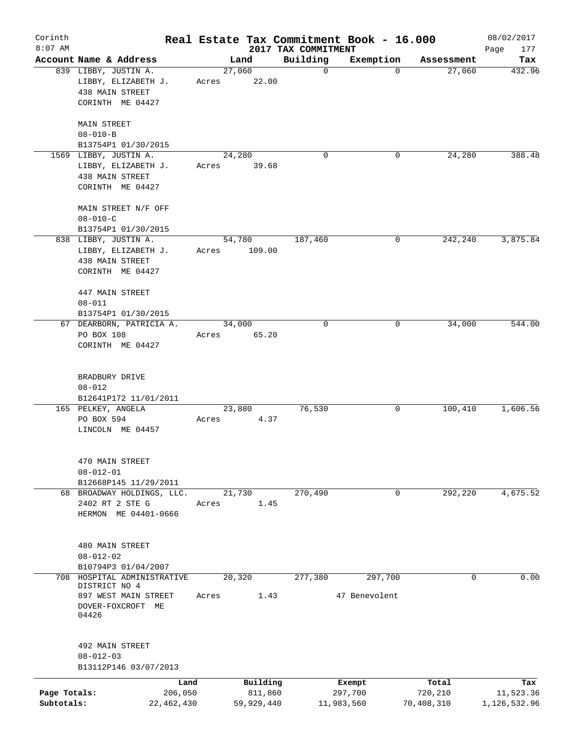| Corinth<br>$8:07$ AM       |                                                                                     |       |                       | 2017 TAX COMMITMENT | Real Estate Tax Commitment Book - 16.000 |                       | 08/02/2017<br>Page<br>177 |
|----------------------------|-------------------------------------------------------------------------------------|-------|-----------------------|---------------------|------------------------------------------|-----------------------|---------------------------|
|                            | Account Name & Address                                                              |       | Land                  | Building            | Exemption                                | Assessment            | Tax                       |
|                            | 839 LIBBY, JUSTIN A.<br>LIBBY, ELIZABETH J.<br>438 MAIN STREET<br>CORINTH ME 04427  | Acres | 27,060<br>22.00       | $\mathbf 0$         | 0                                        | 27,060                | 432.96                    |
|                            | MAIN STREET<br>$08 - 010 - B$<br>B13754P1 01/30/2015                                |       |                       |                     |                                          |                       |                           |
|                            | 1569 LIBBY, JUSTIN A.<br>LIBBY, ELIZABETH J.<br>438 MAIN STREET<br>CORINTH ME 04427 | Acres | 24,280<br>39.68       | 0                   | 0                                        | 24,280                | 388.48                    |
|                            | MAIN STREET N/F OFF<br>$08 - 010 - C$<br>B13754P1 01/30/2015                        |       |                       |                     |                                          |                       |                           |
|                            | 838 LIBBY, JUSTIN A.<br>LIBBY, ELIZABETH J.<br>438 MAIN STREET<br>CORINTH ME 04427  | Acres | 54,780<br>109.00      | 187,460             | 0                                        | 242,240               | 3,875.84                  |
|                            | 447 MAIN STREET<br>$08 - 011$<br>B13754P1 01/30/2015                                |       |                       |                     |                                          |                       |                           |
|                            | 67 DEARBORN, PATRICIA A.<br>PO BOX 108<br>CORINTH ME 04427                          | Acres | 34,000<br>65.20       | 0                   | 0                                        | 34,000                | 544.00                    |
|                            | BRADBURY DRIVE<br>$08 - 012$<br>B12641P172 11/01/2011                               |       |                       |                     |                                          |                       |                           |
|                            | 165 PELKEY, ANGELA<br>PO BOX 594<br>LINCOLN ME 04457                                | Acres | 23,880<br>4.37        | 76,530              | 0                                        | 100,410               | 1,606.56                  |
|                            | 470 MAIN STREET<br>$08 - 012 - 01$<br>B12668P145 11/29/2011                         |       |                       |                     |                                          |                       |                           |
|                            | 68 BROADWAY HOLDINGS, LLC.<br>2402 RT 2 STE G<br>HERMON ME 04401-0666               | Acres | 21,730<br>1.45        | 270,490             | 0                                        | 292,220               | 4,675.52                  |
|                            | 480 MAIN STREET<br>$08 - 012 - 02$<br>B10794P3 01/04/2007                           |       |                       |                     |                                          |                       |                           |
| 708                        | HOSPITAL ADMINISTRATIVE                                                             |       | 20,320                | 277,380             | 297,700                                  | 0                     | 0.00                      |
|                            | DISTRICT NO 4<br>897 WEST MAIN STREET<br>DOVER-FOXCROFT ME<br>04426                 | Acres | 1.43                  |                     | 47 Benevolent                            |                       |                           |
|                            | 492 MAIN STREET<br>$08 - 012 - 03$<br>B13112P146 03/07/2013                         |       |                       |                     |                                          |                       |                           |
|                            |                                                                                     | Land  | Building              |                     | Exempt                                   | Total                 | Tax                       |
| Page Totals:<br>Subtotals: | 206,050<br>22,462,430                                                               |       | 811,860<br>59,929,440 |                     | 297,700<br>11,983,560                    | 720,210<br>70,408,310 | 11,523.36<br>1,126,532.96 |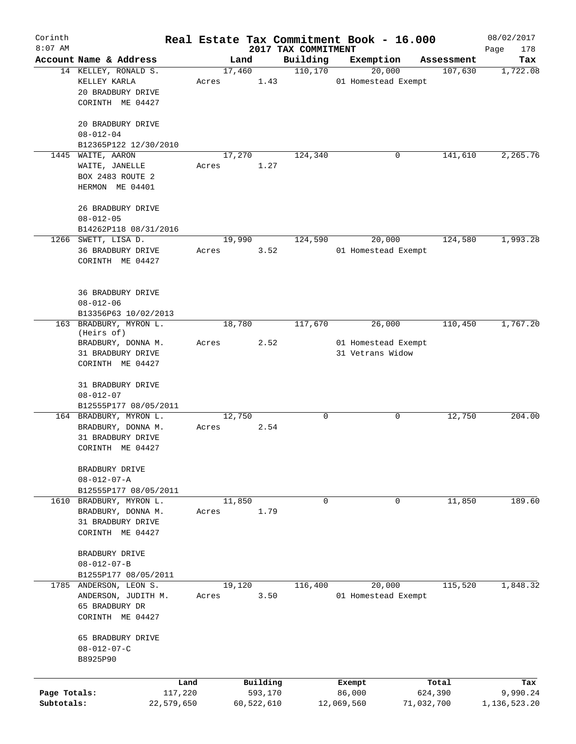| Corinth<br>$8:07$ AM       |                                                                                        |                 |                       | 2017 TAX COMMITMENT | Real Estate Tax Commitment Book - 16.000 |                       | 08/02/2017               |
|----------------------------|----------------------------------------------------------------------------------------|-----------------|-----------------------|---------------------|------------------------------------------|-----------------------|--------------------------|
|                            | Account Name & Address                                                                 | Land            |                       | Building            | Exemption                                | Assessment            | Page<br>178<br>Tax       |
|                            | 14 KELLEY, RONALD S.<br>KELLEY KARLA<br>20 BRADBURY DRIVE<br>CORINTH ME 04427          | 17,460<br>Acres | 1.43                  | 110, 170            | 20,000<br>01 Homestead Exempt            | 107,630               | 1,722.08                 |
|                            | 20 BRADBURY DRIVE<br>$08 - 012 - 04$<br>B12365P122 12/30/2010                          |                 |                       |                     |                                          |                       |                          |
|                            | 1445 WAITE, AARON                                                                      | 17,270          |                       | 124,340             | 0                                        | 141,610               | 2,265.76                 |
|                            | WAITE, JANELLE<br>BOX 2483 ROUTE 2<br>HERMON ME 04401                                  | Acres           | 1.27                  |                     |                                          |                       |                          |
|                            | 26 BRADBURY DRIVE<br>$08 - 012 - 05$                                                   |                 |                       |                     |                                          |                       |                          |
|                            | B14262P118 08/31/2016<br>1266 SWETT, LISA D.                                           | 19,990          |                       | 124,590             | 20,000                                   | 124,580               | 1,993.28                 |
|                            | 36 BRADBURY DRIVE<br>CORINTH ME 04427                                                  | Acres           | 3.52                  |                     | 01 Homestead Exempt                      |                       |                          |
|                            | <b>36 BRADBURY DRIVE</b><br>$08 - 012 - 06$<br>B13356P63 10/02/2013                    |                 |                       |                     |                                          |                       |                          |
|                            | 163 BRADBURY, MYRON L.                                                                 | 18,780          |                       | 117,670             | 26,000                                   | 110,450               | 1,767.20                 |
|                            | (Heirs of)<br>BRADBURY, DONNA M.                                                       | Acres           | 2.52                  |                     | 01 Homestead Exempt                      |                       |                          |
|                            | 31 BRADBURY DRIVE<br>CORINTH ME 04427                                                  |                 |                       |                     | 31 Vetrans Widow                         |                       |                          |
|                            | 31 BRADBURY DRIVE<br>$08 - 012 - 07$<br>B12555P177 08/05/2011                          |                 |                       |                     |                                          |                       |                          |
|                            | 164 BRADBURY, MYRON L.<br>BRADBURY, DONNA M.<br>31 BRADBURY DRIVE<br>CORINTH ME 04427  | 12,750<br>Acres | 2.54                  | $\mathbf 0$         | 0                                        | 12,750                | 204.00                   |
|                            | BRADBURY DRIVE<br>$08 - 012 - 07 - A$<br>B12555P177 08/05/2011                         |                 |                       |                     |                                          |                       |                          |
|                            | 1610 BRADBURY, MYRON L.<br>BRADBURY, DONNA M.<br>31 BRADBURY DRIVE<br>CORINTH ME 04427 | 11,850<br>Acres | 1.79                  | $\mathbf 0$         | $\mathbf 0$                              | 11,850                | 189.60                   |
|                            | BRADBURY DRIVE<br>$08 - 012 - 07 - B$<br>B1255P177 08/05/2011                          |                 |                       |                     |                                          |                       |                          |
|                            | 1785 ANDERSON, LEON S.<br>ANDERSON, JUDITH M.<br>65 BRADBURY DR<br>CORINTH ME 04427    | 19,120<br>Acres | 3.50                  | 116,400             | 20,000<br>01 Homestead Exempt            | 115,520               | 1,848.32                 |
|                            | 65 BRADBURY DRIVE<br>$08 - 012 - 07 - C$<br>B8925P90                                   |                 |                       |                     |                                          |                       |                          |
|                            | Land                                                                                   |                 | Building              |                     | Exempt                                   | Total                 | Tax                      |
| Page Totals:<br>Subtotals: | 117,220<br>22,579,650                                                                  |                 | 593,170<br>60,522,610 |                     | 86,000<br>12,069,560                     | 624,390<br>71,032,700 | 9,990.24<br>1,136,523.20 |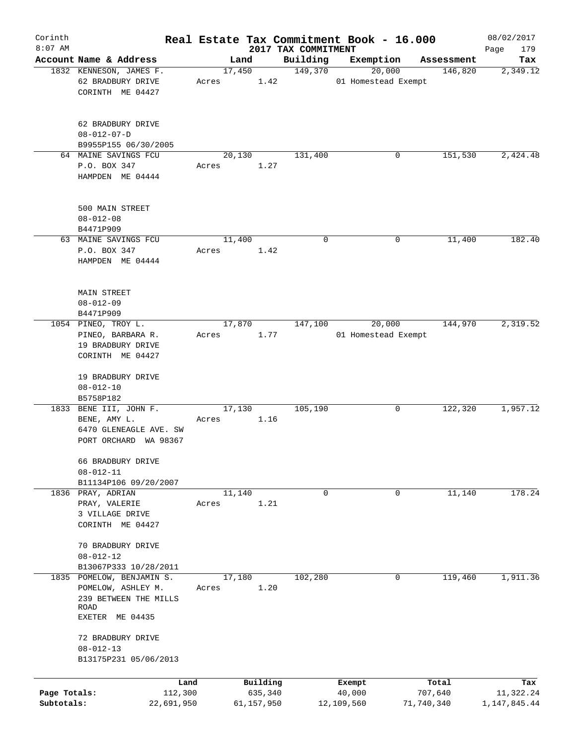| Corinth                    |                                                                                                |                       |       |        |                       |                                 |         | Real Estate Tax Commitment Book - 16.000 |            |            | 08/02/2017                |
|----------------------------|------------------------------------------------------------------------------------------------|-----------------------|-------|--------|-----------------------|---------------------------------|---------|------------------------------------------|------------|------------|---------------------------|
| $8:07$ AM                  | Account Name & Address                                                                         |                       |       | Land   |                       | 2017 TAX COMMITMENT<br>Building |         | Exemption                                |            | Assessment | 179<br>Page               |
|                            | 1832 KENNESON, JAMES F.                                                                        |                       |       | 17,450 |                       |                                 | 149,370 | 20,000                                   |            | 146,820    | Tax<br>2,349.12           |
|                            | 62 BRADBURY DRIVE<br>CORINTH ME 04427                                                          |                       | Acres |        | 1.42                  |                                 |         | 01 Homestead Exempt                      |            |            |                           |
|                            | 62 BRADBURY DRIVE<br>$08 - 012 - 07 - D$                                                       |                       |       |        |                       |                                 |         |                                          |            |            |                           |
|                            | B9955P155 06/30/2005                                                                           |                       |       |        |                       |                                 |         |                                          |            |            |                           |
|                            | 64 MAINE SAVINGS FCU<br>P.O. BOX 347<br>HAMPDEN ME 04444                                       |                       | Acres | 20,130 | 1.27                  | 131,400                         |         | 0                                        |            | 151,530    | 2,424.48                  |
|                            | 500 MAIN STREET<br>$08 - 012 - 08$<br>B4471P909                                                |                       |       |        |                       |                                 |         |                                          |            |            |                           |
|                            | 63 MAINE SAVINGS FCU<br>P.O. BOX 347<br>HAMPDEN ME 04444                                       |                       | Acres | 11,400 | 1.42                  |                                 | 0       | 0                                        |            | 11,400     | 182.40                    |
|                            | MAIN STREET<br>$08 - 012 - 09$<br>B4471P909                                                    |                       |       |        |                       |                                 |         |                                          |            |            |                           |
|                            | 1054 PINEO, TROY L.<br>PINEO, BARBARA R.<br>19 BRADBURY DRIVE<br>CORINTH ME 04427              |                       | Acres | 17,870 | 1.77                  |                                 | 147,100 | 20,000<br>01 Homestead Exempt            |            | 144,970    | 2,319.52                  |
|                            | 19 BRADBURY DRIVE<br>$08 - 012 - 10$<br>B5758P182                                              |                       |       |        |                       |                                 |         |                                          |            |            |                           |
|                            | 1833 BENE III, JOHN F.<br>BENE, AMY L.<br>6470 GLENEAGLE AVE. SW<br>PORT ORCHARD               | WA 98367              | Acres | 17,130 | 1.16                  | 105,190                         |         | 0                                        |            | 122,320    | 1,957.12                  |
|                            | 66 BRADBURY DRIVE<br>$08 - 012 - 11$<br>B11134P106 09/20/2007                                  |                       |       |        |                       |                                 |         |                                          |            |            |                           |
|                            | 1836 PRAY, ADRIAN<br>PRAY, VALERIE<br>3 VILLAGE DRIVE<br>CORINTH ME 04427                      |                       | Acres | 11,140 | 1.21                  |                                 | 0       | 0                                        |            | 11,140     | 178.24                    |
|                            | 70 BRADBURY DRIVE<br>$08 - 012 - 12$<br>B13067P333 10/28/2011                                  |                       |       |        |                       |                                 |         |                                          |            |            |                           |
| 1835                       | POMELOW, BENJAMIN S.<br>POMELOW, ASHLEY M.<br>239 BETWEEN THE MILLS<br>ROAD<br>EXETER ME 04435 |                       | Acres | 17,180 | 1.20                  | 102,280                         |         | 0                                        |            | 119,460    | 1,911.36                  |
|                            | 72 BRADBURY DRIVE<br>$08 - 012 - 13$<br>B13175P231 05/06/2013                                  |                       |       |        |                       |                                 |         |                                          |            |            |                           |
|                            |                                                                                                | Land                  |       |        | Building              |                                 |         | Exempt                                   |            | Total      | Tax                       |
| Page Totals:<br>Subtotals: |                                                                                                | 112,300<br>22,691,950 |       |        | 635,340<br>61,157,950 |                                 |         | 40,000<br>12,109,560                     | 71,740,340 | 707,640    | 11,322.24<br>1,147,845.44 |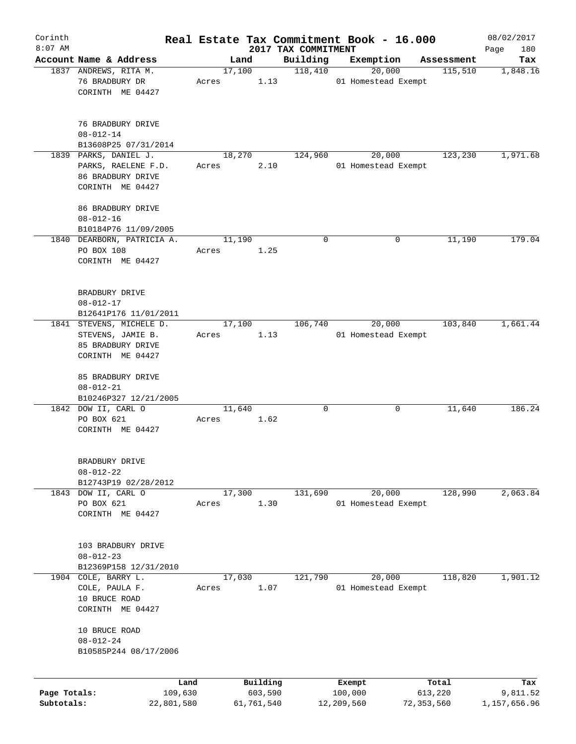| Corinth      |                                   |       |                |            |                     | Real Estate Tax Commitment Book - 16.000 |                       | 08/02/2017      |
|--------------|-----------------------------------|-------|----------------|------------|---------------------|------------------------------------------|-----------------------|-----------------|
| $8:07$ AM    | Account Name & Address            |       |                |            | 2017 TAX COMMITMENT |                                          |                       | 180<br>Page     |
|              | 1837 ANDREWS, RITA M.             |       | Land<br>17,100 |            | Building<br>118,410 | Exemption<br>20,000                      | Assessment<br>115,510 | Tax<br>1,848.16 |
|              | 76 BRADBURY DR                    | Acres |                | 1.13       |                     | 01 Homestead Exempt                      |                       |                 |
|              | CORINTH ME 04427                  |       |                |            |                     |                                          |                       |                 |
|              |                                   |       |                |            |                     |                                          |                       |                 |
|              |                                   |       |                |            |                     |                                          |                       |                 |
|              | 76 BRADBURY DRIVE                 |       |                |            |                     |                                          |                       |                 |
|              | $08 - 012 - 14$                   |       |                |            |                     |                                          |                       |                 |
|              | B13608P25 07/31/2014              |       |                |            |                     |                                          |                       |                 |
|              | 1839 PARKS, DANIEL J.             |       | 18,270         |            | 124,960             | 20,000                                   | 123,230               | 1,971.68        |
|              | PARKS, RAELENE F.D.               | Acres |                | 2.10       |                     | 01 Homestead Exempt                      |                       |                 |
|              | 86 BRADBURY DRIVE                 |       |                |            |                     |                                          |                       |                 |
|              | CORINTH ME 04427                  |       |                |            |                     |                                          |                       |                 |
|              |                                   |       |                |            |                     |                                          |                       |                 |
|              | 86 BRADBURY DRIVE                 |       |                |            |                     |                                          |                       |                 |
|              | $08 - 012 - 16$                   |       |                |            |                     |                                          |                       |                 |
|              | B10184P76 11/09/2005              |       |                |            |                     |                                          |                       |                 |
|              | 1840 DEARBORN, PATRICIA A.        |       | 11,190         |            | $\mathbf 0$         | 0                                        | 11,190                | 179.04          |
|              | PO BOX 108                        | Acres |                | 1.25       |                     |                                          |                       |                 |
|              | CORINTH ME 04427                  |       |                |            |                     |                                          |                       |                 |
|              |                                   |       |                |            |                     |                                          |                       |                 |
|              | BRADBURY DRIVE                    |       |                |            |                     |                                          |                       |                 |
|              | $08 - 012 - 17$                   |       |                |            |                     |                                          |                       |                 |
|              | B12641P176 11/01/2011             |       |                |            |                     |                                          |                       |                 |
|              | 1841 STEVENS, MICHELE D.          |       | 17,100         |            | 106,740             | 20,000                                   | 103,840               | 1,661.44        |
|              | STEVENS, JAMIE B.                 | Acres |                | 1.13       |                     | 01 Homestead Exempt                      |                       |                 |
|              | 85 BRADBURY DRIVE                 |       |                |            |                     |                                          |                       |                 |
|              | CORINTH ME 04427                  |       |                |            |                     |                                          |                       |                 |
|              |                                   |       |                |            |                     |                                          |                       |                 |
|              | 85 BRADBURY DRIVE                 |       |                |            |                     |                                          |                       |                 |
|              | $08 - 012 - 21$                   |       |                |            |                     |                                          |                       |                 |
|              | B10246P327 12/21/2005             |       |                |            |                     |                                          |                       |                 |
|              | 1842 DOW II, CARL O               |       | 11,640         |            | $\mathbf 0$         | 0                                        | 11,640                | 186.24          |
|              | PO BOX 621                        | Acres |                | 1.62       |                     |                                          |                       |                 |
|              | CORINTH ME 04427                  |       |                |            |                     |                                          |                       |                 |
|              |                                   |       |                |            |                     |                                          |                       |                 |
|              |                                   |       |                |            |                     |                                          |                       |                 |
|              | BRADBURY DRIVE<br>$08 - 012 - 22$ |       |                |            |                     |                                          |                       |                 |
|              | B12743P19 02/28/2012              |       |                |            |                     |                                          |                       |                 |
|              | 1843 DOW II, CARL O               |       | 17,300         |            | 131,690             | 20,000                                   | 128,990               | 2,063.84        |
|              | PO BOX 621                        | Acres |                | 1.30       |                     | 01 Homestead Exempt                      |                       |                 |
|              | CORINTH ME 04427                  |       |                |            |                     |                                          |                       |                 |
|              |                                   |       |                |            |                     |                                          |                       |                 |
|              |                                   |       |                |            |                     |                                          |                       |                 |
|              | 103 BRADBURY DRIVE                |       |                |            |                     |                                          |                       |                 |
|              | $08 - 012 - 23$                   |       |                |            |                     |                                          |                       |                 |
|              | B12369P158 12/31/2010             |       |                |            |                     |                                          |                       |                 |
| 1904         | COLE, BARRY L.                    |       | 17,030         |            | 121,790             | 20,000                                   | 118,820               | 1,901.12        |
|              | COLE, PAULA F.                    | Acres |                | 1.07       |                     | 01 Homestead Exempt                      |                       |                 |
|              | 10 BRUCE ROAD                     |       |                |            |                     |                                          |                       |                 |
|              | CORINTH ME 04427                  |       |                |            |                     |                                          |                       |                 |
|              |                                   |       |                |            |                     |                                          |                       |                 |
|              | 10 BRUCE ROAD                     |       |                |            |                     |                                          |                       |                 |
|              | $08 - 012 - 24$                   |       |                |            |                     |                                          |                       |                 |
|              | B10585P244 08/17/2006             |       |                |            |                     |                                          |                       |                 |
|              |                                   |       |                |            |                     |                                          |                       |                 |
|              | Land                              |       |                | Building   |                     | Exempt                                   | Total                 | Tax             |
| Page Totals: | 109,630                           |       |                | 603,590    |                     | 100,000                                  | 613,220               | 9,811.52        |
| Subtotals:   | 22,801,580                        |       |                | 61,761,540 |                     | 12,209,560                               | 72,353,560            | 1,157,656.96    |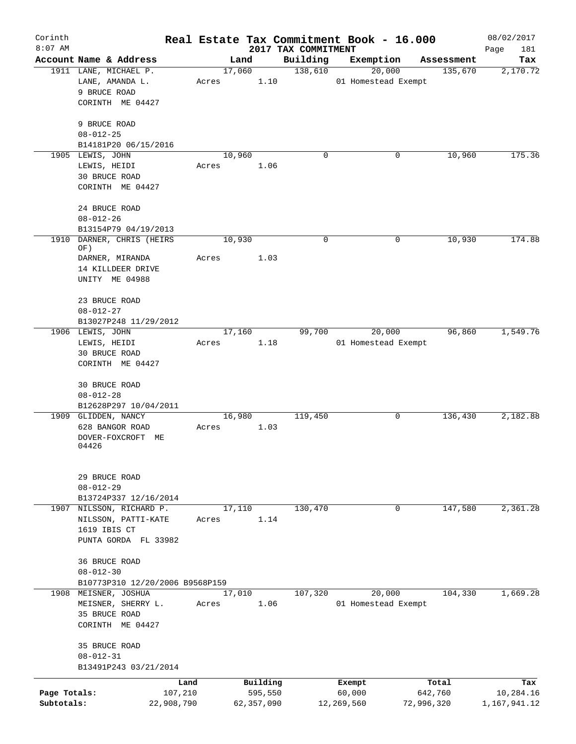| Corinth<br>$8:07$ AM |                                          |            |       |            |      | 2017 TAX COMMITMENT | Real Estate Tax Commitment Book - 16.000 |            |            | 08/02/2017<br>Page<br>181 |
|----------------------|------------------------------------------|------------|-------|------------|------|---------------------|------------------------------------------|------------|------------|---------------------------|
|                      | Account Name & Address                   |            |       | Land       |      | Building            | Exemption                                |            | Assessment | Tax                       |
|                      | 1911 LANE, MICHAEL P.                    |            |       | 17,060     |      | 138,610             | 20,000                                   |            | 135,670    | 2,170.72                  |
|                      | LANE, AMANDA L.                          |            | Acres |            | 1.10 |                     | 01 Homestead Exempt                      |            |            |                           |
|                      | 9 BRUCE ROAD                             |            |       |            |      |                     |                                          |            |            |                           |
|                      | CORINTH ME 04427                         |            |       |            |      |                     |                                          |            |            |                           |
|                      |                                          |            |       |            |      |                     |                                          |            |            |                           |
|                      | 9 BRUCE ROAD                             |            |       |            |      |                     |                                          |            |            |                           |
|                      | $08 - 012 - 25$                          |            |       |            |      |                     |                                          |            |            |                           |
|                      | B14181P20 06/15/2016                     |            |       |            |      |                     |                                          |            |            |                           |
|                      | 1905 LEWIS, JOHN                         |            |       | 10,960     |      | $\mathbf 0$         |                                          | 0          | 10,960     | 175.36                    |
|                      | LEWIS, HEIDI                             |            | Acres |            | 1.06 |                     |                                          |            |            |                           |
|                      | 30 BRUCE ROAD                            |            |       |            |      |                     |                                          |            |            |                           |
|                      | CORINTH ME 04427                         |            |       |            |      |                     |                                          |            |            |                           |
|                      |                                          |            |       |            |      |                     |                                          |            |            |                           |
|                      | 24 BRUCE ROAD                            |            |       |            |      |                     |                                          |            |            |                           |
|                      | $08 - 012 - 26$                          |            |       |            |      |                     |                                          |            |            |                           |
|                      | B13154P79 04/19/2013                     |            |       |            |      |                     |                                          |            |            |                           |
| 1910                 | DARNER, CHRIS (HEIRS                     |            |       | 10,930     |      | 0                   |                                          | 0          | 10,930     | 174.88                    |
|                      | OF)                                      |            |       |            |      |                     |                                          |            |            |                           |
|                      | DARNER, MIRANDA                          |            | Acres |            | 1.03 |                     |                                          |            |            |                           |
|                      | 14 KILLDEER DRIVE                        |            |       |            |      |                     |                                          |            |            |                           |
|                      | UNITY ME 04988                           |            |       |            |      |                     |                                          |            |            |                           |
|                      |                                          |            |       |            |      |                     |                                          |            |            |                           |
|                      | 23 BRUCE ROAD                            |            |       |            |      |                     |                                          |            |            |                           |
|                      | $08 - 012 - 27$                          |            |       |            |      |                     |                                          |            |            |                           |
|                      | B13027P248 11/29/2012                    |            |       |            |      |                     |                                          |            |            |                           |
|                      | 1906 LEWIS, JOHN                         |            |       | 17,160     |      | 99,700              | 20,000                                   |            | 96,860     | 1,549.76                  |
|                      | LEWIS, HEIDI                             |            | Acres |            | 1.18 |                     | 01 Homestead Exempt                      |            |            |                           |
|                      | 30 BRUCE ROAD                            |            |       |            |      |                     |                                          |            |            |                           |
|                      | CORINTH ME 04427                         |            |       |            |      |                     |                                          |            |            |                           |
|                      |                                          |            |       |            |      |                     |                                          |            |            |                           |
|                      | 30 BRUCE ROAD                            |            |       |            |      |                     |                                          |            |            |                           |
|                      | $08 - 012 - 28$<br>B12628P297 10/04/2011 |            |       |            |      |                     |                                          |            |            |                           |
|                      | 1909 GLIDDEN, NANCY                      |            |       | 16,980     |      | 119,450             |                                          | 0          | 136,430    | 2,182.88                  |
|                      | 628 BANGOR ROAD                          |            | Acres |            | 1.03 |                     |                                          |            |            |                           |
|                      | DOVER-FOXCROFT ME                        |            |       |            |      |                     |                                          |            |            |                           |
|                      | 04426                                    |            |       |            |      |                     |                                          |            |            |                           |
|                      |                                          |            |       |            |      |                     |                                          |            |            |                           |
|                      |                                          |            |       |            |      |                     |                                          |            |            |                           |
|                      | 29 BRUCE ROAD                            |            |       |            |      |                     |                                          |            |            |                           |
|                      | $08 - 012 - 29$                          |            |       |            |      |                     |                                          |            |            |                           |
|                      | B13724P337 12/16/2014                    |            |       |            |      |                     |                                          |            |            |                           |
|                      | 1907 NILSSON, RICHARD P.                 |            |       | 17,110     |      | 130,470             |                                          | 0          | 147,580    | 2,361.28                  |
|                      | NILSSON, PATTI-KATE                      |            | Acres |            | 1.14 |                     |                                          |            |            |                           |
|                      | 1619 IBIS CT                             |            |       |            |      |                     |                                          |            |            |                           |
|                      | PUNTA GORDA FL 33982                     |            |       |            |      |                     |                                          |            |            |                           |
|                      |                                          |            |       |            |      |                     |                                          |            |            |                           |
|                      | 36 BRUCE ROAD                            |            |       |            |      |                     |                                          |            |            |                           |
|                      | $08 - 012 - 30$                          |            |       |            |      |                     |                                          |            |            |                           |
|                      | B10773P310 12/20/2006 B9568P159          |            |       |            |      |                     |                                          |            |            |                           |
|                      | 1908 MEISNER, JOSHUA                     |            |       | 17,010     |      | 107,320             | 20,000                                   |            | 104,330    | 1,669.28                  |
|                      | MEISNER, SHERRY L.                       |            | Acres |            | 1.06 |                     | 01 Homestead Exempt                      |            |            |                           |
|                      | 35 BRUCE ROAD                            |            |       |            |      |                     |                                          |            |            |                           |
|                      | CORINTH ME 04427                         |            |       |            |      |                     |                                          |            |            |                           |
|                      |                                          |            |       |            |      |                     |                                          |            |            |                           |
|                      | 35 BRUCE ROAD                            |            |       |            |      |                     |                                          |            |            |                           |
|                      | $08 - 012 - 31$                          |            |       |            |      |                     |                                          |            |            |                           |
|                      | B13491P243 03/21/2014                    |            |       |            |      |                     |                                          |            |            |                           |
|                      |                                          | Land       |       | Building   |      |                     | Exempt                                   |            | Total      | Tax                       |
| Page Totals:         |                                          | 107,210    |       | 595,550    |      |                     | 60,000                                   |            | 642,760    | 10,284.16                 |
| Subtotals:           |                                          | 22,908,790 |       | 62,357,090 |      |                     | 12,269,560                               | 72,996,320 |            | 1,167,941.12              |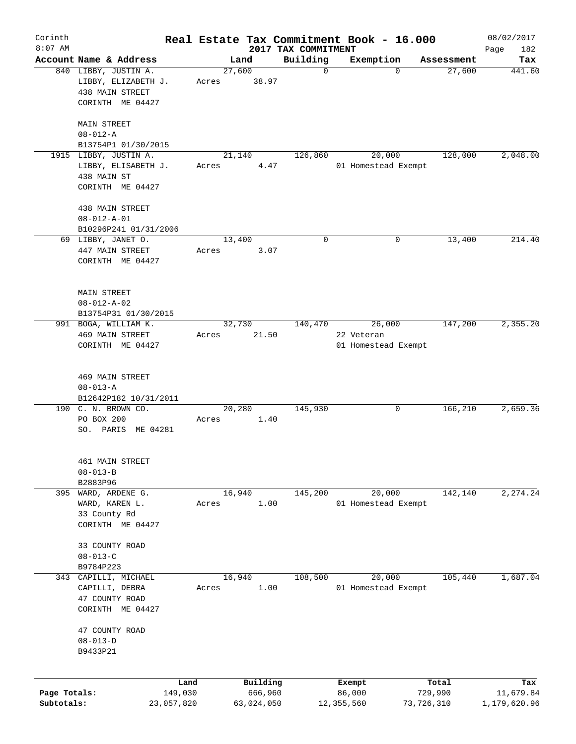| Corinth      |                                                                |       |                 |                     | Real Estate Tax Commitment Book - 16.000 |            | 08/02/2017   |
|--------------|----------------------------------------------------------------|-------|-----------------|---------------------|------------------------------------------|------------|--------------|
| $8:07$ AM    |                                                                |       |                 | 2017 TAX COMMITMENT |                                          |            | Page<br>182  |
|              | Account Name & Address                                         |       | Land            | Building            | Exemption                                | Assessment | Tax          |
|              | 840 LIBBY, JUSTIN A.<br>LIBBY, ELIZABETH J.<br>438 MAIN STREET | Acres | 27,600<br>38.97 | $\mathbf 0$         | 0                                        | 27,600     | 441.60       |
|              | CORINTH ME 04427                                               |       |                 |                     |                                          |            |              |
|              | MAIN STREET<br>$08 - 012 - A$                                  |       |                 |                     |                                          |            |              |
|              | B13754P1 01/30/2015                                            |       |                 |                     |                                          |            |              |
|              | 1915 LIBBY, JUSTIN A.                                          |       | 21,140          | 126,860             | 20,000                                   | 128,000    | 2,048.00     |
|              | LIBBY, ELISABETH J.<br>438 MAIN ST<br>CORINTH ME 04427         | Acres | 4.47            |                     | 01 Homestead Exempt                      |            |              |
|              |                                                                |       |                 |                     |                                          |            |              |
|              | 438 MAIN STREET                                                |       |                 |                     |                                          |            |              |
|              | $08 - 012 - A - 01$<br>B10296P241 01/31/2006                   |       |                 |                     |                                          |            |              |
|              | 69 LIBBY, JANET O.                                             |       | 13,400          | 0                   | 0                                        | 13,400     | 214.40       |
|              | 447 MAIN STREET                                                | Acres | 3.07            |                     |                                          |            |              |
|              | CORINTH ME 04427                                               |       |                 |                     |                                          |            |              |
|              | <b>MAIN STREET</b>                                             |       |                 |                     |                                          |            |              |
|              | $08 - 012 - A - 02$                                            |       |                 |                     |                                          |            |              |
|              | B13754P31 01/30/2015                                           |       |                 |                     |                                          |            |              |
|              | 991 BOGA, WILLIAM K.                                           |       | 32,730          | 140,470             | 26,000                                   | 147,200    | 2,355.20     |
|              | <b>469 MAIN STREET</b>                                         | Acres | 21.50           |                     | 22 Veteran                               |            |              |
|              | CORINTH ME 04427                                               |       |                 |                     | 01 Homestead Exempt                      |            |              |
|              |                                                                |       |                 |                     |                                          |            |              |
|              | <b>469 MAIN STREET</b>                                         |       |                 |                     |                                          |            |              |
|              | $08 - 013 - A$                                                 |       |                 |                     |                                          |            |              |
|              | B12642P182 10/31/2011                                          |       |                 |                     |                                          |            |              |
|              | 190 C. N. BROWN CO.                                            |       | 20,280          | 145,930             | 0                                        | 166,210    | 2,659.36     |
|              | PO BOX 200                                                     | Acres | 1.40            |                     |                                          |            |              |
|              | SO. PARIS ME 04281                                             |       |                 |                     |                                          |            |              |
|              | 461 MAIN STREET                                                |       |                 |                     |                                          |            |              |
|              | $08 - 013 - B$                                                 |       |                 |                     |                                          |            |              |
|              | B2883P96                                                       |       |                 |                     |                                          |            |              |
| 395          | WARD, ARDENE G.                                                |       | 16,940          | 145,200             | 20,000                                   | 142,140    | 2, 274.24    |
|              | WARD, KAREN L.                                                 | Acres | 1.00            |                     | 01 Homestead Exempt                      |            |              |
|              | 33 County Rd                                                   |       |                 |                     |                                          |            |              |
|              | CORINTH ME 04427                                               |       |                 |                     |                                          |            |              |
|              | 33 COUNTY ROAD                                                 |       |                 |                     |                                          |            |              |
|              | $08 - 013 - C$                                                 |       |                 |                     |                                          |            |              |
|              | B9784P223                                                      |       |                 |                     |                                          |            |              |
|              | 343 CAPILLI, MICHAEL                                           |       | 16,940          | 108,500             | 20,000                                   | 105,440    | 1,687.04     |
|              | CAPILLI, DEBRA                                                 | Acres | 1.00            |                     | 01 Homestead Exempt                      |            |              |
|              | 47 COUNTY ROAD                                                 |       |                 |                     |                                          |            |              |
|              | CORINTH ME 04427                                               |       |                 |                     |                                          |            |              |
|              | 47 COUNTY ROAD                                                 |       |                 |                     |                                          |            |              |
|              | $08 - 013 - D$                                                 |       |                 |                     |                                          |            |              |
|              | B9433P21                                                       |       |                 |                     |                                          |            |              |
|              |                                                                |       |                 |                     |                                          |            |              |
|              |                                                                | Land  | Building        |                     | Exempt                                   | Total      | Tax          |
| Page Totals: | 149,030                                                        |       | 666,960         |                     | 86,000                                   | 729,990    | 11,679.84    |
| Subtotals:   | 23,057,820                                                     |       | 63,024,050      |                     | 12,355,560                               | 73,726,310 | 1,179,620.96 |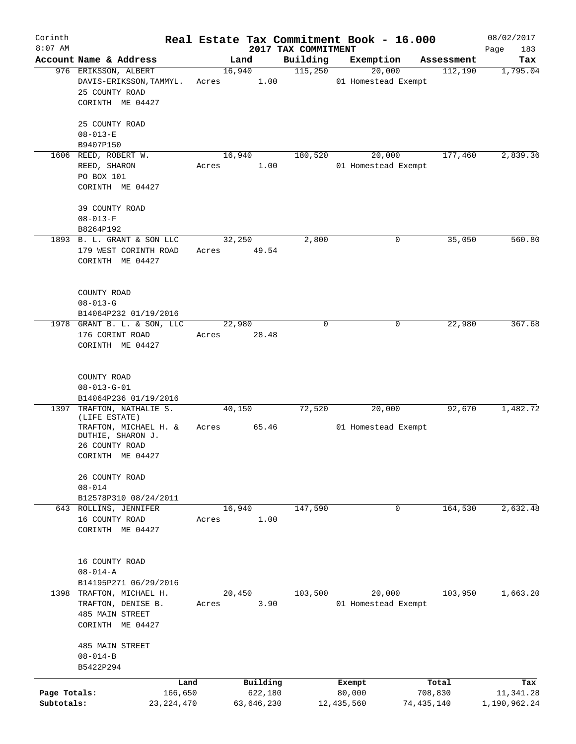| Corinth      |                                            |         |            |                                 | Real Estate Tax Commitment Book - 16.000 |                       | 08/02/2017      |
|--------------|--------------------------------------------|---------|------------|---------------------------------|------------------------------------------|-----------------------|-----------------|
| $8:07$ AM    | Account Name & Address                     |         | Land       | 2017 TAX COMMITMENT<br>Building |                                          |                       | Page<br>183     |
|              | 976 ERIKSSON, ALBERT                       |         | 16,940     | 115,250                         | Exemption<br>20,000                      | Assessment<br>112,190 | Tax<br>1,795.04 |
|              | DAVIS-ERIKSSON, TAMMYL.<br>25 COUNTY ROAD  | Acres   | 1.00       |                                 | 01 Homestead Exempt                      |                       |                 |
|              | CORINTH ME 04427                           |         |            |                                 |                                          |                       |                 |
|              | 25 COUNTY ROAD<br>$08 - 013 - E$           |         |            |                                 |                                          |                       |                 |
|              | B9407P150                                  |         |            |                                 |                                          |                       |                 |
|              | 1606 REED, ROBERT W.                       |         | 16,940     | 180,520                         | 20,000                                   | 177,460               | 2,839.36        |
|              | REED, SHARON                               | Acres   | 1.00       |                                 | 01 Homestead Exempt                      |                       |                 |
|              | PO BOX 101<br>CORINTH ME 04427             |         |            |                                 |                                          |                       |                 |
|              | 39 COUNTY ROAD                             |         |            |                                 |                                          |                       |                 |
|              | $08 - 013 - F$                             |         |            |                                 |                                          |                       |                 |
|              | B8264P192                                  |         |            |                                 |                                          |                       |                 |
|              | 1893 B. L. GRANT & SON LLC                 |         | 32,250     | 2,800                           | 0                                        | 35,050                | 560.80          |
|              | 179 WEST CORINTH ROAD                      | Acres   | 49.54      |                                 |                                          |                       |                 |
|              | CORINTH ME 04427                           |         |            |                                 |                                          |                       |                 |
|              | COUNTY ROAD                                |         |            |                                 |                                          |                       |                 |
|              | $08 - 013 - G$                             |         |            |                                 |                                          |                       |                 |
|              | B14064P232 01/19/2016                      |         |            |                                 |                                          |                       |                 |
|              | 1978 GRANT B. L. & SON, LLC                |         | 22,980     | $\mathbf 0$                     | 0                                        | 22,980                | 367.68          |
|              | 176 CORINT ROAD                            | Acres   | 28.48      |                                 |                                          |                       |                 |
|              | CORINTH ME 04427                           |         |            |                                 |                                          |                       |                 |
|              | COUNTY ROAD                                |         |            |                                 |                                          |                       |                 |
|              | $08 - 013 - G - 01$                        |         |            |                                 |                                          |                       |                 |
|              | B14064P236 01/19/2016                      |         |            |                                 |                                          |                       |                 |
| 1397         | TRAFTON, NATHALIE S.                       |         | 40,150     | 72,520                          | 20,000                                   | 92,670                | 1,482.72        |
|              | (LIFE ESTATE)                              |         |            |                                 |                                          |                       |                 |
|              | TRAFTON, MICHAEL H. &<br>DUTHIE, SHARON J. | Acres   | 65.46      |                                 | 01 Homestead Exempt                      |                       |                 |
|              | 26 COUNTY ROAD                             |         |            |                                 |                                          |                       |                 |
|              | CORINTH ME 04427                           |         |            |                                 |                                          |                       |                 |
|              | 26 COUNTY ROAD                             |         |            |                                 |                                          |                       |                 |
|              | $08 - 014$                                 |         |            |                                 |                                          |                       |                 |
|              | B12578P310 08/24/2011                      |         |            |                                 |                                          |                       |                 |
|              | 643 ROLLINS, JENNIFER                      |         | 16,940     | 147,590                         | $\mathbf 0$                              | 164,530               | 2,632.48        |
|              | 16 COUNTY ROAD                             | Acres   | 1.00       |                                 |                                          |                       |                 |
|              | CORINTH ME 04427                           |         |            |                                 |                                          |                       |                 |
|              | 16 COUNTY ROAD                             |         |            |                                 |                                          |                       |                 |
|              | $08 - 014 - A$                             |         |            |                                 |                                          |                       |                 |
|              | B14195P271 06/29/2016                      |         |            |                                 |                                          |                       |                 |
|              | 1398 TRAFTON, MICHAEL H.                   |         | 20,450     | 103,500                         | 20,000                                   | 103,950               | 1,663.20        |
|              | TRAFTON, DENISE B.                         | Acres   | 3.90       |                                 | 01 Homestead Exempt                      |                       |                 |
|              | 485 MAIN STREET                            |         |            |                                 |                                          |                       |                 |
|              | CORINTH ME 04427                           |         |            |                                 |                                          |                       |                 |
|              | <b>485 MAIN STREET</b>                     |         |            |                                 |                                          |                       |                 |
|              | $08 - 014 - B$                             |         |            |                                 |                                          |                       |                 |
|              | B5422P294                                  |         |            |                                 |                                          |                       |                 |
|              |                                            | Land    | Building   |                                 | Exempt                                   | Total                 | Tax             |
| Page Totals: |                                            | 166,650 | 622,180    |                                 | 80,000                                   | 708,830               | 11,341.28       |
| Subtotals:   | 23, 224, 470                               |         | 63,646,230 |                                 | 12,435,560                               | 74,435,140            | 1,190,962.24    |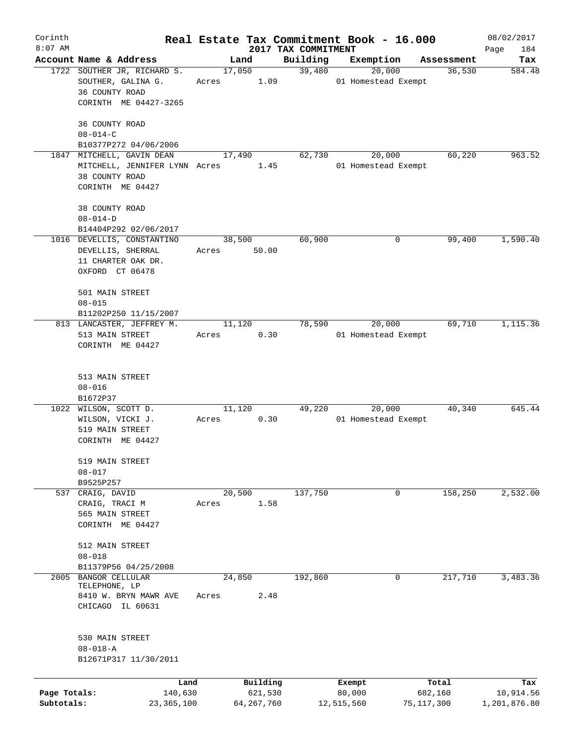| Corinth      |                                         |       |                |                     | Real Estate Tax Commitment Book - 16.000 |                      | 08/02/2017    |
|--------------|-----------------------------------------|-------|----------------|---------------------|------------------------------------------|----------------------|---------------|
| $8:07$ AM    | Account Name & Address                  |       |                | 2017 TAX COMMITMENT |                                          |                      | Page<br>184   |
|              | 1722 SOUTHER JR, RICHARD S.             |       | Land<br>17,050 | Building<br>39,480  | Exemption<br>20,000                      | Assessment<br>36,530 | Tax<br>584.48 |
|              | SOUTHER, GALINA G.                      | Acres | 1.09           |                     | 01 Homestead Exempt                      |                      |               |
|              | 36 COUNTY ROAD                          |       |                |                     |                                          |                      |               |
|              | CORINTH ME 04427-3265                   |       |                |                     |                                          |                      |               |
|              |                                         |       |                |                     |                                          |                      |               |
|              | 36 COUNTY ROAD                          |       |                |                     |                                          |                      |               |
|              | $08 - 014 - C$<br>B10377P272 04/06/2006 |       |                |                     |                                          |                      |               |
|              | 1847 MITCHELL, GAVIN DEAN               |       | 17,490         | 62,730              | 20,000                                   | 60,220               | 963.52        |
|              | MITCHELL, JENNIFER LYNN Acres           |       | 1.45           |                     | 01 Homestead Exempt                      |                      |               |
|              | 38 COUNTY ROAD                          |       |                |                     |                                          |                      |               |
|              | CORINTH ME 04427                        |       |                |                     |                                          |                      |               |
|              |                                         |       |                |                     |                                          |                      |               |
|              | 38 COUNTY ROAD                          |       |                |                     |                                          |                      |               |
|              | $08 - 014 - D$<br>B14404P292 02/06/2017 |       |                |                     |                                          |                      |               |
|              | 1016 DEVELLIS, CONSTANTINO              |       | 38,500         | 60,900              | 0                                        | 99,400               | 1,590.40      |
|              | DEVELLIS, SHERRAL                       | Acres | 50.00          |                     |                                          |                      |               |
|              | 11 CHARTER OAK DR.                      |       |                |                     |                                          |                      |               |
|              | OXFORD CT 06478                         |       |                |                     |                                          |                      |               |
|              |                                         |       |                |                     |                                          |                      |               |
|              | 501 MAIN STREET                         |       |                |                     |                                          |                      |               |
|              | $08 - 015$                              |       |                |                     |                                          |                      |               |
|              | B11202P250 11/15/2007                   |       |                |                     |                                          |                      |               |
|              | 813 LANCASTER, JEFFREY M.               |       | 11,120         | 78,590              | 20,000                                   | 69,710               | 1,115.36      |
|              | 513 MAIN STREET<br>CORINTH ME 04427     | Acres | 0.30           |                     | 01 Homestead Exempt                      |                      |               |
|              |                                         |       |                |                     |                                          |                      |               |
|              |                                         |       |                |                     |                                          |                      |               |
|              | 513 MAIN STREET                         |       |                |                     |                                          |                      |               |
|              | $08 - 016$                              |       |                |                     |                                          |                      |               |
|              | B1672P37<br>1022 WILSON, SCOTT D.       |       | 11,120         | 49,220              | 20,000                                   | 40,340               | 645.44        |
|              | WILSON, VICKI J.                        | Acres | 0.30           |                     | 01 Homestead Exempt                      |                      |               |
|              | 519 MAIN STREET                         |       |                |                     |                                          |                      |               |
|              | CORINTH ME 04427                        |       |                |                     |                                          |                      |               |
|              |                                         |       |                |                     |                                          |                      |               |
|              | 519 MAIN STREET                         |       |                |                     |                                          |                      |               |
|              | $08 - 017$                              |       |                |                     |                                          |                      |               |
|              | B9525P257                               |       |                |                     |                                          |                      |               |
| 537          | CRAIG, DAVID                            |       | 20,500<br>1.58 | 137,750             | 0                                        | 158,250              | 2,532.00      |
|              | CRAIG, TRACI M<br>565 MAIN STREET       | Acres |                |                     |                                          |                      |               |
|              | CORINTH ME 04427                        |       |                |                     |                                          |                      |               |
|              |                                         |       |                |                     |                                          |                      |               |
|              | 512 MAIN STREET                         |       |                |                     |                                          |                      |               |
|              | $08 - 018$                              |       |                |                     |                                          |                      |               |
|              | B11379P56 04/25/2008                    |       |                |                     |                                          |                      |               |
| 2005         | <b>BANGOR CELLULAR</b><br>TELEPHONE, LP |       | 24,850         | 192,860             | $\mathbf{0}$                             | 217,710              | 3,483.36      |
|              | 8410 W. BRYN MAWR AVE                   | Acres | 2.48           |                     |                                          |                      |               |
|              | CHICAGO IL 60631                        |       |                |                     |                                          |                      |               |
|              |                                         |       |                |                     |                                          |                      |               |
|              |                                         |       |                |                     |                                          |                      |               |
|              | 530 MAIN STREET<br>$08 - 018 - A$       |       |                |                     |                                          |                      |               |
|              | B12671P317 11/30/2011                   |       |                |                     |                                          |                      |               |
|              |                                         |       |                |                     |                                          |                      |               |
|              | Land                                    |       | Building       |                     | Exempt                                   | Total                | Tax           |
| Page Totals: | 140,630                                 |       | 621,530        |                     | 80,000                                   | 682,160              | 10,914.56     |
| Subtotals:   | 23,365,100                              |       | 64,267,760     |                     | 12,515,560                               | 75,117,300           | 1,201,876.80  |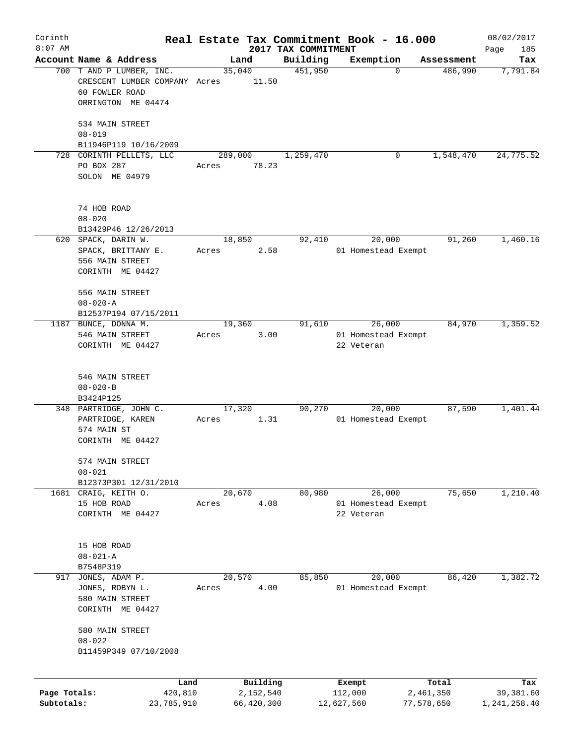| Corinth                    |                                                                                                       |                  |                         |                     | Real Estate Tax Commitment Book - 16.000    |                         | 08/02/2017                |
|----------------------------|-------------------------------------------------------------------------------------------------------|------------------|-------------------------|---------------------|---------------------------------------------|-------------------------|---------------------------|
| $8:07$ AM                  |                                                                                                       |                  |                         | 2017 TAX COMMITMENT |                                             |                         | 185<br>Page               |
|                            | Account Name & Address<br>700 T AND P LUMBER, INC.<br>CRESCENT LUMBER COMPANY Acres<br>60 FOWLER ROAD |                  | Land<br>35,040<br>11.50 | Building<br>451,950 | Exemption<br>$\Omega$                       | Assessment<br>486,990   | Tax<br>7,791.84           |
|                            | ORRINGTON ME 04474                                                                                    |                  |                         |                     |                                             |                         |                           |
|                            | 534 MAIN STREET<br>$08 - 019$                                                                         |                  |                         |                     |                                             |                         |                           |
|                            | B11946P119 10/16/2009                                                                                 |                  |                         |                     |                                             |                         |                           |
|                            | 728 CORINTH PELLETS, LLC<br>PO BOX 287<br>SOLON ME 04979                                              | 289,000<br>Acres | 78.23                   | 1,259,470           | 0                                           | 1,548,470               | 24,775.52                 |
|                            | 74 HOB ROAD<br>$08 - 020$                                                                             |                  |                         |                     |                                             |                         |                           |
|                            | B13429P46 12/26/2013                                                                                  |                  |                         |                     |                                             |                         |                           |
|                            | 620 SPACK, DARIN W.<br>SPACK, BRITTANY E.<br>556 MAIN STREET<br>CORINTH ME 04427                      | 18,850<br>Acres  | 2.58                    | 92,410              | 20,000<br>01 Homestead Exempt               | 91,260                  | 1,460.16                  |
|                            | 556 MAIN STREET<br>$08 - 020 - A$<br>B12537P194 07/15/2011                                            |                  |                         |                     |                                             |                         |                           |
|                            | 1187 BUNCE, DONNA M.                                                                                  | 19,360           |                         | 91,610              | 26,000                                      | 84,970                  | 1,359.52                  |
|                            | 546 MAIN STREET<br>CORINTH ME 04427                                                                   | Acres            | 3.00                    |                     | 01 Homestead Exempt<br>22 Veteran           |                         |                           |
|                            | 546 MAIN STREET<br>$08 - 020 - B$                                                                     |                  |                         |                     |                                             |                         |                           |
|                            | B3424P125                                                                                             |                  |                         |                     |                                             |                         |                           |
|                            | 348 PARTRIDGE, JOHN C.<br>PARTRIDGE, KAREN<br>574 MAIN ST<br>CORINTH ME 04427                         | 17,320<br>Acres  | 1.31                    | 90,270              | 20,000<br>01 Homestead Exempt               | 87,590                  | 1,401.44                  |
|                            | 574 MAIN STREET<br>$08 - 021$                                                                         |                  |                         |                     |                                             |                         |                           |
|                            | B12373P301 12/31/2010                                                                                 |                  |                         |                     |                                             |                         |                           |
|                            | 1681 CRAIG, KEITH O.<br>15 HOB ROAD<br>CORINTH ME 04427                                               | 20,670<br>Acres  | 4.08                    | 80,980              | 26,000<br>01 Homestead Exempt<br>22 Veteran | 75,650                  | 1,210.40                  |
|                            | 15 HOB ROAD<br>$08 - 021 - A$<br>B7548P319                                                            |                  |                         |                     |                                             |                         |                           |
| 917                        | JONES, ADAM P.                                                                                        |                  | 20,570                  | 85,850              | 20,000                                      | 86,420                  | 1,382.72                  |
|                            | JONES, ROBYN L.<br>580 MAIN STREET<br>CORINTH ME 04427                                                | Acres            | 4.00                    |                     | 01 Homestead Exempt                         |                         |                           |
|                            | 580 MAIN STREET<br>$08 - 022$                                                                         |                  |                         |                     |                                             |                         |                           |
|                            | B11459P349 07/10/2008                                                                                 |                  |                         |                     |                                             |                         |                           |
|                            | Land                                                                                                  |                  | Building                |                     | Exempt                                      | Total                   | Tax                       |
| Page Totals:<br>Subtotals: | 420,810<br>23,785,910                                                                                 |                  | 2,152,540<br>66,420,300 |                     | 112,000<br>12,627,560                       | 2,461,350<br>77,578,650 | 39,381.60<br>1,241,258.40 |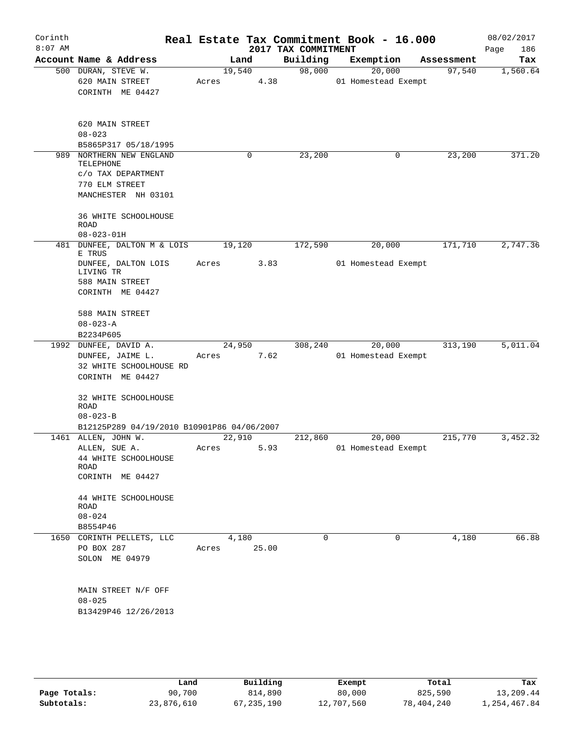| Corinth<br>$8:07$ AM |                                                                                                  |                 |       | 2017 TAX COMMITMENT | Real Estate Tax Commitment Book - 16.000 |            | 08/02/2017<br>Page<br>186 |
|----------------------|--------------------------------------------------------------------------------------------------|-----------------|-------|---------------------|------------------------------------------|------------|---------------------------|
|                      | Account Name & Address                                                                           | Land            |       | Building            | Exemption                                | Assessment | Tax                       |
|                      | 500 DURAN, STEVE W.<br>620 MAIN STREET<br>CORINTH ME 04427                                       | 19,540<br>Acres | 4.38  | 98,000              | 20,000<br>01 Homestead Exempt            | 97,540     | 1,560.64                  |
|                      | 620 MAIN STREET<br>$08 - 023$<br>B5865P317 05/18/1995                                            |                 |       |                     |                                          |            |                           |
| 989                  | NORTHERN NEW ENGLAND<br>TELEPHONE<br>C/O TAX DEPARTMENT<br>770 ELM STREET<br>MANCHESTER NH 03101 |                 | 0     | 23,200              | 0                                        | 23,200     | 371.20                    |
|                      | 36 WHITE SCHOOLHOUSE<br>ROAD<br>$08 - 023 - 01H$                                                 |                 |       |                     |                                          |            |                           |
| 481                  | DUNFEE, DALTON M & LOIS<br>E TRUS                                                                | 19,120          |       | 172,590             | 20,000                                   | 171,710    | 2,747.36                  |
|                      | DUNFEE, DALTON LOIS<br>LIVING TR<br>588 MAIN STREET<br>CORINTH ME 04427                          | Acres           | 3.83  |                     | 01 Homestead Exempt                      |            |                           |
|                      | 588 MAIN STREET<br>$08 - 023 - A$                                                                |                 |       |                     |                                          |            |                           |
|                      | B2234P605                                                                                        |                 |       |                     |                                          |            |                           |
|                      | 1992 DUNFEE, DAVID A.<br>DUNFEE, JAIME L.<br>32 WHITE SCHOOLHOUSE RD<br>CORINTH ME 04427         | 24,950<br>Acres | 7.62  | 308,240             | 20,000<br>01 Homestead Exempt            | 313,190    | 5,011.04                  |
|                      | 32 WHITE SCHOOLHOUSE<br>ROAD<br>$08 - 023 - B$<br>B12125P289 04/19/2010 B10901P86 04/06/2007     |                 |       |                     |                                          |            |                           |
|                      | 1461 ALLEN, JOHN W.                                                                              | 22,910          |       | 212,860             | 20,000                                   | 215,770    | 3,452.32                  |
|                      | ALLEN, SUE A.<br>44 WHITE SCHOOLHOUSE<br>ROAD<br>CORINTH ME 04427                                | Acres           | 5.93  |                     | 01 Homestead Exempt                      |            |                           |
|                      | 44 WHITE SCHOOLHOUSE<br>ROAD<br>$08 - 024$                                                       |                 |       |                     |                                          |            |                           |
|                      | B8554P46                                                                                         |                 |       |                     |                                          |            |                           |
|                      | 1650 CORINTH PELLETS, LLC<br>PO BOX 287<br>SOLON ME 04979                                        | 4,180<br>Acres  | 25.00 | 0                   | 0                                        | 4,180      | 66.88                     |
|                      | MAIN STREET N/F OFF<br>$08 - 025$<br>B13429P46 12/26/2013                                        |                 |       |                     |                                          |            |                           |

|              | Land       | Building   | Exempt     | Total      | Tax          |
|--------------|------------|------------|------------|------------|--------------|
| Page Totals: | 90,700     | 814,890    | 80,000     | 825,590    | 13,209.44    |
| Subtotals:   | 23,876,610 | 67,235,190 | 12,707,560 | 78,404,240 | l,254,467.84 |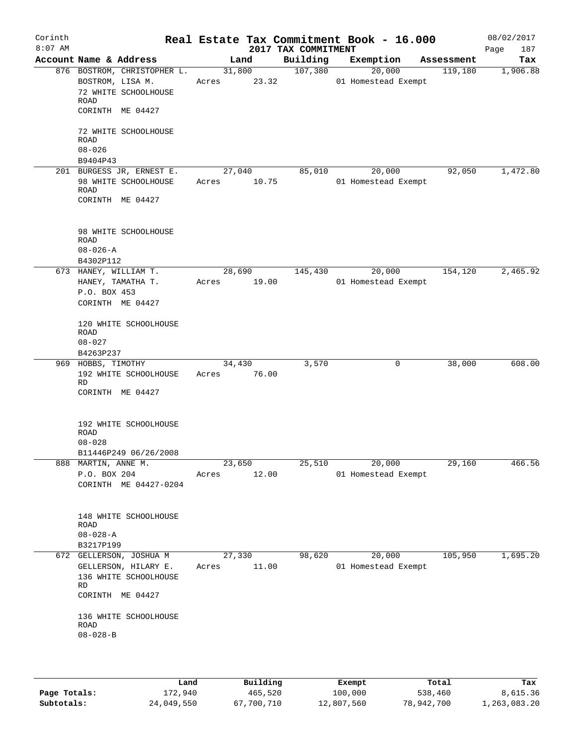| Corinth<br>$8:07$ AM |                                                   |                       |        | Real Estate Tax Commitment Book - 16.000<br>2017 TAX COMMITMENT |           |                               |            | 08/02/2017<br>Page<br>187 |
|----------------------|---------------------------------------------------|-----------------------|--------|-----------------------------------------------------------------|-----------|-------------------------------|------------|---------------------------|
|                      | Account Name & Address                            |                       | Land   | Building                                                        | Exemption |                               | Assessment | Tax                       |
|                      | 876 BOSTROM, CHRISTOPHER L.<br>BOSTROM, LISA M.   | Acres 23.32           | 31,800 | 107,380                                                         |           | 20,000<br>01 Homestead Exempt | 119,180    | 1,906.88                  |
|                      | 72 WHITE SCHOOLHOUSE<br><b>ROAD</b>               |                       |        |                                                                 |           |                               |            |                           |
|                      | CORINTH ME 04427                                  |                       |        |                                                                 |           |                               |            |                           |
|                      | 72 WHITE SCHOOLHOUSE<br><b>ROAD</b>               |                       |        |                                                                 |           |                               |            |                           |
|                      | $08 - 026$<br>B9404P43                            |                       |        |                                                                 |           |                               |            |                           |
|                      | 201 BURGESS JR, ERNEST E.                         |                       | 27,040 | 85,010                                                          |           | 20,000                        | 92,050     | 1,472.80                  |
|                      | 98 WHITE SCHOOLHOUSE<br><b>ROAD</b>               | Acres                 | 10.75  |                                                                 |           | 01 Homestead Exempt           |            |                           |
|                      | CORINTH ME 04427                                  |                       |        |                                                                 |           |                               |            |                           |
|                      | 98 WHITE SCHOOLHOUSE<br><b>ROAD</b>               |                       |        |                                                                 |           |                               |            |                           |
|                      | $08 - 026 - A$                                    |                       |        |                                                                 |           |                               |            |                           |
|                      | B4302P112<br>673 HANEY, WILLIAM T.                |                       | 28,690 | 145,430                                                         |           | 20,000                        | 154,120    | 2,465.92                  |
|                      | HANEY, TAMATHA T.                                 | Acres 19.00           |        |                                                                 |           | 01 Homestead Exempt           |            |                           |
|                      | P.O. BOX 453<br>CORINTH ME 04427                  |                       |        |                                                                 |           |                               |            |                           |
|                      | 120 WHITE SCHOOLHOUSE<br><b>ROAD</b>              |                       |        |                                                                 |           |                               |            |                           |
|                      | $08 - 027$                                        |                       |        |                                                                 |           |                               |            |                           |
|                      | B4263P237                                         |                       |        |                                                                 |           |                               |            |                           |
|                      | 969 НОВВЅ, ТІМОТНҮ<br>192 WHITE SCHOOLHOUSE<br>RD | 34,430<br>Acres 76.00 |        | 3,570                                                           |           | 0                             | 38,000     | 608.00                    |
|                      | CORINTH ME 04427                                  |                       |        |                                                                 |           |                               |            |                           |
|                      | 192 WHITE SCHOOLHOUSE<br><b>ROAD</b>              |                       |        |                                                                 |           |                               |            |                           |
|                      | $08 - 028$                                        |                       |        |                                                                 |           |                               |            |                           |
|                      | B11446P249 06/26/2008<br>888 MARTIN, ANNE M.      | 23,650                |        | 25,510                                                          |           | 20,000                        | 29,160     | 466.56                    |
|                      | P.O. BOX 204                                      | Acres                 | 12.00  |                                                                 |           | 01 Homestead Exempt           |            |                           |
|                      | CORINTH ME 04427-0204                             |                       |        |                                                                 |           |                               |            |                           |
|                      | 148 WHITE SCHOOLHOUSE<br>ROAD                     |                       |        |                                                                 |           |                               |            |                           |
|                      | $08 - 028 - A$                                    |                       |        |                                                                 |           |                               |            |                           |
|                      | B3217P199                                         |                       |        |                                                                 |           |                               |            |                           |
|                      | 672 GELLERSON, JOSHUA M                           | 27,330                |        | 98,620                                                          |           | 20,000                        | 105,950    | 1,695.20                  |
|                      | GELLERSON, HILARY E.<br>136 WHITE SCHOOLHOUSE     | Acres                 | 11.00  |                                                                 |           | 01 Homestead Exempt           |            |                           |
|                      | RD<br>CORINTH ME 04427                            |                       |        |                                                                 |           |                               |            |                           |
|                      | 136 WHITE SCHOOLHOUSE<br>ROAD                     |                       |        |                                                                 |           |                               |            |                           |
|                      | $08 - 028 - B$                                    |                       |        |                                                                 |           |                               |            |                           |
|                      |                                                   |                       |        |                                                                 |           |                               |            |                           |
|                      |                                                   |                       |        |                                                                 |           |                               |            |                           |
|                      |                                                   |                       |        |                                                                 |           |                               |            |                           |

|              | Land       | Building   | Exempt     | Total      | Tax          |
|--------------|------------|------------|------------|------------|--------------|
| Page Totals: | 172,940    | 465,520    | 100,000    | 538,460    | 8,615.36     |
| Subtotals:   | 24,049,550 | 67,700,710 | 12,807,560 | 78,942,700 | 1,263,083.20 |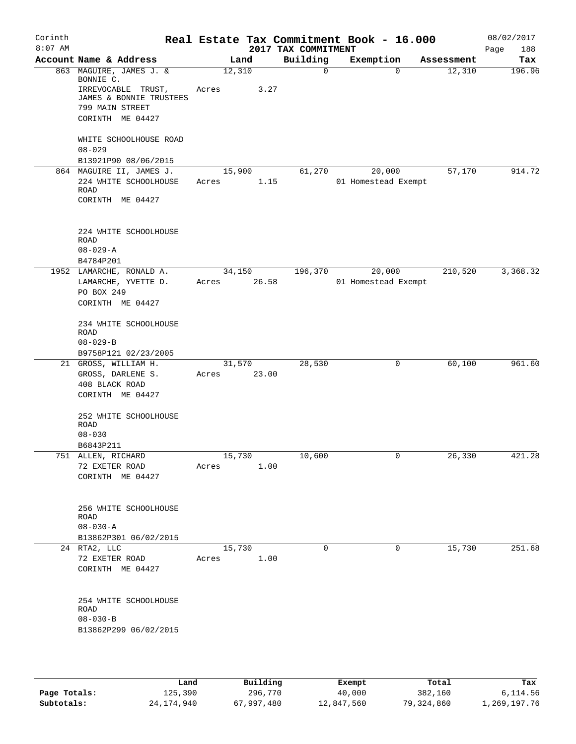| Corinth<br>$8:07$ AM |                                               |       |             | 2017 TAX COMMITMENT | Real Estate Tax Commitment Book - 16.000 |                        | 08/02/2017<br>188<br>Page |
|----------------------|-----------------------------------------------|-------|-------------|---------------------|------------------------------------------|------------------------|---------------------------|
|                      | Account Name & Address                        |       | Land        | Building            | Exemption                                | Assessment             | Tax                       |
|                      | 863 MAGUIRE, JAMES J. &<br>BONNIE C.          |       | 12,310      | $\mathbf{0}$        |                                          | $\Omega$<br>12,310     | 196.96                    |
|                      | IRREVOCABLE TRUST,<br>JAMES & BONNIE TRUSTEES | Acres | 3.27        |                     |                                          |                        |                           |
|                      | 799 MAIN STREET                               |       |             |                     |                                          |                        |                           |
|                      | CORINTH ME 04427                              |       |             |                     |                                          |                        |                           |
|                      | WHITE SCHOOLHOUSE ROAD                        |       |             |                     |                                          |                        |                           |
|                      | $08 - 029$                                    |       |             |                     |                                          |                        |                           |
|                      | B13921P90 08/06/2015                          |       |             |                     |                                          |                        |                           |
|                      | 864 MAGUIRE II, JAMES J.                      |       | 15,900      | 61,270              | 20,000                                   | 57,170                 | 914.72                    |
|                      | 224 WHITE SCHOOLHOUSE<br>ROAD                 | Acres |             | 1.15                | 01 Homestead Exempt                      |                        |                           |
|                      | CORINTH ME 04427                              |       |             |                     |                                          |                        |                           |
|                      |                                               |       |             |                     |                                          |                        |                           |
|                      | 224 WHITE SCHOOLHOUSE<br><b>ROAD</b>          |       |             |                     |                                          |                        |                           |
|                      | $08 - 029 - A$                                |       |             |                     |                                          |                        |                           |
|                      | B4784P201                                     |       |             |                     |                                          |                        |                           |
|                      | 1952 LAMARCHE, RONALD A.                      |       | 34,150      | 196,370             | 20,000                                   | 210,520                | 3,368.32                  |
|                      | LAMARCHE, YVETTE D.                           | Acres | 26.58       |                     | 01 Homestead Exempt                      |                        |                           |
|                      | PO BOX 249                                    |       |             |                     |                                          |                        |                           |
|                      | CORINTH ME 04427                              |       |             |                     |                                          |                        |                           |
|                      | 234 WHITE SCHOOLHOUSE                         |       |             |                     |                                          |                        |                           |
|                      | ROAD                                          |       |             |                     |                                          |                        |                           |
|                      | $08 - 029 - B$                                |       |             |                     |                                          |                        |                           |
|                      | B9758P121 02/23/2005<br>21 GROSS, WILLIAM H.  |       | 31,570      | 28,530              |                                          | 60,100<br>0            | 961.60                    |
|                      | GROSS, DARLENE S.                             |       | Acres 23.00 |                     |                                          |                        |                           |
|                      | 408 BLACK ROAD                                |       |             |                     |                                          |                        |                           |
|                      | CORINTH ME 04427                              |       |             |                     |                                          |                        |                           |
|                      | 252 WHITE SCHOOLHOUSE                         |       |             |                     |                                          |                        |                           |
|                      | <b>ROAD</b>                                   |       |             |                     |                                          |                        |                           |
|                      | $08 - 030$                                    |       |             |                     |                                          |                        |                           |
|                      | B6843P211<br>751 ALLEN, RICHARD               |       | 15,730      | 10,600              |                                          | 26,330<br>$\mathsf{O}$ | 421.28                    |
|                      | 72 EXETER ROAD                                | Acres | 1.00        |                     |                                          |                        |                           |
|                      | CORINTH ME 04427                              |       |             |                     |                                          |                        |                           |
|                      |                                               |       |             |                     |                                          |                        |                           |
|                      | 256 WHITE SCHOOLHOUSE                         |       |             |                     |                                          |                        |                           |
|                      | ROAD                                          |       |             |                     |                                          |                        |                           |
|                      | $08 - 030 - A$                                |       |             |                     |                                          |                        |                           |
|                      | B13862P301 06/02/2015                         |       |             |                     |                                          |                        |                           |
|                      | 24 RTA2, LLC                                  |       | 15,730      | 0                   |                                          | 15,730<br>$\mathbf 0$  | 251.68                    |
|                      | 72 EXETER ROAD                                | Acres | 1.00        |                     |                                          |                        |                           |
|                      | CORINTH ME 04427                              |       |             |                     |                                          |                        |                           |
|                      | 254 WHITE SCHOOLHOUSE                         |       |             |                     |                                          |                        |                           |
|                      | ROAD                                          |       |             |                     |                                          |                        |                           |
|                      | $08 - 030 - B$                                |       |             |                     |                                          |                        |                           |
|                      | B13862P299 06/02/2015                         |       |             |                     |                                          |                        |                           |
|                      |                                               |       |             |                     |                                          |                        |                           |
|                      |                                               |       |             |                     |                                          |                        |                           |

|              | Land       | Building   | Exempt     | Total      | Tax          |
|--------------|------------|------------|------------|------------|--------------|
| Page Totals: | 125,390    | 296,770    | 40,000     | 382,160    | 6,114.56     |
| Subtotals:   | 24,174,940 | 67,997,480 | 12,847,560 | 79,324,860 | 1,269,197.76 |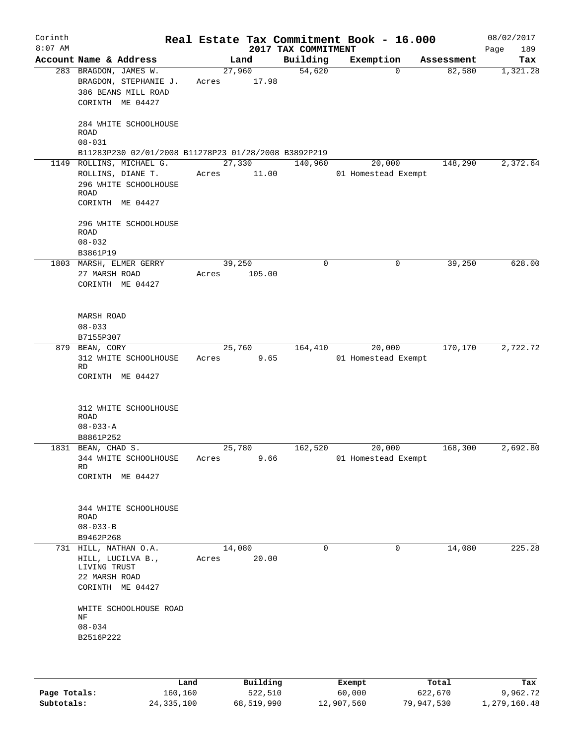| Corinth<br>$8:07$ AM |                                                                                                                                   |       |                 | 2017 TAX COMMITMENT | Real Estate Tax Commitment Book - 16.000 |            | 08/02/2017<br>189<br>Page |
|----------------------|-----------------------------------------------------------------------------------------------------------------------------------|-------|-----------------|---------------------|------------------------------------------|------------|---------------------------|
|                      | Account Name & Address                                                                                                            |       | Land            | Building            | Exemption                                | Assessment | Tax                       |
|                      | 283 BRAGDON, JAMES W.<br>BRAGDON, STEPHANIE J.<br>386 BEANS MILL ROAD<br>CORINTH ME 04427<br>284 WHITE SCHOOLHOUSE                | Acres | 27,960<br>17.98 | 54,620              | 0                                        | 82,580     | 1,321.28                  |
|                      | ROAD<br>$08 - 031$<br>B11283P230 02/01/2008 B11278P23 01/28/2008 B3892P219                                                        |       |                 |                     |                                          |            |                           |
|                      | 1149 ROLLINS, MICHAEL G.                                                                                                          |       | 27,330          | 140,960             | 20,000                                   | 148,290    | 2,372.64                  |
|                      | ROLLINS, DIANE T.<br>296 WHITE SCHOOLHOUSE<br>ROAD<br>CORINTH ME 04427                                                            | Acres | 11.00           |                     | 01 Homestead Exempt                      |            |                           |
|                      | 296 WHITE SCHOOLHOUSE<br>ROAD<br>$08 - 032$<br>B3861P19                                                                           |       |                 |                     |                                          |            |                           |
|                      | 1803 MARSH, ELMER GERRY                                                                                                           |       | 39,250          | 0                   | 0                                        | 39,250     | 628.00                    |
|                      | 27 MARSH ROAD<br>CORINTH ME 04427                                                                                                 | Acres | 105.00          |                     |                                          |            |                           |
|                      | <b>MARSH ROAD</b><br>$08 - 033$                                                                                                   |       |                 |                     |                                          |            |                           |
|                      | B7155P307                                                                                                                         |       |                 |                     |                                          |            |                           |
|                      | 879 BEAN, CORY<br>312 WHITE SCHOOLHOUSE<br>RD<br>CORINTH ME 04427                                                                 | Acres | 25,760<br>9.65  | 164,410             | 20,000<br>01 Homestead Exempt            | 170,170    | 2,722.72                  |
|                      | 312 WHITE SCHOOLHOUSE<br>ROAD<br>$08 - 033 - A$<br>B8861P252                                                                      |       |                 |                     |                                          |            |                           |
|                      | 1831 BEAN, CHAD S.                                                                                                                |       | 25,780          | 162,520             | 20,000                                   | 168,300    | 2,692.80                  |
|                      | 344 WHITE SCHOOLHOUSE<br>RD<br>CORINTH ME 04427                                                                                   | Acres | 9.66            |                     | 01 Homestead Exempt                      |            |                           |
|                      | 344 WHITE SCHOOLHOUSE<br>ROAD<br>$08 - 033 - B$<br>B9462P268                                                                      |       |                 |                     |                                          |            |                           |
|                      | 731 HILL, NATHAN O.A.                                                                                                             |       | 14,080          | 0                   | $\mathbf 0$                              | 14,080     | 225.28                    |
|                      | HILL, LUCILVA B.,<br>LIVING TRUST<br>22 MARSH ROAD<br>CORINTH ME 04427<br>WHITE SCHOOLHOUSE ROAD<br>ΝF<br>$08 - 034$<br>B2516P222 | Acres | 20.00           |                     |                                          |            |                           |
|                      |                                                                                                                                   |       |                 |                     |                                          |            |                           |

|              | Land         | Building   | Exempt     | Total      | Tax          |
|--------------|--------------|------------|------------|------------|--------------|
| Page Totals: | 160,160      | 522,510    | 60,000     | 622,670    | 9,962.72     |
| Subtotals:   | 24, 335, 100 | 68,519,990 | 12,907,560 | 79,947,530 | 1,279,160.48 |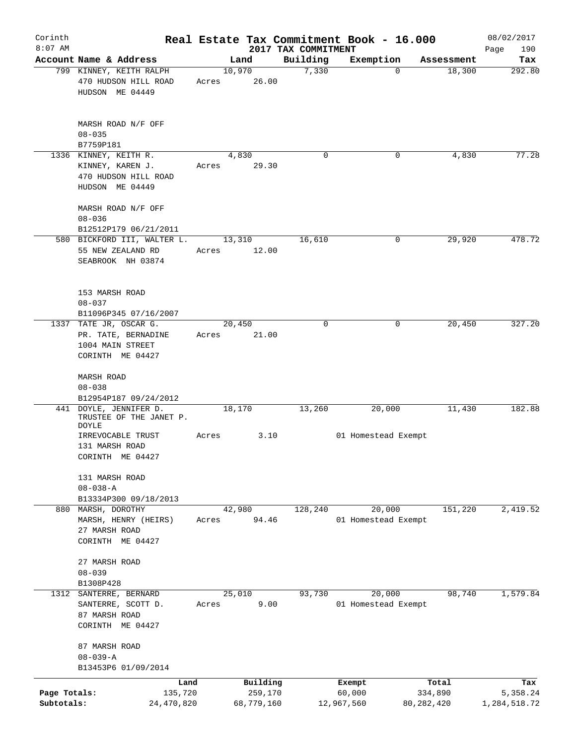| Corinth<br>$8:07$ AM       |                                                                                              |       |                                   |                     | Real Estate Tax Commitment Book - 16.000 |                                  | 08/02/2017                      |
|----------------------------|----------------------------------------------------------------------------------------------|-------|-----------------------------------|---------------------|------------------------------------------|----------------------------------|---------------------------------|
|                            |                                                                                              |       |                                   | 2017 TAX COMMITMENT |                                          |                                  | Page<br>190                     |
|                            | Account Name & Address<br>799 KINNEY, KEITH RALPH<br>470 HUDSON HILL ROAD<br>HUDSON ME 04449 | Acres | Land<br>10,970<br>26.00           | Building<br>7,330   | Exemption<br>$\Omega$                    | Assessment<br>18,300             | Tax<br>292.80                   |
|                            | MARSH ROAD N/F OFF<br>$08 - 035$<br>B7759P181                                                |       |                                   |                     |                                          |                                  |                                 |
|                            | 1336 KINNEY, KEITH R.<br>KINNEY, KAREN J.<br>470 HUDSON HILL ROAD<br>HUDSON ME 04449         | Acres | 4,830<br>29.30                    | 0                   | 0                                        | 4,830                            | 77.28                           |
|                            | MARSH ROAD N/F OFF<br>$08 - 036$<br>B12512P179 06/21/2011                                    |       |                                   |                     |                                          |                                  |                                 |
|                            | 580 BICKFORD III, WALTER L.<br>55 NEW ZEALAND RD<br>SEABROOK NH 03874                        | Acres | 13,310<br>12.00                   | 16,610              | 0                                        | 29,920                           | 478.72                          |
|                            | 153 MARSH ROAD<br>$08 - 037$<br>B11096P345 07/16/2007                                        |       |                                   |                     |                                          |                                  |                                 |
| 1337                       | TATE JR, OSCAR G.<br>PR. TATE, BERNADINE<br>1004 MAIN STREET<br>CORINTH ME 04427             | Acres | 20,450<br>21.00                   | 0                   | 0                                        | 20,450                           | 327.20                          |
|                            | MARSH ROAD<br>$08 - 038$<br>B12954P187 09/24/2012                                            |       |                                   |                     |                                          |                                  |                                 |
|                            | 441 DOYLE, JENNIFER D.<br>TRUSTEE OF THE JANET P.<br><b>DOYLE</b>                            |       | 18,170                            | 13,260              | 20,000                                   | 11,430                           | 182.88                          |
|                            | IRREVOCABLE TRUST<br>131 MARSH ROAD<br>CORINTH ME 04427                                      | Acres | 3.10                              |                     | 01 Homestead Exempt                      |                                  |                                 |
|                            | 131 MARSH ROAD<br>$08 - 038 - A$<br>B13334P300 09/18/2013                                    |       |                                   |                     |                                          |                                  |                                 |
|                            | 880 MARSH, DOROTHY<br>MARSH, HENRY (HEIRS)<br>27 MARSH ROAD<br>CORINTH ME 04427              | Acres | 42,980<br>94.46                   | 128,240             | 20,000<br>01 Homestead Exempt            | 151,220                          | 2,419.52                        |
|                            | 27 MARSH ROAD<br>$08 - 039$<br>B1308P428                                                     |       |                                   |                     |                                          |                                  |                                 |
| 1312                       | SANTERRE, BERNARD<br>SANTERRE, SCOTT D.<br>87 MARSH ROAD<br>CORINTH ME 04427                 | Acres | 25,010<br>9.00                    | 93,730              | 20,000<br>01 Homestead Exempt            | 98,740                           | 1,579.84                        |
|                            | 87 MARSH ROAD<br>$08 - 039 - A$<br>B13453P6 01/09/2014                                       |       |                                   |                     |                                          |                                  |                                 |
| Page Totals:<br>Subtotals: | Land<br>135,720<br>24,470,820                                                                |       | Building<br>259,170<br>68,779,160 |                     | Exempt<br>60,000<br>12,967,560           | Total<br>334,890<br>80, 282, 420 | Tax<br>5,358.24<br>1,284,518.72 |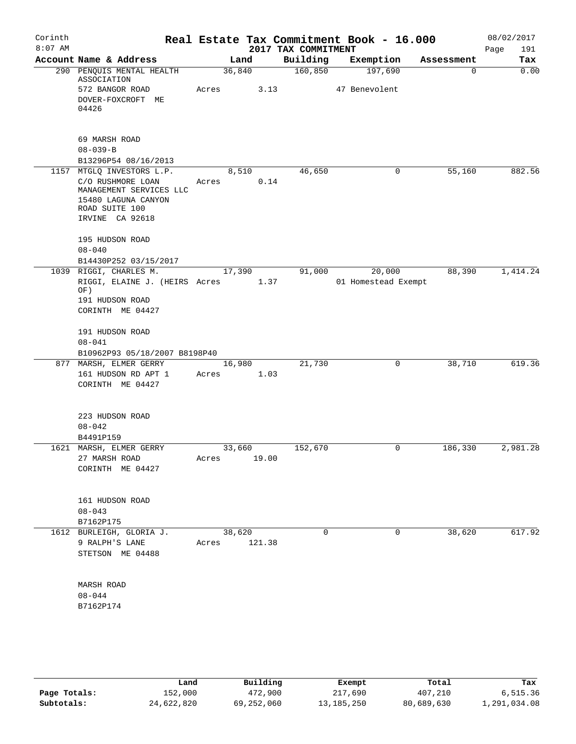| Corinth<br>$8:07$ AM |                                                                                                                                       |                 |        | 2017 TAX COMMITMENT | Real Estate Tax Commitment Book - 16.000 |             | 08/02/2017<br>Page<br>191 |
|----------------------|---------------------------------------------------------------------------------------------------------------------------------------|-----------------|--------|---------------------|------------------------------------------|-------------|---------------------------|
|                      | Account Name & Address                                                                                                                | Land            |        | Building            | Exemption                                | Assessment  | Tax                       |
|                      | 290 PENQUIS MENTAL HEALTH<br>ASSOCIATION<br>572 BANGOR ROAD                                                                           | 36,840<br>Acres | 3.13   | 160,850             | 197,690<br>47 Benevolent                 | $\mathbf 0$ | 0.00                      |
|                      | DOVER-FOXCROFT ME<br>04426                                                                                                            |                 |        |                     |                                          |             |                           |
|                      | 69 MARSH ROAD<br>$08 - 039 - B$                                                                                                       |                 |        |                     |                                          |             |                           |
|                      | B13296P54 08/16/2013                                                                                                                  |                 |        |                     |                                          |             |                           |
|                      | 1157 MTGLQ INVESTORS L.P.<br>C/O RUSHMORE LOAN<br>MANAGEMENT SERVICES LLC<br>15480 LAGUNA CANYON<br>ROAD SUITE 100<br>IRVINE CA 92618 | 8,510<br>Acres  | 0.14   | 46,650              | 0                                        | 55,160      | 882.56                    |
|                      | 195 HUDSON ROAD<br>$08 - 040$                                                                                                         |                 |        |                     |                                          |             |                           |
|                      | B14430P252 03/15/2017                                                                                                                 |                 |        |                     |                                          |             |                           |
|                      | 1039 RIGGI, CHARLES M.<br>RIGGI, ELAINE J. (HEIRS Acres<br>OF)<br>191 HUDSON ROAD<br>CORINTH ME 04427                                 | 17,390          | 1.37   | 91,000              | 20,000<br>01 Homestead Exempt            | 88,390      | 1,414.24                  |
|                      | 191 HUDSON ROAD                                                                                                                       |                 |        |                     |                                          |             |                           |
|                      | $08 - 041$                                                                                                                            |                 |        |                     |                                          |             |                           |
|                      | B10962P93 05/18/2007 B8198P40                                                                                                         |                 |        |                     |                                          |             | 619.36                    |
|                      | 877 MARSH, ELMER GERRY<br>161 HUDSON RD APT 1<br>CORINTH ME 04427                                                                     | 16,980<br>Acres | 1.03   | 21,730              | 0                                        | 38,710      |                           |
|                      |                                                                                                                                       |                 |        |                     |                                          |             |                           |
|                      | 223 HUDSON ROAD<br>$08 - 042$                                                                                                         |                 |        |                     |                                          |             |                           |
|                      | B4491P159                                                                                                                             |                 |        |                     |                                          |             |                           |
|                      | 1621 MARSH, ELMER GERRY                                                                                                               | 33,660          |        | 152,670             | 0                                        | 186,330     | 2,981.28                  |
|                      | 27 MARSH ROAD<br>CORINTH ME 04427                                                                                                     | Acres           | 19.00  |                     |                                          |             |                           |
|                      | 161 HUDSON ROAD<br>$08 - 043$<br>B7162P175                                                                                            |                 |        |                     |                                          |             |                           |
|                      | 1612 BURLEIGH, GLORIA J.                                                                                                              | 38,620          |        | $\Omega$            | $\Omega$                                 | 38,620      | 617.92                    |
|                      | 9 RALPH'S LANE<br>STETSON ME 04488                                                                                                    | Acres           | 121.38 |                     |                                          |             |                           |
|                      | MARSH ROAD<br>$08 - 044$                                                                                                              |                 |        |                     |                                          |             |                           |
|                      | B7162P174                                                                                                                             |                 |        |                     |                                          |             |                           |
|                      |                                                                                                                                       |                 |        |                     |                                          |             |                           |
|                      |                                                                                                                                       |                 |        |                     |                                          |             |                           |

|              | Land       | Building   | Exempt       | Total      | Tax          |
|--------------|------------|------------|--------------|------------|--------------|
| Page Totals: | 152,000    | 472,900    | 217,690      | 407,210    | 6,515.36     |
| Subtotals:   | 24,622,820 | 69,252,060 | 13, 185, 250 | 80,689,630 | 1,291,034.08 |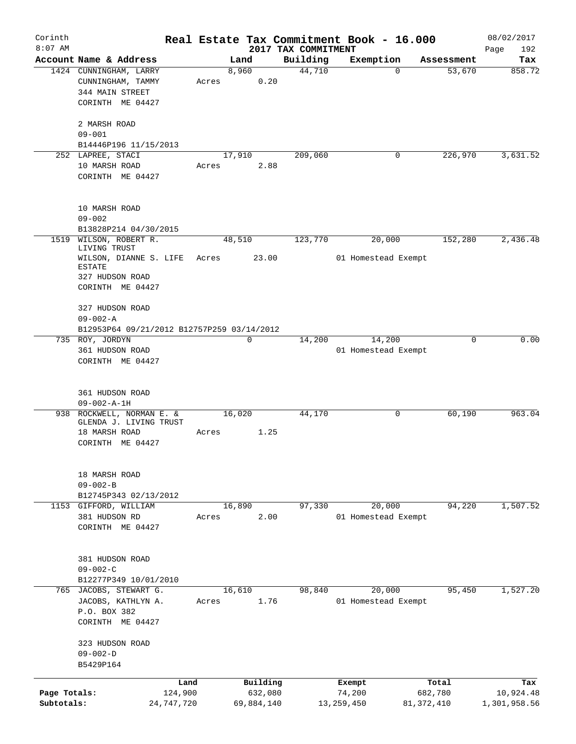| Corinth      |                                                     |            |       |               |                     | Real Estate Tax Commitment Book - 16.000 |                      | 08/02/2017    |
|--------------|-----------------------------------------------------|------------|-------|---------------|---------------------|------------------------------------------|----------------------|---------------|
| $8:07$ AM    |                                                     |            |       |               | 2017 TAX COMMITMENT |                                          |                      | Page<br>192   |
|              | Account Name & Address                              |            |       | Land<br>8,960 | Building<br>44,710  | Exemption<br>$\mathbf 0$                 | Assessment<br>53,670 | Tax<br>858.72 |
|              | 1424 CUNNINGHAM, LARRY<br>CUNNINGHAM, TAMMY         |            | Acres | 0.20          |                     |                                          |                      |               |
|              | 344 MAIN STREET                                     |            |       |               |                     |                                          |                      |               |
|              | CORINTH ME 04427                                    |            |       |               |                     |                                          |                      |               |
|              |                                                     |            |       |               |                     |                                          |                      |               |
|              | 2 MARSH ROAD                                        |            |       |               |                     |                                          |                      |               |
|              | $09 - 001$                                          |            |       |               |                     |                                          |                      |               |
|              | B14446P196 11/15/2013                               |            |       |               |                     |                                          |                      |               |
|              | 252 LAPREE, STACI                                   |            |       | 17,910        | 209,060             | 0                                        | 226,970              | 3,631.52      |
|              | 10 MARSH ROAD                                       |            | Acres | 2.88          |                     |                                          |                      |               |
|              | CORINTH ME 04427                                    |            |       |               |                     |                                          |                      |               |
|              |                                                     |            |       |               |                     |                                          |                      |               |
|              | 10 MARSH ROAD                                       |            |       |               |                     |                                          |                      |               |
|              | $09 - 002$                                          |            |       |               |                     |                                          |                      |               |
|              | B13828P214 04/30/2015                               |            |       |               |                     |                                          |                      |               |
| 1519         | WILSON, ROBERT R.                                   |            |       | 48,510        | 123,770             | 20,000                                   | 152,280              | 2,436.48      |
|              | LIVING TRUST                                        |            |       |               |                     |                                          |                      |               |
|              | WILSON, DIANNE S. LIFE                              |            | Acres | 23.00         |                     | 01 Homestead Exempt                      |                      |               |
|              | <b>ESTATE</b>                                       |            |       |               |                     |                                          |                      |               |
|              | 327 HUDSON ROAD                                     |            |       |               |                     |                                          |                      |               |
|              | CORINTH ME 04427                                    |            |       |               |                     |                                          |                      |               |
|              | 327 HUDSON ROAD                                     |            |       |               |                     |                                          |                      |               |
|              | $09 - 002 - A$                                      |            |       |               |                     |                                          |                      |               |
|              | B12953P64 09/21/2012 B12757P259 03/14/2012          |            |       |               |                     |                                          |                      |               |
|              | 735 ROY, JORDYN                                     |            |       | 0             | 14,200              | 14,200                                   | 0                    | 0.00          |
|              | 361 HUDSON ROAD                                     |            |       |               |                     | 01 Homestead Exempt                      |                      |               |
|              | CORINTH ME 04427                                    |            |       |               |                     |                                          |                      |               |
|              |                                                     |            |       |               |                     |                                          |                      |               |
|              |                                                     |            |       |               |                     |                                          |                      |               |
|              | 361 HUDSON ROAD                                     |            |       |               |                     |                                          |                      |               |
|              | $09 - 002 - A - 1H$                                 |            |       |               |                     |                                          |                      |               |
|              | 938 ROCKWELL, NORMAN E. &<br>GLENDA J. LIVING TRUST |            |       | 16,020        | 44,170              | 0                                        | 60,190               | 963.04        |
|              | 18 MARSH ROAD                                       |            | Acres | 1.25          |                     |                                          |                      |               |
|              | CORINTH ME 04427                                    |            |       |               |                     |                                          |                      |               |
|              |                                                     |            |       |               |                     |                                          |                      |               |
|              |                                                     |            |       |               |                     |                                          |                      |               |
|              | 18 MARSH ROAD                                       |            |       |               |                     |                                          |                      |               |
|              | $09 - 002 - B$                                      |            |       |               |                     |                                          |                      |               |
|              | B12745P343 02/13/2012                               |            |       |               |                     |                                          |                      |               |
|              | 1153 GIFFORD, WILLIAM                               |            |       | 16,890        | 97,330              | 20,000                                   | 94,220               | 1,507.52      |
|              | 381 HUDSON RD                                       |            | Acres | 2.00          |                     | 01 Homestead Exempt                      |                      |               |
|              | CORINTH ME 04427                                    |            |       |               |                     |                                          |                      |               |
|              |                                                     |            |       |               |                     |                                          |                      |               |
|              | 381 HUDSON ROAD                                     |            |       |               |                     |                                          |                      |               |
|              | $09 - 002 - C$                                      |            |       |               |                     |                                          |                      |               |
|              | B12277P349 10/01/2010                               |            |       |               |                     |                                          |                      |               |
| 765          | JACOBS, STEWART G.                                  |            |       | 16,610        | 98,840              | 20,000                                   | 95,450               | 1,527.20      |
|              | JACOBS, KATHLYN A.                                  |            | Acres | 1.76          |                     | 01 Homestead Exempt                      |                      |               |
|              | P.O. BOX 382                                        |            |       |               |                     |                                          |                      |               |
|              | CORINTH ME 04427                                    |            |       |               |                     |                                          |                      |               |
|              |                                                     |            |       |               |                     |                                          |                      |               |
|              | 323 HUDSON ROAD                                     |            |       |               |                     |                                          |                      |               |
|              | $09 - 002 - D$                                      |            |       |               |                     |                                          |                      |               |
|              | B5429P164                                           |            |       |               |                     |                                          |                      |               |
|              |                                                     | Land       |       | Building      |                     | Exempt                                   | Total                | Tax           |
| Page Totals: |                                                     | 124,900    |       | 632,080       |                     | 74,200                                   | 682,780              | 10,924.48     |
| Subtotals:   |                                                     | 24,747,720 |       | 69,884,140    |                     | 13, 259, 450                             | 81, 372, 410         | 1,301,958.56  |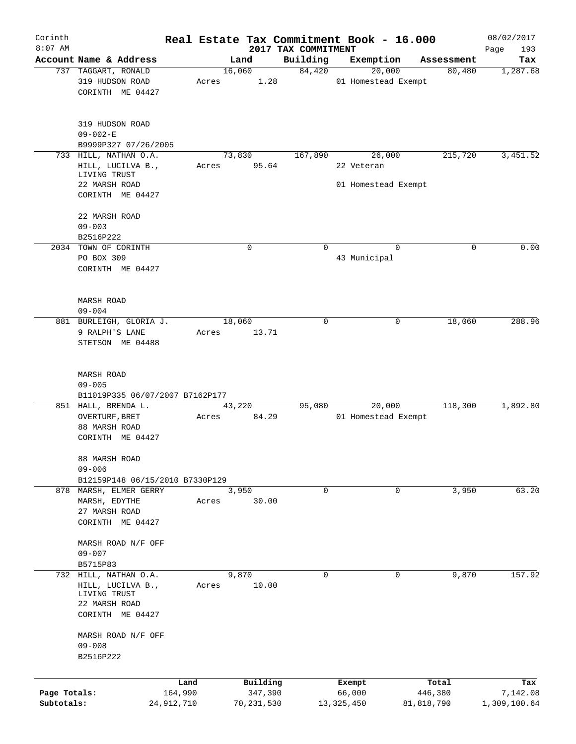| Corinth      |                                                               |            |       |                 |                                 | Real Estate Tax Commitment Book - 16.000    |                       | 08/02/2017         |
|--------------|---------------------------------------------------------------|------------|-------|-----------------|---------------------------------|---------------------------------------------|-----------------------|--------------------|
| $8:07$ AM    | Account Name & Address                                        |            |       | Land            | 2017 TAX COMMITMENT<br>Building | Exemption                                   | Assessment            | Page<br>193<br>Tax |
|              | 737 TAGGART, RONALD                                           |            |       | 16,060          | 84,420                          | 20,000                                      | 80,480                | 1,287.68           |
|              | 319 HUDSON ROAD<br>CORINTH ME 04427                           |            | Acres | 1.28            |                                 | 01 Homestead Exempt                         |                       |                    |
|              | 319 HUDSON ROAD<br>$09 - 002 - E$                             |            |       |                 |                                 |                                             |                       |                    |
|              | B9999P327 07/26/2005<br>733 HILL, NATHAN O.A.                 |            |       |                 |                                 |                                             |                       | 3,451.52           |
|              | HILL, LUCILVA B.,<br>LIVING TRUST<br>22 MARSH ROAD            |            | Acres | 73,830<br>95.64 | 167,890                         | 26,000<br>22 Veteran<br>01 Homestead Exempt | 215,720               |                    |
|              | CORINTH ME 04427                                              |            |       |                 |                                 |                                             |                       |                    |
|              | 22 MARSH ROAD                                                 |            |       |                 |                                 |                                             |                       |                    |
|              | $09 - 003$<br>B2516P222                                       |            |       |                 |                                 |                                             |                       |                    |
|              | 2034 TOWN OF CORINTH                                          |            |       | 0               | $\Omega$                        |                                             | $\Omega$<br>0         | 0.00               |
|              | PO BOX 309                                                    |            |       |                 |                                 | 43 Municipal                                |                       |                    |
|              | CORINTH ME 04427                                              |            |       |                 |                                 |                                             |                       |                    |
|              | <b>MARSH ROAD</b>                                             |            |       |                 |                                 |                                             |                       |                    |
|              | $09 - 004$                                                    |            |       |                 |                                 |                                             |                       |                    |
|              | 881 BURLEIGH, GLORIA J.<br>9 RALPH'S LANE<br>STETSON ME 04488 |            | Acres | 18,060<br>13.71 | $\Omega$                        |                                             | $\mathbf 0$<br>18,060 | 288.96             |
|              | <b>MARSH ROAD</b><br>$09 - 005$                               |            |       |                 |                                 |                                             |                       |                    |
|              | B11019P335 06/07/2007 B7162P177                               |            |       |                 |                                 |                                             |                       |                    |
|              | 851 HALL, BRENDA L.                                           |            |       | 43,220          | 95,080                          | 20,000                                      | 118,300               | 1,892.80           |
|              | OVERTURF, BRET                                                |            | Acres | 84.29           |                                 | 01 Homestead Exempt                         |                       |                    |
|              | 88 MARSH ROAD                                                 |            |       |                 |                                 |                                             |                       |                    |
|              | CORINTH ME 04427                                              |            |       |                 |                                 |                                             |                       |                    |
|              | 88 MARSH ROAD<br>$09 - 006$                                   |            |       |                 |                                 |                                             |                       |                    |
|              | B12159P148 06/15/2010 B7330P129                               |            |       |                 |                                 |                                             |                       |                    |
|              | 878 MARSH, ELMER GERRY                                        |            |       | 3,950           | 0                               |                                             | 3,950<br>0            | 63.20              |
|              | MARSH, EDYTHE                                                 |            | Acres | 30.00           |                                 |                                             |                       |                    |
|              | 27 MARSH ROAD                                                 |            |       |                 |                                 |                                             |                       |                    |
|              | CORINTH ME 04427                                              |            |       |                 |                                 |                                             |                       |                    |
|              | MARSH ROAD N/F OFF                                            |            |       |                 |                                 |                                             |                       |                    |
|              | $09 - 007$                                                    |            |       |                 |                                 |                                             |                       |                    |
|              | B5715P83<br>732 HILL, NATHAN O.A.                             |            |       | 9,870           | 0                               |                                             | 0<br>9,870            | 157.92             |
|              | HILL, LUCILVA B.,<br>LIVING TRUST                             |            | Acres | 10.00           |                                 |                                             |                       |                    |
|              | 22 MARSH ROAD                                                 |            |       |                 |                                 |                                             |                       |                    |
|              | CORINTH ME 04427                                              |            |       |                 |                                 |                                             |                       |                    |
|              | MARSH ROAD N/F OFF                                            |            |       |                 |                                 |                                             |                       |                    |
|              | $09 - 008$                                                    |            |       |                 |                                 |                                             |                       |                    |
|              | B2516P222                                                     |            |       |                 |                                 |                                             |                       |                    |
|              |                                                               | Land       |       | Building        |                                 | Exempt                                      | Total                 | Tax                |
| Page Totals: |                                                               | 164,990    |       | 347,390         |                                 | 66,000                                      | 446,380               | 7,142.08           |
| Subtotals:   |                                                               | 24,912,710 |       | 70,231,530      |                                 | 13,325,450                                  | 81,818,790            | 1,309,100.64       |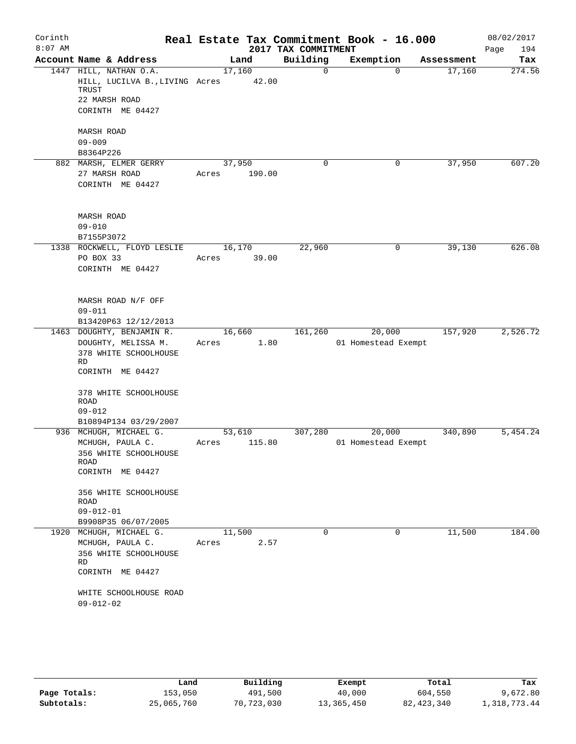| Corinth<br>$8:07$ AM |                                               |                                                                                                                                           |       |        |        | 2017 TAX COMMITMENT | Real Estate Tax Commitment Book - 16.000 |            | 08/02/2017<br>Page<br>194 |
|----------------------|-----------------------------------------------|-------------------------------------------------------------------------------------------------------------------------------------------|-------|--------|--------|---------------------|------------------------------------------|------------|---------------------------|
|                      |                                               | Account Name & Address                                                                                                                    |       | Land   |        | Building            | Exemption                                | Assessment | Tax                       |
|                      | TRUST                                         | 1447 HILL, NATHAN O.A.<br>HILL, LUCILVA B., LIVING Acres 42.00<br>22 MARSH ROAD<br>CORINTH ME 04427                                       |       | 17,160 |        | $\Omega$            | $\Omega$                                 | 17,160     | 274.56                    |
|                      | MARSH ROAD<br>$09 - 009$<br>B8364P226         |                                                                                                                                           |       |        |        |                     |                                          |            |                           |
|                      |                                               | 882 MARSH, ELMER GERRY<br>27 MARSH ROAD<br>CORINTH ME 04427                                                                               | Acres | 37,950 | 190.00 | 0                   | 0                                        | 37,950     | 607.20                    |
|                      | <b>MARSH ROAD</b><br>$09 - 010$<br>B7155P3072 |                                                                                                                                           |       |        |        |                     |                                          |            |                           |
|                      | PO BOX 33                                     | 1338 ROCKWELL, FLOYD LESLIE<br>CORINTH ME 04427                                                                                           | Acres | 16,170 | 39.00  | 22,960              | 0                                        | 39,130     | 626.08                    |
|                      | $09 - 011$                                    | MARSH ROAD N/F OFF                                                                                                                        |       |        |        |                     |                                          |            |                           |
|                      |                                               | B13420P63 12/12/2013<br>1463 DOUGHTY, BENJAMIN R.                                                                                         |       | 16,660 |        | 161,260             | 20,000                                   | 157,920    | 2,526.72                  |
|                      | <b>RD</b><br>ROAD<br>$09 - 012$               | DOUGHTY, MELISSA M.<br>378 WHITE SCHOOLHOUSE<br>CORINTH ME 04427<br>378 WHITE SCHOOLHOUSE                                                 | Acres |        | 1.80   |                     | 01 Homestead Exempt                      |            |                           |
|                      |                                               | B10894P134 03/29/2007<br>936 MCHUGH, MICHAEL G.                                                                                           |       | 53,610 |        | 307,280             | 20,000                                   | 340,890    | 5,454.24                  |
|                      | ROAD<br>ROAD<br>$09 - 012 - 01$               | MCHUGH, PAULA C.<br>356 WHITE SCHOOLHOUSE<br>CORINTH ME 04427<br>356 WHITE SCHOOLHOUSE                                                    | Acres |        | 115.80 |                     | 01 Homestead Exempt                      |            |                           |
|                      | RD<br>$09 - 012 - 02$                         | B9908P35 06/07/2005<br>1920 MCHUGH, MICHAEL G.<br>MCHUGH, PAULA C.<br>356 WHITE SCHOOLHOUSE<br>CORINTH ME 04427<br>WHITE SCHOOLHOUSE ROAD | Acres | 11,500 | 2.57   | $\mathbf 0$         | $\mathbf 0$                              | 11,500     | 184.00                    |
|                      |                                               |                                                                                                                                           |       |        |        |                     |                                          |            |                           |

|              | Land       | Building   | Exempt     | Total      | Tax          |
|--------------|------------|------------|------------|------------|--------------|
| Page Totals: | 153,050    | 491,500    | 40,000     | 604,550    | 9,672.80     |
| Subtotals:   | 25,065,760 | 70,723,030 | 13,365,450 | 82,423,340 | 1,318,773.44 |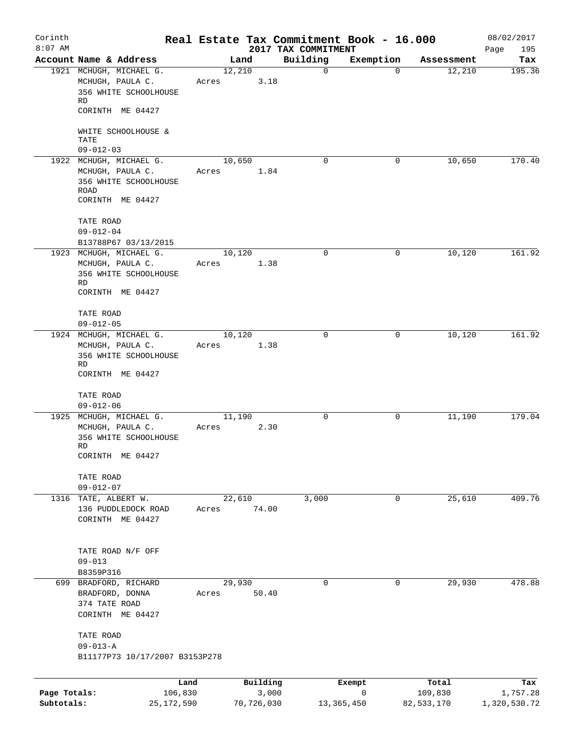| Corinth<br>$8:07$ AM       |                                                                                                  |                 |                     |                                 | Real Estate Tax Commitment Book - 16.000 |                       | 08/02/2017               |
|----------------------------|--------------------------------------------------------------------------------------------------|-----------------|---------------------|---------------------------------|------------------------------------------|-----------------------|--------------------------|
|                            | Account Name & Address                                                                           |                 | Land                | 2017 TAX COMMITMENT<br>Building | Exemption                                | Assessment            | 195<br>Page<br>Tax       |
|                            | 1921 MCHUGH, MICHAEL G.<br>MCHUGH, PAULA C.<br>356 WHITE SCHOOLHOUSE<br>RD<br>CORINTH ME 04427   | 12,210<br>Acres | 3.18                | 0                               | $\Omega$                                 | 12,210                | 195.36                   |
|                            | WHITE SCHOOLHOUSE &<br>TATE<br>$09 - 012 - 03$                                                   |                 |                     |                                 |                                          |                       |                          |
|                            | 1922 MCHUGH, MICHAEL G.<br>MCHUGH, PAULA C.<br>356 WHITE SCHOOLHOUSE<br>ROAD<br>CORINTH ME 04427 | 10,650<br>Acres | 1.84                | 0                               | 0                                        | 10,650                | 170.40                   |
|                            | TATE ROAD<br>$09 - 012 - 04$<br>B13788P67 03/13/2015                                             |                 |                     |                                 |                                          |                       |                          |
|                            | 1923 MCHUGH, MICHAEL G.<br>MCHUGH, PAULA C.<br>356 WHITE SCHOOLHOUSE<br>RD<br>CORINTH ME 04427   | 10,120<br>Acres | 1.38                | 0                               | 0                                        | 10,120                | 161.92                   |
|                            | TATE ROAD<br>$09 - 012 - 05$                                                                     |                 |                     |                                 |                                          |                       |                          |
|                            | 1924 MCHUGH, MICHAEL G.<br>MCHUGH, PAULA C.<br>356 WHITE SCHOOLHOUSE<br>RD<br>CORINTH ME 04427   | 10,120<br>Acres | 1.38                | 0                               | 0                                        | 10,120                | 161.92                   |
|                            | TATE ROAD<br>$09 - 012 - 06$                                                                     |                 |                     |                                 |                                          |                       |                          |
|                            | 1925 MCHUGH, MICHAEL G.<br>MCHUGH, PAULA C.<br>356 WHITE SCHOOLHOUSE<br>RD<br>CORINTH ME 04427   | 11,190<br>Acres | 2.30                | $\mathbf 0$                     | 0                                        | 11,190                | 179.04                   |
|                            | TATE ROAD<br>$09 - 012 - 07$                                                                     |                 |                     |                                 |                                          |                       |                          |
|                            | 1316 TATE, ALBERT W.<br>136 PUDDLEDOCK ROAD<br>CORINTH ME 04427                                  | Acres           | 22,610<br>74.00     | 3,000                           | 0                                        | 25,610                | 409.76                   |
|                            | TATE ROAD N/F OFF<br>$09 - 013$<br>B8359P316                                                     |                 |                     |                                 |                                          |                       |                          |
|                            | 699 BRADFORD, RICHARD<br>BRADFORD, DONNA<br>374 TATE ROAD<br>CORINTH ME 04427                    | 29,930<br>Acres | 50.40               | 0                               | 0                                        | 29,930                | 478.88                   |
|                            | TATE ROAD<br>$09 - 013 - A$<br>B11177P73 10/17/2007 B3153P278                                    |                 |                     |                                 |                                          |                       |                          |
|                            |                                                                                                  | Land            | Building            |                                 | Exempt                                   | Total                 | Tax                      |
| Page Totals:<br>Subtotals: | 106,830<br>25,172,590                                                                            |                 | 3,000<br>70,726,030 |                                 | $\mathbf 0$<br>13, 365, 450              | 109,830<br>82,533,170 | 1,757.28<br>1,320,530.72 |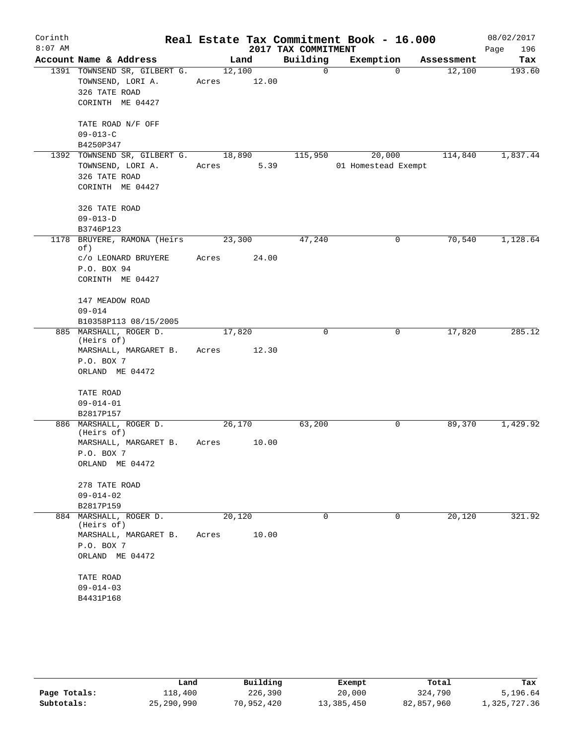| Corinth   |                                      |             |       |                     | Real Estate Tax Commitment Book - 16.000 |            | 08/02/2017  |
|-----------|--------------------------------------|-------------|-------|---------------------|------------------------------------------|------------|-------------|
| $8:07$ AM |                                      |             |       | 2017 TAX COMMITMENT |                                          |            | 196<br>Page |
|           | Account Name & Address               |             | Land  | Building            | Exemption                                | Assessment | Tax         |
|           | 1391 TOWNSEND SR, GILBERT G.         | 12,100      |       | $\mathbf 0$         | $\Omega$                                 | 12,100     | 193.60      |
|           | TOWNSEND, LORI A.                    | Acres 12.00 |       |                     |                                          |            |             |
|           | 326 TATE ROAD<br>CORINTH ME 04427    |             |       |                     |                                          |            |             |
|           |                                      |             |       |                     |                                          |            |             |
|           | TATE ROAD N/F OFF                    |             |       |                     |                                          |            |             |
|           | $09 - 013 - C$                       |             |       |                     |                                          |            |             |
|           | B4250P347                            |             |       |                     |                                          |            |             |
|           | 1392 TOWNSEND SR, GILBERT G.         | 18,890      |       | 115,950             | 20,000                                   | 114,840    | 1,837.44    |
|           | TOWNSEND, LORI A.                    | Acres       | 5.39  |                     | 01 Homestead Exempt                      |            |             |
|           | 326 TATE ROAD                        |             |       |                     |                                          |            |             |
|           | CORINTH ME 04427                     |             |       |                     |                                          |            |             |
|           | 326 TATE ROAD                        |             |       |                     |                                          |            |             |
|           | $09 - 013 - D$                       |             |       |                     |                                          |            |             |
|           | B3746P123                            |             |       |                     |                                          |            |             |
| 1178      | BRUYERE, RAMONA (Heirs<br>of)        | 23,300      |       | 47,240              | 0                                        | 70,540     | 1,128.64    |
|           | c/o LEONARD BRUYERE                  | Acres       | 24.00 |                     |                                          |            |             |
|           | P.O. BOX 94                          |             |       |                     |                                          |            |             |
|           | CORINTH ME 04427                     |             |       |                     |                                          |            |             |
|           | 147 MEADOW ROAD                      |             |       |                     |                                          |            |             |
|           | $09 - 014$                           |             |       |                     |                                          |            |             |
|           | B10358P113 08/15/2005                |             |       |                     |                                          |            |             |
|           | 885 MARSHALL, ROGER D.<br>(Heirs of) | 17,820      |       | $\Omega$            | 0                                        | 17,820     | 285.12      |
|           | MARSHALL, MARGARET B.                | Acres       | 12.30 |                     |                                          |            |             |
|           | P.O. BOX 7                           |             |       |                     |                                          |            |             |
|           | ORLAND ME 04472                      |             |       |                     |                                          |            |             |
|           | TATE ROAD                            |             |       |                     |                                          |            |             |
|           | $09 - 014 - 01$                      |             |       |                     |                                          |            |             |
|           | B2817P157                            |             |       |                     |                                          |            |             |
|           | 886 MARSHALL, ROGER D.<br>(Heirs of) | 26,170      |       | 63,200              | 0                                        | 89,370     | 1,429.92    |
|           | MARSHALL, MARGARET B.                | Acres       | 10.00 |                     |                                          |            |             |
|           | P.O. BOX 7                           |             |       |                     |                                          |            |             |
|           | ORLAND ME 04472                      |             |       |                     |                                          |            |             |
|           | 278 TATE ROAD                        |             |       |                     |                                          |            |             |
|           | $09 - 014 - 02$                      |             |       |                     |                                          |            |             |
|           | B2817P159                            |             |       |                     |                                          |            |             |
| 884       | MARSHALL, ROGER D.<br>(Heirs of)     | 20,120      |       | 0                   | 0                                        | 20,120     | 321.92      |
|           | MARSHALL, MARGARET B.                | Acres       | 10.00 |                     |                                          |            |             |
|           | P.O. BOX 7                           |             |       |                     |                                          |            |             |
|           | ORLAND ME 04472                      |             |       |                     |                                          |            |             |
|           | TATE ROAD                            |             |       |                     |                                          |            |             |
|           | $09 - 014 - 03$                      |             |       |                     |                                          |            |             |
|           | B4431P168                            |             |       |                     |                                          |            |             |
|           |                                      |             |       |                     |                                          |            |             |

|              | Land       | Building   | Exempt     | Total      | Tax          |
|--------------|------------|------------|------------|------------|--------------|
| Page Totals: | 118,400    | 226,390    | 20,000     | 324,790    | 5,196.64     |
| Subtotals:   | 25,290,990 | 70,952,420 | 13,385,450 | 82,857,960 | 1,325,727.36 |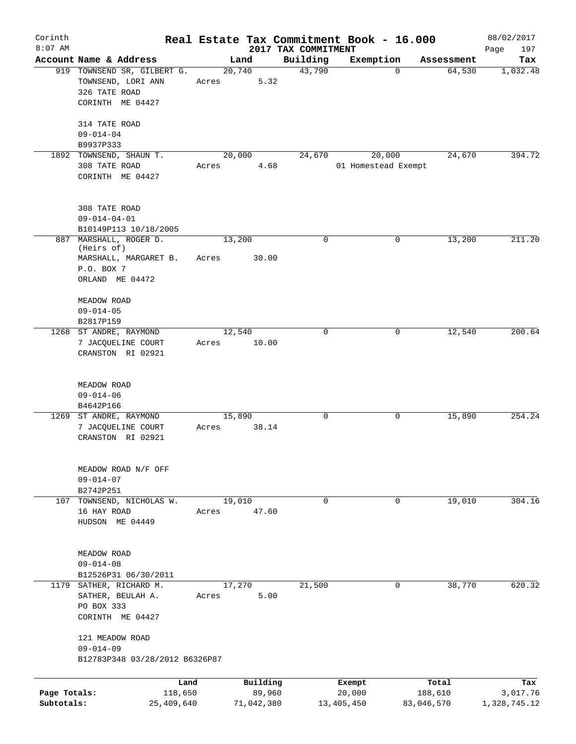| Corinth<br>$8:07$ AM       |                                                                                                | Real Estate Tax Commitment Book - 16.000 | 2017 TAX COMMITMENT |                      |                       | 08/02/2017               |
|----------------------------|------------------------------------------------------------------------------------------------|------------------------------------------|---------------------|----------------------|-----------------------|--------------------------|
|                            | Account Name & Address                                                                         | Land                                     | Building            | Exemption            | Assessment            | 197<br>Page<br>Tax       |
|                            | 919 TOWNSEND SR, GILBERT G.<br>TOWNSEND, LORI ANN<br>326 TATE ROAD<br>CORINTH ME 04427         | 20,740<br>5.32<br>Acres                  | 43,790              | $\Omega$             | 64,530                | 1,032.48                 |
|                            | 314 TATE ROAD<br>$09 - 014 - 04$                                                               |                                          |                     |                      |                       |                          |
|                            | B9937P333<br>TOWNSEND, SHAUN T.                                                                | 20,000                                   | 24,670              | 20,000               | 24,670                | 394.72                   |
| 1892                       | 308 TATE ROAD<br>CORINTH ME 04427                                                              | 4.68<br>Acres                            |                     | 01 Homestead Exempt  |                       |                          |
|                            | 308 TATE ROAD<br>$09 - 014 - 04 - 01$<br>B10149P113 10/18/2005                                 |                                          |                     |                      |                       |                          |
|                            | 887 MARSHALL, ROGER D.<br>(Heirs of)<br>MARSHALL, MARGARET B.<br>P.O. BOX 7<br>ORLAND ME 04472 | 13,200<br>30.00<br>Acres                 | $\mathbf 0$         | 0                    | 13,200                | 211.20                   |
|                            | MEADOW ROAD<br>$09 - 014 - 05$<br>B2817P159                                                    |                                          |                     |                      |                       |                          |
|                            | 1268 ST ANDRE, RAYMOND<br>7 JACQUELINE COURT<br>CRANSTON RI 02921                              | 12,540<br>10.00<br>Acres                 | 0                   | 0                    | 12,540                | 200.64                   |
|                            | MEADOW ROAD<br>$09 - 014 - 06$<br>B4642P166                                                    |                                          |                     |                      |                       |                          |
|                            | 1269 ST ANDRE, RAYMOND<br>7 JACQUELINE COURT<br>CRANSTON RI 02921                              | 15,890<br>38.14<br>Acres                 | $\mathsf{O}$        | 0                    | 15,890                | 254.24                   |
|                            | MEADOW ROAD N/F OFF<br>$09 - 014 - 07$<br>B2742P251                                            |                                          |                     |                      |                       |                          |
| 107                        | TOWNSEND, NICHOLAS W.<br>16 HAY ROAD<br>HUDSON ME 04449                                        | 19,010<br>47.60<br>Acres                 | $\mathbf 0$         | $\mathbf 0$          | 19,010                | 304.16                   |
|                            | MEADOW ROAD<br>$09 - 014 - 08$<br>B12526P31 06/30/2011                                         |                                          |                     |                      |                       |                          |
|                            | 1179 SATHER, RICHARD M.<br>SATHER, BEULAH A.<br>PO BOX 333<br>CORINTH ME 04427                 | 17,270<br>5.00<br>Acres                  | 21,500              | 0                    | 38,770                | 620.32                   |
|                            | 121 MEADOW ROAD<br>$09 - 014 - 09$<br>B12783P348 03/28/2012 B6326P87                           |                                          |                     |                      |                       |                          |
|                            | Land                                                                                           | Building                                 |                     | Exempt               | Total                 | Tax                      |
| Page Totals:<br>Subtotals: | 118,650<br>25,409,640                                                                          | 89,960<br>71,042,380                     |                     | 20,000<br>13,405,450 | 188,610<br>83,046,570 | 3,017.76<br>1,328,745.12 |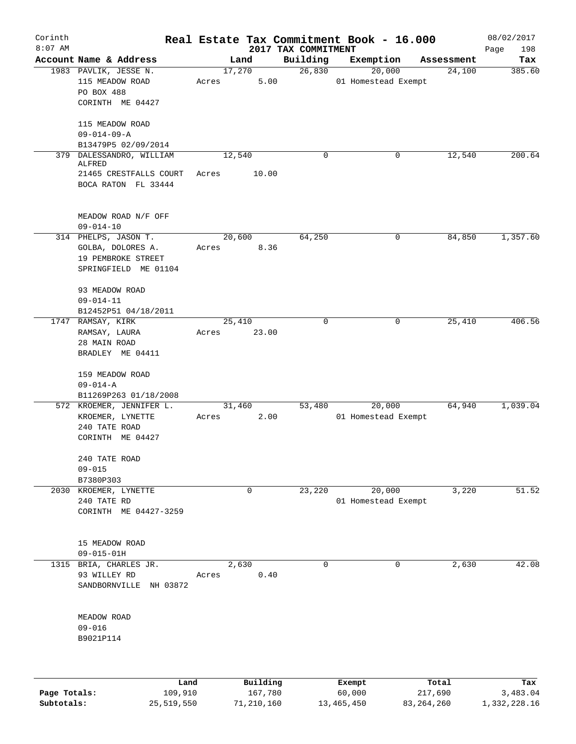| Corinth      |                                                        |       |                |                     | Real Estate Tax Commitment Book - 16.000 |                      | 08/02/2017    |
|--------------|--------------------------------------------------------|-------|----------------|---------------------|------------------------------------------|----------------------|---------------|
| $8:07$ AM    | Account Name & Address                                 |       |                | 2017 TAX COMMITMENT |                                          |                      | 198<br>Page   |
|              |                                                        |       | Land<br>17,270 | Building<br>26,830  | Exemption<br>20,000                      | Assessment<br>24,100 | Tax<br>385.60 |
|              | 1983 PAVLIK, JESSE N.<br>115 MEADOW ROAD<br>PO BOX 488 | Acres | 5.00           |                     | 01 Homestead Exempt                      |                      |               |
|              | CORINTH ME 04427                                       |       |                |                     |                                          |                      |               |
|              | 115 MEADOW ROAD                                        |       |                |                     |                                          |                      |               |
|              | $09 - 014 - 09 - A$<br>B13479P5 02/09/2014             |       |                |                     |                                          |                      |               |
|              | 379 DALESSANDRO, WILLIAM<br>ALFRED                     |       | 12,540         | $\Omega$            | 0                                        | 12,540               | 200.64        |
|              | 21465 CRESTFALLS COURT<br>BOCA RATON FL 33444          | Acres | 10.00          |                     |                                          |                      |               |
|              | MEADOW ROAD N/F OFF                                    |       |                |                     |                                          |                      |               |
|              | $09 - 014 - 10$                                        |       |                |                     |                                          |                      |               |
|              | 314 PHELPS, JASON T.<br>GOLBA, DOLORES A.              |       | 20,600         | 64,250              | 0                                        | 84,850               | 1,357.60      |
|              | 19 PEMBROKE STREET<br>SPRINGFIELD ME 01104             | Acres | 8.36           |                     |                                          |                      |               |
|              | 93 MEADOW ROAD                                         |       |                |                     |                                          |                      |               |
|              | $09 - 014 - 11$<br>B12452P51 04/18/2011                |       |                |                     |                                          |                      |               |
|              | 1747 RAMSAY, KIRK                                      |       | 25,410         | $\Omega$            | 0                                        | 25,410               | 406.56        |
|              | RAMSAY, LAURA                                          | Acres | 23.00          |                     |                                          |                      |               |
|              | 28 MAIN ROAD                                           |       |                |                     |                                          |                      |               |
|              | BRADLEY ME 04411                                       |       |                |                     |                                          |                      |               |
|              | 159 MEADOW ROAD                                        |       |                |                     |                                          |                      |               |
|              | $09 - 014 - A$                                         |       |                |                     |                                          |                      |               |
|              | B11269P263 01/18/2008                                  |       |                |                     |                                          |                      |               |
|              | 572 KROEMER, JENNIFER L.<br>KROEMER, LYNETTE           | Acres | 31,460<br>2.00 | 53,480              | 20,000<br>01 Homestead Exempt            | 64,940               | 1,039.04      |
|              | 240 TATE ROAD                                          |       |                |                     |                                          |                      |               |
|              | CORINTH ME 04427                                       |       |                |                     |                                          |                      |               |
|              | 240 TATE ROAD                                          |       |                |                     |                                          |                      |               |
|              | $09 - 015$                                             |       |                |                     |                                          |                      |               |
|              | B7380P303                                              |       |                |                     |                                          |                      |               |
|              | 2030 KROEMER, LYNETTE                                  |       | 0              | 23,220              | 20,000                                   | 3,220                | 51.52         |
|              | 240 TATE RD                                            |       |                |                     | 01 Homestead Exempt                      |                      |               |
|              | CORINTH ME 04427-3259                                  |       |                |                     |                                          |                      |               |
|              |                                                        |       |                |                     |                                          |                      |               |
|              | 15 MEADOW ROAD<br>$09 - 015 - 01H$                     |       |                |                     |                                          |                      |               |
|              | 1315 BRIA, CHARLES JR.                                 |       | 2,630          | $\Omega$            | $\mathbf 0$                              | 2,630                | 42.08         |
|              | 93 WILLEY RD                                           | Acres | 0.40           |                     |                                          |                      |               |
|              | SANDBORNVILLE<br>NH 03872                              |       |                |                     |                                          |                      |               |
|              |                                                        |       |                |                     |                                          |                      |               |
|              | MEADOW ROAD                                            |       |                |                     |                                          |                      |               |
|              | $09 - 016$<br>B9021P114                                |       |                |                     |                                          |                      |               |
|              |                                                        |       |                |                     |                                          |                      |               |
|              |                                                        |       |                |                     |                                          |                      |               |
|              | Land                                                   |       | Building       |                     | Exempt                                   | Total                | Tax           |
| Page Totals: | 109,910                                                |       | 167,780        |                     | 60,000                                   | 217,690              | 3,483.04      |

**Subtotals:** 25,519,550 71,210,160 13,465,450 83,264,260 1,332,228.16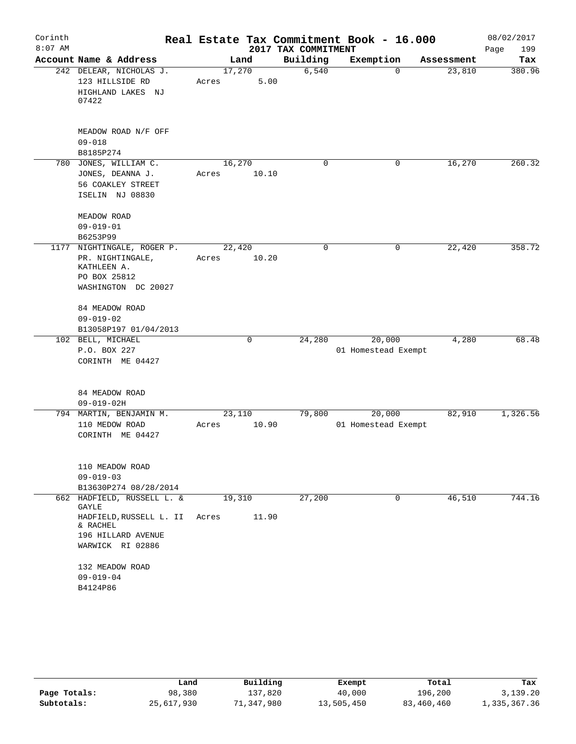| Corinth   |                                                |        |             |                     | Real Estate Tax Commitment Book - 16.000 |            | 08/02/2017  |
|-----------|------------------------------------------------|--------|-------------|---------------------|------------------------------------------|------------|-------------|
| $8:07$ AM |                                                |        |             | 2017 TAX COMMITMENT |                                          |            | 199<br>Page |
|           | Account Name & Address                         |        | Land        | Building            | Exemption                                | Assessment | Tax         |
|           | 242 DELEAR, NICHOLAS J.<br>123 HILLSIDE RD     | 17,270 | 5.00        | 6,540               | 0                                        | 23,810     | 380.96      |
|           | HIGHLAND LAKES NJ                              | Acres  |             |                     |                                          |            |             |
|           | 07422                                          |        |             |                     |                                          |            |             |
|           | MEADOW ROAD N/F OFF                            |        |             |                     |                                          |            |             |
|           | $09 - 018$                                     |        |             |                     |                                          |            |             |
|           | B8185P274                                      |        |             |                     |                                          |            |             |
|           | 780 JONES, WILLIAM C.                          | 16,270 |             | $\Omega$            | 0                                        | 16,270     | 260.32      |
|           | JONES, DEANNA J.                               | Acres  | 10.10       |                     |                                          |            |             |
|           | 56 COAKLEY STREET                              |        |             |                     |                                          |            |             |
|           | ISELIN NJ 08830                                |        |             |                     |                                          |            |             |
|           | MEADOW ROAD                                    |        |             |                     |                                          |            |             |
|           | $09 - 019 - 01$                                |        |             |                     |                                          |            |             |
|           | B6253P99                                       |        |             |                     |                                          |            |             |
|           | 1177 NIGHTINGALE, ROGER P.<br>PR. NIGHTINGALE, | 22,420 | 10.20       | 0                   | 0                                        | 22, 420    | 358.72      |
|           | KATHLEEN A.                                    | Acres  |             |                     |                                          |            |             |
|           | PO BOX 25812                                   |        |             |                     |                                          |            |             |
|           | WASHINGTON DC 20027                            |        |             |                     |                                          |            |             |
|           | 84 MEADOW ROAD                                 |        |             |                     |                                          |            |             |
|           | $09 - 019 - 02$                                |        |             |                     |                                          |            |             |
|           | B13058P197 01/04/2013                          |        |             |                     |                                          |            |             |
|           | 102 BELL, MICHAEL                              |        | $\mathbf 0$ | 24,280              | 20,000                                   | 4,280      | 68.48       |
|           | P.O. BOX 227<br>CORINTH ME 04427               |        |             |                     | 01 Homestead Exempt                      |            |             |
|           |                                                |        |             |                     |                                          |            |             |
|           | 84 MEADOW ROAD                                 |        |             |                     |                                          |            |             |
|           | $09 - 019 - 02H$                               |        |             |                     |                                          |            |             |
|           | 794 MARTIN, BENJAMIN M.                        | 23,110 |             | 79,800              | 20,000                                   | 82,910     | 1,326.56    |
|           | 110 MEDOW ROAD                                 | Acres  | 10.90       |                     | 01 Homestead Exempt                      |            |             |
|           | CORINTH ME 04427                               |        |             |                     |                                          |            |             |
|           | 110 MEADOW ROAD                                |        |             |                     |                                          |            |             |
|           | $09 - 019 - 03$                                |        |             |                     |                                          |            |             |
|           | B13630P274 08/28/2014                          |        |             |                     |                                          |            |             |
|           | 662 HADFIELD, RUSSELL L. &<br>GAYLE            | 19,310 |             | 27,200              | 0                                        | 46,510     | 744.16      |
|           | HADFIELD, RUSSELL L. II<br>& RACHEL            | Acres  | 11.90       |                     |                                          |            |             |
|           | 196 HILLARD AVENUE<br>WARWICK RI 02886         |        |             |                     |                                          |            |             |
|           | 132 MEADOW ROAD                                |        |             |                     |                                          |            |             |
|           | $09 - 019 - 04$                                |        |             |                     |                                          |            |             |
|           | B4124P86                                       |        |             |                     |                                          |            |             |

|              | Land       | Building   | Exempt     | Total      | Tax          |
|--------------|------------|------------|------------|------------|--------------|
| Page Totals: | 98,380     | 137,820    | 40,000     | 196,200    | 3,139.20     |
| Subtotals:   | 25,617,930 | 71,347,980 | 13,505,450 | 83,460,460 | 1,335,367.36 |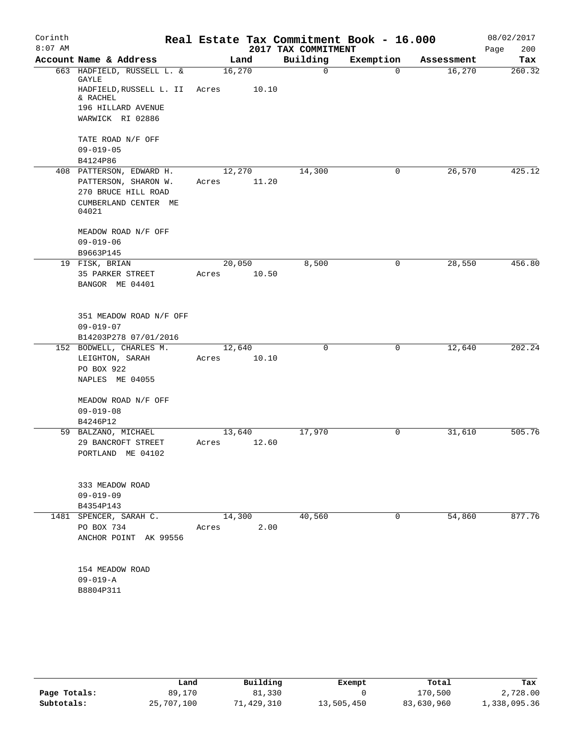| Corinth<br>$8:07$ AM |                                     |        |       | 2017 TAX COMMITMENT | Real Estate Tax Commitment Book - 16.000 |            | 08/02/2017<br>200<br>Page |
|----------------------|-------------------------------------|--------|-------|---------------------|------------------------------------------|------------|---------------------------|
|                      | Account Name & Address              | Land   |       | Building            | Exemption                                | Assessment | Tax                       |
|                      | 663 HADFIELD, RUSSELL L. &<br>GAYLE | 16,270 |       | 0                   | $\Omega$                                 | 16,270     | 260.32                    |
|                      | HADFIELD, RUSSELL L. II<br>& RACHEL | Acres  | 10.10 |                     |                                          |            |                           |
|                      | 196 HILLARD AVENUE                  |        |       |                     |                                          |            |                           |
|                      | WARWICK RI 02886                    |        |       |                     |                                          |            |                           |
|                      | TATE ROAD N/F OFF                   |        |       |                     |                                          |            |                           |
|                      | $09 - 019 - 05$                     |        |       |                     |                                          |            |                           |
|                      | B4124P86                            |        |       |                     | 0                                        |            | 425.12                    |
|                      | 408 PATTERSON, EDWARD H.            | 12,270 |       | 14,300              |                                          | 26,570     |                           |
|                      | PATTERSON, SHARON W.                | Acres  | 11.20 |                     |                                          |            |                           |
|                      | 270 BRUCE HILL ROAD                 |        |       |                     |                                          |            |                           |
|                      | CUMBERLAND CENTER ME<br>04021       |        |       |                     |                                          |            |                           |
|                      | MEADOW ROAD N/F OFF                 |        |       |                     |                                          |            |                           |
|                      | $09 - 019 - 06$                     |        |       |                     |                                          |            |                           |
|                      | B9663P145                           |        |       |                     |                                          |            |                           |
|                      | 19 FISK, BRIAN                      | 20,050 |       | 8,500               | 0                                        | 28,550     | 456.80                    |
|                      | 35 PARKER STREET                    | Acres  | 10.50 |                     |                                          |            |                           |
|                      | BANGOR ME 04401                     |        |       |                     |                                          |            |                           |
|                      | 351 MEADOW ROAD N/F OFF             |        |       |                     |                                          |            |                           |
|                      | $09 - 019 - 07$                     |        |       |                     |                                          |            |                           |
|                      | B14203P278 07/01/2016               |        |       |                     |                                          |            |                           |
|                      | 152 BODWELL, CHARLES M.             | 12,640 |       | 0                   | 0                                        | 12,640     | 202.24                    |
|                      | LEIGHTON, SARAH                     | Acres  | 10.10 |                     |                                          |            |                           |
|                      | PO BOX 922                          |        |       |                     |                                          |            |                           |
|                      | NAPLES ME 04055                     |        |       |                     |                                          |            |                           |
|                      |                                     |        |       |                     |                                          |            |                           |
|                      | MEADOW ROAD N/F OFF                 |        |       |                     |                                          |            |                           |
|                      | $09 - 019 - 08$                     |        |       |                     |                                          |            |                           |
|                      | B4246P12                            |        |       |                     |                                          |            |                           |
|                      | 59 BALZANO, MICHAEL                 | 13,640 |       | 17,970              | 0                                        | 31,610     | 505.76                    |
|                      | 29 BANCROFT STREET                  | Acres  | 12.60 |                     |                                          |            |                           |
|                      | PORTLAND ME 04102                   |        |       |                     |                                          |            |                           |
|                      |                                     |        |       |                     |                                          |            |                           |
|                      | 333 MEADOW ROAD                     |        |       |                     |                                          |            |                           |
|                      | $09 - 019 - 09$                     |        |       |                     |                                          |            |                           |
|                      | B4354P143                           |        |       |                     |                                          |            |                           |
|                      | 1481 SPENCER, SARAH C.              | 14,300 |       | 40,560              | $\mathbf 0$                              | 54,860     | 877.76                    |
|                      | PO BOX 734                          | Acres  | 2.00  |                     |                                          |            |                           |
|                      | ANCHOR POINT AK 99556               |        |       |                     |                                          |            |                           |
|                      | 154 MEADOW ROAD                     |        |       |                     |                                          |            |                           |
|                      | $09 - 019 - A$                      |        |       |                     |                                          |            |                           |
|                      | B8804P311                           |        |       |                     |                                          |            |                           |
|                      |                                     |        |       |                     |                                          |            |                           |

|              | Land       | Building   | Exempt     | Total      | Tax          |
|--------------|------------|------------|------------|------------|--------------|
| Page Totals: | 89,170     | 81,330     |            | 170,500    | 2,728.00     |
| Subtotals:   | 25,707,100 | 71,429,310 | 13,505,450 | 83,630,960 | 1,338,095.36 |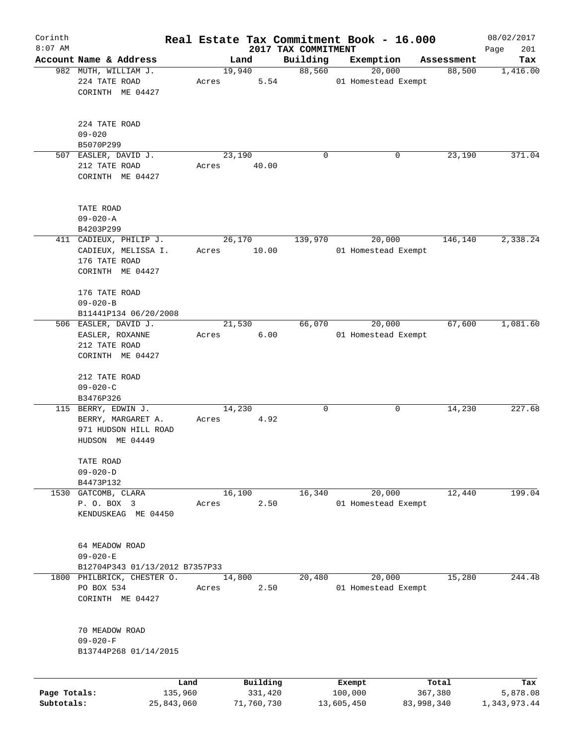| Corinth      |                                                                                      |            |       |                |                     | Real Estate Tax Commitment Book - 16.000 |            | 08/02/2017   |
|--------------|--------------------------------------------------------------------------------------|------------|-------|----------------|---------------------|------------------------------------------|------------|--------------|
| $8:07$ AM    |                                                                                      |            |       |                | 2017 TAX COMMITMENT |                                          |            | 201<br>Page  |
|              | Account Name & Address                                                               |            |       | Land           | Building            | Exemption                                | Assessment | Tax          |
|              | 982 MUTH, WILLIAM J.<br>224 TATE ROAD<br>CORINTH ME 04427                            |            | Acres | 19,940<br>5.54 | 88,560              | 20,000<br>01 Homestead Exempt            | 88,500     | 1,416.00     |
|              | 224 TATE ROAD<br>$09 - 020$                                                          |            |       |                |                     |                                          |            |              |
|              | B5070P299<br>507 EASLER, DAVID J.                                                    |            |       | 23,190         | 0                   | 0                                        | 23,190     | 371.04       |
|              | 212 TATE ROAD<br>CORINTH ME 04427                                                    |            | Acres | 40.00          |                     |                                          |            |              |
|              | TATE ROAD<br>$09 - 020 - A$                                                          |            |       |                |                     |                                          |            |              |
|              | B4203P299                                                                            |            |       |                |                     |                                          |            |              |
|              | 411 CADIEUX, PHILIP J.                                                               |            |       | 26,170         | 139,970             | 20,000                                   | 146,140    | 2,338.24     |
|              | CADIEUX, MELISSA I.<br>176 TATE ROAD<br>CORINTH ME 04427                             |            | Acres | 10.00          |                     | 01 Homestead Exempt                      |            |              |
|              | 176 TATE ROAD<br>$09 - 020 - B$                                                      |            |       |                |                     |                                          |            |              |
|              | B11441P134 06/20/2008                                                                |            |       |                |                     |                                          |            |              |
|              | 506 EASLER, DAVID J.                                                                 |            |       | 21,530         | 66,070              | 20,000                                   | 67,600     | 1,081.60     |
|              | EASLER, ROXANNE<br>212 TATE ROAD<br>CORINTH ME 04427                                 |            | Acres | 6.00           |                     | 01 Homestead Exempt                      |            |              |
|              | 212 TATE ROAD<br>$09 - 020 - C$                                                      |            |       |                |                     |                                          |            |              |
|              | B3476P326                                                                            |            |       |                |                     |                                          |            |              |
|              | 115 BERRY, EDWIN J.<br>BERRY, MARGARET A.<br>971 HUDSON HILL ROAD<br>HUDSON ME 04449 |            | Acres | 14,230<br>4.92 | 0                   | 0                                        | 14,230     | 227.68       |
|              | TATE ROAD<br>$09 - 020 - D$                                                          |            |       |                |                     |                                          |            |              |
|              | B4473P132                                                                            |            |       |                |                     |                                          |            |              |
| 1530         | GATCOMB, CLARA<br>P. O. BOX 3<br>KENDUSKEAG ME 04450                                 |            | Acres | 16,100<br>2.50 | 16,340              | 20,000<br>01 Homestead Exempt            | 12,440     | 199.04       |
|              | 64 MEADOW ROAD<br>$09 - 020 - E$                                                     |            |       |                |                     |                                          |            |              |
|              | B12704P343 01/13/2012 B7357P33                                                       |            |       |                |                     |                                          |            |              |
|              | 1800 PHILBRICK, CHESTER O.                                                           |            |       | 14,800         | 20,480              | 20,000                                   | 15,280     | 244.48       |
|              | PO BOX 534<br>CORINTH ME 04427                                                       |            | Acres | 2.50           |                     | 01 Homestead Exempt                      |            |              |
|              | 70 MEADOW ROAD<br>$09 - 020 - F$<br>B13744P268 01/14/2015                            |            |       |                |                     |                                          |            |              |
|              |                                                                                      | Land       |       | Building       |                     | Exempt                                   | Total      | Tax          |
| Page Totals: |                                                                                      | 135,960    |       | 331,420        |                     | 100,000                                  | 367,380    | 5,878.08     |
| Subtotals:   |                                                                                      | 25,843,060 |       | 71,760,730     |                     | 13,605,450                               | 83,998,340 | 1,343,973.44 |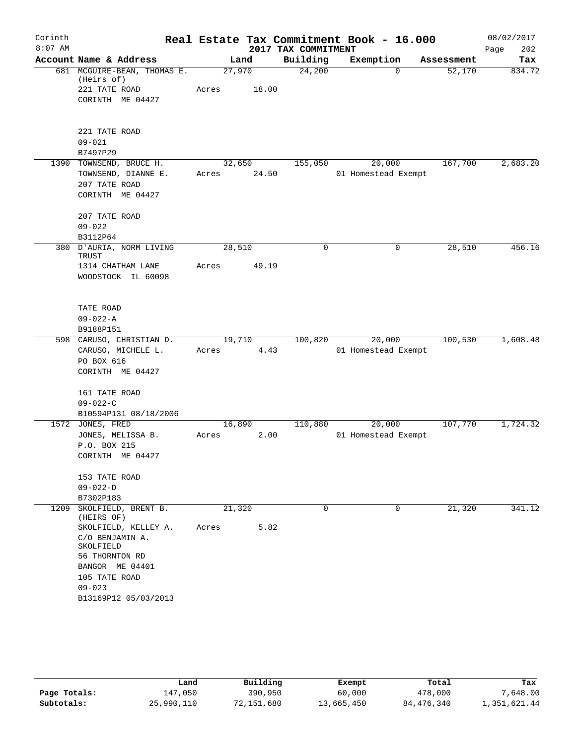| Corinth   |                                           |                 |        |                     | Real Estate Tax Commitment Book - 16.000 |            | 08/02/2017  |
|-----------|-------------------------------------------|-----------------|--------|---------------------|------------------------------------------|------------|-------------|
| $8:07$ AM |                                           |                 |        | 2017 TAX COMMITMENT |                                          |            | 202<br>Page |
|           | Account Name & Address                    |                 | Land   | Building            | Exemption                                | Assessment | Tax         |
|           | 681 MCGUIRE-BEAN, THOMAS E.<br>(Heirs of) | 27,970          |        | 24,200              | $\Omega$                                 | 52,170     | 834.72      |
|           | 221 TATE ROAD                             | Acres           | 18.00  |                     |                                          |            |             |
|           | CORINTH ME 04427                          |                 |        |                     |                                          |            |             |
|           | 221 TATE ROAD                             |                 |        |                     |                                          |            |             |
|           | $09 - 021$                                |                 |        |                     |                                          |            |             |
|           | B7497P29                                  |                 |        |                     |                                          |            |             |
|           | 1390 TOWNSEND, BRUCE H.                   |                 | 32,650 | 155,050             | 20,000                                   | 167,700    | 2,683.20    |
|           | TOWNSEND, DIANNE E.<br>207 TATE ROAD      | Acres           | 24.50  |                     | 01 Homestead Exempt                      |            |             |
|           | CORINTH ME 04427                          |                 |        |                     |                                          |            |             |
|           | 207 TATE ROAD                             |                 |        |                     |                                          |            |             |
|           | $09 - 022$                                |                 |        |                     |                                          |            |             |
|           | B3112P64<br>380 D'AURIA, NORM LIVING      |                 |        | 0                   | 0                                        |            | 456.16      |
|           | TRUST                                     | 28,510<br>Acres | 49.19  |                     |                                          | 28,510     |             |
|           | 1314 CHATHAM LANE<br>WOODSTOCK IL 60098   |                 |        |                     |                                          |            |             |
|           | TATE ROAD                                 |                 |        |                     |                                          |            |             |
|           | $09 - 022 - A$                            |                 |        |                     |                                          |            |             |
|           | B9188P151                                 |                 |        |                     |                                          |            |             |
|           | 598 CARUSO, CHRISTIAN D.                  | 19,710          |        | 100,820             | 20,000                                   | 100,530    | 1,608.48    |
|           | CARUSO, MICHELE L.                        | Acres           | 4.43   |                     | 01 Homestead Exempt                      |            |             |
|           | PO BOX 616<br>CORINTH ME 04427            |                 |        |                     |                                          |            |             |
|           | 161 TATE ROAD                             |                 |        |                     |                                          |            |             |
|           | $09 - 022 - C$                            |                 |        |                     |                                          |            |             |
|           | B10594P131 08/18/2006                     |                 |        |                     |                                          |            |             |
|           | 1572 JONES, FRED                          | 16,890          |        | 110,880             | 20,000                                   | 107,770    | 1,724.32    |
|           | JONES, MELISSA B.<br>P.O. BOX 215         | Acres           | 2.00   |                     | 01 Homestead Exempt                      |            |             |
|           | CORINTH ME 04427                          |                 |        |                     |                                          |            |             |
|           | 153 TATE ROAD                             |                 |        |                     |                                          |            |             |
|           | $09 - 022 - D$                            |                 |        |                     |                                          |            |             |
| 1209      | B7302P183<br>SKOLFIELD, BRENT B.          | 21,320          |        | $\Omega$            | 0                                        | 21,320     | 341.12      |
|           | (HEIRS OF)                                |                 |        |                     |                                          |            |             |
|           | SKOLFIELD, KELLEY A.                      | Acres           | 5.82   |                     |                                          |            |             |
|           | C/O BENJAMIN A.<br>SKOLFIELD              |                 |        |                     |                                          |            |             |
|           | 56 THORNTON RD<br>BANGOR ME 04401         |                 |        |                     |                                          |            |             |
|           | 105 TATE ROAD                             |                 |        |                     |                                          |            |             |
|           | $09 - 023$                                |                 |        |                     |                                          |            |             |
|           | B13169P12 05/03/2013                      |                 |        |                     |                                          |            |             |
|           |                                           |                 |        |                     |                                          |            |             |

|              | Land       | Building   | Exempt     | Total        | Tax          |
|--------------|------------|------------|------------|--------------|--------------|
| Page Totals: | 147.050    | 390,950    | 60,000     | 478,000      | 7,648.00     |
| Subtotals:   | 25,990,110 | 72,151,680 | 13,665,450 | 84, 476, 340 | 1,351,621.44 |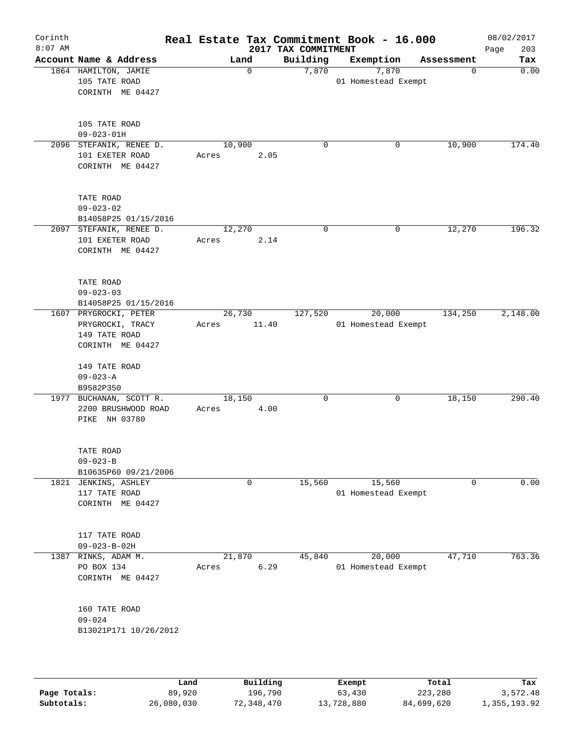| Corinth   |                                                |       |                  | Real Estate Tax Commitment Book - 16.000 |             |                     |                        | 08/02/2017  |
|-----------|------------------------------------------------|-------|------------------|------------------------------------------|-------------|---------------------|------------------------|-------------|
| $8:07$ AM |                                                |       |                  | 2017 TAX COMMITMENT                      |             |                     |                        | 203<br>Page |
|           | Account Name & Address<br>1864 HAMILTON, JAMIE |       | Land<br>$\Omega$ | Building<br>7,870                        |             | Exemption<br>7,870  | Assessment<br>$\Omega$ | Tax<br>0.00 |
|           | 105 TATE ROAD                                  |       |                  |                                          |             | 01 Homestead Exempt |                        |             |
|           | CORINTH ME 04427                               |       |                  |                                          |             |                     |                        |             |
|           |                                                |       |                  |                                          |             |                     |                        |             |
|           |                                                |       |                  |                                          |             |                     |                        |             |
|           | 105 TATE ROAD                                  |       |                  |                                          |             |                     |                        |             |
|           | $09 - 023 - 01H$                               |       |                  |                                          |             |                     |                        |             |
|           | 2096 STEFANIK, RENEE D.                        |       | 10,900           |                                          | $\mathbf 0$ | 0                   | 10,900                 | 174.40      |
|           | 101 EXETER ROAD                                | Acres | 2.05             |                                          |             |                     |                        |             |
|           | CORINTH ME 04427                               |       |                  |                                          |             |                     |                        |             |
|           |                                                |       |                  |                                          |             |                     |                        |             |
|           | TATE ROAD                                      |       |                  |                                          |             |                     |                        |             |
|           | $09 - 023 - 02$                                |       |                  |                                          |             |                     |                        |             |
|           | B14058P25 01/15/2016                           |       |                  |                                          |             |                     |                        |             |
|           | 2097 STEFANIK, RENEE D.                        |       | 12,270           |                                          | $\Omega$    | 0                   | 12, 270                | 196.32      |
|           | 101 EXETER ROAD                                | Acres | 2.14             |                                          |             |                     |                        |             |
|           | CORINTH ME 04427                               |       |                  |                                          |             |                     |                        |             |
|           |                                                |       |                  |                                          |             |                     |                        |             |
|           |                                                |       |                  |                                          |             |                     |                        |             |
|           | TATE ROAD                                      |       |                  |                                          |             |                     |                        |             |
|           | $09 - 023 - 03$                                |       |                  |                                          |             |                     |                        |             |
|           | B14058P25 01/15/2016                           |       |                  |                                          |             |                     |                        |             |
|           | 1607 PRYGROCKI, PETER                          |       | 26,730           | 127,520                                  |             | 20,000              | 134,250                | 2,148.00    |
|           | PRYGROCKI, TRACY                               | Acres | 11.40            |                                          |             | 01 Homestead Exempt |                        |             |
|           | 149 TATE ROAD<br>CORINTH ME 04427              |       |                  |                                          |             |                     |                        |             |
|           |                                                |       |                  |                                          |             |                     |                        |             |
|           | 149 TATE ROAD                                  |       |                  |                                          |             |                     |                        |             |
|           | $09 - 023 - A$                                 |       |                  |                                          |             |                     |                        |             |
|           | B9582P350                                      |       |                  |                                          |             |                     |                        |             |
|           | 1977 BUCHANAN, SCOTT R.                        |       | 18,150           |                                          | $\mathbf 0$ | 0                   | 18,150                 | 290.40      |
|           | 2200 BRUSHWOOD ROAD                            | Acres | 4.00             |                                          |             |                     |                        |             |
|           | PIKE NH 03780                                  |       |                  |                                          |             |                     |                        |             |
|           |                                                |       |                  |                                          |             |                     |                        |             |
|           | TATE ROAD                                      |       |                  |                                          |             |                     |                        |             |
|           | $09 - 023 - B$                                 |       |                  |                                          |             |                     |                        |             |
|           | B10635P60 09/21/2006                           |       |                  |                                          |             |                     |                        |             |
|           | 1821 JENKINS, ASHLEY                           |       | 0                | 15,560                                   |             | 15,560              | $\Omega$               | 0.00        |
|           | 117 TATE ROAD                                  |       |                  |                                          |             | 01 Homestead Exempt |                        |             |
|           | CORINTH ME 04427                               |       |                  |                                          |             |                     |                        |             |
|           |                                                |       |                  |                                          |             |                     |                        |             |
|           |                                                |       |                  |                                          |             |                     |                        |             |
|           | 117 TATE ROAD                                  |       |                  |                                          |             |                     |                        |             |
|           | $09 - 023 - B - 02H$                           |       |                  |                                          |             |                     |                        |             |
|           | 1387 RINKS, ADAM M.                            |       | 21,870           | 45,840                                   |             | 20,000              | 47,710                 | 763.36      |
|           | PO BOX 134<br>CORINTH ME 04427                 | Acres | 6.29             |                                          |             | 01 Homestead Exempt |                        |             |
|           |                                                |       |                  |                                          |             |                     |                        |             |
|           |                                                |       |                  |                                          |             |                     |                        |             |
|           | 160 TATE ROAD                                  |       |                  |                                          |             |                     |                        |             |
|           | $09 - 024$                                     |       |                  |                                          |             |                     |                        |             |
|           | B13021P171 10/26/2012                          |       |                  |                                          |             |                     |                        |             |
|           |                                                |       |                  |                                          |             |                     |                        |             |
|           |                                                |       |                  |                                          |             |                     |                        |             |
|           |                                                |       |                  |                                          |             |                     |                        |             |
|           |                                                |       |                  |                                          |             |                     |                        |             |

|              | Land       | Building   | Exempt     | Total      | Tax          |
|--------------|------------|------------|------------|------------|--------------|
| Page Totals: | 89,920     | 196,790    | 63,430     | 223,280    | 3,572.48     |
| Subtotals:   | 26,080,030 | 72,348,470 | 13,728,880 | 84,699,620 | 1,355,193.92 |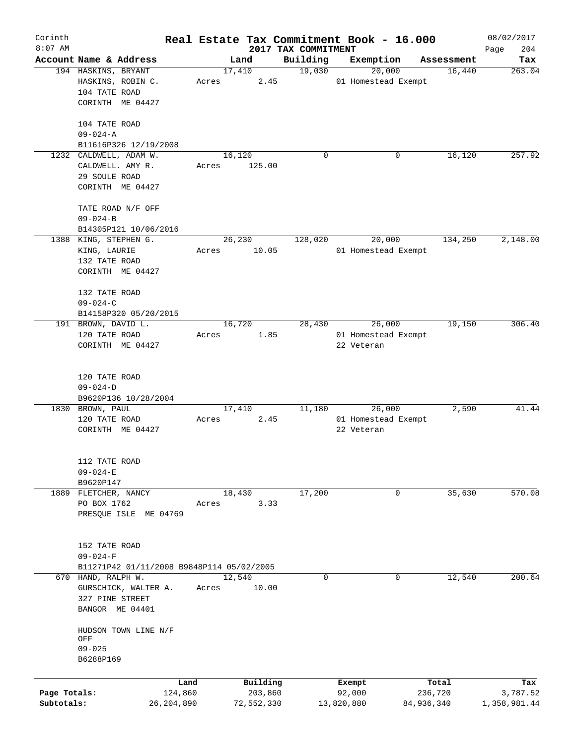| Corinth      |                                               |       |                |                     | Real Estate Tax Commitment Book - 16.000 |                      | 08/02/2017    |
|--------------|-----------------------------------------------|-------|----------------|---------------------|------------------------------------------|----------------------|---------------|
| $8:07$ AM    |                                               |       |                | 2017 TAX COMMITMENT |                                          |                      | 204<br>Page   |
|              | Account Name & Address<br>194 HASKINS, BRYANT |       | Land<br>17,410 | Building<br>19,030  | Exemption<br>20,000                      | Assessment<br>16,440 | Tax<br>263.04 |
|              | HASKINS, ROBIN C.                             | Acres | 2.45           |                     | 01 Homestead Exempt                      |                      |               |
|              | 104 TATE ROAD                                 |       |                |                     |                                          |                      |               |
|              | CORINTH ME 04427                              |       |                |                     |                                          |                      |               |
|              |                                               |       |                |                     |                                          |                      |               |
|              | 104 TATE ROAD                                 |       |                |                     |                                          |                      |               |
|              | $09 - 024 - A$                                |       |                |                     |                                          |                      |               |
|              | B11616P326 12/19/2008                         |       |                |                     |                                          |                      |               |
|              | 1232 CALDWELL, ADAM W.                        |       | 16,120         | 0                   | 0                                        | 16,120               | 257.92        |
|              | CALDWELL. AMY R.                              | Acres | 125.00         |                     |                                          |                      |               |
|              | 29 SOULE ROAD                                 |       |                |                     |                                          |                      |               |
|              | CORINTH ME 04427                              |       |                |                     |                                          |                      |               |
|              |                                               |       |                |                     |                                          |                      |               |
|              | TATE ROAD N/F OFF                             |       |                |                     |                                          |                      |               |
|              | $09 - 024 - B$                                |       |                |                     |                                          |                      |               |
|              | B14305P121 10/06/2016                         |       |                |                     |                                          |                      |               |
|              | 1388 KING, STEPHEN G.                         |       | 26,230         | 128,020             | 20,000                                   | 134,250              | 2,148.00      |
|              | KING, LAURIE                                  | Acres | 10.05          |                     | 01 Homestead Exempt                      |                      |               |
|              | 132 TATE ROAD                                 |       |                |                     |                                          |                      |               |
|              | CORINTH ME 04427                              |       |                |                     |                                          |                      |               |
|              | 132 TATE ROAD                                 |       |                |                     |                                          |                      |               |
|              | $09 - 024 - C$                                |       |                |                     |                                          |                      |               |
|              | B14158P320 05/20/2015                         |       |                |                     |                                          |                      |               |
|              | 191 BROWN, DAVID L.                           |       | 16,720         | 28,430              | 26,000                                   | 19,150               | 306.40        |
|              | 120 TATE ROAD                                 | Acres | 1.85           |                     | 01 Homestead Exempt                      |                      |               |
|              | CORINTH ME 04427                              |       |                |                     | 22 Veteran                               |                      |               |
|              |                                               |       |                |                     |                                          |                      |               |
|              |                                               |       |                |                     |                                          |                      |               |
|              | 120 TATE ROAD                                 |       |                |                     |                                          |                      |               |
|              | $09 - 024 - D$<br>B9620P136 10/28/2004        |       |                |                     |                                          |                      |               |
|              | 1830 BROWN, PAUL                              |       | 17,410         | 11,180              | 26,000                                   | 2,590                | 41.44         |
|              | 120 TATE ROAD                                 | Acres | 2.45           |                     | 01 Homestead Exempt                      |                      |               |
|              | CORINTH ME 04427                              |       |                |                     | 22 Veteran                               |                      |               |
|              |                                               |       |                |                     |                                          |                      |               |
|              |                                               |       |                |                     |                                          |                      |               |
|              | 112 TATE ROAD                                 |       |                |                     |                                          |                      |               |
|              | $09 - 024 - E$                                |       |                |                     |                                          |                      |               |
|              | B9620P147                                     |       |                |                     |                                          |                      |               |
|              | 1889 FLETCHER, NANCY                          |       | 18,430         | 17,200              | 0                                        | 35,630               | 570.08        |
|              | PO BOX 1762                                   | Acres | 3.33           |                     |                                          |                      |               |
|              | PRESQUE ISLE ME 04769                         |       |                |                     |                                          |                      |               |
|              |                                               |       |                |                     |                                          |                      |               |
|              | 152 TATE ROAD                                 |       |                |                     |                                          |                      |               |
|              | $09 - 024 - F$                                |       |                |                     |                                          |                      |               |
|              | B11271P42 01/11/2008 B9848P114 05/02/2005     |       |                |                     |                                          |                      |               |
|              | 670 HAND, RALPH W.                            |       | 12,540         | 0                   | 0                                        | 12,540               | 200.64        |
|              | GURSCHICK, WALTER A.                          | Acres | 10.00          |                     |                                          |                      |               |
|              | 327 PINE STREET                               |       |                |                     |                                          |                      |               |
|              | BANGOR ME 04401                               |       |                |                     |                                          |                      |               |
|              |                                               |       |                |                     |                                          |                      |               |
|              | HUDSON TOWN LINE N/F                          |       |                |                     |                                          |                      |               |
|              | OFF                                           |       |                |                     |                                          |                      |               |
|              | $09 - 025$                                    |       |                |                     |                                          |                      |               |
|              | B6288P169                                     |       |                |                     |                                          |                      |               |
|              | Land                                          |       | Building       |                     | Exempt                                   | Total                | Tax           |
| Page Totals: | 124,860                                       |       | 203,860        |                     | 92,000                                   | 236,720              | 3,787.52      |
| Subtotals:   | 26, 204, 890                                  |       | 72,552,330     |                     | 13,820,880                               | 84,936,340           | 1,358,981.44  |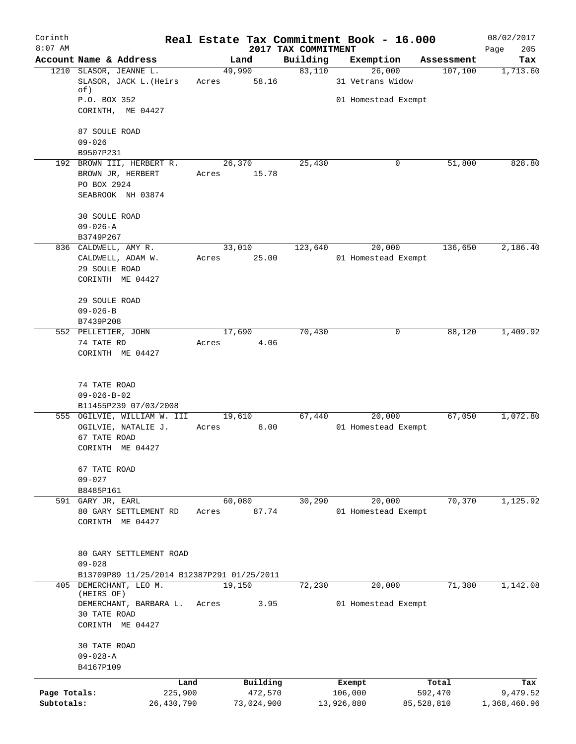| Corinth<br>$8:07$ AM       |                                                      |                          |                                 | Real Estate Tax Commitment Book - 16.000 |                       | 08/02/2017               |
|----------------------------|------------------------------------------------------|--------------------------|---------------------------------|------------------------------------------|-----------------------|--------------------------|
|                            | Account Name & Address                               | Land                     | 2017 TAX COMMITMENT<br>Building | Exemption                                | Assessment            | 205<br>Page<br>Tax       |
|                            | 1210 SLASOR, JEANNE L.<br>SLASOR, JACK L. (Heirs     | 49,990<br>58.16<br>Acres | 83,110                          | 26,000<br>31 Vetrans Widow               | 107,100               | 1,713.60                 |
|                            | of)                                                  |                          |                                 |                                          |                       |                          |
|                            | P.O. BOX 352<br>CORINTH, ME 04427                    |                          |                                 | 01 Homestead Exempt                      |                       |                          |
|                            | 87 SOULE ROAD                                        |                          |                                 |                                          |                       |                          |
|                            | $09 - 026$<br>B9507P231                              |                          |                                 |                                          |                       |                          |
|                            | 192 BROWN III, HERBERT R.                            | 26,370                   | 25,430                          | 0                                        | 51,800                | 828.80                   |
|                            | BROWN JR, HERBERT<br>PO BOX 2924                     | Acres 15.78              |                                 |                                          |                       |                          |
|                            | SEABROOK NH 03874                                    |                          |                                 |                                          |                       |                          |
|                            | 30 SOULE ROAD                                        |                          |                                 |                                          |                       |                          |
|                            | $09 - 026 - A$<br>B3749P267                          |                          |                                 |                                          |                       |                          |
|                            | 836 CALDWELL, AMY R.                                 | 33,010                   | 123,640                         | 20,000                                   | 136,650               | 2,186.40                 |
|                            | CALDWELL, ADAM W.                                    | 25.00<br>Acres           |                                 | 01 Homestead Exempt                      |                       |                          |
|                            | 29 SOULE ROAD                                        |                          |                                 |                                          |                       |                          |
|                            | CORINTH ME 04427                                     |                          |                                 |                                          |                       |                          |
|                            | 29 SOULE ROAD                                        |                          |                                 |                                          |                       |                          |
|                            | $09 - 026 - B$                                       |                          |                                 |                                          |                       |                          |
|                            | B7439P208<br>552 PELLETIER, JOHN                     | 17,690                   | 70,430                          | 0                                        | 88,120                | 1,409.92                 |
|                            | 74 TATE RD                                           | 4.06<br>Acres            |                                 |                                          |                       |                          |
|                            | CORINTH ME 04427                                     |                          |                                 |                                          |                       |                          |
|                            | 74 TATE ROAD                                         |                          |                                 |                                          |                       |                          |
|                            | $09 - 026 - B - 02$                                  |                          |                                 |                                          |                       |                          |
|                            | B11455P239 07/03/2008<br>555 OGILVIE, WILLIAM W. III | 19,610                   | 67,440                          | 20,000                                   | 67,050                | 1,072.80                 |
|                            | OGILVIE, NATALIE J.                                  | 8.00<br>Acres            |                                 | 01 Homestead Exempt                      |                       |                          |
|                            | 67 TATE ROAD                                         |                          |                                 |                                          |                       |                          |
|                            | CORINTH ME 04427                                     |                          |                                 |                                          |                       |                          |
|                            | 67 TATE ROAD                                         |                          |                                 |                                          |                       |                          |
|                            | $09 - 027$                                           |                          |                                 |                                          |                       |                          |
|                            | B8485P161<br>591 GARY JR, EARL                       | 60,080                   | 30,290                          | 20,000                                   | 70,370                | 1,125.92                 |
|                            | 80 GARY SETTLEMENT RD                                | 87.74<br>Acres           |                                 | 01 Homestead Exempt                      |                       |                          |
|                            | CORINTH ME 04427                                     |                          |                                 |                                          |                       |                          |
|                            | 80 GARY SETTLEMENT ROAD                              |                          |                                 |                                          |                       |                          |
|                            | $09 - 028$                                           |                          |                                 |                                          |                       |                          |
|                            | B13709P89 11/25/2014 B12387P291 01/25/2011           |                          |                                 |                                          |                       |                          |
| 405                        | DEMERCHANT, LEO M.<br>(HEIRS OF)                     | 19,150                   | 72,230                          | 20,000                                   | 71,380                | 1,142.08                 |
|                            | DEMERCHANT, BARBARA L.                               | Acres<br>3.95            |                                 | 01 Homestead Exempt                      |                       |                          |
|                            | 30 TATE ROAD<br>CORINTH ME 04427                     |                          |                                 |                                          |                       |                          |
|                            | 30 TATE ROAD                                         |                          |                                 |                                          |                       |                          |
|                            | $09 - 028 - A$                                       |                          |                                 |                                          |                       |                          |
|                            | B4167P109                                            |                          |                                 |                                          |                       |                          |
|                            |                                                      | Building<br>Land         |                                 | Exempt                                   | Total                 | Tax                      |
| Page Totals:<br>Subtotals: | 225,900<br>26,430,790                                | 472,570<br>73,024,900    |                                 | 106,000<br>13,926,880                    | 592,470<br>85,528,810 | 9,479.52<br>1,368,460.96 |
|                            |                                                      |                          |                                 |                                          |                       |                          |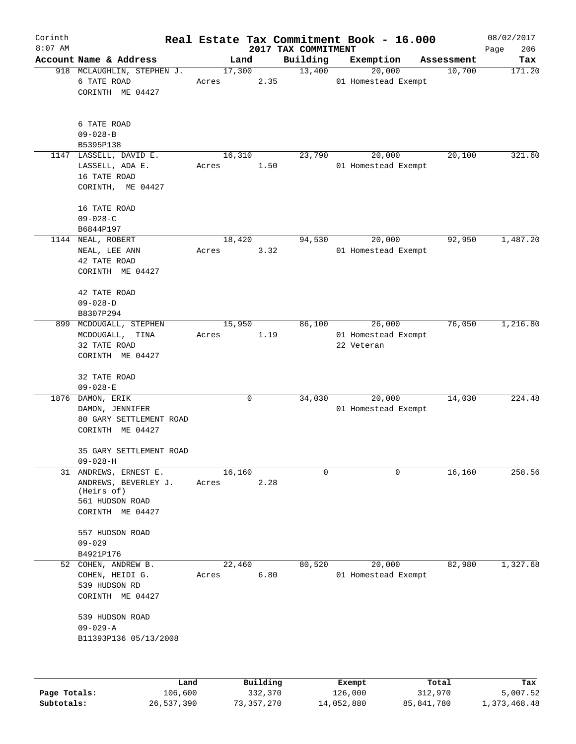| Corinth   |                                                                                                    |                 |          |                                 | Real Estate Tax Commitment Book - 16.000    |            | 08/02/2017         |
|-----------|----------------------------------------------------------------------------------------------------|-----------------|----------|---------------------------------|---------------------------------------------|------------|--------------------|
| $8:07$ AM | Account Name & Address                                                                             | Land            |          | 2017 TAX COMMITMENT<br>Building | Exemption                                   | Assessment | 206<br>Page<br>Tax |
|           | 918 MCLAUGHLIN, STEPHEN J.<br>6 TATE ROAD<br>CORINTH ME 04427                                      | 17,300<br>Acres | 2.35     | 13,400                          | 20,000<br>01 Homestead Exempt               | 10,700     | 171.20             |
|           | 6 TATE ROAD<br>$09 - 028 - B$<br>B5395P138                                                         |                 |          |                                 |                                             |            |                    |
|           | 1147 LASSELL, DAVID E.<br>LASSELL, ADA E.<br>16 TATE ROAD<br>CORINTH, ME 04427                     | 16,310<br>Acres | 1.50     | 23,790                          | 20,000<br>01 Homestead Exempt               | 20,100     | 321.60             |
|           | 16 TATE ROAD<br>$09 - 028 - C$<br>B6844P197                                                        |                 |          |                                 |                                             |            |                    |
|           | 1144 NEAL, ROBERT<br>NEAL, LEE ANN<br>42 TATE ROAD<br>CORINTH ME 04427                             | 18,420<br>Acres | 3.32     | 94,530                          | 20,000<br>01 Homestead Exempt               | 92,950     | 1,487.20           |
|           | 42 TATE ROAD<br>$09 - 028 - D$<br>B8307P294                                                        |                 |          |                                 |                                             |            |                    |
| 899       | MCDOUGALL, STEPHEN<br>MCDOUGALL, TINA<br>32 TATE ROAD<br>CORINTH ME 04427                          | 15,950<br>Acres | 1.19     | 86,100                          | 26,000<br>01 Homestead Exempt<br>22 Veteran | 76,050     | 1,216.80           |
|           | 32 TATE ROAD<br>$09 - 028 - E$                                                                     |                 |          |                                 |                                             |            |                    |
|           | 1876 DAMON, ERIK<br>DAMON, JENNIFER<br>80 GARY SETTLEMENT ROAD<br>CORINTH ME 04427                 |                 | 0        | 34,030                          | 20,000<br>01 Homestead Exempt               | 14,030     | 224.48             |
|           | 35 GARY SETTLEMENT ROAD<br>$09 - 028 - H$                                                          |                 |          |                                 |                                             |            |                    |
|           | 31 ANDREWS, ERNEST E.<br>ANDREWS, BEVERLEY J.<br>(Heirs of)<br>561 HUDSON ROAD<br>CORINTH ME 04427 | 16,160<br>Acres | 2.28     | $\mathbf 0$                     | $\Omega$                                    | 16,160     | 258.56             |
|           | 557 HUDSON ROAD<br>$09 - 029$<br>B4921P176                                                         |                 |          |                                 |                                             |            |                    |
|           | 52 COHEN, ANDREW B.<br>COHEN, HEIDI G.<br>539 HUDSON RD<br>CORINTH ME 04427                        | 22,460<br>Acres | 6.80     | 80,520                          | 20,000<br>01 Homestead Exempt               | 82,980     | 1,327.68           |
|           | 539 HUDSON ROAD<br>$09 - 029 - A$<br>B11393P136 05/13/2008                                         |                 |          |                                 |                                             |            |                    |
|           |                                                                                                    |                 |          |                                 |                                             |            |                    |
|           | Land                                                                                               |                 | Building |                                 | Exempt                                      | Total      | Tax                |

|              | uanu       | <b>DULLULIN</b> | <b>BACILDL</b> | TOLAT      | ⊥a∧          |
|--------------|------------|-----------------|----------------|------------|--------------|
| Page Totals: | 106,600    | 332,370         | 126,000        | 312,970    | 5,007.52     |
| Subtotals:   | 26,537,390 | 73,357,270      | 14,052,880     | 85,841,780 | 1,373,468.48 |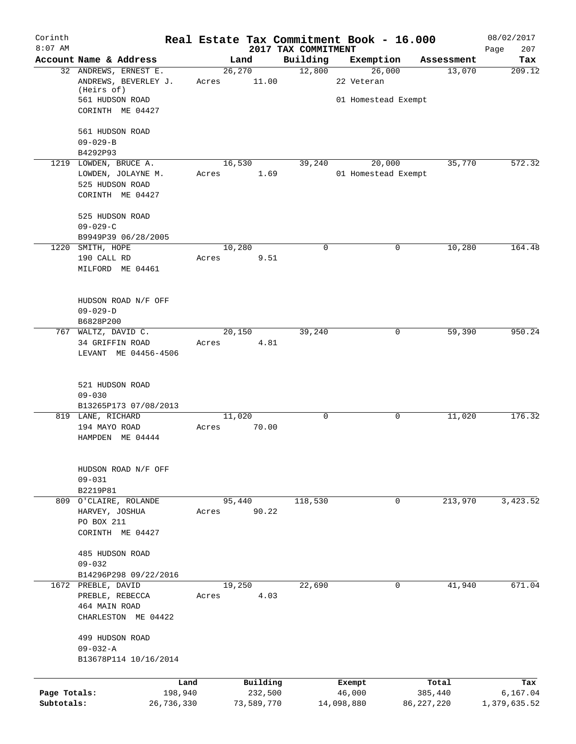| Corinth<br>$8:07$ AM |                                    |        |            |                                 | Real Estate Tax Commitment Book - 16.000 |              | 08/02/2017         |
|----------------------|------------------------------------|--------|------------|---------------------------------|------------------------------------------|--------------|--------------------|
|                      | Account Name & Address             |        | Land       | 2017 TAX COMMITMENT<br>Building | Exemption                                | Assessment   | 207<br>Page<br>Tax |
|                      | 32 ANDREWS, ERNEST E.              | 26,270 |            | 12,800                          | 26,000                                   | 13,070       | 209.12             |
|                      | ANDREWS, BEVERLEY J.<br>(Heirs of) | Acres  | 11.00      |                                 | 22 Veteran                               |              |                    |
|                      | 561 HUDSON ROAD                    |        |            |                                 | 01 Homestead Exempt                      |              |                    |
|                      | CORINTH ME 04427                   |        |            |                                 |                                          |              |                    |
|                      |                                    |        |            |                                 |                                          |              |                    |
|                      | 561 HUDSON ROAD                    |        |            |                                 |                                          |              |                    |
|                      | $09 - 029 - B$                     |        |            |                                 |                                          |              |                    |
|                      | B4292P93                           |        |            |                                 |                                          |              |                    |
|                      | 1219 LOWDEN, BRUCE A.              | 16,530 |            | 39,240                          | 20,000                                   | 35,770       | 572.32             |
|                      | LOWDEN, JOLAYNE M.                 | Acres  | 1.69       |                                 | 01 Homestead Exempt                      |              |                    |
|                      | 525 HUDSON ROAD                    |        |            |                                 |                                          |              |                    |
|                      | CORINTH ME 04427                   |        |            |                                 |                                          |              |                    |
|                      | 525 HUDSON ROAD                    |        |            |                                 |                                          |              |                    |
|                      | $09 - 029 - C$                     |        |            |                                 |                                          |              |                    |
|                      | B9949P39 06/28/2005                |        |            |                                 |                                          |              |                    |
|                      | 1220 SMITH, HOPE                   | 10,280 |            | $\mathbf 0$                     |                                          | 10, 280<br>0 | 164.48             |
|                      | 190 CALL RD                        | Acres  | 9.51       |                                 |                                          |              |                    |
|                      | MILFORD ME 04461                   |        |            |                                 |                                          |              |                    |
|                      |                                    |        |            |                                 |                                          |              |                    |
|                      | HUDSON ROAD N/F OFF                |        |            |                                 |                                          |              |                    |
|                      | $09 - 029 - D$                     |        |            |                                 |                                          |              |                    |
|                      | B6828P200                          |        |            |                                 |                                          |              |                    |
|                      | 767 WALTZ, DAVID C.                | 20,150 |            | 39,240                          |                                          | 59,390<br>0  | 950.24             |
|                      | 34 GRIFFIN ROAD                    | Acres  | 4.81       |                                 |                                          |              |                    |
|                      | LEVANT ME 04456-4506               |        |            |                                 |                                          |              |                    |
|                      | 521 HUDSON ROAD                    |        |            |                                 |                                          |              |                    |
|                      | $09 - 030$                         |        |            |                                 |                                          |              |                    |
|                      | B13265P173 07/08/2013              |        |            |                                 |                                          |              |                    |
|                      | 819 LANE, RICHARD                  | 11,020 |            | $\mathbf 0$                     |                                          | 11,020<br>0  | 176.32             |
|                      | 194 MAYO ROAD                      | Acres  | 70.00      |                                 |                                          |              |                    |
|                      | HAMPDEN ME 04444                   |        |            |                                 |                                          |              |                    |
|                      |                                    |        |            |                                 |                                          |              |                    |
|                      | HUDSON ROAD N/F OFF                |        |            |                                 |                                          |              |                    |
|                      | $09 - 031$                         |        |            |                                 |                                          |              |                    |
|                      | B2219P81                           |        |            |                                 |                                          |              |                    |
|                      | 809 O'CLAIRE, ROLANDE              | 95,440 |            | 118,530                         |                                          | 213,970<br>0 | 3,423.52           |
|                      | HARVEY, JOSHUA                     | Acres  | 90.22      |                                 |                                          |              |                    |
|                      | PO BOX 211                         |        |            |                                 |                                          |              |                    |
|                      | CORINTH ME 04427                   |        |            |                                 |                                          |              |                    |
|                      | 485 HUDSON ROAD                    |        |            |                                 |                                          |              |                    |
|                      | $09 - 032$                         |        |            |                                 |                                          |              |                    |
|                      | B14296P298 09/22/2016              |        |            |                                 |                                          |              |                    |
|                      | 1672 PREBLE, DAVID                 | 19,250 |            | 22,690                          |                                          | 0<br>41,940  | 671.04             |
|                      | PREBLE, REBECCA                    | Acres  | 4.03       |                                 |                                          |              |                    |
|                      | 464 MAIN ROAD                      |        |            |                                 |                                          |              |                    |
|                      | CHARLESTON ME 04422                |        |            |                                 |                                          |              |                    |
|                      | 499 HUDSON ROAD                    |        |            |                                 |                                          |              |                    |
|                      | $09 - 032 - A$                     |        |            |                                 |                                          |              |                    |
|                      | B13678P114 10/16/2014              |        |            |                                 |                                          |              |                    |
|                      |                                    |        |            |                                 |                                          |              |                    |
|                      | Land                               |        | Building   |                                 | Exempt                                   | Total        | Tax                |
| Page Totals:         | 198,940                            |        | 232,500    |                                 | 46,000                                   | 385,440      | 6,167.04           |
| Subtotals:           | 26,736,330                         |        | 73,589,770 |                                 | 14,098,880                               | 86, 227, 220 | 1,379,635.52       |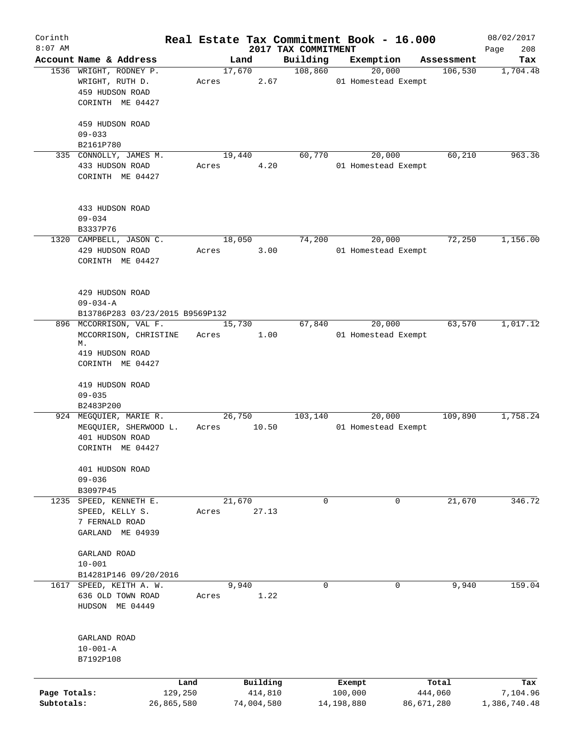| Corinth      |                                 |         |        |            | Real Estate Tax Commitment Book - 16.000 |                     |        |            | 08/02/2017         |
|--------------|---------------------------------|---------|--------|------------|------------------------------------------|---------------------|--------|------------|--------------------|
| $8:07$ AM    | Account Name & Address          |         | Land   |            | 2017 TAX COMMITMENT<br>Building          | Exemption           |        | Assessment | 208<br>Page<br>Tax |
|              | 1536 WRIGHT, RODNEY P.          |         | 17,670 |            | 108,860                                  |                     | 20,000 | 106,530    | 1,704.48           |
|              | WRIGHT, RUTH D.                 | Acres   |        | 2.67       |                                          | 01 Homestead Exempt |        |            |                    |
|              | 459 HUDSON ROAD                 |         |        |            |                                          |                     |        |            |                    |
|              | CORINTH ME 04427                |         |        |            |                                          |                     |        |            |                    |
|              |                                 |         |        |            |                                          |                     |        |            |                    |
|              | 459 HUDSON ROAD                 |         |        |            |                                          |                     |        |            |                    |
|              | $09 - 033$                      |         |        |            |                                          |                     |        |            |                    |
|              | B2161P780                       |         |        |            |                                          |                     |        |            |                    |
|              | 335 CONNOLLY, JAMES M.          |         | 19,440 |            | 60,770                                   |                     | 20,000 | 60,210     | 963.36             |
|              | 433 HUDSON ROAD                 | Acres   |        | 4.20       |                                          | 01 Homestead Exempt |        |            |                    |
|              | CORINTH ME 04427                |         |        |            |                                          |                     |        |            |                    |
|              |                                 |         |        |            |                                          |                     |        |            |                    |
|              |                                 |         |        |            |                                          |                     |        |            |                    |
|              | 433 HUDSON ROAD                 |         |        |            |                                          |                     |        |            |                    |
|              | $09 - 034$                      |         |        |            |                                          |                     |        |            |                    |
|              | B3337P76                        |         |        |            |                                          |                     |        |            |                    |
|              | 1320 CAMPBELL, JASON C.         |         | 18,050 |            | 74,200                                   |                     | 20,000 | 72,250     | 1,156.00           |
|              | 429 HUDSON ROAD                 | Acres   |        | 3.00       |                                          | 01 Homestead Exempt |        |            |                    |
|              | CORINTH ME 04427                |         |        |            |                                          |                     |        |            |                    |
|              |                                 |         |        |            |                                          |                     |        |            |                    |
|              |                                 |         |        |            |                                          |                     |        |            |                    |
|              | 429 HUDSON ROAD                 |         |        |            |                                          |                     |        |            |                    |
|              | $09 - 034 - A$                  |         |        |            |                                          |                     |        |            |                    |
|              | B13786P283 03/23/2015 B9569P132 |         |        |            |                                          |                     |        |            |                    |
|              | 896 MCCORRISON, VAL F.          |         | 15,730 |            | 67,840                                   |                     | 20,000 | 63,570     | 1,017.12           |
|              | MCCORRISON, CHRISTINE           |         | Acres  | 1.00       |                                          | 01 Homestead Exempt |        |            |                    |
|              | М.                              |         |        |            |                                          |                     |        |            |                    |
|              | 419 HUDSON ROAD                 |         |        |            |                                          |                     |        |            |                    |
|              | CORINTH ME 04427                |         |        |            |                                          |                     |        |            |                    |
|              |                                 |         |        |            |                                          |                     |        |            |                    |
|              | 419 HUDSON ROAD                 |         |        |            |                                          |                     |        |            |                    |
|              | $09 - 035$                      |         |        |            |                                          |                     |        |            |                    |
|              | B2483P200                       |         |        |            |                                          |                     |        |            |                    |
|              | 924 MEGQUIER, MARIE R.          |         | 26,750 |            | 103, 140                                 |                     | 20,000 | 109,890    | 1,758.24           |
|              | MEGQUIER, SHERWOOD L.           | Acres   |        | 10.50      |                                          | 01 Homestead Exempt |        |            |                    |
|              | 401 HUDSON ROAD                 |         |        |            |                                          |                     |        |            |                    |
|              | CORINTH ME 04427                |         |        |            |                                          |                     |        |            |                    |
|              |                                 |         |        |            |                                          |                     |        |            |                    |
|              | 401 HUDSON ROAD                 |         |        |            |                                          |                     |        |            |                    |
|              | $09 - 036$                      |         |        |            |                                          |                     |        |            |                    |
|              | B3097P45                        |         |        |            |                                          |                     |        |            |                    |
|              | 1235 SPEED, KENNETH E.          |         | 21,670 |            | 0                                        |                     | 0      | 21,670     | 346.72             |
|              | SPEED, KELLY S.                 | Acres   |        | 27.13      |                                          |                     |        |            |                    |
|              | 7 FERNALD ROAD                  |         |        |            |                                          |                     |        |            |                    |
|              | GARLAND ME 04939                |         |        |            |                                          |                     |        |            |                    |
|              |                                 |         |        |            |                                          |                     |        |            |                    |
|              | GARLAND ROAD                    |         |        |            |                                          |                     |        |            |                    |
|              | $10 - 001$                      |         |        |            |                                          |                     |        |            |                    |
|              | B14281P146 09/20/2016           |         |        |            |                                          |                     |        |            |                    |
|              | 1617 SPEED, KEITH A. W.         |         | 9,940  |            | $\mathbf 0$                              |                     | 0      | 9,940      | 159.04             |
|              | 636 OLD TOWN ROAD               | Acres   |        | 1.22       |                                          |                     |        |            |                    |
|              | HUDSON ME 04449                 |         |        |            |                                          |                     |        |            |                    |
|              |                                 |         |        |            |                                          |                     |        |            |                    |
|              |                                 |         |        |            |                                          |                     |        |            |                    |
|              | GARLAND ROAD                    |         |        |            |                                          |                     |        |            |                    |
|              | $10 - 001 - A$                  |         |        |            |                                          |                     |        |            |                    |
|              | B7192P108                       |         |        |            |                                          |                     |        |            |                    |
|              |                                 |         |        |            |                                          |                     |        |            |                    |
|              |                                 | Land    |        | Building   |                                          | Exempt              |        | Total      | Tax                |
| Page Totals: |                                 | 129,250 |        | 414,810    |                                          | 100,000             |        | 444,060    | 7,104.96           |
| Subtotals:   | 26,865,580                      |         |        | 74,004,580 |                                          | 14,198,880          |        | 86,671,280 | 1,386,740.48       |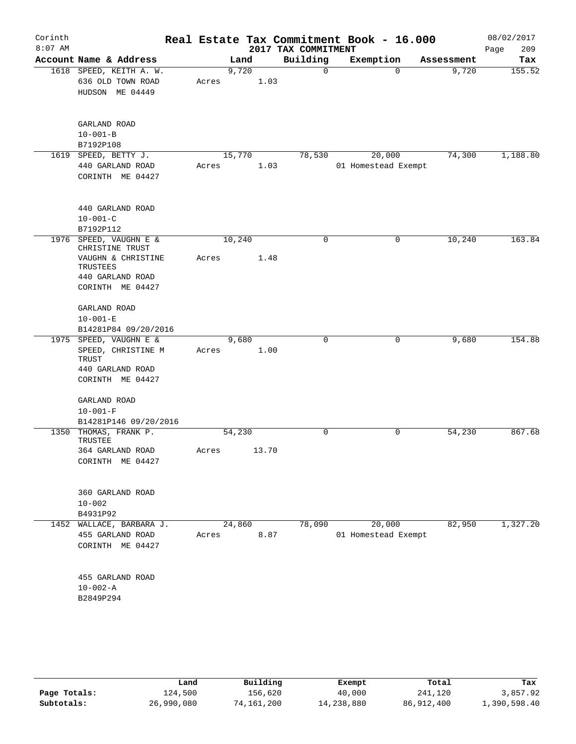| Corinth<br>$8:07$ AM |                                                                                               |                |       | 2017 TAX COMMITMENT | Real Estate Tax Commitment Book - 16.000 |            | 08/02/2017<br>209<br>Page |
|----------------------|-----------------------------------------------------------------------------------------------|----------------|-------|---------------------|------------------------------------------|------------|---------------------------|
|                      | Account Name & Address                                                                        |                | Land  | Building            | Exemption                                | Assessment | Tax                       |
|                      | 1618 SPEED, KEITH A. W.<br>636 OLD TOWN ROAD<br>HUDSON ME 04449                               | 9,720<br>Acres | 1.03  | $\Omega$            | $\Omega$                                 | 9,720      | 155.52                    |
|                      | GARLAND ROAD<br>$10 - 001 - B$<br>B7192P108                                                   |                |       |                     |                                          |            |                           |
|                      | 1619 SPEED, BETTY J.                                                                          | 15,770         |       | 78,530              | 20,000                                   | 74,300     | 1,188.80                  |
|                      | 440 GARLAND ROAD<br>CORINTH ME 04427                                                          | Acres          | 1.03  |                     | 01 Homestead Exempt                      |            |                           |
|                      | 440 GARLAND ROAD<br>$10 - 001 - C$<br>B7192P112                                               |                |       |                     |                                          |            |                           |
|                      | 1976 SPEED, VAUGHN E &<br>CHRISTINE TRUST                                                     | 10,240         |       | $\mathbf 0$         | 0                                        | 10,240     | 163.84                    |
|                      | VAUGHN & CHRISTINE<br>TRUSTEES<br>440 GARLAND ROAD                                            | Acres          | 1.48  |                     |                                          |            |                           |
|                      | CORINTH ME 04427                                                                              |                |       |                     |                                          |            |                           |
|                      | GARLAND ROAD<br>$10 - 001 - E$                                                                |                |       |                     |                                          |            |                           |
|                      | B14281P84 09/20/2016                                                                          |                |       |                     |                                          |            |                           |
|                      | 1975 SPEED, VAUGHN E &<br>SPEED, CHRISTINE M<br>TRUST<br>440 GARLAND ROAD<br>CORINTH ME 04427 | 9,680<br>Acres | 1.00  | $\mathbf 0$         | 0                                        | 9,680      | 154.88                    |
|                      | GARLAND ROAD<br>$10 - 001 - F$<br>B14281P146 09/20/2016                                       |                |       |                     |                                          |            |                           |
| 1350                 | THOMAS, FRANK P.<br>TRUSTEE                                                                   | 54,230         |       | $\Omega$            | 0                                        | 54,230     | 867.68                    |
|                      | 364 GARLAND ROAD<br>CORINTH ME 04427                                                          | Acres          | 13.70 |                     |                                          |            |                           |
|                      | 360 GARLAND ROAD<br>$10 - 002$<br>B4931P92                                                    |                |       |                     |                                          |            |                           |
|                      | 1452 WALLACE, BARBARA J.                                                                      | 24,860         |       | 78,090              | 20,000                                   | 82,950     | 1,327.20                  |
|                      | 455 GARLAND ROAD<br>CORINTH ME 04427                                                          | Acres          | 8.87  |                     | 01 Homestead Exempt                      |            |                           |
|                      | 455 GARLAND ROAD<br>$10 - 002 - A$<br>B2849P294                                               |                |       |                     |                                          |            |                           |
|                      |                                                                                               |                |       |                     |                                          |            |                           |

|              | Land       | Building   | Exempt     | Total      | Tax          |
|--------------|------------|------------|------------|------------|--------------|
| Page Totals: | 124,500    | 156.620    | 40,000     | 241,120    | 3,857.92     |
| Subtotals:   | 26,990,080 | 74,161,200 | 14,238,880 | 86,912,400 | 1,390,598.40 |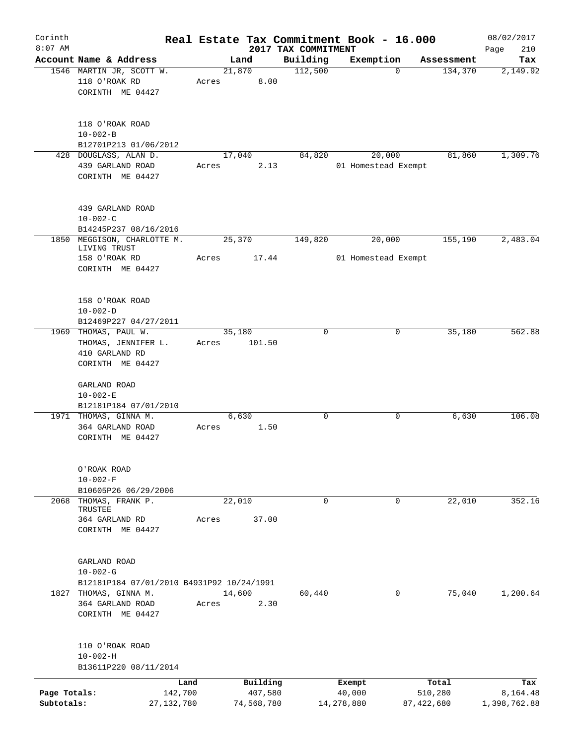| Corinth      |                                                               |       |                |                     | Real Estate Tax Commitment Book - 16.000 |              | 08/02/2017   |
|--------------|---------------------------------------------------------------|-------|----------------|---------------------|------------------------------------------|--------------|--------------|
| $8:07$ AM    |                                                               |       |                | 2017 TAX COMMITMENT |                                          |              | 210<br>Page  |
|              | Account Name & Address                                        |       | Land           | Building            | Exemption                                | Assessment   | Tax          |
|              | 1546 MARTIN JR, SCOTT W.<br>118 O'ROAK RD<br>CORINTH ME 04427 | Acres | 21,870<br>8.00 | 112,500             | $\mathbf 0$                              | 134,370      | 2,149.92     |
|              | 118 O'ROAK ROAD<br>$10 - 002 - B$<br>B12701P213 01/06/2012    |       |                |                     |                                          |              |              |
|              | 428 DOUGLASS, ALAN D.                                         |       | 17,040         | 84,820              | 20,000                                   | 81,860       | 1,309.76     |
|              | 439 GARLAND ROAD<br>CORINTH ME 04427                          | Acres | 2.13           |                     | 01 Homestead Exempt                      |              |              |
|              | 439 GARLAND ROAD<br>$10 - 002 - C$                            |       |                |                     |                                          |              |              |
| 1850         | B14245P237 08/16/2016<br>MEGGISON, CHARLOTTE M.               |       | 25,370         | 149,820             | 20,000                                   | 155,190      | 2,483.04     |
|              | LIVING TRUST                                                  |       |                |                     |                                          |              |              |
|              | 158 O'ROAK RD<br>CORINTH ME 04427                             | Acres | 17.44          |                     | 01 Homestead Exempt                      |              |              |
|              | 158 O'ROAK ROAD<br>$10 - 002 - D$<br>B12469P227 04/27/2011    |       |                |                     |                                          |              |              |
|              | 1969 THOMAS, PAUL W.                                          |       | 35,180         | $\mathbf 0$         | 0                                        | 35,180       | 562.88       |
|              | THOMAS, JENNIFER L.                                           | Acres | 101.50         |                     |                                          |              |              |
|              | 410 GARLAND RD                                                |       |                |                     |                                          |              |              |
|              | CORINTH ME 04427                                              |       |                |                     |                                          |              |              |
|              | GARLAND ROAD                                                  |       |                |                     |                                          |              |              |
|              | $10 - 002 - E$                                                |       |                |                     |                                          |              |              |
|              | B12181P184 07/01/2010                                         |       |                |                     |                                          |              |              |
|              | 1971 THOMAS, GINNA M.                                         |       | 6,630          | 0                   | 0                                        | 6,630        | 106.08       |
|              | 364 GARLAND ROAD<br>CORINTH ME 04427                          | Acres | 1.50           |                     |                                          |              |              |
|              | O'ROAK ROAD                                                   |       |                |                     |                                          |              |              |
|              | $10 - 002 - F$                                                |       |                |                     |                                          |              |              |
| 2068         | B10605P26 06/29/2006<br>THOMAS, FRANK P.                      |       | 22,010         | $\mathbf 0$         | $\mathbf 0$                              | 22,010       | 352.16       |
|              | TRUSTEE                                                       |       |                |                     |                                          |              |              |
|              | 364 GARLAND RD<br>CORINTH ME 04427                            | Acres | 37.00          |                     |                                          |              |              |
|              | GARLAND ROAD<br>$10 - 002 - G$                                |       |                |                     |                                          |              |              |
|              | B12181P184 07/01/2010 B4931P92 10/24/1991                     |       |                |                     |                                          |              |              |
|              | 1827 THOMAS, GINNA M.<br>364 GARLAND ROAD                     | Acres | 14,600<br>2.30 | 60,440              | 0                                        | 75,040       | 1,200.64     |
|              | CORINTH ME 04427                                              |       |                |                     |                                          |              |              |
|              | 110 O'ROAK ROAD<br>$10 - 002 - H$                             |       |                |                     |                                          |              |              |
|              | B13611P220 08/11/2014                                         |       |                |                     |                                          |              |              |
|              | Land                                                          |       | Building       |                     | Exempt                                   | Total        | Tax          |
| Page Totals: | 142,700                                                       |       | 407,580        |                     | 40,000                                   | 510,280      | 8,164.48     |
| Subtotals:   | 27, 132, 780                                                  |       | 74,568,780     |                     | 14,278,880                               | 87, 422, 680 | 1,398,762.88 |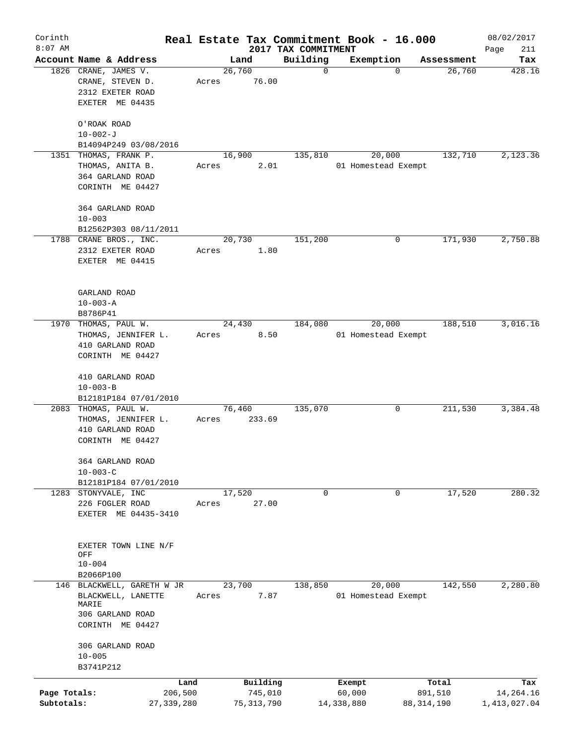| Corinth      |                                          |                 |       |                |                     | Real Estate Tax Commitment Book - 16.000 |             |                     |              |                      | 08/02/2017       |
|--------------|------------------------------------------|-----------------|-------|----------------|---------------------|------------------------------------------|-------------|---------------------|--------------|----------------------|------------------|
| $8:07$ AM    |                                          |                 |       |                |                     | 2017 TAX COMMITMENT                      |             |                     |              |                      | Page<br>211      |
|              | Account Name & Address                   |                 |       | Land<br>26,760 |                     | Building                                 | $\mathbf 0$ | Exemption<br>0      |              | Assessment<br>26,760 | Tax<br>428.16    |
|              | 1826 CRANE, JAMES V.<br>CRANE, STEVEN D. |                 | Acres |                | 76.00               |                                          |             |                     |              |                      |                  |
|              | 2312 EXETER ROAD                         |                 |       |                |                     |                                          |             |                     |              |                      |                  |
|              | EXETER ME 04435                          |                 |       |                |                     |                                          |             |                     |              |                      |                  |
|              |                                          |                 |       |                |                     |                                          |             |                     |              |                      |                  |
|              | O'ROAK ROAD                              |                 |       |                |                     |                                          |             |                     |              |                      |                  |
|              | $10 - 002 - J$                           |                 |       |                |                     |                                          |             |                     |              |                      |                  |
|              | B14094P249 03/08/2016                    |                 |       |                |                     |                                          |             |                     |              |                      |                  |
|              | 1351 THOMAS, FRANK P.                    |                 |       | 16,900         |                     | 135,810                                  |             | 20,000              |              | 132,710              | 2,123.36         |
|              | THOMAS, ANITA B.                         |                 | Acres |                | 2.01                |                                          |             | 01 Homestead Exempt |              |                      |                  |
|              | 364 GARLAND ROAD                         |                 |       |                |                     |                                          |             |                     |              |                      |                  |
|              | CORINTH ME 04427                         |                 |       |                |                     |                                          |             |                     |              |                      |                  |
|              |                                          |                 |       |                |                     |                                          |             |                     |              |                      |                  |
|              | 364 GARLAND ROAD                         |                 |       |                |                     |                                          |             |                     |              |                      |                  |
|              | $10 - 003$                               |                 |       |                |                     |                                          |             |                     |              |                      |                  |
|              | B12562P303 08/11/2011                    |                 |       |                |                     |                                          |             |                     |              |                      |                  |
|              | 1788 CRANE BROS., INC.                   |                 |       | 20,730         |                     | 151,200                                  |             | 0                   |              | 171,930              | 2,750.88         |
|              | 2312 EXETER ROAD                         |                 | Acres |                | 1.80                |                                          |             |                     |              |                      |                  |
|              | EXETER ME 04415                          |                 |       |                |                     |                                          |             |                     |              |                      |                  |
|              |                                          |                 |       |                |                     |                                          |             |                     |              |                      |                  |
|              | GARLAND ROAD                             |                 |       |                |                     |                                          |             |                     |              |                      |                  |
|              | $10 - 003 - A$                           |                 |       |                |                     |                                          |             |                     |              |                      |                  |
|              | B8786P41                                 |                 |       |                |                     |                                          |             |                     |              |                      |                  |
| 1970         | THOMAS, PAUL W.                          |                 |       | 24,430         |                     | 184,080                                  |             | 20,000              |              | 188,510              | 3,016.16         |
|              | THOMAS, JENNIFER L.                      |                 | Acres |                | 8.50                |                                          |             | 01 Homestead Exempt |              |                      |                  |
|              | 410 GARLAND ROAD                         |                 |       |                |                     |                                          |             |                     |              |                      |                  |
|              | CORINTH ME 04427                         |                 |       |                |                     |                                          |             |                     |              |                      |                  |
|              |                                          |                 |       |                |                     |                                          |             |                     |              |                      |                  |
|              | 410 GARLAND ROAD                         |                 |       |                |                     |                                          |             |                     |              |                      |                  |
|              | $10 - 003 - B$                           |                 |       |                |                     |                                          |             |                     |              |                      |                  |
|              | B12181P184 07/01/2010                    |                 |       |                |                     |                                          |             |                     |              |                      |                  |
|              | 2083 THOMAS, PAUL W.                     |                 |       | 76,460         |                     | 135,070                                  |             | 0                   |              | 211,530              | 3,384.48         |
|              | THOMAS, JENNIFER L.                      |                 | Acres |                | 233.69              |                                          |             |                     |              |                      |                  |
|              | 410 GARLAND ROAD<br>CORINTH ME 04427     |                 |       |                |                     |                                          |             |                     |              |                      |                  |
|              |                                          |                 |       |                |                     |                                          |             |                     |              |                      |                  |
|              | 364 GARLAND ROAD                         |                 |       |                |                     |                                          |             |                     |              |                      |                  |
|              | $10 - 003 - C$                           |                 |       |                |                     |                                          |             |                     |              |                      |                  |
|              | B12181P184 07/01/2010                    |                 |       |                |                     |                                          |             |                     |              |                      |                  |
|              | 1283 STONYVALE, INC                      |                 |       | 17,520         |                     |                                          | 0           | 0                   |              | 17,520               | 280.32           |
|              | 226 FOGLER ROAD                          |                 | Acres |                | 27.00               |                                          |             |                     |              |                      |                  |
|              | EXETER ME 04435-3410                     |                 |       |                |                     |                                          |             |                     |              |                      |                  |
|              |                                          |                 |       |                |                     |                                          |             |                     |              |                      |                  |
|              |                                          |                 |       |                |                     |                                          |             |                     |              |                      |                  |
|              | EXETER TOWN LINE N/F<br>OFF              |                 |       |                |                     |                                          |             |                     |              |                      |                  |
|              | $10 - 004$                               |                 |       |                |                     |                                          |             |                     |              |                      |                  |
|              | B2066P100                                |                 |       |                |                     |                                          |             |                     |              |                      |                  |
|              | 146 BLACKWELL, GARETH W JR               |                 |       | 23,700         |                     | 138,850                                  |             | 20,000              |              | 142,550              | 2,280.80         |
|              | BLACKWELL, LANETTE                       |                 | Acres |                | 7.87                |                                          |             | 01 Homestead Exempt |              |                      |                  |
|              | MARIE                                    |                 |       |                |                     |                                          |             |                     |              |                      |                  |
|              | 306 GARLAND ROAD                         |                 |       |                |                     |                                          |             |                     |              |                      |                  |
|              | CORINTH ME 04427                         |                 |       |                |                     |                                          |             |                     |              |                      |                  |
|              | 306 GARLAND ROAD                         |                 |       |                |                     |                                          |             |                     |              |                      |                  |
|              | $10 - 005$                               |                 |       |                |                     |                                          |             |                     |              |                      |                  |
|              | B3741P212                                |                 |       |                |                     |                                          |             |                     |              |                      |                  |
|              |                                          |                 |       |                |                     |                                          |             |                     |              |                      |                  |
| Page Totals: |                                          | Land<br>206,500 |       |                | Building<br>745,010 |                                          |             | Exempt<br>60,000    |              | Total<br>891,510     | Tax<br>14,264.16 |
| Subtotals:   |                                          | 27, 339, 280    |       |                | 75, 313, 790        |                                          | 14,338,880  |                     | 88, 314, 190 |                      | 1,413,027.04     |
|              |                                          |                 |       |                |                     |                                          |             |                     |              |                      |                  |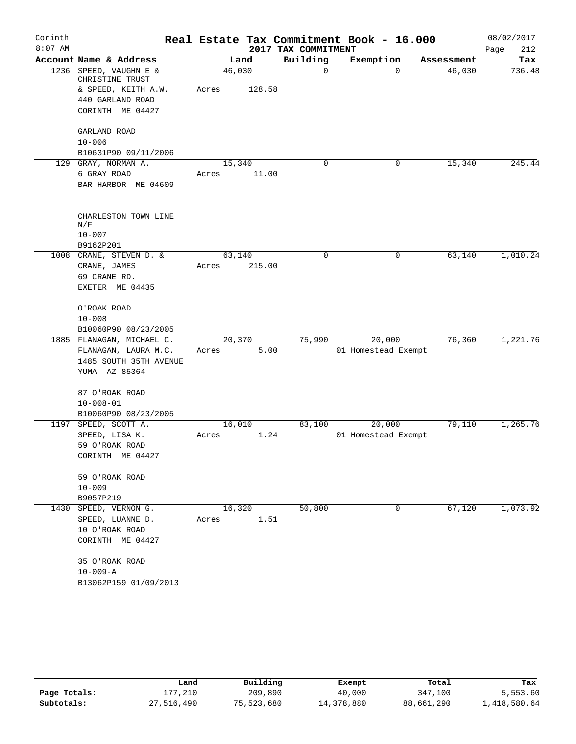| Corinth   |                                                                 |        |        |                     | Real Estate Tax Commitment Book - 16.000 |            | 08/02/2017  |
|-----------|-----------------------------------------------------------------|--------|--------|---------------------|------------------------------------------|------------|-------------|
| $8:07$ AM |                                                                 |        |        | 2017 TAX COMMITMENT |                                          |            | Page<br>212 |
|           | Account Name & Address                                          |        | Land   | Building            | Exemption                                | Assessment | Tax         |
|           | 1236 SPEED, VAUGHN E &<br>CHRISTINE TRUST                       | 46,030 |        | 0                   | $\Omega$                                 | 46,030     | 736.48      |
|           | & SPEED, KEITH A.W.                                             | Acres  | 128.58 |                     |                                          |            |             |
|           | 440 GARLAND ROAD                                                |        |        |                     |                                          |            |             |
|           | CORINTH ME 04427                                                |        |        |                     |                                          |            |             |
|           | GARLAND ROAD                                                    |        |        |                     |                                          |            |             |
|           | $10 - 006$                                                      |        |        |                     |                                          |            |             |
|           | B10631P90 09/11/2006                                            |        |        |                     |                                          |            |             |
|           | 129 GRAY, NORMAN A.                                             | 15,340 |        | 0                   | 0                                        | 15,340     | 245.44      |
|           | 6 GRAY ROAD                                                     | Acres  | 11.00  |                     |                                          |            |             |
|           | BAR HARBOR ME 04609                                             |        |        |                     |                                          |            |             |
|           | CHARLESTON TOWN LINE<br>N/F                                     |        |        |                     |                                          |            |             |
|           | $10 - 007$                                                      |        |        |                     |                                          |            |             |
|           | B9162P201                                                       |        |        |                     |                                          |            |             |
|           | 1008 CRANE, STEVEN D. &                                         | 63,140 |        | 0                   | 0                                        | 63,140     | 1,010.24    |
|           | CRANE, JAMES                                                    | Acres  | 215.00 |                     |                                          |            |             |
|           | 69 CRANE RD.                                                    |        |        |                     |                                          |            |             |
|           | EXETER ME 04435                                                 |        |        |                     |                                          |            |             |
|           | O'ROAK ROAD                                                     |        |        |                     |                                          |            |             |
|           | $10 - 008$                                                      |        |        |                     |                                          |            |             |
|           | B10060P90 08/23/2005                                            |        |        |                     |                                          |            |             |
|           | 1885 FLANAGAN, MICHAEL C.                                       | 20,370 |        | 75,990              | 20,000                                   | 76,360     | 1,221.76    |
|           | FLANAGAN, LAURA M.C.<br>1485 SOUTH 35TH AVENUE<br>YUMA AZ 85364 | Acres  | 5.00   |                     | 01 Homestead Exempt                      |            |             |
|           |                                                                 |        |        |                     |                                          |            |             |
|           | 87 O'ROAK ROAD                                                  |        |        |                     |                                          |            |             |
|           | $10 - 008 - 01$                                                 |        |        |                     |                                          |            |             |
|           | B10060P90 08/23/2005                                            |        |        |                     |                                          |            |             |
|           | 1197 SPEED, SCOTT A.                                            | 16,010 |        | 83,100              | 20,000                                   | 79,110     | 1,265.76    |
|           | SPEED, LISA K.                                                  | Acres  | 1.24   |                     | 01 Homestead Exempt                      |            |             |
|           | 59 O'ROAK ROAD                                                  |        |        |                     |                                          |            |             |
|           | CORINTH ME 04427                                                |        |        |                     |                                          |            |             |
|           | 59 O'ROAK ROAD                                                  |        |        |                     |                                          |            |             |
|           | $10 - 009$                                                      |        |        |                     |                                          |            |             |
|           | B9057P219                                                       |        |        |                     |                                          |            |             |
| 1430      | SPEED, VERNON G.                                                | 16,320 |        | 50,800              | 0                                        | 67,120     | 1,073.92    |
|           | SPEED, LUANNE D.                                                | Acres  | 1.51   |                     |                                          |            |             |
|           | 10 O'ROAK ROAD                                                  |        |        |                     |                                          |            |             |
|           | CORINTH ME 04427                                                |        |        |                     |                                          |            |             |
|           | 35 O'ROAK ROAD                                                  |        |        |                     |                                          |            |             |
|           | $10 - 009 - A$                                                  |        |        |                     |                                          |            |             |
|           | B13062P159 01/09/2013                                           |        |        |                     |                                          |            |             |

|              | Land       | Building   | Exempt     | Total      | Tax          |
|--------------|------------|------------|------------|------------|--------------|
| Page Totals: | 177,210    | 209,890    | 40,000     | 347,100    | 5,553.60     |
| Subtotals:   | 27,516,490 | 75,523,680 | 14,378,880 | 88,661,290 | 1,418,580.64 |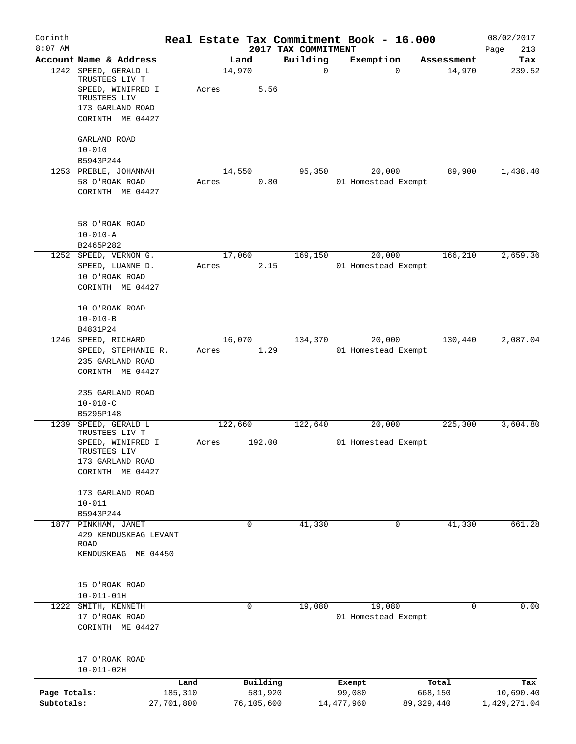| Corinth      |                                    |            |       |         |            |                                 |             | Real Estate Tax Commitment Book - 16.000 |              |            | 08/02/2017         |
|--------------|------------------------------------|------------|-------|---------|------------|---------------------------------|-------------|------------------------------------------|--------------|------------|--------------------|
| $8:07$ AM    | Account Name & Address             |            |       | Land    |            | 2017 TAX COMMITMENT<br>Building |             | Exemption                                |              | Assessment | Page<br>213<br>Tax |
| 1242         | SPEED, GERALD L                    |            |       | 14,970  |            |                                 | $\mathbf 0$ |                                          | $\mathbf 0$  | 14,970     | 239.52             |
|              | TRUSTEES LIV T                     |            |       |         |            |                                 |             |                                          |              |            |                    |
|              | SPEED, WINIFRED I<br>TRUSTEES LIV  |            | Acres |         | 5.56       |                                 |             |                                          |              |            |                    |
|              | 173 GARLAND ROAD                   |            |       |         |            |                                 |             |                                          |              |            |                    |
|              | CORINTH ME 04427                   |            |       |         |            |                                 |             |                                          |              |            |                    |
|              |                                    |            |       |         |            |                                 |             |                                          |              |            |                    |
|              | GARLAND ROAD                       |            |       |         |            |                                 |             |                                          |              |            |                    |
|              | $10 - 010$                         |            |       |         |            |                                 |             |                                          |              |            |                    |
|              | B5943P244                          |            |       |         |            |                                 |             |                                          |              |            |                    |
|              | 1253 PREBLE, JOHANNAH              |            |       | 14,550  |            | 95,350                          |             | 20,000                                   |              | 89,900     | 1,438.40           |
|              | 58 O'ROAK ROAD                     |            | Acres |         | 0.80       |                                 |             | 01 Homestead Exempt                      |              |            |                    |
|              | CORINTH ME 04427                   |            |       |         |            |                                 |             |                                          |              |            |                    |
|              | 58 O'ROAK ROAD                     |            |       |         |            |                                 |             |                                          |              |            |                    |
|              | $10 - 010 - A$                     |            |       |         |            |                                 |             |                                          |              |            |                    |
|              | B2465P282                          |            |       |         |            |                                 |             |                                          |              |            |                    |
|              | 1252 SPEED, VERNON G.              |            |       | 17,060  |            | 169,150                         |             | 20,000                                   |              | 166,210    | 2,659.36           |
|              | SPEED, LUANNE D.                   |            | Acres |         | 2.15       |                                 |             | 01 Homestead Exempt                      |              |            |                    |
|              | 10 O'ROAK ROAD                     |            |       |         |            |                                 |             |                                          |              |            |                    |
|              | CORINTH ME 04427                   |            |       |         |            |                                 |             |                                          |              |            |                    |
|              | 10 O'ROAK ROAD                     |            |       |         |            |                                 |             |                                          |              |            |                    |
|              | $10 - 010 - B$                     |            |       |         |            |                                 |             |                                          |              |            |                    |
|              | B4831P24                           |            |       |         |            |                                 |             |                                          |              |            |                    |
|              | 1246 SPEED, RICHARD                |            |       | 16,070  |            | 134,370                         |             | 20,000                                   |              | 130,440    | 2,087.04           |
|              | SPEED, STEPHANIE R.                |            | Acres |         | 1.29       |                                 |             | 01 Homestead Exempt                      |              |            |                    |
|              | 235 GARLAND ROAD                   |            |       |         |            |                                 |             |                                          |              |            |                    |
|              | CORINTH ME 04427                   |            |       |         |            |                                 |             |                                          |              |            |                    |
|              |                                    |            |       |         |            |                                 |             |                                          |              |            |                    |
|              | 235 GARLAND ROAD<br>$10 - 010 - C$ |            |       |         |            |                                 |             |                                          |              |            |                    |
|              | B5295P148                          |            |       |         |            |                                 |             |                                          |              |            |                    |
| 1239         | SPEED, GERALD L                    |            |       | 122,660 |            | 122,640                         |             | 20,000                                   |              | 225,300    | 3,604.80           |
|              | TRUSTEES LIV T                     |            |       |         |            |                                 |             |                                          |              |            |                    |
|              | SPEED, WINIFRED I                  |            | Acres |         | 192.00     |                                 |             | 01 Homestead Exempt                      |              |            |                    |
|              | TRUSTEES LIV<br>173 GARLAND ROAD   |            |       |         |            |                                 |             |                                          |              |            |                    |
|              | CORINTH ME 04427                   |            |       |         |            |                                 |             |                                          |              |            |                    |
|              |                                    |            |       |         |            |                                 |             |                                          |              |            |                    |
|              | 173 GARLAND ROAD                   |            |       |         |            |                                 |             |                                          |              |            |                    |
|              | $10 - 011$                         |            |       |         |            |                                 |             |                                          |              |            |                    |
|              | B5943P244                          |            |       |         |            |                                 |             |                                          |              |            |                    |
|              | 1877 PINKHAM, JANET                |            |       |         | 0          | 41,330                          |             |                                          | 0            | 41,330     | 661.28             |
|              | 429 KENDUSKEAG LEVANT<br>ROAD      |            |       |         |            |                                 |             |                                          |              |            |                    |
|              | KENDUSKEAG ME 04450                |            |       |         |            |                                 |             |                                          |              |            |                    |
|              |                                    |            |       |         |            |                                 |             |                                          |              |            |                    |
|              | 15 O'ROAK ROAD                     |            |       |         |            |                                 |             |                                          |              |            |                    |
|              | $10 - 011 - 01H$                   |            |       |         |            |                                 |             |                                          |              |            |                    |
| 1222         | SMITH, KENNETH                     |            |       |         | 0          | 19,080                          |             | 19,080                                   |              | 0          | 0.00               |
|              | 17 O'ROAK ROAD                     |            |       |         |            |                                 |             | 01 Homestead Exempt                      |              |            |                    |
|              | CORINTH ME 04427                   |            |       |         |            |                                 |             |                                          |              |            |                    |
|              |                                    |            |       |         |            |                                 |             |                                          |              |            |                    |
|              | 17 O'ROAK ROAD                     |            |       |         |            |                                 |             |                                          |              |            |                    |
|              | $10 - 011 - 02H$                   |            |       |         |            |                                 |             |                                          |              |            |                    |
|              |                                    | Land       |       |         | Building   |                                 |             | Exempt                                   |              | Total      | Tax                |
| Page Totals: |                                    | 185,310    |       |         | 581,920    |                                 |             | 99,080                                   |              | 668,150    | 10,690.40          |
| Subtotals:   |                                    | 27,701,800 |       |         | 76,105,600 |                                 |             | 14, 477, 960                             | 89, 329, 440 |            | 1,429,271.04       |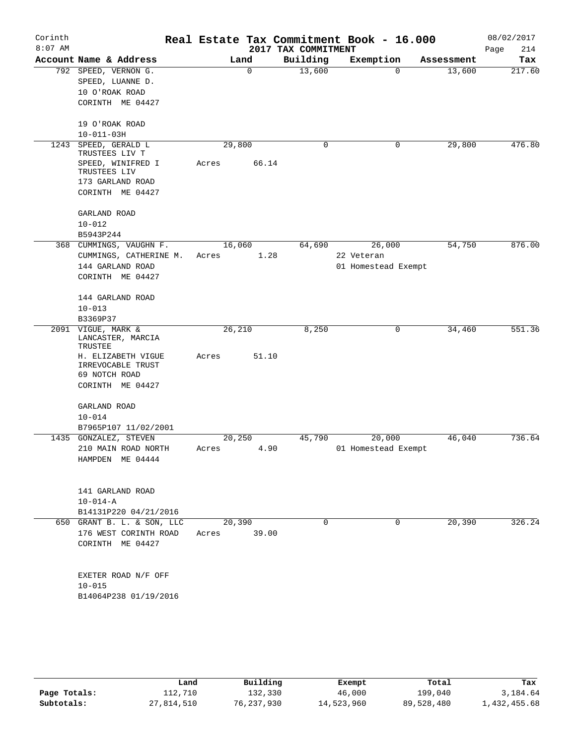|                                                                                |                                                                                                                         |             | 2017 TAX COMMITMENT                                             | Real Estate Tax Commitment Book - 16.000 |            | 08/02/2017<br>Page<br>214                                                                                                     |
|--------------------------------------------------------------------------------|-------------------------------------------------------------------------------------------------------------------------|-------------|-----------------------------------------------------------------|------------------------------------------|------------|-------------------------------------------------------------------------------------------------------------------------------|
| Account Name & Address                                                         |                                                                                                                         |             | Building                                                        |                                          | Assessment | Tax                                                                                                                           |
| 792 SPEED, VERNON G.<br>SPEED, LUANNE D.<br>10 O'ROAK ROAD<br>CORINTH ME 04427 |                                                                                                                         | $\mathbf 0$ | 13,600                                                          |                                          | 13,600     | 217.60                                                                                                                        |
| 19 O'ROAK ROAD<br>$10 - 011 - 03H$                                             |                                                                                                                         |             |                                                                 |                                          |            |                                                                                                                               |
| SPEED, GERALD L<br>TRUSTEES LIV T                                              |                                                                                                                         |             | $\mathbf 0$                                                     |                                          | 29,800     | 476.80                                                                                                                        |
| SPEED, WINIFRED I<br>TRUSTEES LIV<br>173 GARLAND ROAD                          | Acres                                                                                                                   | 66.14       |                                                                 |                                          |            |                                                                                                                               |
| CORINTH ME 04427                                                               |                                                                                                                         |             |                                                                 |                                          |            |                                                                                                                               |
| GARLAND ROAD<br>$10 - 012$                                                     |                                                                                                                         |             |                                                                 |                                          |            |                                                                                                                               |
|                                                                                |                                                                                                                         |             |                                                                 |                                          |            |                                                                                                                               |
| CUMMINGS, CATHERINE M.<br>144 GARLAND ROAD<br>CORINTH ME 04427                 | Acres                                                                                                                   | 1.28        |                                                                 | 22 Veteran                               |            | 876.00                                                                                                                        |
| 144 GARLAND ROAD<br>$10 - 013$                                                 |                                                                                                                         |             |                                                                 |                                          |            |                                                                                                                               |
| B3369P37                                                                       |                                                                                                                         |             |                                                                 |                                          |            |                                                                                                                               |
| 2091 VIGUE, MARK &<br>LANCASTER, MARCIA<br>TRUSTEE                             |                                                                                                                         |             | 8,250                                                           |                                          | 34,460     | 551.36                                                                                                                        |
| H. ELIZABETH VIGUE<br>IRREVOCABLE TRUST<br>69 NOTCH ROAD                       | Acres                                                                                                                   | 51.10       |                                                                 |                                          |            |                                                                                                                               |
|                                                                                |                                                                                                                         |             |                                                                 |                                          |            |                                                                                                                               |
| GARLAND ROAD                                                                   |                                                                                                                         |             |                                                                 |                                          |            |                                                                                                                               |
|                                                                                |                                                                                                                         |             |                                                                 |                                          |            |                                                                                                                               |
|                                                                                |                                                                                                                         |             |                                                                 |                                          |            |                                                                                                                               |
| 210 MAIN ROAD NORTH<br>HAMPDEN ME 04444                                        | Acres                                                                                                                   | 4.90        |                                                                 |                                          |            | 736.64                                                                                                                        |
| 141 GARLAND ROAD<br>$10 - 014 - A$<br>B14131P220 04/21/2016                    |                                                                                                                         |             |                                                                 |                                          |            |                                                                                                                               |
| 650 GRANT B. L. & SON, LLC<br>176 WEST CORINTH ROAD<br>CORINTH ME 04427        |                                                                                                                         | 39.00       | $\mathbf 0$                                                     |                                          |            | 326.24                                                                                                                        |
| EXETER ROAD N/F OFF<br>$10 - 015$                                              |                                                                                                                         |             |                                                                 |                                          |            |                                                                                                                               |
|                                                                                | B5943P244<br>368 CUMMINGS, VAUGHN F.<br>CORINTH ME 04427<br>$10 - 014$<br>B7965P107 11/02/2001<br>1435 GONZALEZ, STEVEN |             | Land<br>29,800<br>16,060<br>26,210<br>20,250<br>20,390<br>Acres | 64,690<br>45,790                         |            | Exemption<br>0<br>0<br>54,750<br>26,000<br>01 Homestead Exempt<br>0<br>20,000<br>46,040<br>01 Homestead Exempt<br>20,390<br>0 |

|              | Land       | Building     | Exempt     | Total      | Tax          |
|--------------|------------|--------------|------------|------------|--------------|
| Page Totals: | 112,710    | 132,330      | 46,000     | 199,040    | 3,184.64     |
| Subtotals:   | 27,814,510 | 76, 237, 930 | 14,523,960 | 89,528,480 | 1,432,455.68 |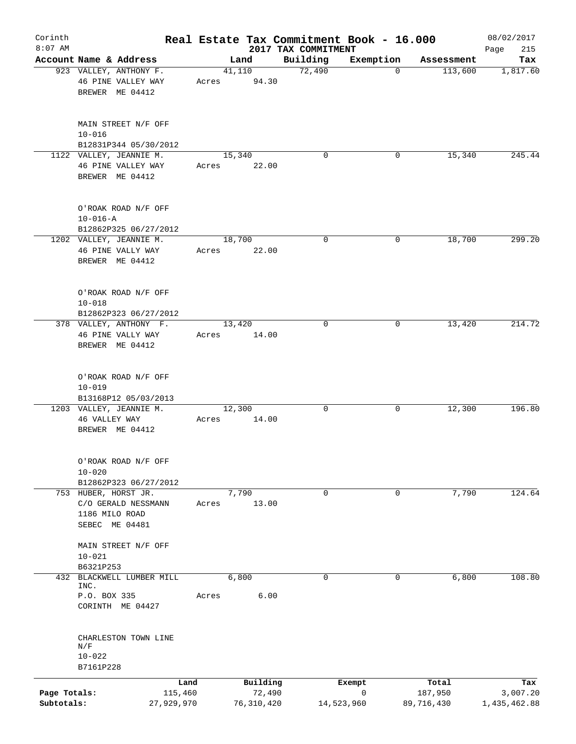| Corinth      |                                |                                                                  |       |                    | Real Estate Tax Commitment Book - 16.000 |                          |                       | 08/02/2017      |
|--------------|--------------------------------|------------------------------------------------------------------|-------|--------------------|------------------------------------------|--------------------------|-----------------------|-----------------|
| $8:07$ AM    |                                |                                                                  |       |                    | 2017 TAX COMMITMENT                      |                          |                       | 215<br>Page     |
|              |                                | Account Name & Address<br>923 VALLEY, ANTHONY F.                 |       | Land<br>41,110     | Building<br>72,490                       | Exemption<br>$\mathbf 0$ | Assessment<br>113,600 | Tax<br>1,817.60 |
|              |                                | 46 PINE VALLEY WAY<br>BREWER ME 04412                            | Acres | 94.30              |                                          |                          |                       |                 |
|              | $10 - 016$                     | MAIN STREET N/F OFF                                              |       |                    |                                          |                          |                       |                 |
|              |                                | B12831P344 05/30/2012                                            |       |                    |                                          |                          |                       |                 |
|              |                                | 1122 VALLEY, JEANNIE M.<br>46 PINE VALLEY WAY<br>BREWER ME 04412 | Acres | 15,340<br>22.00    | $\Omega$                                 | 0                        | 15,340                | 245.44          |
|              | $10 - 016 - A$                 | O'ROAK ROAD N/F OFF<br>B12862P325 06/27/2012                     |       |                    |                                          |                          |                       |                 |
|              |                                | 1202 VALLEY, JEANNIE M.                                          |       | 18,700             | $\mathbf 0$                              | 0                        | 18,700                | 299.20          |
|              |                                | 46 PINE VALLY WAY<br>BREWER ME 04412                             | Acres | 22.00              |                                          |                          |                       |                 |
|              | $10 - 018$                     | O'ROAK ROAD N/F OFF<br>B12862P323 06/27/2012                     |       |                    |                                          |                          |                       |                 |
|              |                                | 378 VALLEY, ANTHONY F.                                           |       | 13,420             | $\mathbf 0$                              | 0                        | 13,420                | 214.72          |
|              |                                | 46 PINE VALLY WAY<br>BREWER ME 04412                             | Acres | 14.00              |                                          |                          |                       |                 |
|              | $10 - 019$                     | O'ROAK ROAD N/F OFF<br>B13168P12 05/03/2013                      |       |                    |                                          |                          |                       |                 |
|              |                                | 1203 VALLEY, JEANNIE M.                                          |       | 12,300             | 0                                        | 0                        | 12,300                | 196.80          |
|              | 46 VALLEY WAY                  | BREWER ME 04412                                                  | Acres | 14.00              |                                          |                          |                       |                 |
|              | $10 - 020$                     | O'ROAK ROAD N/F OFF<br>B12862P323 06/27/2012                     |       |                    |                                          |                          |                       |                 |
|              |                                | 753 HUBER, HORST JR.                                             |       | 7,790              | 0                                        | 0                        | 7,790                 | 124.64          |
|              | 1186 MILO ROAD                 | C/O GERALD NESSMANN<br>SEBEC ME 04481                            | Acres | 13.00              |                                          |                          |                       |                 |
|              | $10 - 021$                     | MAIN STREET N/F OFF                                              |       |                    |                                          |                          |                       |                 |
|              | B6321P253                      | 432 BLACKWELL LUMBER MILL                                        |       | 6,800              | 0                                        | 0                        | 6,800                 | 108.80          |
|              | INC.                           |                                                                  |       |                    |                                          |                          |                       |                 |
|              | P.O. BOX 335                   | CORINTH ME 04427                                                 | Acres | 6.00               |                                          |                          |                       |                 |
|              | N/F<br>$10 - 022$<br>B7161P228 | CHARLESTON TOWN LINE                                             |       |                    |                                          |                          |                       |                 |
|              |                                |                                                                  |       |                    |                                          |                          |                       |                 |
| Page Totals: |                                | Land<br>115,460                                                  |       | Building<br>72,490 |                                          | Exempt<br>0              | Total<br>187,950      | Tax<br>3,007.20 |
| Subtotals:   |                                | 27,929,970                                                       |       | 76, 310, 420       |                                          | 14,523,960               | 89,716,430            | 1,435,462.88    |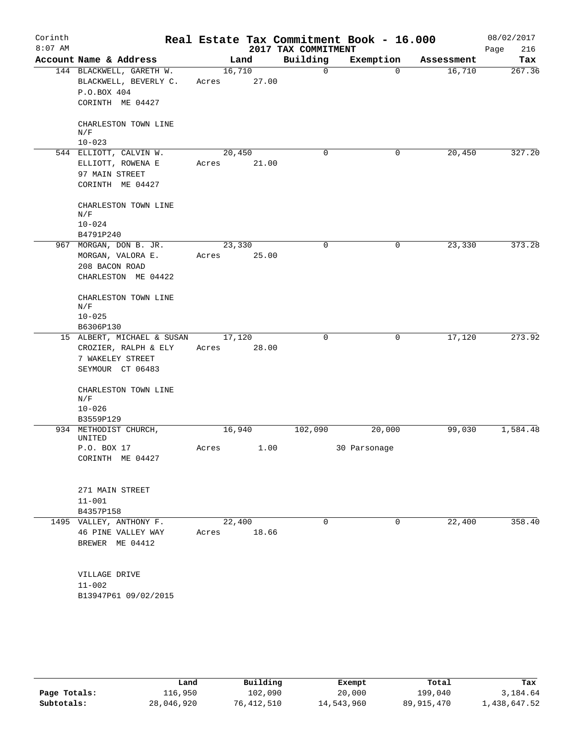| Corinth<br>$8:07$ AM |                                                                                      |                 |       | 2017 TAX COMMITMENT | Real Estate Tax Commitment Book - 16.000 |            | 08/02/2017<br>216<br>Page |
|----------------------|--------------------------------------------------------------------------------------|-----------------|-------|---------------------|------------------------------------------|------------|---------------------------|
|                      | Account Name & Address                                                               |                 | Land  | Building            | Exemption                                | Assessment | Tax                       |
|                      | 144 BLACKWELL, GARETH W.<br>BLACKWELL, BEVERLY C.<br>P.O.BOX 404<br>CORINTH ME 04427 | 16,710<br>Acres | 27.00 | $\Omega$            | $\Omega$                                 | 16,710     | 267.36                    |
|                      | CHARLESTON TOWN LINE<br>N/F                                                          |                 |       |                     |                                          |            |                           |
|                      | $10 - 023$<br>544 ELLIOTT, CALVIN W.                                                 | 20,450          |       | 0                   | 0                                        | 20,450     | 327.20                    |
|                      | ELLIOTT, ROWENA E<br>97 MAIN STREET<br>CORINTH ME 04427                              | Acres           | 21.00 |                     |                                          |            |                           |
|                      | CHARLESTON TOWN LINE<br>N/F<br>$10 - 024$<br>B4791P240                               |                 |       |                     |                                          |            |                           |
|                      | 967 MORGAN, DON B. JR.                                                               | 23,330          |       | $\mathbf 0$         | $\mathsf{O}$                             | 23,330     | 373.28                    |
|                      | MORGAN, VALORA E.<br>208 BACON ROAD<br>CHARLESTON ME 04422                           | Acres           | 25.00 |                     |                                          |            |                           |
|                      | CHARLESTON TOWN LINE<br>N/F<br>$10 - 025$<br>B6306P130                               |                 |       |                     |                                          |            |                           |
|                      | 15 ALBERT, MICHAEL & SUSAN                                                           | 17,120          |       | 0                   | 0                                        | 17,120     | 273.92                    |
|                      | CROZIER, RALPH & ELY<br>7 WAKELEY STREET<br>SEYMOUR CT 06483                         | Acres           | 28.00 |                     |                                          |            |                           |
|                      | CHARLESTON TOWN LINE<br>N/F<br>$10 - 026$                                            |                 |       |                     |                                          |            |                           |
|                      | B3559P129                                                                            |                 |       |                     |                                          |            |                           |
|                      | 934 METHODIST CHURCH,<br>UNITED                                                      | 16,940          |       | 102,090             | 20,000                                   | 99,030     | 1,584.48                  |
|                      | P.O. BOX 17<br>CORINTH ME 04427                                                      | Acres           | 1.00  |                     | 30 Parsonage                             |            |                           |
|                      | 271 MAIN STREET<br>$11 - 001$<br>B4357P158                                           |                 |       |                     |                                          |            |                           |
|                      | 1495 VALLEY, ANTHONY F.                                                              | 22,400          |       | 0                   | 0                                        | 22,400     | 358.40                    |
|                      | 46 PINE VALLEY WAY<br>BREWER ME 04412                                                | Acres           | 18.66 |                     |                                          |            |                           |
|                      | VILLAGE DRIVE<br>$11 - 002$                                                          |                 |       |                     |                                          |            |                           |
|                      | B13947P61 09/02/2015                                                                 |                 |       |                     |                                          |            |                           |

|              | Land       | Building   | Exempt     | Total      | Tax          |
|--------------|------------|------------|------------|------------|--------------|
| Page Totals: | 116,950    | 102,090    | 20,000     | 199,040    | 3,184.64     |
| Subtotals:   | 28,046,920 | 76,412,510 | 14,543,960 | 89,915,470 | 1,438,647.52 |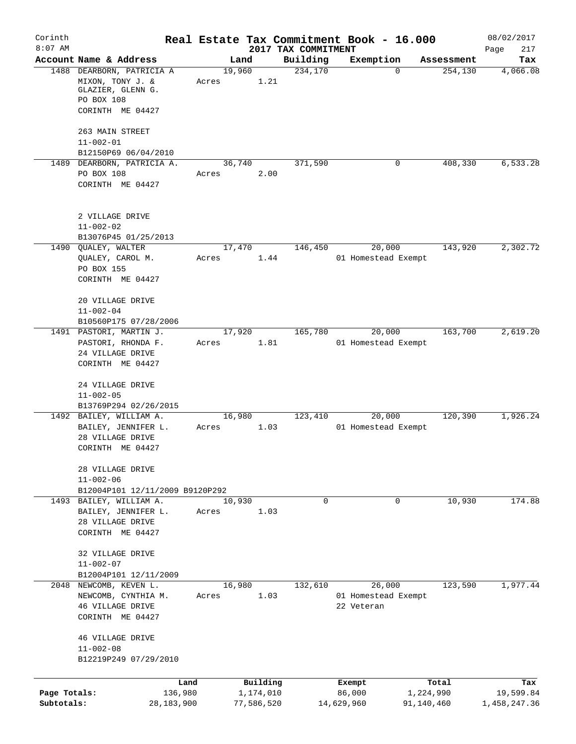| Corinth      |                                                                                                      |                 |            |                     | Real Estate Tax Commitment Book - 16.000 |            | 08/02/2017   |
|--------------|------------------------------------------------------------------------------------------------------|-----------------|------------|---------------------|------------------------------------------|------------|--------------|
| $8:07$ AM    |                                                                                                      |                 |            | 2017 TAX COMMITMENT |                                          |            | Page<br>217  |
|              | Account Name & Address                                                                               | Land            |            | Building            | Exemption                                | Assessment | Tax          |
|              | 1488 DEARBORN, PATRICIA A<br>MIXON, TONY J. &<br>GLAZIER, GLENN G.<br>PO BOX 108<br>CORINTH ME 04427 | 19,960<br>Acres | 1.21       | 234,170             | $\Omega$                                 | 254,130    | 4,066.08     |
|              |                                                                                                      |                 |            |                     |                                          |            |              |
|              | 263 MAIN STREET                                                                                      |                 |            |                     |                                          |            |              |
|              | $11 - 002 - 01$<br>B12150P69 06/04/2010                                                              |                 |            |                     |                                          |            |              |
|              | 1489 DEARBORN, PATRICIA A.                                                                           | 36,740          |            | 371,590             | 0                                        | 408,330    | 6,533.28     |
|              | PO BOX 108                                                                                           | Acres           | 2.00       |                     |                                          |            |              |
|              | CORINTH ME 04427                                                                                     |                 |            |                     |                                          |            |              |
|              | 2 VILLAGE DRIVE<br>$11 - 002 - 02$                                                                   |                 |            |                     |                                          |            |              |
|              | B13076P45 01/25/2013                                                                                 |                 |            |                     | 20,000                                   |            |              |
|              | 1490 QUALEY, WALTER<br>QUALEY, CAROL M.                                                              | 17,470<br>Acres | 1.44       | 146,450             | 01 Homestead Exempt                      | 143,920    | 2,302.72     |
|              | PO BOX 155                                                                                           |                 |            |                     |                                          |            |              |
|              | CORINTH ME 04427                                                                                     |                 |            |                     |                                          |            |              |
|              | 20 VILLAGE DRIVE                                                                                     |                 |            |                     |                                          |            |              |
|              | $11 - 002 - 04$                                                                                      |                 |            |                     |                                          |            |              |
|              | B10560P175 07/28/2006<br>1491 PASTORI, MARTIN J.                                                     | 17,920          |            | 165,780             | 20,000                                   | 163,700    | 2,619.20     |
|              | PASTORI, RHONDA F.                                                                                   | Acres           | 1.81       |                     | 01 Homestead Exempt                      |            |              |
|              | 24 VILLAGE DRIVE                                                                                     |                 |            |                     |                                          |            |              |
|              | CORINTH ME 04427                                                                                     |                 |            |                     |                                          |            |              |
|              | 24 VILLAGE DRIVE                                                                                     |                 |            |                     |                                          |            |              |
|              | $11 - 002 - 05$                                                                                      |                 |            |                     |                                          |            |              |
|              | B13769P294 02/26/2015<br>1492 BAILEY, WILLIAM A.                                                     | 16,980          |            | 123,410             | 20,000                                   | 120,390    | 1,926.24     |
|              | BAILEY, JENNIFER L.                                                                                  | Acres           | 1.03       |                     | 01 Homestead Exempt                      |            |              |
|              | 28 VILLAGE DRIVE                                                                                     |                 |            |                     |                                          |            |              |
|              | CORINTH ME 04427                                                                                     |                 |            |                     |                                          |            |              |
|              | 28 VILLAGE DRIVE                                                                                     |                 |            |                     |                                          |            |              |
|              | $11 - 002 - 06$                                                                                      |                 |            |                     |                                          |            |              |
|              | B12004P101 12/11/2009 B9120P292<br>1493 BAILEY, WILLIAM A.                                           | 10,930          |            | $\mathbf 0$         | 0                                        | 10,930     | 174.88       |
|              | BAILEY, JENNIFER L.                                                                                  | Acres           | 1.03       |                     |                                          |            |              |
|              | 28 VILLAGE DRIVE                                                                                     |                 |            |                     |                                          |            |              |
|              | CORINTH ME 04427                                                                                     |                 |            |                     |                                          |            |              |
|              | 32 VILLAGE DRIVE                                                                                     |                 |            |                     |                                          |            |              |
|              | $11 - 002 - 07$                                                                                      |                 |            |                     |                                          |            |              |
|              | B12004P101 12/11/2009                                                                                |                 |            |                     | 26,000                                   | 123,590    |              |
|              | 2048 NEWCOMB, KEVEN L.<br>NEWCOMB, CYNTHIA M.                                                        | 16,980<br>Acres | 1.03       | 132,610             | 01 Homestead Exempt                      |            | 1,977.44     |
|              | 46 VILLAGE DRIVE                                                                                     |                 |            |                     | 22 Veteran                               |            |              |
|              | CORINTH ME 04427                                                                                     |                 |            |                     |                                          |            |              |
|              | 46 VILLAGE DRIVE                                                                                     |                 |            |                     |                                          |            |              |
|              | $11 - 002 - 08$                                                                                      |                 |            |                     |                                          |            |              |
|              | B12219P249 07/29/2010                                                                                |                 |            |                     |                                          |            |              |
|              | Land                                                                                                 |                 | Building   |                     | Exempt                                   | Total      | Tax          |
| Page Totals: | 136,980                                                                                              |                 | 1,174,010  |                     | 86,000                                   | 1,224,990  | 19,599.84    |
| Subtotals:   | 28, 183, 900                                                                                         |                 | 77,586,520 |                     | 14,629,960                               | 91,140,460 | 1,458,247.36 |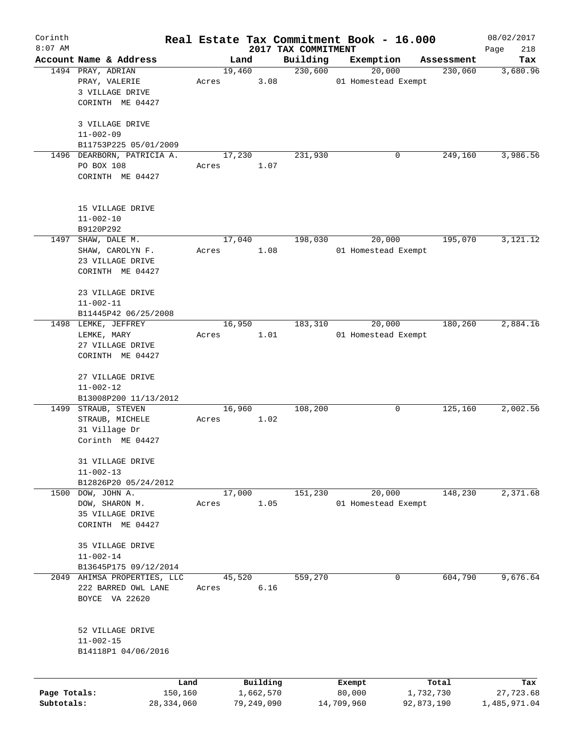| Corinth      |                                     |              |       |                |            |                     | Real Estate Tax Commitment Book - 16.000 |                       | 08/02/2017      |
|--------------|-------------------------------------|--------------|-------|----------------|------------|---------------------|------------------------------------------|-----------------------|-----------------|
| $8:07$ AM    | Account Name & Address              |              |       |                |            | 2017 TAX COMMITMENT |                                          |                       | Page<br>218     |
|              | 1494 PRAY, ADRIAN                   |              |       | Land<br>19,460 |            | Building<br>230,600 | Exemption<br>20,000                      | Assessment<br>230,060 | Tax<br>3,680.96 |
|              | PRAY, VALERIE                       |              | Acres |                | 3.08       |                     | 01 Homestead Exempt                      |                       |                 |
|              | 3 VILLAGE DRIVE                     |              |       |                |            |                     |                                          |                       |                 |
|              | CORINTH ME 04427                    |              |       |                |            |                     |                                          |                       |                 |
|              |                                     |              |       |                |            |                     |                                          |                       |                 |
|              | 3 VILLAGE DRIVE                     |              |       |                |            |                     |                                          |                       |                 |
|              | $11 - 002 - 09$                     |              |       |                |            |                     |                                          |                       |                 |
|              | B11753P225 05/01/2009               |              |       |                |            |                     |                                          |                       |                 |
|              | 1496 DEARBORN, PATRICIA A.          |              |       | 17,230         |            | 231,930             | 0                                        | 249,160               | 3,986.56        |
|              | PO BOX 108                          |              | Acres |                | 1.07       |                     |                                          |                       |                 |
|              | CORINTH ME 04427                    |              |       |                |            |                     |                                          |                       |                 |
|              |                                     |              |       |                |            |                     |                                          |                       |                 |
|              |                                     |              |       |                |            |                     |                                          |                       |                 |
|              | 15 VILLAGE DRIVE                    |              |       |                |            |                     |                                          |                       |                 |
|              | $11 - 002 - 10$                     |              |       |                |            |                     |                                          |                       |                 |
|              | B9120P292                           |              |       |                |            |                     |                                          |                       |                 |
| 1497         | SHAW, DALE M.                       |              |       | 17,040         |            | 198,030             | 20,000                                   | 195,070               | 3,121.12        |
|              | SHAW, CAROLYN F.                    |              | Acres |                | 1.08       |                     | 01 Homestead Exempt                      |                       |                 |
|              | 23 VILLAGE DRIVE                    |              |       |                |            |                     |                                          |                       |                 |
|              | CORINTH ME 04427                    |              |       |                |            |                     |                                          |                       |                 |
|              |                                     |              |       |                |            |                     |                                          |                       |                 |
|              | 23 VILLAGE DRIVE                    |              |       |                |            |                     |                                          |                       |                 |
|              | $11 - 002 - 11$                     |              |       |                |            |                     |                                          |                       |                 |
|              | B11445P42 06/25/2008                |              |       |                |            |                     |                                          |                       |                 |
|              | 1498 LEMKE, JEFFREY                 |              |       | 16,950         |            | 183,310             | 20,000                                   | 180,260               | 2,884.16        |
|              | LEMKE, MARY                         |              | Acres |                | 1.01       |                     | 01 Homestead Exempt                      |                       |                 |
|              | 27 VILLAGE DRIVE                    |              |       |                |            |                     |                                          |                       |                 |
|              | CORINTH ME 04427                    |              |       |                |            |                     |                                          |                       |                 |
|              |                                     |              |       |                |            |                     |                                          |                       |                 |
|              | 27 VILLAGE DRIVE                    |              |       |                |            |                     |                                          |                       |                 |
|              | $11 - 002 - 12$                     |              |       |                |            |                     |                                          |                       |                 |
|              | B13008P200 11/13/2012               |              |       |                |            |                     |                                          |                       |                 |
| 1499         | STRAUB, STEVEN                      |              |       | 16,960         |            | 108,200             | 0                                        | 125,160               | 2,002.56        |
|              | STRAUB, MICHELE                     |              | Acres |                | 1.02       |                     |                                          |                       |                 |
|              | 31 Village Dr                       |              |       |                |            |                     |                                          |                       |                 |
|              | Corinth ME 04427                    |              |       |                |            |                     |                                          |                       |                 |
|              |                                     |              |       |                |            |                     |                                          |                       |                 |
|              | 31 VILLAGE DRIVE<br>$11 - 002 - 13$ |              |       |                |            |                     |                                          |                       |                 |
|              | B12826P20 05/24/2012                |              |       |                |            |                     |                                          |                       |                 |
|              | 1500 DOW, JOHN A.                   |              |       | 17,000         |            | 151,230             | 20,000                                   | 148,230               | 2,371.68        |
|              | DOW, SHARON M.                      |              | Acres |                | 1.05       |                     | 01 Homestead Exempt                      |                       |                 |
|              | 35 VILLAGE DRIVE                    |              |       |                |            |                     |                                          |                       |                 |
|              | CORINTH ME 04427                    |              |       |                |            |                     |                                          |                       |                 |
|              |                                     |              |       |                |            |                     |                                          |                       |                 |
|              | 35 VILLAGE DRIVE                    |              |       |                |            |                     |                                          |                       |                 |
|              | $11 - 002 - 14$                     |              |       |                |            |                     |                                          |                       |                 |
|              | B13645P175 09/12/2014               |              |       |                |            |                     |                                          |                       |                 |
| 2049         | AHIMSA PROPERTIES, LLC              |              |       | 45,520         |            | 559,270             | 0                                        | 604,790               | 9,676.64        |
|              | 222 BARRED OWL LANE                 |              | Acres |                | 6.16       |                     |                                          |                       |                 |
|              | BOYCE VA 22620                      |              |       |                |            |                     |                                          |                       |                 |
|              |                                     |              |       |                |            |                     |                                          |                       |                 |
|              |                                     |              |       |                |            |                     |                                          |                       |                 |
|              | 52 VILLAGE DRIVE                    |              |       |                |            |                     |                                          |                       |                 |
|              | $11 - 002 - 15$                     |              |       |                |            |                     |                                          |                       |                 |
|              | B14118P1 04/06/2016                 |              |       |                |            |                     |                                          |                       |                 |
|              |                                     |              |       |                |            |                     |                                          |                       |                 |
|              |                                     | Land         |       |                | Building   |                     | Exempt                                   | Total                 | Tax             |
| Page Totals: |                                     | 150,160      |       |                | 1,662,570  |                     | 80,000                                   | 1,732,730             | 27,723.68       |
| Subtotals:   |                                     | 28, 334, 060 |       |                | 79,249,090 |                     | 14,709,960                               | 92,873,190            | 1,485,971.04    |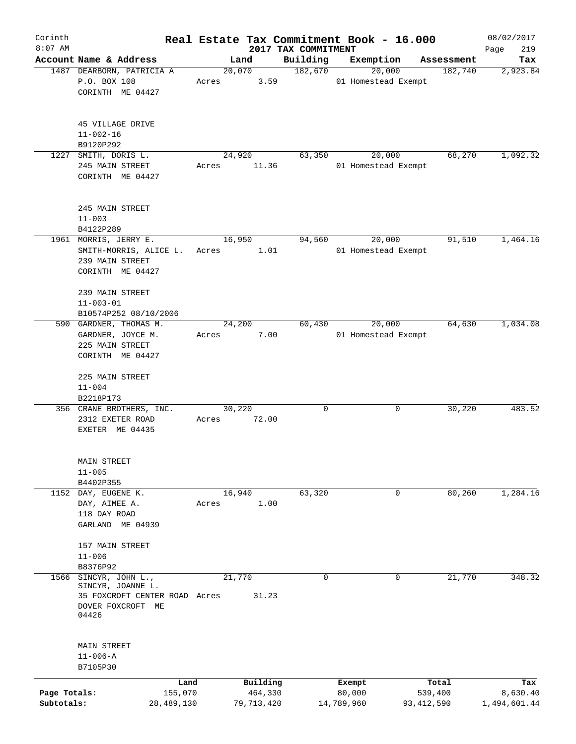| Corinth      |                                    |       |                 |                     | Real Estate Tax Commitment Book - 16.000 |                       | 08/02/2017      |
|--------------|------------------------------------|-------|-----------------|---------------------|------------------------------------------|-----------------------|-----------------|
| $8:07$ AM    | Account Name & Address             |       |                 | 2017 TAX COMMITMENT |                                          |                       | 219<br>Page     |
|              | 1487 DEARBORN, PATRICIA A          |       | Land<br>20,070  | Building<br>182,670 | Exemption<br>20,000                      | Assessment<br>182,740 | Tax<br>2,923.84 |
|              | P.O. BOX 108                       | Acres | 3.59            |                     | 01 Homestead Exempt                      |                       |                 |
|              | CORINTH ME 04427                   |       |                 |                     |                                          |                       |                 |
|              |                                    |       |                 |                     |                                          |                       |                 |
|              |                                    |       |                 |                     |                                          |                       |                 |
|              | 45 VILLAGE DRIVE                   |       |                 |                     |                                          |                       |                 |
|              | $11 - 002 - 16$                    |       |                 |                     |                                          |                       |                 |
|              | B9120P292                          |       |                 |                     |                                          |                       |                 |
| 1227         | SMITH, DORIS L.<br>245 MAIN STREET | Acres | 24,920<br>11.36 | 63,350              | 20,000<br>01 Homestead Exempt            | 68,270                | 1,092.32        |
|              | CORINTH ME 04427                   |       |                 |                     |                                          |                       |                 |
|              |                                    |       |                 |                     |                                          |                       |                 |
|              |                                    |       |                 |                     |                                          |                       |                 |
|              | 245 MAIN STREET                    |       |                 |                     |                                          |                       |                 |
|              | $11 - 003$                         |       |                 |                     |                                          |                       |                 |
|              | B4122P289                          |       |                 |                     |                                          |                       |                 |
|              | 1961 MORRIS, JERRY E.              |       | 16,950          | 94,560              | 20,000                                   | 91,510                | 1,464.16        |
|              | SMITH-MORRIS, ALICE L.             | Acres | 1.01            |                     | 01 Homestead Exempt                      |                       |                 |
|              | 239 MAIN STREET                    |       |                 |                     |                                          |                       |                 |
|              | CORINTH ME 04427                   |       |                 |                     |                                          |                       |                 |
|              |                                    |       |                 |                     |                                          |                       |                 |
|              | 239 MAIN STREET                    |       |                 |                     |                                          |                       |                 |
|              | $11 - 003 - 01$                    |       |                 |                     |                                          |                       |                 |
|              | B10574P252 08/10/2006              |       |                 |                     |                                          |                       |                 |
|              | 590 GARDNER, THOMAS M.             |       | 24,200          | 60,430              | 20,000                                   | 64,630                | 1,034.08        |
|              | GARDNER, JOYCE M.                  | Acres | 7.00            |                     | 01 Homestead Exempt                      |                       |                 |
|              | 225 MAIN STREET                    |       |                 |                     |                                          |                       |                 |
|              | CORINTH ME 04427                   |       |                 |                     |                                          |                       |                 |
|              | 225 MAIN STREET                    |       |                 |                     |                                          |                       |                 |
|              | $11 - 004$                         |       |                 |                     |                                          |                       |                 |
|              | B2218P173                          |       |                 |                     |                                          |                       |                 |
|              | 356 CRANE BROTHERS, INC.           |       | 30,220          | $\mathbf 0$         | 0                                        | 30,220                | 483.52          |
|              | 2312 EXETER ROAD                   | Acres | 72.00           |                     |                                          |                       |                 |
|              | EXETER ME 04435                    |       |                 |                     |                                          |                       |                 |
|              |                                    |       |                 |                     |                                          |                       |                 |
|              |                                    |       |                 |                     |                                          |                       |                 |
|              | MAIN STREET                        |       |                 |                     |                                          |                       |                 |
|              | $11 - 005$                         |       |                 |                     |                                          |                       |                 |
|              | B4402P355                          |       |                 |                     |                                          |                       |                 |
| 1152         | DAY, EUGENE K.                     |       | 16,940          | 63,320              | 0                                        | 80,260                | 1,284.16        |
|              | DAY, AIMEE A.                      | Acres | 1.00            |                     |                                          |                       |                 |
|              | 118 DAY ROAD                       |       |                 |                     |                                          |                       |                 |
|              | GARLAND ME 04939                   |       |                 |                     |                                          |                       |                 |
|              | 157 MAIN STREET                    |       |                 |                     |                                          |                       |                 |
|              | $11 - 006$                         |       |                 |                     |                                          |                       |                 |
|              | B8376P92                           |       |                 |                     |                                          |                       |                 |
| 1566         | SINCYR, JOHN L.,                   |       | 21,770          | 0                   | $\mathbf 0$                              | 21,770                | 348.32          |
|              | SINCYR, JOANNE L.                  |       |                 |                     |                                          |                       |                 |
|              | 35 FOXCROFT CENTER ROAD Acres      |       | 31.23           |                     |                                          |                       |                 |
|              | DOVER FOXCROFT ME                  |       |                 |                     |                                          |                       |                 |
|              | 04426                              |       |                 |                     |                                          |                       |                 |
|              |                                    |       |                 |                     |                                          |                       |                 |
|              | MAIN STREET                        |       |                 |                     |                                          |                       |                 |
|              | $11 - 006 - A$                     |       |                 |                     |                                          |                       |                 |
|              | B7105P30                           |       |                 |                     |                                          |                       |                 |
|              |                                    | Land  | Building        |                     |                                          |                       |                 |
| Page Totals: | 155,070                            |       | 464,330         |                     | Exempt<br>80,000                         | Total<br>539,400      | Tax<br>8,630.40 |
| Subtotals:   | 28,489,130                         |       | 79,713,420      |                     | 14,789,960                               | 93,412,590            | 1,494,601.44    |
|              |                                    |       |                 |                     |                                          |                       |                 |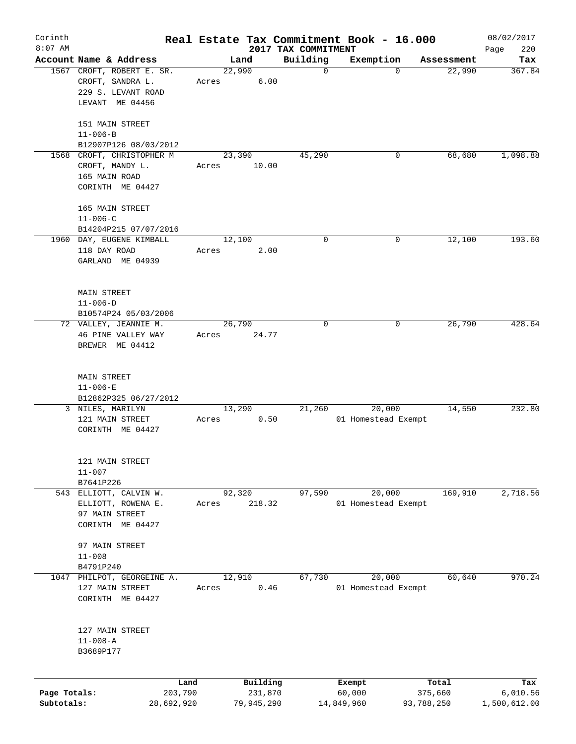| Corinth      |                                                     |       |                |                         | Real Estate Tax Commitment Book - 16.000 |                      | 08/02/2017    |
|--------------|-----------------------------------------------------|-------|----------------|-------------------------|------------------------------------------|----------------------|---------------|
| $8:07$ AM    |                                                     |       |                | 2017 TAX COMMITMENT     |                                          |                      | 220<br>Page   |
|              | Account Name & Address<br>1567 CROFT, ROBERT E. SR. |       | Land<br>22,990 | Building<br>$\mathbf 0$ | Exemption<br>$\mathbf 0$                 | Assessment<br>22,990 | Tax<br>367.84 |
|              | CROFT, SANDRA L.<br>229 S. LEVANT ROAD              | Acres | 6.00           |                         |                                          |                      |               |
|              | LEVANT ME 04456                                     |       |                |                         |                                          |                      |               |
|              | 151 MAIN STREET                                     |       |                |                         |                                          |                      |               |
|              | $11 - 006 - B$<br>B12907P126 08/03/2012             |       |                |                         |                                          |                      |               |
|              | 1568 CROFT, CHRISTOPHER M                           |       | 23,390         | 45,290                  | 0                                        | 68,680               | 1,098.88      |
|              | CROFT, MANDY L.                                     | Acres | 10.00          |                         |                                          |                      |               |
|              | 165 MAIN ROAD                                       |       |                |                         |                                          |                      |               |
|              | CORINTH ME 04427                                    |       |                |                         |                                          |                      |               |
|              | 165 MAIN STREET                                     |       |                |                         |                                          |                      |               |
|              | $11 - 006 - C$                                      |       |                |                         |                                          |                      |               |
|              | B14204P215 07/07/2016                               |       |                |                         |                                          |                      |               |
|              | 1960 DAY, EUGENE KIMBALL                            |       | 12,100         | 0                       | 0                                        | 12,100               | 193.60        |
|              | 118 DAY ROAD                                        | Acres | 2.00           |                         |                                          |                      |               |
|              | GARLAND ME 04939                                    |       |                |                         |                                          |                      |               |
|              | <b>MAIN STREET</b>                                  |       |                |                         |                                          |                      |               |
|              | $11 - 006 - D$                                      |       |                |                         |                                          |                      |               |
|              | B10574P24 05/03/2006                                |       |                |                         |                                          |                      |               |
|              | 72 VALLEY, JEANNIE M.                               |       | 26,790         | 0                       | 0                                        | 26,790               | 428.64        |
|              | 46 PINE VALLEY WAY                                  | Acres | 24.77          |                         |                                          |                      |               |
|              | BREWER ME 04412                                     |       |                |                         |                                          |                      |               |
|              |                                                     |       |                |                         |                                          |                      |               |
|              | <b>MAIN STREET</b><br>$11 - 006 - E$                |       |                |                         |                                          |                      |               |
|              | B12862P325 06/27/2012                               |       |                |                         |                                          |                      |               |
|              | 3 NILES, MARILYN                                    |       | 13,290         | 21,260                  | 20,000                                   | 14,550               | 232.80        |
|              | 121 MAIN STREET                                     | Acres | 0.50           |                         | 01 Homestead Exempt                      |                      |               |
|              | CORINTH ME 04427                                    |       |                |                         |                                          |                      |               |
|              |                                                     |       |                |                         |                                          |                      |               |
|              | 121 MAIN STREET<br>$11 - 007$                       |       |                |                         |                                          |                      |               |
|              | B7641P226                                           |       |                |                         |                                          |                      |               |
|              | 543 ELLIOTT, CALVIN W.                              |       | 92,320         | 97,590                  | 20,000                                   | 169,910              | 2,718.56      |
|              | ELLIOTT, ROWENA E.                                  | Acres | 218.32         |                         | 01 Homestead Exempt                      |                      |               |
|              | 97 MAIN STREET                                      |       |                |                         |                                          |                      |               |
|              | CORINTH ME 04427                                    |       |                |                         |                                          |                      |               |
|              | 97 MAIN STREET                                      |       |                |                         |                                          |                      |               |
|              | $11 - 008$                                          |       |                |                         |                                          |                      |               |
|              | B4791P240                                           |       |                |                         |                                          |                      |               |
|              | 1047 PHILPOT, GEORGEINE A.                          |       | 12,910         | 67,730                  | 20,000                                   | 60,640               | 970.24        |
|              | 127 MAIN STREET                                     | Acres | 0.46           |                         | 01 Homestead Exempt                      |                      |               |
|              | CORINTH ME 04427                                    |       |                |                         |                                          |                      |               |
|              | 127 MAIN STREET                                     |       |                |                         |                                          |                      |               |
|              | $11 - 008 - A$                                      |       |                |                         |                                          |                      |               |
|              | B3689P177                                           |       |                |                         |                                          |                      |               |
|              |                                                     |       |                |                         |                                          |                      |               |
|              |                                                     | Land  | Building       |                         | Exempt                                   | Total                | Tax           |
| Page Totals: | 203,790                                             |       | 231,870        |                         | 60,000                                   | 375,660              | 6,010.56      |
| Subtotals:   | 28,692,920                                          |       | 79,945,290     |                         | 14,849,960                               | 93,788,250           | 1,500,612.00  |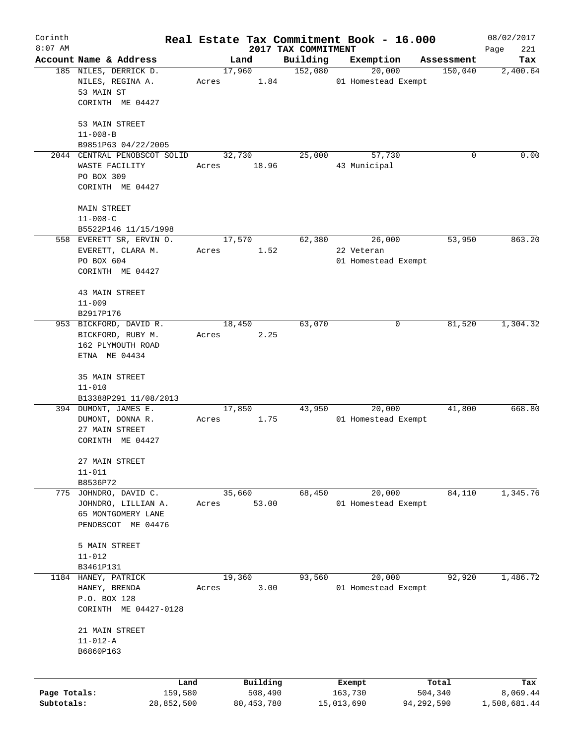| 2017 TAX COMMITMENT<br>Account Name & Address<br>Building<br>Exemption<br>Land<br>Assessment<br>185 NILES, DERRICK D.<br>17,960<br>152,080<br>20,000<br>150,040<br>NILES, REGINA A.<br>01 Homestead Exempt<br>Acres<br>1.84<br>53 MAIN ST<br>CORINTH ME 04427<br>53 MAIN STREET<br>$11 - 008 - B$<br>B9851P63 04/22/2005<br>57,730<br>2044 CENTRAL PENOBSCOT SOLID<br>32,730<br>25,000<br>0<br>WASTE FACILITY<br>18.96<br>43 Municipal<br>Acres<br>PO BOX 309<br>CORINTH ME 04427<br>MAIN STREET<br>$11 - 008 - C$<br>B5522P146 11/15/1998<br>558 EVERETT SR, ERVIN O.<br>17,570<br>62,380<br>53,950<br>26,000<br>EVERETT, CLARA M.<br>1.52<br>22 Veteran<br>Acres<br>PO BOX 604<br>01 Homestead Exempt<br>CORINTH ME 04427<br>43 MAIN STREET<br>$11 - 009$<br>B2917P176<br>63,070<br>81,520<br>953 BICKFORD, DAVID R.<br>18,450<br>0<br>BICKFORD, RUBY M.<br>Acres<br>2.25<br>162 PLYMOUTH ROAD<br>ETNA ME 04434<br>35 MAIN STREET<br>$11 - 010$<br>B13388P291 11/08/2013<br>43,950<br>394 DUMONT, JAMES E.<br>17,850<br>20,000<br>41,800<br>1.75<br>01 Homestead Exempt<br>DUMONT, DONNA R.<br>Acres<br>27 MAIN STREET<br>CORINTH ME 04427<br>27 MAIN STREET<br>$11 - 011$<br>B8536P72<br>35,660<br>68,450<br>20,000<br>84,110<br>775 JOHNDRO, DAVID C.<br>53.00<br>01 Homestead Exempt<br>JOHNDRO, LILLIAN A.<br>Acres<br>65 MONTGOMERY LANE<br>PENOBSCOT ME 04476<br>5 MAIN STREET<br>$11 - 012$<br>B3461P131<br>20,000<br>HANEY, PATRICK<br>19,360<br>93,560<br>92,920<br>1184<br>3.00<br>01 Homestead Exempt<br>HANEY, BRENDA<br>Acres<br>P.O. BOX 128<br>CORINTH ME 04427-0128<br>21 MAIN STREET<br>$11 - 012 - A$<br>B6860P163<br>Building<br>Total<br>Land<br>Exempt<br>Page Totals:<br>159,580<br>508,490<br>163,730<br>504,340 | Corinth   |  |  | Real Estate Tax Commitment Book - 16.000 | 08/02/2017      |
|-------------------------------------------------------------------------------------------------------------------------------------------------------------------------------------------------------------------------------------------------------------------------------------------------------------------------------------------------------------------------------------------------------------------------------------------------------------------------------------------------------------------------------------------------------------------------------------------------------------------------------------------------------------------------------------------------------------------------------------------------------------------------------------------------------------------------------------------------------------------------------------------------------------------------------------------------------------------------------------------------------------------------------------------------------------------------------------------------------------------------------------------------------------------------------------------------------------------------------------------------------------------------------------------------------------------------------------------------------------------------------------------------------------------------------------------------------------------------------------------------------------------------------------------------------------------------------------------------------------------------------------------------------------------------------------------------------------------------------------------|-----------|--|--|------------------------------------------|-----------------|
|                                                                                                                                                                                                                                                                                                                                                                                                                                                                                                                                                                                                                                                                                                                                                                                                                                                                                                                                                                                                                                                                                                                                                                                                                                                                                                                                                                                                                                                                                                                                                                                                                                                                                                                                           | $8:07$ AM |  |  |                                          | 221<br>Page     |
|                                                                                                                                                                                                                                                                                                                                                                                                                                                                                                                                                                                                                                                                                                                                                                                                                                                                                                                                                                                                                                                                                                                                                                                                                                                                                                                                                                                                                                                                                                                                                                                                                                                                                                                                           |           |  |  |                                          | Tax<br>2,400.64 |
|                                                                                                                                                                                                                                                                                                                                                                                                                                                                                                                                                                                                                                                                                                                                                                                                                                                                                                                                                                                                                                                                                                                                                                                                                                                                                                                                                                                                                                                                                                                                                                                                                                                                                                                                           |           |  |  |                                          |                 |
|                                                                                                                                                                                                                                                                                                                                                                                                                                                                                                                                                                                                                                                                                                                                                                                                                                                                                                                                                                                                                                                                                                                                                                                                                                                                                                                                                                                                                                                                                                                                                                                                                                                                                                                                           |           |  |  |                                          |                 |
|                                                                                                                                                                                                                                                                                                                                                                                                                                                                                                                                                                                                                                                                                                                                                                                                                                                                                                                                                                                                                                                                                                                                                                                                                                                                                                                                                                                                                                                                                                                                                                                                                                                                                                                                           |           |  |  |                                          |                 |
|                                                                                                                                                                                                                                                                                                                                                                                                                                                                                                                                                                                                                                                                                                                                                                                                                                                                                                                                                                                                                                                                                                                                                                                                                                                                                                                                                                                                                                                                                                                                                                                                                                                                                                                                           |           |  |  |                                          |                 |
|                                                                                                                                                                                                                                                                                                                                                                                                                                                                                                                                                                                                                                                                                                                                                                                                                                                                                                                                                                                                                                                                                                                                                                                                                                                                                                                                                                                                                                                                                                                                                                                                                                                                                                                                           |           |  |  |                                          | 0.00            |
|                                                                                                                                                                                                                                                                                                                                                                                                                                                                                                                                                                                                                                                                                                                                                                                                                                                                                                                                                                                                                                                                                                                                                                                                                                                                                                                                                                                                                                                                                                                                                                                                                                                                                                                                           |           |  |  |                                          |                 |
|                                                                                                                                                                                                                                                                                                                                                                                                                                                                                                                                                                                                                                                                                                                                                                                                                                                                                                                                                                                                                                                                                                                                                                                                                                                                                                                                                                                                                                                                                                                                                                                                                                                                                                                                           |           |  |  |                                          |                 |
|                                                                                                                                                                                                                                                                                                                                                                                                                                                                                                                                                                                                                                                                                                                                                                                                                                                                                                                                                                                                                                                                                                                                                                                                                                                                                                                                                                                                                                                                                                                                                                                                                                                                                                                                           |           |  |  |                                          |                 |
|                                                                                                                                                                                                                                                                                                                                                                                                                                                                                                                                                                                                                                                                                                                                                                                                                                                                                                                                                                                                                                                                                                                                                                                                                                                                                                                                                                                                                                                                                                                                                                                                                                                                                                                                           |           |  |  |                                          |                 |
|                                                                                                                                                                                                                                                                                                                                                                                                                                                                                                                                                                                                                                                                                                                                                                                                                                                                                                                                                                                                                                                                                                                                                                                                                                                                                                                                                                                                                                                                                                                                                                                                                                                                                                                                           |           |  |  |                                          |                 |
|                                                                                                                                                                                                                                                                                                                                                                                                                                                                                                                                                                                                                                                                                                                                                                                                                                                                                                                                                                                                                                                                                                                                                                                                                                                                                                                                                                                                                                                                                                                                                                                                                                                                                                                                           |           |  |  |                                          | 863.20          |
|                                                                                                                                                                                                                                                                                                                                                                                                                                                                                                                                                                                                                                                                                                                                                                                                                                                                                                                                                                                                                                                                                                                                                                                                                                                                                                                                                                                                                                                                                                                                                                                                                                                                                                                                           |           |  |  |                                          |                 |
|                                                                                                                                                                                                                                                                                                                                                                                                                                                                                                                                                                                                                                                                                                                                                                                                                                                                                                                                                                                                                                                                                                                                                                                                                                                                                                                                                                                                                                                                                                                                                                                                                                                                                                                                           |           |  |  |                                          |                 |
|                                                                                                                                                                                                                                                                                                                                                                                                                                                                                                                                                                                                                                                                                                                                                                                                                                                                                                                                                                                                                                                                                                                                                                                                                                                                                                                                                                                                                                                                                                                                                                                                                                                                                                                                           |           |  |  |                                          |                 |
|                                                                                                                                                                                                                                                                                                                                                                                                                                                                                                                                                                                                                                                                                                                                                                                                                                                                                                                                                                                                                                                                                                                                                                                                                                                                                                                                                                                                                                                                                                                                                                                                                                                                                                                                           |           |  |  |                                          |                 |
|                                                                                                                                                                                                                                                                                                                                                                                                                                                                                                                                                                                                                                                                                                                                                                                                                                                                                                                                                                                                                                                                                                                                                                                                                                                                                                                                                                                                                                                                                                                                                                                                                                                                                                                                           |           |  |  |                                          |                 |
|                                                                                                                                                                                                                                                                                                                                                                                                                                                                                                                                                                                                                                                                                                                                                                                                                                                                                                                                                                                                                                                                                                                                                                                                                                                                                                                                                                                                                                                                                                                                                                                                                                                                                                                                           |           |  |  |                                          |                 |
|                                                                                                                                                                                                                                                                                                                                                                                                                                                                                                                                                                                                                                                                                                                                                                                                                                                                                                                                                                                                                                                                                                                                                                                                                                                                                                                                                                                                                                                                                                                                                                                                                                                                                                                                           |           |  |  |                                          | 1,304.32        |
|                                                                                                                                                                                                                                                                                                                                                                                                                                                                                                                                                                                                                                                                                                                                                                                                                                                                                                                                                                                                                                                                                                                                                                                                                                                                                                                                                                                                                                                                                                                                                                                                                                                                                                                                           |           |  |  |                                          |                 |
|                                                                                                                                                                                                                                                                                                                                                                                                                                                                                                                                                                                                                                                                                                                                                                                                                                                                                                                                                                                                                                                                                                                                                                                                                                                                                                                                                                                                                                                                                                                                                                                                                                                                                                                                           |           |  |  |                                          |                 |
|                                                                                                                                                                                                                                                                                                                                                                                                                                                                                                                                                                                                                                                                                                                                                                                                                                                                                                                                                                                                                                                                                                                                                                                                                                                                                                                                                                                                                                                                                                                                                                                                                                                                                                                                           |           |  |  |                                          |                 |
|                                                                                                                                                                                                                                                                                                                                                                                                                                                                                                                                                                                                                                                                                                                                                                                                                                                                                                                                                                                                                                                                                                                                                                                                                                                                                                                                                                                                                                                                                                                                                                                                                                                                                                                                           |           |  |  |                                          |                 |
|                                                                                                                                                                                                                                                                                                                                                                                                                                                                                                                                                                                                                                                                                                                                                                                                                                                                                                                                                                                                                                                                                                                                                                                                                                                                                                                                                                                                                                                                                                                                                                                                                                                                                                                                           |           |  |  |                                          |                 |
|                                                                                                                                                                                                                                                                                                                                                                                                                                                                                                                                                                                                                                                                                                                                                                                                                                                                                                                                                                                                                                                                                                                                                                                                                                                                                                                                                                                                                                                                                                                                                                                                                                                                                                                                           |           |  |  |                                          |                 |
|                                                                                                                                                                                                                                                                                                                                                                                                                                                                                                                                                                                                                                                                                                                                                                                                                                                                                                                                                                                                                                                                                                                                                                                                                                                                                                                                                                                                                                                                                                                                                                                                                                                                                                                                           |           |  |  |                                          | 668.80          |
|                                                                                                                                                                                                                                                                                                                                                                                                                                                                                                                                                                                                                                                                                                                                                                                                                                                                                                                                                                                                                                                                                                                                                                                                                                                                                                                                                                                                                                                                                                                                                                                                                                                                                                                                           |           |  |  |                                          |                 |
|                                                                                                                                                                                                                                                                                                                                                                                                                                                                                                                                                                                                                                                                                                                                                                                                                                                                                                                                                                                                                                                                                                                                                                                                                                                                                                                                                                                                                                                                                                                                                                                                                                                                                                                                           |           |  |  |                                          |                 |
|                                                                                                                                                                                                                                                                                                                                                                                                                                                                                                                                                                                                                                                                                                                                                                                                                                                                                                                                                                                                                                                                                                                                                                                                                                                                                                                                                                                                                                                                                                                                                                                                                                                                                                                                           |           |  |  |                                          |                 |
|                                                                                                                                                                                                                                                                                                                                                                                                                                                                                                                                                                                                                                                                                                                                                                                                                                                                                                                                                                                                                                                                                                                                                                                                                                                                                                                                                                                                                                                                                                                                                                                                                                                                                                                                           |           |  |  |                                          |                 |
|                                                                                                                                                                                                                                                                                                                                                                                                                                                                                                                                                                                                                                                                                                                                                                                                                                                                                                                                                                                                                                                                                                                                                                                                                                                                                                                                                                                                                                                                                                                                                                                                                                                                                                                                           |           |  |  |                                          |                 |
|                                                                                                                                                                                                                                                                                                                                                                                                                                                                                                                                                                                                                                                                                                                                                                                                                                                                                                                                                                                                                                                                                                                                                                                                                                                                                                                                                                                                                                                                                                                                                                                                                                                                                                                                           |           |  |  |                                          |                 |
|                                                                                                                                                                                                                                                                                                                                                                                                                                                                                                                                                                                                                                                                                                                                                                                                                                                                                                                                                                                                                                                                                                                                                                                                                                                                                                                                                                                                                                                                                                                                                                                                                                                                                                                                           |           |  |  |                                          | 1,345.76        |
|                                                                                                                                                                                                                                                                                                                                                                                                                                                                                                                                                                                                                                                                                                                                                                                                                                                                                                                                                                                                                                                                                                                                                                                                                                                                                                                                                                                                                                                                                                                                                                                                                                                                                                                                           |           |  |  |                                          |                 |
|                                                                                                                                                                                                                                                                                                                                                                                                                                                                                                                                                                                                                                                                                                                                                                                                                                                                                                                                                                                                                                                                                                                                                                                                                                                                                                                                                                                                                                                                                                                                                                                                                                                                                                                                           |           |  |  |                                          |                 |
|                                                                                                                                                                                                                                                                                                                                                                                                                                                                                                                                                                                                                                                                                                                                                                                                                                                                                                                                                                                                                                                                                                                                                                                                                                                                                                                                                                                                                                                                                                                                                                                                                                                                                                                                           |           |  |  |                                          |                 |
|                                                                                                                                                                                                                                                                                                                                                                                                                                                                                                                                                                                                                                                                                                                                                                                                                                                                                                                                                                                                                                                                                                                                                                                                                                                                                                                                                                                                                                                                                                                                                                                                                                                                                                                                           |           |  |  |                                          |                 |
|                                                                                                                                                                                                                                                                                                                                                                                                                                                                                                                                                                                                                                                                                                                                                                                                                                                                                                                                                                                                                                                                                                                                                                                                                                                                                                                                                                                                                                                                                                                                                                                                                                                                                                                                           |           |  |  |                                          |                 |
|                                                                                                                                                                                                                                                                                                                                                                                                                                                                                                                                                                                                                                                                                                                                                                                                                                                                                                                                                                                                                                                                                                                                                                                                                                                                                                                                                                                                                                                                                                                                                                                                                                                                                                                                           |           |  |  |                                          |                 |
|                                                                                                                                                                                                                                                                                                                                                                                                                                                                                                                                                                                                                                                                                                                                                                                                                                                                                                                                                                                                                                                                                                                                                                                                                                                                                                                                                                                                                                                                                                                                                                                                                                                                                                                                           |           |  |  |                                          | 1,486.72        |
|                                                                                                                                                                                                                                                                                                                                                                                                                                                                                                                                                                                                                                                                                                                                                                                                                                                                                                                                                                                                                                                                                                                                                                                                                                                                                                                                                                                                                                                                                                                                                                                                                                                                                                                                           |           |  |  |                                          |                 |
|                                                                                                                                                                                                                                                                                                                                                                                                                                                                                                                                                                                                                                                                                                                                                                                                                                                                                                                                                                                                                                                                                                                                                                                                                                                                                                                                                                                                                                                                                                                                                                                                                                                                                                                                           |           |  |  |                                          |                 |
|                                                                                                                                                                                                                                                                                                                                                                                                                                                                                                                                                                                                                                                                                                                                                                                                                                                                                                                                                                                                                                                                                                                                                                                                                                                                                                                                                                                                                                                                                                                                                                                                                                                                                                                                           |           |  |  |                                          |                 |
|                                                                                                                                                                                                                                                                                                                                                                                                                                                                                                                                                                                                                                                                                                                                                                                                                                                                                                                                                                                                                                                                                                                                                                                                                                                                                                                                                                                                                                                                                                                                                                                                                                                                                                                                           |           |  |  |                                          |                 |
|                                                                                                                                                                                                                                                                                                                                                                                                                                                                                                                                                                                                                                                                                                                                                                                                                                                                                                                                                                                                                                                                                                                                                                                                                                                                                                                                                                                                                                                                                                                                                                                                                                                                                                                                           |           |  |  |                                          |                 |
|                                                                                                                                                                                                                                                                                                                                                                                                                                                                                                                                                                                                                                                                                                                                                                                                                                                                                                                                                                                                                                                                                                                                                                                                                                                                                                                                                                                                                                                                                                                                                                                                                                                                                                                                           |           |  |  |                                          |                 |
|                                                                                                                                                                                                                                                                                                                                                                                                                                                                                                                                                                                                                                                                                                                                                                                                                                                                                                                                                                                                                                                                                                                                                                                                                                                                                                                                                                                                                                                                                                                                                                                                                                                                                                                                           |           |  |  |                                          |                 |
|                                                                                                                                                                                                                                                                                                                                                                                                                                                                                                                                                                                                                                                                                                                                                                                                                                                                                                                                                                                                                                                                                                                                                                                                                                                                                                                                                                                                                                                                                                                                                                                                                                                                                                                                           |           |  |  |                                          | Tax<br>8,069.44 |
| Subtotals:<br>28,852,500<br>80, 453, 780<br>15,013,690<br>94,292,590                                                                                                                                                                                                                                                                                                                                                                                                                                                                                                                                                                                                                                                                                                                                                                                                                                                                                                                                                                                                                                                                                                                                                                                                                                                                                                                                                                                                                                                                                                                                                                                                                                                                      |           |  |  |                                          | 1,508,681.44    |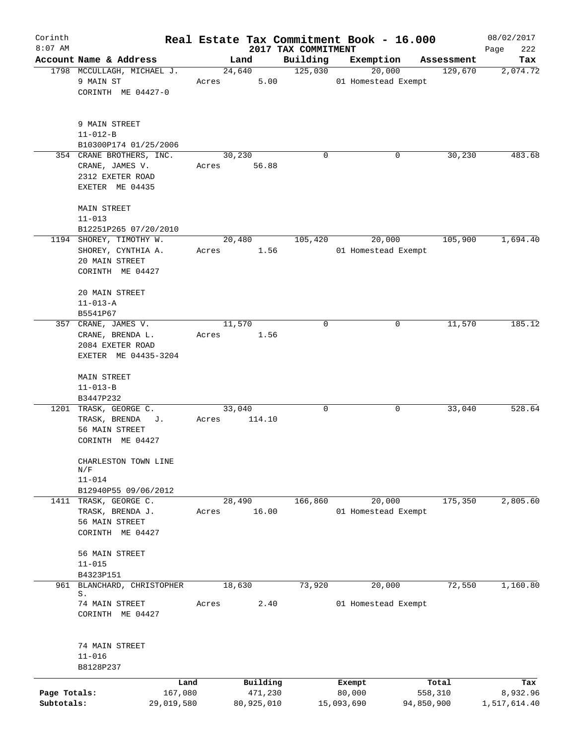| Corinth                    |                                                                                     |       |                       |                     | Real Estate Tax Commitment Book - 16.000 |                       | 08/02/2017               |
|----------------------------|-------------------------------------------------------------------------------------|-------|-----------------------|---------------------|------------------------------------------|-----------------------|--------------------------|
| $8:07$ AM                  |                                                                                     |       |                       | 2017 TAX COMMITMENT |                                          |                       | 222<br>Page              |
|                            | Account Name & Address<br>1798 MCCULLAGH, MICHAEL J.                                |       | Land<br>24,640        | Building<br>125,030 | Exemption<br>20,000                      | Assessment<br>129,670 | Tax<br>2,074.72          |
|                            | 9 MAIN ST<br>CORINTH ME 04427-0                                                     | Acres | 5.00                  |                     | 01 Homestead Exempt                      |                       |                          |
|                            | 9 MAIN STREET<br>$11 - 012 - B$<br>B10300P174 01/25/2006                            |       |                       |                     |                                          |                       |                          |
|                            | 354 CRANE BROTHERS, INC.<br>CRANE, JAMES V.                                         | Acres | 30,230<br>56.88       | $\Omega$            | 0                                        | 30,230                | 483.68                   |
|                            | 2312 EXETER ROAD<br>EXETER ME 04435                                                 |       |                       |                     |                                          |                       |                          |
|                            | MAIN STREET<br>$11 - 013$                                                           |       |                       |                     |                                          |                       |                          |
|                            | B12251P265 07/20/2010                                                               |       |                       |                     |                                          |                       |                          |
|                            | 1194 SHOREY, TIMOTHY W.<br>SHOREY, CYNTHIA A.<br>20 MAIN STREET<br>CORINTH ME 04427 | Acres | 20,480<br>1.56        | 105,420             | 20,000<br>01 Homestead Exempt            | 105,900               | 1,694.40                 |
|                            | 20 MAIN STREET<br>$11 - 013 - A$                                                    |       |                       |                     |                                          |                       |                          |
|                            | B5541P67                                                                            |       |                       |                     |                                          |                       |                          |
|                            | 357 CRANE, JAMES V.                                                                 |       | 11,570                | 0                   | 0                                        | 11,570                | 185.12                   |
|                            | CRANE, BRENDA L.                                                                    | Acres | 1.56                  |                     |                                          |                       |                          |
|                            | 2084 EXETER ROAD<br>EXETER ME 04435-3204                                            |       |                       |                     |                                          |                       |                          |
|                            | MAIN STREET<br>$11 - 013 - B$                                                       |       |                       |                     |                                          |                       |                          |
|                            | B3447P232                                                                           |       |                       |                     |                                          |                       |                          |
|                            | 1201 TRASK, GEORGE C.                                                               |       | 33,040                | 0                   | 0                                        | 33,040                | 528.64                   |
|                            | TRASK, BRENDA<br>J.<br>56 MAIN STREET<br>CORINTH ME 04427                           | Acres | 114.10                |                     |                                          |                       |                          |
|                            | CHARLESTON TOWN LINE                                                                |       |                       |                     |                                          |                       |                          |
|                            | $\mathrm{N}/\mathrm{F}$<br>$11 - 014$                                               |       |                       |                     |                                          |                       |                          |
|                            | B12940P55 09/06/2012                                                                |       |                       |                     |                                          |                       |                          |
|                            | 1411 TRASK, GEORGE C.                                                               |       | 28,490                | 166,860             | 20,000                                   | 175,350               | 2,805.60                 |
|                            | TRASK, BRENDA J.<br>56 MAIN STREET<br>CORINTH ME 04427                              | Acres | 16.00                 |                     | 01 Homestead Exempt                      |                       |                          |
|                            | 56 MAIN STREET<br>$11 - 015$                                                        |       |                       |                     |                                          |                       |                          |
|                            | B4323P151                                                                           |       |                       |                     |                                          |                       |                          |
| 961                        | BLANCHARD, CHRISTOPHER<br>S.                                                        |       | 18,630                | 73,920              | 20,000                                   | 72,550                | 1,160.80                 |
|                            | 74 MAIN STREET<br>CORINTH ME 04427                                                  | Acres | 2.40                  |                     | 01 Homestead Exempt                      |                       |                          |
|                            | 74 MAIN STREET<br>$11 - 016$<br>B8128P237                                           |       |                       |                     |                                          |                       |                          |
|                            | Land                                                                                |       | Building              |                     | Exempt                                   | Total                 | Tax                      |
| Page Totals:<br>Subtotals: | 167,080<br>29,019,580                                                               |       | 471,230<br>80,925,010 |                     | 80,000<br>15,093,690                     | 558,310<br>94,850,900 | 8,932.96<br>1,517,614.40 |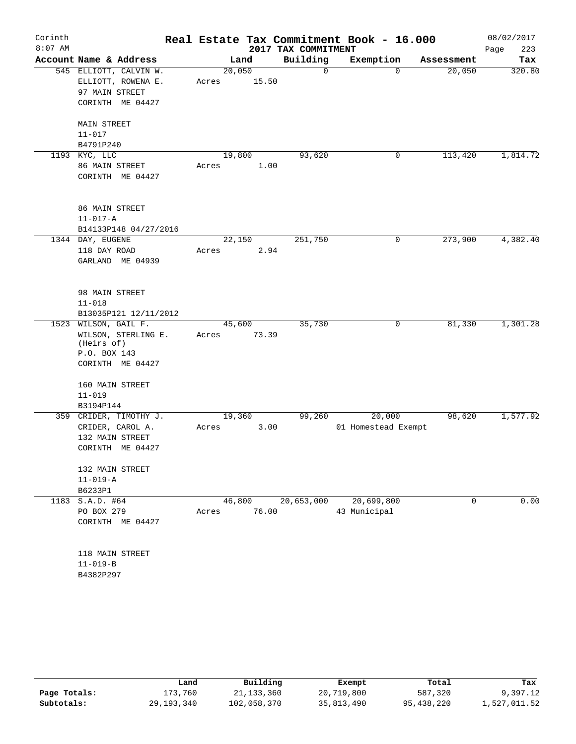| Corinth   |                                                                                               |                 |       |                     | Real Estate Tax Commitment Book - 16.000 |            | 08/02/2017  |
|-----------|-----------------------------------------------------------------------------------------------|-----------------|-------|---------------------|------------------------------------------|------------|-------------|
| $8:07$ AM |                                                                                               |                 |       | 2017 TAX COMMITMENT |                                          |            | 223<br>Page |
|           | Account Name & Address                                                                        |                 | Land  | Building            | Exemption                                | Assessment | Tax         |
|           | 545 ELLIOTT, CALVIN W.<br>ELLIOTT, ROWENA E.<br>97 MAIN STREET<br>CORINTH ME 04427            | 20,050<br>Acres | 15.50 | $\mathsf{O}$        | $\Omega$                                 | 20,050     | 320.80      |
|           | <b>MAIN STREET</b><br>$11 - 017$<br>B4791P240                                                 |                 |       |                     |                                          |            |             |
|           | 1193 KYC, LLC<br>86 MAIN STREET<br>CORINTH ME 04427                                           | 19,800<br>Acres | 1.00  | 93,620              | 0                                        | 113,420    | 1,814.72    |
|           | 86 MAIN STREET<br>$11 - 017 - A$<br>B14133P148 04/27/2016                                     |                 |       |                     |                                          |            |             |
|           | 1344 DAY, EUGENE                                                                              | 22,150          |       | 251,750             | 0                                        | 273,900    | 4,382.40    |
|           | 118 DAY ROAD<br>GARLAND ME 04939                                                              | Acres           | 2.94  |                     |                                          |            |             |
|           | 98 MAIN STREET<br>$11 - 018$<br>B13035P121 12/11/2012                                         |                 |       |                     |                                          |            |             |
|           | 1523 WILSON, GAIL F.<br>WILSON, STERLING E.<br>(Heirs of)<br>P.O. BOX 143<br>CORINTH ME 04427 | 45,600<br>Acres | 73.39 | 35,730              | 0                                        | 81,330     | 1,301.28    |
|           | 160 MAIN STREET<br>$11 - 019$<br>B3194P144                                                    |                 |       |                     |                                          |            |             |
|           | 359 CRIDER, TIMOTHY J.<br>CRIDER, CAROL A.<br>132 MAIN STREET<br>CORINTH ME 04427             | 19,360<br>Acres | 3.00  | 99,260              | 20,000<br>01 Homestead Exempt            | 98,620     | 1,577.92    |
|           | 132 MAIN STREET<br>$11 - 019 - A$<br>B6233P1                                                  |                 |       |                     |                                          |            |             |
|           | 1183 S.A.D. #64<br>PO BOX 279<br>CORINTH ME 04427                                             | 46,800<br>Acres | 76.00 | 20,653,000          | 20,699,800<br>43 Municipal               | 0          | 0.00        |
|           | 118 MAIN STREET<br>$11 - 019 - B$<br>B4382P297                                                |                 |       |                     |                                          |            |             |

|              | Land       | Building    | Exempt     | Total      | Tax          |
|--------------|------------|-------------|------------|------------|--------------|
| Page Totals: | 173.760    | 21,133,360  | 20,719,800 | 587,320    | 9,397.12     |
| Subtotals:   | 29,193,340 | 102,058,370 | 35,813,490 | 95,438,220 | 1,527,011.52 |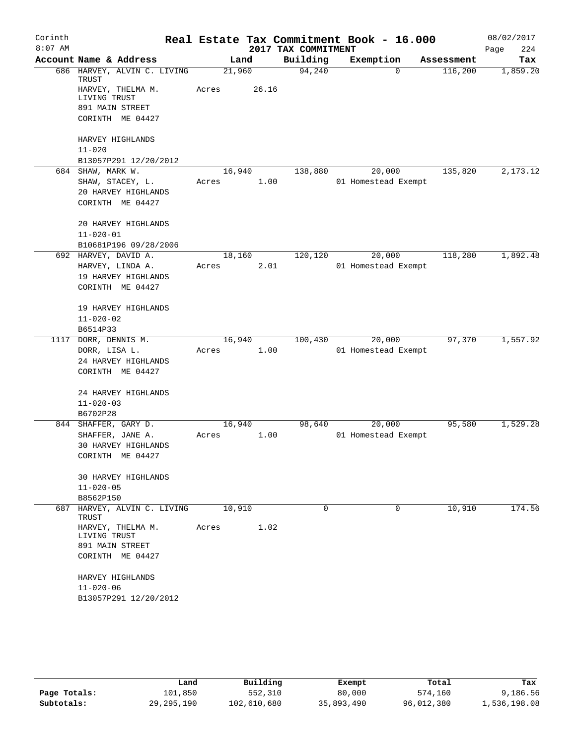| Corinth   |                                      |        |       |                     | Real Estate Tax Commitment Book - 16.000 |            | 08/02/2017  |
|-----------|--------------------------------------|--------|-------|---------------------|------------------------------------------|------------|-------------|
| $8:07$ AM |                                      |        |       | 2017 TAX COMMITMENT |                                          |            | 224<br>Page |
|           | Account Name & Address               |        | Land  | Building            | Exemption                                | Assessment | Tax         |
|           | 686 HARVEY, ALVIN C. LIVING<br>TRUST | 21,960 |       | 94,240              | $\Omega$                                 | 116,200    | 1,859.20    |
|           | HARVEY, THELMA M.<br>LIVING TRUST    | Acres  | 26.16 |                     |                                          |            |             |
|           | 891 MAIN STREET<br>CORINTH ME 04427  |        |       |                     |                                          |            |             |
|           | HARVEY HIGHLANDS                     |        |       |                     |                                          |            |             |
|           | $11 - 020$                           |        |       |                     |                                          |            |             |
|           | B13057P291 12/20/2012                |        |       |                     |                                          |            |             |
|           | 684 SHAW, MARK W.                    | 16,940 |       | 138,880             | 20,000                                   | 135,820    | 2,173.12    |
|           | SHAW, STACEY, L.                     | Acres  | 1.00  |                     | 01 Homestead Exempt                      |            |             |
|           | 20 HARVEY HIGHLANDS                  |        |       |                     |                                          |            |             |
|           | CORINTH ME 04427                     |        |       |                     |                                          |            |             |
|           | 20 HARVEY HIGHLANDS                  |        |       |                     |                                          |            |             |
|           | $11 - 020 - 01$                      |        |       |                     |                                          |            |             |
|           | B10681P196 09/28/2006                |        |       |                     |                                          |            |             |
|           | 692 HARVEY, DAVID A.                 | 18,160 |       | 120,120             | 20,000                                   | 118,280    | 1,892.48    |
|           | HARVEY, LINDA A.                     | Acres  | 2.01  |                     | 01 Homestead Exempt                      |            |             |
|           | 19 HARVEY HIGHLANDS                  |        |       |                     |                                          |            |             |
|           | CORINTH ME 04427                     |        |       |                     |                                          |            |             |
|           | 19 HARVEY HIGHLANDS                  |        |       |                     |                                          |            |             |
|           | $11 - 020 - 02$                      |        |       |                     |                                          |            |             |
|           | B6514P33                             |        |       |                     |                                          |            |             |
| 1117      | DORR, DENNIS M.                      | 16,940 |       | 100,430             | 20,000                                   | 97,370     | 1,557.92    |
|           | DORR, LISA L.                        | Acres  | 1.00  |                     | 01 Homestead Exempt                      |            |             |
|           | 24 HARVEY HIGHLANDS                  |        |       |                     |                                          |            |             |
|           | CORINTH ME 04427                     |        |       |                     |                                          |            |             |
|           | 24 HARVEY HIGHLANDS                  |        |       |                     |                                          |            |             |
|           | $11 - 020 - 03$                      |        |       |                     |                                          |            |             |
|           | B6702P28                             |        |       |                     |                                          |            |             |
|           | 844 SHAFFER, GARY D.                 | 16,940 |       | 98,640              | 20,000                                   | 95,580     | 1,529.28    |
|           | SHAFFER, JANE A.                     | Acres  | 1.00  |                     | 01 Homestead Exempt                      |            |             |
|           | 30 HARVEY HIGHLANDS                  |        |       |                     |                                          |            |             |
|           | CORINTH ME 04427                     |        |       |                     |                                          |            |             |
|           | <b>30 HARVEY HIGHLANDS</b>           |        |       |                     |                                          |            |             |
|           | $11 - 020 - 05$                      |        |       |                     |                                          |            |             |
|           | B8562P150                            |        |       |                     |                                          |            |             |
|           | 687 HARVEY, ALVIN C. LIVING<br>TRUST | 10,910 |       | $\Omega$            | $\Omega$                                 | 10,910     | 174.56      |
|           | HARVEY, THELMA M.                    | Acres  | 1.02  |                     |                                          |            |             |
|           | LIVING TRUST<br>891 MAIN STREET      |        |       |                     |                                          |            |             |
|           | CORINTH ME 04427                     |        |       |                     |                                          |            |             |
|           | HARVEY HIGHLANDS                     |        |       |                     |                                          |            |             |
|           | $11 - 020 - 06$                      |        |       |                     |                                          |            |             |
|           | B13057P291 12/20/2012                |        |       |                     |                                          |            |             |
|           |                                      |        |       |                     |                                          |            |             |

|              | Land         | Building    | Exempt     | Total      | Tax          |
|--------------|--------------|-------------|------------|------------|--------------|
| Page Totals: | 101,850      | 552,310     | 80,000     | 574,160    | 9,186.56     |
| Subtotals:   | 29, 295, 190 | 102,610,680 | 35,893,490 | 96,012,380 | 1,536,198.08 |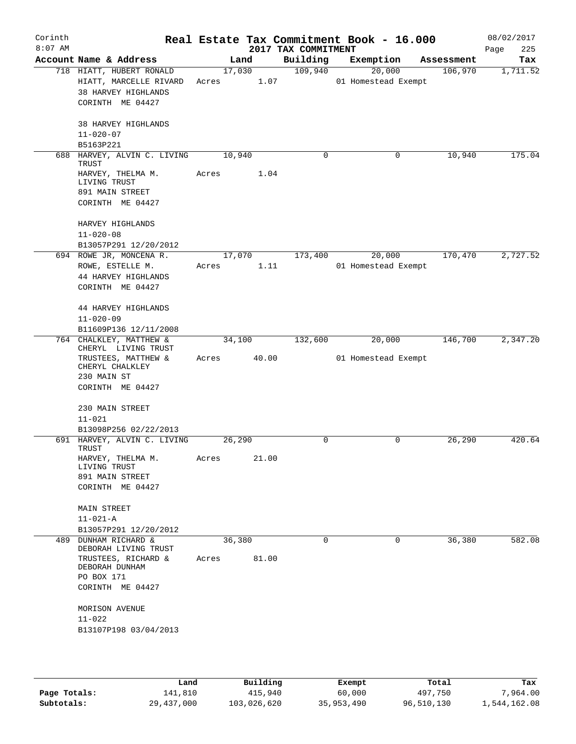| Corinth<br>$8:07$ AM |                                                                                               |       |                | 2017 TAX COMMITMENT | Real Estate Tax Commitment Book - 16.000 |            | 08/02/2017<br>225<br>Page |
|----------------------|-----------------------------------------------------------------------------------------------|-------|----------------|---------------------|------------------------------------------|------------|---------------------------|
|                      | Account Name & Address                                                                        |       | Land           | Building            | Exemption                                | Assessment | Tax                       |
|                      | 718 HIATT, HUBERT RONALD<br>HIATT, MARCELLE RIVARD<br>38 HARVEY HIGHLANDS<br>CORINTH ME 04427 | Acres | 17,030<br>1.07 | 109,940             | 20,000<br>01 Homestead Exempt            | 106,970    | 1,711.52                  |
|                      | 38 HARVEY HIGHLANDS<br>$11 - 020 - 07$                                                        |       |                |                     |                                          |            |                           |
|                      | B5163P221                                                                                     |       |                |                     |                                          |            |                           |
| 688                  | HARVEY, ALVIN C. LIVING<br>TRUST                                                              |       | 10,940         | $\mathbf 0$         | 0                                        | 10,940     | 175.04                    |
|                      | HARVEY, THELMA M.<br>LIVING TRUST<br>891 MAIN STREET                                          | Acres | 1.04           |                     |                                          |            |                           |
|                      | CORINTH ME 04427                                                                              |       |                |                     |                                          |            |                           |
|                      | HARVEY HIGHLANDS<br>$11 - 020 - 08$<br>B13057P291 12/20/2012                                  |       |                |                     |                                          |            |                           |
|                      | 694 ROWE JR, MONCENA R.                                                                       |       | 17,070         | 173,400             | 20,000                                   | 170,470    | 2,727.52                  |
|                      | ROWE, ESTELLE M.<br>44 HARVEY HIGHLANDS<br>CORINTH ME 04427                                   | Acres | 1.11           |                     | 01 Homestead Exempt                      |            |                           |
|                      | 44 HARVEY HIGHLANDS<br>$11 - 020 - 09$                                                        |       |                |                     |                                          |            |                           |
|                      | B11609P136 12/11/2008                                                                         |       |                |                     |                                          |            |                           |
|                      | 764 CHALKLEY, MATTHEW &<br>CHERYL LIVING TRUST                                                |       | 34,100         | 132,600             | 20,000                                   | 146,700    | 2,347.20                  |
|                      | TRUSTEES, MATTHEW &<br>CHERYL CHALKLEY<br>230 MAIN ST<br>CORINTH ME 04427                     | Acres | 40.00          |                     | 01 Homestead Exempt                      |            |                           |
|                      |                                                                                               |       |                |                     |                                          |            |                           |
|                      | 230 MAIN STREET                                                                               |       |                |                     |                                          |            |                           |
|                      | $11 - 021$<br>B13098P256 02/22/2013                                                           |       |                |                     |                                          |            |                           |
|                      | 691 HARVEY, ALVIN C. LIVING                                                                   |       | 26,290         | 0                   | 0                                        | 26,290     | 420.64                    |
|                      | TRUST<br>HARVEY, THELMA M.<br>LIVING TRUST                                                    | Acres | 21.00          |                     |                                          |            |                           |
|                      | 891 MAIN STREET                                                                               |       |                |                     |                                          |            |                           |
|                      | CORINTH ME 04427                                                                              |       |                |                     |                                          |            |                           |
|                      | <b>MAIN STREET</b>                                                                            |       |                |                     |                                          |            |                           |
|                      | $11 - 021 - A$                                                                                |       |                |                     |                                          |            |                           |
|                      | B13057P291 12/20/2012                                                                         |       |                |                     |                                          |            |                           |
| 489                  | DUNHAM RICHARD &<br>DEBORAH LIVING TRUST                                                      |       | 36,380         | $\Omega$            | 0                                        | 36,380     | 582.08                    |
|                      | TRUSTEES, RICHARD &<br>DEBORAH DUNHAM<br>PO BOX 171                                           | Acres | 81.00          |                     |                                          |            |                           |
|                      | CORINTH ME 04427                                                                              |       |                |                     |                                          |            |                           |
|                      | MORISON AVENUE<br>$11 - 022$                                                                  |       |                |                     |                                          |            |                           |
|                      | B13107P198 03/04/2013                                                                         |       |                |                     |                                          |            |                           |
|                      |                                                                                               |       |                |                     |                                          |            |                           |

|              | Land       | Building    | Exempt     | Total      | Tax          |
|--------------|------------|-------------|------------|------------|--------------|
| Page Totals: | 141,810    | 415,940     | 60,000     | 497,750    | 7,964.00     |
| Subtotals:   | 29,437,000 | 103,026,620 | 35,953,490 | 96,510,130 | 1,544,162.08 |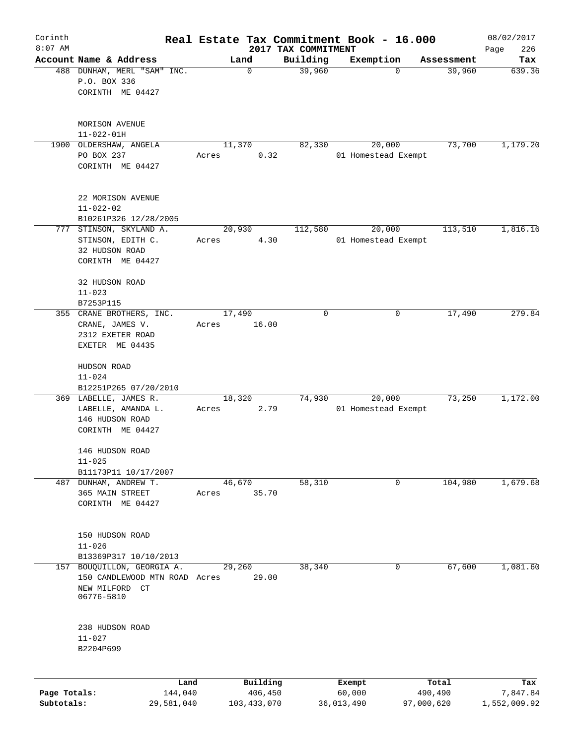| Corinth      |                                                  | Real Estate Tax Commitment Book - 16.000 |                                 |                     |            | 08/02/2017         |
|--------------|--------------------------------------------------|------------------------------------------|---------------------------------|---------------------|------------|--------------------|
| $8:07$ AM    | Account Name & Address                           | Land                                     | 2017 TAX COMMITMENT<br>Building | Exemption           | Assessment | 226<br>Page<br>Tax |
|              | 488 DUNHAM, MERL "SAM" INC.                      | 0                                        | 39,960                          | $\Omega$            | 39,960     | 639.36             |
|              | P.O. BOX 336                                     |                                          |                                 |                     |            |                    |
|              | CORINTH ME 04427                                 |                                          |                                 |                     |            |                    |
|              |                                                  |                                          |                                 |                     |            |                    |
|              |                                                  |                                          |                                 |                     |            |                    |
|              | MORISON AVENUE                                   |                                          |                                 |                     |            |                    |
| 1900         | $11 - 022 - 01H$<br>OLDERSHAW, ANGELA            | 11,370                                   | 82,330                          | 20,000              | 73,700     | 1,179.20           |
|              | PO BOX 237                                       | 0.32<br>Acres                            |                                 | 01 Homestead Exempt |            |                    |
|              | CORINTH ME 04427                                 |                                          |                                 |                     |            |                    |
|              |                                                  |                                          |                                 |                     |            |                    |
|              |                                                  |                                          |                                 |                     |            |                    |
|              | 22 MORISON AVENUE                                |                                          |                                 |                     |            |                    |
|              | $11 - 022 - 02$                                  |                                          |                                 |                     |            |                    |
|              | B10261P326 12/28/2005<br>777 STINSON, SKYLAND A. | 20,930                                   | 112,580                         | 20,000              | 113,510    | 1,816.16           |
|              | STINSON, EDITH C.                                | 4.30<br>Acres                            |                                 | 01 Homestead Exempt |            |                    |
|              | 32 HUDSON ROAD                                   |                                          |                                 |                     |            |                    |
|              | CORINTH ME 04427                                 |                                          |                                 |                     |            |                    |
|              |                                                  |                                          |                                 |                     |            |                    |
|              | 32 HUDSON ROAD                                   |                                          |                                 |                     |            |                    |
|              | $11 - 023$                                       |                                          |                                 |                     |            |                    |
|              | B7253P115                                        |                                          |                                 |                     |            |                    |
|              | 355 CRANE BROTHERS, INC.                         | 17,490                                   | 0                               | 0                   | 17,490     | 279.84             |
|              | CRANE, JAMES V.                                  | Acres<br>16.00                           |                                 |                     |            |                    |
|              | 2312 EXETER ROAD                                 |                                          |                                 |                     |            |                    |
|              | EXETER ME 04435                                  |                                          |                                 |                     |            |                    |
|              | HUDSON ROAD                                      |                                          |                                 |                     |            |                    |
|              | $11 - 024$                                       |                                          |                                 |                     |            |                    |
|              | B12251P265 07/20/2010                            |                                          |                                 |                     |            |                    |
|              | 369 LABELLE, JAMES R.                            | 18,320                                   | 74,930                          | 20,000              | 73,250     | 1,172.00           |
|              | LABELLE, AMANDA L.                               | 2.79<br>Acres                            |                                 | 01 Homestead Exempt |            |                    |
|              | 146 HUDSON ROAD                                  |                                          |                                 |                     |            |                    |
|              | CORINTH ME 04427                                 |                                          |                                 |                     |            |                    |
|              |                                                  |                                          |                                 |                     |            |                    |
|              | 146 HUDSON ROAD                                  |                                          |                                 |                     |            |                    |
|              | $11 - 025$<br>B11173P11 10/17/2007               |                                          |                                 |                     |            |                    |
| 487          | DUNHAM, ANDREW T.                                | 46,670                                   | 58,310                          | 0                   | 104,980    | 1,679.68           |
|              | 365 MAIN STREET                                  | 35.70<br>Acres                           |                                 |                     |            |                    |
|              | CORINTH ME 04427                                 |                                          |                                 |                     |            |                    |
|              |                                                  |                                          |                                 |                     |            |                    |
|              |                                                  |                                          |                                 |                     |            |                    |
|              | 150 HUDSON ROAD                                  |                                          |                                 |                     |            |                    |
|              | $11 - 026$                                       |                                          |                                 |                     |            |                    |
|              | B13369P317 10/10/2013                            |                                          |                                 |                     |            |                    |
| 157          | BOUQUILLON, GEORGIA A.                           | 29,260                                   | 38,340                          | 0                   | 67,600     | 1,081.60           |
|              | 150 CANDLEWOOD MTN ROAD Acres                    | 29.00                                    |                                 |                     |            |                    |
|              | NEW MILFORD CT<br>06776-5810                     |                                          |                                 |                     |            |                    |
|              |                                                  |                                          |                                 |                     |            |                    |
|              |                                                  |                                          |                                 |                     |            |                    |
|              | 238 HUDSON ROAD                                  |                                          |                                 |                     |            |                    |
|              | $11 - 027$                                       |                                          |                                 |                     |            |                    |
|              | B2204P699                                        |                                          |                                 |                     |            |                    |
|              |                                                  |                                          |                                 |                     |            |                    |
|              | Land                                             | Building                                 |                                 | Exempt              | Total      | Tax                |
| Page Totals: | 144,040                                          | 406,450                                  |                                 | 60,000              | 490,490    | 7,847.84           |
| Subtotals:   | 29,581,040                                       | 103, 433, 070                            |                                 | 36,013,490          | 97,000,620 | 1,552,009.92       |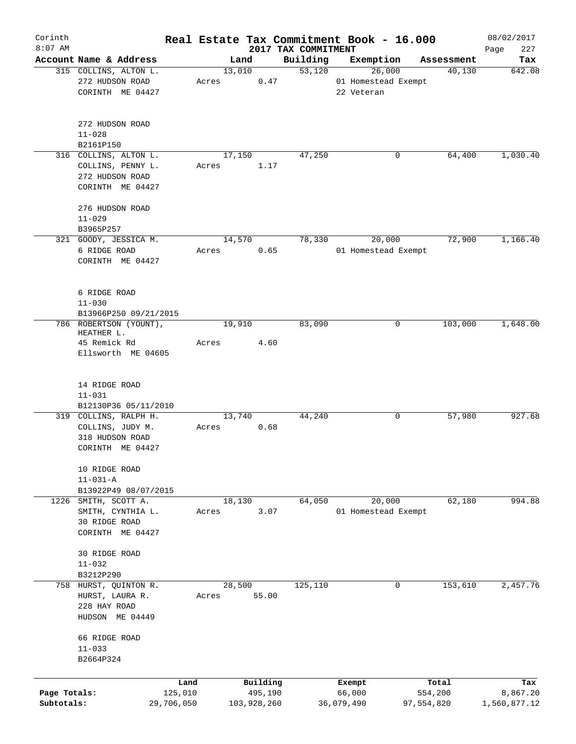| Corinth      |                                        |       |             |                                 | Real Estate Tax Commitment Book - 16.000 |            | 08/02/2017         |
|--------------|----------------------------------------|-------|-------------|---------------------------------|------------------------------------------|------------|--------------------|
| $8:07$ AM    | Account Name & Address                 |       | Land        | 2017 TAX COMMITMENT<br>Building | Exemption                                | Assessment | 227<br>Page<br>Tax |
|              | 315 COLLINS, ALTON L.                  |       | 13,010      | 53,120                          | 26,000                                   | 40,130     | 642.08             |
|              | 272 HUDSON ROAD                        | Acres | 0.47        |                                 | 01 Homestead Exempt                      |            |                    |
|              | CORINTH ME 04427                       |       |             |                                 | 22 Veteran                               |            |                    |
|              | 272 HUDSON ROAD                        |       |             |                                 |                                          |            |                    |
|              | $11 - 028$                             |       |             |                                 |                                          |            |                    |
|              | B2161P150                              |       |             |                                 |                                          |            |                    |
|              | 316 COLLINS, ALTON L.                  |       | 17,150      | 47,250                          | 0                                        | 64,400     | 1,030.40           |
|              | COLLINS, PENNY L.                      | Acres | 1.17        |                                 |                                          |            |                    |
|              | 272 HUDSON ROAD                        |       |             |                                 |                                          |            |                    |
|              | CORINTH ME 04427                       |       |             |                                 |                                          |            |                    |
|              | 276 HUDSON ROAD                        |       |             |                                 |                                          |            |                    |
|              | $11 - 029$                             |       |             |                                 |                                          |            |                    |
|              | B3965P257                              |       |             |                                 |                                          |            |                    |
|              | 321 GOODY, JESSICA M.                  |       | 14,570      | 78,330                          | 20,000                                   | 72,900     | 1,166.40           |
|              | 6 RIDGE ROAD                           | Acres | 0.65        |                                 | 01 Homestead Exempt                      |            |                    |
|              | CORINTH ME 04427                       |       |             |                                 |                                          |            |                    |
|              | 6 RIDGE ROAD                           |       |             |                                 |                                          |            |                    |
|              | $11 - 030$                             |       |             |                                 |                                          |            |                    |
|              | B13966P250 09/21/2015                  |       |             |                                 |                                          |            |                    |
|              | 786 ROBERTSON (YOUNT),                 |       | 19,910      | 83,090                          | 0                                        | 103,000    | 1,648.00           |
|              | HEATHER L.                             |       |             |                                 |                                          |            |                    |
|              | 45 Remick Rd                           | Acres | 4.60        |                                 |                                          |            |                    |
|              | Ellsworth ME 04605                     |       |             |                                 |                                          |            |                    |
|              |                                        |       |             |                                 |                                          |            |                    |
|              | 14 RIDGE ROAD                          |       |             |                                 |                                          |            |                    |
|              | $11 - 031$                             |       |             |                                 |                                          |            |                    |
|              | B12130P36 05/11/2010                   |       |             |                                 |                                          |            |                    |
|              | 319 COLLINS, RALPH H.                  |       | 13,740      | 44,240                          | 0                                        | 57,980     | 927.68             |
|              | COLLINS, JUDY M.                       | Acres | 0.68        |                                 |                                          |            |                    |
|              | 318 HUDSON ROAD                        |       |             |                                 |                                          |            |                    |
|              | CORINTH ME 04427                       |       |             |                                 |                                          |            |                    |
|              | 10 RIDGE ROAD                          |       |             |                                 |                                          |            |                    |
|              | $11 - 031 - A$<br>B13922P49 08/07/2015 |       |             |                                 |                                          |            |                    |
|              | 1226 SMITH, SCOTT A.                   |       | 18,130      | 64,050                          | 20,000                                   | 62,180     | 994.88             |
|              | SMITH, CYNTHIA L.                      | Acres | 3.07        |                                 | 01 Homestead Exempt                      |            |                    |
|              | 30 RIDGE ROAD                          |       |             |                                 |                                          |            |                    |
|              | CORINTH ME 04427                       |       |             |                                 |                                          |            |                    |
|              |                                        |       |             |                                 |                                          |            |                    |
|              | 30 RIDGE ROAD                          |       |             |                                 |                                          |            |                    |
|              | $11 - 032$                             |       |             |                                 |                                          |            |                    |
|              | B3212P290                              |       |             |                                 |                                          |            |                    |
|              | 758 HURST, QUINTON R.                  |       | 28,500      | 125,110                         | 0                                        | 153,610    | 2,457.76           |
|              | HURST, LAURA R.                        | Acres | 55.00       |                                 |                                          |            |                    |
|              | 228 HAY ROAD                           |       |             |                                 |                                          |            |                    |
|              | HUDSON ME 04449                        |       |             |                                 |                                          |            |                    |
|              | 66 RIDGE ROAD                          |       |             |                                 |                                          |            |                    |
|              | $11 - 033$                             |       |             |                                 |                                          |            |                    |
|              | B2664P324                              |       |             |                                 |                                          |            |                    |
|              | Land                                   |       | Building    |                                 | Exempt                                   | Total      | Tax                |
| Page Totals: | 125,010                                |       | 495,190     |                                 | 66,000                                   | 554,200    | 8,867.20           |
| Subtotals:   | 29,706,050                             |       | 103,928,260 |                                 | 36,079,490                               | 97,554,820 | 1,560,877.12       |
|              |                                        |       |             |                                 |                                          |            |                    |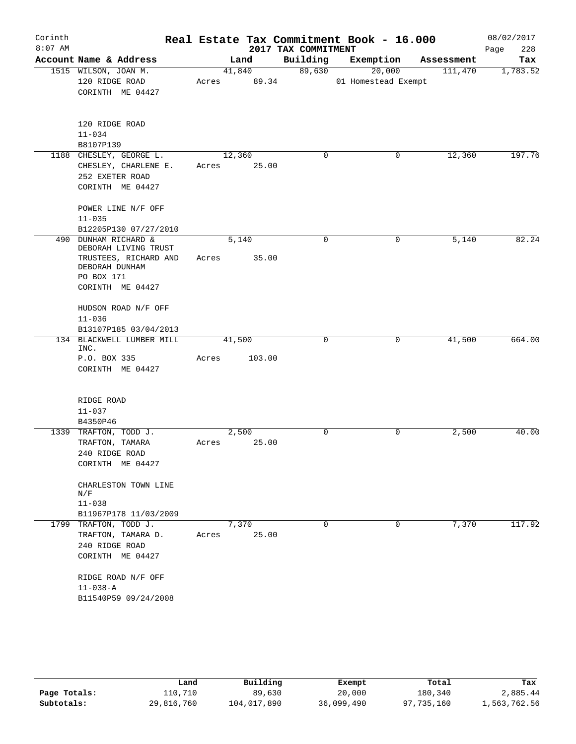| Corinth   |                                                     |       |        |                     | Real Estate Tax Commitment Book - 16.000 |            | 08/02/2017  |
|-----------|-----------------------------------------------------|-------|--------|---------------------|------------------------------------------|------------|-------------|
| $8:07$ AM |                                                     |       |        | 2017 TAX COMMITMENT |                                          |            | 228<br>Page |
|           | Account Name & Address                              |       | Land   | Building            | Exemption                                | Assessment | Tax         |
|           | 1515 WILSON, JOAN M.                                |       | 41,840 | 89,630              | 20,000                                   | 111,470    | 1,783.52    |
|           | 120 RIDGE ROAD<br>CORINTH ME 04427                  | Acres | 89.34  |                     | 01 Homestead Exempt                      |            |             |
|           |                                                     |       |        |                     |                                          |            |             |
|           | 120 RIDGE ROAD                                      |       |        |                     |                                          |            |             |
|           | $11 - 034$                                          |       |        |                     |                                          |            |             |
|           | B8107P139                                           |       |        |                     |                                          |            |             |
|           | 1188 CHESLEY, GEORGE L.                             |       | 12,360 | 0                   | 0                                        | 12,360     | 197.76      |
|           | CHESLEY, CHARLENE E.                                | Acres |        | 25.00               |                                          |            |             |
|           | 252 EXETER ROAD<br>CORINTH ME 04427                 |       |        |                     |                                          |            |             |
|           |                                                     |       |        |                     |                                          |            |             |
|           | POWER LINE N/F OFF                                  |       |        |                     |                                          |            |             |
|           | $11 - 035$                                          |       |        |                     |                                          |            |             |
|           | B12205P130 07/27/2010                               |       |        |                     |                                          |            |             |
| 490       | <b>DUNHAM RICHARD &amp;</b><br>DEBORAH LIVING TRUST |       | 5,140  | $\mathbf 0$         | 0                                        | 5,140      | 82.24       |
|           | TRUSTEES, RICHARD AND<br>DEBORAH DUNHAM             | Acres |        | 35.00               |                                          |            |             |
|           | PO BOX 171<br>CORINTH ME 04427                      |       |        |                     |                                          |            |             |
|           | HUDSON ROAD N/F OFF                                 |       |        |                     |                                          |            |             |
|           | $11 - 036$                                          |       |        |                     |                                          |            |             |
|           | B13107P185 03/04/2013                               |       |        |                     |                                          |            |             |
|           | 134 BLACKWELL LUMBER MILL<br>INC.                   |       | 41,500 | 0                   | 0                                        | 41,500     | 664.00      |
|           | P.O. BOX 335                                        | Acres | 103.00 |                     |                                          |            |             |
|           | CORINTH ME 04427                                    |       |        |                     |                                          |            |             |
|           | RIDGE ROAD                                          |       |        |                     |                                          |            |             |
|           | $11 - 037$                                          |       |        |                     |                                          |            |             |
|           | B4350P46                                            |       |        |                     |                                          |            |             |
|           | 1339 TRAFTON, TODD J.                               |       | 2,500  | $\Omega$            | 0                                        | 2,500      | 40.00       |
|           | TRAFTON, TAMARA                                     | Acres |        | 25.00               |                                          |            |             |
|           | 240 RIDGE ROAD                                      |       |        |                     |                                          |            |             |
|           | CORINTH ME 04427                                    |       |        |                     |                                          |            |             |
|           | CHARLESTON TOWN LINE<br>N/F                         |       |        |                     |                                          |            |             |
|           | $11 - 038$                                          |       |        |                     |                                          |            |             |
|           | B11967P178 11/03/2009                               |       |        |                     |                                          |            |             |
|           | 1799 TRAFTON, TODD J.                               |       | 7,370  | 0                   | 0                                        | 7,370      | 117.92      |
|           | TRAFTON, TAMARA D.                                  | Acres |        | 25.00               |                                          |            |             |
|           | 240 RIDGE ROAD                                      |       |        |                     |                                          |            |             |
|           | CORINTH ME 04427                                    |       |        |                     |                                          |            |             |
|           | RIDGE ROAD N/F OFF                                  |       |        |                     |                                          |            |             |
|           | $11 - 038 - A$                                      |       |        |                     |                                          |            |             |
|           | B11540P59 09/24/2008                                |       |        |                     |                                          |            |             |
|           |                                                     |       |        |                     |                                          |            |             |

|              | Land       | Building    | Exempt     | Total      | Tax          |
|--------------|------------|-------------|------------|------------|--------------|
| Page Totals: | 110,710    | 89,630      | 20,000     | 180,340    | 2,885.44     |
| Subtotals:   | 29,816,760 | 104,017,890 | 36,099,490 | 97,735,160 | 1,563,762.56 |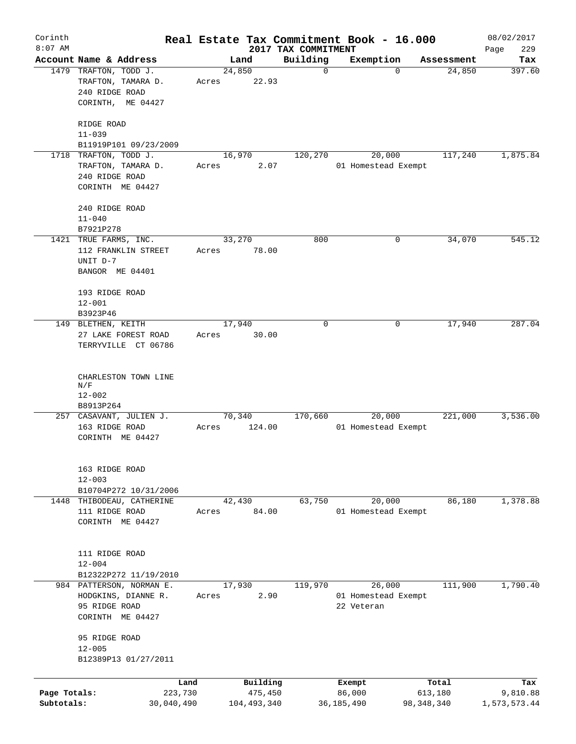| Corinth                    |                                                                                      |                 |                          |                                 | Real Estate Tax Commitment Book - 16.000    |                         | 08/02/2017               |
|----------------------------|--------------------------------------------------------------------------------------|-----------------|--------------------------|---------------------------------|---------------------------------------------|-------------------------|--------------------------|
| $8:07$ AM                  | Account Name & Address                                                               |                 | Land                     | 2017 TAX COMMITMENT<br>Building | Exemption                                   | Assessment              | 229<br>Page<br>Tax       |
|                            | 1479 TRAFTON, TODD J.<br>TRAFTON, TAMARA D.<br>240 RIDGE ROAD<br>CORINTH, ME 04427   | 24,850<br>Acres | 22.93                    | 0                               | $\Omega$                                    | 24,850                  | 397.60                   |
|                            | RIDGE ROAD<br>$11 - 039$<br>B11919P101 09/23/2009                                    |                 |                          |                                 |                                             |                         |                          |
|                            | 1718 TRAFTON, TODD J.<br>TRAFTON, TAMARA D.<br>240 RIDGE ROAD<br>CORINTH ME 04427    | 16,970<br>Acres | 2.07                     | 120,270                         | 20,000<br>01 Homestead Exempt               | 117,240                 | 1,875.84                 |
|                            | 240 RIDGE ROAD<br>$11 - 040$<br>B7921P278                                            |                 |                          |                                 |                                             |                         |                          |
|                            | 1421 TRUE FARMS, INC.<br>112 FRANKLIN STREET<br>UNIT D-7<br>BANGOR ME 04401          | 33,270<br>Acres | 78.00                    | 800                             | 0                                           | 34,070                  | 545.12                   |
|                            | 193 RIDGE ROAD<br>$12 - 001$                                                         |                 |                          |                                 |                                             |                         |                          |
|                            | B3923P46<br>149 BLETHEN, KEITH<br>27 LAKE FOREST ROAD<br>TERRYVILLE CT 06786         | 17,940<br>Acres | 30.00                    | 0                               | 0                                           | 17,940                  | 287.04                   |
|                            | CHARLESTON TOWN LINE<br>N/F<br>$12 - 002$<br>B8913P264                               |                 |                          |                                 |                                             |                         |                          |
|                            | 257 CASAVANT, JULIEN J.<br>163 RIDGE ROAD<br>CORINTH ME 04427                        | 70,340<br>Acres | 124.00                   | 170,660                         | 20,000<br>01 Homestead Exempt               | 221,000                 | 3,536.00                 |
|                            | 163 RIDGE ROAD<br>$12 - 003$<br>B10704P272 10/31/2006                                |                 |                          |                                 |                                             |                         |                          |
| 1448                       | THIBODEAU, CATHERINE<br>111 RIDGE ROAD<br>CORINTH ME 04427                           | 42,430<br>Acres | 84.00                    | 63,750                          | 20,000<br>01 Homestead Exempt               | 86,180                  | 1,378.88                 |
|                            | 111 RIDGE ROAD<br>$12 - 004$<br>B12322P272 11/19/2010                                |                 |                          |                                 |                                             |                         |                          |
|                            | 984 PATTERSON, NORMAN E.<br>HODGKINS, DIANNE R.<br>95 RIDGE ROAD<br>CORINTH ME 04427 | 17,930<br>Acres | 2.90                     | 119,970                         | 26,000<br>01 Homestead Exempt<br>22 Veteran | 111,900                 | 1,790.40                 |
|                            | 95 RIDGE ROAD<br>$12 - 005$<br>B12389P13 01/27/2011                                  |                 |                          |                                 |                                             |                         |                          |
|                            | Land                                                                                 |                 | Building                 |                                 | Exempt                                      | Total                   | Tax                      |
| Page Totals:<br>Subtotals: | 223,730<br>30,040,490                                                                |                 | 475,450<br>104, 493, 340 |                                 | 86,000<br>36, 185, 490                      | 613,180<br>98, 348, 340 | 9,810.88<br>1,573,573.44 |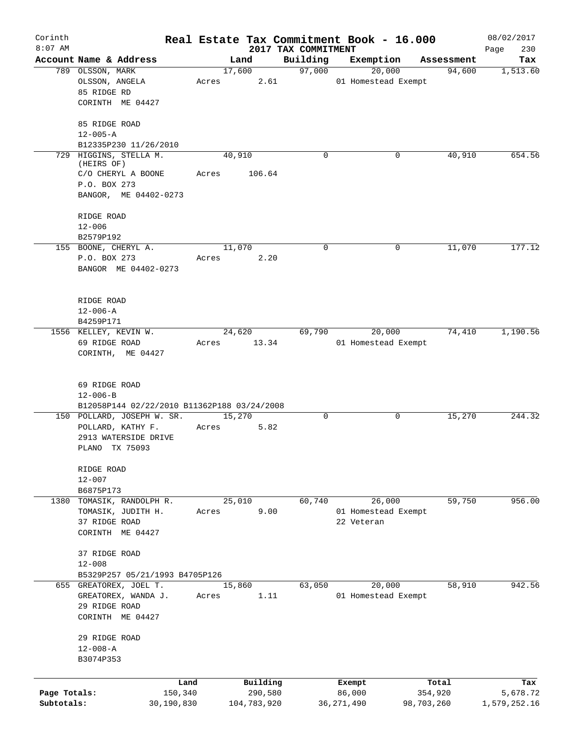| Corinth      |                                             | Real Estate Tax Commitment Book - 16.000 |          |                                 |                                   |            |                      | 08/02/2017         |
|--------------|---------------------------------------------|------------------------------------------|----------|---------------------------------|-----------------------------------|------------|----------------------|--------------------|
| $8:07$ AM    | Account Name & Address                      | Land                                     |          | 2017 TAX COMMITMENT<br>Building | Exemption                         |            |                      | 230<br>Page<br>Tax |
|              | 789 OLSSON, MARK                            | 17,600                                   |          | 97,000                          | 20,000                            |            | Assessment<br>94,600 | 1,513.60           |
|              | OLSSON, ANGELA                              | Acres                                    | 2.61     |                                 | 01 Homestead Exempt               |            |                      |                    |
|              | 85 RIDGE RD                                 |                                          |          |                                 |                                   |            |                      |                    |
|              | CORINTH ME 04427                            |                                          |          |                                 |                                   |            |                      |                    |
|              | 85 RIDGE ROAD                               |                                          |          |                                 |                                   |            |                      |                    |
|              | $12 - 005 - A$                              |                                          |          |                                 |                                   |            |                      |                    |
|              | B12335P230 11/26/2010                       |                                          |          |                                 |                                   |            |                      |                    |
|              | 729 HIGGINS, STELLA M.                      | 40,910                                   |          | $\Omega$                        |                                   | 0          | 40,910               | 654.56             |
|              | (HEIRS OF)<br>C/O CHERYL A BOONE            | Acres                                    | 106.64   |                                 |                                   |            |                      |                    |
|              | P.O. BOX 273                                |                                          |          |                                 |                                   |            |                      |                    |
|              | BANGOR, ME 04402-0273                       |                                          |          |                                 |                                   |            |                      |                    |
|              | RIDGE ROAD                                  |                                          |          |                                 |                                   |            |                      |                    |
|              | $12 - 006$                                  |                                          |          |                                 |                                   |            |                      |                    |
|              | B2579P192                                   |                                          |          |                                 |                                   |            |                      |                    |
|              | 155 BOONE, CHERYL A.                        | 11,070                                   |          | $\mathbf 0$                     |                                   | 0          | 11,070               | 177.12             |
|              | P.O. BOX 273                                | Acres                                    | 2.20     |                                 |                                   |            |                      |                    |
|              | BANGOR ME 04402-0273                        |                                          |          |                                 |                                   |            |                      |                    |
|              | RIDGE ROAD                                  |                                          |          |                                 |                                   |            |                      |                    |
|              | $12 - 006 - A$                              |                                          |          |                                 |                                   |            |                      |                    |
|              | B4259P171                                   |                                          |          |                                 |                                   |            |                      |                    |
|              | 1556 KELLEY, KEVIN W.                       | 24,620                                   |          | 69,790                          | 20,000                            |            | 74,410               | 1,190.56           |
|              | 69 RIDGE ROAD                               | Acres                                    | 13.34    |                                 | 01 Homestead Exempt               |            |                      |                    |
|              | CORINTH, ME 04427                           |                                          |          |                                 |                                   |            |                      |                    |
|              | 69 RIDGE ROAD                               |                                          |          |                                 |                                   |            |                      |                    |
|              | $12 - 006 - B$                              |                                          |          |                                 |                                   |            |                      |                    |
|              | B12058P144 02/22/2010 B11362P188 03/24/2008 |                                          |          |                                 |                                   |            |                      |                    |
|              | 150 POLLARD, JOSEPH W. SR.                  | 15,270                                   |          | 0                               |                                   | 0          | 15,270               | 244.32             |
|              | POLLARD, KATHY F.                           | Acres                                    | 5.82     |                                 |                                   |            |                      |                    |
|              | 2913 WATERSIDE DRIVE                        |                                          |          |                                 |                                   |            |                      |                    |
|              | PLANO TX 75093                              |                                          |          |                                 |                                   |            |                      |                    |
|              | RIDGE ROAD                                  |                                          |          |                                 |                                   |            |                      |                    |
|              | $12 - 007$                                  |                                          |          |                                 |                                   |            |                      |                    |
|              | B6875P173                                   |                                          |          |                                 |                                   |            |                      |                    |
| 1380         | TOMASIK, RANDOLPH R.                        | 25,010                                   |          | 60,740                          | 26,000                            |            | 59,750               | 956.00             |
|              | TOMASIK, JUDITH H.<br>37 RIDGE ROAD         | Acres                                    | 9.00     |                                 | 01 Homestead Exempt<br>22 Veteran |            |                      |                    |
|              | CORINTH ME 04427                            |                                          |          |                                 |                                   |            |                      |                    |
|              | 37 RIDGE ROAD                               |                                          |          |                                 |                                   |            |                      |                    |
|              | $12 - 008$                                  |                                          |          |                                 |                                   |            |                      |                    |
|              | B5329P257 05/21/1993 B4705P126              |                                          |          |                                 |                                   |            |                      |                    |
|              | 655 GREATOREX, JOEL T.                      | 15,860                                   |          | 63,050                          | 20,000                            |            | 58,910               | 942.56             |
|              | GREATOREX, WANDA J.                         | Acres                                    | 1.11     |                                 | 01 Homestead Exempt               |            |                      |                    |
|              | 29 RIDGE ROAD                               |                                          |          |                                 |                                   |            |                      |                    |
|              | CORINTH ME 04427                            |                                          |          |                                 |                                   |            |                      |                    |
|              | 29 RIDGE ROAD                               |                                          |          |                                 |                                   |            |                      |                    |
|              | $12 - 008 - A$                              |                                          |          |                                 |                                   |            |                      |                    |
|              | B3074P353                                   |                                          |          |                                 |                                   |            |                      |                    |
|              |                                             |                                          | Building |                                 |                                   |            | Total                | Tax                |
| Page Totals: | Land<br>150,340                             |                                          | 290,580  |                                 | Exempt<br>86,000                  |            | 354,920              | 5,678.72           |
| Subtotals:   | 30,190,830                                  | 104,783,920                              |          |                                 | 36, 271, 490                      | 98,703,260 |                      | 1,579,252.16       |
|              |                                             |                                          |          |                                 |                                   |            |                      |                    |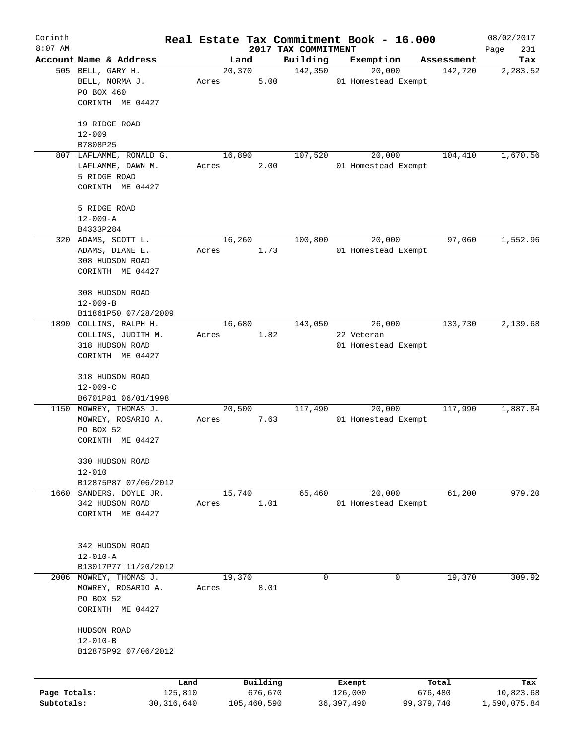| Corinth      |                         |              |       |        |             | Real Estate Tax Commitment Book - 16.000 |                     |        |            | 08/02/2017         |
|--------------|-------------------------|--------------|-------|--------|-------------|------------------------------------------|---------------------|--------|------------|--------------------|
| $8:07$ AM    | Account Name & Address  |              |       | Land   |             | 2017 TAX COMMITMENT<br>Building          | Exemption           |        | Assessment | Page<br>231<br>Tax |
|              | 505 BELL, GARY H.       |              |       | 20,370 |             | 142,350                                  |                     | 20,000 | 142,720    | 2,283.52           |
|              | BELL, NORMA J.          |              | Acres |        | 5.00        |                                          | 01 Homestead Exempt |        |            |                    |
|              | PO BOX 460              |              |       |        |             |                                          |                     |        |            |                    |
|              | CORINTH ME 04427        |              |       |        |             |                                          |                     |        |            |                    |
|              |                         |              |       |        |             |                                          |                     |        |            |                    |
|              | 19 RIDGE ROAD           |              |       |        |             |                                          |                     |        |            |                    |
|              | $12 - 009$              |              |       |        |             |                                          |                     |        |            |                    |
|              | B7808P25                |              |       |        |             |                                          |                     |        |            |                    |
|              | 807 LAFLAMME, RONALD G. |              |       | 16,890 |             | 107,520                                  |                     | 20,000 | 104,410    | 1,670.56           |
|              | LAFLAMME, DAWN M.       |              | Acres |        | 2.00        |                                          | 01 Homestead Exempt |        |            |                    |
|              | 5 RIDGE ROAD            |              |       |        |             |                                          |                     |        |            |                    |
|              | CORINTH ME 04427        |              |       |        |             |                                          |                     |        |            |                    |
|              | 5 RIDGE ROAD            |              |       |        |             |                                          |                     |        |            |                    |
|              | $12 - 009 - A$          |              |       |        |             |                                          |                     |        |            |                    |
|              | B4333P284               |              |       |        |             |                                          |                     |        |            |                    |
|              | 320 ADAMS, SCOTT L.     |              |       | 16,260 |             | 100,800                                  |                     | 20,000 | 97,060     | 1,552.96           |
|              | ADAMS, DIANE E.         |              | Acres |        | 1.73        |                                          | 01 Homestead Exempt |        |            |                    |
|              | 308 HUDSON ROAD         |              |       |        |             |                                          |                     |        |            |                    |
|              | CORINTH ME 04427        |              |       |        |             |                                          |                     |        |            |                    |
|              |                         |              |       |        |             |                                          |                     |        |            |                    |
|              | 308 HUDSON ROAD         |              |       |        |             |                                          |                     |        |            |                    |
|              | $12 - 009 - B$          |              |       |        |             |                                          |                     |        |            |                    |
|              | B11861P50 07/28/2009    |              |       |        |             |                                          |                     |        |            |                    |
|              | 1890 COLLINS, RALPH H.  |              |       | 16,680 |             | 143,050                                  |                     | 26,000 | 133,730    | 2,139.68           |
|              | COLLINS, JUDITH M.      |              | Acres |        | 1.82        |                                          | 22 Veteran          |        |            |                    |
|              | 318 HUDSON ROAD         |              |       |        |             |                                          | 01 Homestead Exempt |        |            |                    |
|              | CORINTH ME 04427        |              |       |        |             |                                          |                     |        |            |                    |
|              | 318 HUDSON ROAD         |              |       |        |             |                                          |                     |        |            |                    |
|              | $12 - 009 - C$          |              |       |        |             |                                          |                     |        |            |                    |
|              | B6701P81 06/01/1998     |              |       |        |             |                                          |                     |        |            |                    |
|              | 1150 MOWREY, THOMAS J.  |              |       | 20,500 |             | 117,490                                  |                     | 20,000 | 117,990    | 1,887.84           |
|              | MOWREY, ROSARIO A.      |              | Acres |        | 7.63        |                                          | 01 Homestead Exempt |        |            |                    |
|              | PO BOX 52               |              |       |        |             |                                          |                     |        |            |                    |
|              | CORINTH ME 04427        |              |       |        |             |                                          |                     |        |            |                    |
|              |                         |              |       |        |             |                                          |                     |        |            |                    |
|              | 330 HUDSON ROAD         |              |       |        |             |                                          |                     |        |            |                    |
|              | $12 - 010$              |              |       |        |             |                                          |                     |        |            |                    |
|              | B12875P87 07/06/2012    |              |       |        |             |                                          |                     |        |            |                    |
| 1660         | SANDERS, DOYLE JR.      |              |       | 15,740 |             | 65,460                                   |                     | 20,000 | 61,200     | 979.20             |
|              | 342 HUDSON ROAD         |              | Acres |        | 1.01        |                                          | 01 Homestead Exempt |        |            |                    |
|              | CORINTH ME 04427        |              |       |        |             |                                          |                     |        |            |                    |
|              |                         |              |       |        |             |                                          |                     |        |            |                    |
|              | 342 HUDSON ROAD         |              |       |        |             |                                          |                     |        |            |                    |
|              | $12 - 010 - A$          |              |       |        |             |                                          |                     |        |            |                    |
|              | B13017P77 11/20/2012    |              |       |        |             |                                          |                     |        |            |                    |
| 2006         | MOWREY, THOMAS J.       |              |       | 19,370 |             | 0                                        |                     | 0      | 19,370     | 309.92             |
|              | MOWREY, ROSARIO A.      |              | Acres |        | 8.01        |                                          |                     |        |            |                    |
|              | PO BOX 52               |              |       |        |             |                                          |                     |        |            |                    |
|              | CORINTH ME 04427        |              |       |        |             |                                          |                     |        |            |                    |
|              |                         |              |       |        |             |                                          |                     |        |            |                    |
|              | HUDSON ROAD             |              |       |        |             |                                          |                     |        |            |                    |
|              | $12 - 010 - B$          |              |       |        |             |                                          |                     |        |            |                    |
|              | B12875P92 07/06/2012    |              |       |        |             |                                          |                     |        |            |                    |
|              |                         |              |       |        |             |                                          |                     |        |            |                    |
|              |                         | Land         |       |        | Building    |                                          | Exempt              |        | Total      | Tax                |
| Page Totals: |                         | 125,810      |       |        | 676,670     |                                          | 126,000             |        | 676,480    | 10,823.68          |
| Subtotals:   |                         | 30, 316, 640 |       |        | 105,460,590 |                                          | 36,397,490          |        | 99,379,740 | 1,590,075.84       |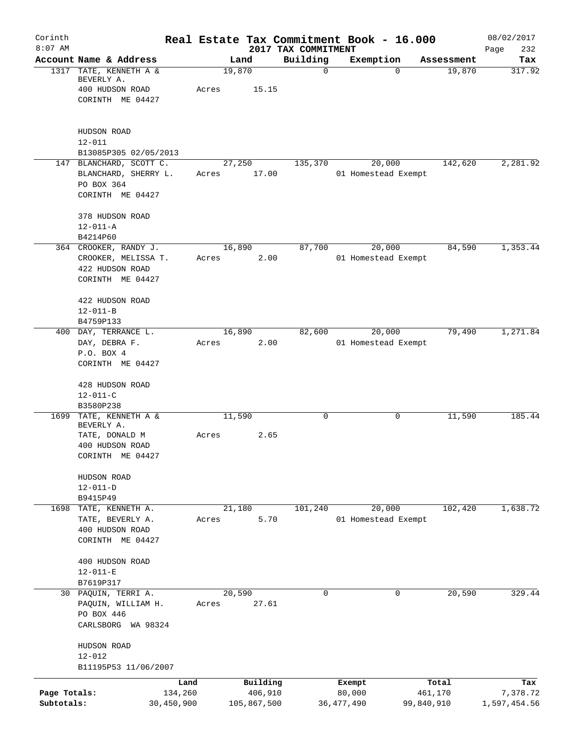| Corinth                    |                                                                                                 | Real Estate Tax Commitment Book - 16.000 |                        |                                 |                        |                               |                       | 08/02/2017               |
|----------------------------|-------------------------------------------------------------------------------------------------|------------------------------------------|------------------------|---------------------------------|------------------------|-------------------------------|-----------------------|--------------------------|
| $8:07$ AM                  | Account Name & Address                                                                          |                                          | Land                   | 2017 TAX COMMITMENT<br>Building |                        | Exemption                     | Assessment            | 232<br>Page<br>Tax       |
|                            | 1317 TATE, KENNETH A &<br>BEVERLY A.<br>400 HUDSON ROAD<br>CORINTH ME 04427                     | Acres                                    | 19,870<br>15.15        | $\mathbf 0$                     |                        | $\Omega$                      | 19,870                | 317.92                   |
|                            | HUDSON ROAD<br>$12 - 011$                                                                       |                                          |                        |                                 |                        |                               |                       |                          |
|                            | B13085P305 02/05/2013<br>147 BLANCHARD, SCOTT C.<br>BLANCHARD, SHERRY L.<br>PO BOX 364          | Acres                                    | 27,250<br>17.00        | 135,370                         |                        | 20,000<br>01 Homestead Exempt | 142,620               | 2,281.92                 |
|                            | CORINTH ME 04427                                                                                |                                          |                        |                                 |                        |                               |                       |                          |
|                            | 378 HUDSON ROAD<br>$12 - 011 - A$                                                               |                                          |                        |                                 |                        |                               |                       |                          |
|                            | B4214P60<br>364 CROOKER, RANDY J.<br>CROOKER, MELISSA T.<br>422 HUDSON ROAD<br>CORINTH ME 04427 | Acres                                    | 16,890<br>2.00         | 87,700                          |                        | 20,000<br>01 Homestead Exempt | 84,590                | 1,353.44                 |
|                            | 422 HUDSON ROAD<br>$12 - 011 - B$<br>B4759P133                                                  |                                          |                        |                                 |                        |                               |                       |                          |
|                            | 400 DAY, TERRANCE L.<br>DAY, DEBRA F.<br>P.O. BOX 4<br>CORINTH ME 04427                         | Acres                                    | 16,890<br>2.00         | 82,600                          |                        | 20,000<br>01 Homestead Exempt | 79,490                | 1, 271.84                |
|                            | 428 HUDSON ROAD<br>$12 - 011 - C$<br>B3580P238                                                  |                                          |                        |                                 |                        |                               |                       |                          |
| 1699                       | TATE, KENNETH A &<br>BEVERLY A.                                                                 |                                          | 11,590                 | 0                               |                        | 0                             | 11,590                | 185.44                   |
|                            | TATE, DONALD M<br>400 HUDSON ROAD<br>CORINTH ME 04427                                           | Acres                                    | 2.65                   |                                 |                        |                               |                       |                          |
|                            | HUDSON ROAD<br>$12 - 011 - D$                                                                   |                                          |                        |                                 |                        |                               |                       |                          |
|                            | B9415P49<br>1698 TATE, KENNETH A.                                                               |                                          | 21,180                 | 101,240                         |                        | 20,000                        | 102,420               | 1,638.72                 |
|                            | TATE, BEVERLY A.<br>400 HUDSON ROAD<br>CORINTH ME 04427                                         | Acres                                    | 5.70                   |                                 |                        | 01 Homestead Exempt           |                       |                          |
|                            | 400 HUDSON ROAD<br>$12 - 011 - E$<br>B7619P317                                                  |                                          |                        |                                 |                        |                               |                       |                          |
|                            | 30 PAQUIN, TERRI A.                                                                             |                                          | 20,590                 | 0                               |                        | 0                             | 20,590                | 329.44                   |
|                            | PAQUIN, WILLIAM H.<br>PO BOX 446<br>CARLSBORG WA 98324                                          | Acres                                    | 27.61                  |                                 |                        |                               |                       |                          |
|                            | HUDSON ROAD<br>$12 - 012$                                                                       |                                          |                        |                                 |                        |                               |                       |                          |
|                            | B11195P53 11/06/2007                                                                            | Land                                     | Building               |                                 | Exempt                 |                               | Total                 | Tax                      |
| Page Totals:<br>Subtotals: | 30,450,900                                                                                      | 134,260                                  | 406,910<br>105,867,500 |                                 | 80,000<br>36, 477, 490 |                               | 461,170<br>99,840,910 | 7,378.72<br>1,597,454.56 |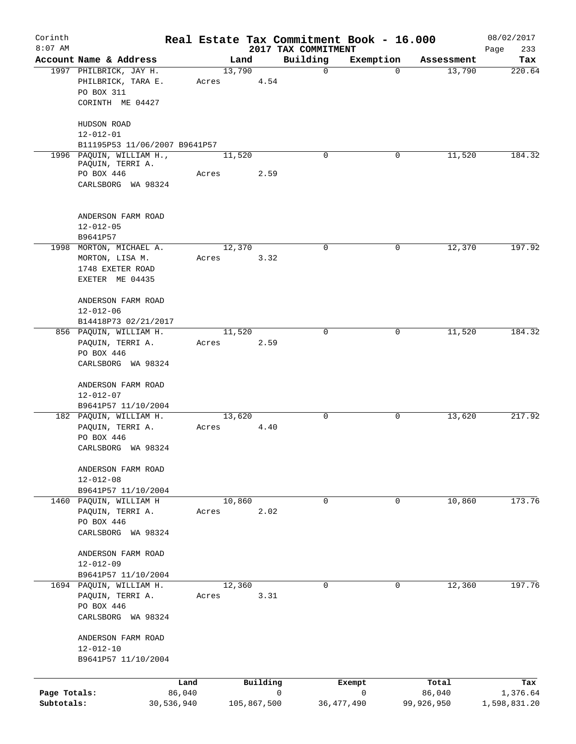| Corinth<br>$8:07$ AM |                                                               |                 |             | Real Estate Tax Commitment Book - 16.000 |              |            | 08/02/2017         |
|----------------------|---------------------------------------------------------------|-----------------|-------------|------------------------------------------|--------------|------------|--------------------|
|                      | Account Name & Address                                        |                 | Land        | 2017 TAX COMMITMENT<br>Building          | Exemption    | Assessment | 233<br>Page<br>Tax |
|                      | 1997 PHILBRICK, JAY H.<br>PHILBRICK, TARA E.<br>PO BOX 311    | 13,790<br>Acres | 4.54        | 0                                        | $\Omega$     | 13,790     | 220.64             |
|                      | CORINTH ME 04427<br>HUDSON ROAD                               |                 |             |                                          |              |            |                    |
|                      | $12 - 012 - 01$<br>B11195P53 11/06/2007 B9641P57              |                 |             |                                          |              |            |                    |
|                      | 1996 PAQUIN, WILLIAM H.,<br>PAQUIN, TERRI A.                  | 11,520          |             | $\Omega$                                 | 0            | 11,520     | 184.32             |
|                      | PO BOX 446<br>CARLSBORG WA 98324                              | Acres           | 2.59        |                                          |              |            |                    |
|                      | ANDERSON FARM ROAD<br>$12 - 012 - 05$<br>B9641P57             |                 |             |                                          |              |            |                    |
|                      | 1998 MORTON, MICHAEL A.                                       | 12,370          |             | 0                                        | 0            | 12,370     | 197.92             |
|                      | MORTON, LISA M.<br>1748 EXETER ROAD<br>EXETER ME 04435        | Acres           | 3.32        |                                          |              |            |                    |
|                      | ANDERSON FARM ROAD<br>$12 - 012 - 06$<br>B14418P73 02/21/2017 |                 |             |                                          |              |            |                    |
|                      | 856 PAQUIN, WILLIAM H.                                        | 11,520          |             | $\Omega$                                 | $\Omega$     | 11,520     | 184.32             |
|                      | PAQUIN, TERRI A.                                              | Acres           | 2.59        |                                          |              |            |                    |
|                      | PO BOX 446<br>CARLSBORG WA 98324                              |                 |             |                                          |              |            |                    |
|                      | ANDERSON FARM ROAD<br>$12 - 012 - 07$                         |                 |             |                                          |              |            |                    |
|                      | B9641P57 11/10/2004<br>182 PAQUIN, WILLIAM H.                 | 13,620          |             | 0                                        | 0            | 13,620     | 217.92             |
|                      | PAQUIN, TERRI A.                                              | Acres           | 4.40        |                                          |              |            |                    |
|                      | PO BOX 446<br>CARLSBORG WA 98324                              |                 |             |                                          |              |            |                    |
|                      | ANDERSON FARM ROAD<br>$12 - 012 - 08$                         |                 |             |                                          |              |            |                    |
|                      | B9641P57 11/10/2004<br>1460 PAQUIN, WILLIAM H                 | 10,860          |             | 0                                        | 0            | 10,860     | 173.76             |
|                      | PAQUIN, TERRI A.                                              | Acres           | 2.02        |                                          |              |            |                    |
|                      | PO BOX 446                                                    |                 |             |                                          |              |            |                    |
|                      | CARLSBORG WA 98324                                            |                 |             |                                          |              |            |                    |
|                      | ANDERSON FARM ROAD                                            |                 |             |                                          |              |            |                    |
|                      | $12 - 012 - 09$<br>B9641P57 11/10/2004                        |                 |             |                                          |              |            |                    |
|                      | 1694 PAQUIN, WILLIAM H.                                       | 12,360          |             | 0                                        | $\mathbf 0$  | 12,360     | 197.76             |
|                      | PAQUIN, TERRI A.                                              | Acres           | 3.31        |                                          |              |            |                    |
|                      | PO BOX 446<br>CARLSBORG WA 98324                              |                 |             |                                          |              |            |                    |
|                      | ANDERSON FARM ROAD                                            |                 |             |                                          |              |            |                    |
|                      | $12 - 012 - 10$<br>B9641P57 11/10/2004                        |                 |             |                                          |              |            |                    |
|                      |                                                               | Land            | Building    |                                          | Exempt       | Total      | Tax                |
| Page Totals:         | 86,040                                                        |                 |             | 0                                        | $\mathsf{O}$ | 86,040     | 1,376.64           |
| Subtotals:           | 30,536,940                                                    |                 | 105,867,500 |                                          | 36, 477, 490 | 99,926,950 | 1,598,831.20       |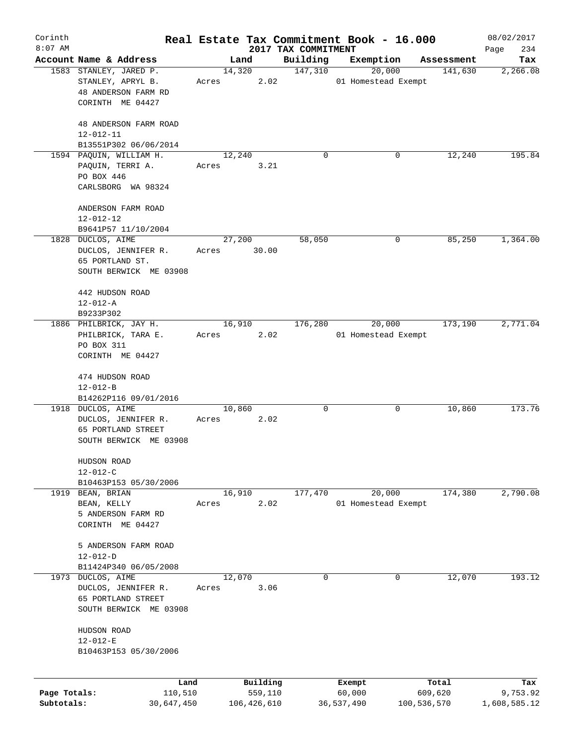| Corinth      |                                                  |       |                |                                 | Real Estate Tax Commitment Book - 16.000 |                       | 08/02/2017      |
|--------------|--------------------------------------------------|-------|----------------|---------------------------------|------------------------------------------|-----------------------|-----------------|
| $8:07$ AM    | Account Name & Address                           |       |                | 2017 TAX COMMITMENT<br>Building | Exemption                                |                       | 234<br>Page     |
|              | 1583 STANLEY, JARED P.                           |       | Land<br>14,320 | 147,310                         | 20,000                                   | Assessment<br>141,630 | Tax<br>2,266.08 |
|              | STANLEY, APRYL B.                                | Acres | 2.02           |                                 | 01 Homestead Exempt                      |                       |                 |
|              | 48 ANDERSON FARM RD                              |       |                |                                 |                                          |                       |                 |
|              | CORINTH ME 04427                                 |       |                |                                 |                                          |                       |                 |
|              |                                                  |       |                |                                 |                                          |                       |                 |
|              | 48 ANDERSON FARM ROAD                            |       |                |                                 |                                          |                       |                 |
|              | $12 - 012 - 11$                                  |       |                |                                 |                                          |                       |                 |
|              | B13551P302 06/06/2014<br>1594 PAQUIN, WILLIAM H. |       |                | $\Omega$                        | 0                                        |                       | 195.84          |
|              | PAQUIN, TERRI A.                                 | Acres | 12,240<br>3.21 |                                 |                                          | 12,240                |                 |
|              | PO BOX 446                                       |       |                |                                 |                                          |                       |                 |
|              | CARLSBORG WA 98324                               |       |                |                                 |                                          |                       |                 |
|              |                                                  |       |                |                                 |                                          |                       |                 |
|              | ANDERSON FARM ROAD                               |       |                |                                 |                                          |                       |                 |
|              | $12 - 012 - 12$                                  |       |                |                                 |                                          |                       |                 |
|              | B9641P57 11/10/2004                              |       |                |                                 |                                          |                       |                 |
|              | 1828 DUCLOS, AIME                                |       | 27,200         | 58,050                          | 0                                        | 85,250                | 1,364.00        |
|              | DUCLOS, JENNIFER R.                              | Acres | 30.00          |                                 |                                          |                       |                 |
|              | 65 PORTLAND ST.<br>SOUTH BERWICK ME 03908        |       |                |                                 |                                          |                       |                 |
|              |                                                  |       |                |                                 |                                          |                       |                 |
|              | 442 HUDSON ROAD                                  |       |                |                                 |                                          |                       |                 |
|              | $12 - 012 - A$                                   |       |                |                                 |                                          |                       |                 |
|              | B9233P302                                        |       |                |                                 |                                          |                       |                 |
|              | 1886 PHILBRICK, JAY H.                           |       | 16,910         | 176,280                         | 20,000                                   | 173,190               | 2,771.04        |
|              | PHILBRICK, TARA E.                               | Acres | 2.02           |                                 | 01 Homestead Exempt                      |                       |                 |
|              | PO BOX 311                                       |       |                |                                 |                                          |                       |                 |
|              | CORINTH ME 04427                                 |       |                |                                 |                                          |                       |                 |
|              | 474 HUDSON ROAD                                  |       |                |                                 |                                          |                       |                 |
|              | $12 - 012 - B$                                   |       |                |                                 |                                          |                       |                 |
|              | B14262P116 09/01/2016                            |       |                |                                 |                                          |                       |                 |
|              | 1918 DUCLOS, AIME                                |       | 10,860         | 0                               | 0                                        | 10,860                | 173.76          |
|              | DUCLOS, JENNIFER R.                              | Acres | 2.02           |                                 |                                          |                       |                 |
|              | 65 PORTLAND STREET                               |       |                |                                 |                                          |                       |                 |
|              | SOUTH BERWICK ME 03908                           |       |                |                                 |                                          |                       |                 |
|              |                                                  |       |                |                                 |                                          |                       |                 |
|              | HUDSON ROAD<br>$12 - 012 - C$                    |       |                |                                 |                                          |                       |                 |
|              | B10463P153 05/30/2006                            |       |                |                                 |                                          |                       |                 |
| 1919         | BEAN, BRIAN                                      |       | 16,910         | 177,470                         | 20,000                                   | 174,380               | 2,790.08        |
|              | BEAN, KELLY                                      | Acres | 2.02           |                                 | 01 Homestead Exempt                      |                       |                 |
|              | 5 ANDERSON FARM RD                               |       |                |                                 |                                          |                       |                 |
|              | CORINTH ME 04427                                 |       |                |                                 |                                          |                       |                 |
|              |                                                  |       |                |                                 |                                          |                       |                 |
|              | 5 ANDERSON FARM ROAD                             |       |                |                                 |                                          |                       |                 |
|              | $12 - 012 - D$                                   |       |                |                                 |                                          |                       |                 |
| 1973         | B11424P340 06/05/2008<br>DUCLOS, AIME            |       | 12,070         | 0                               | 0                                        | 12,070                | 193.12          |
|              | DUCLOS, JENNIFER R.                              | Acres | 3.06           |                                 |                                          |                       |                 |
|              | 65 PORTLAND STREET                               |       |                |                                 |                                          |                       |                 |
|              | SOUTH BERWICK ME 03908                           |       |                |                                 |                                          |                       |                 |
|              |                                                  |       |                |                                 |                                          |                       |                 |
|              | HUDSON ROAD                                      |       |                |                                 |                                          |                       |                 |
|              | $12 - 012 - E$                                   |       |                |                                 |                                          |                       |                 |
|              | B10463P153 05/30/2006                            |       |                |                                 |                                          |                       |                 |
|              |                                                  |       |                |                                 |                                          |                       |                 |
|              | Land                                             |       | Building       |                                 | Exempt                                   | Total                 | Tax             |
| Page Totals: | 110,510                                          |       | 559,110        |                                 | 60,000                                   | 609,620               | 9,753.92        |
| Subtotals:   | 30,647,450                                       |       | 106,426,610    |                                 | 36,537,490                               | 100,536,570           | 1,608,585.12    |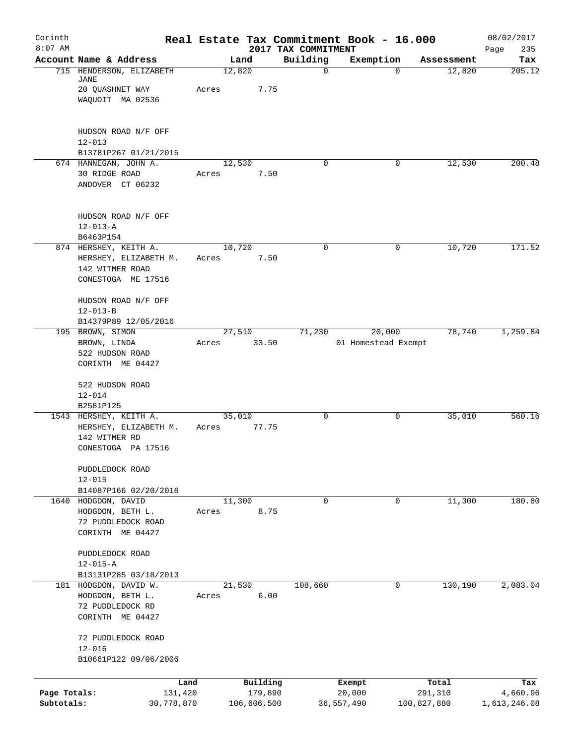| Corinth<br>$8:07$ AM       |                                                                                         | Real Estate Tax Commitment Book - 16.000 |                                 |                               |                        | 08/02/2017               |
|----------------------------|-----------------------------------------------------------------------------------------|------------------------------------------|---------------------------------|-------------------------------|------------------------|--------------------------|
|                            | Account Name & Address                                                                  | Land                                     | 2017 TAX COMMITMENT<br>Building | Exemption                     | Assessment             | 235<br>Page<br>Tax       |
|                            | 715 HENDERSON, ELIZABETH<br>JANE<br>20 QUASHNET WAY<br>WAQUOIT MA 02536                 | 12,820<br>7.75<br>Acres                  | $\mathbf 0$                     | $\Omega$                      | 12,820                 | 205.12                   |
|                            | HUDSON ROAD N/F OFF<br>$12 - 013$<br>B13781P267 01/21/2015                              |                                          |                                 |                               |                        |                          |
|                            | 674 HANNEGAN, JOHN A.<br>30 RIDGE ROAD<br>ANDOVER CT 06232                              | 12,530<br>7.50<br>Acres                  | $\Omega$                        | 0                             | 12,530                 | 200.48                   |
|                            | HUDSON ROAD N/F OFF<br>$12 - 013 - A$<br>B6463P154                                      |                                          |                                 |                               |                        |                          |
|                            | 874 HERSHEY, KEITH A.<br>HERSHEY, ELIZABETH M.<br>142 WITMER ROAD<br>CONESTOGA ME 17516 | 10,720<br>7.50<br>Acres                  | $\mathbf 0$                     | 0                             | 10,720                 | 171.52                   |
|                            | HUDSON ROAD N/F OFF<br>$12 - 013 - B$<br>B14379P89 12/05/2016                           |                                          |                                 |                               |                        |                          |
|                            | 195 BROWN, SIMON<br>BROWN, LINDA<br>522 HUDSON ROAD<br>CORINTH ME 04427                 | 27,510<br>33.50<br>Acres                 | 71,230                          | 20,000<br>01 Homestead Exempt | 78,740                 | 1,259.84                 |
|                            | 522 HUDSON ROAD<br>$12 - 014$<br>B2581P125                                              |                                          |                                 |                               |                        |                          |
|                            | 1543 HERSHEY, KEITH A.<br>HERSHEY, ELIZABETH M.<br>142 WITMER RD<br>CONESTOGA PA 17516  | 35,010<br>77.75<br>Acres                 | 0                               | 0                             | 35,010                 | 560.16                   |
|                            | PUDDLEDOCK ROAD<br>$12 - 015$<br>B14087P166 02/20/2016                                  |                                          |                                 |                               |                        |                          |
|                            | 1640 HODGDON, DAVID<br>HODGDON, BETH L.<br>72 PUDDLEDOCK ROAD<br>CORINTH ME 04427       | 11,300<br>8.75<br>Acres                  | $\mathbf 0$                     | 0                             | 11,300                 | 180.80                   |
|                            | PUDDLEDOCK ROAD<br>$12 - 015 - A$<br>B13131P285 03/18/2013                              |                                          |                                 |                               |                        |                          |
|                            | 181 HODGDON, DAVID W.<br>HODGDON, BETH L.<br>72 PUDDLEDOCK RD<br>CORINTH ME 04427       | 21,530<br>6.00<br>Acres                  | 108,660                         | 0                             | 130,190                | 2,083.04                 |
|                            | 72 PUDDLEDOCK ROAD<br>$12 - 016$<br>B10661P122 09/06/2006                               |                                          |                                 |                               |                        |                          |
|                            | Land                                                                                    | Building                                 |                                 | Exempt                        | Total                  | Tax                      |
| Page Totals:<br>Subtotals: | 131,420<br>30,778,870                                                                   | 179,890<br>106,606,500                   |                                 | 20,000<br>36,557,490          | 291,310<br>100,827,880 | 4,660.96<br>1,613,246.08 |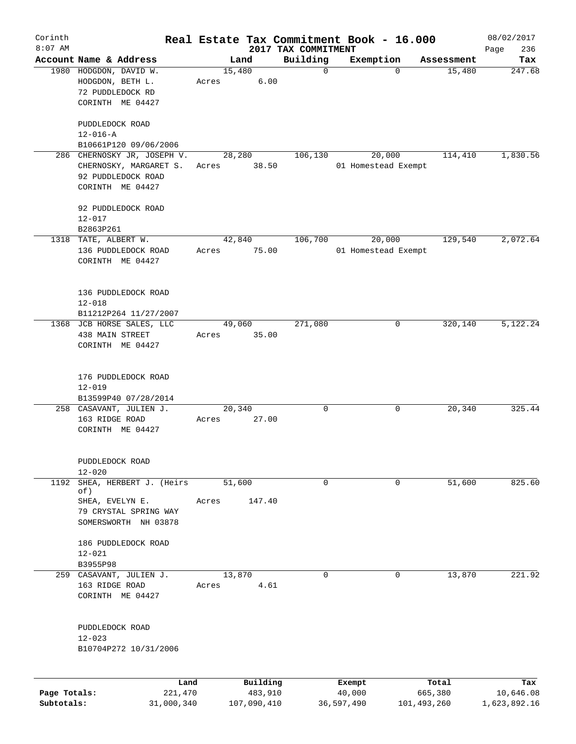| $8:07$ AM                  | Account Name & Address<br>1980 HODGDON, DAVID W.                                                   |                 | Land                               | 2017 TAX COMMITMENT<br>Building | Exemption                      |                                 | 236<br>Page                      |
|----------------------------|----------------------------------------------------------------------------------------------------|-----------------|------------------------------------|---------------------------------|--------------------------------|---------------------------------|----------------------------------|
|                            |                                                                                                    |                 |                                    |                                 |                                |                                 | Tax                              |
|                            | HODGDON, BETH L.<br>72 PUDDLEDOCK RD<br>CORINTH ME 04427                                           | Acres           | 15,480<br>6.00                     | $\mathbf 0$                     | $\mathbf 0$                    | Assessment<br>15,480            | 247.68                           |
|                            | PUDDLEDOCK ROAD<br>$12 - 016 - A$<br>B10661P120 09/06/2006                                         |                 |                                    |                                 |                                |                                 |                                  |
|                            | 286 CHERNOSKY JR, JOSEPH V.<br>CHERNOSKY, MARGARET S.<br>92 PUDDLEDOCK ROAD<br>CORINTH ME 04427    | Acres           | 28,280<br>38.50                    | 106,130                         | 20,000<br>01 Homestead Exempt  | 114,410                         | 1,830.56                         |
|                            | 92 PUDDLEDOCK ROAD<br>$12 - 017$<br>B2863P261                                                      |                 |                                    |                                 |                                |                                 |                                  |
|                            | 1318 TATE, ALBERT W.<br>136 PUDDLEDOCK ROAD<br>CORINTH ME 04427                                    | 42,840<br>Acres | 75.00                              | 106,700                         | 20,000<br>01 Homestead Exempt  | 129,540                         | 2,072.64                         |
|                            | 136 PUDDLEDOCK ROAD<br>$12 - 018$<br>B11212P264 11/27/2007                                         |                 |                                    |                                 |                                |                                 |                                  |
|                            | 1368 JCB HORSE SALES, LLC<br>438 MAIN STREET<br>CORINTH ME 04427                                   | 49,060<br>Acres | 35.00                              | 271,080                         | 0                              | 320,140                         | 5,122.24                         |
|                            | 176 PUDDLEDOCK ROAD<br>$12 - 019$<br>B13599P40 07/28/2014                                          |                 |                                    |                                 |                                |                                 |                                  |
|                            | 258 CASAVANT, JULIEN J.<br>163 RIDGE ROAD<br>CORINTH ME 04427                                      | 20,340<br>Acres | 27.00                              | 0                               | 0                              | 20,340                          | 325.44                           |
|                            | PUDDLEDOCK ROAD<br>$12 - 020$                                                                      |                 |                                    |                                 |                                |                                 |                                  |
| 1192                       | SHEA, HERBERT J. (Heirs<br>of)<br>SHEA, EVELYN E.<br>79 CRYSTAL SPRING WAY<br>SOMERSWORTH NH 03878 | 51,600<br>Acres | 147.40                             | 0                               | 0                              | 51,600                          | 825.60                           |
|                            | 186 PUDDLEDOCK ROAD<br>$12 - 021$<br>B3955P98                                                      |                 |                                    |                                 |                                |                                 |                                  |
|                            | 259 CASAVANT, JULIEN J.<br>163 RIDGE ROAD<br>CORINTH ME 04427                                      | 13,870<br>Acres | 4.61                               | 0                               | 0                              | 13,870                          | 221.92                           |
|                            | PUDDLEDOCK ROAD<br>$12 - 023$<br>B10704P272 10/31/2006                                             |                 |                                    |                                 |                                |                                 |                                  |
| Page Totals:<br>Subtotals: | Land<br>221,470<br>31,000,340                                                                      |                 | Building<br>483,910<br>107,090,410 |                                 | Exempt<br>40,000<br>36,597,490 | Total<br>665,380<br>101,493,260 | Tax<br>10,646.08<br>1,623,892.16 |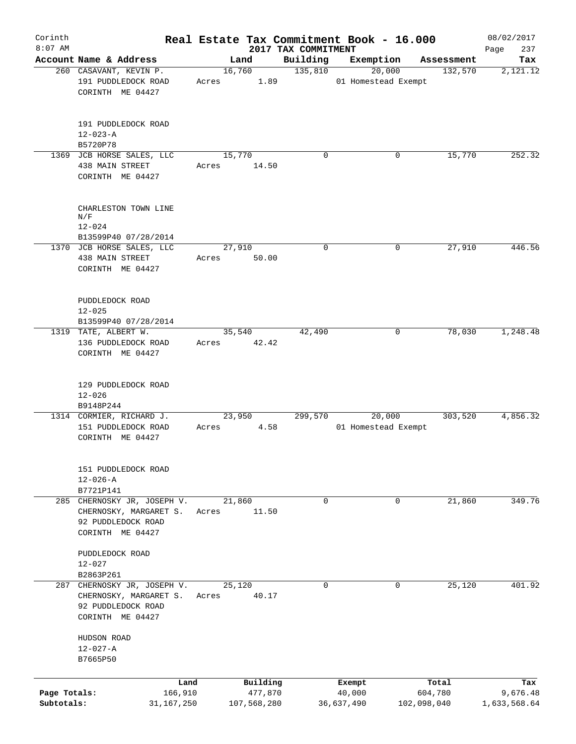| Corinth      |                                                                                                 |                       |             |                                 | Real Estate Tax Commitment Book - 16.000 |             |            | 08/02/2017         |
|--------------|-------------------------------------------------------------------------------------------------|-----------------------|-------------|---------------------------------|------------------------------------------|-------------|------------|--------------------|
| $8:07$ AM    | Account Name & Address                                                                          | Land                  |             | 2017 TAX COMMITMENT<br>Building | Exemption                                |             | Assessment | 237<br>Page<br>Tax |
|              | 260 CASAVANT, KEVIN P.                                                                          | 16,760                |             | 135,810                         | 20,000                                   |             | 132,570    | 2,121.12           |
|              | 191 PUDDLEDOCK ROAD<br>CORINTH ME 04427                                                         | Acres                 | 1.89        |                                 | 01 Homestead Exempt                      |             |            |                    |
|              | 191 PUDDLEDOCK ROAD<br>$12 - 023 - A$                                                           |                       |             |                                 |                                          |             |            |                    |
|              | B5720P78                                                                                        |                       |             |                                 |                                          |             |            |                    |
|              | 1369 JCB HORSE SALES, LLC<br>438 MAIN STREET<br>CORINTH ME 04427                                | 15,770<br>Acres       | 14.50       | $\mathbf 0$                     |                                          | 0           | 15,770     | 252.32             |
|              | CHARLESTON TOWN LINE<br>N/F                                                                     |                       |             |                                 |                                          |             |            |                    |
|              | $12 - 024$<br>B13599P40 07/28/2014                                                              |                       |             |                                 |                                          |             |            |                    |
|              | 1370 JCB HORSE SALES, LLC                                                                       | 27,910                |             | $\mathbf 0$                     |                                          | $\mathbf 0$ | 27,910     | 446.56             |
|              | 438 MAIN STREET<br>CORINTH ME 04427                                                             | Acres 50.00           |             |                                 |                                          |             |            |                    |
|              | PUDDLEDOCK ROAD<br>$12 - 025$                                                                   |                       |             |                                 |                                          |             |            |                    |
|              | B13599P40 07/28/2014                                                                            |                       |             |                                 |                                          |             |            |                    |
|              | 1319 TATE, ALBERT W.<br>136 PUDDLEDOCK ROAD<br>CORINTH ME 04427                                 | 35,540<br>Acres 42.42 |             | 42,490                          |                                          | 0           | 78,030     | 1,248.48           |
|              | 129 PUDDLEDOCK ROAD<br>$12 - 026$<br>B9148P244                                                  |                       |             |                                 |                                          |             |            |                    |
|              | 1314 CORMIER, RICHARD J.                                                                        | 23,950                |             | 299,570                         | 20,000                                   |             | 303,520    | 4,856.32           |
|              | 151 PUDDLEDOCK ROAD<br>CORINTH ME 04427                                                         | Acres                 | 4.58        |                                 | 01 Homestead Exempt                      |             |            |                    |
|              | 151 PUDDLEDOCK ROAD<br>$12 - 026 - A$<br>B7721P141                                              |                       |             |                                 |                                          |             |            |                    |
|              | 285 CHERNOSKY JR, JOSEPH V.<br>CHERNOSKY, MARGARET S.<br>92 PUDDLEDOCK ROAD<br>CORINTH ME 04427 | 21,860<br>Acres       | 11.50       | 0                               |                                          | 0           | 21,860     | 349.76             |
|              | PUDDLEDOCK ROAD<br>$12 - 027$                                                                   |                       |             |                                 |                                          |             |            |                    |
|              | B2863P261                                                                                       |                       |             |                                 |                                          |             |            |                    |
|              | 287 CHERNOSKY JR, JOSEPH V.<br>CHERNOSKY, MARGARET S.<br>92 PUDDLEDOCK ROAD<br>CORINTH ME 04427 | 25,120<br>Acres       | 40.17       | 0                               |                                          | 0           | 25,120     | 401.92             |
|              | HUDSON ROAD<br>$12 - 027 - A$                                                                   |                       |             |                                 |                                          |             |            |                    |
|              | B7665P50                                                                                        |                       |             |                                 |                                          |             |            |                    |
|              | Land                                                                                            |                       | Building    |                                 | Exempt                                   |             | Total      | Tax                |
| Page Totals: | 166,910                                                                                         |                       | 477,870     |                                 | 40,000                                   |             | 604,780    | 9,676.48           |
| Subtotals:   | 31,167,250                                                                                      |                       | 107,568,280 |                                 | 36,637,490                               | 102,098,040 |            | 1,633,568.64       |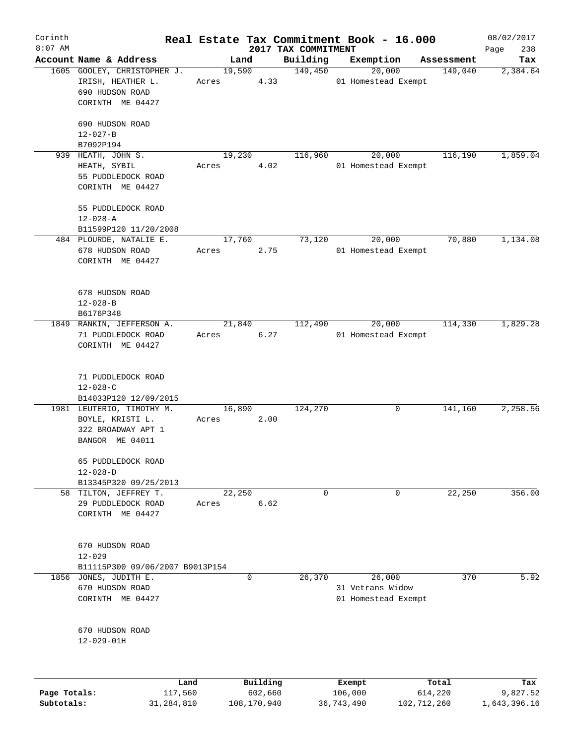| Corinth<br>$8:07$ AM |                                                                                         |                 |          |                                 | Real Estate Tax Commitment Book - 16.000          |            | 08/02/2017         |
|----------------------|-----------------------------------------------------------------------------------------|-----------------|----------|---------------------------------|---------------------------------------------------|------------|--------------------|
|                      | Account Name & Address                                                                  | Land            |          | 2017 TAX COMMITMENT<br>Building | Exemption                                         | Assessment | 238<br>Page<br>Tax |
|                      | 1605 GOOLEY, CHRISTOPHER J.<br>IRISH, HEATHER L.<br>690 HUDSON ROAD<br>CORINTH ME 04427 | 19,590<br>Acres | 4.33     | 149,450                         | 20,000<br>01 Homestead Exempt                     | 149,040    | 2,384.64           |
|                      | 690 HUDSON ROAD<br>$12 - 027 - B$<br>B7092P194                                          |                 |          |                                 |                                                   |            |                    |
|                      | 939 HEATH, JOHN S.<br>HEATH, SYBIL<br>55 PUDDLEDOCK ROAD<br>CORINTH ME 04427            | 19,230<br>Acres | 4.02     | 116,960                         | 20,000<br>01 Homestead Exempt                     | 116,190    | 1,859.04           |
|                      | 55 PUDDLEDOCK ROAD<br>$12 - 028 - A$<br>B11599P120 11/20/2008                           |                 |          |                                 |                                                   |            |                    |
|                      | 484 PLOURDE, NATALIE E.<br>678 HUDSON ROAD<br>CORINTH ME 04427                          | 17,760<br>Acres | 2.75     | 73,120                          | 20,000<br>01 Homestead Exempt                     | 70,880     | 1,134.08           |
|                      | 678 HUDSON ROAD<br>$12 - 028 - B$<br>B6176P348                                          |                 |          |                                 |                                                   |            |                    |
|                      | 1849 RANKIN, JEFFERSON A.<br>71 PUDDLEDOCK ROAD<br>CORINTH ME 04427                     | 21,840<br>Acres | 6.27     | 112,490                         | 20,000<br>01 Homestead Exempt                     | 114,330    | 1,829.28           |
|                      | 71 PUDDLEDOCK ROAD<br>$12 - 028 - C$<br>B14033P120 12/09/2015                           |                 |          |                                 |                                                   |            |                    |
|                      | 1981 LEUTERIO, TIMOTHY M.<br>BOYLE, KRISTI L.<br>322 BROADWAY APT 1<br>BANGOR ME 04011  | 16,890<br>Acres | 2.00     | 124,270                         | 0                                                 | 141,160    | 2,258.56           |
|                      | 65 PUDDLEDOCK ROAD<br>$12 - 028 - D$<br>B13345P320 09/25/2013                           |                 |          |                                 |                                                   |            |                    |
|                      | 58 TILTON, JEFFREY T.<br>29 PUDDLEDOCK ROAD<br>CORINTH ME 04427                         | 22,250<br>Acres | 6.62     | 0                               | 0                                                 | 22,250     | 356.00             |
|                      | 670 HUDSON ROAD<br>$12 - 029$<br>B11115P300 09/06/2007 B9013P154                        |                 |          |                                 |                                                   |            |                    |
| 1856                 | JONES, JUDITH E.<br>670 HUDSON ROAD<br>CORINTH ME 04427                                 |                 | 0        | 26,370                          | 26,000<br>31 Vetrans Widow<br>01 Homestead Exempt | 370        | 5.92               |
|                      | 670 HUDSON ROAD<br>$12 - 029 - 01H$                                                     |                 |          |                                 |                                                   |            |                    |
|                      | Land                                                                                    |                 | Building |                                 | Exempt                                            | Total      | Tax                |
| Page Totals:         | 117,560                                                                                 |                 | 602,660  |                                 | 106,000                                           | 614,220    | 9,827.52           |

**Subtotals:** 31,284,810 108,170,940 36,743,490 102,712,260 1,643,396.16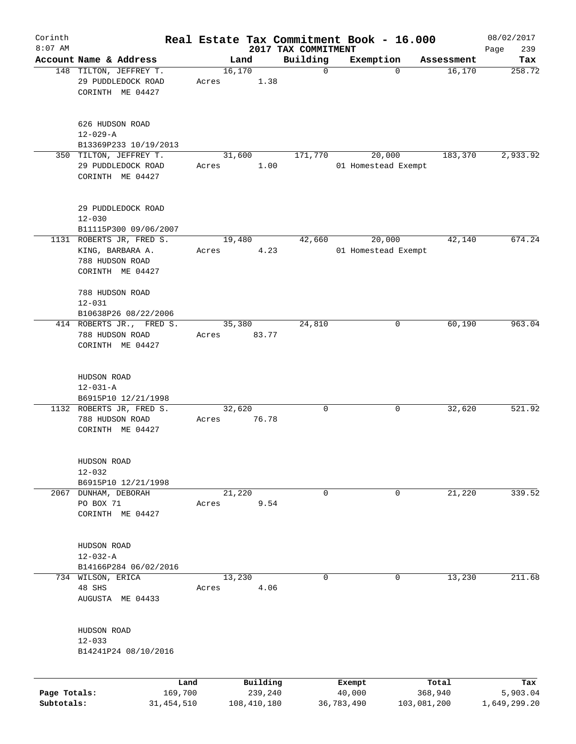| Corinth      |                                                                  |                 |       |         |                     | Real Estate Tax Commitment Book - 16.000 |                  |                               |                  | 08/02/2017      |
|--------------|------------------------------------------------------------------|-----------------|-------|---------|---------------------|------------------------------------------|------------------|-------------------------------|------------------|-----------------|
| $8:07$ AM    |                                                                  |                 |       |         |                     | 2017 TAX COMMITMENT                      |                  |                               |                  | 239<br>Page     |
|              | Account Name & Address                                           |                 |       | Land    |                     | Building                                 |                  | Exemption                     | Assessment       | Tax             |
|              | 148 TILTON, JEFFREY T.<br>29 PUDDLEDOCK ROAD<br>CORINTH ME 04427 |                 | Acres | 16, 170 | 1.38                | $\mathbf 0$                              |                  | $\mathbf 0$                   | 16, 170          | 258.72          |
|              | 626 HUDSON ROAD<br>$12 - 029 - A$                                |                 |       |         |                     |                                          |                  |                               |                  |                 |
|              | B13369P233 10/19/2013                                            |                 |       |         |                     |                                          |                  |                               |                  |                 |
|              | 350 TILTON, JEFFREY T.<br>29 PUDDLEDOCK ROAD<br>CORINTH ME 04427 |                 | Acres | 31,600  | 1.00                | 171,770                                  |                  | 20,000<br>01 Homestead Exempt | 183,370          | 2,933.92        |
|              | 29 PUDDLEDOCK ROAD<br>$12 - 030$                                 |                 |       |         |                     |                                          |                  |                               |                  |                 |
|              | B11115P300 09/06/2007<br>1131 ROBERTS JR, FRED S.                |                 |       | 19,480  |                     | 42,660                                   |                  | 20,000                        | 42,140           | 674.24          |
|              | KING, BARBARA A.<br>788 HUDSON ROAD<br>CORINTH ME 04427          |                 | Acres |         | 4.23                |                                          |                  | 01 Homestead Exempt           |                  |                 |
|              | 788 HUDSON ROAD<br>$12 - 031$<br>B10638P26 08/22/2006            |                 |       |         |                     |                                          |                  |                               |                  |                 |
|              | 414 ROBERTS JR., FRED S.<br>788 HUDSON ROAD<br>CORINTH ME 04427  |                 | Acres | 35,380  | 83.77               | 24,810                                   |                  | 0                             | 60,190           | 963.04          |
|              | HUDSON ROAD<br>$12 - 031 - A$<br>B6915P10 12/21/1998             |                 |       |         |                     |                                          |                  |                               |                  |                 |
|              | 1132 ROBERTS JR, FRED S.<br>788 HUDSON ROAD<br>CORINTH ME 04427  |                 | Acres | 32,620  | 76.78               | 0                                        |                  | 0                             | 32,620           | 521.92          |
|              | HUDSON ROAD<br>$12 - 032$<br>B6915P10 12/21/1998                 |                 |       |         |                     |                                          |                  |                               |                  |                 |
|              | 2067 DUNHAM, DEBORAH                                             |                 |       | 21,220  |                     | 0                                        |                  | 0                             | 21,220           | 339.52          |
|              | PO BOX 71<br>CORINTH ME 04427                                    |                 | Acres |         | 9.54                |                                          |                  |                               |                  |                 |
|              | HUDSON ROAD<br>$12 - 032 - A$                                    |                 |       |         |                     |                                          |                  |                               |                  |                 |
|              | B14166P284 06/02/2016                                            |                 |       |         |                     |                                          |                  |                               |                  |                 |
|              | 734 WILSON, ERICA<br>48 SHS<br>AUGUSTA ME 04433                  |                 | Acres | 13,230  | 4.06                | 0                                        |                  | 0                             | 13,230           | 211.68          |
|              | HUDSON ROAD<br>$12 - 033$<br>B14241P24 08/10/2016                |                 |       |         |                     |                                          |                  |                               |                  |                 |
| Page Totals: |                                                                  | Land<br>169,700 |       |         | Building<br>239,240 |                                          | Exempt<br>40,000 |                               | Total<br>368,940 | Tax<br>5,903.04 |
| Subtotals:   |                                                                  | 31, 454, 510    |       |         | 108,410,180         |                                          | 36,783,490       |                               | 103,081,200      | 1,649,299.20    |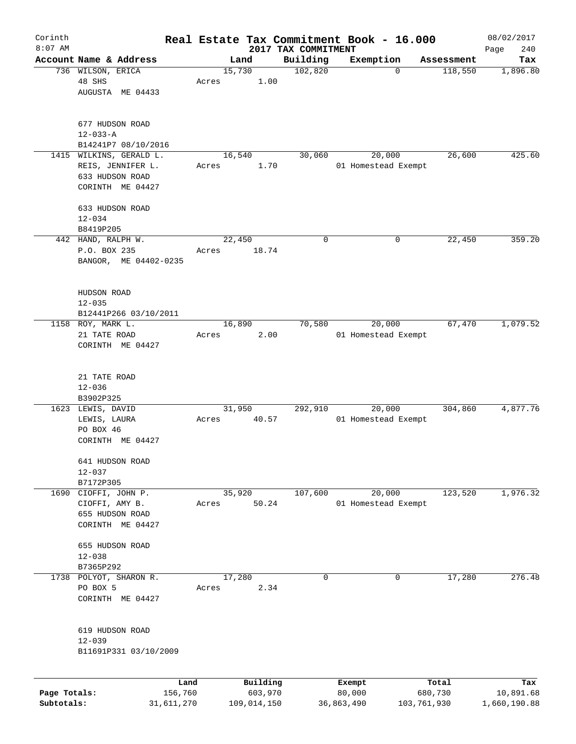| Corinth      |                                             |                 |       |                |                     |                     | Real Estate Tax Commitment Book - 16.000 |   |                  | 08/02/2017       |
|--------------|---------------------------------------------|-----------------|-------|----------------|---------------------|---------------------|------------------------------------------|---|------------------|------------------|
| $8:07$ AM    |                                             |                 |       |                |                     | 2017 TAX COMMITMENT |                                          |   |                  | 240<br>Page      |
|              | Account Name & Address<br>736 WILSON, ERICA |                 |       | Land<br>15,730 |                     | Building<br>102,820 | Exemption                                | 0 | Assessment       | Tax              |
|              | 48 SHS                                      |                 | Acres |                | 1.00                |                     |                                          |   | 118,550          | 1,896.80         |
|              | AUGUSTA ME 04433                            |                 |       |                |                     |                     |                                          |   |                  |                  |
|              |                                             |                 |       |                |                     |                     |                                          |   |                  |                  |
|              | 677 HUDSON ROAD                             |                 |       |                |                     |                     |                                          |   |                  |                  |
|              | $12 - 033 - A$                              |                 |       |                |                     |                     |                                          |   |                  |                  |
|              | B14241P7 08/10/2016                         |                 |       |                |                     |                     |                                          |   |                  |                  |
|              | 1415 WILKINS, GERALD L.                     |                 |       | 16,540         |                     | 30,060              | 20,000                                   |   | 26,600           | 425.60           |
|              | REIS, JENNIFER L.                           |                 | Acres |                | 1.70                |                     | 01 Homestead Exempt                      |   |                  |                  |
|              | 633 HUDSON ROAD                             |                 |       |                |                     |                     |                                          |   |                  |                  |
|              | CORINTH ME 04427                            |                 |       |                |                     |                     |                                          |   |                  |                  |
|              | 633 HUDSON ROAD                             |                 |       |                |                     |                     |                                          |   |                  |                  |
|              | $12 - 034$                                  |                 |       |                |                     |                     |                                          |   |                  |                  |
|              | B8419P205                                   |                 |       |                |                     |                     |                                          |   |                  |                  |
|              | 442 HAND, RALPH W.                          |                 |       | 22,450         |                     | 0                   |                                          | 0 | 22,450           | 359.20           |
|              | P.O. BOX 235                                |                 | Acres |                | 18.74               |                     |                                          |   |                  |                  |
|              | BANGOR, ME 04402-0235                       |                 |       |                |                     |                     |                                          |   |                  |                  |
|              |                                             |                 |       |                |                     |                     |                                          |   |                  |                  |
|              | HUDSON ROAD                                 |                 |       |                |                     |                     |                                          |   |                  |                  |
|              | $12 - 035$                                  |                 |       |                |                     |                     |                                          |   |                  |                  |
|              | B12441P266 03/10/2011                       |                 |       |                |                     |                     |                                          |   |                  |                  |
|              | 1158 ROY, MARK L.                           |                 |       | 16,890         |                     | 70,580              | 20,000                                   |   | 67,470           | 1,079.52         |
|              | 21 TATE ROAD                                |                 | Acres |                | 2.00                |                     | 01 Homestead Exempt                      |   |                  |                  |
|              | CORINTH ME 04427                            |                 |       |                |                     |                     |                                          |   |                  |                  |
|              |                                             |                 |       |                |                     |                     |                                          |   |                  |                  |
|              | 21 TATE ROAD                                |                 |       |                |                     |                     |                                          |   |                  |                  |
|              | $12 - 036$                                  |                 |       |                |                     |                     |                                          |   |                  |                  |
|              | B3902P325                                   |                 |       |                |                     |                     |                                          |   |                  |                  |
|              | 1623 LEWIS, DAVID                           |                 |       | 31,950         |                     | 292,910             | 20,000                                   |   | 304,860          | 4,877.76         |
|              | LEWIS, LAURA                                |                 | Acres |                | 40.57               |                     | 01 Homestead Exempt                      |   |                  |                  |
|              | PO BOX 46                                   |                 |       |                |                     |                     |                                          |   |                  |                  |
|              | CORINTH ME 04427                            |                 |       |                |                     |                     |                                          |   |                  |                  |
|              | 641 HUDSON ROAD                             |                 |       |                |                     |                     |                                          |   |                  |                  |
|              | $12 - 037$                                  |                 |       |                |                     |                     |                                          |   |                  |                  |
|              | B7172P305                                   |                 |       |                |                     |                     |                                          |   |                  |                  |
|              | 1690 CIOFFI, JOHN P.                        |                 |       | 35,920         |                     | 107,600             | 20,000                                   |   | 123,520          | 1,976.32         |
|              | CIOFFI, AMY B.                              |                 | Acres |                | 50.24               |                     | 01 Homestead Exempt                      |   |                  |                  |
|              | 655 HUDSON ROAD                             |                 |       |                |                     |                     |                                          |   |                  |                  |
|              | CORINTH ME 04427                            |                 |       |                |                     |                     |                                          |   |                  |                  |
|              | 655 HUDSON ROAD                             |                 |       |                |                     |                     |                                          |   |                  |                  |
|              | $12 - 038$                                  |                 |       |                |                     |                     |                                          |   |                  |                  |
|              | B7365P292                                   |                 |       |                |                     |                     |                                          |   |                  |                  |
| 1738         | POLYOT, SHARON R.                           |                 |       | 17,280         |                     | 0                   |                                          | 0 | 17,280           | 276.48           |
|              | PO BOX 5                                    |                 | Acres |                | 2.34                |                     |                                          |   |                  |                  |
|              | CORINTH ME 04427                            |                 |       |                |                     |                     |                                          |   |                  |                  |
|              |                                             |                 |       |                |                     |                     |                                          |   |                  |                  |
|              | 619 HUDSON ROAD                             |                 |       |                |                     |                     |                                          |   |                  |                  |
|              | $12 - 039$                                  |                 |       |                |                     |                     |                                          |   |                  |                  |
|              | B11691P331 03/10/2009                       |                 |       |                |                     |                     |                                          |   |                  |                  |
|              |                                             |                 |       |                |                     |                     |                                          |   |                  |                  |
| Page Totals: |                                             | Land<br>156,760 |       |                | Building<br>603,970 |                     | Exempt<br>80,000                         |   | Total<br>680,730 | Tax<br>10,891.68 |
| Subtotals:   |                                             | 31,611,270      |       |                | 109,014,150         |                     | 36,863,490                               |   | 103,761,930      | 1,660,190.88     |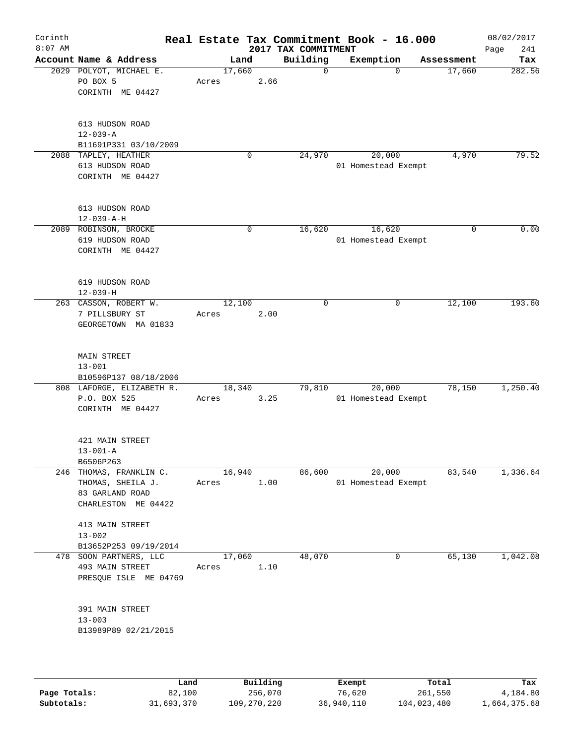| Corinth<br>$8:07$ AM |                                                                                        |                 |             | 2017 TAX COMMITMENT | Real Estate Tax Commitment Book - 16.000 |            | 08/02/2017<br>Page<br>241 |
|----------------------|----------------------------------------------------------------------------------------|-----------------|-------------|---------------------|------------------------------------------|------------|---------------------------|
|                      | Account Name & Address                                                                 |                 | Land        | Building            | Exemption                                | Assessment | Tax                       |
|                      | 2029 POLYOT, MICHAEL E.<br>PO BOX 5<br>CORINTH ME 04427                                | 17,660<br>Acres | 2.66        | $\mathbf 0$         | $\Omega$                                 | 17,660     | 282.56                    |
|                      | 613 HUDSON ROAD<br>$12 - 039 - A$<br>B11691P331 03/10/2009                             |                 |             |                     |                                          |            |                           |
|                      | 2088 TAPLEY, HEATHER<br>613 HUDSON ROAD<br>CORINTH ME 04427                            |                 | $\mathbf 0$ | 24,970              | 20,000<br>01 Homestead Exempt            | 4,970      | 79.52                     |
|                      | 613 HUDSON ROAD<br>$12 - 039 - A - H$                                                  |                 |             |                     |                                          |            |                           |
|                      | 2089 ROBINSON, BROCKE<br>619 HUDSON ROAD<br>CORINTH ME 04427                           |                 | $\mathbf 0$ | 16,620              | 16,620<br>01 Homestead Exempt            | 0          | 0.00                      |
|                      | 619 HUDSON ROAD<br>$12 - 039 - H$                                                      |                 |             |                     |                                          |            |                           |
|                      | 263 CASSON, ROBERT W.<br>7 PILLSBURY ST<br>GEORGETOWN MA 01833                         | 12,100<br>Acres | 2.00        | 0                   | 0                                        | 12,100     | 193.60                    |
|                      | <b>MAIN STREET</b><br>$13 - 001$<br>B10596P137 08/18/2006                              |                 |             |                     |                                          |            |                           |
|                      | 808 LAFORGE, ELIZABETH R.<br>P.O. BOX 525<br>CORINTH ME 04427                          | 18,340<br>Acres | 3.25        | 79,810              | 20,000<br>01 Homestead Exempt            | 78,150     | 1,250.40                  |
|                      | 421 MAIN STREET<br>$13 - 001 - A$<br>B6506P263                                         |                 |             |                     |                                          |            |                           |
|                      | 246 THOMAS, FRANKLIN C.<br>THOMAS, SHEILA J.<br>83 GARLAND ROAD<br>CHARLESTON ME 04422 | 16,940<br>Acres | 1.00        | 86,600              | 20,000<br>01 Homestead Exempt            | 83,540     | 1,336.64                  |
|                      | 413 MAIN STREET<br>$13 - 002$<br>B13652P253 09/19/2014                                 |                 |             |                     |                                          |            |                           |
|                      | 478 SOON PARTNERS, LLC<br>493 MAIN STREET<br>PRESQUE ISLE ME 04769                     | 17,060<br>Acres | 1.10        | 48,070              | 0                                        | 65,130     | 1,042.08                  |
|                      | 391 MAIN STREET<br>$13 - 003$<br>B13989P89 02/21/2015                                  |                 |             |                     |                                          |            |                           |
|                      |                                                                                        |                 |             |                     |                                          |            |                           |

|              | Land       | Building    | Exempt     | Total       | Tax          |
|--------------|------------|-------------|------------|-------------|--------------|
| Page Totals: | 82,100     | 256,070     | 76,620     | 261,550     | 4,184.80     |
| Subtotals:   | 31,693,370 | 109,270,220 | 36,940,110 | 104,023,480 | 1,664,375.68 |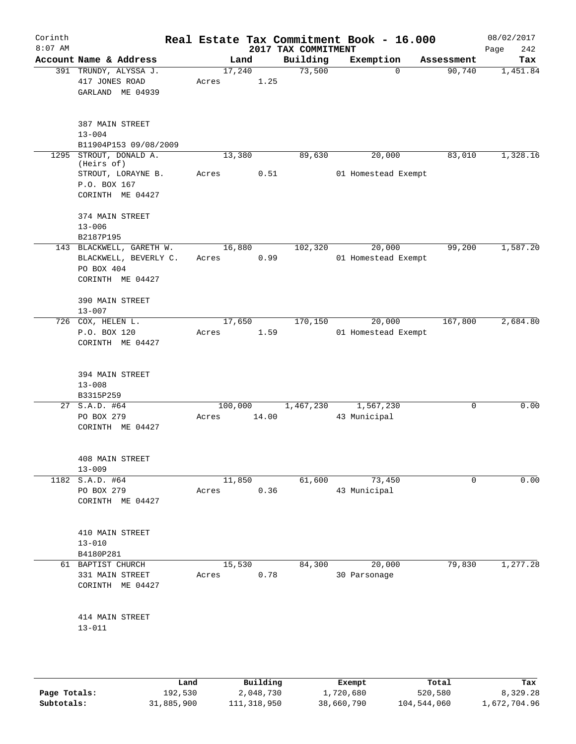| Corinth<br>$8:07$ AM |                                                                                     |       |         |       | 2017 TAX COMMITMENT | Real Estate Tax Commitment Book - 16.000 |            | 08/02/2017<br>Page<br>242 |
|----------------------|-------------------------------------------------------------------------------------|-------|---------|-------|---------------------|------------------------------------------|------------|---------------------------|
|                      | Account Name & Address                                                              |       | Land    |       | Building            | Exemption                                | Assessment | Tax                       |
|                      | 391 TRUNDY, ALYSSA J.<br>417 JONES ROAD<br>GARLAND ME 04939                         | Acres | 17,240  | 1.25  | 73,500              | $\Omega$                                 | 90,740     | 1,451.84                  |
|                      | 387 MAIN STREET<br>$13 - 004$<br>B11904P153 09/08/2009                              |       |         |       |                     |                                          |            |                           |
| 1295                 | STROUT, DONALD A.<br>(Heirs of)                                                     |       | 13,380  |       | 89,630              | 20,000                                   | 83,010     | 1,328.16                  |
|                      | STROUT, LORAYNE B.<br>P.O. BOX 167<br>CORINTH ME 04427                              | Acres |         | 0.51  |                     | 01 Homestead Exempt                      |            |                           |
|                      | 374 MAIN STREET<br>$13 - 006$<br>B2187P195                                          |       |         |       |                     |                                          |            |                           |
|                      | 143 BLACKWELL, GARETH W.<br>BLACKWELL, BEVERLY C.<br>PO BOX 404<br>CORINTH ME 04427 | Acres | 16,880  | 0.99  | 102,320             | 20,000<br>01 Homestead Exempt            | 99,200     | 1,587.20                  |
|                      | 390 MAIN STREET<br>$13 - 007$                                                       |       |         |       |                     |                                          |            |                           |
|                      | 726 COX, HELEN L.<br>P.O. BOX 120<br>CORINTH ME 04427                               | Acres | 17,650  | 1.59  | 170,150             | 20,000<br>01 Homestead Exempt            | 167,800    | 2,684.80                  |
|                      | 394 MAIN STREET<br>$13 - 008$<br>B3315P259                                          |       |         |       |                     |                                          |            |                           |
|                      | 27 S.A.D. #64<br>PO BOX 279<br>CORINTH ME 04427                                     | Acres | 100,000 | 14.00 | 1,467,230           | 1,567,230<br>43 Municipal                | 0          | 0.00                      |
|                      | 408 MAIN STREET<br>$13 - 009$                                                       |       |         |       |                     |                                          |            |                           |
|                      | 1182 S.A.D. #64<br>PO BOX 279<br>CORINTH ME 04427                                   | Acres | 11,850  | 0.36  | 61,600              | 73,450<br>43 Municipal                   | 0          | 0.00                      |
|                      | 410 MAIN STREET<br>$13 - 010$<br>B4180P281                                          |       |         |       |                     |                                          |            |                           |
|                      | 61 BAPTIST CHURCH<br>331 MAIN STREET<br>CORINTH ME 04427                            | Acres | 15,530  | 0.78  | 84,300              | 20,000<br>30 Parsonage                   | 79,830     | 1,277.28                  |
|                      | 414 MAIN STREET<br>$13 - 011$                                                       |       |         |       |                     |                                          |            |                           |
|                      |                                                                                     |       |         |       |                     |                                          |            |                           |

|              | Land       | Building    | Exempt     | Total       | Tax          |
|--------------|------------|-------------|------------|-------------|--------------|
| Page Totals: | 192,530    | 2,048,730   | 1,720,680  | 520,580     | 8,329.28     |
| Subtotals:   | 31,885,900 | 111,318,950 | 38,660,790 | 104,544,060 | 1,672,704.96 |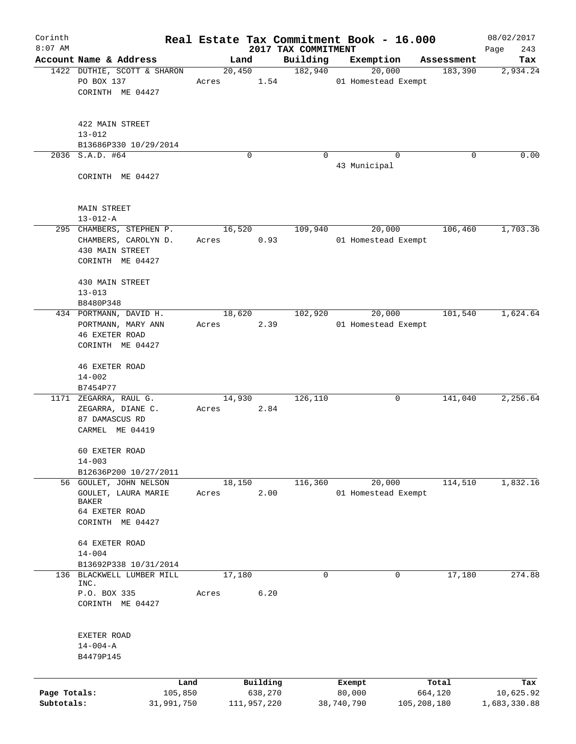| Corinth                    |                                                                                 |       |                                    |                                 | Real Estate Tax Commitment Book - 16.000 |                                 | 08/02/2017                       |
|----------------------------|---------------------------------------------------------------------------------|-------|------------------------------------|---------------------------------|------------------------------------------|---------------------------------|----------------------------------|
| $8:07$ AM                  | Account Name & Address                                                          |       |                                    | 2017 TAX COMMITMENT<br>Building | Exemption                                |                                 | 243<br>Page<br>Tax               |
|                            | 1422 DUTHIE, SCOTT & SHARON<br>PO BOX 137                                       | Acres | Land<br>20,450                     | 182,940<br>1.54                 | 20,000<br>01 Homestead Exempt            | Assessment<br>183,390           | 2,934.24                         |
|                            | CORINTH ME 04427                                                                |       |                                    |                                 |                                          |                                 |                                  |
|                            | 422 MAIN STREET<br>$13 - 012$                                                   |       |                                    |                                 |                                          |                                 |                                  |
|                            | B13686P330 10/29/2014                                                           |       |                                    |                                 |                                          |                                 |                                  |
|                            | 2036 S.A.D. #64<br>CORINTH ME 04427                                             |       | $\Omega$                           | $\Omega$                        | 43 Municipal                             | $\Omega$<br>$\Omega$            | 0.00                             |
|                            | MAIN STREET<br>$13 - 012 - A$                                                   |       |                                    |                                 |                                          |                                 |                                  |
|                            | 295 CHAMBERS, STEPHEN P.                                                        |       | 16,520                             | 109,940                         | 20,000                                   | 106,460                         | 1,703.36                         |
|                            | CHAMBERS, CAROLYN D.<br>430 MAIN STREET<br>CORINTH ME 04427                     | Acres |                                    | 0.93                            | 01 Homestead Exempt                      |                                 |                                  |
|                            | 430 MAIN STREET<br>$13 - 013$<br>B8480P348                                      |       |                                    |                                 |                                          |                                 |                                  |
|                            | 434 PORTMANN, DAVID H.                                                          |       | 18,620                             | 102,920                         | 20,000                                   | 101,540                         | 1,624.64                         |
|                            | PORTMANN, MARY ANN<br><b>46 EXETER ROAD</b><br>CORINTH ME 04427                 | Acres |                                    | 2.39                            | 01 Homestead Exempt                      |                                 |                                  |
|                            | <b>46 EXETER ROAD</b><br>$14 - 002$                                             |       |                                    |                                 |                                          |                                 |                                  |
|                            | B7454P77                                                                        |       |                                    |                                 |                                          |                                 |                                  |
|                            | 1171 ZEGARRA, RAUL G.<br>ZEGARRA, DIANE C.<br>87 DAMASCUS RD<br>CARMEL ME 04419 | Acres | 14,930                             | 126,110<br>2.84                 |                                          | 0<br>141,040                    | 2,256.64                         |
|                            | 60 EXETER ROAD<br>$14 - 003$                                                    |       |                                    |                                 |                                          |                                 |                                  |
|                            | B12636P200 10/27/2011                                                           |       |                                    |                                 |                                          |                                 |                                  |
|                            | 56 GOULET, JOHN NELSON<br>GOULET, LAURA MARIE<br>BAKER                          | Acres | 18,150                             | 116,360<br>2.00                 | 20,000<br>01 Homestead Exempt            | 114,510                         | 1,832.16                         |
|                            | 64 EXETER ROAD<br>CORINTH ME 04427                                              |       |                                    |                                 |                                          |                                 |                                  |
|                            | 64 EXETER ROAD<br>$14 - 004$                                                    |       |                                    |                                 |                                          |                                 |                                  |
| 136                        | B13692P338 10/31/2014<br>BLACKWELL LUMBER MILL                                  |       | 17,180                             | 0                               |                                          | 17,180<br>0                     | 274.88                           |
|                            | INC.<br>P.O. BOX 335                                                            | Acres |                                    | 6.20                            |                                          |                                 |                                  |
|                            | CORINTH ME 04427                                                                |       |                                    |                                 |                                          |                                 |                                  |
|                            | EXETER ROAD<br>$14 - 004 - A$<br>B4479P145                                      |       |                                    |                                 |                                          |                                 |                                  |
|                            |                                                                                 |       |                                    |                                 |                                          |                                 |                                  |
| Page Totals:<br>Subtotals: | 105,850<br>31,991,750                                                           | Land  | Building<br>638,270<br>111,957,220 |                                 | Exempt<br>80,000<br>38,740,790           | Total<br>664,120<br>105,208,180 | Tax<br>10,625.92<br>1,683,330.88 |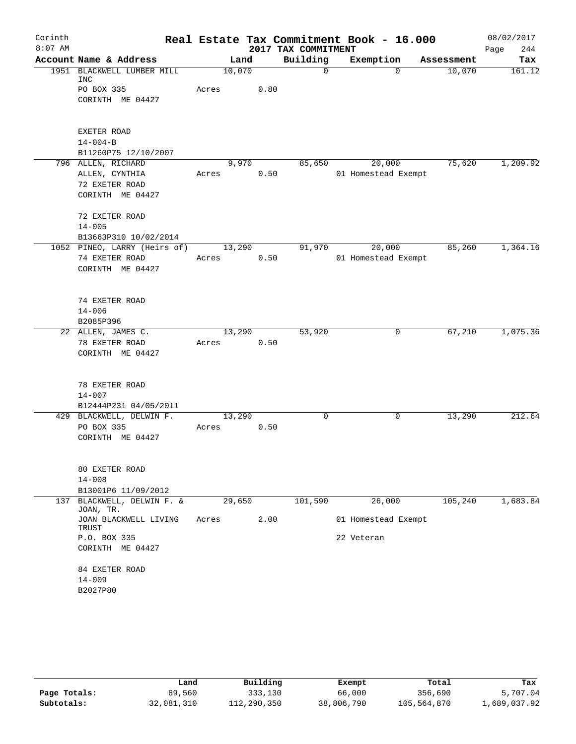| Corinth   |                                         |        |      |                     | Real Estate Tax Commitment Book - 16.000 |            | 08/02/2017  |
|-----------|-----------------------------------------|--------|------|---------------------|------------------------------------------|------------|-------------|
| $8:07$ AM |                                         |        |      | 2017 TAX COMMITMENT |                                          |            | 244<br>Page |
|           | Account Name & Address                  | Land   |      | Building            | Exemption                                | Assessment | Tax         |
|           | 1951 BLACKWELL LUMBER MILL<br>INC       | 10,070 |      | $\mathbf 0$         | $\Omega$                                 | 10,070     | 161.12      |
|           | PO BOX 335                              | Acres  | 0.80 |                     |                                          |            |             |
|           | CORINTH ME 04427                        |        |      |                     |                                          |            |             |
|           |                                         |        |      |                     |                                          |            |             |
|           | EXETER ROAD                             |        |      |                     |                                          |            |             |
|           | $14 - 004 - B$                          |        |      |                     |                                          |            |             |
|           | B11260P75 12/10/2007                    |        |      |                     |                                          |            |             |
|           | 796 ALLEN, RICHARD                      | 9,970  |      | 85,650              | 20,000                                   | 75,620     | 1,209.92    |
|           | ALLEN, CYNTHIA                          | Acres  | 0.50 |                     | 01 Homestead Exempt                      |            |             |
|           | 72 EXETER ROAD                          |        |      |                     |                                          |            |             |
|           | CORINTH ME 04427                        |        |      |                     |                                          |            |             |
|           | 72 EXETER ROAD                          |        |      |                     |                                          |            |             |
|           | $14 - 005$                              |        |      |                     |                                          |            |             |
|           | B13663P310 10/02/2014                   |        |      |                     |                                          |            |             |
|           | 1052 PINEO, LARRY (Heirs of)            | 13,290 |      | 91,970              | 20,000                                   | 85,260     | 1,364.16    |
|           | 74 EXETER ROAD                          | Acres  | 0.50 |                     | 01 Homestead Exempt                      |            |             |
|           | CORINTH ME 04427                        |        |      |                     |                                          |            |             |
|           |                                         |        |      |                     |                                          |            |             |
|           | 74 EXETER ROAD                          |        |      |                     |                                          |            |             |
|           | $14 - 006$                              |        |      |                     |                                          |            |             |
|           | B2085P396                               |        |      |                     |                                          |            |             |
|           | 22 ALLEN, JAMES C.                      | 13,290 |      | 53,920              | 0                                        | 67,210     | 1,075.36    |
|           | 78 EXETER ROAD                          | Acres  | 0.50 |                     |                                          |            |             |
|           | CORINTH ME 04427                        |        |      |                     |                                          |            |             |
|           | 78 EXETER ROAD                          |        |      |                     |                                          |            |             |
|           | $14 - 007$                              |        |      |                     |                                          |            |             |
|           | B12444P231 04/05/2011                   |        |      |                     |                                          |            |             |
|           | 429 BLACKWELL, DELWIN F.                | 13,290 |      | 0                   | 0                                        | 13,290     | 212.64      |
|           | PO BOX 335                              | Acres  | 0.50 |                     |                                          |            |             |
|           | CORINTH ME 04427                        |        |      |                     |                                          |            |             |
|           |                                         |        |      |                     |                                          |            |             |
|           | 80 EXETER ROAD                          |        |      |                     |                                          |            |             |
|           | $14 - 008$                              |        |      |                     |                                          |            |             |
|           | B13001P6 11/09/2012                     |        |      |                     |                                          |            |             |
|           | 137 BLACKWELL, DELWIN F. &<br>JOAN, TR. | 29,650 |      | 101,590             | 26,000                                   | 105,240    | 1,683.84    |
|           | JOAN BLACKWELL LIVING<br>TRUST          | Acres  | 2.00 |                     | 01 Homestead Exempt                      |            |             |
|           | P.O. BOX 335                            |        |      |                     | 22 Veteran                               |            |             |
|           | CORINTH ME 04427                        |        |      |                     |                                          |            |             |
|           | 84 EXETER ROAD                          |        |      |                     |                                          |            |             |
|           | $14 - 009$                              |        |      |                     |                                          |            |             |
|           | B2027P80                                |        |      |                     |                                          |            |             |
|           |                                         |        |      |                     |                                          |            |             |

|              | Land       | Building    | Exempt     | Total       | Tax          |
|--------------|------------|-------------|------------|-------------|--------------|
| Page Totals: | 89,560     | 333,130     | 66,000     | 356,690     | 5,707.04     |
| Subtotals:   | 32,081,310 | 112,290,350 | 38,806,790 | 105,564,870 | 1,689,037.92 |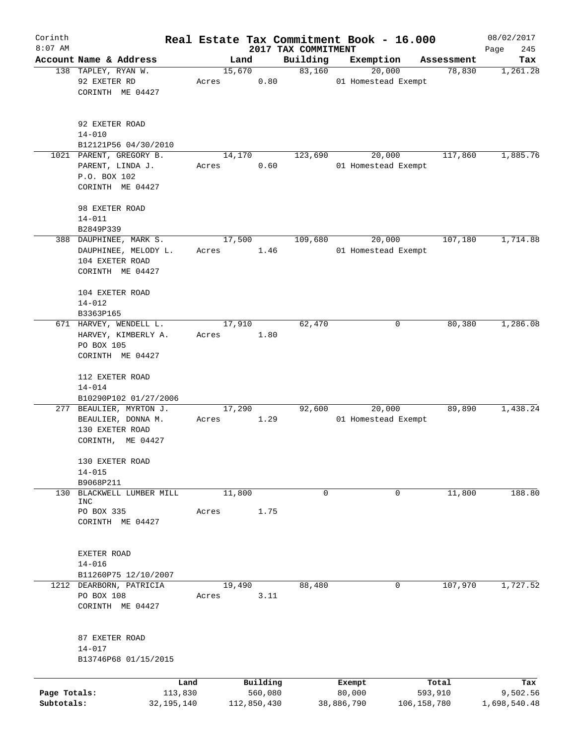| Corinth      |                                     |              |       |             |          |                                 | Real Estate Tax Commitment Book - 16.000 |               |                      | 08/02/2017         |
|--------------|-------------------------------------|--------------|-------|-------------|----------|---------------------------------|------------------------------------------|---------------|----------------------|--------------------|
| $8:07$ AM    | Account Name & Address              |              |       | Land        |          | 2017 TAX COMMITMENT<br>Building | Exemption                                |               |                      | 245<br>Page<br>Tax |
|              | 138 TAPLEY, RYAN W.                 |              |       | 15,670      |          | 83,160                          | 20,000                                   |               | Assessment<br>78,830 | 1,261.28           |
|              | 92 EXETER RD                        |              | Acres |             | 0.80     |                                 | 01 Homestead Exempt                      |               |                      |                    |
|              | CORINTH ME 04427                    |              |       |             |          |                                 |                                          |               |                      |                    |
|              |                                     |              |       |             |          |                                 |                                          |               |                      |                    |
|              | 92 EXETER ROAD                      |              |       |             |          |                                 |                                          |               |                      |                    |
|              | $14 - 010$                          |              |       |             |          |                                 |                                          |               |                      |                    |
|              | B12121P56 04/30/2010                |              |       |             |          |                                 |                                          |               |                      |                    |
|              | 1021 PARENT, GREGORY B.             |              |       | 14,170      |          | 123,690                         | 20,000                                   |               | 117,860              | 1,885.76           |
|              | PARENT, LINDA J.                    |              | Acres |             | 0.60     |                                 | 01 Homestead Exempt                      |               |                      |                    |
|              | P.O. BOX 102<br>CORINTH ME 04427    |              |       |             |          |                                 |                                          |               |                      |                    |
|              |                                     |              |       |             |          |                                 |                                          |               |                      |                    |
|              | 98 EXETER ROAD                      |              |       |             |          |                                 |                                          |               |                      |                    |
|              | $14 - 011$                          |              |       |             |          |                                 |                                          |               |                      |                    |
|              | B2849P339                           |              |       |             |          |                                 |                                          |               |                      |                    |
|              | 388 DAUPHINEE, MARK S.              |              |       | 17,500      |          | 109,680                         | 20,000                                   |               | 107,180              | 1,714.88           |
|              | DAUPHINEE, MELODY L.                |              | Acres |             | 1.46     |                                 | 01 Homestead Exempt                      |               |                      |                    |
|              | 104 EXETER ROAD<br>CORINTH ME 04427 |              |       |             |          |                                 |                                          |               |                      |                    |
|              |                                     |              |       |             |          |                                 |                                          |               |                      |                    |
|              | 104 EXETER ROAD                     |              |       |             |          |                                 |                                          |               |                      |                    |
|              | $14 - 012$                          |              |       |             |          |                                 |                                          |               |                      |                    |
|              | B3363P165                           |              |       |             |          |                                 |                                          |               |                      |                    |
|              | 671 HARVEY, WENDELL L.              |              |       | 17,910      |          | 62,470                          |                                          | 0             | 80,380               | 1,286.08           |
|              | HARVEY, KIMBERLY A.                 |              | Acres |             | 1.80     |                                 |                                          |               |                      |                    |
|              | PO BOX 105<br>CORINTH ME 04427      |              |       |             |          |                                 |                                          |               |                      |                    |
|              |                                     |              |       |             |          |                                 |                                          |               |                      |                    |
|              | 112 EXETER ROAD                     |              |       |             |          |                                 |                                          |               |                      |                    |
|              | $14 - 014$                          |              |       |             |          |                                 |                                          |               |                      |                    |
|              | B10290P102 01/27/2006               |              |       |             |          |                                 |                                          |               |                      |                    |
|              | 277 BEAULIER, MYRTON J.             |              |       | 17,290      |          | 92,600                          | 20,000                                   |               | 89,890               | 1,438.24           |
|              | BEAULIER, DONNA M.                  |              | Acres |             | 1.29     |                                 | 01 Homestead Exempt                      |               |                      |                    |
|              | 130 EXETER ROAD                     |              |       |             |          |                                 |                                          |               |                      |                    |
|              | CORINTH, ME 04427                   |              |       |             |          |                                 |                                          |               |                      |                    |
|              | 130 EXETER ROAD                     |              |       |             |          |                                 |                                          |               |                      |                    |
|              | $14 - 015$                          |              |       |             |          |                                 |                                          |               |                      |                    |
|              | B9068P211                           |              |       |             |          |                                 |                                          |               |                      |                    |
| 130          | BLACKWELL LUMBER MILL               |              |       | 11,800      |          | 0                               |                                          | 0             | 11,800               | 188.80             |
|              | INC                                 |              |       |             |          |                                 |                                          |               |                      |                    |
|              | PO BOX 335                          |              | Acres |             | 1.75     |                                 |                                          |               |                      |                    |
|              | CORINTH ME 04427                    |              |       |             |          |                                 |                                          |               |                      |                    |
|              |                                     |              |       |             |          |                                 |                                          |               |                      |                    |
|              | EXETER ROAD                         |              |       |             |          |                                 |                                          |               |                      |                    |
|              | $14 - 016$                          |              |       |             |          |                                 |                                          |               |                      |                    |
|              | B11260P75 12/10/2007                |              |       |             |          |                                 |                                          |               |                      |                    |
|              | 1212 DEARBORN, PATRICIA             |              |       | 19,490      |          | 88,480                          |                                          | 0             | 107,970              | 1,727.52           |
|              | PO BOX 108                          |              | Acres |             | 3.11     |                                 |                                          |               |                      |                    |
|              | CORINTH ME 04427                    |              |       |             |          |                                 |                                          |               |                      |                    |
|              |                                     |              |       |             |          |                                 |                                          |               |                      |                    |
|              | 87 EXETER ROAD                      |              |       |             |          |                                 |                                          |               |                      |                    |
|              | $14 - 017$                          |              |       |             |          |                                 |                                          |               |                      |                    |
|              | B13746P68 01/15/2015                |              |       |             |          |                                 |                                          |               |                      |                    |
|              |                                     | Land         |       |             | Building |                                 | Exempt                                   |               | Total                | Tax                |
| Page Totals: |                                     | 113,830      |       |             | 560,080  |                                 | 80,000                                   |               | 593,910              | 9,502.56           |
| Subtotals:   |                                     | 32, 195, 140 |       | 112,850,430 |          |                                 | 38,886,790                               | 106, 158, 780 |                      | 1,698,540.48       |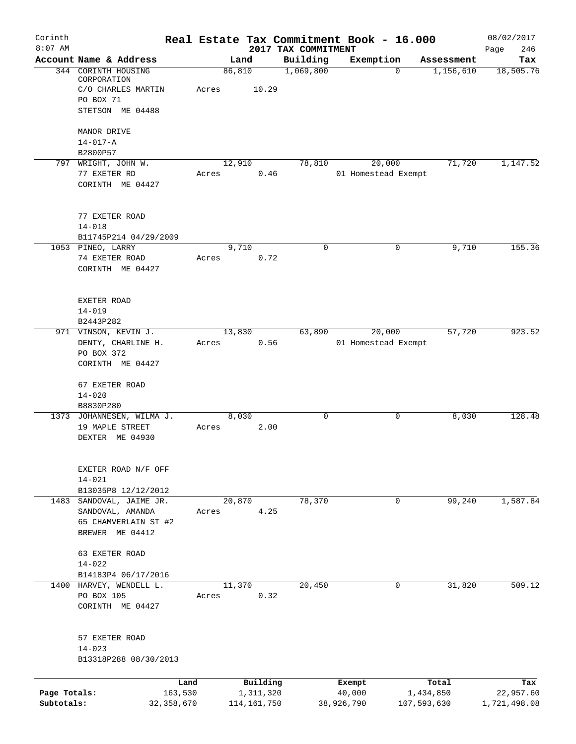| Corinth                    |                                                          |                 |                            |                                 | Real Estate Tax Commitment Book - 16.000 |              |                          | 08/02/2017                |
|----------------------------|----------------------------------------------------------|-----------------|----------------------------|---------------------------------|------------------------------------------|--------------|--------------------------|---------------------------|
| $8:07$ AM                  | Account Name & Address                                   | Land            |                            | 2017 TAX COMMITMENT<br>Building | Exemption                                |              | Assessment               | 246<br>Page<br>Tax        |
|                            | 344 CORINTH HOUSING<br>CORPORATION<br>C/O CHARLES MARTIN | 86,810<br>Acres | 10.29                      | 1,069,800                       |                                          | $\Omega$     | 1,156,610                | 18,505.76                 |
|                            | PO BOX 71<br>STETSON ME 04488                            |                 |                            |                                 |                                          |              |                          |                           |
|                            | MANOR DRIVE                                              |                 |                            |                                 |                                          |              |                          |                           |
|                            | $14 - 017 - A$<br>B2800P57                               |                 |                            |                                 |                                          |              |                          |                           |
|                            | 797 WRIGHT, JOHN W.<br>77 EXETER RD                      | 12,910<br>Acres | 0.46                       | 78,810                          | 20,000<br>01 Homestead Exempt            |              | 71,720                   | 1,147.52                  |
|                            | CORINTH ME 04427                                         |                 |                            |                                 |                                          |              |                          |                           |
|                            | 77 EXETER ROAD                                           |                 |                            |                                 |                                          |              |                          |                           |
|                            | $14 - 018$<br>B11745P214 04/29/2009                      |                 |                            |                                 |                                          |              |                          |                           |
|                            | 1053 PINEO, LARRY                                        | 9,710           |                            | $\mathbf 0$                     |                                          | 0            | 9,710                    | 155.36                    |
|                            | 74 EXETER ROAD<br>CORINTH ME 04427                       | Acres           | 0.72                       |                                 |                                          |              |                          |                           |
|                            | EXETER ROAD                                              |                 |                            |                                 |                                          |              |                          |                           |
|                            | $14 - 019$<br>B2443P282                                  |                 |                            |                                 |                                          |              |                          |                           |
|                            | 971 VINSON, KEVIN J.                                     | 13,830          |                            | 63,890                          | 20,000                                   |              | 57,720                   | 923.52                    |
|                            | DENTY, CHARLINE H.                                       | Acres           | 0.56                       |                                 | 01 Homestead Exempt                      |              |                          |                           |
|                            | PO BOX 372<br>CORINTH ME 04427                           |                 |                            |                                 |                                          |              |                          |                           |
|                            | 67 EXETER ROAD                                           |                 |                            |                                 |                                          |              |                          |                           |
|                            | $14 - 020$<br>B8830P280                                  |                 |                            |                                 |                                          |              |                          |                           |
|                            | 1373 JOHANNESEN, WILMA J.                                | 8,030           |                            | $\mathbf 0$                     |                                          | 0            | 8,030                    | 128.48                    |
|                            | 19 MAPLE STREET<br>DEXTER ME 04930                       | Acres           | 2.00                       |                                 |                                          |              |                          |                           |
|                            | EXETER ROAD N/F OFF                                      |                 |                            |                                 |                                          |              |                          |                           |
|                            | $14 - 021$<br>B13035P8 12/12/2012                        |                 |                            |                                 |                                          |              |                          |                           |
|                            | 1483 SANDOVAL, JAIME JR.                                 | 20,870          |                            | 78,370                          |                                          | 0            | 99,240                   | 1,587.84                  |
|                            | SANDOVAL, AMANDA                                         | Acres           | 4.25                       |                                 |                                          |              |                          |                           |
|                            | 65 CHAMVERLAIN ST #2<br>BREWER ME 04412                  |                 |                            |                                 |                                          |              |                          |                           |
|                            | 63 EXETER ROAD<br>$14 - 022$                             |                 |                            |                                 |                                          |              |                          |                           |
|                            | B14183P4 06/17/2016                                      |                 |                            |                                 |                                          |              |                          |                           |
|                            | 1400 HARVEY, WENDELL L.                                  | 11,370          |                            | 20,450                          |                                          | $\mathbf{0}$ | 31,820                   | 509.12                    |
|                            | PO BOX 105<br>CORINTH ME 04427                           | Acres           | 0.32                       |                                 |                                          |              |                          |                           |
|                            | 57 EXETER ROAD                                           |                 |                            |                                 |                                          |              |                          |                           |
|                            | $14 - 023$<br>B13318P288 08/30/2013                      |                 |                            |                                 |                                          |              |                          |                           |
|                            | Land                                                     |                 | Building                   |                                 | Exempt                                   |              | Total                    | Tax                       |
| Page Totals:<br>Subtotals: | 163,530<br>32, 358, 670                                  |                 | 1,311,320<br>114, 161, 750 |                                 | 40,000<br>38,926,790                     |              | 1,434,850<br>107,593,630 | 22,957.60<br>1,721,498.08 |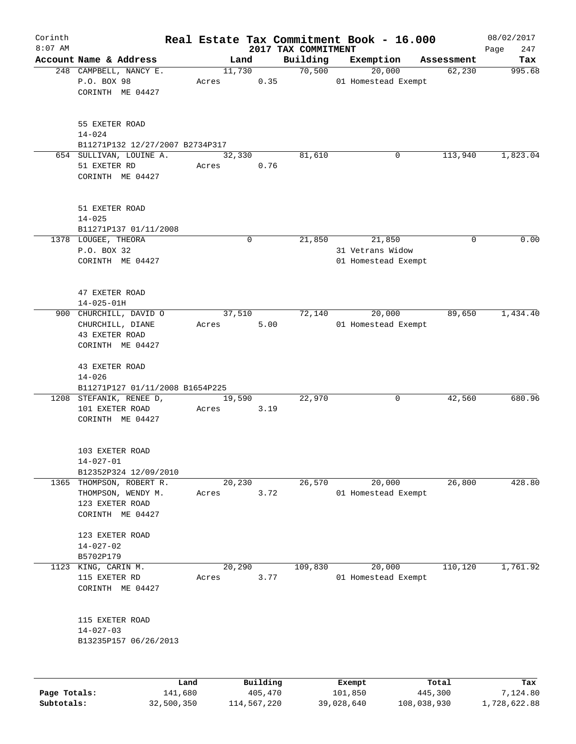| Corinth      |                                                                 |                |             |                                 | Real Estate Tax Commitment Book - 16.000 |                      | 08/02/2017    |
|--------------|-----------------------------------------------------------------|----------------|-------------|---------------------------------|------------------------------------------|----------------------|---------------|
| $8:07$ AM    | Account Name & Address                                          |                |             | 2017 TAX COMMITMENT<br>Building | Exemption                                |                      | 247<br>Page   |
|              | 248 CAMPBELL, NANCY E.                                          | Land<br>11,730 |             | 70,500                          | 20,000                                   | Assessment<br>62,230 | Tax<br>995.68 |
|              | P.O. BOX 98<br>CORINTH ME 04427                                 | Acres          | 0.35        |                                 | 01 Homestead Exempt                      |                      |               |
|              | 55 EXETER ROAD<br>$14 - 024$<br>B11271P132 12/27/2007 B2734P317 |                |             |                                 |                                          |                      |               |
|              | 654 SULLIVAN, LOUINE A.                                         | 32,330         |             | 81,610                          | 0                                        | 113,940              | 1,823.04      |
|              | 51 EXETER RD<br>CORINTH ME 04427                                | Acres          | 0.76        |                                 |                                          |                      |               |
|              | 51 EXETER ROAD<br>$14 - 025$<br>B11271P137 01/11/2008           |                |             |                                 |                                          |                      |               |
|              | 1378 LOUGEE, THEORA                                             |                | $\mathbf 0$ | 21,850                          | 21,850                                   | 0                    | 0.00          |
|              | P.O. BOX 32                                                     |                |             |                                 | 31 Vetrans Widow                         |                      |               |
|              | CORINTH ME 04427                                                |                |             |                                 | 01 Homestead Exempt                      |                      |               |
|              | 47 EXETER ROAD<br>$14 - 025 - 01H$                              |                |             |                                 |                                          |                      |               |
|              | 900 CHURCHILL, DAVID O                                          | 37,510         |             | 72,140                          | 20,000                                   | 89,650               | 1,434.40      |
|              | CHURCHILL, DIANE<br>43 EXETER ROAD<br>CORINTH ME 04427          | Acres          | 5.00        |                                 | 01 Homestead Exempt                      |                      |               |
|              | 43 EXETER ROAD<br>$14 - 026$                                    |                |             |                                 |                                          |                      |               |
|              | B11271P127 01/11/2008 B1654P225                                 |                |             |                                 |                                          |                      |               |
|              | 1208 STEFANIK, RENEE D,                                         | 19,590         |             | 22,970                          | 0                                        | 42,560               | 680.96        |
|              | 101 EXETER ROAD<br>CORINTH ME 04427                             | Acres          | 3.19        |                                 |                                          |                      |               |
|              | 103 EXETER ROAD<br>$14 - 027 - 01$                              |                |             |                                 |                                          |                      |               |
|              | B12352P324 12/09/2010                                           |                |             |                                 |                                          |                      |               |
|              | 1365 THOMPSON, ROBERT R.                                        | 20, 230        |             | 26,570                          | 20,000                                   | 26,800               | 428.80        |
|              | THOMPSON, WENDY M.<br>123 EXETER ROAD<br>CORINTH ME 04427       | Acres          | 3.72        |                                 | 01 Homestead Exempt                      |                      |               |
|              | 123 EXETER ROAD<br>$14 - 027 - 02$                              |                |             |                                 |                                          |                      |               |
|              | B5702P179                                                       |                |             |                                 |                                          |                      |               |
| 1123         | KING, CARIN M.                                                  | 20,290         |             | 109,830                         | 20,000                                   | 110,120              | 1,761.92      |
|              | 115 EXETER RD<br>CORINTH ME 04427                               | Acres          | 3.77        |                                 | 01 Homestead Exempt                      |                      |               |
|              | 115 EXETER ROAD<br>$14 - 027 - 03$<br>B13235P157 06/26/2013     |                |             |                                 |                                          |                      |               |
|              |                                                                 |                |             |                                 |                                          |                      |               |
|              | Land                                                            |                | Building    |                                 | Exempt                                   | Total                | Tax           |
| Page Totals: | 141,680                                                         |                | 405,470     |                                 | 101,850                                  | 445,300              | 7,124.80      |

**Subtotals:** 32,500,350 114,567,220 39,028,640 108,038,930 1,728,622.88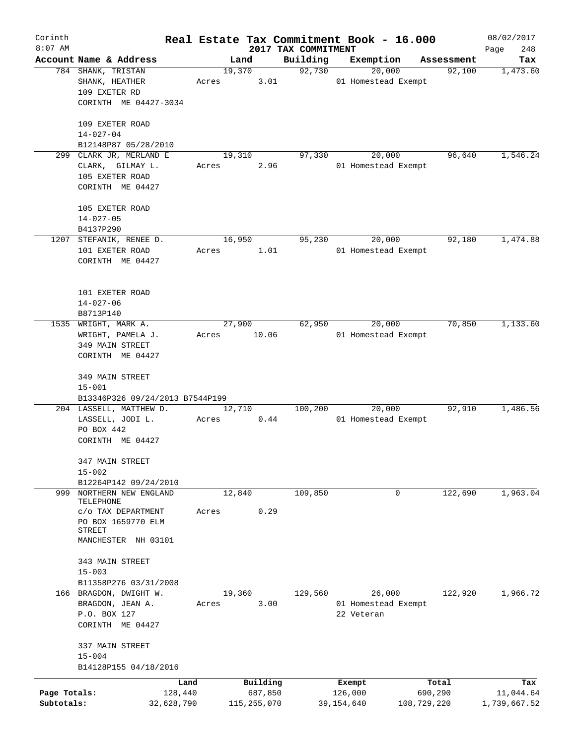| Corinth      |                                            |            |       |               |      | Real Estate Tax Commitment Book - 16.000 |                     |        |                      | 08/02/2017      |
|--------------|--------------------------------------------|------------|-------|---------------|------|------------------------------------------|---------------------|--------|----------------------|-----------------|
| $8:07$ AM    | Account Name & Address                     |            |       | Land          |      | 2017 TAX COMMITMENT<br>Building          | Exemption           |        |                      | 248<br>Page     |
|              | 784 SHANK, TRISTAN                         |            |       | 19,370        |      | 92,730                                   |                     | 20,000 | Assessment<br>92,100 | Tax<br>1,473.60 |
|              | SHANK, HEATHER                             |            | Acres |               | 3.01 |                                          | 01 Homestead Exempt |        |                      |                 |
|              | 109 EXETER RD                              |            |       |               |      |                                          |                     |        |                      |                 |
|              | CORINTH ME 04427-3034                      |            |       |               |      |                                          |                     |        |                      |                 |
|              | 109 EXETER ROAD                            |            |       |               |      |                                          |                     |        |                      |                 |
|              | $14 - 027 - 04$                            |            |       |               |      |                                          |                     |        |                      |                 |
|              | B12148P87 05/28/2010                       |            |       |               |      |                                          |                     |        |                      |                 |
|              | 299 CLARK JR, MERLAND E                    |            |       | 19,310        |      | 97,330                                   |                     | 20,000 | 96,640               | 1,546.24        |
|              | CLARK, GILMAY L.                           |            | Acres |               | 2.96 |                                          | 01 Homestead Exempt |        |                      |                 |
|              | 105 EXETER ROAD                            |            |       |               |      |                                          |                     |        |                      |                 |
|              | CORINTH ME 04427                           |            |       |               |      |                                          |                     |        |                      |                 |
|              | 105 EXETER ROAD                            |            |       |               |      |                                          |                     |        |                      |                 |
|              | $14 - 027 - 05$                            |            |       |               |      |                                          |                     |        |                      |                 |
|              | B4137P290                                  |            |       |               |      |                                          |                     |        |                      |                 |
|              | 1207 STEFANIK, RENEE D.                    |            |       | 16,950        |      | 95,230                                   |                     | 20,000 | 92,180               | 1,474.88        |
|              | 101 EXETER ROAD                            |            | Acres |               | 1.01 |                                          | 01 Homestead Exempt |        |                      |                 |
|              | CORINTH ME 04427                           |            |       |               |      |                                          |                     |        |                      |                 |
|              |                                            |            |       |               |      |                                          |                     |        |                      |                 |
|              | 101 EXETER ROAD                            |            |       |               |      |                                          |                     |        |                      |                 |
|              | $14 - 027 - 06$                            |            |       |               |      |                                          |                     |        |                      |                 |
|              | B8713P140<br>1535 WRIGHT, MARK A.          |            |       | 27,900        |      | 62,950                                   |                     | 20,000 | 70,850               | 1,133.60        |
|              | WRIGHT, PAMELA J.                          |            | Acres | 10.06         |      |                                          | 01 Homestead Exempt |        |                      |                 |
|              | 349 MAIN STREET                            |            |       |               |      |                                          |                     |        |                      |                 |
|              | CORINTH ME 04427                           |            |       |               |      |                                          |                     |        |                      |                 |
|              | 349 MAIN STREET                            |            |       |               |      |                                          |                     |        |                      |                 |
|              | $15 - 001$                                 |            |       |               |      |                                          |                     |        |                      |                 |
|              | B13346P326 09/24/2013 B7544P199            |            |       |               |      |                                          |                     |        |                      |                 |
|              | 204 LASSELL, MATTHEW D.                    |            |       | 12,710        |      | 100,200                                  |                     | 20,000 | 92,910               | 1,486.56        |
|              | LASSELL, JODI L.                           |            | Acres |               | 0.44 |                                          | 01 Homestead Exempt |        |                      |                 |
|              | PO BOX 442                                 |            |       |               |      |                                          |                     |        |                      |                 |
|              | CORINTH ME 04427                           |            |       |               |      |                                          |                     |        |                      |                 |
|              | 347 MAIN STREET                            |            |       |               |      |                                          |                     |        |                      |                 |
|              | $15 - 002$                                 |            |       |               |      |                                          |                     |        |                      |                 |
|              | B12264P142 09/24/2010                      |            |       |               |      |                                          |                     |        |                      |                 |
| 999          | NORTHERN NEW ENGLAND<br>TELEPHONE          |            |       | 12,840        |      | 109,850                                  |                     | 0      | 122,690              | 1,963.04        |
|              | C/O TAX DEPARTMENT                         |            | Acres |               | 0.29 |                                          |                     |        |                      |                 |
|              | PO BOX 1659770 ELM                         |            |       |               |      |                                          |                     |        |                      |                 |
|              | STREET<br>MANCHESTER NH 03101              |            |       |               |      |                                          |                     |        |                      |                 |
|              |                                            |            |       |               |      |                                          |                     |        |                      |                 |
|              | 343 MAIN STREET                            |            |       |               |      |                                          |                     |        |                      |                 |
|              | $15 - 003$                                 |            |       |               |      |                                          |                     |        |                      |                 |
|              | B11358P276 03/31/2008                      |            |       |               |      |                                          |                     |        |                      |                 |
|              | 166 BRAGDON, DWIGHT W.<br>BRAGDON, JEAN A. |            | Acres | 19,360        | 3.00 | 129,560                                  | 01 Homestead Exempt | 26,000 | 122,920              | 1,966.72        |
|              | P.O. BOX 127                               |            |       |               |      |                                          | 22 Veteran          |        |                      |                 |
|              | CORINTH ME 04427                           |            |       |               |      |                                          |                     |        |                      |                 |
|              | 337 MAIN STREET                            |            |       |               |      |                                          |                     |        |                      |                 |
|              | $15 - 004$                                 |            |       |               |      |                                          |                     |        |                      |                 |
|              | B14128P155 04/18/2016                      |            |       |               |      |                                          |                     |        |                      |                 |
|              |                                            | Land       |       | Building      |      |                                          | Exempt              |        | Total                | Tax             |
| Page Totals: |                                            | 128,440    |       | 687,850       |      |                                          | 126,000             |        | 690,290              | 11,044.64       |
| Subtotals:   |                                            | 32,628,790 |       | 115, 255, 070 |      |                                          | 39, 154, 640        |        | 108,729,220          | 1,739,667.52    |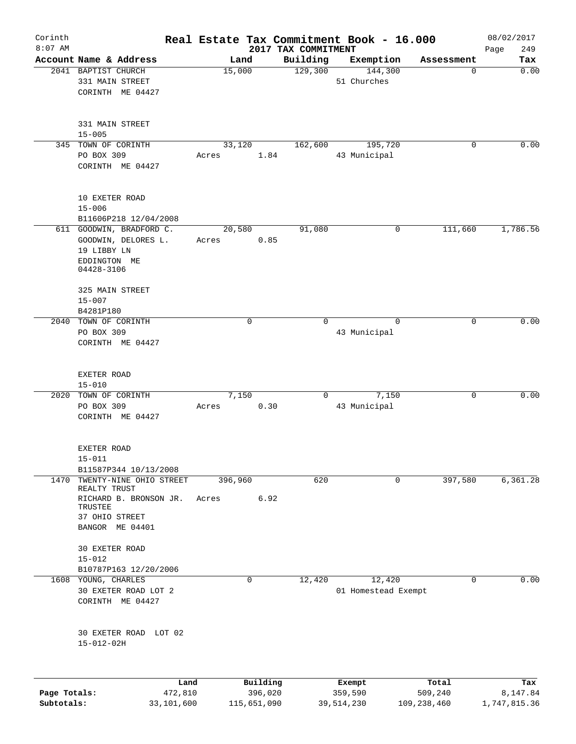| Corinth      |                                               |       |             |          | Real Estate Tax Commitment Book - 16.000 |                     |                      |                 | 08/02/2017   |
|--------------|-----------------------------------------------|-------|-------------|----------|------------------------------------------|---------------------|----------------------|-----------------|--------------|
| $8:07$ AM    |                                               |       |             |          | 2017 TAX COMMITMENT                      |                     |                      |                 | 249<br>Page  |
|              | Account Name & Address<br>2041 BAPTIST CHURCH |       | Land        |          | Building<br>129,300                      |                     | Exemption<br>144,300 | Assessment<br>0 | Tax<br>0.00  |
|              | 331 MAIN STREET                               |       | 15,000      |          |                                          | 51 Churches         |                      |                 |              |
|              | CORINTH ME 04427                              |       |             |          |                                          |                     |                      |                 |              |
|              |                                               |       |             |          |                                          |                     |                      |                 |              |
|              | 331 MAIN STREET                               |       |             |          |                                          |                     |                      |                 |              |
|              | $15 - 005$                                    |       |             |          |                                          |                     |                      |                 |              |
|              | 345 TOWN OF CORINTH                           |       | 33,120      |          | 162,600                                  |                     | 195,720              | 0               | 0.00         |
|              | PO BOX 309                                    | Acres |             | 1.84     |                                          | 43 Municipal        |                      |                 |              |
|              | CORINTH ME 04427                              |       |             |          |                                          |                     |                      |                 |              |
|              | 10 EXETER ROAD                                |       |             |          |                                          |                     |                      |                 |              |
|              | $15 - 006$                                    |       |             |          |                                          |                     |                      |                 |              |
|              | B11606P218 12/04/2008                         |       |             |          |                                          |                     |                      |                 |              |
|              | 611 GOODWIN, BRADFORD C.                      |       | 20,580      |          | 91,080                                   |                     | 0                    | 111,660         | 1,786.56     |
|              | GOODWIN, DELORES L.                           | Acres |             | 0.85     |                                          |                     |                      |                 |              |
|              | 19 LIBBY LN                                   |       |             |          |                                          |                     |                      |                 |              |
|              | EDDINGTON ME                                  |       |             |          |                                          |                     |                      |                 |              |
|              | 04428-3106                                    |       |             |          |                                          |                     |                      |                 |              |
|              | 325 MAIN STREET                               |       |             |          |                                          |                     |                      |                 |              |
|              | $15 - 007$                                    |       |             |          |                                          |                     |                      |                 |              |
|              | B4281P180                                     |       |             |          |                                          |                     |                      |                 |              |
|              | 2040 TOWN OF CORINTH                          |       | $\mathbf 0$ |          | $\Omega$                                 |                     | $\Omega$             | 0               | 0.00         |
|              | PO BOX 309                                    |       |             |          |                                          | 43 Municipal        |                      |                 |              |
|              | CORINTH ME 04427                              |       |             |          |                                          |                     |                      |                 |              |
|              |                                               |       |             |          |                                          |                     |                      |                 |              |
|              | EXETER ROAD                                   |       |             |          |                                          |                     |                      |                 |              |
|              | $15 - 010$                                    |       |             |          |                                          |                     |                      |                 | 0.00         |
|              | 2020 TOWN OF CORINTH                          |       | 7,150       |          | 0                                        |                     | 7,150                | $\mathbf 0$     |              |
|              | PO BOX 309                                    | Acres |             | 0.30     |                                          | 43 Municipal        |                      |                 |              |
|              | CORINTH ME 04427                              |       |             |          |                                          |                     |                      |                 |              |
|              | EXETER ROAD                                   |       |             |          |                                          |                     |                      |                 |              |
|              | $15 - 011$                                    |       |             |          |                                          |                     |                      |                 |              |
|              | B11587P344 10/13/2008                         |       |             |          |                                          |                     |                      |                 |              |
| 1470         | TWENTY-NINE OHIO STREET                       |       | 396,960     |          | 620                                      |                     | 0                    | 397,580         | 6,361.28     |
|              | REALTY TRUST                                  |       |             |          |                                          |                     |                      |                 |              |
|              | RICHARD B. BRONSON JR.                        | Acres |             | 6.92     |                                          |                     |                      |                 |              |
|              | TRUSTEE                                       |       |             |          |                                          |                     |                      |                 |              |
|              | 37 OHIO STREET                                |       |             |          |                                          |                     |                      |                 |              |
|              | BANGOR ME 04401                               |       |             |          |                                          |                     |                      |                 |              |
|              | 30 EXETER ROAD                                |       |             |          |                                          |                     |                      |                 |              |
|              | $15 - 012$                                    |       |             |          |                                          |                     |                      |                 |              |
|              | B10787P163 12/20/2006                         |       |             |          |                                          |                     |                      |                 |              |
|              | 1608 YOUNG, CHARLES                           |       | $\mathbf 0$ |          | 12,420                                   |                     | 12,420               | 0               | 0.00         |
|              | 30 EXETER ROAD LOT 2                          |       |             |          |                                          | 01 Homestead Exempt |                      |                 |              |
|              | CORINTH ME 04427                              |       |             |          |                                          |                     |                      |                 |              |
|              |                                               |       |             |          |                                          |                     |                      |                 |              |
|              | 30 EXETER ROAD LOT 02                         |       |             |          |                                          |                     |                      |                 |              |
|              | $15 - 012 - 02H$                              |       |             |          |                                          |                     |                      |                 |              |
|              |                                               |       |             |          |                                          |                     |                      |                 |              |
|              |                                               | Land  |             | Building |                                          | Exempt              |                      | Total           | Tax          |
| Page Totals: | 472,810                                       |       |             | 396,020  |                                          | 359,590             |                      | 509,240         | 8,147.84     |
| Subtotals:   | 33,101,600                                    |       | 115,651,090 |          |                                          | 39, 514, 230        |                      | 109,238,460     | 1,747,815.36 |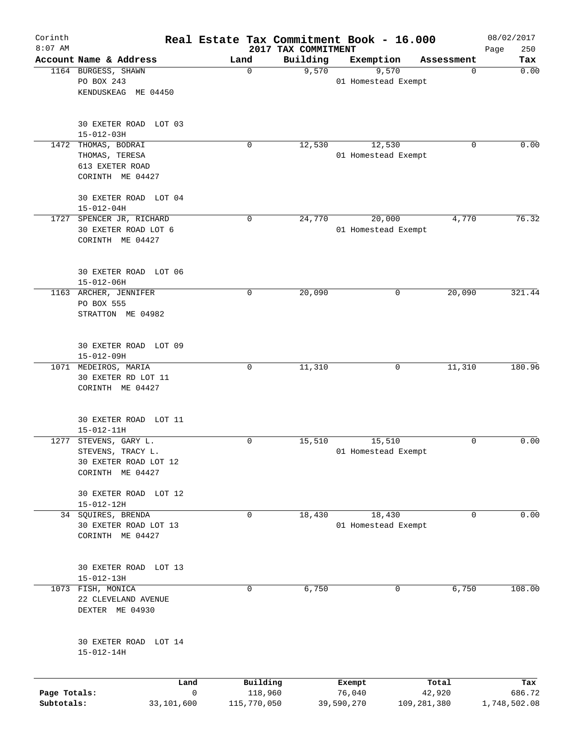| Corinth<br>$8:07$ AM |                                             | Real Estate Tax Commitment Book - 16.000 | 2017 TAX COMMITMENT |                               |             | 08/02/2017<br>250<br>Page |
|----------------------|---------------------------------------------|------------------------------------------|---------------------|-------------------------------|-------------|---------------------------|
|                      | Account Name & Address                      | Land                                     | Building            | Exemption                     | Assessment  | Tax                       |
|                      | 1164 BURGESS, SHAWN                         | 0                                        | 9,570               | 9,570                         | 0           | 0.00                      |
|                      | PO BOX 243                                  |                                          |                     | 01 Homestead Exempt           |             |                           |
|                      | KENDUSKEAG ME 04450                         |                                          |                     |                               |             |                           |
|                      | 30 EXETER ROAD LOT 03                       |                                          |                     |                               |             |                           |
|                      | $15 - 012 - 03H$                            |                                          |                     |                               |             |                           |
|                      | 1472 THOMAS, BODRAI                         | 0                                        | 12,530              | 12,530                        | 0           | 0.00                      |
|                      | THOMAS, TERESA                              |                                          |                     | 01 Homestead Exempt           |             |                           |
|                      | 613 EXETER ROAD                             |                                          |                     |                               |             |                           |
|                      | CORINTH ME 04427                            |                                          |                     |                               |             |                           |
|                      | 30 EXETER ROAD LOT 04<br>$15 - 012 - 04H$   |                                          |                     |                               |             |                           |
|                      | 1727 SPENCER JR, RICHARD                    | 0                                        | 24,770              | 20,000                        | 4,770       | 76.32                     |
|                      | 30 EXETER ROAD LOT 6                        |                                          |                     | 01 Homestead Exempt           |             |                           |
|                      | CORINTH ME 04427                            |                                          |                     |                               |             |                           |
|                      | 30 EXETER ROAD LOT 06                       |                                          |                     |                               |             |                           |
|                      | $15 - 012 - 06H$                            |                                          |                     |                               |             |                           |
|                      | 1163 ARCHER, JENNIFER                       | 0                                        | 20,090              |                               | 20,090<br>0 | 321.44                    |
|                      | PO BOX 555                                  |                                          |                     |                               |             |                           |
|                      | STRATTON ME 04982                           |                                          |                     |                               |             |                           |
|                      | 30 EXETER ROAD LOT 09                       |                                          |                     |                               |             |                           |
|                      | $15 - 012 - 09H$                            |                                          |                     |                               |             |                           |
|                      | 1071 MEDEIROS, MARIA                        | 0                                        | 11,310              |                               | 11,310<br>0 | 180.96                    |
|                      | 30 EXETER RD LOT 11<br>CORINTH ME 04427     |                                          |                     |                               |             |                           |
|                      |                                             |                                          |                     |                               |             |                           |
|                      | 30 EXETER ROAD LOT 11                       |                                          |                     |                               |             |                           |
|                      | $15 - 012 - 11H$                            |                                          |                     |                               |             |                           |
| 1277                 | STEVENS, GARY L.                            | 0                                        | 15,510              | 15,510                        | 0           | 0.00                      |
|                      | STEVENS, TRACY L.                           |                                          |                     | 01 Homestead Exempt           |             |                           |
|                      | 30 EXETER ROAD LOT 12<br>CORINTH ME 04427   |                                          |                     |                               |             |                           |
|                      |                                             |                                          |                     |                               |             |                           |
|                      | 30 EXETER ROAD LOT 12                       |                                          |                     |                               |             |                           |
|                      | $15 - 012 - 12H$                            |                                          |                     |                               |             |                           |
|                      | 34 SQUIRES, BRENDA<br>30 EXETER ROAD LOT 13 | 0                                        | 18,430              | 18,430<br>01 Homestead Exempt | 0           | 0.00                      |
|                      | CORINTH ME 04427                            |                                          |                     |                               |             |                           |
|                      |                                             |                                          |                     |                               |             |                           |
|                      | 30 EXETER ROAD LOT 13                       |                                          |                     |                               |             |                           |
|                      | $15 - 012 - 13H$                            |                                          |                     |                               |             |                           |
|                      | 1073 FISH, MONICA                           | 0                                        | 6,750               |                               | 6,750<br>0  | 108.00                    |
|                      | 22 CLEVELAND AVENUE<br>DEXTER ME 04930      |                                          |                     |                               |             |                           |
|                      |                                             |                                          |                     |                               |             |                           |
|                      | 30 EXETER ROAD LOT 14                       |                                          |                     |                               |             |                           |
|                      | $15 - 012 - 14H$                            |                                          |                     |                               |             |                           |
|                      | Land                                        | Building                                 |                     | Exempt                        | Total       | Tax                       |
| Page Totals:         |                                             | $\mathsf{O}$<br>118,960                  |                     | 76,040                        | 42,920      | 686.72                    |
| Subtotals:           | 33,101,600                                  | 115,770,050                              |                     | 39,590,270                    | 109,281,380 | 1,748,502.08              |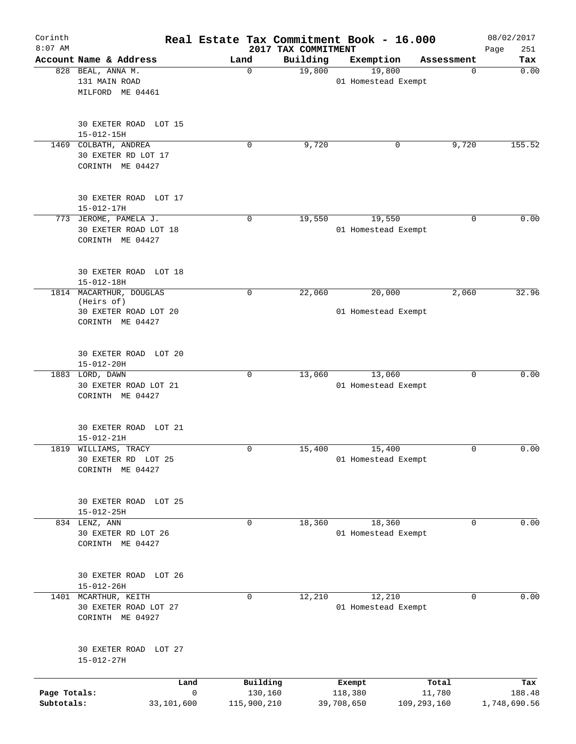| Corinth<br>$8:07$ AM       |                                                                                    |                                        | 2017 TAX COMMITMENT | Real Estate Tax Commitment Book - 16.000 |                       | 08/02/2017<br>251<br>Page |
|----------------------------|------------------------------------------------------------------------------------|----------------------------------------|---------------------|------------------------------------------|-----------------------|---------------------------|
|                            | Account Name & Address                                                             | Land                                   | Building            | Exemption                                | Assessment            | Tax                       |
|                            | 828 BEAL, ANNA M.<br>131 MAIN ROAD<br>MILFORD ME 04461                             | $\mathbf 0$                            | 19,800              | 19,800<br>01 Homestead Exempt            | 0                     | 0.00                      |
|                            | 30 EXETER ROAD LOT 15<br>$15 - 012 - 15H$                                          |                                        |                     |                                          |                       |                           |
| 1469                       | COLBATH, ANDREA<br>30 EXETER RD LOT 17<br>CORINTH ME 04427                         | 0                                      | 9,720               | 0                                        | 9,720                 | 155.52                    |
|                            | 30 EXETER ROAD LOT 17<br>$15 - 012 - 17H$                                          |                                        |                     |                                          |                       |                           |
|                            | 773 JEROME, PAMELA J.<br>30 EXETER ROAD LOT 18<br>CORINTH ME 04427                 | $\mathbf 0$                            | 19,550              | 19,550<br>01 Homestead Exempt            | $\Omega$              | 0.00                      |
|                            | 30 EXETER ROAD LOT 18<br>$15 - 012 - 18H$                                          |                                        |                     |                                          |                       |                           |
|                            | 1814 MACARTHUR, DOUGLAS<br>(Heirs of)<br>30 EXETER ROAD LOT 20<br>CORINTH ME 04427 | 0                                      | 22,060              | 20,000<br>01 Homestead Exempt            | 2,060                 | 32.96                     |
|                            | 30 EXETER ROAD LOT 20<br>$15 - 012 - 20H$                                          |                                        |                     |                                          |                       |                           |
|                            | 1883 LORD, DAWN<br>30 EXETER ROAD LOT 21<br>CORINTH ME 04427                       | $\mathbf 0$                            | 13,060              | 13,060<br>01 Homestead Exempt            | 0                     | 0.00                      |
|                            | 30 EXETER ROAD LOT 21<br>$15 - 012 - 21H$                                          |                                        |                     |                                          |                       |                           |
|                            | 1819 WILLIAMS, TRACY<br>30 EXETER RD LOT 25<br>CORINTH ME 04427                    | 0                                      | 15,400              | 15,400<br>01 Homestead Exempt            | 0                     | 0.00                      |
|                            | 30 EXETER ROAD LOT 25<br>$15 - 012 - 25H$                                          |                                        |                     |                                          |                       |                           |
|                            | 834 LENZ, ANN<br>30 EXETER RD LOT 26<br>CORINTH ME 04427                           | 0                                      | 18,360              | 18,360<br>01 Homestead Exempt            | 0                     | 0.00                      |
|                            | 30 EXETER ROAD LOT 26<br>$15 - 012 - 26H$                                          |                                        |                     |                                          |                       |                           |
|                            | 1401 MCARTHUR, KEITH<br>30 EXETER ROAD LOT 27<br>CORINTH ME 04927                  | $\Omega$                               | 12,210              | 12,210<br>01 Homestead Exempt            | $\Omega$              | 0.00                      |
|                            | 30 EXETER ROAD LOT 27<br>$15 - 012 - 27H$                                          |                                        |                     |                                          |                       |                           |
|                            | Land                                                                               | Building                               |                     | Exempt                                   | Total                 | Tax                       |
| Page Totals:<br>Subtotals: | 33,101,600                                                                         | $\mathsf{O}$<br>130,160<br>115,900,210 |                     | 118,380<br>39,708,650                    | 11,780<br>109,293,160 | 188.48<br>1,748,690.56    |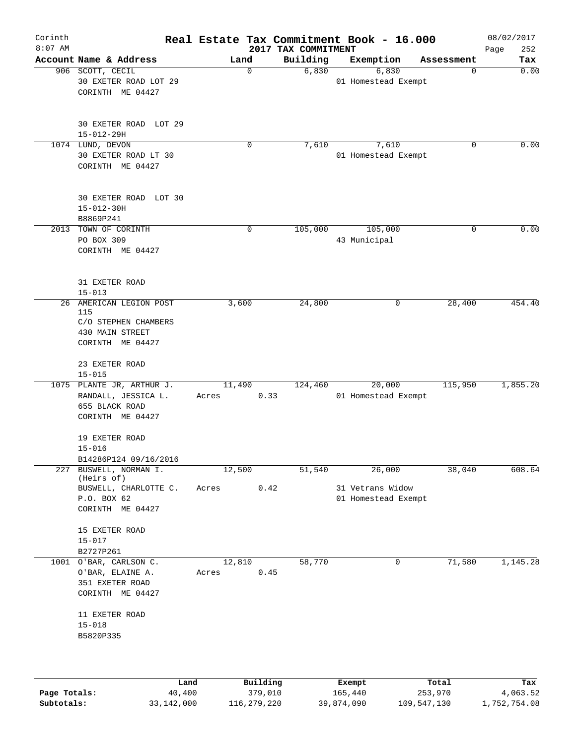| Corinth<br>$8:07$ AM |                                                                                               |                 |          | 2017 TAX COMMITMENT | Real Estate Tax Commitment Book - 16.000 |       |            | 08/02/2017<br>252<br>Page |
|----------------------|-----------------------------------------------------------------------------------------------|-----------------|----------|---------------------|------------------------------------------|-------|------------|---------------------------|
|                      | Account Name & Address                                                                        | Land            |          | Building            | Exemption                                |       | Assessment | Tax                       |
|                      | 906 SCOTT, CECIL<br>30 EXETER ROAD LOT 29<br>CORINTH ME 04427                                 |                 | 0        | 6,830               | 6,830<br>01 Homestead Exempt             |       | 0          | 0.00                      |
|                      | 30 EXETER ROAD LOT 29<br>$15 - 012 - 29H$                                                     |                 |          |                     |                                          |       |            |                           |
|                      | 1074 LUND, DEVON<br>30 EXETER ROAD LT 30<br>CORINTH ME 04427                                  |                 | 0        | 7,610               | 7,610<br>01 Homestead Exempt             |       | 0          | 0.00                      |
|                      | 30 EXETER ROAD LOT 30<br>$15 - 012 - 30H$<br>B8869P241                                        |                 |          |                     |                                          |       |            |                           |
|                      | 2013 TOWN OF CORINTH<br>PO BOX 309<br>CORINTH ME 04427                                        |                 | 0        | 105,000             | 105,000<br>43 Municipal                  |       | 0          | 0.00                      |
|                      | 31 EXETER ROAD<br>$15 - 013$                                                                  |                 |          |                     |                                          |       |            |                           |
|                      | 26 AMERICAN LEGION POST<br>115<br>C/O STEPHEN CHAMBERS<br>430 MAIN STREET<br>CORINTH ME 04427 | 3,600           |          | 24,800              |                                          | 0     | 28,400     | 454.40                    |
|                      | 23 EXETER ROAD<br>$15 - 015$                                                                  |                 |          |                     |                                          |       |            |                           |
|                      | 1075 PLANTE JR, ARTHUR J.<br>RANDALL, JESSICA L.<br>655 BLACK ROAD<br>CORINTH ME 04427        | 11,490<br>Acres | 0.33     | 124,460             | 20,000<br>01 Homestead Exempt            |       | 115,950    | 1,855.20                  |
|                      | 19 EXETER ROAD<br>$15 - 016$<br>B14286P124 09/16/2016                                         |                 |          |                     |                                          |       |            |                           |
| 227                  | BUSWELL, NORMAN I.<br>(Heirs of)                                                              | 12,500          |          | 51,540              | 26,000                                   |       | 38,040     | 608.64                    |
|                      | BUSWELL, CHARLOTTE C.<br>P.O. BOX 62<br>CORINTH ME 04427                                      | Acres           | 0.42     |                     | 31 Vetrans Widow<br>01 Homestead Exempt  |       |            |                           |
|                      | 15 EXETER ROAD<br>$15 - 017$<br>B2727P261                                                     |                 |          |                     |                                          |       |            |                           |
|                      | 1001 O'BAR, CARLSON C.<br>O'BAR, ELAINE A.<br>351 EXETER ROAD<br>CORINTH ME 04427             | 12,810<br>Acres | 0.45     | 58,770              |                                          | 0     | 71,580     | 1,145.28                  |
|                      | 11 EXETER ROAD<br>$15 - 018$<br>B5820P335                                                     |                 |          |                     |                                          |       |            |                           |
|                      | Land                                                                                          |                 | Building |                     | Exempt                                   | Total |            | Tax                       |

**Page Totals:** 40,400 379,010 165,440 253,970 4,063.52 **Subtotals:** 33,142,000 116,279,220 39,874,090 109,547,130 1,752,754.08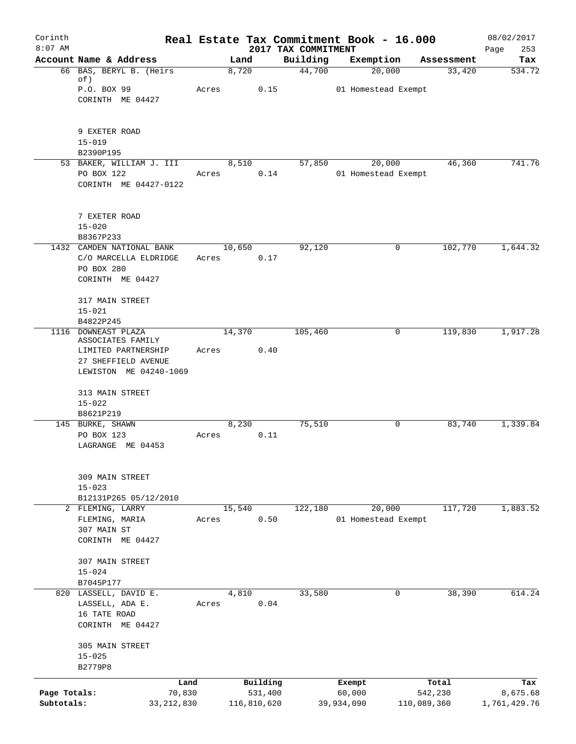| Corinth<br>$8:07$ AM |                                           |       |             |      |                                 | Real Estate Tax Commitment Book - 16.000 |             |            | 08/02/2017         |
|----------------------|-------------------------------------------|-------|-------------|------|---------------------------------|------------------------------------------|-------------|------------|--------------------|
|                      | Account Name & Address                    |       | Land        |      | 2017 TAX COMMITMENT<br>Building | Exemption                                |             | Assessment | 253<br>Page<br>Tax |
|                      | 66 BAS, BERYL B. (Heirs)<br>of)           |       | 8,720       |      | 44,700                          | 20,000                                   |             | 33,420     | 534.72             |
|                      | P.O. BOX 99                               | Acres |             | 0.15 |                                 | 01 Homestead Exempt                      |             |            |                    |
|                      | CORINTH ME 04427                          |       |             |      |                                 |                                          |             |            |                    |
|                      | 9 EXETER ROAD                             |       |             |      |                                 |                                          |             |            |                    |
|                      | $15 - 019$                                |       |             |      |                                 |                                          |             |            |                    |
|                      | B2390P195<br>53 BAKER, WILLIAM J. III     |       | 8,510       |      | 57,850                          | 20,000                                   |             | 46,360     | 741.76             |
|                      | PO BOX 122                                | Acres |             | 0.14 |                                 | 01 Homestead Exempt                      |             |            |                    |
|                      | CORINTH ME 04427-0122                     |       |             |      |                                 |                                          |             |            |                    |
|                      | 7 EXETER ROAD<br>$15 - 020$               |       |             |      |                                 |                                          |             |            |                    |
|                      | B8367P233                                 |       |             |      |                                 |                                          |             |            |                    |
|                      | 1432 CAMDEN NATIONAL BANK                 |       | 10,650      |      | 92,120                          |                                          | 0           | 102,770    | 1,644.32           |
|                      | C/O MARCELLA ELDRIDGE                     | Acres |             | 0.17 |                                 |                                          |             |            |                    |
|                      | PO BOX 280                                |       |             |      |                                 |                                          |             |            |                    |
|                      | CORINTH ME 04427                          |       |             |      |                                 |                                          |             |            |                    |
|                      | 317 MAIN STREET                           |       |             |      |                                 |                                          |             |            |                    |
|                      | $15 - 021$                                |       |             |      |                                 |                                          |             |            |                    |
|                      | B4822P245                                 |       |             |      |                                 |                                          |             |            |                    |
|                      | 1116 DOWNEAST PLAZA<br>ASSOCIATES FAMILY  |       | 14,370      |      | 105,460                         |                                          | 0           | 119,830    | 1,917.28           |
|                      | LIMITED PARTNERSHIP                       | Acres |             | 0.40 |                                 |                                          |             |            |                    |
|                      | 27 SHEFFIELD AVENUE                       |       |             |      |                                 |                                          |             |            |                    |
|                      | LEWISTON ME 04240-1069                    |       |             |      |                                 |                                          |             |            |                    |
|                      |                                           |       |             |      |                                 |                                          |             |            |                    |
|                      | 313 MAIN STREET<br>$15 - 022$             |       |             |      |                                 |                                          |             |            |                    |
|                      | B8621P219                                 |       |             |      |                                 |                                          |             |            |                    |
|                      | 145 BURKE, SHAWN                          |       | 8,230       |      | 75,510                          |                                          | 0           | 83,740     | 1,339.84           |
|                      | PO BOX 123                                | Acres |             | 0.11 |                                 |                                          |             |            |                    |
|                      | LAGRANGE ME 04453                         |       |             |      |                                 |                                          |             |            |                    |
|                      | 309 MAIN STREET                           |       |             |      |                                 |                                          |             |            |                    |
|                      | $15 - 023$                                |       |             |      |                                 |                                          |             |            |                    |
|                      | B12131P265 05/12/2010<br>2 FLEMING, LARRY |       | 15,540      |      | 122,180                         | 20,000                                   |             | 117,720    | 1,883.52           |
|                      | FLEMING, MARIA                            | Acres |             | 0.50 |                                 | 01 Homestead Exempt                      |             |            |                    |
|                      | 307 MAIN ST                               |       |             |      |                                 |                                          |             |            |                    |
|                      | CORINTH ME 04427                          |       |             |      |                                 |                                          |             |            |                    |
|                      |                                           |       |             |      |                                 |                                          |             |            |                    |
|                      | 307 MAIN STREET<br>$15 - 024$             |       |             |      |                                 |                                          |             |            |                    |
|                      | B7045P177                                 |       |             |      |                                 |                                          |             |            |                    |
|                      | 820 LASSELL, DAVID E.                     |       | 4,810       |      | 33,580                          |                                          | 0           | 38,390     | 614.24             |
|                      | LASSELL, ADA E.                           | Acres |             | 0.04 |                                 |                                          |             |            |                    |
|                      | 16 TATE ROAD                              |       |             |      |                                 |                                          |             |            |                    |
|                      | CORINTH ME 04427                          |       |             |      |                                 |                                          |             |            |                    |
|                      | 305 MAIN STREET                           |       |             |      |                                 |                                          |             |            |                    |
|                      | $15 - 025$                                |       |             |      |                                 |                                          |             |            |                    |
|                      | B2779P8                                   |       |             |      |                                 |                                          |             |            |                    |
|                      | Land                                      |       | Building    |      |                                 | Exempt                                   |             | Total      | Tax                |
| Page Totals:         | 70,830                                    |       | 531,400     |      |                                 | 60,000                                   |             | 542,230    | 8,675.68           |
| Subtotals:           | 33, 212, 830                              |       | 116,810,620 |      |                                 | 39,934,090                               | 110,089,360 |            | 1,761,429.76       |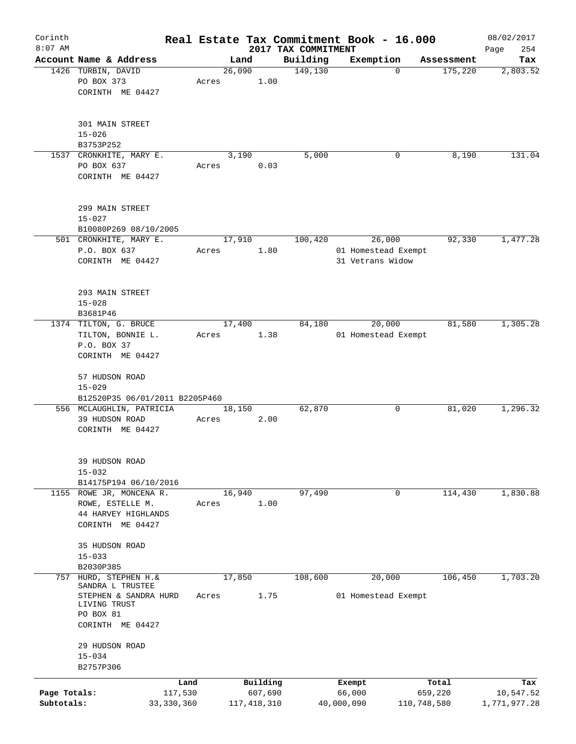| Corinth      |                                            |              |       |                |                     | Real Estate Tax Commitment Book - 16.000 |             | 08/02/2017   |
|--------------|--------------------------------------------|--------------|-------|----------------|---------------------|------------------------------------------|-------------|--------------|
| $8:07$ AM    |                                            |              |       |                | 2017 TAX COMMITMENT |                                          |             | 254<br>Page  |
|              | Account Name & Address                     |              |       | Land           | Building            | Exemption                                | Assessment  | Tax          |
|              | 1426 TURBIN, DAVID<br>PO BOX 373           |              | Acres | 26,090<br>1.00 | 149,130             | $\mathbf 0$                              | 175,220     | 2,803.52     |
|              | CORINTH ME 04427                           |              |       |                |                     |                                          |             |              |
|              |                                            |              |       |                |                     |                                          |             |              |
|              |                                            |              |       |                |                     |                                          |             |              |
|              | 301 MAIN STREET                            |              |       |                |                     |                                          |             |              |
|              | $15 - 026$                                 |              |       |                |                     |                                          |             |              |
|              | B3753P252                                  |              |       |                |                     |                                          |             |              |
|              | 1537 CRONKHITE, MARY E.                    |              |       | 3,190          | 5,000               | 0                                        | 8,190       | 131.04       |
|              | PO BOX 637                                 |              | Acres | 0.03           |                     |                                          |             |              |
|              | CORINTH ME 04427                           |              |       |                |                     |                                          |             |              |
|              |                                            |              |       |                |                     |                                          |             |              |
|              | 299 MAIN STREET                            |              |       |                |                     |                                          |             |              |
|              | $15 - 027$                                 |              |       |                |                     |                                          |             |              |
|              | B10080P269 08/10/2005                      |              |       |                |                     |                                          |             |              |
|              | 501 CRONKHITE, MARY E.                     |              |       | 17,910         | 100,420             | 26,000                                   | 92,330      | 1,477.28     |
|              | P.O. BOX 637                               |              | Acres | 1.80           |                     | 01 Homestead Exempt                      |             |              |
|              | CORINTH ME 04427                           |              |       |                |                     | 31 Vetrans Widow                         |             |              |
|              |                                            |              |       |                |                     |                                          |             |              |
|              |                                            |              |       |                |                     |                                          |             |              |
|              | 293 MAIN STREET<br>$15 - 028$              |              |       |                |                     |                                          |             |              |
|              | B3681P46                                   |              |       |                |                     |                                          |             |              |
|              | 1374 TILTON, G. BRUCE                      |              |       | 17,400         | 84,180              | 20,000                                   | 81,580      | 1,305.28     |
|              | TILTON, BONNIE L.                          |              | Acres | 1.38           |                     | 01 Homestead Exempt                      |             |              |
|              | P.O. BOX 37                                |              |       |                |                     |                                          |             |              |
|              | CORINTH ME 04427                           |              |       |                |                     |                                          |             |              |
|              |                                            |              |       |                |                     |                                          |             |              |
|              | 57 HUDSON ROAD                             |              |       |                |                     |                                          |             |              |
|              | $15 - 029$                                 |              |       |                |                     |                                          |             |              |
|              | B12520P35 06/01/2011 B2205P460             |              |       |                |                     |                                          |             |              |
|              | 556 MCLAUGHLIN, PATRICIA<br>39 HUDSON ROAD |              | Acres | 18,150<br>2.00 | 62,870              | 0                                        | 81,020      | 1,296.32     |
|              | CORINTH ME 04427                           |              |       |                |                     |                                          |             |              |
|              |                                            |              |       |                |                     |                                          |             |              |
|              |                                            |              |       |                |                     |                                          |             |              |
|              | 39 HUDSON ROAD                             |              |       |                |                     |                                          |             |              |
|              | $15 - 032$                                 |              |       |                |                     |                                          |             |              |
|              | B14175P194 06/10/2016                      |              |       |                |                     |                                          |             |              |
|              | 1155 ROWE JR, MONCENA R.                   |              |       | 16,940         | 97,490              | 0                                        | 114,430     | 1,830.88     |
|              | ROWE, ESTELLE M.                           |              | Acres | 1.00           |                     |                                          |             |              |
|              | 44 HARVEY HIGHLANDS                        |              |       |                |                     |                                          |             |              |
|              | CORINTH ME 04427                           |              |       |                |                     |                                          |             |              |
|              | 35 HUDSON ROAD                             |              |       |                |                     |                                          |             |              |
|              | $15 - 033$                                 |              |       |                |                     |                                          |             |              |
|              | B2030P385                                  |              |       |                |                     |                                          |             |              |
| 757          | HURD, STEPHEN H.&                          |              |       | 17,850         | 108,600             | 20,000                                   | 106,450     | 1,703.20     |
|              | SANDRA L TRUSTEE                           |              |       |                |                     |                                          |             |              |
|              | STEPHEN & SANDRA HURD<br>LIVING TRUST      |              | Acres | 1.75           |                     | 01 Homestead Exempt                      |             |              |
|              | PO BOX 81                                  |              |       |                |                     |                                          |             |              |
|              | CORINTH ME 04427                           |              |       |                |                     |                                          |             |              |
|              |                                            |              |       |                |                     |                                          |             |              |
|              | 29 HUDSON ROAD                             |              |       |                |                     |                                          |             |              |
|              | $15 - 034$                                 |              |       |                |                     |                                          |             |              |
|              | B2757P306                                  |              |       |                |                     |                                          |             |              |
|              |                                            | Land         |       | Building       |                     | Exempt                                   | Total       | Tax          |
| Page Totals: |                                            | 117,530      |       | 607,690        |                     | 66,000                                   | 659,220     | 10,547.52    |
| Subtotals:   |                                            | 33, 330, 360 |       | 117, 418, 310  |                     | 40,000,090                               | 110,748,580 | 1,771,977.28 |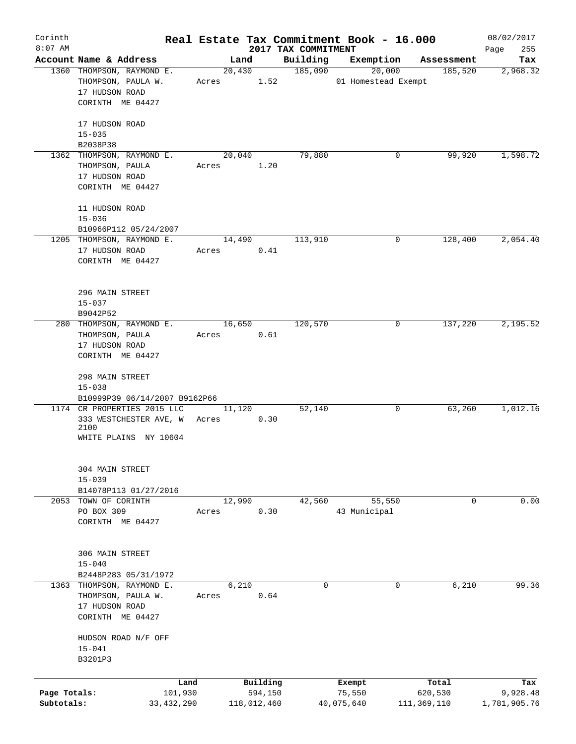| Corinth      |                                                              |              |       |                |             |                     | Real Estate Tax Commitment Book - 16.000 |                       | 08/02/2017      |
|--------------|--------------------------------------------------------------|--------------|-------|----------------|-------------|---------------------|------------------------------------------|-----------------------|-----------------|
| $8:07$ AM    | Account Name & Address                                       |              |       |                |             | 2017 TAX COMMITMENT |                                          |                       | 255<br>Page     |
|              | 1360 THOMPSON, RAYMOND E.                                    |              |       | Land<br>20,430 |             | Building<br>185,090 | Exemption<br>20,000                      | Assessment<br>185,520 | Tax<br>2,968.32 |
|              | THOMPSON, PAULA W.                                           |              | Acres |                | 1.52        |                     | 01 Homestead Exempt                      |                       |                 |
|              | 17 HUDSON ROAD                                               |              |       |                |             |                     |                                          |                       |                 |
|              | CORINTH ME 04427                                             |              |       |                |             |                     |                                          |                       |                 |
|              |                                                              |              |       |                |             |                     |                                          |                       |                 |
|              | 17 HUDSON ROAD                                               |              |       |                |             |                     |                                          |                       |                 |
|              | $15 - 035$                                                   |              |       |                |             |                     |                                          |                       |                 |
|              | B2038P38                                                     |              |       |                |             |                     |                                          |                       |                 |
|              | 1362 THOMPSON, RAYMOND E.                                    |              |       | 20,040         |             | 79,880              |                                          | 99,920<br>0           | 1,598.72        |
|              | THOMPSON, PAULA                                              |              | Acres |                | 1.20        |                     |                                          |                       |                 |
|              | 17 HUDSON ROAD<br>CORINTH ME 04427                           |              |       |                |             |                     |                                          |                       |                 |
|              |                                                              |              |       |                |             |                     |                                          |                       |                 |
|              | 11 HUDSON ROAD                                               |              |       |                |             |                     |                                          |                       |                 |
|              | $15 - 036$                                                   |              |       |                |             |                     |                                          |                       |                 |
|              | B10966P112 05/24/2007                                        |              |       |                |             |                     |                                          |                       |                 |
|              | 1205 THOMPSON, RAYMOND E.                                    |              |       | 14,490         |             | 113,910             |                                          | 0<br>128,400          | 2,054.40        |
|              | 17 HUDSON ROAD                                               |              | Acres |                | 0.41        |                     |                                          |                       |                 |
|              | CORINTH ME 04427                                             |              |       |                |             |                     |                                          |                       |                 |
|              |                                                              |              |       |                |             |                     |                                          |                       |                 |
|              |                                                              |              |       |                |             |                     |                                          |                       |                 |
|              | 296 MAIN STREET<br>$15 - 037$                                |              |       |                |             |                     |                                          |                       |                 |
|              | B9042P52                                                     |              |       |                |             |                     |                                          |                       |                 |
|              | 280 THOMPSON, RAYMOND E.                                     |              |       | 16,650         |             | 120,570             |                                          | 137,220<br>0          | 2,195.52        |
|              | THOMPSON, PAULA                                              |              | Acres |                | 0.61        |                     |                                          |                       |                 |
|              | 17 HUDSON ROAD                                               |              |       |                |             |                     |                                          |                       |                 |
|              | CORINTH ME 04427                                             |              |       |                |             |                     |                                          |                       |                 |
|              |                                                              |              |       |                |             |                     |                                          |                       |                 |
|              | 298 MAIN STREET                                              |              |       |                |             |                     |                                          |                       |                 |
|              | $15 - 038$                                                   |              |       |                |             |                     |                                          |                       |                 |
|              | B10999P39 06/14/2007 B9162P66<br>1174 CR PROPERTIES 2015 LLC |              |       |                |             |                     |                                          |                       | 1,012.16        |
|              | 333 WESTCHESTER AVE, W                                       |              | Acres | 11,120         | 0.30        | 52,140              |                                          | 63,260<br>0           |                 |
|              | 2100                                                         |              |       |                |             |                     |                                          |                       |                 |
|              | WHITE PLAINS NY 10604                                        |              |       |                |             |                     |                                          |                       |                 |
|              |                                                              |              |       |                |             |                     |                                          |                       |                 |
|              |                                                              |              |       |                |             |                     |                                          |                       |                 |
|              | 304 MAIN STREET                                              |              |       |                |             |                     |                                          |                       |                 |
|              | $15 - 039$<br>B14078P113 01/27/2016                          |              |       |                |             |                     |                                          |                       |                 |
|              | 2053 TOWN OF CORINTH                                         |              |       | 12,990         |             | 42,560              | 55,550                                   | 0                     | 0.00            |
|              | PO BOX 309                                                   |              | Acres |                | 0.30        |                     | 43 Municipal                             |                       |                 |
|              | CORINTH ME 04427                                             |              |       |                |             |                     |                                          |                       |                 |
|              |                                                              |              |       |                |             |                     |                                          |                       |                 |
|              |                                                              |              |       |                |             |                     |                                          |                       |                 |
|              | 306 MAIN STREET                                              |              |       |                |             |                     |                                          |                       |                 |
|              | $15 - 040$                                                   |              |       |                |             |                     |                                          |                       |                 |
|              | B2448P283 05/31/1972                                         |              |       |                |             |                     |                                          |                       |                 |
|              | 1363 THOMPSON, RAYMOND E.                                    |              |       | 6,210          |             | $\mathbf 0$         |                                          | $\mathbf 0$<br>6,210  | 99.36           |
|              | THOMPSON, PAULA W.<br>17 HUDSON ROAD                         |              | Acres |                | 0.64        |                     |                                          |                       |                 |
|              | CORINTH ME 04427                                             |              |       |                |             |                     |                                          |                       |                 |
|              |                                                              |              |       |                |             |                     |                                          |                       |                 |
|              | HUDSON ROAD N/F OFF                                          |              |       |                |             |                     |                                          |                       |                 |
|              | $15 - 041$                                                   |              |       |                |             |                     |                                          |                       |                 |
|              | B3201P3                                                      |              |       |                |             |                     |                                          |                       |                 |
|              |                                                              |              |       |                |             |                     |                                          |                       |                 |
|              |                                                              | Land         |       |                | Building    |                     | Exempt                                   | Total                 | Tax             |
| Page Totals: |                                                              | 101,930      |       |                | 594,150     |                     | 75,550                                   | 620,530               | 9,928.48        |
| Subtotals:   |                                                              | 33, 432, 290 |       |                | 118,012,460 |                     | 40,075,640                               | 111,369,110           | 1,781,905.76    |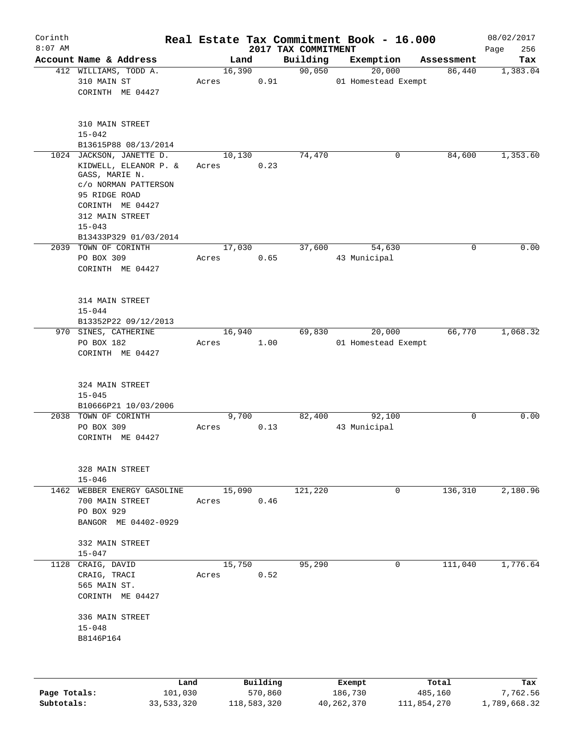| Corinth<br>$8:07$ AM |                                                                                                                                                                                            |                      |          | 2017 TAX COMMITMENT | Real Estate Tax Commitment Book - 16.000 |            | 08/02/2017<br>256<br>Page |
|----------------------|--------------------------------------------------------------------------------------------------------------------------------------------------------------------------------------------|----------------------|----------|---------------------|------------------------------------------|------------|---------------------------|
|                      | Account Name & Address                                                                                                                                                                     | Land                 |          | Building            | Exemption                                | Assessment | Tax                       |
|                      | 412 WILLIAMS, TODD A.<br>310 MAIN ST<br>CORINTH ME 04427                                                                                                                                   | 16,390<br>Acres      | 0.91     | 90,050              | 20,000<br>01 Homestead Exempt            | 86,440     | 1,383.04                  |
|                      | 310 MAIN STREET<br>$15 - 042$<br>B13615P88 08/13/2014                                                                                                                                      |                      |          |                     |                                          |            |                           |
|                      | 1024 JACKSON, JANETTE D.<br>KIDWELL, ELEANOR P. &<br>GASS, MARIE N.<br>c/o NORMAN PATTERSON<br>95 RIDGE ROAD<br>CORINTH ME 04427<br>312 MAIN STREET<br>$15 - 043$<br>B13433P329 01/03/2014 | 10,130<br>Acres      | 0.23     | 74,470              | 0                                        | 84,600     | 1,353.60                  |
|                      | 2039 TOWN OF CORINTH<br>PO BOX 309<br>CORINTH ME 04427                                                                                                                                     | 17,030<br>Acres      | 0.65     | 37,600              | 54,630<br>43 Municipal                   | 0          | 0.00                      |
|                      | 314 MAIN STREET<br>$15 - 044$<br>B13352P22 09/12/2013                                                                                                                                      |                      |          |                     |                                          |            |                           |
|                      | 970 SINES, CATHERINE<br>PO BOX 182<br>CORINTH ME 04427                                                                                                                                     | 16,940<br>Acres      | 1.00     | 69,830              | 20,000<br>01 Homestead Exempt            | 66,770     | 1,068.32                  |
|                      | 324 MAIN STREET<br>$15 - 045$<br>B10666P21 10/03/2006                                                                                                                                      |                      |          |                     |                                          |            |                           |
|                      | 2038 TOWN OF CORINTH<br>PO BOX 309<br>CORINTH ME 04427                                                                                                                                     | 9,700<br>Acres       | 0.13     | 82,400              | 92,100<br>43 Municipal                   | 0          | 0.00                      |
|                      | 328 MAIN STREET<br>$15 - 046$                                                                                                                                                              |                      |          |                     |                                          |            |                           |
|                      | 1462 WEBBER ENERGY GASOLINE 15,090<br>700 MAIN STREET<br>PO BOX 929<br>BANGOR ME 04402-0929                                                                                                | Acres 0.46           |          | 121,220             | 0                                        | 136,310    | 2,180.96                  |
|                      | 332 MAIN STREET<br>$15 - 047$                                                                                                                                                              |                      |          |                     |                                          |            |                           |
|                      | 1128 CRAIG, DAVID<br>CRAIG, TRACI<br>565 MAIN ST.<br>CORINTH ME 04427<br>336 MAIN STREET<br>$15 - 048$                                                                                     | 15,750<br>Acres 0.52 |          | 95,290              | $\overline{0}$                           | 111,040    | 1,776.64                  |
|                      | B8146P164                                                                                                                                                                                  |                      |          |                     |                                          |            |                           |
|                      |                                                                                                                                                                                            | Land,                | Building |                     | <b>Ryomnt</b>                            | Total      | Tay                       |

|              | Land       | Building    | Exempt     | Total       | Tax          |
|--------------|------------|-------------|------------|-------------|--------------|
| Page Totals: | 101,030    | 570,860     | 186,730    | 485,160     | 7.762.56     |
| Subtotals:   | 33,533,320 | 118,583,320 | 40,262,370 | 111,854,270 | 1,789,668.32 |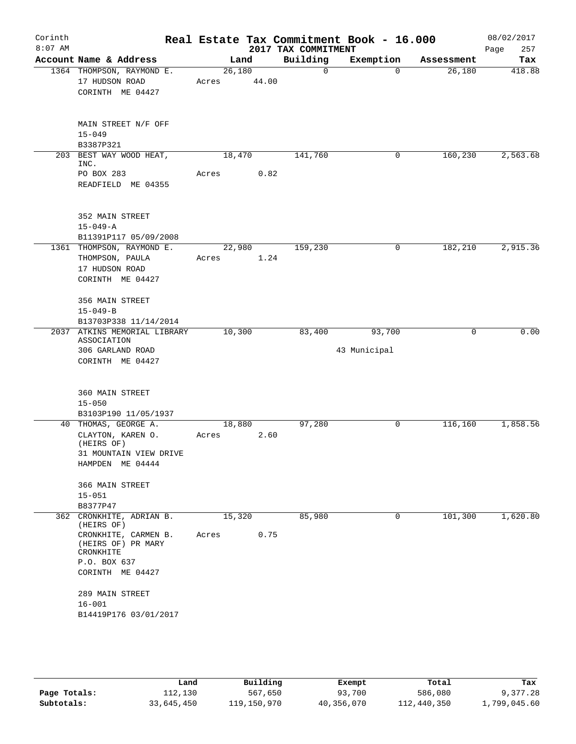| Corinth<br>$8:07$ AM |                                                                                                                                       |                 |                | 2017 TAX COMMITMENT | Real Estate Tax Commitment Book - 16.000 |            | 08/02/2017<br>257<br>Page |
|----------------------|---------------------------------------------------------------------------------------------------------------------------------------|-----------------|----------------|---------------------|------------------------------------------|------------|---------------------------|
|                      | Account Name & Address                                                                                                                | Land            |                | Building            | Exemption                                | Assessment | Tax                       |
|                      | 1364 THOMPSON, RAYMOND E.<br>17 HUDSON ROAD<br>CORINTH ME 04427                                                                       | 26,180<br>Acres | 44.00          | 0                   | $\Omega$                                 | 26,180     | 418.88                    |
|                      | MAIN STREET N/F OFF<br>$15 - 049$<br>B3387P321                                                                                        |                 |                |                     |                                          |            |                           |
|                      | 203 BEST WAY WOOD HEAT,<br>INC.<br>PO BOX 283<br>READFIELD ME 04355                                                                   | 18,470<br>Acres | 0.82           | 141,760             | 0                                        | 160,230    | 2,563.68                  |
|                      | 352 MAIN STREET<br>$15 - 049 - A$<br>B11391P117 05/09/2008                                                                            |                 |                |                     |                                          |            |                           |
|                      | 1361 THOMPSON, RAYMOND E.<br>THOMPSON, PAULA<br>17 HUDSON ROAD<br>CORINTH ME 04427                                                    | Acres           | 22,980<br>1.24 | 159,230             | 0                                        | 182,210    | 2,915.36                  |
|                      | 356 MAIN STREET<br>$15 - 049 - B$<br>B13703P338 11/14/2014                                                                            |                 |                |                     |                                          |            |                           |
|                      | 2037 ATKINS MEMORIAL LIBRARY<br>ASSOCIATION<br>306 GARLAND ROAD<br>CORINTH ME 04427                                                   | 10,300          |                | 83,400              | 93,700<br>43 Municipal                   | 0          | 0.00                      |
|                      | 360 MAIN STREET<br>$15 - 050$<br>B3103P190 11/05/1937                                                                                 |                 |                |                     |                                          |            |                           |
|                      | 40 THOMAS, GEORGE A.<br>CLAYTON, KAREN O.<br>(HEIRS OF)<br>31 MOUNTAIN VIEW DRIVE<br>HAMPDEN ME 04444                                 | 18,880<br>Acres | 2.60           | 97,280              | 0                                        | 116, 160   | 1,858.56                  |
|                      | 366 MAIN STREET<br>$15 - 051$<br>B8377P47                                                                                             |                 |                |                     |                                          |            |                           |
|                      | 362 CRONKHITE, ADRIAN B.<br>(HEIRS OF)<br>CRONKHITE, CARMEN B.<br>(HEIRS OF) PR MARY<br>CRONKHITE<br>P.O. BOX 637<br>CORINTH ME 04427 | 15,320<br>Acres | 0.75           | 85,980              | 0                                        | 101,300    | 1,620.80                  |
|                      | 289 MAIN STREET<br>$16 - 001$<br>B14419P176 03/01/2017                                                                                |                 |                |                     |                                          |            |                           |

|              | Land       | Building    | Exempt     | Total       | Tax          |
|--------------|------------|-------------|------------|-------------|--------------|
| Page Totals: | 112,130    | 567,650     | 93,700     | 586,080     | 9,377.28     |
| Subtotals:   | 33,645,450 | 119,150,970 | 40,356,070 | 112,440,350 | 1,799,045.60 |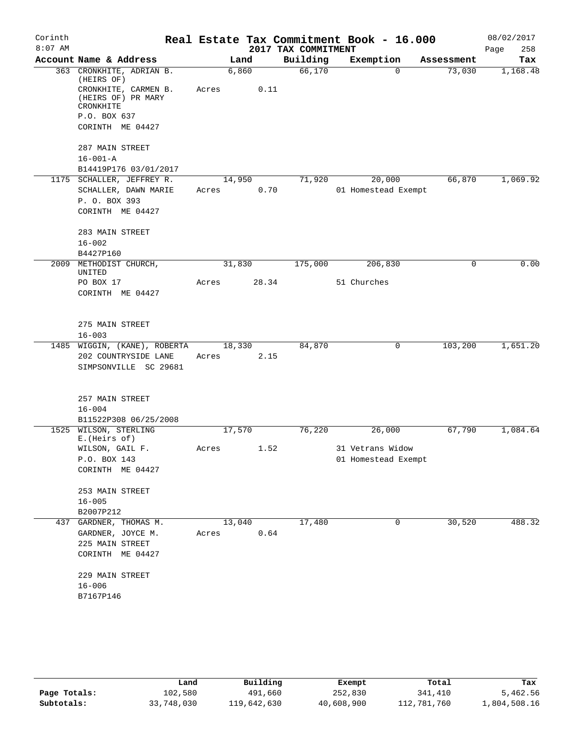| Corinth   |                                                         |        |       |                     | Real Estate Tax Commitment Book - 16.000 |            | 08/02/2017  |
|-----------|---------------------------------------------------------|--------|-------|---------------------|------------------------------------------|------------|-------------|
| $8:07$ AM |                                                         |        |       | 2017 TAX COMMITMENT |                                          |            | 258<br>Page |
|           | Account Name & Address                                  |        | Land  | Building            | Exemption                                | Assessment | Tax         |
|           | 363 CRONKHITE, ADRIAN B.<br>(HEIRS OF)                  | 6,860  |       | 66,170              | $\Omega$                                 | 73,030     | 1,168.48    |
|           | CRONKHITE, CARMEN B.<br>(HEIRS OF) PR MARY<br>CRONKHITE | Acres  | 0.11  |                     |                                          |            |             |
|           | P.O. BOX 637                                            |        |       |                     |                                          |            |             |
|           | CORINTH ME 04427                                        |        |       |                     |                                          |            |             |
|           | 287 MAIN STREET                                         |        |       |                     |                                          |            |             |
|           | $16 - 001 - A$<br>B14419P176 03/01/2017                 |        |       |                     |                                          |            |             |
|           | 1175 SCHALLER, JEFFREY R.                               | 14,950 |       | 71,920              | 20,000                                   | 66,870     | 1,069.92    |
|           | SCHALLER, DAWN MARIE                                    | Acres  | 0.70  |                     | 01 Homestead Exempt                      |            |             |
|           | P. O. BOX 393                                           |        |       |                     |                                          |            |             |
|           | CORINTH ME 04427                                        |        |       |                     |                                          |            |             |
|           |                                                         |        |       |                     |                                          |            |             |
|           | 283 MAIN STREET                                         |        |       |                     |                                          |            |             |
|           | $16 - 002$                                              |        |       |                     |                                          |            |             |
|           | B4427P160                                               |        |       |                     |                                          |            |             |
|           | 2009 METHODIST CHURCH,<br>UNITED                        | 31,830 |       | 175,000             | 206,830                                  | $\Omega$   | 0.00        |
|           | PO BOX 17                                               | Acres  | 28.34 |                     | 51 Churches                              |            |             |
|           | CORINTH ME 04427                                        |        |       |                     |                                          |            |             |
|           |                                                         |        |       |                     |                                          |            |             |
|           |                                                         |        |       |                     |                                          |            |             |
|           | 275 MAIN STREET                                         |        |       |                     |                                          |            |             |
|           | $16 - 003$                                              |        |       |                     |                                          |            |             |
|           | 1485 WIGGIN, (KANE), ROBERTA                            | 18,330 |       | 84,870              | 0                                        | 103,200    | 1,651.20    |
|           | 202 COUNTRYSIDE LANE<br>SIMPSONVILLE SC 29681           | Acres  | 2.15  |                     |                                          |            |             |
|           |                                                         |        |       |                     |                                          |            |             |
|           | 257 MAIN STREET                                         |        |       |                     |                                          |            |             |
|           | $16 - 004$                                              |        |       |                     |                                          |            |             |
|           | B11522P308 06/25/2008                                   |        |       |                     |                                          |            |             |
| 1525      | WILSON, STERLING<br>E. (Heirs of)                       | 17,570 |       | 76,220              | 26,000                                   | 67,790     | 1,084.64    |
|           | WILSON, GAIL F.                                         | Acres  | 1.52  |                     | 31 Vetrans Widow                         |            |             |
|           | P.O. BOX 143                                            |        |       |                     | 01 Homestead Exempt                      |            |             |
|           | CORINTH ME 04427                                        |        |       |                     |                                          |            |             |
|           | 253 MAIN STREET                                         |        |       |                     |                                          |            |             |
|           | $16 - 005$                                              |        |       |                     |                                          |            |             |
|           | B2007P212                                               |        |       |                     |                                          |            |             |
|           | 437 GARDNER, THOMAS M.                                  | 13,040 |       | 17,480              | 0                                        | 30,520     | 488.32      |
|           | GARDNER, JOYCE M.                                       | Acres  | 0.64  |                     |                                          |            |             |
|           | 225 MAIN STREET                                         |        |       |                     |                                          |            |             |
|           | CORINTH ME 04427                                        |        |       |                     |                                          |            |             |
|           | 229 MAIN STREET                                         |        |       |                     |                                          |            |             |
|           | $16 - 006$                                              |        |       |                     |                                          |            |             |
|           | B7167P146                                               |        |       |                     |                                          |            |             |
|           |                                                         |        |       |                     |                                          |            |             |

|              | Land       | Building    | Exempt     | Total       | Tax          |
|--------------|------------|-------------|------------|-------------|--------------|
| Page Totals: | 102,580    | 491,660     | 252,830    | 341,410     | 5,462.56     |
| Subtotals:   | 33,748,030 | 119,642,630 | 40,608,900 | 112,781,760 | 1,804,508.16 |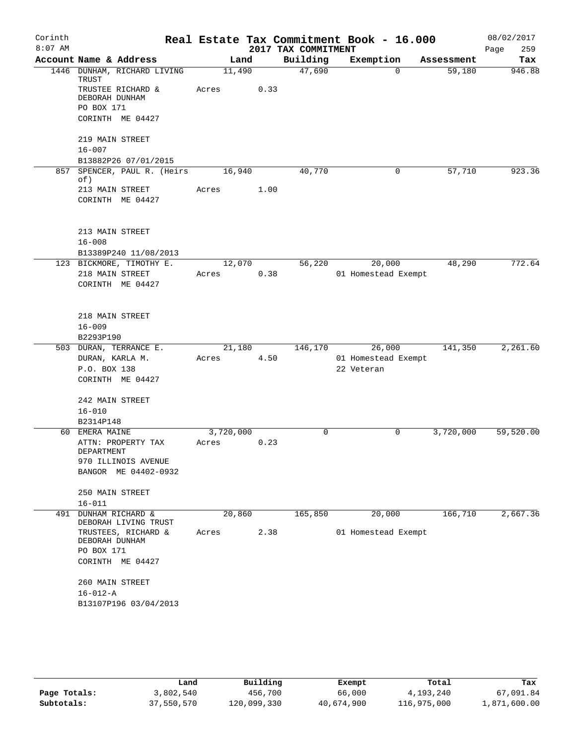| Corinth<br>$8:07$ AM |                                              |                    |      | 2017 TAX COMMITMENT | Real Estate Tax Commitment Book - 16.000 |            | 08/02/2017<br>259<br>Page |
|----------------------|----------------------------------------------|--------------------|------|---------------------|------------------------------------------|------------|---------------------------|
|                      | Account Name & Address                       | Land               |      | Building            | Exemption                                | Assessment | Tax                       |
|                      | 1446 DUNHAM, RICHARD LIVING<br>TRUST         | 11,490             |      | 47,690              | $\Omega$                                 | 59,180     | 946.88                    |
|                      | TRUSTEE RICHARD &<br>DEBORAH DUNHAM          | Acres              | 0.33 |                     |                                          |            |                           |
|                      | PO BOX 171<br>CORINTH ME 04427               |                    |      |                     |                                          |            |                           |
|                      | 219 MAIN STREET                              |                    |      |                     |                                          |            |                           |
|                      | $16 - 007$                                   |                    |      |                     |                                          |            |                           |
|                      | B13882P26 07/01/2015                         |                    |      |                     |                                          |            |                           |
| 857                  | SPENCER, PAUL R. (Heirs<br>of)               | 16,940             |      | 40,770              | 0                                        | 57,710     | 923.36                    |
|                      | 213 MAIN STREET                              | Acres              | 1.00 |                     |                                          |            |                           |
|                      | CORINTH ME 04427                             |                    |      |                     |                                          |            |                           |
|                      | 213 MAIN STREET                              |                    |      |                     |                                          |            |                           |
|                      | $16 - 008$                                   |                    |      |                     |                                          |            |                           |
|                      | B13389P240 11/08/2013                        |                    |      |                     |                                          |            |                           |
|                      | 123 BICKMORE, TIMOTHY E.                     | 12,070             |      | 56,220              | 20,000                                   | 48,290     | 772.64                    |
|                      | 218 MAIN STREET<br>CORINTH ME 04427          | Acres              | 0.38 |                     | 01 Homestead Exempt                      |            |                           |
|                      | 218 MAIN STREET                              |                    |      |                     |                                          |            |                           |
|                      | $16 - 009$<br>B2293P190                      |                    |      |                     |                                          |            |                           |
|                      | 503 DURAN, TERRANCE E.                       | 21,180             |      | 146,170             | 26,000                                   | 141,350    | 2,261.60                  |
|                      | DURAN, KARLA M.                              | Acres              | 4.50 |                     | 01 Homestead Exempt                      |            |                           |
|                      | P.O. BOX 138                                 |                    |      |                     | 22 Veteran                               |            |                           |
|                      | CORINTH ME 04427                             |                    |      |                     |                                          |            |                           |
|                      | 242 MAIN STREET                              |                    |      |                     |                                          |            |                           |
|                      | $16 - 010$                                   |                    |      |                     |                                          |            |                           |
| 60                   | B2314P148<br>EMERA MAINE                     |                    |      | 0                   | $\mathbf 0$                              | 3,720,000  | 59,520.00                 |
|                      | ATTN: PROPERTY TAX<br>DEPARTMENT             | 3,720,000<br>Acres | 0.23 |                     |                                          |            |                           |
|                      | 970 ILLINOIS AVENUE                          |                    |      |                     |                                          |            |                           |
|                      | BANGOR ME 04402-0932                         |                    |      |                     |                                          |            |                           |
|                      | 250 MAIN STREET                              |                    |      |                     |                                          |            |                           |
|                      | $16 - 011$                                   |                    |      |                     |                                          |            |                           |
|                      | 491 DUNHAM RICHARD &<br>DEBORAH LIVING TRUST | 20,860             |      | 165,850             | 20,000                                   | 166,710    | 2,667.36                  |
|                      | TRUSTEES, RICHARD &<br>DEBORAH DUNHAM        | Acres              | 2.38 |                     | 01 Homestead Exempt                      |            |                           |
|                      | PO BOX 171<br>CORINTH ME 04427               |                    |      |                     |                                          |            |                           |
|                      | 260 MAIN STREET                              |                    |      |                     |                                          |            |                           |
|                      | $16 - 012 - A$                               |                    |      |                     |                                          |            |                           |
|                      | B13107P196 03/04/2013                        |                    |      |                     |                                          |            |                           |
|                      |                                              |                    |      |                     |                                          |            |                           |

|              | Land       | Building    | Exempt     | Total       | Tax          |
|--------------|------------|-------------|------------|-------------|--------------|
| Page Totals: | 3,802,540  | 456,700     | 66,000     | 4,193,240   | 67,091.84    |
| Subtotals:   | 37,550,570 | 120,099,330 | 40,674,900 | 116,975,000 | 1,871,600.00 |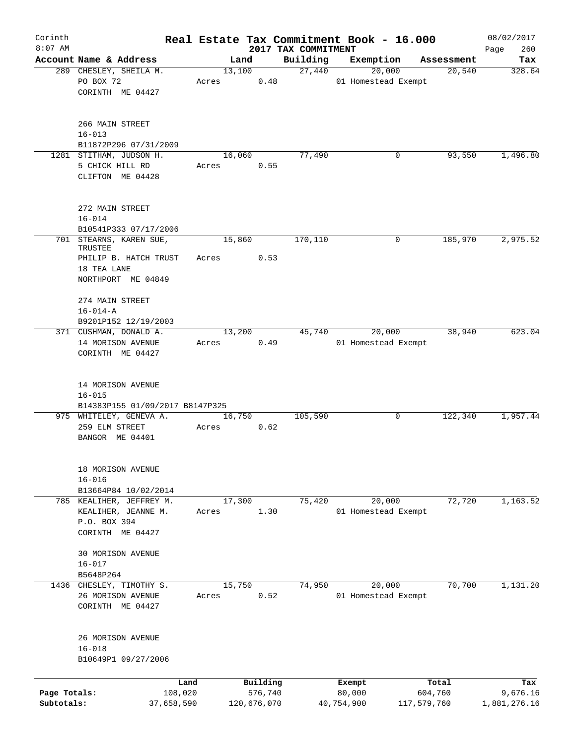| Corinth<br>$8:07$ AM       |                                                                                                  |                 |                        | 2017 TAX COMMITMENT | Real Estate Tax Commitment Book - 16.000 |                        | 08/02/2017<br>260        |
|----------------------------|--------------------------------------------------------------------------------------------------|-----------------|------------------------|---------------------|------------------------------------------|------------------------|--------------------------|
|                            | Account Name & Address                                                                           | Land            |                        | Building            | Exemption                                | Assessment             | Page<br>Tax              |
|                            | 289 CHESLEY, SHEILA M.<br>PO BOX 72<br>CORINTH ME 04427                                          | 13,100<br>Acres | 0.48                   | 27,440              | 20,000<br>01 Homestead Exempt            | 20,540                 | 328.64                   |
|                            | 266 MAIN STREET<br>$16 - 013$<br>B11872P296 07/31/2009                                           |                 |                        |                     |                                          |                        |                          |
|                            | 1281 STITHAM, JUDSON H.<br>5 CHICK HILL RD<br>CLIFTON ME 04428                                   | 16,060<br>Acres | 0.55                   | 77,490              | 0                                        | 93,550                 | 1,496.80                 |
|                            | 272 MAIN STREET<br>$16 - 014$<br>B10541P333 07/17/2006                                           |                 |                        |                     |                                          |                        |                          |
|                            | 701 STEARNS, KAREN SUE,<br>TRUSTEE<br>PHILIP B. HATCH TRUST<br>18 TEA LANE<br>NORTHPORT ME 04849 | 15,860<br>Acres | 0.53                   | 170,110             | 0                                        | 185,970                | 2,975.52                 |
|                            | 274 MAIN STREET<br>$16 - 014 - A$<br>B9201P152 12/19/2003                                        |                 |                        |                     |                                          |                        |                          |
|                            | 371 CUSHMAN, DONALD A.<br>14 MORISON AVENUE<br>CORINTH ME 04427                                  | 13,200<br>Acres | 0.49                   | 45,740              | 20,000<br>01 Homestead Exempt            | 38,940                 | 623.04                   |
|                            | 14 MORISON AVENUE<br>$16 - 015$<br>B14383P155 01/09/2017 B8147P325                               |                 |                        |                     |                                          |                        |                          |
|                            | 975 WHITELEY, GENEVA A.<br>259 ELM STREET<br>BANGOR ME 04401                                     | 16,750<br>Acres | 0.62                   | 105,590             | 0                                        | 122,340                | 1,957.44                 |
|                            | 18 MORISON AVENUE<br>$16 - 016$<br>B13664P84 10/02/2014                                          |                 |                        |                     |                                          |                        |                          |
|                            | 785 KEALIHER, JEFFREY M.<br>KEALIHER, JEANNE M.<br>P.O. BOX 394<br>CORINTH ME 04427              | 17,300<br>Acres | 1.30                   | 75,420              | 20,000<br>01 Homestead Exempt            | 72,720                 | 1,163.52                 |
|                            | 30 MORISON AVENUE<br>$16 - 017$<br>B5648P264                                                     |                 |                        |                     |                                          |                        |                          |
|                            | 1436 CHESLEY, TIMOTHY S.<br>26 MORISON AVENUE<br>CORINTH ME 04427                                | 15,750<br>Acres | 0.52                   | 74,950              | 20,000<br>01 Homestead Exempt            | 70,700                 | 1,131.20                 |
|                            | 26 MORISON AVENUE<br>$16 - 018$<br>B10649P1 09/27/2006                                           |                 |                        |                     |                                          |                        |                          |
|                            | Land                                                                                             |                 | Building               |                     | Exempt                                   | Total                  | Tax                      |
| Page Totals:<br>Subtotals: | 108,020<br>37,658,590                                                                            |                 | 576,740<br>120,676,070 |                     | 80,000<br>40,754,900                     | 604,760<br>117,579,760 | 9,676.16<br>1,881,276.16 |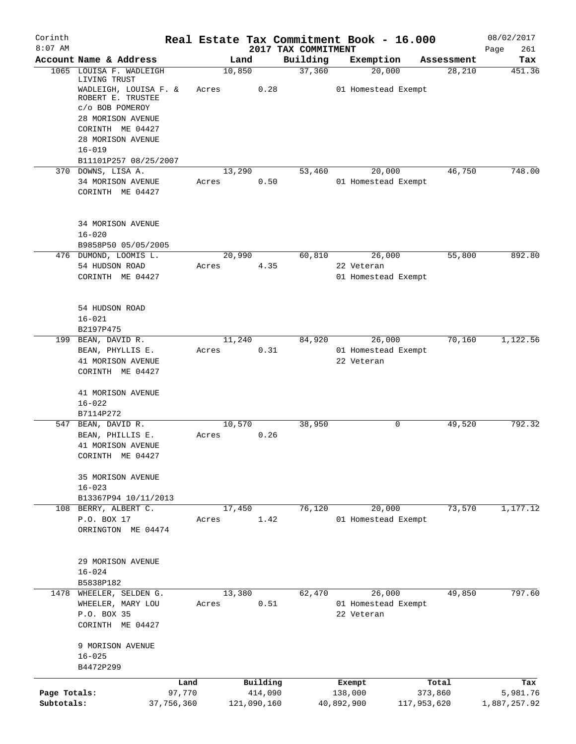| Corinth<br>$8:07$ AM       |                                            |                 |                        | 2017 TAX COMMITMENT | Real Estate Tax Commitment Book - 16.000 |                        | 08/02/2017               |
|----------------------------|--------------------------------------------|-----------------|------------------------|---------------------|------------------------------------------|------------------------|--------------------------|
|                            | Account Name & Address                     |                 | Land                   | Building            | Exemption                                | Assessment             | Page<br>261<br>Tax       |
| 1065                       | LOUISA F. WADLEIGH<br>LIVING TRUST         | 10,850          |                        | 37,360              | 20,000                                   | 28,210                 | 451.36                   |
|                            | WADLEIGH, LOUISA F. &<br>ROBERT E. TRUSTEE | Acres           | 0.28                   |                     | 01 Homestead Exempt                      |                        |                          |
|                            | c/o BOB POMEROY<br>28 MORISON AVENUE       |                 |                        |                     |                                          |                        |                          |
|                            | CORINTH ME 04427<br>28 MORISON AVENUE      |                 |                        |                     |                                          |                        |                          |
|                            | $16 - 019$<br>B11101P257 08/25/2007        |                 |                        |                     |                                          |                        |                          |
|                            | 370 DOWNS, LISA A.                         | 13,290          |                        | 53,460              | 20,000                                   | 46,750                 | 748.00                   |
|                            | 34 MORISON AVENUE<br>CORINTH ME 04427      | Acres           | 0.50                   |                     | 01 Homestead Exempt                      |                        |                          |
|                            | 34 MORISON AVENUE<br>$16 - 020$            |                 |                        |                     |                                          |                        |                          |
|                            | B9858P50 05/05/2005                        |                 |                        |                     |                                          |                        |                          |
|                            | 476 DUMOND, LOOMIS L.                      | 20,990          |                        | 60,810              | 26,000                                   | 55,800                 | 892.80                   |
|                            | 54 HUDSON ROAD<br>CORINTH ME 04427         | Acres           | 4.35                   |                     | 22 Veteran<br>01 Homestead Exempt        |                        |                          |
|                            | 54 HUDSON ROAD<br>$16 - 021$               |                 |                        |                     |                                          |                        |                          |
|                            | B2197P475                                  |                 |                        |                     |                                          |                        |                          |
|                            | 199 BEAN, DAVID R.<br>BEAN, PHYLLIS E.     | 11,240<br>Acres | 0.31                   | 84,920              | 26,000<br>01 Homestead Exempt            | 70,160                 | 1,122.56                 |
|                            | 41 MORISON AVENUE<br>CORINTH ME 04427      |                 |                        |                     | 22 Veteran                               |                        |                          |
|                            | 41 MORISON AVENUE<br>$16 - 022$            |                 |                        |                     |                                          |                        |                          |
|                            | B7114P272                                  |                 |                        |                     |                                          |                        |                          |
|                            | 547 BEAN, DAVID R.<br>BEAN, PHILLIS E.     | 10,570<br>Acres | 0.26                   | 38,950              | 0                                        | 49,520                 | 792.32                   |
|                            | 41 MORISON AVENUE<br>CORINTH ME 04427      |                 |                        |                     |                                          |                        |                          |
|                            | 35 MORISON AVENUE<br>$16 - 023$            |                 |                        |                     |                                          |                        |                          |
|                            | B13367P94 10/11/2013                       |                 |                        |                     |                                          |                        |                          |
|                            | 108 BERRY, ALBERT C.<br>P.O. BOX 17        | 17,450<br>Acres | 1.42                   | 76,120              | 20,000<br>01 Homestead Exempt            | 73,570                 | 1,177.12                 |
|                            | ORRINGTON ME 04474                         |                 |                        |                     |                                          |                        |                          |
|                            | 29 MORISON AVENUE                          |                 |                        |                     |                                          |                        |                          |
|                            | $16 - 024$<br>B5838P182                    |                 |                        |                     |                                          |                        |                          |
| 1478                       | WHEELER, SELDEN G.                         | 13,380          |                        | 62,470              | 26,000                                   | 49,850                 | 797.60                   |
|                            | WHEELER, MARY LOU                          | Acres           | 0.51                   |                     | 01 Homestead Exempt                      |                        |                          |
|                            | P.O. BOX 35<br>CORINTH ME 04427            |                 |                        |                     | 22 Veteran                               |                        |                          |
|                            | 9 MORISON AVENUE<br>$16 - 025$             |                 |                        |                     |                                          |                        |                          |
|                            | B4472P299                                  |                 |                        |                     |                                          |                        |                          |
|                            | Land                                       |                 | Building               |                     | Exempt                                   | Total                  | Tax                      |
| Page Totals:<br>Subtotals: | 97,770<br>37,756,360                       |                 | 414,090<br>121,090,160 |                     | 138,000<br>40,892,900                    | 373,860<br>117,953,620 | 5,981.76<br>1,887,257.92 |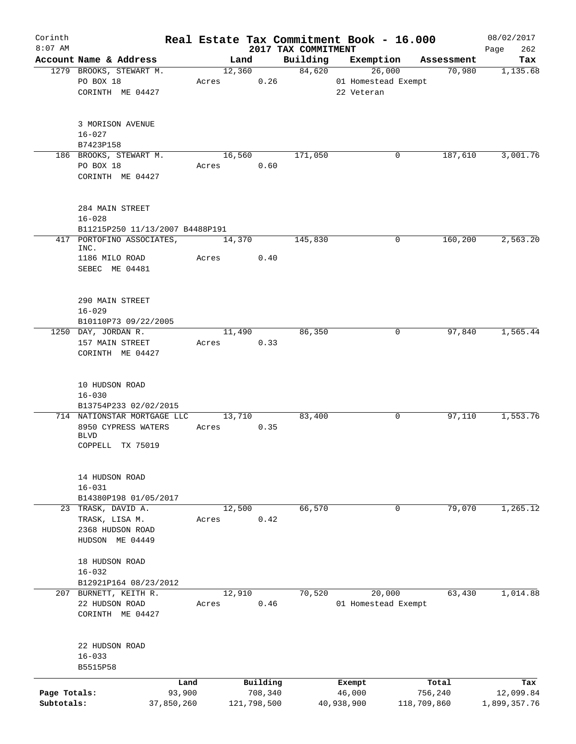| Corinth                    |                                                   |        |        |                        |                     | Real Estate Tax Commitment Book - 16.000 |                        | 08/02/2017                |
|----------------------------|---------------------------------------------------|--------|--------|------------------------|---------------------|------------------------------------------|------------------------|---------------------------|
| $8:07$ AM                  |                                                   |        |        |                        | 2017 TAX COMMITMENT |                                          |                        | 262<br>Page               |
|                            | Account Name & Address<br>1279 BROOKS, STEWART M. |        | 12,360 | Land                   | Building<br>84,620  | Exemption<br>26,000                      | Assessment<br>70,980   | Tax<br>1,135.68           |
|                            | PO BOX 18                                         |        | Acres  | 0.26                   |                     | 01 Homestead Exempt                      |                        |                           |
|                            | CORINTH ME 04427                                  |        |        |                        |                     | 22 Veteran                               |                        |                           |
|                            |                                                   |        |        |                        |                     |                                          |                        |                           |
|                            | 3 MORISON AVENUE                                  |        |        |                        |                     |                                          |                        |                           |
|                            | $16 - 027$<br>B7423P158                           |        |        |                        |                     |                                          |                        |                           |
|                            | 186 BROOKS, STEWART M.                            |        | 16,560 |                        | 171,050             | 0                                        | 187,610                | 3,001.76                  |
|                            | PO BOX 18                                         |        | Acres  | 0.60                   |                     |                                          |                        |                           |
|                            | CORINTH ME 04427                                  |        |        |                        |                     |                                          |                        |                           |
|                            | 284 MAIN STREET                                   |        |        |                        |                     |                                          |                        |                           |
|                            | $16 - 028$                                        |        |        |                        |                     |                                          |                        |                           |
|                            | B11215P250 11/13/2007 B4488P191                   |        |        |                        |                     |                                          |                        |                           |
| 417                        | PORTOFINO ASSOCIATES,                             |        | 14,370 |                        | 145,830             | 0                                        | 160,200                | 2,563.20                  |
|                            | INC.                                              |        |        |                        |                     |                                          |                        |                           |
|                            | 1186 MILO ROAD<br>SEBEC ME 04481                  |        | Acres  | 0.40                   |                     |                                          |                        |                           |
|                            |                                                   |        |        |                        |                     |                                          |                        |                           |
|                            | 290 MAIN STREET                                   |        |        |                        |                     |                                          |                        |                           |
|                            | $16 - 029$                                        |        |        |                        |                     |                                          |                        |                           |
|                            | B10110P73 09/22/2005                              |        |        |                        |                     |                                          |                        |                           |
|                            | 1250 DAY, JORDAN R.                               |        | 11,490 | 0.33                   | 86,350              | 0                                        | 97,840                 | 1,565.44                  |
|                            | 157 MAIN STREET<br>CORINTH ME 04427               |        | Acres  |                        |                     |                                          |                        |                           |
|                            |                                                   |        |        |                        |                     |                                          |                        |                           |
|                            | 10 HUDSON ROAD                                    |        |        |                        |                     |                                          |                        |                           |
|                            | $16 - 030$                                        |        |        |                        |                     |                                          |                        |                           |
|                            | B13754P233 02/02/2015                             |        |        |                        |                     |                                          |                        |                           |
|                            | 714 NATIONSTAR MORTGAGE LLC                       |        | 13,710 |                        | 83,400              | 0                                        | 97,110                 | 1,553.76                  |
|                            | 8950 CYPRESS WATERS<br><b>BLVD</b>                |        | Acres  | 0.35                   |                     |                                          |                        |                           |
|                            | COPPELL TX 75019                                  |        |        |                        |                     |                                          |                        |                           |
|                            |                                                   |        |        |                        |                     |                                          |                        |                           |
|                            | 14 HUDSON ROAD<br>$16 - 031$                      |        |        |                        |                     |                                          |                        |                           |
|                            | B14380P198 01/05/2017                             |        |        |                        |                     |                                          |                        |                           |
|                            | 23 TRASK, DAVID A.                                |        | 12,500 |                        | 66,570              | $\mathbf{0}$                             | 79,070                 | 1,265.12                  |
|                            | TRASK, LISA M.                                    |        | Acres  | 0.42                   |                     |                                          |                        |                           |
|                            | 2368 HUDSON ROAD                                  |        |        |                        |                     |                                          |                        |                           |
|                            | HUDSON ME 04449                                   |        |        |                        |                     |                                          |                        |                           |
|                            | 18 HUDSON ROAD                                    |        |        |                        |                     |                                          |                        |                           |
|                            | $16 - 032$                                        |        |        |                        |                     |                                          |                        |                           |
|                            | B12921P164 08/23/2012                             |        |        |                        |                     |                                          |                        |                           |
|                            | 207 BURNETT, KEITH R.                             |        | 12,910 | 0.46                   | 70,520              | 20,000                                   | 63,430                 | 1,014.88                  |
|                            | 22 HUDSON ROAD<br>CORINTH ME 04427                |        | Acres  |                        |                     | 01 Homestead Exempt                      |                        |                           |
|                            | 22 HUDSON ROAD                                    |        |        |                        |                     |                                          |                        |                           |
|                            | $16 - 033$                                        |        |        |                        |                     |                                          |                        |                           |
|                            | B5515P58                                          |        |        |                        |                     |                                          |                        |                           |
|                            |                                                   | Land   |        | Building               |                     | Exempt                                   | Total                  | Tax                       |
| Page Totals:<br>Subtotals: | 37,850,260                                        | 93,900 |        | 708,340<br>121,798,500 |                     | 46,000<br>40,938,900                     | 756,240<br>118,709,860 | 12,099.84<br>1,899,357.76 |
|                            |                                                   |        |        |                        |                     |                                          |                        |                           |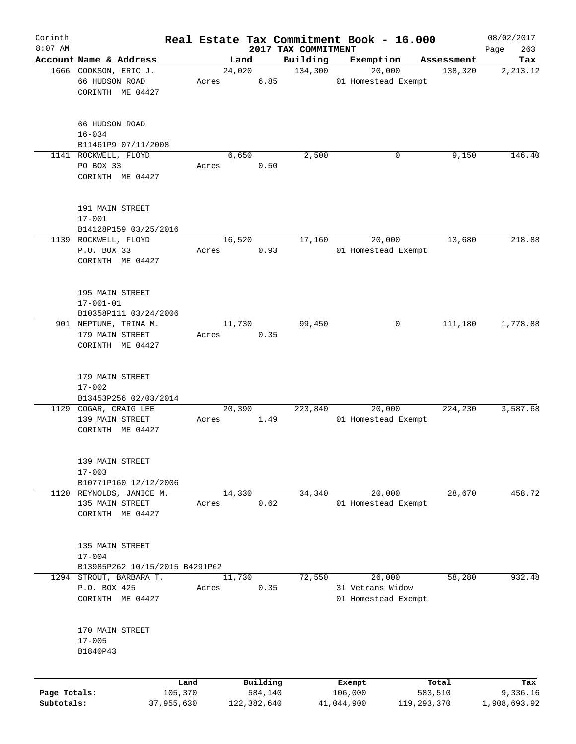| Corinth      |                                             |                 |                     |                                 | Real Estate Tax Commitment Book - 16.000 |                  | 08/02/2017         |
|--------------|---------------------------------------------|-----------------|---------------------|---------------------------------|------------------------------------------|------------------|--------------------|
| $8:07$ AM    | Account Name & Address                      |                 | Land                | 2017 TAX COMMITMENT<br>Building | Exemption                                | Assessment       | 263<br>Page<br>Tax |
|              | 1666 COOKSON, ERIC J.                       |                 | 24,020              | 134,300                         | 20,000                                   | 138,320          | 2, 213.12          |
|              | 66 HUDSON ROAD                              | Acres           | 6.85                |                                 | 01 Homestead Exempt                      |                  |                    |
|              | CORINTH ME 04427                            |                 |                     |                                 |                                          |                  |                    |
|              |                                             |                 |                     |                                 |                                          |                  |                    |
|              | 66 HUDSON ROAD                              |                 |                     |                                 |                                          |                  |                    |
|              | $16 - 034$                                  |                 |                     |                                 |                                          |                  |                    |
|              | B11461P9 07/11/2008<br>1141 ROCKWELL, FLOYD |                 | 6,650               | 2,500                           | 0                                        | 9,150            | 146.40             |
|              | PO BOX 33                                   | Acres           | 0.50                |                                 |                                          |                  |                    |
|              | CORINTH ME 04427                            |                 |                     |                                 |                                          |                  |                    |
|              |                                             |                 |                     |                                 |                                          |                  |                    |
|              | 191 MAIN STREET                             |                 |                     |                                 |                                          |                  |                    |
|              | $17 - 001$                                  |                 |                     |                                 |                                          |                  |                    |
|              | B14128P159 03/25/2016                       |                 |                     |                                 |                                          |                  |                    |
|              | 1139 ROCKWELL, FLOYD                        |                 | 16,520              | 17,160                          | 20,000                                   | 13,680           | 218.88             |
|              | P.O. BOX 33                                 | Acres           | 0.93                |                                 | 01 Homestead Exempt                      |                  |                    |
|              | CORINTH ME 04427                            |                 |                     |                                 |                                          |                  |                    |
|              | 195 MAIN STREET                             |                 |                     |                                 |                                          |                  |                    |
|              | $17 - 001 - 01$                             |                 |                     |                                 |                                          |                  |                    |
|              | B10358P111 03/24/2006                       |                 |                     |                                 |                                          |                  |                    |
|              | 901 NEPTUNE, TRINA M.                       |                 | 11,730              | 99,450                          | 0                                        | 111,180          | 1,778.88           |
|              | 179 MAIN STREET                             | Acres           | 0.35                |                                 |                                          |                  |                    |
|              | CORINTH ME 04427                            |                 |                     |                                 |                                          |                  |                    |
|              |                                             |                 |                     |                                 |                                          |                  |                    |
|              | 179 MAIN STREET                             |                 |                     |                                 |                                          |                  |                    |
|              | $17 - 002$                                  |                 |                     |                                 |                                          |                  |                    |
|              | B13453P256 02/03/2014                       |                 |                     |                                 |                                          |                  |                    |
|              | 1129 COGAR, CRAIG LEE                       |                 | 20,390              | 223,840                         | 20,000                                   | 224,230          | 3,587.68           |
|              | 139 MAIN STREET                             | Acres           | 1.49                |                                 | 01 Homestead Exempt                      |                  |                    |
|              | CORINTH ME 04427                            |                 |                     |                                 |                                          |                  |                    |
|              |                                             |                 |                     |                                 |                                          |                  |                    |
|              | 139 MAIN STREET<br>$17 - 003$               |                 |                     |                                 |                                          |                  |                    |
|              | B10771P160 12/12/2006                       |                 |                     |                                 |                                          |                  |                    |
|              | 1120 REYNOLDS, JANICE M.                    |                 | 14,330              | 34,340                          | 20,000                                   | 28,670           | 458.72             |
|              | 135 MAIN STREET                             | Acres           | 0.62                |                                 | 01 Homestead Exempt                      |                  |                    |
|              | CORINTH ME 04427                            |                 |                     |                                 |                                          |                  |                    |
|              |                                             |                 |                     |                                 |                                          |                  |                    |
|              | 135 MAIN STREET                             |                 |                     |                                 |                                          |                  |                    |
|              | $17 - 004$                                  |                 |                     |                                 |                                          |                  |                    |
|              | B13985P262 10/15/2015 B4291P62              |                 |                     |                                 |                                          |                  |                    |
|              | 1294 STROUT, BARBARA T.                     |                 | 11,730              | 72,550                          | 26,000                                   | 58,280           | 932.48             |
|              | P.O. BOX 425                                | Acres           | 0.35                |                                 | 31 Vetrans Widow                         |                  |                    |
|              | CORINTH ME 04427                            |                 |                     |                                 | 01 Homestead Exempt                      |                  |                    |
|              |                                             |                 |                     |                                 |                                          |                  |                    |
|              | 170 MAIN STREET                             |                 |                     |                                 |                                          |                  |                    |
|              | $17 - 005$                                  |                 |                     |                                 |                                          |                  |                    |
|              | B1840P43                                    |                 |                     |                                 |                                          |                  |                    |
|              |                                             |                 |                     |                                 |                                          |                  |                    |
| Page Totals: |                                             | Land<br>105,370 | Building<br>584,140 |                                 | Exempt<br>106,000                        | Total<br>583,510 | Tax<br>9,336.16    |
| Subtotals:   |                                             | 37,955,630      | 122, 382, 640       |                                 | 41,044,900                               | 119, 293, 370    | 1,908,693.92       |
|              |                                             |                 |                     |                                 |                                          |                  |                    |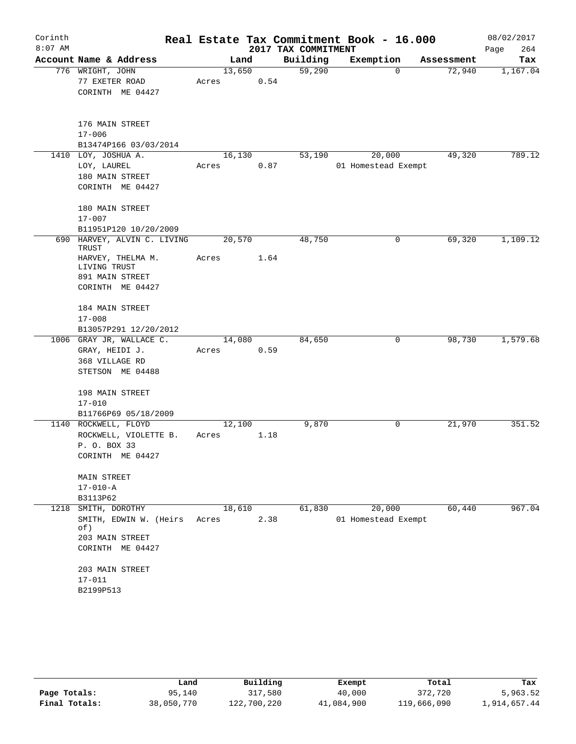| Corinth   |                                      |                |      |                     | Real Estate Tax Commitment Book - 16.000 |                      | 08/02/2017      |
|-----------|--------------------------------------|----------------|------|---------------------|------------------------------------------|----------------------|-----------------|
| $8:07$ AM | Account Name & Address               |                |      | 2017 TAX COMMITMENT |                                          |                      | 264<br>Page     |
|           | 776 WRIGHT, JOHN                     | Land<br>13,650 |      | Building<br>59,290  | Exemption<br>0                           | Assessment<br>72,940 | Tax<br>1,167.04 |
|           | 77 EXETER ROAD                       | Acres          | 0.54 |                     |                                          |                      |                 |
|           | CORINTH ME 04427                     |                |      |                     |                                          |                      |                 |
|           |                                      |                |      |                     |                                          |                      |                 |
|           | 176 MAIN STREET                      |                |      |                     |                                          |                      |                 |
|           | $17 - 006$                           |                |      |                     |                                          |                      |                 |
|           | B13474P166 03/03/2014                |                |      |                     |                                          |                      |                 |
|           | 1410 LOY, JOSHUA A.                  | 16,130         |      | 53,190              | 20,000                                   | 49,320               | 789.12          |
|           | LOY, LAUREL                          | Acres          | 0.87 |                     | 01 Homestead Exempt                      |                      |                 |
|           | 180 MAIN STREET                      |                |      |                     |                                          |                      |                 |
|           | CORINTH ME 04427                     |                |      |                     |                                          |                      |                 |
|           | 180 MAIN STREET                      |                |      |                     |                                          |                      |                 |
|           | $17 - 007$                           |                |      |                     |                                          |                      |                 |
|           | B11951P120 10/20/2009                |                |      |                     |                                          |                      |                 |
|           | 690 HARVEY, ALVIN C. LIVING<br>TRUST | 20,570         |      | 48,750              | 0                                        | 69,320               | 1,109.12        |
|           | HARVEY, THELMA M.<br>LIVING TRUST    | Acres          | 1.64 |                     |                                          |                      |                 |
|           | 891 MAIN STREET                      |                |      |                     |                                          |                      |                 |
|           | CORINTH ME 04427                     |                |      |                     |                                          |                      |                 |
|           |                                      |                |      |                     |                                          |                      |                 |
|           | 184 MAIN STREET                      |                |      |                     |                                          |                      |                 |
|           | $17 - 008$                           |                |      |                     |                                          |                      |                 |
|           | B13057P291 12/20/2012                |                |      |                     |                                          |                      |                 |
|           | 1006 GRAY JR, WALLACE C.             | 14,080         |      | 84,650              | 0                                        | 98,730               | 1,579.68        |
|           | GRAY, HEIDI J.                       | Acres          | 0.59 |                     |                                          |                      |                 |
|           | 368 VILLAGE RD                       |                |      |                     |                                          |                      |                 |
|           | STETSON ME 04488                     |                |      |                     |                                          |                      |                 |
|           | 198 MAIN STREET                      |                |      |                     |                                          |                      |                 |
|           | $17 - 010$                           |                |      |                     |                                          |                      |                 |
|           | B11766P69 05/18/2009                 |                |      |                     |                                          |                      |                 |
|           | 1140 ROCKWELL, FLOYD                 | 12,100         |      | 9,870               | 0                                        | 21,970               | 351.52          |
|           | ROCKWELL, VIOLETTE B.                | Acres          | 1.18 |                     |                                          |                      |                 |
|           | P. O. BOX 33                         |                |      |                     |                                          |                      |                 |
|           | CORINTH ME 04427                     |                |      |                     |                                          |                      |                 |
|           | MAIN STREET                          |                |      |                     |                                          |                      |                 |
|           | $17 - 010 - A$                       |                |      |                     |                                          |                      |                 |
|           | B3113P62                             |                |      |                     |                                          |                      |                 |
|           | 1218 SMITH, DOROTHY                  | 18,610         |      | 61,830              | 20,000                                   | 60,440               | 967.04          |
|           | SMITH, EDWIN W. (Heirs Acres         |                | 2.38 |                     | 01 Homestead Exempt                      |                      |                 |
|           | of)                                  |                |      |                     |                                          |                      |                 |
|           | 203 MAIN STREET                      |                |      |                     |                                          |                      |                 |
|           | CORINTH ME 04427                     |                |      |                     |                                          |                      |                 |
|           | 203 MAIN STREET                      |                |      |                     |                                          |                      |                 |
|           | $17 - 011$                           |                |      |                     |                                          |                      |                 |
|           | B2199P513                            |                |      |                     |                                          |                      |                 |
|           |                                      |                |      |                     |                                          |                      |                 |

|               | Land       | Building    | Exempt     | Total       | Tax          |
|---------------|------------|-------------|------------|-------------|--------------|
| Page Totals:  | 95,140     | 317,580     | 40,000     | 372,720     | 5,963.52     |
| Final Totals: | 38,050,770 | 122,700,220 | 41,084,900 | 119,666,090 | 1,914,657.44 |